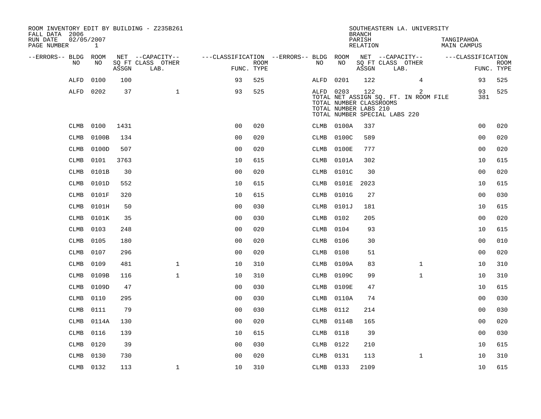| ROOM INVENTORY EDIT BY BUILDING - Z235B261<br>FALL DATA 2006<br>02/05/2007 |           |       |                                       |                                        |             |           |                                                  | <b>BRANCH</b>      |                                       | SOUTHEASTERN LA. UNIVERSITY                |                           |             |
|----------------------------------------------------------------------------|-----------|-------|---------------------------------------|----------------------------------------|-------------|-----------|--------------------------------------------------|--------------------|---------------------------------------|--------------------------------------------|---------------------------|-------------|
| RUN DATE<br>PAGE NUMBER                                                    | 1         |       |                                       |                                        |             |           |                                                  | PARISH<br>RELATION |                                       |                                            | TANGIPAHOA<br>MAIN CAMPUS |             |
| --ERRORS-- BLDG ROOM<br>NO.                                                | NO.       |       | NET --CAPACITY--<br>SQ FT CLASS OTHER | ---CLASSIFICATION --ERRORS-- BLDG ROOM | <b>ROOM</b> | NO.       | NO                                               |                    | NET --CAPACITY--<br>SQ FT CLASS OTHER |                                            | ---CLASSIFICATION         | <b>ROOM</b> |
|                                                                            |           | ASSGN | LAB.                                  | FUNC. TYPE                             |             |           |                                                  | ASSGN              | LAB.                                  |                                            |                           | FUNC. TYPE  |
| ALFD                                                                       | 0100      | 100   |                                       | 93                                     | 525         | ALFD      | 0201                                             | 122                |                                       | $\overline{4}$                             | 93                        | 525         |
| ALFD                                                                       | 0202      | 37    | $\mathbf{1}$                          | 93                                     | 525         | ALFD 0203 | TOTAL NUMBER CLASSROOMS<br>TOTAL NUMBER LABS 210 | 122                | TOTAL NUMBER SPECIAL LABS 220         | 2<br>TOTAL NET ASSIGN SQ. FT. IN ROOM FILE | 93<br>381                 | 525         |
| CLMB                                                                       | 0100      | 1431  |                                       | 0 <sub>0</sub>                         | 020         |           | CLMB 0100A                                       | 337                |                                       |                                            | 0 <sub>0</sub>            | 020         |
| <b>CLMB</b>                                                                | 0100B     | 134   |                                       | 0 <sub>0</sub>                         | 020         | CLMB      | 0100C                                            | 589                |                                       |                                            | 0 <sub>0</sub>            | 020         |
| <b>CLMB</b>                                                                | 0100D     | 507   |                                       | 0 <sub>0</sub>                         | 020         | CLMB      | 0100E                                            | 777                |                                       |                                            | 0 <sub>0</sub>            | 020         |
| CLMB                                                                       | 0101      | 3763  |                                       | 10                                     | 615         | CLMB      | 0101A                                            | 302                |                                       |                                            | 10                        | 615         |
| <b>CLMB</b>                                                                | 0101B     | 30    |                                       | 0 <sub>0</sub>                         | 020         | CLMB      | 0101C                                            | 30                 |                                       |                                            | 0 <sub>0</sub>            | 020         |
| <b>CLMB</b>                                                                | 0101D     | 552   |                                       | 10                                     | 615         | CLMB      | 0101E                                            | 2023               |                                       |                                            | 10                        | 615         |
| <b>CLMB</b>                                                                | 0101F     | 320   |                                       | 10                                     | 615         | CLMB      | 0101G                                            | 27                 |                                       |                                            | 0 <sub>0</sub>            | 030         |
| CLMB                                                                       | 0101H     | 50    |                                       | 0 <sub>0</sub>                         | 030         | CLMB      | 0101J                                            | 181                |                                       |                                            | 10                        | 615         |
| <b>CLMB</b>                                                                | 0101K     | 35    |                                       | 0 <sub>0</sub>                         | 030         | CLMB      | 0102                                             | 205                |                                       |                                            | 0 <sub>0</sub>            | 020         |
| <b>CLMB</b>                                                                | 0103      | 248   |                                       | 0 <sub>0</sub>                         | 020         | CLMB      | 0104                                             | 93                 |                                       |                                            | 10                        | 615         |
| <b>CLMB</b>                                                                | 0105      | 180   |                                       | 0 <sub>0</sub>                         | 020         | CLMB      | 0106                                             | 30                 |                                       |                                            | 0 <sub>0</sub>            | 010         |
| <b>CLMB</b>                                                                | 0107      | 296   |                                       | 0 <sub>0</sub>                         | 020         | CLMB      | 0108                                             | 51                 |                                       |                                            | 0 <sub>0</sub>            | 020         |
| CLMB                                                                       | 0109      | 481   | $\mathbf 1$                           | 10                                     | 310         | CLMB      | 0109A                                            | 83                 |                                       | $\mathbf{1}$                               | 10                        | 310         |
| CLMB                                                                       | 0109B     | 116   | $\mathbf{1}$                          | 10                                     | 310         | CLMB      | 0109C                                            | 99                 |                                       | $\mathbf{1}$                               | 10                        | 310         |
| <b>CLMB</b>                                                                | 0109D     | 47    |                                       | 0 <sub>0</sub>                         | 030         | CLMB      | 0109E                                            | 47                 |                                       |                                            | 10                        | 615         |
| <b>CLMB</b>                                                                | 0110      | 295   |                                       | 0 <sub>0</sub>                         | 030         |           | CLMB 0110A                                       | 74                 |                                       |                                            | 0 <sub>0</sub>            | 030         |
| <b>CLMB</b>                                                                | 0111      | 79    |                                       | 0 <sub>0</sub>                         | 030         | CLMB      | 0112                                             | 214                |                                       |                                            | 0 <sub>0</sub>            | 030         |
| CLMB                                                                       | 0114A     | 130   |                                       | 0 <sub>0</sub>                         | 020         | CLMB      | 0114B                                            | 165                |                                       |                                            | 00                        | 020         |
| <b>CLMB</b>                                                                | 0116      | 139   |                                       | 10                                     | 615         | CLMB      | 0118                                             | 39                 |                                       |                                            | 00                        | 030         |
| <b>CLMB</b>                                                                | 0120      | 39    |                                       | 0 <sub>0</sub>                         | 030         | CLMB 0122 |                                                  | 210                |                                       |                                            | 10                        | 615         |
| <b>CLMB</b>                                                                | 0130      | 730   |                                       | 0 <sub>0</sub>                         | 020         | CLMB      | 0131                                             | 113                |                                       | $\mathbf{1}$                               | 10                        | 310         |
|                                                                            | CLMB 0132 | 113   | $\mathbf{1}$                          | 10                                     | 310         | CLMB 0133 |                                                  | 2109               |                                       |                                            | 10                        | 615         |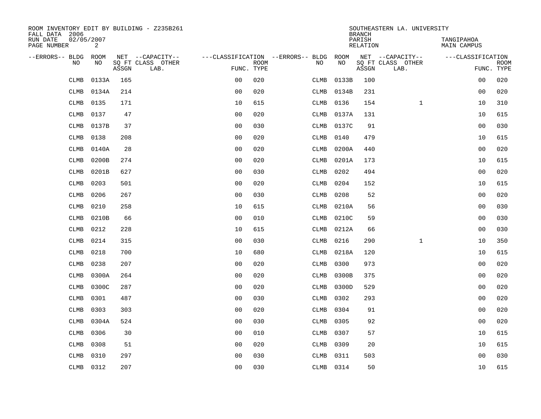| ROOM INVENTORY EDIT BY BUILDING - Z235B261<br>FALL DATA 2006 |       |       |                           |                                        |             |           |       | <b>BRANCH</b>      | SOUTHEASTERN LA. UNIVERSITY |                           |             |
|--------------------------------------------------------------|-------|-------|---------------------------|----------------------------------------|-------------|-----------|-------|--------------------|-----------------------------|---------------------------|-------------|
| RUN DATE<br>02/05/2007<br>PAGE NUMBER                        | 2     |       |                           |                                        |             |           |       | PARISH<br>RELATION |                             | TANGIPAHOA<br>MAIN CAMPUS |             |
| --ERRORS-- BLDG ROOM                                         |       |       | NET --CAPACITY--          | ---CLASSIFICATION --ERRORS-- BLDG ROOM |             |           |       |                    | NET --CAPACITY--            | ---CLASSIFICATION         |             |
| NO.                                                          | NO    | ASSGN | SQ FT CLASS OTHER<br>LAB. | FUNC. TYPE                             | <b>ROOM</b> | NO        | NO    | ASSGN              | SQ FT CLASS OTHER<br>LAB.   | FUNC. TYPE                | <b>ROOM</b> |
| <b>CLMB</b>                                                  | 0133A | 165   |                           | 0 <sub>0</sub>                         | 020         | CLMB      | 0133B | 100                |                             | 0 <sub>0</sub>            | 020         |
| <b>CLMB</b>                                                  | 0134A | 214   |                           | 0 <sub>0</sub>                         | 020         | CLMB      | 0134B | 231                |                             | 00                        | 020         |
| <b>CLMB</b>                                                  | 0135  | 171   |                           | 10                                     | 615         | CLMB      | 0136  | 154                | $\mathbf{1}$                | 10                        | 310         |
| <b>CLMB</b>                                                  | 0137  | 47    |                           | 0 <sub>0</sub>                         | 020         | CLMB      | 0137A | 131                |                             | 10                        | 615         |
| CLMB                                                         | 0137B | 37    |                           | 00                                     | 030         | CLMB      | 0137C | 91                 |                             | 00                        | 030         |
| <b>CLMB</b>                                                  | 0138  | 208   |                           | 0 <sub>0</sub>                         | 020         | CLMB      | 0140  | 479                |                             | 10                        | 615         |
| <b>CLMB</b>                                                  | 0140A | 28    |                           | 0 <sub>0</sub>                         | 020         | CLMB      | 0200A | 440                |                             | 0 <sub>0</sub>            | 020         |
| <b>CLMB</b>                                                  | 0200B | 274   |                           | 0 <sub>0</sub>                         | 020         | CLMB      | 0201A | 173                |                             | 10                        | 615         |
| <b>CLMB</b>                                                  | 0201B | 627   |                           | 0 <sub>0</sub>                         | 030         | CLMB      | 0202  | 494                |                             | 00                        | 020         |
| <b>CLMB</b>                                                  | 0203  | 501   |                           | 0 <sub>0</sub>                         | 020         | CLMB      | 0204  | 152                |                             | 10                        | 615         |
| <b>CLMB</b>                                                  | 0206  | 267   |                           | 0 <sub>0</sub>                         | 030         | CLMB      | 0208  | 52                 |                             | 0 <sub>0</sub>            | 020         |
| CLMB                                                         | 0210  | 258   |                           | 10                                     | 615         | CLMB      | 0210A | 56                 |                             | 0 <sub>0</sub>            | 030         |
| CLMB                                                         | 0210B | 66    |                           | 0 <sub>0</sub>                         | 010         | CLMB      | 0210C | 59                 |                             | 00                        | 030         |
| <b>CLMB</b>                                                  | 0212  | 228   |                           | 10                                     | 615         | CLMB      | 0212A | 66                 |                             | 00                        | 030         |
| <b>CLMB</b>                                                  | 0214  | 315   |                           | 0 <sub>0</sub>                         | 030         | CLMB      | 0216  | 290                | $\mathbf{1}$                | 10                        | 350         |
| CLMB                                                         | 0218  | 700   |                           | 10                                     | 680         | CLMB      | 0218A | 120                |                             | 10                        | 615         |
| <b>CLMB</b>                                                  | 0238  | 207   |                           | 0 <sub>0</sub>                         | 020         | CLMB      | 0300  | 973                |                             | 0 <sub>0</sub>            | 020         |
| <b>CLMB</b>                                                  | 0300A | 264   |                           | 0 <sub>0</sub>                         | 020         | CLMB      | 0300B | 375                |                             | 0 <sub>0</sub>            | 020         |
| <b>CLMB</b>                                                  | 0300C | 287   |                           | 0 <sub>0</sub>                         | 020         | CLMB      | 0300D | 529                |                             | 0 <sub>0</sub>            | 020         |
| <b>CLMB</b>                                                  | 0301  | 487   |                           | 00                                     | 030         | CLMB      | 0302  | 293                |                             | 00                        | 020         |
| <b>CLMB</b>                                                  | 0303  | 303   |                           | 0 <sub>0</sub>                         | 020         | CLMB      | 0304  | 91                 |                             | 00                        | 020         |
| <b>CLMB</b>                                                  | 0304A | 524   |                           | 0 <sub>0</sub>                         | 030         | CLMB      | 0305  | 92                 |                             | 0 <sub>0</sub>            | 020         |
| <b>CLMB</b>                                                  | 0306  | 30    |                           | 0 <sub>0</sub>                         | 010         | CLMB      | 0307  | 57                 |                             | 10                        | 615         |
| <b>CLMB</b>                                                  | 0308  | 51    |                           | 0 <sub>0</sub>                         | 020         | CLMB      | 0309  | 20                 |                             | 10                        | 615         |
| <b>CLMB</b>                                                  | 0310  | 297   |                           | 0 <sub>0</sub>                         | 030         | CLMB      | 0311  | 503                |                             | 0 <sub>0</sub>            | 030         |
| CLMB                                                         | 0312  | 207   |                           | 0 <sub>0</sub>                         | 030         | CLMB 0314 |       | 50                 |                             | 10                        | 615         |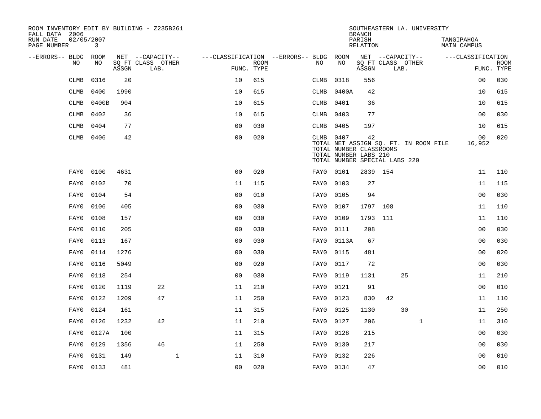| ROOM INVENTORY EDIT BY BUILDING - Z235B261<br>FALL DATA 2006 |                            |       |                           |                                   |                    |           |           | <b>BRANCH</b>                                                                           |      | SOUTHEASTERN LA. UNIVERSITY |                                       |                                  |                           |
|--------------------------------------------------------------|----------------------------|-------|---------------------------|-----------------------------------|--------------------|-----------|-----------|-----------------------------------------------------------------------------------------|------|-----------------------------|---------------------------------------|----------------------------------|---------------------------|
| RUN DATE<br>PAGE NUMBER                                      | 02/05/2007<br>$\mathbf{3}$ |       |                           |                                   |                    |           |           | PARISH<br><b>RELATION</b>                                                               |      |                             |                                       | TANGIPAHOA<br><b>MAIN CAMPUS</b> |                           |
| --ERRORS-- BLDG                                              | ROOM                       |       | NET --CAPACITY--          | ---CLASSIFICATION --ERRORS-- BLDG |                    |           | ROOM      |                                                                                         |      | NET --CAPACITY--            |                                       | ---CLASSIFICATION                |                           |
| N <sub>O</sub>                                               | NO.                        | ASSGN | SO FT CLASS OTHER<br>LAB. |                                   | ROOM<br>FUNC. TYPE | NO.       | NO        | ASSGN                                                                                   | LAB. | SQ FT CLASS OTHER           |                                       |                                  | <b>ROOM</b><br>FUNC. TYPE |
| <b>CLMB</b>                                                  | 0316                       | 20    |                           | 10                                | 615                | CLMB      | 0318      | 556                                                                                     |      |                             |                                       | 00                               | 030                       |
| <b>CLMB</b>                                                  | 0400                       | 1990  |                           | 10                                | 615                | CLMB      | 0400A     | 42                                                                                      |      |                             |                                       | 10                               | 615                       |
| <b>CLMB</b>                                                  | 0400B                      | 904   |                           | 10                                | 615                | CLMB      | 0401      | 36                                                                                      |      |                             |                                       | 10                               | 615                       |
| <b>CLMB</b>                                                  | 0402                       | 36    |                           | 10                                | 615                | CLMB 0403 |           | 77                                                                                      |      |                             |                                       | 0 <sub>0</sub>                   | 030                       |
| <b>CLMB</b>                                                  | 0404                       | 77    |                           | 0 <sub>0</sub>                    | 030                | CLMB      | 0405      | 197                                                                                     |      |                             |                                       | 10                               | 615                       |
| CLMB                                                         | 0406                       | 42    |                           | 0 <sub>0</sub>                    | 020                |           | CLMB 0407 | 42<br>TOTAL NUMBER CLASSROOMS<br>TOTAL NUMBER LABS 210<br>TOTAL NUMBER SPECIAL LABS 220 |      |                             | TOTAL NET ASSIGN SQ. FT. IN ROOM FILE | 00<br>16,952                     | 020                       |
| FAY0                                                         | 0100                       | 4631  |                           | 0 <sub>0</sub>                    | 020                | FAY0      | 0101      | 2839 154                                                                                |      |                             |                                       | 11                               | 110                       |
| FAY0                                                         | 0102                       | 70    |                           | 11                                | 115                | FAY0      | 0103      | 27                                                                                      |      |                             |                                       | 11                               | 115                       |
| FAY0                                                         | 0104                       | 54    |                           | 0 <sub>0</sub>                    | 010                | FAY0      | 0105      | 94                                                                                      |      |                             |                                       | 0 <sub>0</sub>                   | 030                       |
| FAY0                                                         | 0106                       | 405   |                           | 0 <sub>0</sub>                    | 030                | FAY0      | 0107      | 1797 108                                                                                |      |                             |                                       | 11                               | 110                       |
| FAY0                                                         | 0108                       | 157   |                           | 0 <sub>0</sub>                    | 030                | FAY0      | 0109      | 1793 111                                                                                |      |                             |                                       | 11                               | 110                       |
| FAY0                                                         | 0110                       | 205   |                           | 0 <sub>0</sub>                    | 030                | FAY0      | 0111      | 208                                                                                     |      |                             |                                       | 00                               | 030                       |
| FAY0                                                         | 0113                       | 167   |                           | 0 <sub>0</sub>                    | 030                | FAY0      | 0113A     | 67                                                                                      |      |                             |                                       | 00                               | 030                       |
| FAY0                                                         | 0114                       | 1276  |                           | 0 <sub>0</sub>                    | 030                | FAY0      | 0115      | 481                                                                                     |      |                             |                                       | 00                               | 020                       |
| FAY0                                                         | 0116                       | 5049  |                           | 0 <sub>0</sub>                    | 020                | FAY0      | 0117      | 72                                                                                      |      |                             |                                       | 0 <sub>0</sub>                   | 030                       |
| FAY0                                                         | 0118                       | 254   |                           | 0 <sub>0</sub>                    | 030                | FAY0      | 0119      | 1131                                                                                    |      | 25                          |                                       | 11                               | 210                       |
| FAY0                                                         | 0120                       | 1119  | 22                        | 11                                | 210                | FAY0      | 0121      | 91                                                                                      |      |                             |                                       | 0 <sub>0</sub>                   | 010                       |
| FAY0                                                         | 0122                       | 1209  | 47                        | 11                                | 250                | FAY0      | 0123      | 830                                                                                     | 42   |                             |                                       | 11                               | 110                       |
| FAY0                                                         | 0124                       | 161   |                           | 11                                | 315                | FAY0      | 0125      | 1130                                                                                    |      | 30                          |                                       | 11                               | 250                       |
| FAY0                                                         | 0126                       | 1232  | 42                        | 11                                | 210                | FAY0      | 0127      | 206                                                                                     |      | $\mathbf{1}$                |                                       | 11                               | 310                       |
| FAY0                                                         | 0127A                      | 100   |                           | 11                                | 315                | FAY0      | 0128      | 215                                                                                     |      |                             |                                       | 0 <sub>0</sub>                   | 030                       |
| FAY0                                                         | 0129                       | 1356  | 46                        | 11                                | 250                | FAY0      | 0130      | 217                                                                                     |      |                             |                                       | 00                               | 030                       |
| FAY0                                                         | 0131                       | 149   | $\mathbf{1}$              | 11                                | 310                | FAY0      | 0132      | 226                                                                                     |      |                             |                                       | 0 <sub>0</sub>                   | 010                       |
|                                                              | FAY0 0133                  | 481   |                           | 00                                | 020                | FAY0 0134 |           | 47                                                                                      |      |                             |                                       | 0 <sub>0</sub>                   | 010                       |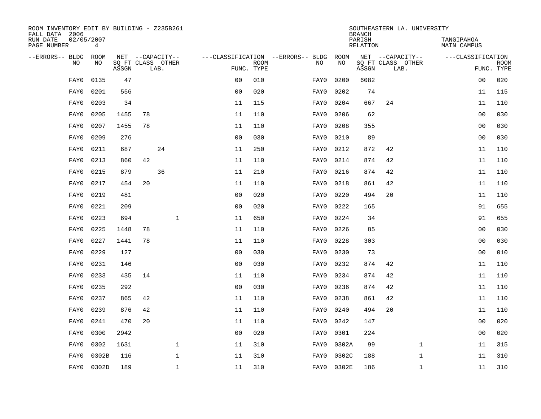| ROOM INVENTORY EDIT BY BUILDING - Z235B261<br>FALL DATA 2006 |                               |       |    |                           |                |             |                                        |            | <b>BRANCH</b>      | SOUTHEASTERN LA. UNIVERSITY |                           |                           |
|--------------------------------------------------------------|-------------------------------|-------|----|---------------------------|----------------|-------------|----------------------------------------|------------|--------------------|-----------------------------|---------------------------|---------------------------|
| RUN DATE<br>PAGE NUMBER                                      | 02/05/2007<br>$4\overline{ }$ |       |    |                           |                |             |                                        |            | PARISH<br>RELATION |                             | TANGIPAHOA<br>MAIN CAMPUS |                           |
| --ERRORS-- BLDG ROOM                                         |                               |       |    | NET --CAPACITY--          |                |             | ---CLASSIFICATION --ERRORS-- BLDG ROOM |            |                    | NET --CAPACITY--            | ---CLASSIFICATION         |                           |
| NO                                                           | NO                            | ASSGN |    | SQ FT CLASS OTHER<br>LAB. | FUNC. TYPE     | <b>ROOM</b> | NO                                     | NO         | ASSGN              | SQ FT CLASS OTHER<br>LAB.   |                           | <b>ROOM</b><br>FUNC. TYPE |
| FAY0                                                         | 0135                          | 47    |    |                           | 0 <sub>0</sub> | 010         | FAY0                                   | 0200       | 6082               |                             | 00                        | 020                       |
| FAY0                                                         | 0201                          | 556   |    |                           | 0 <sub>0</sub> | 020         | FAY0                                   | 0202       | 74                 |                             | 11                        | 115                       |
| FAY0                                                         | 0203                          | 34    |    |                           | 11             | 115         | FAY0                                   | 0204       | 667                | 24                          | 11                        | 110                       |
| FAY0                                                         | 0205                          | 1455  | 78 |                           | 11             | 110         | FAY0                                   | 0206       | 62                 |                             | 00                        | 030                       |
| FAY0                                                         | 0207                          | 1455  | 78 |                           | 11             | 110         | FAY0                                   | 0208       | 355                |                             | 00                        | 030                       |
| FAY0                                                         | 0209                          | 276   |    |                           | 0 <sub>0</sub> | 030         | FAY0                                   | 0210       | 89                 |                             | 0 <sub>0</sub>            | 030                       |
| FAY0                                                         | 0211                          | 687   |    | 24                        | 11             | 250         | FAY0                                   | 0212       | 872                | 42                          | 11                        | 110                       |
| FAY0                                                         | 0213                          | 860   | 42 |                           | 11             | 110         | FAY0                                   | 0214       | 874                | 42                          | 11                        | 110                       |
| FAY0                                                         | 0215                          | 879   |    | 36                        | 11             | 210         | FAY0                                   | 0216       | 874                | 42                          | 11                        | 110                       |
| FAY0                                                         | 0217                          | 454   | 20 |                           | 11             | 110         | FAY0                                   | 0218       | 861                | 42                          | 11                        | 110                       |
| FAY0                                                         | 0219                          | 481   |    |                           | 0 <sub>0</sub> | 020         | FAY0                                   | 0220       | 494                | 20                          | 11                        | 110                       |
| FAY0                                                         | 0221                          | 209   |    |                           | 0 <sub>0</sub> | 020         | FAY0                                   | 0222       | 165                |                             | 91                        | 655                       |
| FAY0                                                         | 0223                          | 694   |    | $\mathbf{1}$              | 11             | 650         | FAY0                                   | 0224       | 34                 |                             | 91                        | 655                       |
| FAY0                                                         | 0225                          | 1448  | 78 |                           | 11             | 110         | FAY0                                   | 0226       | 85                 |                             | 00                        | 030                       |
| FAY0                                                         | 0227                          | 1441  | 78 |                           | 11             | 110         | FAY0                                   | 0228       | 303                |                             | 0 <sub>0</sub>            | 030                       |
| FAY0                                                         | 0229                          | 127   |    |                           | 0 <sub>0</sub> | 030         | FAY0                                   | 0230       | 73                 |                             | 0 <sub>0</sub>            | 010                       |
| FAY0                                                         | 0231                          | 146   |    |                           | 0 <sub>0</sub> | 030         | FAY0                                   | 0232       | 874                | 42                          | 11                        | 110                       |
| FAY0                                                         | 0233                          | 435   | 14 |                           | 11             | 110         | FAY0                                   | 0234       | 874                | 42                          | 11                        | 110                       |
| FAY0                                                         | 0235                          | 292   |    |                           | 0 <sub>0</sub> | 030         | FAY0                                   | 0236       | 874                | 42                          | 11                        | 110                       |
| FAY0                                                         | 0237                          | 865   | 42 |                           | 11             | 110         | FAY0                                   | 0238       | 861                | 42                          | 11                        | 110                       |
| FAY0                                                         | 0239                          | 876   | 42 |                           | 11             | 110         | FAY0                                   | 0240       | 494                | 20                          | 11                        | 110                       |
| FAY0                                                         | 0241                          | 470   | 20 |                           | 11             | 110         | FAY0                                   | 0242       | 147                |                             | 00                        | 020                       |
| FAY0                                                         | 0300                          | 2942  |    |                           | 0 <sub>0</sub> | 020         | FAY0                                   | 0301       | 224                |                             | 0 <sub>0</sub>            | 020                       |
| FAY0                                                         | 0302                          | 1631  |    | $\mathbf 1$               | 11             | 310         | FAY0                                   | 0302A      | 99                 | $\mathbf{1}$                | 11                        | 315                       |
| FAY0                                                         | 0302B                         | 116   |    | $\mathbf 1$               | 11             | 310         | FAY0                                   | 0302C      | 188                | $\mathbf{1}$                | 11                        | 310                       |
| FAY0                                                         | 0302D                         | 189   |    | $\mathbf{1}$              | 11             | 310         |                                        | FAY0 0302E | 186                | $\mathbf{1}$                | 11                        | 310                       |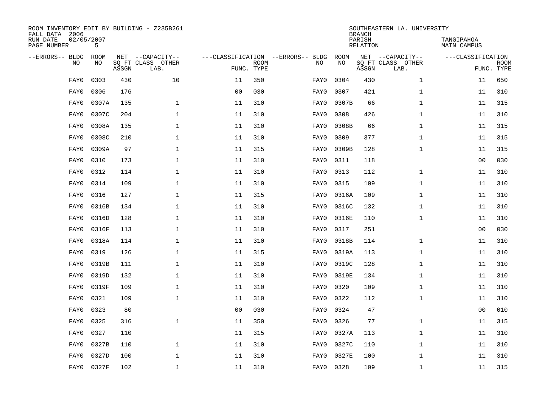| FALL DATA 2006<br>RUN DATE<br>PAGE NUMBER | 02/05/2007<br>5          |       | ROOM INVENTORY EDIT BY BUILDING - Z235B261    |                                                 |             |      |            | <b>BRANCH</b><br>PARISH<br>RELATION | SOUTHEASTERN LA. UNIVERSITY                   | TANGIPAHOA<br>MAIN CAMPUS |                           |
|-------------------------------------------|--------------------------|-------|-----------------------------------------------|-------------------------------------------------|-------------|------|------------|-------------------------------------|-----------------------------------------------|---------------------------|---------------------------|
| --ERRORS-- BLDG                           | ROOM<br><b>NO</b><br>NO. | ASSGN | NET --CAPACITY--<br>SO FT CLASS OTHER<br>LAB. | ---CLASSIFICATION --ERRORS-- BLDG<br>FUNC. TYPE | <b>ROOM</b> | NO   | ROOM<br>NO | ASSGN                               | NET --CAPACITY--<br>SQ FT CLASS OTHER<br>LAB. | ---CLASSIFICATION         | <b>ROOM</b><br>FUNC. TYPE |
|                                           | 0303<br>FAY0             | 430   | 10                                            | 11                                              | 350         | FAY0 | 0304       | 430                                 | $\mathbf{1}$                                  | 11                        | 650                       |
|                                           | 0306<br>FAY0             | 176   |                                               | 0 <sub>0</sub>                                  | 030         | FAY0 | 0307       | 421                                 | $\mathbf{1}$                                  | 11                        | 310                       |
|                                           | 0307A<br>FAY0            | 135   | $\mathbf{1}$                                  | 11                                              | 310         | FAY0 | 0307B      | 66                                  | $\mathbf{1}$                                  | 11                        | 315                       |
|                                           | 0307C<br>FAY0            | 204   | $\mathbf 1$                                   | 11                                              | 310         | FAY0 | 0308       | 426                                 | $\mathbf{1}$                                  | 11                        | 310                       |
|                                           | 0308A<br>FAY0            | 135   | $\mathbf{1}$                                  | 11                                              | 310         | FAY0 | 0308B      | 66                                  | $\mathbf{1}$                                  | 11                        | 315                       |
|                                           | 0308C<br>FAY0            | 210   | $\mathbf{1}$                                  | 11                                              | 310         | FAY0 | 0309       | 377                                 | $\mathbf{1}$                                  | 11                        | 315                       |
|                                           | 0309A<br>FAY0            | 97    | $\mathbf{1}$                                  | 11                                              | 315         | FAY0 | 0309B      | 128                                 | $\mathbf{1}$                                  | 11                        | 315                       |
|                                           | 0310<br>FAY0             | 173   | $\mathbf 1$                                   | 11                                              | 310         | FAY0 | 0311       | 118                                 |                                               | 0 <sub>0</sub>            | 030                       |
|                                           | 0312<br>FAY0             | 114   | $\mathbf 1$                                   | 11                                              | 310         | FAY0 | 0313       | 112                                 | $\mathbf{1}$                                  | 11                        | 310                       |
|                                           | 0314<br>FAY0             | 109   | $\mathbf 1$                                   | 11                                              | 310         | FAY0 | 0315       | 109                                 | $\mathbf{1}$                                  | 11                        | 310                       |
|                                           | 0316<br>FAY0             | 127   | $\mathbf 1$                                   | 11                                              | 315         | FAY0 | 0316A      | 109                                 | $\mathbf{1}$                                  | 11                        | 310                       |
|                                           | 0316B<br>FAY0            | 134   | $\mathbf 1$                                   | 11                                              | 310         | FAY0 | 0316C      | 132                                 | $\mathbf{1}$                                  | 11                        | 310                       |
|                                           | 0316D<br>FAY0            | 128   | $\mathbf 1$                                   | 11                                              | 310         | FAY0 | 0316E      | 110                                 | $\mathbf{1}$                                  | 11                        | 310                       |
|                                           | 0316F<br>FAY0            | 113   | 1                                             | 11                                              | 310         | FAY0 | 0317       | 251                                 |                                               | 00                        | 030                       |
|                                           | 0318A<br>FAY0            | 114   | 1                                             | 11                                              | 310         | FAY0 | 0318B      | 114                                 | $\mathbf{1}$                                  | 11                        | 310                       |
|                                           | 0319<br>FAY0             | 126   | 1                                             | 11                                              | 315         | FAY0 | 0319A      | 113                                 | $\mathbf{1}$                                  | 11                        | 310                       |
|                                           | 0319B<br>FAY0            | 111   | $\mathbf 1$                                   | 11                                              | 310         | FAY0 | 0319C      | 128                                 | $\mathbf{1}$                                  | 11                        | 310                       |
|                                           | 0319D<br>FAY0            | 132   | $\mathbf 1$                                   | 11                                              | 310         | FAY0 | 0319E      | 134                                 | $\mathbf{1}$                                  | 11                        | 310                       |
|                                           | 0319F<br>FAY0            | 109   | $\mathbf{1}$                                  | 11                                              | 310         | FAY0 | 0320       | 109                                 | $\mathbf{1}$                                  | 11                        | 310                       |
|                                           | 0321<br>FAY0             | 109   | $\mathbf{1}$                                  | 11                                              | 310         | FAY0 | 0322       | 112                                 | $\mathbf{1}$                                  | 11                        | 310                       |
|                                           | 0323<br>FAY0             | 80    |                                               | 0 <sub>0</sub>                                  | 030         | FAY0 | 0324       | 47                                  |                                               | 0 <sub>0</sub>            | 010                       |
|                                           | 0325<br>FAY0             | 316   | $\mathbf{1}$                                  | 11                                              | 350         | FAY0 | 0326       | 77                                  | $\mathbf{1}$                                  | 11                        | 315                       |
|                                           | 0327<br>FAY0             | 110   |                                               | 11                                              | 315         | FAY0 | 0327A      | 113                                 | $\mathbf{1}$                                  | 11                        | 310                       |
|                                           | 0327B<br>FAY0            | 110   | $\mathbf{1}$                                  | 11                                              | 310         | FAY0 | 0327C      | 110                                 | $\mathbf{1}$                                  | 11                        | 310                       |
|                                           | 0327D<br>FAY0            | 100   | 1                                             | 11                                              | 310         | FAY0 | 0327E      | 100                                 | $\mathbf{1}$                                  | 11                        | 310                       |
|                                           | FAY0<br>0327F            | 102   | $\mathbf 1$                                   | 11                                              | 310         |      | FAY0 0328  | 109                                 | $\mathbf{1}$                                  | 11                        | 315                       |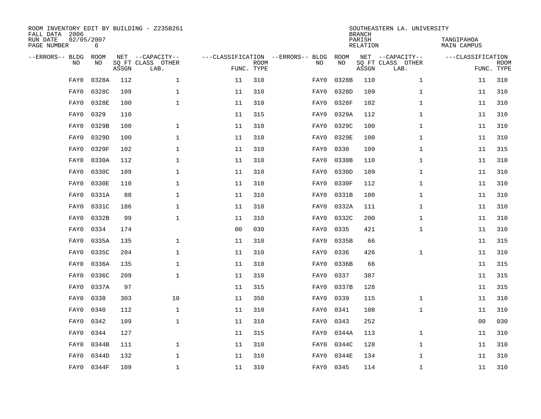| ROOM INVENTORY EDIT BY BUILDING - Z235B261<br>FALL DATA 2006 |                 |       |                           |    |                           |                                   |           | <b>BRANCH</b>             | SOUTHEASTERN LA. UNIVERSITY |                                  |                           |
|--------------------------------------------------------------|-----------------|-------|---------------------------|----|---------------------------|-----------------------------------|-----------|---------------------------|-----------------------------|----------------------------------|---------------------------|
| RUN DATE<br>PAGE NUMBER                                      | 02/05/2007<br>6 |       |                           |    |                           |                                   |           | PARISH<br><b>RELATION</b> |                             | TANGIPAHOA<br><b>MAIN CAMPUS</b> |                           |
| --ERRORS-- BLDG                                              | ROOM            |       | NET --CAPACITY--          |    |                           | ---CLASSIFICATION --ERRORS-- BLDG | ROOM      |                           | NET --CAPACITY--            | ---CLASSIFICATION                |                           |
| NO                                                           | NO              | ASSGN | SQ FT CLASS OTHER<br>LAB. |    | <b>ROOM</b><br>FUNC. TYPE | NO                                | NO        | ASSGN                     | SQ FT CLASS OTHER<br>LAB.   |                                  | <b>ROOM</b><br>FUNC. TYPE |
| FAY0                                                         | 0328A           | 112   | $\mathbf{1}$              | 11 | 310                       | FAY0                              | 0328B     | 110                       | $\mathbf{1}$                | 11                               | 310                       |
| FAY0                                                         | 0328C           | 109   | $\mathbf 1$               | 11 | 310                       | FAY0                              | 0328D     | 109                       | $\mathbf{1}$                | 11                               | 310                       |
| FAY0                                                         | 0328E           | 100   | $\mathbf 1$               | 11 | 310                       | FAY0                              | 0328F     | 102                       | $\mathbf{1}$                | 11                               | 310                       |
| FAY0                                                         | 0329            | 110   |                           | 11 | 315                       | FAY0                              | 0329A     | 112                       | $\mathbf{1}$                | 11                               | 310                       |
| FAY0                                                         | 0329B           | 100   | $\mathbf 1$               | 11 | 310                       | FAY0                              | 0329C     | 100                       | $\mathbf{1}$                | 11                               | 310                       |
| FAY0                                                         | 0329D           | 100   | $\mathbf{1}$              | 11 | 310                       | FAY0                              | 0329E     | 100                       | $\mathbf{1}$                | 11                               | 310                       |
| FAY0                                                         | 0329F           | 102   | $\mathbf{1}$              | 11 | 310                       | FAY0                              | 0330      | 109                       | $\mathbf{1}$                | 11                               | 315                       |
| FAY0                                                         | 0330A           | 112   | $\mathbf 1$               | 11 | 310                       | FAY0                              | 0330B     | 110                       | $\mathbf{1}$                | 11                               | 310                       |
| FAY0                                                         | 0330C           | 109   | $\mathbf{1}$              | 11 | 310                       | FAY0                              | 0330D     | 109                       | $\mathbf{1}$                | 11                               | 310                       |
| FAY0                                                         | 0330E           | 110   | $\mathbf 1$               | 11 | 310                       | FAY0                              | 0330F     | 112                       | $\mathbf{1}$                | 11                               | 310                       |
| FAY0                                                         | 0331A           | 88    | $\mathbf{1}$              | 11 | 310                       | FAY0                              | 0331B     | 100                       | $\mathbf{1}$                | 11                               | 310                       |
| FAY0                                                         | 0331C           | 186   | $\mathbf 1$               | 11 | 310                       | FAY0                              | 0332A     | 111                       | $\mathbf{1}$                | 11                               | 310                       |
| FAY0                                                         | 0332B           | 99    | $\mathbf{1}$              | 11 | 310                       | FAY0                              | 0332C     | 200                       | $\mathbf{1}$                | 11                               | 310                       |
| FAY0                                                         | 0334            | 174   |                           | 00 | 030                       | FAY0                              | 0335      | 421                       | $\mathbf{1}$                | 11                               | 310                       |
| FAY0                                                         | 0335A           | 135   | 1                         | 11 | 310                       | FAY0                              | 0335B     | 66                        |                             | 11                               | 315                       |
| FAY0                                                         | 0335C           | 204   | 1                         | 11 | 310                       | FAY0                              | 0336      | 426                       | $\mathbf{1}$                | 11                               | 310                       |
| FAY0                                                         | 0336A           | 135   | $\mathbf 1$               | 11 | 310                       | FAY0                              | 0336B     | 66                        |                             | 11                               | 315                       |
| FAY0                                                         | 0336C           | 209   | $\mathbf 1$               | 11 | 310                       | FAY0                              | 0337      | 387                       |                             | 11                               | 315                       |
| FAY0                                                         | 0337A           | 97    |                           | 11 | 315                       | FAY0                              | 0337B     | 128                       |                             | 11                               | 315                       |
| FAY0                                                         | 0338            | 303   | 10                        | 11 | 350                       | FAY0                              | 0339      | 115                       | $\mathbf{1}$                | 11                               | 310                       |
| FAY0                                                         | 0340            | 112   | $\mathbf 1$               | 11 | 310                       | FAY0                              | 0341      | 108                       | $\mathbf{1}$                | 11                               | 310                       |
| FAY0                                                         | 0342            | 109   | $\mathbf{1}$              | 11 | 310                       | FAY0                              | 0343      | 252                       |                             | 0 <sub>0</sub>                   | 030                       |
| FAY0                                                         | 0344            | 127   |                           | 11 | 315                       | FAY0                              | 0344A     | 113                       | $\mathbf{1}$                | 11                               | 310                       |
| FAY0                                                         | 0344B           | 111   | 1                         | 11 | 310                       | FAY0                              | 0344C     | 128                       | $\mathbf{1}$                | 11                               | 310                       |
| FAY0                                                         | 0344D           | 132   | $\mathbf 1$               | 11 | 310                       | FAY0                              | 0344E     | 134                       | $\mathbf{1}$                | 11                               | 310                       |
| FAY0                                                         | 0344F           | 109   | 1                         | 11 | 310                       |                                   | FAY0 0345 | 114                       | $\mathbf{1}$                | 11                               | 310                       |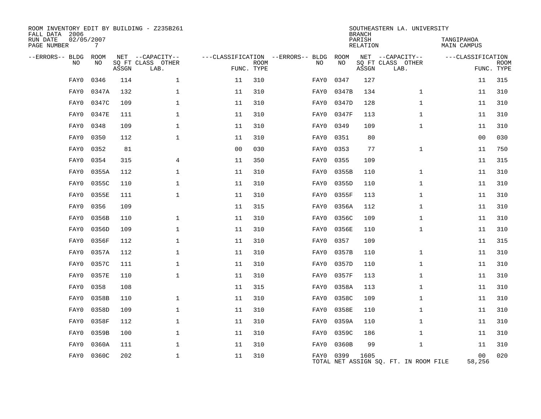| ROOM INVENTORY EDIT BY BUILDING - Z235B261<br>FALL DATA 2006<br>RUN DATE<br>PAGE NUMBER | 02/05/2007<br>7 |       |                           |                                   |             |           |       | <b>BRANCH</b><br>PARISH<br>RELATION | SOUTHEASTERN LA. UNIVERSITY           | TANGIPAHOA<br><b>MAIN CAMPUS</b> |                           |
|-----------------------------------------------------------------------------------------|-----------------|-------|---------------------------|-----------------------------------|-------------|-----------|-------|-------------------------------------|---------------------------------------|----------------------------------|---------------------------|
| --ERRORS-- BLDG                                                                         | ROOM            |       | NET --CAPACITY--          | ---CLASSIFICATION --ERRORS-- BLDG |             |           | ROOM  |                                     | NET --CAPACITY--                      | ---CLASSIFICATION                |                           |
| NO                                                                                      | NO              | ASSGN | SQ FT CLASS OTHER<br>LAB. | FUNC. TYPE                        | <b>ROOM</b> | NO        | NO    | ASSGN                               | SQ FT CLASS OTHER<br>LAB.             |                                  | <b>ROOM</b><br>FUNC. TYPE |
| FAY0                                                                                    | 0346            | 114   | $\mathbf{1}$              | 11                                | 310         | FAY0      | 0347  | 127                                 |                                       | 11                               | 315                       |
| FAY0                                                                                    | 0347A           | 132   | 1                         | 11                                | 310         | FAY0      | 0347B | 134                                 | $\mathbf{1}$                          | 11                               | 310                       |
| FAY0                                                                                    | 0347C           | 109   | $\mathbf 1$               | 11                                | 310         | FAY0      | 0347D | 128                                 | $\mathbf{1}$                          | 11                               | 310                       |
| FAY0                                                                                    | 0347E           | 111   | $\mathbf 1$               | 11                                | 310         | FAY0      | 0347F | 113                                 | $\mathbf{1}$                          | 11                               | 310                       |
| FAY0                                                                                    | 0348            | 109   | $\mathbf 1$               | 11                                | 310         | FAY0      | 0349  | 109                                 | $\mathbf{1}$                          | 11                               | 310                       |
| FAY0                                                                                    | 0350            | 112   | $\mathbf 1$               | 11                                | 310         | FAY0      | 0351  | 80                                  |                                       | 0 <sub>0</sub>                   | 030                       |
| FAY0                                                                                    | 0352            | 81    |                           | 0 <sub>0</sub>                    | 030         | FAY0      | 0353  | 77                                  | $\mathbf{1}$                          | 11                               | 750                       |
| FAY0                                                                                    | 0354            | 315   | 4                         | 11                                | 350         | FAY0      | 0355  | 109                                 |                                       | 11                               | 315                       |
| FAY0                                                                                    | 0355A           | 112   | $\mathbf 1$               | 11                                | 310         | FAY0      | 0355B | 110                                 | $\mathbf{1}$                          | 11                               | 310                       |
| FAY0                                                                                    | 0355C           | 110   | 1                         | 11                                | 310         | FAY0      | 0355D | 110                                 | $\mathbf{1}$                          | 11                               | 310                       |
| FAY0                                                                                    | 0355E           | 111   | $\mathbf 1$               | 11                                | 310         | FAY0      | 0355F | 113                                 | $\mathbf{1}$                          | 11                               | 310                       |
| FAY0                                                                                    | 0356            | 109   |                           | 11                                | 315         | FAY0      | 0356A | 112                                 | $\mathbf{1}$                          | 11                               | 310                       |
| FAY0                                                                                    | 0356B           | 110   | $\mathbf 1$               | 11                                | 310         | FAY0      | 0356C | 109                                 | 1                                     | 11                               | 310                       |
| FAY0                                                                                    | 0356D           | 109   | 1                         | 11                                | 310         | FAY0      | 0356E | 110                                 | $\mathbf{1}$                          | 11                               | 310                       |
| FAY0                                                                                    | 0356F           | 112   | $\mathbf 1$               | 11                                | 310         | FAY0      | 0357  | 109                                 |                                       | 11                               | 315                       |
| FAY0                                                                                    | 0357A           | 112   | $\mathbf 1$               | 11                                | 310         | FAY0      | 0357B | 110                                 | $\mathbf{1}$                          | 11                               | 310                       |
| FAY0                                                                                    | 0357C           | 111   | $\mathbf{1}$              | 11                                | 310         | FAY0      | 0357D | 110                                 | $\mathbf{1}$                          | 11                               | 310                       |
| FAY0                                                                                    | 0357E           | 110   | $\mathbf{1}$              | 11                                | 310         | FAY0      | 0357F | 113                                 | $\mathbf{1}$                          | 11                               | 310                       |
| FAY0                                                                                    | 0358            | 108   |                           | 11                                | 315         | FAY0      | 0358A | 113                                 | $\mathbf{1}$                          | 11                               | 310                       |
| FAY0                                                                                    | 0358B           | 110   | $\mathbf{1}$              | 11                                | 310         | FAY0      | 0358C | 109                                 | $\mathbf{1}$                          | 11                               | 310                       |
| FAY0                                                                                    | 0358D           | 109   | 1                         | 11                                | 310         | FAY0      | 0358E | 110                                 | $\mathbf{1}$                          | 11                               | 310                       |
| FAY0                                                                                    | 0358F           | 112   | $\mathbf 1$               | 11                                | 310         | FAY0      | 0359A | 110                                 | $\mathbf{1}$                          | 11                               | 310                       |
| FAY0                                                                                    | 0359B           | 100   | $\mathbf 1$               | 11                                | 310         | FAY0      | 0359C | 186                                 | $\mathbf{1}$                          | 11                               | 310                       |
| FAY0                                                                                    | 0360A           | 111   | 1                         | 11                                | 310         | FAY0      | 0360B | 99                                  | $\mathbf{1}$                          | 11                               | 310                       |
| FAY0                                                                                    | 0360C           | 202   | 1                         | 11                                | 310         | FAY0 0399 |       | 1605                                | TOTAL NET ASSIGN SO. FT. IN ROOM FILE | 0 <sub>0</sub><br>58,256         | 020                       |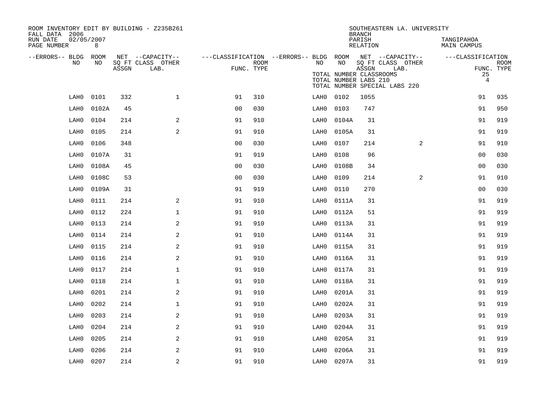| ROOM INVENTORY EDIT BY BUILDING - Z235B261<br>FALL DATA 2006 |       |       |                           |                |                    |                                                         |                                                        | <b>BRANCH</b>      | SOUTHEASTERN LA. UNIVERSITY                                |                           |                           |
|--------------------------------------------------------------|-------|-------|---------------------------|----------------|--------------------|---------------------------------------------------------|--------------------------------------------------------|--------------------|------------------------------------------------------------|---------------------------|---------------------------|
| RUN DATE<br>02/05/2007<br>PAGE NUMBER                        | 8     |       |                           |                |                    |                                                         |                                                        | PARISH<br>RELATION |                                                            | TANGIPAHOA<br>MAIN CAMPUS |                           |
| --ERRORS-- BLDG ROOM                                         |       |       | NET --CAPACITY--          |                |                    | ---CLASSIFICATION --ERRORS-- BLDG ROOM NET --CAPACITY-- |                                                        |                    |                                                            | ---CLASSIFICATION         |                           |
| NO                                                           | NO    | ASSGN | SQ FT CLASS OTHER<br>LAB. |                | ROOM<br>FUNC. TYPE | NO                                                      | NO<br>TOTAL NUMBER CLASSROOMS<br>TOTAL NUMBER LABS 210 | ASSGN              | SQ FT CLASS OTHER<br>LAB.<br>TOTAL NUMBER SPECIAL LABS 220 | 25<br>$\overline{4}$      | <b>ROOM</b><br>FUNC. TYPE |
| LAH0                                                         | 0101  | 332   | $\mathbf{1}$              | 91             | 310                | LAH0                                                    | 0102                                                   | 1055               |                                                            | 91                        | 935                       |
| LAH0                                                         | 0102A | 45    |                           | 0 <sub>0</sub> | 030                | LAH0                                                    | 0103                                                   | 747                |                                                            | 91                        | 950                       |
| LAH0                                                         | 0104  | 214   | 2                         | 91             | 910                | LAH0                                                    | 0104A                                                  | 31                 |                                                            | 91                        | 919                       |
| LAH0                                                         | 0105  | 214   | 2                         | 91             | 910                | LAH0                                                    | 0105A                                                  | 31                 |                                                            | 91                        | 919                       |
| LAH0                                                         | 0106  | 348   |                           | 0 <sub>0</sub> | 030                | LAH0                                                    | 0107                                                   | 214                | $\overline{2}$                                             | 91                        | 910                       |
| LAH0                                                         | 0107A | 31    |                           | 91             | 919                | LAH0                                                    | 0108                                                   | 96                 |                                                            | 0 <sub>0</sub>            | 030                       |
| LAH0                                                         | 0108A | 45    |                           | 0 <sub>0</sub> | 030                | LAH0                                                    | 0108B                                                  | 34                 |                                                            | 0 <sub>0</sub>            | 030                       |
| LAH0                                                         | 0108C | 53    |                           | 0 <sub>0</sub> | 030                | LAH0                                                    | 0109                                                   | 214                | 2                                                          | 91                        | 910                       |
| LAH0                                                         | 0109A | 31    |                           | 91             | 919                | LAH0                                                    | 0110                                                   | 270                |                                                            | 0 <sub>0</sub>            | 030                       |
| LAH0                                                         | 0111  | 214   | 2                         | 91             | 910                | LAH0                                                    | 0111A                                                  | 31                 |                                                            | 91                        | 919                       |
| LAH0                                                         | 0112  | 224   | $\mathbf{1}$              | 91             | 910                | LAH0                                                    | 0112A                                                  | 51                 |                                                            | 91                        | 919                       |
| LAH0                                                         | 0113  | 214   | 2                         | 91             | 910                | LAH0                                                    | 0113A                                                  | 31                 |                                                            | 91                        | 919                       |
| LAH0                                                         | 0114  | 214   | 2                         | 91             | 910                | LAH0                                                    | 0114A                                                  | 31                 |                                                            | 91                        | 919                       |
| LAH0                                                         | 0115  | 214   | 2                         | 91             | 910                | LAH0                                                    | 0115A                                                  | 31                 |                                                            | 91                        | 919                       |
| LAH0                                                         | 0116  | 214   | 2                         | 91             | 910                | LAH0                                                    | 0116A                                                  | 31                 |                                                            | 91                        | 919                       |
| LAH0                                                         | 0117  | 214   | $\mathbf{1}$              | 91             | 910                | LAH0                                                    | 0117A                                                  | 31                 |                                                            | 91                        | 919                       |
| LAH0                                                         | 0118  | 214   | $\mathbf 1$               | 91             | 910                | LAH0                                                    | 0118A                                                  | 31                 |                                                            | 91                        | 919                       |
| LAH0                                                         | 0201  | 214   | 2                         | 91             | 910                | LAH0                                                    | 0201A                                                  | 31                 |                                                            | 91                        | 919                       |
| LAH0                                                         | 0202  | 214   | $\mathbf{1}$              | 91             | 910                | LAH0                                                    | 0202A                                                  | 31                 |                                                            | 91                        | 919                       |
| LAH0                                                         | 0203  | 214   | 2                         | 91             | 910                | LAH0                                                    | 0203A                                                  | 31                 |                                                            | 91                        | 919                       |
| LAH0                                                         | 0204  | 214   | 2                         | 91             | 910                | LAH0                                                    | 0204A                                                  | 31                 |                                                            | 91                        | 919                       |
| LAH0                                                         | 0205  | 214   | 2                         | 91             | 910                | LAH0                                                    | 0205A                                                  | 31                 |                                                            | 91                        | 919                       |
| LAH0                                                         | 0206  | 214   | 2                         | 91             | 910                | LAH0                                                    | 0206A                                                  | 31                 |                                                            | 91                        | 919                       |
| LAH0                                                         | 0207  | 214   | 2                         | 91             | 910                |                                                         | LAH0 0207A                                             | 31                 |                                                            | 91                        | 919                       |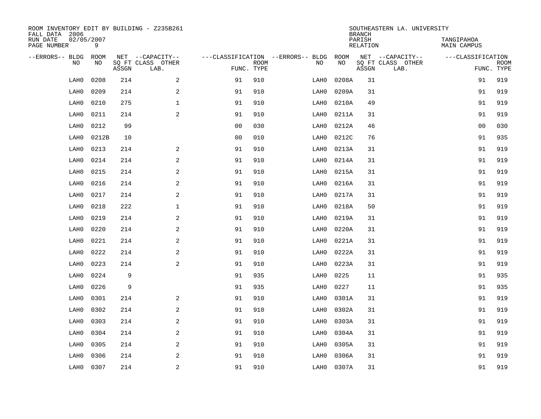| ROOM INVENTORY EDIT BY BUILDING - Z235B261<br>FALL DATA 2006 |                 |       |                           |                |                           |                                   |            | <b>BRANCH</b>      | SOUTHEASTERN LA. UNIVERSITY |                                  |                           |
|--------------------------------------------------------------|-----------------|-------|---------------------------|----------------|---------------------------|-----------------------------------|------------|--------------------|-----------------------------|----------------------------------|---------------------------|
| RUN DATE<br>PAGE NUMBER                                      | 02/05/2007<br>9 |       |                           |                |                           |                                   |            | PARISH<br>RELATION |                             | TANGIPAHOA<br><b>MAIN CAMPUS</b> |                           |
| --ERRORS-- BLDG                                              | ROOM            |       | NET --CAPACITY--          |                |                           | ---CLASSIFICATION --ERRORS-- BLDG | ROOM<br>NO |                    | NET --CAPACITY--            | ---CLASSIFICATION                |                           |
| NO.                                                          | NO              | ASSGN | SQ FT CLASS OTHER<br>LAB. |                | <b>ROOM</b><br>FUNC. TYPE | NO                                |            | ASSGN              | SQ FT CLASS OTHER<br>LAB.   |                                  | <b>ROOM</b><br>FUNC. TYPE |
| LAH0                                                         | 0208            | 214   | 2                         | 91             | 910                       | LAH0                              | 0208A      | 31                 |                             | 91                               | 919                       |
| LAH0                                                         | 0209            | 214   | $\mathbf{2}$              | 91             | 910                       | LAH0                              | 0209A      | 31                 |                             | 91                               | 919                       |
| LAH0                                                         | 0210            | 275   | $\mathbf 1$               | 91             | 910                       | LAH0                              | 0210A      | 49                 |                             | 91                               | 919                       |
| LAH0                                                         | 0211            | 214   | 2                         | 91             | 910                       | LAH0                              | 0211A      | 31                 |                             | 91                               | 919                       |
| LAH0                                                         | 0212            | 99    |                           | 0 <sub>0</sub> | 030                       | LAH0                              | 0212A      | 46                 |                             | 0 <sub>0</sub>                   | 030                       |
| LAH0                                                         | 0212B           | 10    |                           | 0 <sub>0</sub> | 010                       | LAH0                              | 0212C      | 76                 |                             | 91                               | 935                       |
| LAH0                                                         | 0213            | 214   | 2                         | 91             | 910                       | LAH0                              | 0213A      | 31                 |                             | 91                               | 919                       |
| LAH0                                                         | 0214            | 214   | 2                         | 91             | 910                       | LAH0                              | 0214A      | 31                 |                             | 91                               | 919                       |
| LAH0                                                         | 0215            | 214   | 2                         | 91             | 910                       | LAH0                              | 0215A      | 31                 |                             | 91                               | 919                       |
| LAH0                                                         | 0216            | 214   | $\mathbf{2}$              | 91             | 910                       | LAH0                              | 0216A      | 31                 |                             | 91                               | 919                       |
| LAH0                                                         | 0217            | 214   | 2                         | 91             | 910                       | LAH0                              | 0217A      | 31                 |                             | 91                               | 919                       |
| LAH0                                                         | 0218            | 222   | $\mathbf 1$               | 91             | 910                       | LAH0                              | 0218A      | 50                 |                             | 91                               | 919                       |
| LAH0                                                         | 0219            | 214   | 2                         | 91             | 910                       | LAH0                              | 0219A      | 31                 |                             | 91                               | 919                       |
| LAH0                                                         | 0220            | 214   | $\mathbf{2}$              | 91             | 910                       | LAH0                              | 0220A      | 31                 |                             | 91                               | 919                       |
| LAH0                                                         | 0221            | 214   | 2                         | 91             | 910                       | LAH0                              | 0221A      | 31                 |                             | 91                               | 919                       |
| LAH0                                                         | 0222            | 214   | 2                         | 91             | 910                       | LAH0                              | 0222A      | 31                 |                             | 91                               | 919                       |
| LAH0                                                         | 0223            | 214   | 2                         | 91             | 910                       | LAH0                              | 0223A      | 31                 |                             | 91                               | 919                       |
| LAH0                                                         | 0224            | 9     |                           | 91             | 935                       | LAH0                              | 0225       | 11                 |                             | 91                               | 935                       |
| LAH0                                                         | 0226            | 9     |                           | 91             | 935                       | LAH0                              | 0227       | 11                 |                             | 91                               | 935                       |
| LAH0                                                         | 0301            | 214   | 2                         | 91             | 910                       | LAH0                              | 0301A      | 31                 |                             | 91                               | 919                       |
| LAH0                                                         | 0302            | 214   | 2                         | 91             | 910                       | LAH0                              | 0302A      | 31                 |                             | 91                               | 919                       |
| LAH0                                                         | 0303            | 214   | 2                         | 91             | 910                       | LAH0                              | 0303A      | 31                 |                             | 91                               | 919                       |
| LAH0                                                         | 0304            | 214   | 2                         | 91             | 910                       | LAH0                              | 0304A      | 31                 |                             | 91                               | 919                       |
| LAH0                                                         | 0305            | 214   | 2                         | 91             | 910                       | LAH0                              | 0305A      | 31                 |                             | 91                               | 919                       |
| LAH0                                                         | 0306            | 214   | 2                         | 91             | 910                       | LAH0                              | 0306A      | 31                 |                             | 91                               | 919                       |
| LAH0                                                         | 0307            | 214   | $\overline{c}$            | 91             | 910                       | LAH0                              | 0307A      | 31                 |                             | 91                               | 919                       |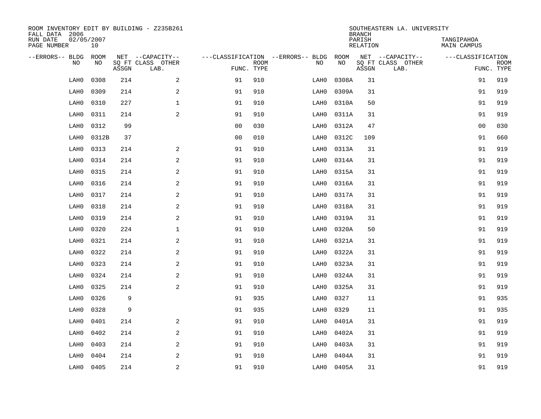| FALL DATA 2006          |            |             |       | ROOM INVENTORY EDIT BY BUILDING - Z235B261    |                                   |                           |      |            | <b>BRANCH</b>      | SOUTHEASTERN LA. UNIVERSITY                   |                           |                           |
|-------------------------|------------|-------------|-------|-----------------------------------------------|-----------------------------------|---------------------------|------|------------|--------------------|-----------------------------------------------|---------------------------|---------------------------|
| RUN DATE<br>PAGE NUMBER | 02/05/2007 | 10          |       |                                               |                                   |                           |      |            | PARISH<br>RELATION |                                               | TANGIPAHOA<br>MAIN CAMPUS |                           |
| --ERRORS-- BLDG         | <b>NO</b>  | ROOM<br>NO. | ASSGN | NET --CAPACITY--<br>SQ FT CLASS OTHER<br>LAB. | ---CLASSIFICATION --ERRORS-- BLDG | <b>ROOM</b><br>FUNC. TYPE | NO   | ROOM<br>NO | ASSGN              | NET --CAPACITY--<br>SQ FT CLASS OTHER<br>LAB. | ---CLASSIFICATION         | <b>ROOM</b><br>FUNC. TYPE |
|                         | LAH0       | 0308        | 214   | $\mathbf{2}$                                  | 91                                | 910                       | LAH0 | 0308A      | 31                 |                                               | 91                        | 919                       |
|                         | LAH0       | 0309        | 214   | 2                                             | 91                                | 910                       | LAH0 | 0309A      | 31                 |                                               | 91                        | 919                       |
|                         | LAH0       | 0310        | 227   | $\mathbf{1}$                                  | 91                                | 910                       | LAH0 | 0310A      | 50                 |                                               | 91                        | 919                       |
|                         | LAH0       | 0311        | 214   | 2                                             | 91                                | 910                       | LAH0 | 0311A      | 31                 |                                               | 91                        | 919                       |
|                         | LAH0       | 0312        | 99    |                                               | 0 <sub>0</sub>                    | 030                       | LAH0 | 0312A      | 47                 |                                               | 0 <sub>0</sub>            | 030                       |
|                         | LAH0       | 0312B       | 37    |                                               | 0 <sub>0</sub>                    | 010                       | LAH0 | 0312C      | 109                |                                               | 91                        | 660                       |
|                         | LAH0       | 0313        | 214   | 2                                             | 91                                | 910                       | LAH0 | 0313A      | 31                 |                                               | 91                        | 919                       |
|                         | LAH0       | 0314        | 214   | 2                                             | 91                                | 910                       | LAH0 | 0314A      | 31                 |                                               | 91                        | 919                       |
|                         | LAH0       | 0315        | 214   | 2                                             | 91                                | 910                       | LAH0 | 0315A      | 31                 |                                               | 91                        | 919                       |
|                         | LAH0       | 0316        | 214   | 2                                             | 91                                | 910                       | LAH0 | 0316A      | 31                 |                                               | 91                        | 919                       |
|                         | LAH0       | 0317        | 214   | 2                                             | 91                                | 910                       | LAH0 | 0317A      | 31                 |                                               | 91                        | 919                       |
|                         | LAH0       | 0318        | 214   | 2                                             | 91                                | 910                       | LAH0 | 0318A      | 31                 |                                               | 91                        | 919                       |
|                         | LAH0       | 0319        | 214   | 2                                             | 91                                | 910                       | LAH0 | 0319A      | 31                 |                                               | 91                        | 919                       |
|                         | LAH0       | 0320        | 224   | $\mathbf{1}$                                  | 91                                | 910                       | LAH0 | 0320A      | 50                 |                                               | 91                        | 919                       |
|                         | LAH0       | 0321        | 214   | $\mathbf{2}$                                  | 91                                | 910                       | LAH0 | 0321A      | 31                 |                                               | 91                        | 919                       |
|                         | LAH0       | 0322        | 214   | $\mathbf{2}$                                  | 91                                | 910                       | LAH0 | 0322A      | 31                 |                                               | 91                        | 919                       |
|                         | LAH0       | 0323        | 214   | 2                                             | 91                                | 910                       | LAH0 | 0323A      | 31                 |                                               | 91                        | 919                       |
|                         | LAH0       | 0324        | 214   | 2                                             | 91                                | 910                       | LAH0 | 0324A      | 31                 |                                               | 91                        | 919                       |
|                         | LAH0       | 0325        | 214   | 2                                             | 91                                | 910                       | LAH0 | 0325A      | 31                 |                                               | 91                        | 919                       |
|                         | LAH0       | 0326        | 9     |                                               | 91                                | 935                       | LAH0 | 0327       | 11                 |                                               | 91                        | 935                       |
|                         | LAH0       | 0328        | 9     |                                               | 91                                | 935                       | LAH0 | 0329       | 11                 |                                               | 91                        | 935                       |
|                         | LAH0       | 0401        | 214   | 2                                             | 91                                | 910                       | LAH0 | 0401A      | 31                 |                                               | 91                        | 919                       |
|                         | LAH0       | 0402        | 214   | 2                                             | 91                                | 910                       | LAH0 | 0402A      | 31                 |                                               | 91                        | 919                       |
|                         | LAH0       | 0403        | 214   | 2                                             | 91                                | 910                       | LAH0 | 0403A      | 31                 |                                               | 91                        | 919                       |
|                         | LAH0       | 0404        | 214   | 2                                             | 91                                | 910                       | LAH0 | 0404A      | 31                 |                                               | 91                        | 919                       |
|                         | LAH0       | 0405        | 214   | $\overline{c}$                                | 91                                | 910                       | LAH0 | 0405A      | 31                 |                                               | 91                        | 919                       |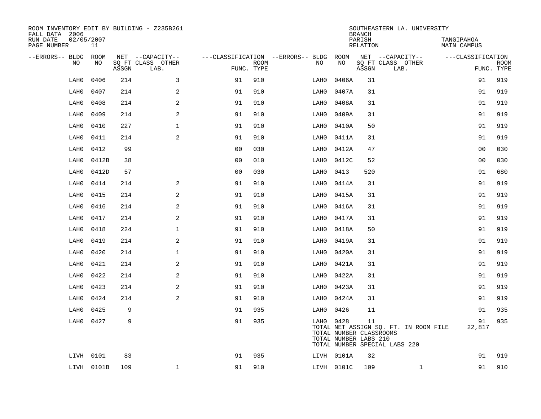| ROOM INVENTORY EDIT BY BUILDING - Z235B261<br>FALL DATA 2006 |                  |       |                           |                |                           |                                   |                                                  | <b>BRANCH</b>      | SOUTHEASTERN LA. UNIVERSITY                                            |                                  |             |
|--------------------------------------------------------------|------------------|-------|---------------------------|----------------|---------------------------|-----------------------------------|--------------------------------------------------|--------------------|------------------------------------------------------------------------|----------------------------------|-------------|
| RUN DATE<br>PAGE NUMBER                                      | 02/05/2007<br>11 |       |                           |                |                           |                                   |                                                  | PARISH<br>RELATION |                                                                        | TANGIPAHOA<br><b>MAIN CAMPUS</b> |             |
| --ERRORS-- BLDG                                              | ROOM             |       | NET --CAPACITY--          |                |                           | ---CLASSIFICATION --ERRORS-- BLDG | ROOM                                             |                    | NET --CAPACITY--                                                       | ---CLASSIFICATION                |             |
| NO.                                                          | NO               | ASSGN | SQ FT CLASS OTHER<br>LAB. |                | <b>ROOM</b><br>FUNC. TYPE | NO                                | NO                                               | ASSGN              | SQ FT CLASS OTHER<br>LAB.                                              | FUNC. TYPE                       | <b>ROOM</b> |
| LAH0                                                         | 0406             | 214   | 3                         | 91             | 910                       | LAH0                              | 0406A                                            | 31                 |                                                                        | 91                               | 919         |
| LAH0                                                         | 0407             | 214   | 2                         | 91             | 910                       | LAH0                              | 0407A                                            | 31                 |                                                                        | 91                               | 919         |
| LAH0                                                         | 0408             | 214   | $\mathbf{2}$              | 91             | 910                       | LAH0                              | 0408A                                            | 31                 |                                                                        | 91                               | 919         |
| LAH0                                                         | 0409             | 214   | $\mathbf{2}$              | 91             | 910                       | LAH0                              | 0409A                                            | 31                 |                                                                        | 91                               | 919         |
| LAH0                                                         | 0410             | 227   | $\mathbf 1$               | 91             | 910                       | LAH0                              | 0410A                                            | 50                 |                                                                        | 91                               | 919         |
| LAH0                                                         | 0411             | 214   | 2                         | 91             | 910                       | LAH0                              | 0411A                                            | 31                 |                                                                        | 91                               | 919         |
| LAH0                                                         | 0412             | 99    |                           | 0 <sub>0</sub> | 030                       | LAH0                              | 0412A                                            | 47                 |                                                                        | 0 <sub>0</sub>                   | 030         |
| LAH0                                                         | 0412B            | 38    |                           | 0 <sub>0</sub> | 010                       | LAH0                              | 0412C                                            | 52                 |                                                                        | 0 <sub>0</sub>                   | 030         |
| LAH0                                                         | 0412D            | 57    |                           | 00             | 030                       | LAH0                              | 0413                                             | 520                |                                                                        | 91                               | 680         |
| LAH0                                                         | 0414             | 214   | 2                         | 91             | 910                       | LAH0                              | 0414A                                            | 31                 |                                                                        | 91                               | 919         |
| LAH0                                                         | 0415             | 214   | 2                         | 91             | 910                       | LAH0                              | 0415A                                            | 31                 |                                                                        | 91                               | 919         |
| LAH0                                                         | 0416             | 214   | 2                         | 91             | 910                       | LAH0                              | 0416A                                            | 31                 |                                                                        | 91                               | 919         |
| LAH0                                                         | 0417             | 214   | $\mathbf{2}$              | 91             | 910                       | LAH0                              | 0417A                                            | 31                 |                                                                        | 91                               | 919         |
| LAH0                                                         | 0418             | 224   | $\mathbf{1}$              | 91             | 910                       | LAH0                              | 0418A                                            | 50                 |                                                                        | 91                               | 919         |
| LAH0                                                         | 0419             | 214   | $\mathbf{2}$              | 91             | 910                       | LAH0                              | 0419A                                            | 31                 |                                                                        | 91                               | 919         |
| LAH0                                                         | 0420             | 214   | $\mathbf 1$               | 91             | 910                       | LAH0                              | 0420A                                            | 31                 |                                                                        | 91                               | 919         |
| LAH0                                                         | 0421             | 214   | 2                         | 91             | 910                       | LAH0                              | 0421A                                            | 31                 |                                                                        | 91                               | 919         |
| LAH0                                                         | 0422             | 214   | 2                         | 91             | 910                       | LAH0                              | 0422A                                            | 31                 |                                                                        | 91                               | 919         |
| LAH0                                                         | 0423             | 214   | 2                         | 91             | 910                       | LAH0                              | 0423A                                            | 31                 |                                                                        | 91                               | 919         |
| LAH0                                                         | 0424             | 214   | 2                         | 91             | 910                       | LAH0                              | 0424A                                            | 31                 |                                                                        | 91                               | 919         |
| LAH0                                                         | 0425             | 9     |                           | 91             | 935                       | LAH0                              | 0426                                             | 11                 |                                                                        | 91                               | 935         |
| LAH0                                                         | 0427             | 9     |                           | 91             | 935                       | LAH0 0428                         | TOTAL NUMBER CLASSROOMS<br>TOTAL NUMBER LABS 210 | 11                 | TOTAL NET ASSIGN SQ. FT. IN ROOM FILE<br>TOTAL NUMBER SPECIAL LABS 220 | 91<br>22,817                     | 935         |
|                                                              | LIVH 0101        | 83    |                           | 91             | 935                       |                                   | LIVH 0101A                                       | 32                 |                                                                        | 91                               | 919         |
|                                                              | LIVH 0101B       | 109   | $\mathbf 1$               | 91             | 910                       |                                   | LIVH 0101C                                       | 109                | $\mathbf{1}$                                                           | 91                               | 910         |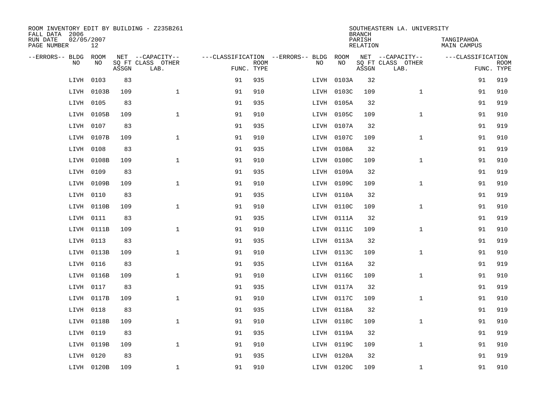| ROOM INVENTORY EDIT BY BUILDING - Z235B261<br>FALL DATA 2006 |                  |       |                           |            |             |                                   |            | <b>BRANCH</b>             | SOUTHEASTERN LA. UNIVERSITY |                                  |             |
|--------------------------------------------------------------|------------------|-------|---------------------------|------------|-------------|-----------------------------------|------------|---------------------------|-----------------------------|----------------------------------|-------------|
| RUN DATE<br>PAGE NUMBER                                      | 02/05/2007<br>12 |       |                           |            |             |                                   |            | PARISH<br><b>RELATION</b> |                             | TANGIPAHOA<br><b>MAIN CAMPUS</b> |             |
| --ERRORS-- BLDG                                              | ROOM             |       | NET --CAPACITY--          |            |             | ---CLASSIFICATION --ERRORS-- BLDG | ROOM       |                           | NET --CAPACITY--            | ---CLASSIFICATION                |             |
| NO                                                           | NO               | ASSGN | SQ FT CLASS OTHER<br>LAB. | FUNC. TYPE | <b>ROOM</b> | NO                                | NO         | ASSGN                     | SQ FT CLASS OTHER<br>LAB.   | FUNC. TYPE                       | <b>ROOM</b> |
| LIVH                                                         | 0103             | 83    |                           | 91         | 935         | LIVH                              | 0103A      | 32                        |                             | 91                               | 919         |
| LIVH                                                         | 0103B            | 109   | $\mathbf{1}$              | 91         | 910         |                                   | LIVH 0103C | 109                       | $\mathbf{1}$                | 91                               | 910         |
| LIVH                                                         | 0105             | 83    |                           | 91         | 935         |                                   | LIVH 0105A | 32                        |                             | 91                               | 919         |
| LIVH                                                         | 0105B            | 109   | $\mathbf 1$               | 91         | 910         |                                   | LIVH 0105C | 109                       | $\mathbf{1}$                | 91                               | 910         |
| LIVH                                                         | 0107             | 83    |                           | 91         | 935         |                                   | LIVH 0107A | 32                        |                             | 91                               | 919         |
| LIVH                                                         | 0107B            | 109   | $\mathbf{1}$              | 91         | 910         |                                   | LIVH 0107C | 109                       | $\mathbf{1}$                | 91                               | 910         |
| LIVH                                                         | 0108             | 83    |                           | 91         | 935         |                                   | LIVH 0108A | 32                        |                             | 91                               | 919         |
| LIVH                                                         | 0108B            | 109   | $\mathbf{1}$              | 91         | 910         |                                   | LIVH 0108C | 109                       | $\mathbf{1}$                | 91                               | 910         |
| LIVH                                                         | 0109             | 83    |                           | 91         | 935         |                                   | LIVH 0109A | 32                        |                             | 91                               | 919         |
| LIVH                                                         | 0109B            | 109   | $\mathbf{1}$              | 91         | 910         |                                   | LIVH 0109C | 109                       | $\mathbf{1}$                | 91                               | 910         |
| LIVH                                                         | 0110             | 83    |                           | 91         | 935         |                                   | LIVH 0110A | 32                        |                             | 91                               | 919         |
| LIVH                                                         | 0110B            | 109   | $\mathbf{1}$              | 91         | 910         |                                   | LIVH 0110C | 109                       | $\mathbf{1}$                | 91                               | 910         |
| LIVH                                                         | 0111             | 83    |                           | 91         | 935         |                                   | LIVH 0111A | 32                        |                             | 91                               | 919         |
| LIVH                                                         | 0111B            | 109   | $\mathbf 1$               | 91         | 910         |                                   | LIVH 0111C | 109                       | $\mathbf{1}$                | 91                               | 910         |
| LIVH                                                         | 0113             | 83    |                           | 91         | 935         |                                   | LIVH 0113A | 32                        |                             | 91                               | 919         |
| LIVH                                                         | 0113B            | 109   | $\mathbf{1}$              | 91         | 910         |                                   | LIVH 0113C | 109                       | $\mathbf{1}$                | 91                               | 910         |
| LIVH                                                         | 0116             | 83    |                           | 91         | 935         |                                   | LIVH 0116A | 32                        |                             | 91                               | 919         |
| LIVH                                                         | 0116B            | 109   | $\mathbf{1}$              | 91         | 910         |                                   | LIVH 0116C | 109                       | $\mathbf{1}$                | 91                               | 910         |
| LIVH                                                         | 0117             | 83    |                           | 91         | 935         |                                   | LIVH 0117A | 32                        |                             | 91                               | 919         |
| LIVH                                                         | 0117B            | 109   | $\mathbf 1$               | 91         | 910         |                                   | LIVH 0117C | 109                       | $\mathbf{1}$                | 91                               | 910         |
| LIVH                                                         | 0118             | 83    |                           | 91         | 935         |                                   | LIVH 0118A | 32                        |                             | 91                               | 919         |
| LIVH                                                         | 0118B            | 109   | $\mathbf{1}$              | 91         | 910         |                                   | LIVH 0118C | 109                       | $\mathbf{1}$                | 91                               | 910         |
| LIVH                                                         | 0119             | 83    |                           | 91         | 935         |                                   | LIVH 0119A | 32                        |                             | 91                               | 919         |
| LIVH                                                         | 0119B            | 109   | $\mathbf{1}$              | 91         | 910         |                                   | LIVH 0119C | 109                       | $\mathbf{1}$                | 91                               | 910         |
| LIVH                                                         | 0120             | 83    |                           | 91         | 935         |                                   | LIVH 0120A | 32                        |                             | 91                               | 919         |
|                                                              | LIVH 0120B       | 109   | $\mathbf 1$               | 91         | 910         |                                   | LIVH 0120C | 109                       | $\mathbf{1}$                | 91                               | 910         |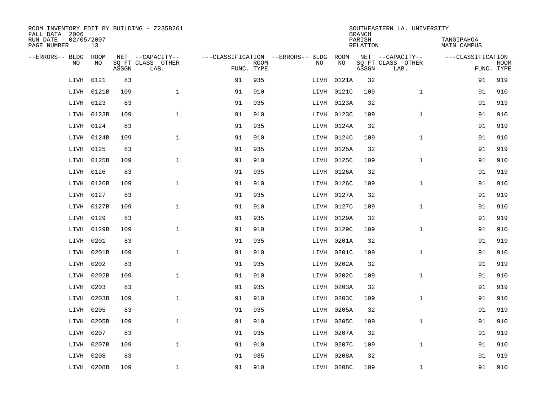| ROOM INVENTORY EDIT BY BUILDING - Z235B261<br>FALL DATA 2006 |                  |       |                           |            |             |                                   |            | <b>BRANCH</b>             | SOUTHEASTERN LA. UNIVERSITY |                                  |                           |
|--------------------------------------------------------------|------------------|-------|---------------------------|------------|-------------|-----------------------------------|------------|---------------------------|-----------------------------|----------------------------------|---------------------------|
| RUN DATE<br>PAGE NUMBER                                      | 02/05/2007<br>13 |       |                           |            |             |                                   |            | PARISH<br><b>RELATION</b> |                             | TANGIPAHOA<br><b>MAIN CAMPUS</b> |                           |
| --ERRORS-- BLDG                                              | ROOM             |       | NET --CAPACITY--          |            |             | ---CLASSIFICATION --ERRORS-- BLDG | ROOM       |                           | NET --CAPACITY--            | ---CLASSIFICATION                |                           |
| NO                                                           | NO               | ASSGN | SQ FT CLASS OTHER<br>LAB. | FUNC. TYPE | <b>ROOM</b> | NO                                | NO         | ASSGN                     | SQ FT CLASS OTHER<br>LAB.   |                                  | <b>ROOM</b><br>FUNC. TYPE |
| LIVH                                                         | 0121             | 83    |                           | 91         | 935         | LIVH                              | 0121A      | 32                        |                             | 91                               | 919                       |
| LIVH                                                         | 0121B            | 109   | $\mathbf{1}$              | 91         | 910         |                                   | LIVH 0121C | 109                       | $\mathbf{1}$                | 91                               | 910                       |
| LIVH                                                         | 0123             | 83    |                           | 91         | 935         |                                   | LIVH 0123A | 32                        |                             | 91                               | 919                       |
| LIVH                                                         | 0123B            | 109   | $\mathbf 1$               | 91         | 910         |                                   | LIVH 0123C | 109                       | $\mathbf{1}$                | 91                               | 910                       |
| LIVH                                                         | 0124             | 83    |                           | 91         | 935         |                                   | LIVH 0124A | 32                        |                             | 91                               | 919                       |
| LIVH                                                         | 0124B            | 109   | $\mathbf{1}$              | 91         | 910         |                                   | LIVH 0124C | 109                       | $\mathbf{1}$                | 91                               | 910                       |
| LIVH                                                         | 0125             | 83    |                           | 91         | 935         |                                   | LIVH 0125A | 32                        |                             | 91                               | 919                       |
| LIVH                                                         | 0125B            | 109   | $\mathbf{1}$              | 91         | 910         |                                   | LIVH 0125C | 109                       | $\mathbf{1}$                | 91                               | 910                       |
| LIVH                                                         | 0126             | 83    |                           | 91         | 935         |                                   | LIVH 0126A | 32                        |                             | 91                               | 919                       |
| LIVH                                                         | 0126B            | 109   | $\mathbf{1}$              | 91         | 910         |                                   | LIVH 0126C | 109                       | $\mathbf{1}$                | 91                               | 910                       |
| LIVH                                                         | 0127             | 83    |                           | 91         | 935         |                                   | LIVH 0127A | 32                        |                             | 91                               | 919                       |
| LIVH                                                         | 0127B            | 109   | $\mathbf{1}$              | 91         | 910         |                                   | LIVH 0127C | 109                       | $\mathbf{1}$                | 91                               | 910                       |
| LIVH                                                         | 0129             | 83    |                           | 91         | 935         |                                   | LIVH 0129A | 32                        |                             | 91                               | 919                       |
| LIVH                                                         | 0129B            | 109   | $\mathbf 1$               | 91         | 910         |                                   | LIVH 0129C | 109                       | $\mathbf{1}$                | 91                               | 910                       |
| LIVH                                                         | 0201             | 83    |                           | 91         | 935         |                                   | LIVH 0201A | 32                        |                             | 91                               | 919                       |
| LIVH                                                         | 0201B            | 109   | $\mathbf{1}$              | 91         | 910         |                                   | LIVH 0201C | 109                       | $\mathbf{1}$                | 91                               | 910                       |
| LIVH                                                         | 0202             | 83    |                           | 91         | 935         |                                   | LIVH 0202A | 32                        |                             | 91                               | 919                       |
| LIVH                                                         | 0202B            | 109   | $\mathbf{1}$              | 91         | 910         |                                   | LIVH 0202C | 109                       | $\mathbf{1}$                | 91                               | 910                       |
| LIVH                                                         | 0203             | 83    |                           | 91         | 935         |                                   | LIVH 0203A | 32                        |                             | 91                               | 919                       |
| LIVH                                                         | 0203B            | 109   | $\mathbf 1$               | 91         | 910         |                                   | LIVH 0203C | 109                       | $\mathbf{1}$                | 91                               | 910                       |
| LIVH                                                         | 0205             | 83    |                           | 91         | 935         |                                   | LIVH 0205A | 32                        |                             | 91                               | 919                       |
| LIVH                                                         | 0205B            | 109   | $\mathbf{1}$              | 91         | 910         |                                   | LIVH 0205C | 109                       | $\mathbf{1}$                | 91                               | 910                       |
| LIVH                                                         | 0207             | 83    |                           | 91         | 935         |                                   | LIVH 0207A | 32                        |                             | 91                               | 919                       |
| LIVH                                                         | 0207B            | 109   | $\mathbf{1}$              | 91         | 910         |                                   | LIVH 0207C | 109                       | $\mathbf{1}$                | 91                               | 910                       |
| LIVH                                                         | 0208             | 83    |                           | 91         | 935         |                                   | LIVH 0208A | 32                        |                             | 91                               | 919                       |
|                                                              | LIVH 0208B       | 109   | $\mathbf{1}$              | 91         | 910         |                                   | LIVH 0208C | 109                       | $\mathbf{1}$                | 91                               | 910                       |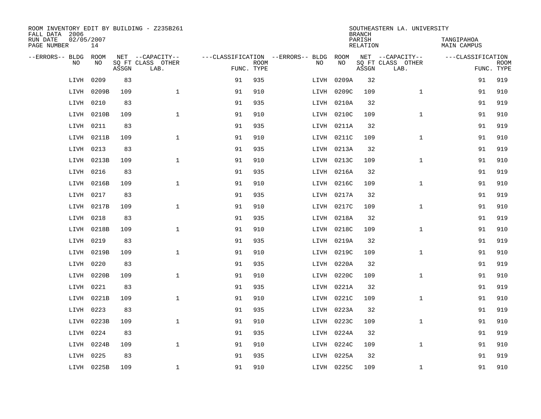| ROOM INVENTORY EDIT BY BUILDING - Z235B261<br>FALL DATA 2006 |                  |       |                           |            |             |                                   |            | <b>BRANCH</b>             | SOUTHEASTERN LA. UNIVERSITY |                                  |                           |
|--------------------------------------------------------------|------------------|-------|---------------------------|------------|-------------|-----------------------------------|------------|---------------------------|-----------------------------|----------------------------------|---------------------------|
| RUN DATE<br>PAGE NUMBER                                      | 02/05/2007<br>14 |       |                           |            |             |                                   |            | PARISH<br><b>RELATION</b> |                             | TANGIPAHOA<br><b>MAIN CAMPUS</b> |                           |
| --ERRORS-- BLDG                                              | ROOM             |       | NET --CAPACITY--          |            |             | ---CLASSIFICATION --ERRORS-- BLDG | ROOM       |                           | NET --CAPACITY--            | ---CLASSIFICATION                |                           |
| NO                                                           | NO               | ASSGN | SQ FT CLASS OTHER<br>LAB. | FUNC. TYPE | <b>ROOM</b> | NO                                | NO         | ASSGN                     | SQ FT CLASS OTHER<br>LAB.   |                                  | <b>ROOM</b><br>FUNC. TYPE |
| LIVH                                                         | 0209             | 83    |                           | 91         | 935         | LIVH                              | 0209A      | 32                        |                             | 91                               | 919                       |
| LIVH                                                         | 0209B            | 109   | $\mathbf{1}$              | 91         | 910         | LIVH                              | 0209C      | 109                       | $\mathbf{1}$                | 91                               | 910                       |
| LIVH                                                         | 0210             | 83    |                           | 91         | 935         |                                   | LIVH 0210A | 32                        |                             | 91                               | 919                       |
| LIVH                                                         | 0210B            | 109   | $\mathbf 1$               | 91         | 910         |                                   | LIVH 0210C | 109                       | $\mathbf{1}$                | 91                               | 910                       |
| LIVH                                                         | 0211             | 83    |                           | 91         | 935         |                                   | LIVH 0211A | 32                        |                             | 91                               | 919                       |
| LIVH                                                         | 0211B            | 109   | $\mathbf{1}$              | 91         | 910         |                                   | LIVH 0211C | 109                       | $\mathbf{1}$                | 91                               | 910                       |
| LIVH                                                         | 0213             | 83    |                           | 91         | 935         |                                   | LIVH 0213A | 32                        |                             | 91                               | 919                       |
| LIVH                                                         | 0213B            | 109   | $\mathbf{1}$              | 91         | 910         |                                   | LIVH 0213C | 109                       | $\mathbf{1}$                | 91                               | 910                       |
| LIVH                                                         | 0216             | 83    |                           | 91         | 935         |                                   | LIVH 0216A | 32                        |                             | 91                               | 919                       |
| LIVH                                                         | 0216B            | 109   | $\mathbf{1}$              | 91         | 910         |                                   | LIVH 0216C | 109                       | $\mathbf{1}$                | 91                               | 910                       |
| LIVH                                                         | 0217             | 83    |                           | 91         | 935         |                                   | LIVH 0217A | 32                        |                             | 91                               | 919                       |
| LIVH                                                         | 0217B            | 109   | $\mathbf{1}$              | 91         | 910         |                                   | LIVH 0217C | 109                       | $\mathbf{1}$                | 91                               | 910                       |
| LIVH                                                         | 0218             | 83    |                           | 91         | 935         |                                   | LIVH 0218A | 32                        |                             | 91                               | 919                       |
| LIVH                                                         | 0218B            | 109   | $\mathbf 1$               | 91         | 910         |                                   | LIVH 0218C | 109                       | $\mathbf{1}$                | 91                               | 910                       |
| LIVH                                                         | 0219             | 83    |                           | 91         | 935         |                                   | LIVH 0219A | 32                        |                             | 91                               | 919                       |
| LIVH                                                         | 0219B            | 109   | $\mathbf{1}$              | 91         | 910         |                                   | LIVH 0219C | 109                       | $\mathbf{1}$                | 91                               | 910                       |
| LIVH                                                         | 0220             | 83    |                           | 91         | 935         |                                   | LIVH 0220A | 32                        |                             | 91                               | 919                       |
| LIVH                                                         | 0220B            | 109   | $\mathbf{1}$              | 91         | 910         |                                   | LIVH 0220C | 109                       | $\mathbf{1}$                | 91                               | 910                       |
| LIVH                                                         | 0221             | 83    |                           | 91         | 935         |                                   | LIVH 0221A | 32                        |                             | 91                               | 919                       |
| LIVH                                                         | 0221B            | 109   | $\mathbf 1$               | 91         | 910         |                                   | LIVH 0221C | 109                       | $\mathbf{1}$                | 91                               | 910                       |
| LIVH                                                         | 0223             | 83    |                           | 91         | 935         |                                   | LIVH 0223A | 32                        |                             | 91                               | 919                       |
| LIVH                                                         | 0223B            | 109   | $\mathbf{1}$              | 91         | 910         |                                   | LIVH 0223C | 109                       | $\mathbf{1}$                | 91                               | 910                       |
| LIVH                                                         | 0224             | 83    |                           | 91         | 935         |                                   | LIVH 0224A | 32                        |                             | 91                               | 919                       |
| LIVH                                                         | 0224B            | 109   | $\mathbf{1}$              | 91         | 910         |                                   | LIVH 0224C | 109                       | $\mathbf{1}$                | 91                               | 910                       |
| LIVH                                                         | 0225             | 83    |                           | 91         | 935         |                                   | LIVH 0225A | 32                        |                             | 91                               | 919                       |
|                                                              | LIVH 0225B       | 109   | $\mathbf 1$               | 91         | 910         |                                   | LIVH 0225C | 109                       | $\mathbf{1}$                | 91                               | 910                       |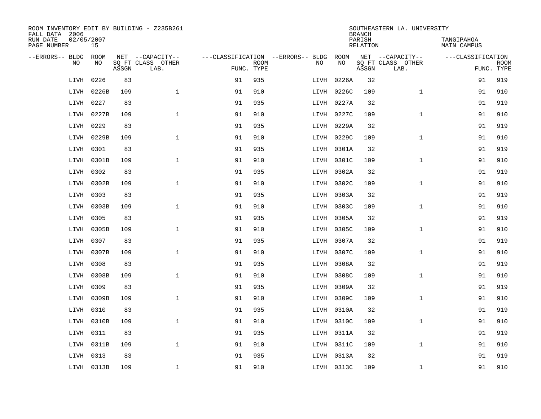| ROOM INVENTORY EDIT BY BUILDING - Z235B261<br>FALL DATA 2006 |                  |       |                           |            |             |                                   |            | <b>BRANCH</b>             | SOUTHEASTERN LA. UNIVERSITY |                                  |             |
|--------------------------------------------------------------|------------------|-------|---------------------------|------------|-------------|-----------------------------------|------------|---------------------------|-----------------------------|----------------------------------|-------------|
| RUN DATE<br>PAGE NUMBER                                      | 02/05/2007<br>15 |       |                           |            |             |                                   |            | PARISH<br><b>RELATION</b> |                             | TANGIPAHOA<br><b>MAIN CAMPUS</b> |             |
| --ERRORS-- BLDG                                              | ROOM             |       | NET --CAPACITY--          |            |             | ---CLASSIFICATION --ERRORS-- BLDG | ROOM       |                           | NET --CAPACITY--            | ---CLASSIFICATION                |             |
| NO.                                                          | NO               | ASSGN | SQ FT CLASS OTHER<br>LAB. | FUNC. TYPE | <b>ROOM</b> | NO                                | NO         | ASSGN                     | SQ FT CLASS OTHER<br>LAB.   | FUNC. TYPE                       | <b>ROOM</b> |
| LIVH                                                         | 0226             | 83    |                           | 91         | 935         | LIVH                              | 0226A      | 32                        |                             | 91                               | 919         |
| LIVH                                                         | 0226B            | 109   | $\mathbf{1}$              | 91         | 910         | LIVH                              | 0226C      | 109                       | $\mathbf{1}$                | 91                               | 910         |
| LIVH                                                         | 0227             | 83    |                           | 91         | 935         |                                   | LIVH 0227A | 32                        |                             | 91                               | 919         |
| LIVH                                                         | 0227B            | 109   | $\mathbf 1$               | 91         | 910         |                                   | LIVH 0227C | 109                       | $\mathbf{1}$                | 91                               | 910         |
| LIVH                                                         | 0229             | 83    |                           | 91         | 935         |                                   | LIVH 0229A | 32                        |                             | 91                               | 919         |
| LIVH                                                         | 0229B            | 109   | $\mathbf{1}$              | 91         | 910         |                                   | LIVH 0229C | 109                       | $\mathbf{1}$                | 91                               | 910         |
| LIVH                                                         | 0301             | 83    |                           | 91         | 935         |                                   | LIVH 0301A | 32                        |                             | 91                               | 919         |
| LIVH                                                         | 0301B            | 109   | $\mathbf{1}$              | 91         | 910         |                                   | LIVH 0301C | 109                       | $\mathbf{1}$                | 91                               | 910         |
| LIVH                                                         | 0302             | 83    |                           | 91         | 935         |                                   | LIVH 0302A | 32                        |                             | 91                               | 919         |
| LIVH                                                         | 0302B            | 109   | $\mathbf{1}$              | 91         | 910         |                                   | LIVH 0302C | 109                       | $\mathbf{1}$                | 91                               | 910         |
| LIVH                                                         | 0303             | 83    |                           | 91         | 935         |                                   | LIVH 0303A | 32                        |                             | 91                               | 919         |
| LIVH                                                         | 0303B            | 109   | $\mathbf 1$               | 91         | 910         |                                   | LIVH 0303C | 109                       | $\mathbf{1}$                | 91                               | 910         |
| LIVH                                                         | 0305             | 83    |                           | 91         | 935         |                                   | LIVH 0305A | 32                        |                             | 91                               | 919         |
| LIVH                                                         | 0305B            | 109   | $\mathbf{1}$              | 91         | 910         |                                   | LIVH 0305C | 109                       | $\mathbf{1}$                | 91                               | 910         |
| LIVH                                                         | 0307             | 83    |                           | 91         | 935         |                                   | LIVH 0307A | 32                        |                             | 91                               | 919         |
| LIVH                                                         | 0307B            | 109   | $\mathbf 1$               | 91         | 910         |                                   | LIVH 0307C | 109                       | $\mathbf{1}$                | 91                               | 910         |
| LIVH                                                         | 0308             | 83    |                           | 91         | 935         |                                   | LIVH 0308A | 32                        |                             | 91                               | 919         |
| LIVH                                                         | 0308B            | 109   | $\mathbf 1$               | 91         | 910         |                                   | LIVH 0308C | 109                       | $\mathbf{1}$                | 91                               | 910         |
| LIVH                                                         | 0309             | 83    |                           | 91         | 935         |                                   | LIVH 0309A | 32                        |                             | 91                               | 919         |
| LIVH                                                         | 0309B            | 109   | $\mathbf 1$               | 91         | 910         |                                   | LIVH 0309C | 109                       | $\mathbf{1}$                | 91                               | 910         |
| LIVH                                                         | 0310             | 83    |                           | 91         | 935         |                                   | LIVH 0310A | 32                        |                             | 91                               | 919         |
| LIVH                                                         | 0310B            | 109   | $\mathbf{1}$              | 91         | 910         |                                   | LIVH 0310C | 109                       | $\mathbf{1}$                | 91                               | 910         |
| LIVH                                                         | 0311             | 83    |                           | 91         | 935         |                                   | LIVH 0311A | 32                        |                             | 91                               | 919         |
| LIVH                                                         | 0311B            | 109   | $\mathbf{1}$              | 91         | 910         |                                   | LIVH 0311C | 109                       | $\mathbf{1}$                | 91                               | 910         |
| LIVH                                                         | 0313             | 83    |                           | 91         | 935         |                                   | LIVH 0313A | 32                        |                             | 91                               | 919         |
|                                                              | LIVH 0313B       | 109   | 1                         | 91         | 910         |                                   | LIVH 0313C | 109                       | $\mathbf{1}$                | 91                               | 910         |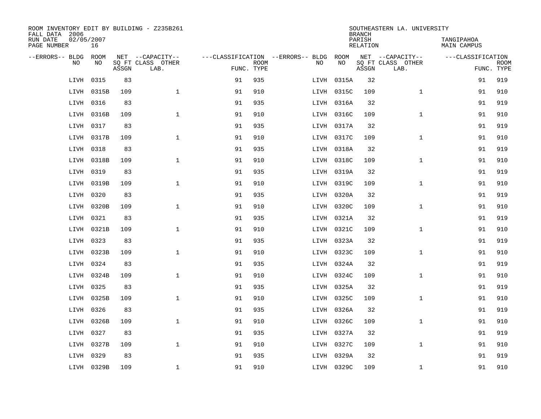| ROOM INVENTORY EDIT BY BUILDING - Z235B261<br>FALL DATA 2006 |                  |       |                           | SOUTHEASTERN LA. UNIVERSITY<br><b>BRANCH</b> |             |                                   |            |                    |                           |                                  |                           |  |
|--------------------------------------------------------------|------------------|-------|---------------------------|----------------------------------------------|-------------|-----------------------------------|------------|--------------------|---------------------------|----------------------------------|---------------------------|--|
| RUN DATE<br>PAGE NUMBER                                      | 02/05/2007<br>16 |       |                           |                                              |             |                                   |            | PARISH<br>RELATION |                           | TANGIPAHOA<br><b>MAIN CAMPUS</b> |                           |  |
| --ERRORS-- BLDG                                              | ROOM             |       | NET --CAPACITY--          |                                              |             | ---CLASSIFICATION --ERRORS-- BLDG | ROOM       |                    | NET --CAPACITY--          | ---CLASSIFICATION                |                           |  |
| N <sub>O</sub>                                               | NO.              | ASSGN | SQ FT CLASS OTHER<br>LAB. | FUNC. TYPE                                   | <b>ROOM</b> | NO.                               | NO         | ASSGN              | SQ FT CLASS OTHER<br>LAB. |                                  | <b>ROOM</b><br>FUNC. TYPE |  |
| LIVH                                                         | 0315             | 83    |                           | 91                                           | 935         | LIVH                              | 0315A      | 32                 |                           | 91                               | 919                       |  |
| LIVH                                                         | 0315B            | 109   | $\mathbf{1}$              | 91                                           | 910         |                                   | LIVH 0315C | 109                | $\mathbf{1}$              | 91                               | 910                       |  |
| LIVH                                                         | 0316             | 83    |                           | 91                                           | 935         |                                   | LIVH 0316A | 32                 |                           | 91                               | 919                       |  |
| LIVH                                                         | 0316B            | 109   | $\mathbf{1}$              | 91                                           | 910         |                                   | LIVH 0316C | 109                | $\mathbf{1}$              | 91                               | 910                       |  |
| LIVH                                                         | 0317             | 83    |                           | 91                                           | 935         |                                   | LIVH 0317A | 32                 |                           | 91                               | 919                       |  |
| LIVH                                                         | 0317B            | 109   | $\mathbf{1}$              | 91                                           | 910         |                                   | LIVH 0317C | 109                | $\mathbf{1}$              | 91                               | 910                       |  |
| LIVH                                                         | 0318             | 83    |                           | 91                                           | 935         |                                   | LIVH 0318A | 32                 |                           | 91                               | 919                       |  |
| LIVH                                                         | 0318B            | 109   | $\mathbf{1}$              | 91                                           | 910         |                                   | LIVH 0318C | 109                | $\mathbf{1}$              | 91                               | 910                       |  |
| LIVH                                                         | 0319             | 83    |                           | 91                                           | 935         |                                   | LIVH 0319A | 32                 |                           | 91                               | 919                       |  |
| LIVH                                                         | 0319B            | 109   | $\mathbf{1}$              | 91                                           | 910         |                                   | LIVH 0319C | 109                | $\mathbf{1}$              | 91                               | 910                       |  |
| LIVH                                                         | 0320             | 83    |                           | 91                                           | 935         |                                   | LIVH 0320A | 32                 |                           | 91                               | 919                       |  |
| LIVH                                                         | 0320B            | 109   | $\mathbf{1}$              | 91                                           | 910         |                                   | LIVH 0320C | 109                | $\mathbf{1}$              | 91                               | 910                       |  |
| LIVH                                                         | 0321             | 83    |                           | 91                                           | 935         |                                   | LIVH 0321A | 32                 |                           | 91                               | 919                       |  |
| LIVH                                                         | 0321B            | 109   | $\mathbf{1}$              | 91                                           | 910         |                                   | LIVH 0321C | 109                | $\mathbf{1}$              | 91                               | 910                       |  |
| LIVH                                                         | 0323             | 83    |                           | 91                                           | 935         |                                   | LIVH 0323A | 32                 |                           | 91                               | 919                       |  |
|                                                              | LIVH 0323B       | 109   | $\mathbf 1$               | 91                                           | 910         |                                   | LIVH 0323C | 109                | $\mathbf{1}$              | 91                               | 910                       |  |
| LIVH                                                         | 0324             | 83    |                           | 91                                           | 935         |                                   | LIVH 0324A | 32                 |                           | 91                               | 919                       |  |
| LIVH                                                         | 0324B            | 109   | $\mathbf 1$               | 91                                           | 910         |                                   | LIVH 0324C | 109                | $\mathbf{1}$              | 91                               | 910                       |  |
| LIVH                                                         | 0325             | 83    |                           | 91                                           | 935         |                                   | LIVH 0325A | 32                 |                           | 91                               | 919                       |  |
| LIVH                                                         | 0325B            | 109   | $\mathbf{1}$              | 91                                           | 910         |                                   | LIVH 0325C | 109                | $\mathbf{1}$              | 91                               | 910                       |  |
| LIVH                                                         | 0326             | 83    |                           | 91                                           | 935         |                                   | LIVH 0326A | 32                 |                           | 91                               | 919                       |  |
| LIVH                                                         | 0326B            | 109   | $\mathbf{1}$              | 91                                           | 910         |                                   | LIVH 0326C | 109                | $\mathbf{1}$              | 91                               | 910                       |  |
| LIVH                                                         | 0327             | 83    |                           | 91                                           | 935         |                                   | LIVH 0327A | 32                 |                           | 91                               | 919                       |  |
| LIVH                                                         | 0327B            | 109   | $\mathbf{1}$              | 91                                           | 910         |                                   | LIVH 0327C | 109                | $\mathbf{1}$              | 91                               | 910                       |  |
| LIVH                                                         | 0329             | 83    |                           | 91                                           | 935         |                                   | LIVH 0329A | 32                 |                           | 91                               | 919                       |  |
|                                                              | LIVH 0329B       | 109   | $\mathbf{1}$              | 91                                           | 910         |                                   | LIVH 0329C | 109                | $\mathbf{1}$              | 91                               | 910                       |  |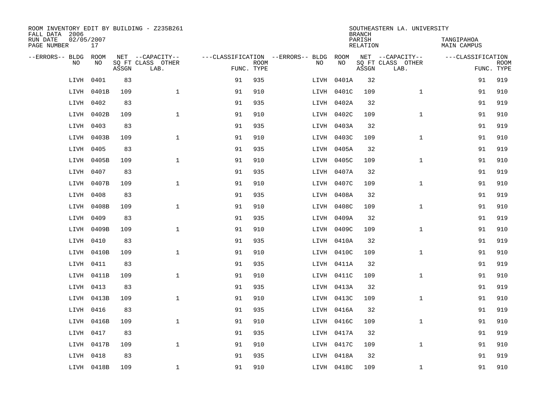| ROOM INVENTORY EDIT BY BUILDING - Z235B261<br>FALL DATA 2006 |                  |       |                           |            |             |                                        |            | <b>BRANCH</b>             | SOUTHEASTERN LA. UNIVERSITY |                                  |             |
|--------------------------------------------------------------|------------------|-------|---------------------------|------------|-------------|----------------------------------------|------------|---------------------------|-----------------------------|----------------------------------|-------------|
| RUN DATE<br>PAGE NUMBER                                      | 02/05/2007<br>17 |       |                           |            |             |                                        |            | PARISH<br><b>RELATION</b> |                             | TANGIPAHOA<br><b>MAIN CAMPUS</b> |             |
| --ERRORS-- BLDG ROOM                                         |                  |       | NET --CAPACITY--          |            |             | ---CLASSIFICATION --ERRORS-- BLDG ROOM |            |                           | NET --CAPACITY--            | ---CLASSIFICATION                |             |
| NO                                                           | NO               | ASSGN | SQ FT CLASS OTHER<br>LAB. | FUNC. TYPE | <b>ROOM</b> | NO                                     | NO         | ASSGN                     | SQ FT CLASS OTHER<br>LAB.   | FUNC. TYPE                       | <b>ROOM</b> |
| LIVH                                                         | 0401             | 83    |                           | 91         | 935         | LIVH                                   | 0401A      | 32                        |                             | 91                               | 919         |
| LIVH                                                         | 0401B            | 109   | $\mathbf{1}$              | 91         | 910         |                                        | LIVH 0401C | 109                       | $\mathbf{1}$                | 91                               | 910         |
| LIVH                                                         | 0402             | 83    |                           | 91         | 935         |                                        | LIVH 0402A | 32                        |                             | 91                               | 919         |
| LIVH                                                         | 0402B            | 109   | $\mathbf{1}$              | 91         | 910         |                                        | LIVH 0402C | 109                       | $\mathbf{1}$                | 91                               | 910         |
| LIVH                                                         | 0403             | 83    |                           | 91         | 935         |                                        | LIVH 0403A | 32                        |                             | 91                               | 919         |
| LIVH                                                         | 0403B            | 109   | $\mathbf{1}$              | 91         | 910         |                                        | LIVH 0403C | 109                       | $\mathbf{1}$                | 91                               | 910         |
| LIVH                                                         | 0405             | 83    |                           | 91         | 935         |                                        | LIVH 0405A | 32                        |                             | 91                               | 919         |
| LIVH                                                         | 0405B            | 109   | $\mathbf{1}$              | 91         | 910         |                                        | LIVH 0405C | 109                       | $\mathbf{1}$                | 91                               | 910         |
| LIVH                                                         | 0407             | 83    |                           | 91         | 935         |                                        | LIVH 0407A | 32                        |                             | 91                               | 919         |
| LIVH                                                         | 0407B            | 109   | $\mathbf{1}$              | 91         | 910         |                                        | LIVH 0407C | 109                       | $\mathbf{1}$                | 91                               | 910         |
| LIVH                                                         | 0408             | 83    |                           | 91         | 935         |                                        | LIVH 0408A | 32                        |                             | 91                               | 919         |
| LIVH                                                         | 0408B            | 109   | $\mathbf{1}$              | 91         | 910         |                                        | LIVH 0408C | 109                       | $\mathbf{1}$                | 91                               | 910         |
| LIVH                                                         | 0409             | 83    |                           | 91         | 935         |                                        | LIVH 0409A | 32                        |                             | 91                               | 919         |
| LIVH                                                         | 0409B            | 109   | $\mathbf 1$               | 91         | 910         |                                        | LIVH 0409C | 109                       | $\mathbf{1}$                | 91                               | 910         |
| LIVH                                                         | 0410             | 83    |                           | 91         | 935         |                                        | LIVH 0410A | 32                        |                             | 91                               | 919         |
|                                                              | LIVH 0410B       | 109   | $\mathbf{1}$              | 91         | 910         |                                        | LIVH 0410C | 109                       | $\mathbf{1}$                | 91                               | 910         |
| LIVH                                                         | 0411             | 83    |                           | 91         | 935         |                                        | LIVH 0411A | 32                        |                             | 91                               | 919         |
| LIVH                                                         | 0411B            | 109   | $\mathbf{1}$              | 91         | 910         |                                        | LIVH 0411C | 109                       | $\mathbf{1}$                | 91                               | 910         |
| LIVH                                                         | 0413             | 83    |                           | 91         | 935         |                                        | LIVH 0413A | 32                        |                             | 91                               | 919         |
| LIVH                                                         | 0413B            | 109   | $\mathbf 1$               | 91         | 910         |                                        | LIVH 0413C | 109                       | $\mathbf{1}$                | 91                               | 910         |
| LIVH                                                         | 0416             | 83    |                           | 91         | 935         |                                        | LIVH 0416A | 32                        |                             | 91                               | 919         |
| LIVH                                                         | 0416B            | 109   | $\mathbf{1}$              | 91         | 910         |                                        | LIVH 0416C | 109                       | $\mathbf{1}$                | 91                               | 910         |
| LIVH                                                         | 0417             | 83    |                           | 91         | 935         |                                        | LIVH 0417A | 32                        |                             | 91                               | 919         |
| LIVH                                                         | 0417B            | 109   | $\mathbf{1}$              | 91         | 910         |                                        | LIVH 0417C | 109                       | $\mathbf{1}$                | 91                               | 910         |
| LIVH                                                         | 0418             | 83    |                           | 91         | 935         |                                        | LIVH 0418A | 32                        |                             | 91                               | 919         |
|                                                              | LIVH 0418B       | 109   | $\mathbf 1$               | 91         | 910         |                                        | LIVH 0418C | 109                       | $\mathbf{1}$                | 91                               | 910         |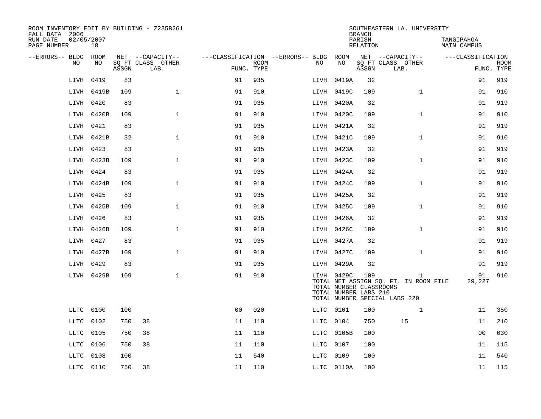| ROOM INVENTORY EDIT BY BUILDING - Z235B261<br>FALL DATA 2006 |            |       |                           |                |             |                                        |                                                                | <b>BRANCH</b>      | SOUTHEASTERN LA. UNIVERSITY                                                            |                           |                           |
|--------------------------------------------------------------|------------|-------|---------------------------|----------------|-------------|----------------------------------------|----------------------------------------------------------------|--------------------|----------------------------------------------------------------------------------------|---------------------------|---------------------------|
| 02/05/2007<br>RUN DATE<br>PAGE NUMBER                        | 18         |       |                           |                |             |                                        |                                                                | PARISH<br>RELATION |                                                                                        | TANGIPAHOA<br>MAIN CAMPUS |                           |
| --ERRORS-- BLDG ROOM                                         |            |       | NET --CAPACITY--          |                |             | ---CLASSIFICATION --ERRORS-- BLDG ROOM |                                                                |                    | NET --CAPACITY--                                                                       | ---CLASSIFICATION         |                           |
| NO                                                           | NO         | ASSGN | SQ FT CLASS OTHER<br>LAB. | FUNC. TYPE     | <b>ROOM</b> | NO.                                    | NO                                                             | ASSGN              | SQ FT CLASS OTHER<br>LAB.                                                              |                           | <b>ROOM</b><br>FUNC. TYPE |
| LIVH                                                         | 0419       | 83    |                           | 91             | 935         |                                        | LIVH 0419A                                                     | 32                 |                                                                                        | 91                        | 919                       |
|                                                              | LIVH 0419B | 109   | $\mathbf{1}$              | 91             | 910         |                                        | LIVH 0419C                                                     | 109                | $\mathbf{1}$                                                                           | 91                        | 910                       |
| LIVH 0420                                                    |            | 83    |                           | 91             | 935         |                                        | LIVH 0420A                                                     | 32                 |                                                                                        | 91                        | 919                       |
|                                                              | LIVH 0420B | 109   | $\mathbf{1}$              | 91             | 910         |                                        | LIVH 0420C                                                     | 109                | $\mathbf{1}$                                                                           | 91                        | 910                       |
| LIVH                                                         | 0421       | 83    |                           | 91             | 935         |                                        | LIVH 0421A                                                     | 32                 |                                                                                        | 91                        | 919                       |
|                                                              | LIVH 0421B | 32    | $\mathbf{1}$              | 91             | 910         |                                        | LIVH 0421C                                                     | 109                | $\mathbf{1}$                                                                           | 91                        | 910                       |
|                                                              | LIVH 0423  | 83    |                           | 91             | 935         |                                        | LIVH 0423A                                                     | 32                 |                                                                                        | 91                        | 919                       |
|                                                              | LIVH 0423B | 109   | $\mathbf{1}$              | 91             | 910         |                                        | LIVH 0423C                                                     | 109                | $\mathbf{1}$                                                                           | 91                        | 910                       |
| LIVH                                                         | 0424       | 83    |                           | 91             | 935         |                                        | LIVH 0424A                                                     | 32                 |                                                                                        | 91                        | 919                       |
|                                                              | LIVH 0424B | 109   | $\mathbf{1}$              | 91             | 910         |                                        | LIVH 0424C                                                     | 109                | $\mathbf{1}$                                                                           | 91                        | 910                       |
| LIVH 0425                                                    |            | 83    |                           | 91             | 935         |                                        | LIVH 0425A                                                     | 32                 |                                                                                        | 91                        | 919                       |
|                                                              | LIVH 0425B | 109   | $\mathbf{1}$              | 91             | 910         |                                        | LIVH 0425C                                                     | 109                | $\mathbf{1}$                                                                           | 91                        | 910                       |
| LIVH                                                         | 0426       | 83    |                           | 91             | 935         |                                        | LIVH 0426A                                                     | 32                 |                                                                                        | 91                        | 919                       |
|                                                              | LIVH 0426B | 109   | $\mathbf{1}$              | 91             | 910         |                                        | LIVH 0426C                                                     | 109                | $\mathbf{1}$                                                                           | 91                        | 910                       |
|                                                              | LIVH 0427  | 83    |                           | 91             | 935         |                                        | LIVH 0427A                                                     | 32                 |                                                                                        | 91                        | 919                       |
|                                                              | LIVH 0427B | 109   | $\mathbf 1$               | 91             | 910         |                                        | LIVH 0427C                                                     | 109                | $\mathbf{1}$                                                                           | 91                        | 910                       |
| LIVH                                                         | 0429       | 83    |                           | 91             | 935         |                                        | LIVH 0429A                                                     | 32                 |                                                                                        | 91                        | 919                       |
|                                                              | LIVH 0429B | 109   | $\mathbf{1}$              | 91             | 910         |                                        | LIVH 0429C<br>TOTAL NUMBER CLASSROOMS<br>TOTAL NUMBER LABS 210 | 109                | $\mathbf{1}$<br>TOTAL NET ASSIGN SQ. FT. IN ROOM FILE<br>TOTAL NUMBER SPECIAL LABS 220 | 91<br>29,227              | 910                       |
| LLTC 0100                                                    |            | 100   |                           | 0 <sub>0</sub> | 020         |                                        | LLTC 0101                                                      | 100                | $\mathbf{1}$                                                                           | 11                        | 350                       |
| LLTC                                                         | 0102       | 750   | 38                        | 11             | 110         | LLTC                                   | 0104                                                           | 750                | 15                                                                                     | 11                        | 210                       |
| LLTC                                                         | 0105       | 750   | 38                        | 11             | 110         |                                        | LLTC 0105B                                                     | 100                |                                                                                        | 0 <sub>0</sub>            | 030                       |
| LLTC                                                         | 0106       | 750   | 38                        | 11             | 110         | LLTC                                   | 0107                                                           | 100                |                                                                                        | 11                        | 115                       |
| LLTC                                                         | 0108       | 100   |                           | 11             | 540         | LLTC                                   | 0109                                                           | 100                |                                                                                        | 11                        | 540                       |
|                                                              | LLTC 0110  | 750   | 38                        | 11             | 110         |                                        | LLTC 0110A                                                     | 100                |                                                                                        | 11                        | 115                       |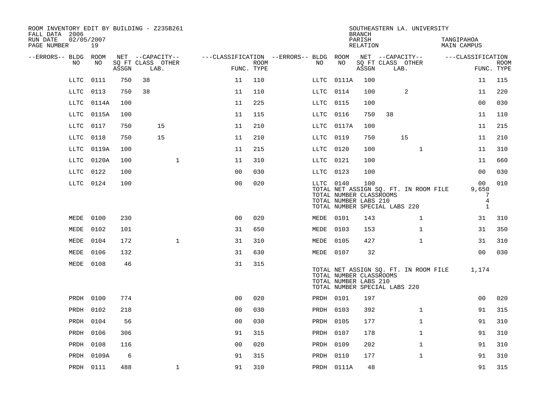| ROOM INVENTORY EDIT BY BUILDING - Z235B261<br>FALL DATA 2006 |           |       |                           |                |             |                                        |                                                               | <b>BRANCH</b>      | SOUTHEASTERN LA. UNIVERSITY                                            |                           |                           |
|--------------------------------------------------------------|-----------|-------|---------------------------|----------------|-------------|----------------------------------------|---------------------------------------------------------------|--------------------|------------------------------------------------------------------------|---------------------------|---------------------------|
| RUN DATE<br>02/05/2007<br>PAGE NUMBER                        | 19        |       |                           |                |             |                                        |                                                               | PARISH<br>RELATION |                                                                        | TANGIPAHOA<br>MAIN CAMPUS |                           |
| --ERRORS-- BLDG ROOM                                         |           |       | NET --CAPACITY--          |                |             | ---CLASSIFICATION --ERRORS-- BLDG ROOM |                                                               |                    | NET --CAPACITY--                                                       | ---CLASSIFICATION         |                           |
| NO                                                           | NO        | ASSGN | SQ FT CLASS OTHER<br>LAB. | FUNC. TYPE     | <b>ROOM</b> | NO                                     | NO                                                            | ASSGN              | SQ FT CLASS OTHER<br>LAB.                                              |                           | <b>ROOM</b><br>FUNC. TYPE |
| LLTC                                                         | 0111      | 750   | 38                        | 11             | 110         | $_{\rm LLTC}$                          | 0111A                                                         | 100                |                                                                        | 11                        | 115                       |
| LLTC                                                         | 0113      | 750   | 38                        | 11             | 110         | LLTC                                   | 0114                                                          | 100                | 2                                                                      | 11                        | 220                       |
| LLTC                                                         | 0114A     | 100   |                           | 11             | 225         | LLTC                                   | 0115                                                          | 100                |                                                                        | 0 <sub>0</sub>            | 030                       |
| LLTC                                                         | 0115A     | 100   |                           | 11             | 115         | LLTC                                   | 0116                                                          | 750                | 38                                                                     | 11                        | 110                       |
| LLTC                                                         | 0117      | 750   | 15                        | 11             | 210         | LLTC                                   | 0117A                                                         | 100                |                                                                        | 11                        | 215                       |
| LLTC                                                         | 0118      | 750   | 15                        | 11             | 210         | LLTC                                   | 0119                                                          | 750                | 15                                                                     | 11                        | 210                       |
| LLTC                                                         | 0119A     | 100   |                           | 11             | 215         | LLTC                                   | 0120                                                          | 100                | $\mathbf{1}$                                                           | 11                        | 310                       |
| LLTC                                                         | 0120A     | 100   | $\mathbf{1}$              | 11             | 310         | LLTC                                   | 0121                                                          | 100                |                                                                        | 11                        | 660                       |
| LLTC                                                         | 0122      | 100   |                           | 0 <sub>0</sub> | 030         | LLTC                                   | 0123                                                          | 100                |                                                                        | 0 <sub>0</sub>            | 030                       |
|                                                              | LLTC 0124 | 100   |                           | 0 <sub>0</sub> | 020         |                                        | LLTC 0140<br>TOTAL NUMBER CLASSROOMS<br>TOTAL NUMBER LABS 210 | 100                | TOTAL NET ASSIGN SQ. FT. IN ROOM FILE                                  | 00<br>9,650<br>7<br>4     | 010                       |
|                                                              |           |       |                           |                |             |                                        |                                                               |                    | TOTAL NUMBER SPECIAL LABS 220                                          | $\mathbf{1}$              |                           |
| MEDE                                                         | 0100      | 230   |                           | 0 <sub>0</sub> | 020         |                                        | MEDE 0101                                                     | 143                | 1                                                                      | 31                        | 310                       |
| MEDE                                                         | 0102      | 101   |                           | 31             | 650         |                                        | MEDE 0103                                                     | 153                | $\mathbf{1}$                                                           | 31                        | 350                       |
| MEDE                                                         | 0104      | 172   | $\mathbf{1}$              | 31             | 310         |                                        | <b>MEDE 0105</b>                                              | 427                | $\mathbf{1}$                                                           | 31                        | 310                       |
| MEDE                                                         | 0106      | 132   |                           | 31             | 630         |                                        | MEDE 0107                                                     | 32                 |                                                                        | 0 <sub>0</sub>            | 030                       |
| MEDE 0108                                                    |           | 46    |                           | 31             | 315         |                                        | TOTAL NUMBER CLASSROOMS<br>TOTAL NUMBER LABS 210              |                    | TOTAL NET ASSIGN SQ. FT. IN ROOM FILE<br>TOTAL NUMBER SPECIAL LABS 220 | 1,174                     |                           |
|                                                              | PRDH 0100 | 774   |                           | 0 <sub>0</sub> | 020         |                                        | PRDH 0101                                                     | 197                |                                                                        | 0 <sub>0</sub>            | 020                       |
| PRDH                                                         | 0102      | 218   |                           | 0 <sub>0</sub> | 030         |                                        | PRDH 0103                                                     | 392                | $\mathbf{1}$                                                           | 91                        | 315                       |
| PRDH                                                         | 0104      | 56    |                           | 00             | 030         |                                        | PRDH 0105                                                     | 177                | $\mathbf{1}$                                                           | 91                        | 310                       |
| PRDH                                                         | 0106      | 306   |                           | 91             | 315         |                                        | PRDH 0107                                                     | 178                | $\mathbf{1}$                                                           | 91                        | 310                       |
| PRDH                                                         | 0108      | 116   |                           | 0 <sub>0</sub> | 020         |                                        | PRDH 0109                                                     | 202                | $\mathbf{1}$                                                           | 91                        | 310                       |
| PRDH                                                         | 0109A     | 6     |                           | 91             | 315         |                                        | PRDH 0110                                                     | 177                | $\mathbf{1}$                                                           | 91                        | 310                       |
|                                                              | PRDH 0111 | 488   | $\mathbf 1$               | 91             | 310         |                                        | PRDH 0111A                                                    | 48                 |                                                                        | 91                        | 315                       |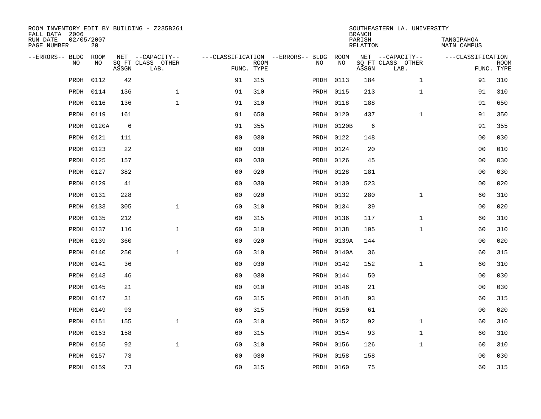| ROOM INVENTORY EDIT BY BUILDING - Z235B261<br>FALL DATA 2006 |                  |       |                           |                |             |                                   |            | <b>BRANCH</b>      | SOUTHEASTERN LA. UNIVERSITY |                                  |                           |
|--------------------------------------------------------------|------------------|-------|---------------------------|----------------|-------------|-----------------------------------|------------|--------------------|-----------------------------|----------------------------------|---------------------------|
| RUN DATE<br>PAGE NUMBER                                      | 02/05/2007<br>20 |       |                           |                |             |                                   |            | PARISH<br>RELATION |                             | TANGIPAHOA<br><b>MAIN CAMPUS</b> |                           |
| --ERRORS-- BLDG                                              | <b>ROOM</b>      |       | NET --CAPACITY--          |                |             | ---CLASSIFICATION --ERRORS-- BLDG | ROOM       |                    | NET --CAPACITY--            | ---CLASSIFICATION                |                           |
| N <sub>O</sub>                                               | NO.              | ASSGN | SO FT CLASS OTHER<br>LAB. | FUNC. TYPE     | <b>ROOM</b> | NO.                               | <b>NO</b>  | ASSGN              | SQ FT CLASS OTHER<br>LAB.   |                                  | <b>ROOM</b><br>FUNC. TYPE |
| PRDH                                                         | 0112             | 42    |                           | 91             | 315         |                                   | PRDH 0113  | 184                | $\mathbf{1}$                | 91                               | 310                       |
| PRDH                                                         | 0114             | 136   | $\mathbf{1}$              | 91             | 310         |                                   | PRDH 0115  | 213                | $\mathbf{1}$                | 91                               | 310                       |
| PRDH                                                         | 0116             | 136   | $\mathbf{1}$              | 91             | 310         |                                   | PRDH 0118  | 188                |                             | 91                               | 650                       |
| PRDH                                                         | 0119             | 161   |                           | 91             | 650         |                                   | PRDH 0120  | 437                | $\mathbf{1}$                | 91                               | 350                       |
| PRDH                                                         | 0120A            | 6     |                           | 91             | 355         |                                   | PRDH 0120B | 6                  |                             | 91                               | 355                       |
| PRDH                                                         | 0121             | 111   |                           | 0 <sub>0</sub> | 030         |                                   | PRDH 0122  | 148                |                             | 0 <sub>0</sub>                   | 030                       |
| PRDH                                                         | 0123             | 22    |                           | 00             | 030         |                                   | PRDH 0124  | 20                 |                             | 0 <sub>0</sub>                   | 010                       |
| PRDH                                                         | 0125             | 157   |                           | 0 <sub>0</sub> | 030         |                                   | PRDH 0126  | 45                 |                             | 0 <sub>0</sub>                   | 030                       |
| PRDH                                                         | 0127             | 382   |                           | 0 <sub>0</sub> | 020         |                                   | PRDH 0128  | 181                |                             | 0 <sub>0</sub>                   | 030                       |
| PRDH                                                         | 0129             | 41    |                           | 0 <sub>0</sub> | 030         |                                   | PRDH 0130  | 523                |                             | 00                               | 020                       |
| PRDH                                                         | 0131             | 228   |                           | 0 <sub>0</sub> | 020         |                                   | PRDH 0132  | 280                | $\mathbf{1}$                | 60                               | 310                       |
| PRDH                                                         | 0133             | 305   | $\mathbf{1}$              | 60             | 310         |                                   | PRDH 0134  | 39                 |                             | 0 <sub>0</sub>                   | 020                       |
| PRDH                                                         | 0135             | 212   |                           | 60             | 315         |                                   | PRDH 0136  | 117                | $\mathbf{1}$                | 60                               | 310                       |
| PRDH                                                         | 0137             | 116   | $\mathbf{1}$              | 60             | 310         |                                   | PRDH 0138  | 105                | $\mathbf{1}$                | 60                               | 310                       |
| PRDH                                                         | 0139             | 360   |                           | 00             | 020         |                                   | PRDH 0139A | 144                |                             | 00                               | 020                       |
| PRDH                                                         | 0140             | 250   | $\mathbf 1$               | 60             | 310         |                                   | PRDH 0140A | 36                 |                             | 60                               | 315                       |
| PRDH                                                         | 0141             | 36    |                           | 0 <sub>0</sub> | 030         |                                   | PRDH 0142  | 152                | $\mathbf{1}$                | 60                               | 310                       |
| PRDH                                                         | 0143             | 46    |                           | 0 <sub>0</sub> | 030         |                                   | PRDH 0144  | 50                 |                             | 00                               | 030                       |
| PRDH                                                         | 0145             | 21    |                           | 0 <sub>0</sub> | 010         |                                   | PRDH 0146  | 21                 |                             | 0 <sub>0</sub>                   | 030                       |
| PRDH                                                         | 0147             | 31    |                           | 60             | 315         |                                   | PRDH 0148  | 93                 |                             | 60                               | 315                       |
| PRDH                                                         | 0149             | 93    |                           | 60             | 315         |                                   | PRDH 0150  | 61                 |                             | 00                               | 020                       |
| PRDH                                                         | 0151             | 155   | $\mathbf{1}$              | 60             | 310         |                                   | PRDH 0152  | 92                 | $\mathbf{1}$                | 60                               | 310                       |
| PRDH                                                         | 0153             | 158   |                           | 60             | 315         |                                   | PRDH 0154  | 93                 | $\mathbf{1}$                | 60                               | 310                       |
| PRDH                                                         | 0155             | 92    | $\mathbf{1}$              | 60             | 310         |                                   | PRDH 0156  | 126                | $\mathbf{1}$                | 60                               | 310                       |
| PRDH                                                         | 0157             | 73    |                           | 0 <sub>0</sub> | 030         |                                   | PRDH 0158  | 158                |                             | 00                               | 030                       |
|                                                              | PRDH 0159        | 73    |                           | 60             | 315         |                                   | PRDH 0160  | 75                 |                             | 60                               | 315                       |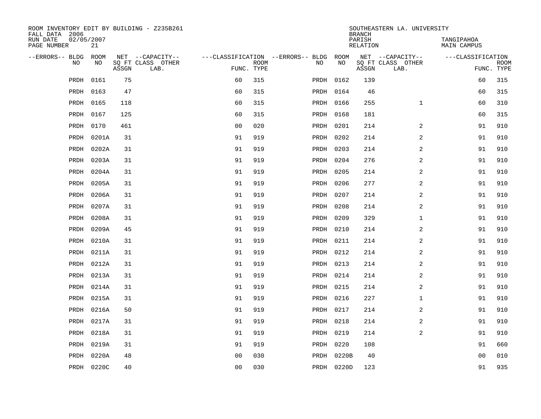| ROOM INVENTORY EDIT BY BUILDING - Z235B261<br>FALL DATA 2006 |                    |       |                           |                | SOUTHEASTERN LA. UNIVERSITY<br><b>BRANCH</b> |                                        |            |                    |                           |                                  |                           |
|--------------------------------------------------------------|--------------------|-------|---------------------------|----------------|----------------------------------------------|----------------------------------------|------------|--------------------|---------------------------|----------------------------------|---------------------------|
| RUN DATE<br>PAGE NUMBER                                      | 02/05/2007<br>21   |       |                           |                |                                              |                                        |            | PARISH<br>RELATION |                           | TANGIPAHOA<br><b>MAIN CAMPUS</b> |                           |
| --ERRORS-- BLDG                                              | <b>ROOM</b><br>NO. |       | NET --CAPACITY--          |                |                                              | ---CLASSIFICATION --ERRORS-- BLDG ROOM | <b>NO</b>  |                    | NET --CAPACITY--          | ---CLASSIFICATION                |                           |
| N <sub>O</sub>                                               |                    | ASSGN | SO FT CLASS OTHER<br>LAB. | FUNC. TYPE     | ROOM                                         | NO.                                    |            | ASSGN              | SQ FT CLASS OTHER<br>LAB. |                                  | <b>ROOM</b><br>FUNC. TYPE |
| PRDH                                                         | 0161               | 75    |                           | 60             | 315                                          |                                        | PRDH 0162  | 139                |                           | 60                               | 315                       |
| PRDH                                                         | 0163               | 47    |                           | 60             | 315                                          |                                        | PRDH 0164  | 46                 |                           | 60                               | 315                       |
| PRDH                                                         | 0165               | 118   |                           | 60             | 315                                          |                                        | PRDH 0166  | 255                | $\mathbf{1}$              | 60                               | 310                       |
| PRDH                                                         | 0167               | 125   |                           | 60             | 315                                          |                                        | PRDH 0168  | 181                |                           | 60                               | 315                       |
| PRDH                                                         | 0170               | 461   |                           | 00             | 020                                          |                                        | PRDH 0201  | 214                | 2                         | 91                               | 910                       |
| PRDH                                                         | 0201A              | 31    |                           | 91             | 919                                          |                                        | PRDH 0202  | 214                | $\overline{a}$            | 91                               | 910                       |
| PRDH                                                         | 0202A              | 31    |                           | 91             | 919                                          |                                        | PRDH 0203  | 214                | $\overline{a}$            | 91                               | 910                       |
| PRDH                                                         | 0203A              | 31    |                           | 91             | 919                                          |                                        | PRDH 0204  | 276                | $\overline{a}$            | 91                               | 910                       |
| PRDH                                                         | 0204A              | 31    |                           | 91             | 919                                          | PRDH                                   | 0205       | 214                | $\overline{a}$            | 91                               | 910                       |
| PRDH                                                         | 0205A              | 31    |                           | 91             | 919                                          |                                        | PRDH 0206  | 277                | $\overline{a}$            | 91                               | 910                       |
| PRDH                                                         | 0206A              | 31    |                           | 91             | 919                                          |                                        | PRDH 0207  | 214                | 2                         | 91                               | 910                       |
| PRDH                                                         | 0207A              | 31    |                           | 91             | 919                                          |                                        | PRDH 0208  | 214                | 2                         | 91                               | 910                       |
| PRDH                                                         | 0208A              | 31    |                           | 91             | 919                                          |                                        | PRDH 0209  | 329                | $\mathbf{1}$              | 91                               | 910                       |
| PRDH                                                         | 0209A              | 45    |                           | 91             | 919                                          |                                        | PRDH 0210  | 214                | $\overline{a}$            | 91                               | 910                       |
| PRDH                                                         | 0210A              | 31    |                           | 91             | 919                                          |                                        | PRDH 0211  | 214                | 2                         | 91                               | 910                       |
| PRDH                                                         | 0211A              | 31    |                           | 91             | 919                                          |                                        | PRDH 0212  | 214                | 2                         | 91                               | 910                       |
| PRDH                                                         | 0212A              | 31    |                           | 91             | 919                                          |                                        | PRDH 0213  | 214                | 2                         | 91                               | 910                       |
| PRDH                                                         | 0213A              | 31    |                           | 91             | 919                                          |                                        | PRDH 0214  | 214                | $\overline{a}$            | 91                               | 910                       |
| PRDH                                                         | 0214A              | 31    |                           | 91             | 919                                          |                                        | PRDH 0215  | 214                | 2                         | 91                               | 910                       |
| PRDH                                                         | 0215A              | 31    |                           | 91             | 919                                          |                                        | PRDH 0216  | 227                | $\mathbf{1}$              | 91                               | 910                       |
| PRDH                                                         | 0216A              | 50    |                           | 91             | 919                                          |                                        | PRDH 0217  | 214                | $\overline{a}$            | 91                               | 910                       |
| PRDH                                                         | 0217A              | 31    |                           | 91             | 919                                          |                                        | PRDH 0218  | 214                | 2                         | 91                               | 910                       |
| PRDH                                                         | 0218A              | 31    |                           | 91             | 919                                          |                                        | PRDH 0219  | 214                | 2                         | 91                               | 910                       |
| PRDH                                                         | 0219A              | 31    |                           | 91             | 919                                          |                                        | PRDH 0220  | 108                |                           | 91                               | 660                       |
| PRDH                                                         | 0220A              | 48    |                           | 0 <sub>0</sub> | 030                                          |                                        | PRDH 0220B | 40                 |                           | 0 <sub>0</sub>                   | 010                       |
|                                                              | PRDH 0220C         | 40    |                           | 0 <sub>0</sub> | 030                                          |                                        | PRDH 0220D | 123                |                           | 91                               | 935                       |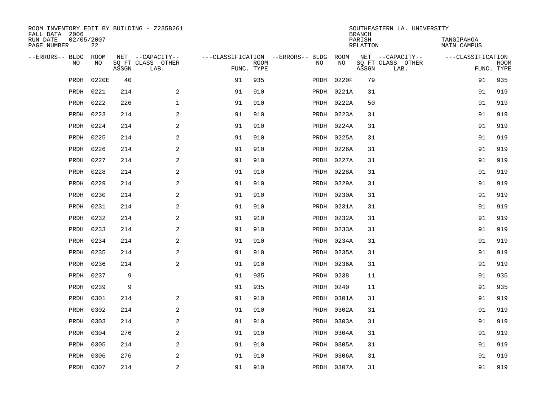| ROOM INVENTORY EDIT BY BUILDING - Z235B261<br>FALL DATA 2006 |                  |       |                           |                                        |             |      |            | <b>BRANCH</b>             | SOUTHEASTERN LA. UNIVERSITY |                                  |                           |
|--------------------------------------------------------------|------------------|-------|---------------------------|----------------------------------------|-------------|------|------------|---------------------------|-----------------------------|----------------------------------|---------------------------|
| RUN DATE<br>PAGE NUMBER                                      | 02/05/2007<br>22 |       |                           |                                        |             |      |            | PARISH<br><b>RELATION</b> |                             | TANGIPAHOA<br><b>MAIN CAMPUS</b> |                           |
| --ERRORS-- BLDG ROOM                                         |                  |       | NET --CAPACITY--          | ---CLASSIFICATION --ERRORS-- BLDG ROOM |             |      |            |                           | NET --CAPACITY--            | ---CLASSIFICATION                |                           |
| NO                                                           | NO               | ASSGN | SQ FT CLASS OTHER<br>LAB. | FUNC. TYPE                             | <b>ROOM</b> | NO   | NO         | ASSGN                     | SQ FT CLASS OTHER<br>LAB.   |                                  | <b>ROOM</b><br>FUNC. TYPE |
| PRDH                                                         | 0220E            | 40    |                           | 91                                     | 935         | PRDH | 0220F      | 79                        |                             | 91                               | 935                       |
| PRDH                                                         | 0221             | 214   | 2                         | 91                                     | 910         |      | PRDH 0221A | 31                        |                             | 91                               | 919                       |
| PRDH                                                         | 0222             | 226   | $\mathbf 1$               | 91                                     | 910         |      | PRDH 0222A | 50                        |                             | 91                               | 919                       |
| PRDH                                                         | 0223             | 214   | 2                         | 91                                     | 910         |      | PRDH 0223A | 31                        |                             | 91                               | 919                       |
| PRDH                                                         | 0224             | 214   | 2                         | 91                                     | 910         |      | PRDH 0224A | 31                        |                             | 91                               | 919                       |
| PRDH                                                         | 0225             | 214   | 2                         | 91                                     | 910         |      | PRDH 0225A | 31                        |                             | 91                               | 919                       |
| PRDH                                                         | 0226             | 214   | $\mathbf{2}$              | 91                                     | 910         |      | PRDH 0226A | 31                        |                             | 91                               | 919                       |
| PRDH                                                         | 0227             | 214   | 2                         | 91                                     | 910         |      | PRDH 0227A | 31                        |                             | 91                               | 919                       |
| PRDH                                                         | 0228             | 214   | 2                         | 91                                     | 910         |      | PRDH 0228A | 31                        |                             | 91                               | 919                       |
| PRDH                                                         | 0229             | 214   | 2                         | 91                                     | 910         |      | PRDH 0229A | 31                        |                             | 91                               | 919                       |
| PRDH                                                         | 0230             | 214   | 2                         | 91                                     | 910         |      | PRDH 0230A | 31                        |                             | 91                               | 919                       |
| PRDH                                                         | 0231             | 214   | 2                         | 91                                     | 910         |      | PRDH 0231A | 31                        |                             | 91                               | 919                       |
| PRDH                                                         | 0232             | 214   | 2                         | 91                                     | 910         |      | PRDH 0232A | 31                        |                             | 91                               | 919                       |
| PRDH                                                         | 0233             | 214   | $\mathbf{2}$              | 91                                     | 910         |      | PRDH 0233A | 31                        |                             | 91                               | 919                       |
| PRDH                                                         | 0234             | 214   | 2                         | 91                                     | 910         |      | PRDH 0234A | 31                        |                             | 91                               | 919                       |
| PRDH                                                         | 0235             | 214   | 2                         | 91                                     | 910         |      | PRDH 0235A | 31                        |                             | 91                               | 919                       |
| PRDH                                                         | 0236             | 214   | 2                         | 91                                     | 910         |      | PRDH 0236A | 31                        |                             | 91                               | 919                       |
| PRDH                                                         | 0237             | 9     |                           | 91                                     | 935         |      | PRDH 0238  | 11                        |                             | 91                               | 935                       |
| PRDH                                                         | 0239             | 9     |                           | 91                                     | 935         |      | PRDH 0240  | 11                        |                             | 91                               | 935                       |
| PRDH                                                         | 0301             | 214   | 2                         | 91                                     | 910         |      | PRDH 0301A | 31                        |                             | 91                               | 919                       |
| PRDH                                                         | 0302             | 214   | 2                         | 91                                     | 910         |      | PRDH 0302A | 31                        |                             | 91                               | 919                       |
| PRDH                                                         | 0303             | 214   | 2                         | 91                                     | 910         |      | PRDH 0303A | 31                        |                             | 91                               | 919                       |
| PRDH                                                         | 0304             | 276   | 2                         | 91                                     | 910         |      | PRDH 0304A | 31                        |                             | 91                               | 919                       |
| PRDH                                                         | 0305             | 214   | 2                         | 91                                     | 910         |      | PRDH 0305A | 31                        |                             | 91                               | 919                       |
| PRDH                                                         | 0306             | 276   | 2                         | 91                                     | 910         |      | PRDH 0306A | 31                        |                             | 91                               | 919                       |
|                                                              | PRDH 0307        | 214   | $\overline{c}$            | 91                                     | 910         |      | PRDH 0307A | 31                        |                             | 91                               | 919                       |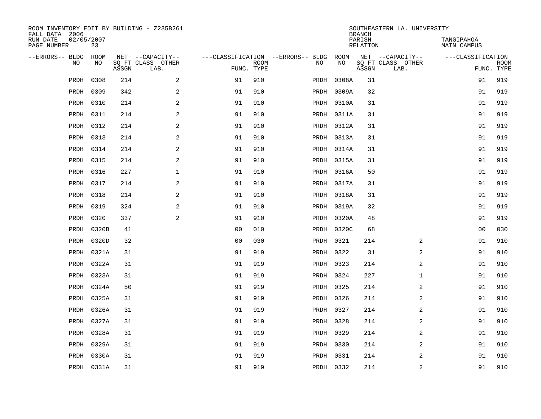| ROOM INVENTORY EDIT BY BUILDING - Z235B261<br>FALL DATA 2006 |                  |       | SOUTHEASTERN LA. UNIVERSITY<br><b>BRANCH</b> |                |                           |                                        |            |                           |                           |                                  |                           |
|--------------------------------------------------------------|------------------|-------|----------------------------------------------|----------------|---------------------------|----------------------------------------|------------|---------------------------|---------------------------|----------------------------------|---------------------------|
| RUN DATE<br>PAGE NUMBER                                      | 02/05/2007<br>23 |       |                                              |                |                           |                                        |            | PARISH<br><b>RELATION</b> |                           | TANGIPAHOA<br><b>MAIN CAMPUS</b> |                           |
| --ERRORS-- BLDG                                              | ROOM             |       | NET --CAPACITY--                             |                |                           | ---CLASSIFICATION --ERRORS-- BLDG ROOM |            |                           | NET --CAPACITY--          | ---CLASSIFICATION                |                           |
| NO                                                           | NO               | ASSGN | SQ FT CLASS OTHER<br>LAB.                    |                | <b>ROOM</b><br>FUNC. TYPE | NO                                     | NO         | ASSGN                     | SQ FT CLASS OTHER<br>LAB. |                                  | <b>ROOM</b><br>FUNC. TYPE |
| PRDH                                                         | 0308             | 214   | 2                                            | 91             | 910                       | PRDH                                   | 0308A      | 31                        |                           | 91                               | 919                       |
| PRDH                                                         | 0309             | 342   | 2                                            | 91             | 910                       |                                        | PRDH 0309A | 32                        |                           | 91                               | 919                       |
| PRDH                                                         | 0310             | 214   | $\overline{a}$                               | 91             | 910                       |                                        | PRDH 0310A | 31                        |                           | 91                               | 919                       |
| PRDH                                                         | 0311             | 214   | $\overline{a}$                               | 91             | 910                       |                                        | PRDH 0311A | 31                        |                           | 91                               | 919                       |
| PRDH                                                         | 0312             | 214   | 2                                            | 91             | 910                       |                                        | PRDH 0312A | 31                        |                           | 91                               | 919                       |
| PRDH                                                         | 0313             | 214   | 2                                            | 91             | 910                       |                                        | PRDH 0313A | 31                        |                           | 91                               | 919                       |
| PRDH                                                         | 0314             | 214   | 2                                            | 91             | 910                       |                                        | PRDH 0314A | 31                        |                           | 91                               | 919                       |
| PRDH                                                         | 0315             | 214   | 2                                            | 91             | 910                       |                                        | PRDH 0315A | 31                        |                           | 91                               | 919                       |
| PRDH                                                         | 0316             | 227   | $\mathbf 1$                                  | 91             | 910                       |                                        | PRDH 0316A | 50                        |                           | 91                               | 919                       |
| PRDH                                                         | 0317             | 214   | 2                                            | 91             | 910                       |                                        | PRDH 0317A | 31                        |                           | 91                               | 919                       |
| PRDH                                                         | 0318             | 214   | 2                                            | 91             | 910                       |                                        | PRDH 0318A | 31                        |                           | 91                               | 919                       |
| PRDH                                                         | 0319             | 324   | 2                                            | 91             | 910                       |                                        | PRDH 0319A | 32                        |                           | 91                               | 919                       |
| PRDH                                                         | 0320             | 337   | 2                                            | 91             | 910                       |                                        | PRDH 0320A | 48                        |                           | 91                               | 919                       |
| PRDH                                                         | 0320B            | 41    |                                              | 00             | 010                       |                                        | PRDH 0320C | 68                        |                           | 0 <sub>0</sub>                   | 030                       |
| PRDH                                                         | 0320D            | 32    |                                              | 0 <sub>0</sub> | 030                       |                                        | PRDH 0321  | 214                       | 2                         | 91                               | 910                       |
| PRDH                                                         | 0321A            | 31    |                                              | 91             | 919                       |                                        | PRDH 0322  | 31                        | 2                         | 91                               | 910                       |
| PRDH                                                         | 0322A            | 31    |                                              | 91             | 919                       |                                        | PRDH 0323  | 214                       | 2                         | 91                               | 910                       |
| PRDH                                                         | 0323A            | 31    |                                              | 91             | 919                       |                                        | PRDH 0324  | 227                       | $\mathbf{1}$              | 91                               | 910                       |
| PRDH                                                         | 0324A            | 50    |                                              | 91             | 919                       |                                        | PRDH 0325  | 214                       | 2                         | 91                               | 910                       |
| PRDH                                                         | 0325A            | 31    |                                              | 91             | 919                       |                                        | PRDH 0326  | 214                       | 2                         | 91                               | 910                       |
| PRDH                                                         | 0326A            | 31    |                                              | 91             | 919                       |                                        | PRDH 0327  | 214                       | 2                         | 91                               | 910                       |
| PRDH                                                         | 0327A            | 31    |                                              | 91             | 919                       |                                        | PRDH 0328  | 214                       | 2                         | 91                               | 910                       |
| PRDH                                                         | 0328A            | 31    |                                              | 91             | 919                       |                                        | PRDH 0329  | 214                       | 2                         | 91                               | 910                       |
| PRDH                                                         | 0329A            | 31    |                                              | 91             | 919                       |                                        | PRDH 0330  | 214                       | 2                         | 91                               | 910                       |
| PRDH                                                         | 0330A            | 31    |                                              | 91             | 919                       |                                        | PRDH 0331  | 214                       | 2                         | 91                               | 910                       |
|                                                              | PRDH 0331A       | 31    |                                              | 91             | 919                       |                                        | PRDH 0332  | 214                       | 2                         | 91                               | 910                       |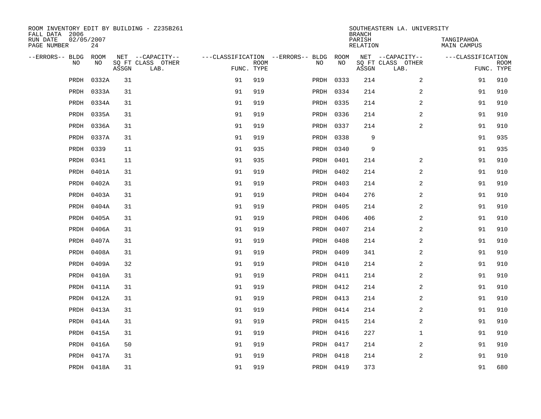| ROOM INVENTORY EDIT BY BUILDING - Z235B261<br>FALL DATA 2006 |            |       |                           |            | SOUTHEASTERN LA. UNIVERSITY<br><b>BRANCH</b> |                                        |           |                    |                           |                           |                           |
|--------------------------------------------------------------|------------|-------|---------------------------|------------|----------------------------------------------|----------------------------------------|-----------|--------------------|---------------------------|---------------------------|---------------------------|
| RUN DATE<br>02/05/2007<br>PAGE NUMBER                        | 24         |       |                           |            |                                              |                                        |           | PARISH<br>RELATION |                           | TANGIPAHOA<br>MAIN CAMPUS |                           |
| --ERRORS-- BLDG ROOM                                         |            |       | NET --CAPACITY--          |            |                                              | ---CLASSIFICATION --ERRORS-- BLDG ROOM |           |                    | NET --CAPACITY--          | ---CLASSIFICATION         |                           |
| NO.                                                          | NO.        | ASSGN | SQ FT CLASS OTHER<br>LAB. | FUNC. TYPE | <b>ROOM</b>                                  | NO.                                    | <b>NO</b> | ASSGN              | SQ FT CLASS OTHER<br>LAB. |                           | <b>ROOM</b><br>FUNC. TYPE |
| PRDH                                                         | 0332A      | 31    |                           | 91         | 919                                          |                                        | PRDH 0333 | 214                | 2                         | 91                        | 910                       |
|                                                              | PRDH 0333A | 31    |                           | 91         | 919                                          |                                        | PRDH 0334 | 214                | 2                         | 91                        | 910                       |
|                                                              | PRDH 0334A | 31    |                           | 91         | 919                                          |                                        | PRDH 0335 | 214                | 2                         | 91                        | 910                       |
| PRDH                                                         | 0335A      | 31    |                           | 91         | 919                                          |                                        | PRDH 0336 | 214                | 2                         | 91                        | 910                       |
| PRDH                                                         | 0336A      | 31    |                           | 91         | 919                                          |                                        | PRDH 0337 | 214                | $\overline{a}$            | 91                        | 910                       |
| PRDH                                                         | 0337A      | 31    |                           | 91         | 919                                          |                                        | PRDH 0338 | 9                  |                           | 91                        | 935                       |
| PRDH                                                         | 0339       | 11    |                           | 91         | 935                                          |                                        | PRDH 0340 | 9                  |                           | 91                        | 935                       |
| PRDH                                                         | 0341       | 11    |                           | 91         | 935                                          |                                        | PRDH 0401 | 214                | 2                         | 91                        | 910                       |
| PRDH                                                         | 0401A      | 31    |                           | 91         | 919                                          |                                        | PRDH 0402 | 214                | 2                         | 91                        | 910                       |
| PRDH                                                         | 0402A      | 31    |                           | 91         | 919                                          |                                        | PRDH 0403 | 214                | 2                         | 91                        | 910                       |
| PRDH                                                         | 0403A      | 31    |                           | 91         | 919                                          |                                        | PRDH 0404 | 276                | 2                         | 91                        | 910                       |
| PRDH                                                         | 0404A      | 31    |                           | 91         | 919                                          |                                        | PRDH 0405 | 214                | $\overline{a}$            | 91                        | 910                       |
| PRDH                                                         | 0405A      | 31    |                           | 91         | 919                                          |                                        | PRDH 0406 | 406                | 2                         | 91                        | 910                       |
| PRDH                                                         | 0406A      | 31    |                           | 91         | 919                                          |                                        | PRDH 0407 | 214                | 2                         | 91                        | 910                       |
| PRDH                                                         | 0407A      | 31    |                           | 91         | 919                                          |                                        | PRDH 0408 | 214                | 2                         | 91                        | 910                       |
| PRDH                                                         | 0408A      | 31    |                           | 91         | 919                                          |                                        | PRDH 0409 | 341                | $\overline{a}$            | 91                        | 910                       |
| PRDH                                                         | 0409A      | 32    |                           | 91         | 919                                          |                                        | PRDH 0410 | 214                | $\overline{a}$            | 91                        | 910                       |
| PRDH                                                         | 0410A      | 31    |                           | 91         | 919                                          |                                        | PRDH 0411 | 214                | 2                         | 91                        | 910                       |
| PRDH                                                         | 0411A      | 31    |                           | 91         | 919                                          |                                        | PRDH 0412 | 214                | 2                         | 91                        | 910                       |
| PRDH                                                         | 0412A      | 31    |                           | 91         | 919                                          |                                        | PRDH 0413 | 214                | 2                         | 91                        | 910                       |
|                                                              | PRDH 0413A | 31    |                           | 91         | 919                                          |                                        | PRDH 0414 | 214                | 2                         | 91                        | 910                       |
| PRDH                                                         | 0414A      | 31    |                           | 91         | 919                                          |                                        | PRDH 0415 | 214                | 2                         | 91                        | 910                       |
|                                                              | PRDH 0415A | 31    |                           | 91         | 919                                          |                                        | PRDH 0416 | 227                | $\mathbf{1}$              | 91                        | 910                       |
| PRDH                                                         | 0416A      | 50    |                           | 91         | 919                                          |                                        | PRDH 0417 | 214                | $\overline{a}$            | 91                        | 910                       |
| PRDH                                                         | 0417A      | 31    |                           | 91         | 919                                          |                                        | PRDH 0418 | 214                | $\overline{a}$            | 91                        | 910                       |
|                                                              | PRDH 0418A | 31    |                           | 91         | 919                                          |                                        | PRDH 0419 | 373                |                           | 91                        | 680                       |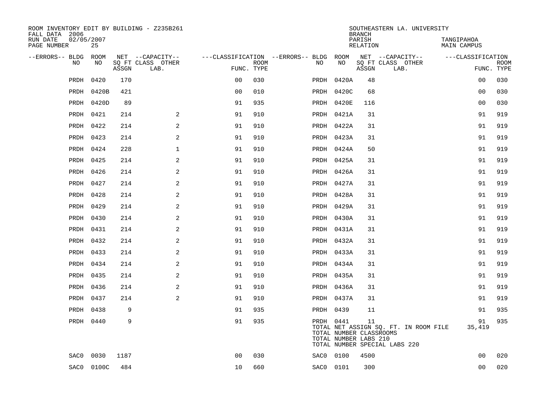| ROOM INVENTORY EDIT BY BUILDING - Z235B261<br>FALL DATA 2006 |                  |       |                           |                |      |                                        | <b>BRANCH</b>                                                 | SOUTHEASTERN LA. UNIVERSITY |                                                                        |                                  |                           |
|--------------------------------------------------------------|------------------|-------|---------------------------|----------------|------|----------------------------------------|---------------------------------------------------------------|-----------------------------|------------------------------------------------------------------------|----------------------------------|---------------------------|
| RUN DATE<br>PAGE NUMBER                                      | 02/05/2007<br>25 |       |                           |                |      |                                        |                                                               | PARISH<br>RELATION          |                                                                        | TANGIPAHOA<br><b>MAIN CAMPUS</b> |                           |
| --ERRORS-- BLDG ROOM                                         |                  |       | NET --CAPACITY--          |                |      | ---CLASSIFICATION --ERRORS-- BLDG ROOM |                                                               |                             | NET --CAPACITY--                                                       | ---CLASSIFICATION                |                           |
| N <sub>O</sub>                                               | NO.              | ASSGN | SQ FT CLASS OTHER<br>LAB. | FUNC. TYPE     | ROOM | NO.                                    | NO                                                            | ASSGN                       | SQ FT CLASS OTHER<br>LAB.                                              |                                  | <b>ROOM</b><br>FUNC. TYPE |
| PRDH                                                         | 0420             | 170   |                           | 0 <sub>0</sub> | 030  |                                        | PRDH 0420A                                                    | 48                          |                                                                        | 00                               | 030                       |
| PRDH                                                         | 0420B            | 421   |                           | 0 <sub>0</sub> | 010  |                                        | PRDH 0420C                                                    | 68                          |                                                                        | 0 <sub>0</sub>                   | 030                       |
| PRDH                                                         | 0420D            | 89    |                           | 91             | 935  |                                        | PRDH 0420E                                                    | 116                         |                                                                        | 0 <sub>0</sub>                   | 030                       |
| PRDH                                                         | 0421             | 214   | 2                         | 91             | 910  |                                        | PRDH 0421A                                                    | 31                          |                                                                        | 91                               | 919                       |
| PRDH                                                         | 0422             | 214   | 2                         | 91             | 910  |                                        | PRDH 0422A                                                    | 31                          |                                                                        | 91                               | 919                       |
| PRDH                                                         | 0423             | 214   | $\mathbf{2}$              | 91             | 910  |                                        | PRDH 0423A                                                    | 31                          |                                                                        | 91                               | 919                       |
| PRDH                                                         | 0424             | 228   | $\mathbf 1$               | 91             | 910  |                                        | PRDH 0424A                                                    | 50                          |                                                                        | 91                               | 919                       |
| PRDH                                                         | 0425             | 214   | 2                         | 91             | 910  |                                        | PRDH 0425A                                                    | 31                          |                                                                        | 91                               | 919                       |
| PRDH                                                         | 0426             | 214   | 2                         | 91             | 910  |                                        | PRDH 0426A                                                    | 31                          |                                                                        | 91                               | 919                       |
| PRDH                                                         | 0427             | 214   | $\overline{a}$            | 91             | 910  |                                        | PRDH 0427A                                                    | 31                          |                                                                        | 91                               | 919                       |
| PRDH                                                         | 0428             | 214   | 2                         | 91             | 910  |                                        | PRDH 0428A                                                    | 31                          |                                                                        | 91                               | 919                       |
|                                                              | PRDH 0429        | 214   | 2                         | 91             | 910  |                                        | PRDH 0429A                                                    | 31                          |                                                                        | 91                               | 919                       |
| PRDH                                                         | 0430             | 214   | 2                         | 91             | 910  |                                        | PRDH 0430A                                                    | 31                          |                                                                        | 91                               | 919                       |
| PRDH                                                         | 0431             | 214   | 2                         | 91             | 910  |                                        | PRDH 0431A                                                    | 31                          |                                                                        | 91                               | 919                       |
| PRDH                                                         | 0432             | 214   | 2                         | 91             | 910  |                                        | PRDH 0432A                                                    | 31                          |                                                                        | 91                               | 919                       |
| PRDH                                                         | 0433             | 214   | 2                         | 91             | 910  |                                        | PRDH 0433A                                                    | 31                          |                                                                        | 91                               | 919                       |
| PRDH                                                         | 0434             | 214   | 2                         | 91             | 910  |                                        | PRDH 0434A                                                    | 31                          |                                                                        | 91                               | 919                       |
| PRDH                                                         | 0435             | 214   | 2                         | 91             | 910  |                                        | PRDH 0435A                                                    | 31                          |                                                                        | 91                               | 919                       |
| PRDH                                                         | 0436             | 214   | 2                         | 91             | 910  |                                        | PRDH 0436A                                                    | 31                          |                                                                        | 91                               | 919                       |
| PRDH                                                         | 0437             | 214   | 2                         | 91             | 910  |                                        | PRDH 0437A                                                    | 31                          |                                                                        | 91                               | 919                       |
| PRDH                                                         | 0438             | 9     |                           | 91             | 935  |                                        | PRDH 0439                                                     | 11                          |                                                                        | 91                               | 935                       |
|                                                              | PRDH 0440        | 9     |                           | 91             | 935  |                                        | PRDH 0441<br>TOTAL NUMBER CLASSROOMS<br>TOTAL NUMBER LABS 210 | 11                          | TOTAL NET ASSIGN SQ. FT. IN ROOM FILE<br>TOTAL NUMBER SPECIAL LABS 220 | 91<br>35,419                     | 935                       |
| SAC0                                                         | 0030             | 1187  |                           | 0 <sub>0</sub> | 030  |                                        | SAC0 0100                                                     | 4500                        |                                                                        | 0 <sub>0</sub>                   | 020                       |
|                                                              | SAC0 0100C       | 484   |                           | 10             | 660  |                                        | SAC0 0101                                                     | 300                         |                                                                        | 0 <sub>0</sub>                   | 020                       |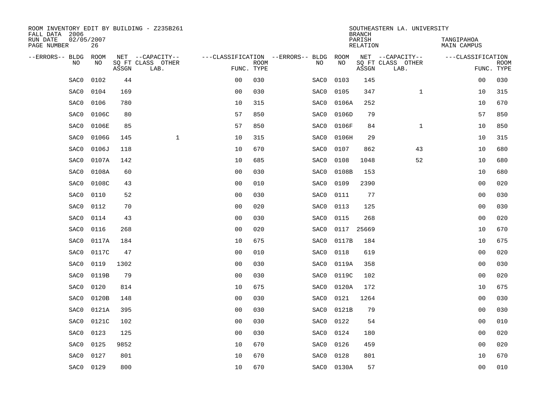| ROOM INVENTORY EDIT BY BUILDING - Z235B261<br>FALL DATA 2006 |                  |       |                           | SOUTHEASTERN LA. UNIVERSITY<br><b>BRANCH</b> |             |                                        |            |                    |                           |                           |                           |
|--------------------------------------------------------------|------------------|-------|---------------------------|----------------------------------------------|-------------|----------------------------------------|------------|--------------------|---------------------------|---------------------------|---------------------------|
| RUN DATE<br>PAGE NUMBER                                      | 02/05/2007<br>26 |       |                           |                                              |             |                                        |            | PARISH<br>RELATION |                           | TANGIPAHOA<br>MAIN CAMPUS |                           |
| --ERRORS-- BLDG ROOM                                         |                  |       | NET --CAPACITY--          |                                              |             | ---CLASSIFICATION --ERRORS-- BLDG ROOM |            |                    | NET --CAPACITY--          | ---CLASSIFICATION         |                           |
| NO                                                           | NO               | ASSGN | SQ FT CLASS OTHER<br>LAB. | FUNC. TYPE                                   | <b>ROOM</b> | NO                                     | NO         | ASSGN              | SQ FT CLASS OTHER<br>LAB. |                           | <b>ROOM</b><br>FUNC. TYPE |
| SAC0                                                         | 0102             | 44    |                           | 0 <sub>0</sub>                               | 030         | SAC0                                   | 0103       | 145                |                           | 0 <sub>0</sub>            | 030                       |
| SAC0                                                         | 0104             | 169   |                           | 0 <sub>0</sub>                               | 030         | SAC0                                   | 0105       | 347                | $\mathbf{1}$              | 10                        | 315                       |
| SAC0                                                         | 0106             | 780   |                           | 10                                           | 315         | SAC0                                   | 0106A      | 252                |                           | 10                        | 670                       |
| SAC0                                                         | 0106C            | 80    |                           | 57                                           | 850         | SAC0                                   | 0106D      | 79                 |                           | 57                        | 850                       |
| SAC0                                                         | 0106E            | 85    |                           | 57                                           | 850         | SAC0                                   | 0106F      | 84                 | $\mathbf{1}$              | 10                        | 850                       |
| SAC0                                                         | 0106G            | 145   | $\mathbf{1}$              | 10                                           | 315         | SAC0                                   | 0106H      | 29                 |                           | 10                        | 315                       |
| SAC0                                                         | 0106J            | 118   |                           | 10                                           | 670         | SAC0                                   | 0107       | 862                | 43                        | 10                        | 680                       |
| SAC0                                                         | 0107A            | 142   |                           | 10                                           | 685         | SAC0                                   | 0108       | 1048               | 52                        | 10                        | 680                       |
| SAC0                                                         | 0108A            | 60    |                           | 0 <sub>0</sub>                               | 030         | SAC0                                   | 0108B      | 153                |                           | 10                        | 680                       |
| SAC0                                                         | 0108C            | 43    |                           | 0 <sub>0</sub>                               | 010         | SAC0                                   | 0109       | 2390               |                           | 0 <sub>0</sub>            | 020                       |
| SAC0                                                         | 0110             | 52    |                           | 0 <sub>0</sub>                               | 030         | SAC0                                   | 0111       | 77                 |                           | 0 <sub>0</sub>            | 030                       |
| SAC0                                                         | 0112             | 70    |                           | 0 <sub>0</sub>                               | 020         | SAC0                                   | 0113       | 125                |                           | 0 <sub>0</sub>            | 030                       |
| SAC0                                                         | 0114             | 43    |                           | 0 <sub>0</sub>                               | 030         | SAC0                                   | 0115       | 268                |                           | 0 <sub>0</sub>            | 020                       |
| SAC0                                                         | 0116             | 268   |                           | 0 <sub>0</sub>                               | 020         | SAC0                                   | 0117       | 25669              |                           | 10                        | 670                       |
| SAC0                                                         | 0117A            | 184   |                           | 10                                           | 675         | SAC0                                   | 0117B      | 184                |                           | 10                        | 675                       |
| SAC0                                                         | 0117C            | 47    |                           | 0 <sub>0</sub>                               | 010         | SAC0                                   | 0118       | 619                |                           | 00                        | 020                       |
| SAC0                                                         | 0119             | 1302  |                           | 0 <sub>0</sub>                               | 030         | SAC0                                   | 0119A      | 358                |                           | 0 <sub>0</sub>            | 030                       |
| SAC0                                                         | 0119B            | 79    |                           | 0 <sub>0</sub>                               | 030         | SAC0                                   | 0119C      | 102                |                           | 00                        | 020                       |
| SAC0                                                         | 0120             | 814   |                           | 10                                           | 675         | SAC0                                   | 0120A      | 172                |                           | 10                        | 675                       |
| SAC0                                                         | 0120B            | 148   |                           | 0 <sub>0</sub>                               | 030         | SAC0                                   | 0121       | 1264               |                           | 0 <sub>0</sub>            | 030                       |
| SAC0                                                         | 0121A            | 395   |                           | 0 <sub>0</sub>                               | 030         | SAC0                                   | 0121B      | 79                 |                           | 0 <sub>0</sub>            | 030                       |
| SAC0                                                         | 0121C            | 102   |                           | 0 <sub>0</sub>                               | 030         | SAC0                                   | 0122       | 54                 |                           | 00                        | 010                       |
| SAC0                                                         | 0123             | 125   |                           | 0 <sub>0</sub>                               | 030         | SAC0                                   | 0124       | 180                |                           | 00                        | 020                       |
| SAC0                                                         | 0125             | 9852  |                           | 10                                           | 670         | SAC0                                   | 0126       | 459                |                           | 00                        | 020                       |
| SAC0                                                         | 0127             | 801   |                           | 10                                           | 670         | SAC0                                   | 0128       | 801                |                           | 10                        | 670                       |
| SAC0                                                         | 0129             | 800   |                           | 10                                           | 670         |                                        | SAC0 0130A | 57                 |                           | 0 <sub>0</sub>            | 010                       |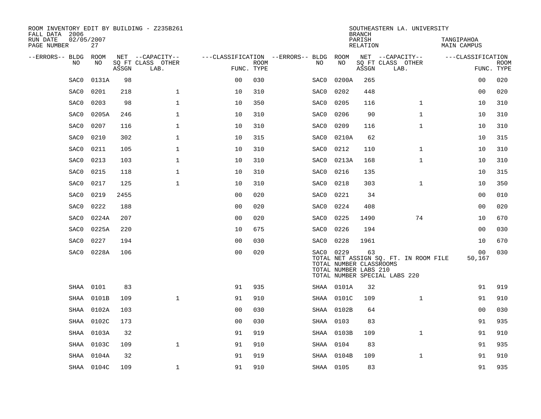| ROOM INVENTORY EDIT BY BUILDING - Z235B261<br>FALL DATA 2006 |                  |       |                           |                |             |                                   | <b>BRANCH</b>                                                 | SOUTHEASTERN LA. UNIVERSITY |                                                                        |                           |                           |
|--------------------------------------------------------------|------------------|-------|---------------------------|----------------|-------------|-----------------------------------|---------------------------------------------------------------|-----------------------------|------------------------------------------------------------------------|---------------------------|---------------------------|
| RUN DATE<br>PAGE NUMBER                                      | 02/05/2007<br>27 |       |                           |                |             |                                   |                                                               | PARISH<br>RELATION          |                                                                        | TANGIPAHOA<br>MAIN CAMPUS |                           |
| --ERRORS-- BLDG                                              | ROOM             |       | NET --CAPACITY--          |                |             | ---CLASSIFICATION --ERRORS-- BLDG | ROOM                                                          |                             | NET --CAPACITY--                                                       | ---CLASSIFICATION         |                           |
| NO                                                           | NO               | ASSGN | SQ FT CLASS OTHER<br>LAB. | FUNC. TYPE     | <b>ROOM</b> | NO                                | NO                                                            | ASSGN                       | SQ FT CLASS OTHER<br>LAB.                                              |                           | <b>ROOM</b><br>FUNC. TYPE |
| SAC0                                                         | 0131A            | 98    |                           | 0 <sub>0</sub> | 030         | SAC0                              | 0200A                                                         | 265                         |                                                                        | 0 <sub>0</sub>            | 020                       |
| SAC0                                                         | 0201             | 218   | $\mathbf 1$               | 10             | 310         | SAC0                              | 0202                                                          | 448                         |                                                                        | 00                        | 020                       |
| SAC0                                                         | 0203             | 98    | $\mathbf 1$               | 10             | 350         | SAC0                              | 0205                                                          | 116                         | $\mathbf{1}$                                                           | 10                        | 310                       |
| SAC0                                                         | 0205A            | 246   | $\mathbf{1}$              | 10             | 310         | SAC0                              | 0206                                                          | 90                          | $\mathbf{1}$                                                           | 10                        | 310                       |
| SAC0                                                         | 0207             | 116   | $\mathbf{1}$              | 10             | 310         | SAC0                              | 0209                                                          | 116                         | $\mathbf{1}$                                                           | 10                        | 310                       |
| SAC0                                                         | 0210             | 302   | $\mathbf{1}$              | 10             | 315         | SAC0                              | 0210A                                                         | 62                          |                                                                        | 10                        | 315                       |
| SAC0                                                         | 0211             | 105   | $\mathbf{1}$              | 10             | 310         | SAC0                              | 0212                                                          | 110                         | $\mathbf{1}$                                                           | 10                        | 310                       |
| SAC0                                                         | 0213             | 103   | $\mathbf 1$               | 10             | 310         | SAC0                              | 0213A                                                         | 168                         | $\mathbf{1}$                                                           | 10                        | 310                       |
| SAC0                                                         | 0215             | 118   | $\mathbf 1$               | 10             | 310         | SAC0                              | 0216                                                          | 135                         |                                                                        | 10                        | 315                       |
| SAC0                                                         | 0217             | 125   | $\mathbf{1}$              | 10             | 310         | SAC0                              | 0218                                                          | 303                         | $\mathbf{1}$                                                           | 10                        | 350                       |
| SAC0                                                         | 0219             | 2455  |                           | 00             | 020         | SAC0                              | 0221                                                          | 34                          |                                                                        | 00                        | 010                       |
| SAC0                                                         | 0222             | 188   |                           | 0 <sub>0</sub> | 020         | SAC0                              | 0224                                                          | 408                         |                                                                        | 00                        | 020                       |
| SAC0                                                         | 0224A            | 207   |                           | 0 <sub>0</sub> | 020         | SAC0                              | 0225                                                          | 1490                        | 74                                                                     | 10                        | 670                       |
| SAC0                                                         | 0225A            | 220   |                           | 10             | 675         | SAC0                              | 0226                                                          | 194                         |                                                                        | 0 <sub>0</sub>            | 030                       |
| SAC0                                                         | 0227             | 194   |                           | 0 <sub>0</sub> | 030         | SAC0                              | 0228                                                          | 1961                        |                                                                        | 10                        | 670                       |
| SAC0                                                         | 0228A            | 106   |                           | 0 <sub>0</sub> | 020         |                                   | SAC0 0229<br>TOTAL NUMBER CLASSROOMS<br>TOTAL NUMBER LABS 210 | 63                          | TOTAL NET ASSIGN SQ. FT. IN ROOM FILE<br>TOTAL NUMBER SPECIAL LABS 220 | 00<br>50,167              | 030                       |
| SHAA                                                         | 0101             | 83    |                           | 91             | 935         |                                   | SHAA 0101A                                                    | 32                          |                                                                        | 91                        | 919                       |
| SHAA                                                         | 0101B            | 109   | $\mathbf{1}$              | 91             | 910         |                                   | SHAA 0101C                                                    | 109                         | $\mathbf{1}$                                                           | 91                        | 910                       |
| SHAA                                                         | 0102A            | 103   |                           | 0 <sub>0</sub> | 030         |                                   | SHAA 0102B                                                    | 64                          |                                                                        | 0 <sub>0</sub>            | 030                       |
| SHAA                                                         | 0102C            | 173   |                           | 0 <sub>0</sub> | 030         |                                   | SHAA 0103                                                     | 83                          |                                                                        | 91                        | 935                       |
| SHAA                                                         | 0103A            | 32    |                           | 91             | 919         |                                   | SHAA 0103B                                                    | 109                         | $\mathbf{1}$                                                           | 91                        | 910                       |
| SHAA                                                         | 0103C            | 109   | $\mathbf{1}$              | 91             | 910         | SHAA                              | 0104                                                          | 83                          |                                                                        | 91                        | 935                       |
| SHAA                                                         | 0104A            | 32    |                           | 91             | 919         |                                   | SHAA 0104B                                                    | 109                         | $\mathbf{1}$                                                           | 91                        | 910                       |
|                                                              | SHAA 0104C       | 109   | $\mathbf 1$               | 91             | 910         |                                   | SHAA 0105                                                     | 83                          |                                                                        | 91                        | 935                       |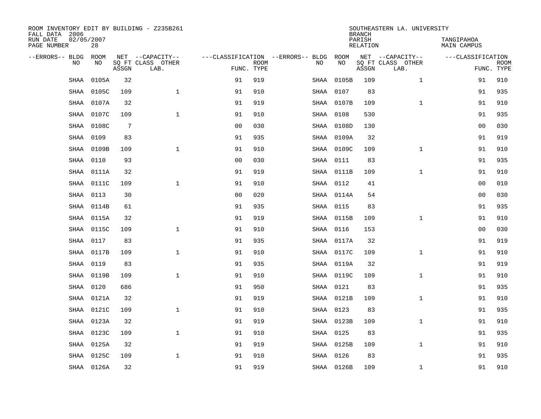| ROOM INVENTORY EDIT BY BUILDING - Z235B261<br>FALL DATA 2006 |                  |       |                           |                |             |                                   |            | <b>BRANCH</b>      | SOUTHEASTERN LA. UNIVERSITY |                                  |                           |
|--------------------------------------------------------------|------------------|-------|---------------------------|----------------|-------------|-----------------------------------|------------|--------------------|-----------------------------|----------------------------------|---------------------------|
| RUN DATE<br>PAGE NUMBER                                      | 02/05/2007<br>28 |       |                           |                |             |                                   |            | PARISH<br>RELATION |                             | TANGIPAHOA<br><b>MAIN CAMPUS</b> |                           |
| --ERRORS-- BLDG                                              | <b>ROOM</b>      |       | NET --CAPACITY--          |                |             | ---CLASSIFICATION --ERRORS-- BLDG | ROOM       |                    | NET --CAPACITY--            | ---CLASSIFICATION                |                           |
| N <sub>O</sub>                                               | NO.              | ASSGN | SO FT CLASS OTHER<br>LAB. | FUNC. TYPE     | <b>ROOM</b> | NO.                               | NO         | ASSGN              | SQ FT CLASS OTHER<br>LAB.   |                                  | <b>ROOM</b><br>FUNC. TYPE |
| SHAA                                                         | 0105A            | 32    |                           | 91             | 919         | SHAA                              | 0105B      | 109                | $\mathbf{1}$                | 91                               | 910                       |
| <b>SHAA</b>                                                  | 0105C            | 109   | $\mathbf{1}$              | 91             | 910         | SHAA                              | 0107       | 83                 |                             | 91                               | 935                       |
| SHAA                                                         | 0107A            | 32    |                           | 91             | 919         |                                   | SHAA 0107B | 109                | $\mathbf{1}$                | 91                               | 910                       |
| SHAA                                                         | 0107C            | 109   | $\mathbf{1}$              | 91             | 910         | SHAA                              | 0108       | 530                |                             | 91                               | 935                       |
| SHAA                                                         | 0108C            | 7     |                           | 00             | 030         | SHAA                              | 0108D      | 130                |                             | 00                               | 030                       |
| SHAA                                                         | 0109             | 83    |                           | 91             | 935         |                                   | SHAA 0109A | 32                 |                             | 91                               | 919                       |
| SHAA                                                         | 0109B            | 109   | $\mathbf{1}$              | 91             | 910         |                                   | SHAA 0109C | 109                | $\mathbf{1}$                | 91                               | 910                       |
| <b>SHAA</b>                                                  | 0110             | 93    |                           | 0 <sub>0</sub> | 030         |                                   | SHAA 0111  | 83                 |                             | 91                               | 935                       |
| <b>SHAA</b>                                                  | 0111A            | 32    |                           | 91             | 919         |                                   | SHAA 0111B | 109                | $\mathbf{1}$                | 91                               | 910                       |
| SHAA                                                         | 0111C            | 109   | $\mathbf{1}$              | 91             | 910         |                                   | SHAA 0112  | 41                 |                             | 00                               | 010                       |
| <b>SHAA</b>                                                  | 0113             | 30    |                           | 0 <sub>0</sub> | 020         |                                   | SHAA 0114A | 54                 |                             | 00                               | 030                       |
| <b>SHAA</b>                                                  | 0114B            | 61    |                           | 91             | 935         |                                   | SHAA 0115  | 83                 |                             | 91                               | 935                       |
| SHAA                                                         | 0115A            | 32    |                           | 91             | 919         |                                   | SHAA 0115B | 109                | $\mathbf{1}$                | 91                               | 910                       |
| <b>SHAA</b>                                                  | 0115C            | 109   | $\mathbf{1}$              | 91             | 910         |                                   | SHAA 0116  | 153                |                             | 00                               | 030                       |
| SHAA                                                         | 0117             | 83    |                           | 91             | 935         |                                   | SHAA 0117A | 32                 |                             | 91                               | 919                       |
| SHAA                                                         | 0117B            | 109   | $\mathbf 1$               | 91             | 910         |                                   | SHAA 0117C | 109                | $\mathbf{1}$                | 91                               | 910                       |
| SHAA                                                         | 0119             | 83    |                           | 91             | 935         |                                   | SHAA 0119A | 32                 |                             | 91                               | 919                       |
| SHAA                                                         | 0119B            | 109   | $\mathbf 1$               | 91             | 910         |                                   | SHAA 0119C | 109                | $\mathbf{1}$                | 91                               | 910                       |
| <b>SHAA</b>                                                  | 0120             | 686   |                           | 91             | 950         |                                   | SHAA 0121  | 83                 |                             | 91                               | 935                       |
| <b>SHAA</b>                                                  | 0121A            | 32    |                           | 91             | 919         |                                   | SHAA 0121B | 109                | $\mathbf{1}$                | 91                               | 910                       |
| SHAA                                                         | 0121C            | 109   | $\mathbf 1$               | 91             | 910         |                                   | SHAA 0123  | 83                 |                             | 91                               | 935                       |
| SHAA                                                         | 0123A            | 32    |                           | 91             | 919         |                                   | SHAA 0123B | 109                | $\mathbf{1}$                | 91                               | 910                       |
| <b>SHAA</b>                                                  | 0123C            | 109   | $\mathbf{1}$              | 91             | 910         |                                   | SHAA 0125  | 83                 |                             | 91                               | 935                       |
| <b>SHAA</b>                                                  | 0125A            | 32    |                           | 91             | 919         |                                   | SHAA 0125B | 109                | $\mathbf{1}$                | 91                               | 910                       |
| <b>SHAA</b>                                                  | 0125C            | 109   | $\mathbf 1$               | 91             | 910         |                                   | SHAA 0126  | 83                 |                             | 91                               | 935                       |
|                                                              | SHAA 0126A       | 32    |                           | 91             | 919         |                                   | SHAA 0126B | 109                | $\mathbf{1}$                | 91                               | 910                       |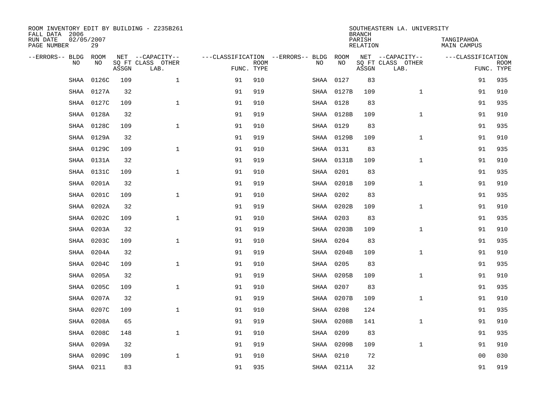| ROOM INVENTORY EDIT BY BUILDING - Z235B261<br>FALL DATA 2006 |                  |       |                           |            |             |                                   |            | <b>BRANCH</b>      | SOUTHEASTERN LA. UNIVERSITY |                                  |                           |
|--------------------------------------------------------------|------------------|-------|---------------------------|------------|-------------|-----------------------------------|------------|--------------------|-----------------------------|----------------------------------|---------------------------|
| RUN DATE<br>PAGE NUMBER                                      | 02/05/2007<br>29 |       |                           |            |             |                                   |            | PARISH<br>RELATION |                             | TANGIPAHOA<br><b>MAIN CAMPUS</b> |                           |
| --ERRORS-- BLDG                                              | <b>ROOM</b>      |       | NET --CAPACITY--          |            |             | ---CLASSIFICATION --ERRORS-- BLDG | ROOM       |                    | NET --CAPACITY--            | ---CLASSIFICATION                |                           |
| N <sub>O</sub>                                               | NO.              | ASSGN | SO FT CLASS OTHER<br>LAB. | FUNC. TYPE | <b>ROOM</b> | NO.                               | <b>NO</b>  | ASSGN              | SO FT CLASS OTHER<br>LAB.   |                                  | <b>ROOM</b><br>FUNC. TYPE |
| SHAA                                                         | 0126C            | 109   | $\mathbf{1}$              | 91         | 910         | SHAA                              | 0127       | 83                 |                             | 91                               | 935                       |
| SHAA                                                         | 0127A            | 32    |                           | 91         | 919         | SHAA                              | 0127B      | 109                | $\mathbf{1}$                | 91                               | 910                       |
| SHAA                                                         | 0127C            | 109   | $\mathbf{1}$              | 91         | 910         |                                   | SHAA 0128  | 83                 |                             | 91                               | 935                       |
| SHAA                                                         | 0128A            | 32    |                           | 91         | 919         |                                   | SHAA 0128B | 109                | $\mathbf{1}$                | 91                               | 910                       |
| SHAA                                                         | 0128C            | 109   | $\mathbf 1$               | 91         | 910         |                                   | SHAA 0129  | 83                 |                             | 91                               | 935                       |
| SHAA                                                         | 0129A            | 32    |                           | 91         | 919         |                                   | SHAA 0129B | 109                | $\mathbf{1}$                | 91                               | 910                       |
| SHAA                                                         | 0129C            | 109   | $\mathbf{1}$              | 91         | 910         |                                   | SHAA 0131  | 83                 |                             | 91                               | 935                       |
| <b>SHAA</b>                                                  | 0131A            | 32    |                           | 91         | 919         |                                   | SHAA 0131B | 109                | $\mathbf{1}$                | 91                               | 910                       |
| <b>SHAA</b>                                                  | 0131C            | 109   | $\mathbf{1}$              | 91         | 910         | SHAA                              | 0201       | 83                 |                             | 91                               | 935                       |
| SHAA                                                         | 0201A            | 32    |                           | 91         | 919         |                                   | SHAA 0201B | 109                | $\mathbf{1}$                | 91                               | 910                       |
| <b>SHAA</b>                                                  | 0201C            | 109   | $\mathbf{1}$              | 91         | 910         | SHAA                              | 0202       | 83                 |                             | 91                               | 935                       |
| <b>SHAA</b>                                                  | 0202A            | 32    |                           | 91         | 919         |                                   | SHAA 0202B | 109                | $\mathbf{1}$                | 91                               | 910                       |
| <b>SHAA</b>                                                  | 0202C            | 109   | $\mathbf{1}$              | 91         | 910         | SHAA                              | 0203       | 83                 |                             | 91                               | 935                       |
| <b>SHAA</b>                                                  | 0203A            | 32    |                           | 91         | 919         |                                   | SHAA 0203B | 109                | $\mathbf{1}$                | 91                               | 910                       |
| SHAA                                                         | 0203C            | 109   | $\mathbf 1$               | 91         | 910         | SHAA                              | 0204       | 83                 |                             | 91                               | 935                       |
| SHAA                                                         | 0204A            | 32    |                           | 91         | 919         |                                   | SHAA 0204B | 109                | $\mathbf{1}$                | 91                               | 910                       |
| SHAA                                                         | 0204C            | 109   | $\mathbf{1}$              | 91         | 910         | SHAA                              | 0205       | 83                 |                             | 91                               | 935                       |
| SHAA                                                         | 0205A            | 32    |                           | 91         | 919         |                                   | SHAA 0205B | 109                | $\mathbf{1}$                | 91                               | 910                       |
| <b>SHAA</b>                                                  | 0205C            | 109   | $\mathbf{1}$              | 91         | 910         | SHAA                              | 0207       | 83                 |                             | 91                               | 935                       |
| <b>SHAA</b>                                                  | 0207A            | 32    |                           | 91         | 919         |                                   | SHAA 0207B | 109                | $\mathbf{1}$                | 91                               | 910                       |
| SHAA                                                         | 0207C            | 109   | $\mathbf{1}$              | 91         | 910         | SHAA                              | 0208       | 124                |                             | 91                               | 935                       |
| SHAA                                                         | 0208A            | 65    |                           | 91         | 919         | SHAA                              | 0208B      | 141                | $\mathbf{1}$                | 91                               | 910                       |
| <b>SHAA</b>                                                  | 0208C            | 148   | $\mathbf{1}$              | 91         | 910         | SHAA                              | 0209       | 83                 |                             | 91                               | 935                       |
| <b>SHAA</b>                                                  | 0209A            | 32    |                           | 91         | 919         |                                   | SHAA 0209B | 109                | $\mathbf{1}$                | 91                               | 910                       |
| <b>SHAA</b>                                                  | 0209C            | 109   | $\mathbf 1$               | 91         | 910         | SHAA                              | 0210       | 72                 |                             | 00                               | 030                       |
|                                                              | SHAA 0211        | 83    |                           | 91         | 935         |                                   | SHAA 0211A | 32                 |                             | 91                               | 919                       |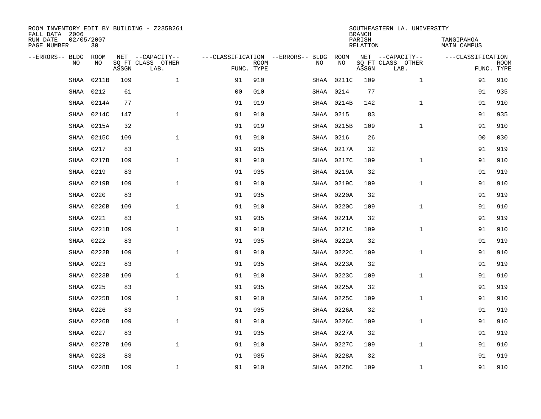| ROOM INVENTORY EDIT BY BUILDING - Z235B261<br>FALL DATA 2006 |                  |       |                           |                |             |                                        | <b>BRANCH</b> | SOUTHEASTERN LA. UNIVERSITY |                           |                           |             |
|--------------------------------------------------------------|------------------|-------|---------------------------|----------------|-------------|----------------------------------------|---------------|-----------------------------|---------------------------|---------------------------|-------------|
| RUN DATE<br>PAGE NUMBER                                      | 02/05/2007<br>30 |       |                           |                |             |                                        |               | PARISH<br>RELATION          |                           | TANGIPAHOA<br>MAIN CAMPUS |             |
| --ERRORS-- BLDG ROOM                                         |                  |       | NET --CAPACITY--          |                |             | ---CLASSIFICATION --ERRORS-- BLDG ROOM |               |                             | NET --CAPACITY--          | ---CLASSIFICATION         |             |
| NO.                                                          | NO.              | ASSGN | SQ FT CLASS OTHER<br>LAB. | FUNC. TYPE     | <b>ROOM</b> | NO.                                    | <b>NO</b>     | ASSGN                       | SQ FT CLASS OTHER<br>LAB. | FUNC. TYPE                | <b>ROOM</b> |
| <b>SHAA</b>                                                  | 0211B            | 109   | $\mathbf{1}$              | 91             | 910         |                                        | SHAA 0211C    | 109                         | $\mathbf{1}$              | 91                        | 910         |
| SHAA                                                         | 0212             | 61    |                           | 0 <sub>0</sub> | 010         | SHAA                                   | 0214          | 77                          |                           | 91                        | 935         |
| SHAA                                                         | 0214A            | 77    |                           | 91             | 919         |                                        | SHAA 0214B    | 142                         | $\mathbf{1}$              | 91                        | 910         |
| SHAA                                                         | 0214C            | 147   | $\mathbf 1$               | 91             | 910         |                                        | SHAA 0215     | 83                          |                           | 91                        | 935         |
| <b>SHAA</b>                                                  | 0215A            | 32    |                           | 91             | 919         |                                        | SHAA 0215B    | 109                         | $\mathbf{1}$              | 91                        | 910         |
| <b>SHAA</b>                                                  | 0215C            | 109   | $\mathbf{1}$              | 91             | 910         |                                        | SHAA 0216     | 26                          |                           | 0 <sub>0</sub>            | 030         |
| SHAA                                                         | 0217             | 83    |                           | 91             | 935         |                                        | SHAA 0217A    | 32                          |                           | 91                        | 919         |
| SHAA                                                         | 0217B            | 109   | $\mathbf 1$               | 91             | 910         |                                        | SHAA 0217C    | 109                         | $\mathbf{1}$              | 91                        | 910         |
| <b>SHAA</b>                                                  | 0219             | 83    |                           | 91             | 935         | SHAA                                   | 0219A         | 32                          |                           | 91                        | 919         |
| <b>SHAA</b>                                                  | 0219B            | 109   | $\mathbf{1}$              | 91             | 910         |                                        | SHAA 0219C    | 109                         | $\mathbf{1}$              | 91                        | 910         |
| <b>SHAA</b>                                                  | 0220             | 83    |                           | 91             | 935         |                                        | SHAA 0220A    | 32                          |                           | 91                        | 919         |
| SHAA                                                         | 0220B            | 109   | $\mathbf{1}$              | 91             | 910         |                                        | SHAA 0220C    | 109                         | $\mathbf{1}$              | 91                        | 910         |
| <b>SHAA</b>                                                  | 0221             | 83    |                           | 91             | 935         |                                        | SHAA 0221A    | 32                          |                           | 91                        | 919         |
| SHAA                                                         | 0221B            | 109   | $\mathbf{1}$              | 91             | 910         |                                        | SHAA 0221C    | 109                         | $\mathbf{1}$              | 91                        | 910         |
| SHAA                                                         | 0222             | 83    |                           | 91             | 935         |                                        | SHAA 0222A    | 32                          |                           | 91                        | 919         |
| SHAA                                                         | 0222B            | 109   | $\mathbf{1}$              | 91             | 910         |                                        | SHAA 0222C    | 109                         | $\mathbf{1}$              | 91                        | 910         |
| SHAA                                                         | 0223             | 83    |                           | 91             | 935         |                                        | SHAA 0223A    | 32                          |                           | 91                        | 919         |
| SHAA                                                         | 0223B            | 109   | $\mathbf 1$               | 91             | 910         |                                        | SHAA 0223C    | 109                         | $\mathbf{1}$              | 91                        | 910         |
| <b>SHAA</b>                                                  | 0225             | 83    |                           | 91             | 935         |                                        | SHAA 0225A    | 32                          |                           | 91                        | 919         |
| <b>SHAA</b>                                                  | 0225B            | 109   | $\mathbf{1}$              | 91             | 910         |                                        | SHAA 0225C    | 109                         | $\mathbf{1}$              | 91                        | 910         |
| SHAA                                                         | 0226             | 83    |                           | 91             | 935         |                                        | SHAA 0226A    | 32                          |                           | 91                        | 919         |
| SHAA                                                         | 0226B            | 109   | $\mathbf{1}$              | 91             | 910         |                                        | SHAA 0226C    | 109                         | $\mathbf{1}$              | 91                        | 910         |
| SHAA                                                         | 0227             | 83    |                           | 91             | 935         |                                        | SHAA 0227A    | 32                          |                           | 91                        | 919         |
| SHAA                                                         | 0227B            | 109   | $\mathbf{1}$              | 91             | 910         |                                        | SHAA 0227C    | 109                         | $\mathbf{1}$              | 91                        | 910         |
| <b>SHAA</b>                                                  | 0228             | 83    |                           | 91             | 935         | SHAA                                   | 0228A         | 32                          |                           | 91                        | 919         |
|                                                              | SHAA 0228B       | 109   | $\mathbf{1}$              | 91             | 910         |                                        | SHAA 0228C    | 109                         | $\mathbf{1}$              | 91                        | 910         |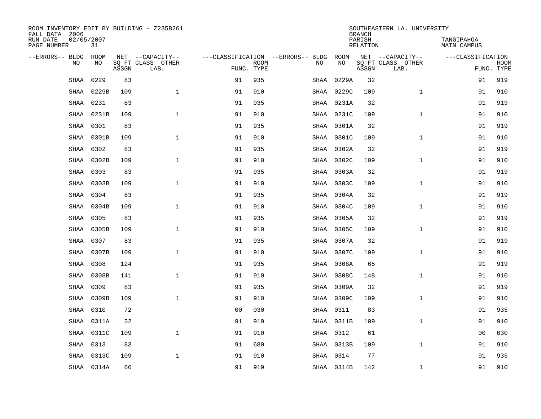| ROOM INVENTORY EDIT BY BUILDING - Z235B261<br>FALL DATA 2006 |                  |       |                           |                |             |                                   |            | <b>BRANCH</b>      | SOUTHEASTERN LA. UNIVERSITY |                                  |                           |
|--------------------------------------------------------------|------------------|-------|---------------------------|----------------|-------------|-----------------------------------|------------|--------------------|-----------------------------|----------------------------------|---------------------------|
| RUN DATE<br>PAGE NUMBER                                      | 02/05/2007<br>31 |       |                           |                |             |                                   |            | PARISH<br>RELATION |                             | TANGIPAHOA<br><b>MAIN CAMPUS</b> |                           |
| --ERRORS-- BLDG                                              | <b>ROOM</b>      |       | NET --CAPACITY--          |                |             | ---CLASSIFICATION --ERRORS-- BLDG | ROOM       |                    | NET --CAPACITY--            | ---CLASSIFICATION                |                           |
| N <sub>O</sub>                                               | NO.              | ASSGN | SO FT CLASS OTHER<br>LAB. | FUNC. TYPE     | <b>ROOM</b> | NO.                               | NO         | ASSGN              | SQ FT CLASS OTHER<br>LAB.   |                                  | <b>ROOM</b><br>FUNC. TYPE |
| SHAA                                                         | 0229             | 83    |                           | 91             | 935         | SHAA                              | 0229A      | 32                 |                             | 91                               | 919                       |
| <b>SHAA</b>                                                  | 0229B            | 109   | $\mathbf{1}$              | 91             | 910         | SHAA                              | 0229C      | 109                | $\mathbf{1}$                | 91                               | 910                       |
| SHAA                                                         | 0231             | 83    |                           | 91             | 935         |                                   | SHAA 0231A | 32                 |                             | 91                               | 919                       |
| SHAA                                                         | 0231B            | 109   | $\mathbf{1}$              | 91             | 910         | SHAA                              | 0231C      | 109                | $\mathbf{1}$                | 91                               | 910                       |
| SHAA                                                         | 0301             | 83    |                           | 91             | 935         | SHAA                              | 0301A      | 32                 |                             | 91                               | 919                       |
| SHAA                                                         | 0301B            | 109   | $\mathbf{1}$              | 91             | 910         |                                   | SHAA 0301C | 109                | $\mathbf{1}$                | 91                               | 910                       |
| SHAA                                                         | 0302             | 83    |                           | 91             | 935         |                                   | SHAA 0302A | 32                 |                             | 91                               | 919                       |
| <b>SHAA</b>                                                  | 0302B            | 109   | $\mathbf{1}$              | 91             | 910         | SHAA                              | 0302C      | 109                | $\mathbf{1}$                | 91                               | 910                       |
| <b>SHAA</b>                                                  | 0303             | 83    |                           | 91             | 935         | SHAA                              | 0303A      | 32                 |                             | 91                               | 919                       |
| SHAA                                                         | 0303B            | 109   | $\mathbf{1}$              | 91             | 910         |                                   | SHAA 0303C | 109                | $\mathbf{1}$                | 91                               | 910                       |
| <b>SHAA</b>                                                  | 0304             | 83    |                           | 91             | 935         |                                   | SHAA 0304A | 32                 |                             | 91                               | 919                       |
| <b>SHAA</b>                                                  | 0304B            | 109   | $\mathbf{1}$              | 91             | 910         |                                   | SHAA 0304C | 109                | $\mathbf{1}$                | 91                               | 910                       |
| <b>SHAA</b>                                                  | 0305             | 83    |                           | 91             | 935         |                                   | SHAA 0305A | 32                 |                             | 91                               | 919                       |
| <b>SHAA</b>                                                  | 0305B            | 109   | $\mathbf{1}$              | 91             | 910         |                                   | SHAA 0305C | 109                | $\mathbf{1}$                | 91                               | 910                       |
| SHAA                                                         | 0307             | 83    |                           | 91             | 935         |                                   | SHAA 0307A | 32                 |                             | 91                               | 919                       |
| SHAA                                                         | 0307B            | 109   | 1                         | 91             | 910         |                                   | SHAA 0307C | 109                | $\mathbf{1}$                | 91                               | 910                       |
| SHAA                                                         | 0308             | 124   |                           | 91             | 935         |                                   | SHAA 0308A | 65                 |                             | 91                               | 919                       |
| SHAA                                                         | 0308B            | 141   | $\mathbf 1$               | 91             | 910         |                                   | SHAA 0308C | 148                | $\mathbf{1}$                | 91                               | 910                       |
| <b>SHAA</b>                                                  | 0309             | 83    |                           | 91             | 935         |                                   | SHAA 0309A | 32                 |                             | 91                               | 919                       |
| <b>SHAA</b>                                                  | 0309B            | 109   | $\mathbf{1}$              | 91             | 910         |                                   | SHAA 0309C | 109                | $\mathbf{1}$                | 91                               | 910                       |
| SHAA                                                         | 0310             | 72    |                           | 0 <sub>0</sub> | 030         |                                   | SHAA 0311  | 83                 |                             | 91                               | 935                       |
| SHAA                                                         | 0311A            | 32    |                           | 91             | 919         |                                   | SHAA 0311B | 109                | $\mathbf{1}$                | 91                               | 910                       |
| SHAA                                                         | 0311C            | 109   | $\mathbf{1}$              | 91             | 910         |                                   | SHAA 0312  | 61                 |                             | 00                               | 030                       |
| <b>SHAA</b>                                                  | 0313             | 83    |                           | 91             | 680         |                                   | SHAA 0313B | 109                | $\mathbf{1}$                | 91                               | 910                       |
| <b>SHAA</b>                                                  | 0313C            | 109   | $\mathbf 1$               | 91             | 910         |                                   | SHAA 0314  | 77                 |                             | 91                               | 935                       |
|                                                              | SHAA 0314A       | 66    |                           | 91             | 919         |                                   | SHAA 0314B | 142                | $\mathbf{1}$                | 91                               | 910                       |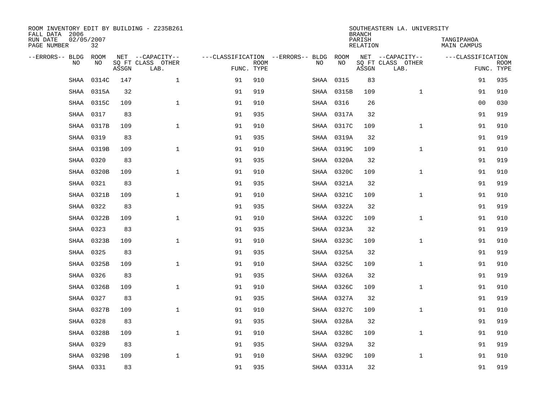| ROOM INVENTORY EDIT BY BUILDING - Z235B261<br>FALL DATA 2006 |                  |       |                           |            |             |                                        | <b>BRANCH</b> | SOUTHEASTERN LA. UNIVERSITY |                           |                           |             |
|--------------------------------------------------------------|------------------|-------|---------------------------|------------|-------------|----------------------------------------|---------------|-----------------------------|---------------------------|---------------------------|-------------|
| RUN DATE<br>PAGE NUMBER                                      | 02/05/2007<br>32 |       |                           |            |             |                                        |               | PARISH<br>RELATION          |                           | TANGIPAHOA<br>MAIN CAMPUS |             |
| --ERRORS-- BLDG ROOM                                         |                  |       | NET --CAPACITY--          |            |             | ---CLASSIFICATION --ERRORS-- BLDG ROOM |               |                             | NET --CAPACITY--          | ---CLASSIFICATION         |             |
| NO.                                                          | NO.              | ASSGN | SO FT CLASS OTHER<br>LAB. | FUNC. TYPE | <b>ROOM</b> | NO.                                    | <b>NO</b>     | ASSGN                       | SQ FT CLASS OTHER<br>LAB. | FUNC. TYPE                | <b>ROOM</b> |
| <b>SHAA</b>                                                  | 0314C            | 147   | $\mathbf{1}$              | 91         | 910         |                                        | SHAA 0315     | 83                          |                           | 91                        | 935         |
| SHAA                                                         | 0315A            | 32    |                           | 91         | 919         |                                        | SHAA 0315B    | 109                         | $\mathbf{1}$              | 91                        | 910         |
| SHAA                                                         | 0315C            | 109   | $\mathbf 1$               | 91         | 910         |                                        | SHAA 0316     | 26                          |                           | 00                        | 030         |
| SHAA                                                         | 0317             | 83    |                           | 91         | 935         |                                        | SHAA 0317A    | 32                          |                           | 91                        | 919         |
| <b>SHAA</b>                                                  | 0317B            | 109   | $\mathbf{1}$              | 91         | 910         |                                        | SHAA 0317C    | 109                         | $\mathbf{1}$              | 91                        | 910         |
| <b>SHAA</b>                                                  | 0319             | 83    |                           | 91         | 935         |                                        | SHAA 0319A    | 32                          |                           | 91                        | 919         |
| SHAA                                                         | 0319B            | 109   | $\mathbf{1}$              | 91         | 910         |                                        | SHAA 0319C    | 109                         | $\mathbf{1}$              | 91                        | 910         |
| SHAA                                                         | 0320             | 83    |                           | 91         | 935         |                                        | SHAA 0320A    | 32                          |                           | 91                        | 919         |
| <b>SHAA</b>                                                  | 0320B            | 109   | $\mathbf{1}$              | 91         | 910         |                                        | SHAA 0320C    | 109                         | $\mathbf{1}$              | 91                        | 910         |
| <b>SHAA</b>                                                  | 0321             | 83    |                           | 91         | 935         |                                        | SHAA 0321A    | 32                          |                           | 91                        | 919         |
| SHAA                                                         | 0321B            | 109   | $\mathbf{1}$              | 91         | 910         |                                        | SHAA 0321C    | 109                         | $\mathbf{1}$              | 91                        | 910         |
| SHAA                                                         | 0322             | 83    |                           | 91         | 935         |                                        | SHAA 0322A    | 32                          |                           | 91                        | 919         |
| SHAA                                                         | 0322B            | 109   | $\mathbf{1}$              | 91         | 910         |                                        | SHAA 0322C    | 109                         | $\mathbf{1}$              | 91                        | 910         |
| SHAA                                                         | 0323             | 83    |                           | 91         | 935         |                                        | SHAA 0323A    | 32                          |                           | 91                        | 919         |
| SHAA                                                         | 0323B            | 109   | $\mathbf{1}$              | 91         | 910         |                                        | SHAA 0323C    | 109                         | $\mathbf{1}$              | 91                        | 910         |
| SHAA                                                         | 0325             | 83    |                           | 91         | 935         |                                        | SHAA 0325A    | 32                          |                           | 91                        | 919         |
| SHAA                                                         | 0325B            | 109   | $\mathbf{1}$              | 91         | 910         |                                        | SHAA 0325C    | 109                         | $\mathbf{1}$              | 91                        | 910         |
| SHAA                                                         | 0326             | 83    |                           | 91         | 935         |                                        | SHAA 0326A    | 32                          |                           | 91                        | 919         |
| SHAA                                                         | 0326B            | 109   | $\mathbf{1}$              | 91         | 910         |                                        | SHAA 0326C    | 109                         | $\mathbf{1}$              | 91                        | 910         |
| <b>SHAA</b>                                                  | 0327             | 83    |                           | 91         | 935         |                                        | SHAA 0327A    | 32                          |                           | 91                        | 919         |
| SHAA                                                         | 0327B            | 109   | $\mathbf{1}$              | 91         | 910         |                                        | SHAA 0327C    | 109                         | $\mathbf{1}$              | 91                        | 910         |
| SHAA                                                         | 0328             | 83    |                           | 91         | 935         |                                        | SHAA 0328A    | 32                          |                           | 91                        | 919         |
| SHAA                                                         | 0328B            | 109   | $\mathbf{1}$              | 91         | 910         |                                        | SHAA 0328C    | 109                         | $\mathbf{1}$              | 91                        | 910         |
| SHAA                                                         | 0329             | 83    |                           | 91         | 935         |                                        | SHAA 0329A    | 32                          |                           | 91                        | 919         |
| <b>SHAA</b>                                                  | 0329B            | 109   | $\mathbf{1}$              | 91         | 910         |                                        | SHAA 0329C    | 109                         | $\mathbf{1}$              | 91                        | 910         |
|                                                              | SHAA 0331        | 83    |                           | 91         | 935         |                                        | SHAA 0331A    | 32                          |                           | 91                        | 919         |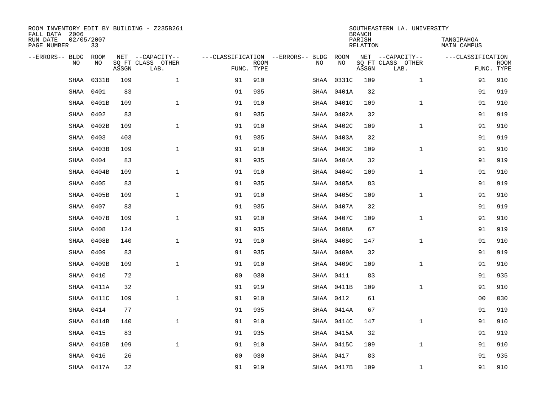| ROOM INVENTORY EDIT BY BUILDING - Z235B261<br>FALL DATA 2006 |                  |       |                           |                |                           |                                   |                   | <b>BRANCH</b>      | SOUTHEASTERN LA. UNIVERSITY |                                  |                           |
|--------------------------------------------------------------|------------------|-------|---------------------------|----------------|---------------------------|-----------------------------------|-------------------|--------------------|-----------------------------|----------------------------------|---------------------------|
| RUN DATE<br>PAGE NUMBER                                      | 02/05/2007<br>33 |       |                           |                |                           |                                   |                   | PARISH<br>RELATION |                             | TANGIPAHOA<br><b>MAIN CAMPUS</b> |                           |
| --ERRORS-- BLDG                                              | <b>ROOM</b>      |       | NET --CAPACITY--          |                |                           | ---CLASSIFICATION --ERRORS-- BLDG | ROOM<br><b>NO</b> |                    | NET --CAPACITY--            | ---CLASSIFICATION                |                           |
| N <sub>O</sub>                                               | NO.              | ASSGN | SO FT CLASS OTHER<br>LAB. |                | <b>ROOM</b><br>FUNC. TYPE | NO.                               |                   | ASSGN              | SO FT CLASS OTHER<br>LAB.   |                                  | <b>ROOM</b><br>FUNC. TYPE |
| SHAA                                                         | 0331B            | 109   | $\mathbf{1}$              | 91             | 910                       | SHAA                              | 0331C             | 109                | $\mathbf{1}$                | 91                               | 910                       |
| <b>SHAA</b>                                                  | 0401             | 83    |                           | 91             | 935                       | SHAA                              | 0401A             | 32                 |                             | 91                               | 919                       |
| SHAA                                                         | 0401B            | 109   | $\mathbf{1}$              | 91             | 910                       |                                   | SHAA 0401C        | 109                | $\mathbf{1}$                | 91                               | 910                       |
| SHAA                                                         | 0402             | 83    |                           | 91             | 935                       |                                   | SHAA 0402A        | 32                 |                             | 91                               | 919                       |
| SHAA                                                         | 0402B            | 109   | $\mathbf 1$               | 91             | 910                       |                                   | SHAA 0402C        | 109                | $\mathbf{1}$                | 91                               | 910                       |
| SHAA                                                         | 0403             | 403   |                           | 91             | 935                       |                                   | SHAA 0403A        | 32                 |                             | 91                               | 919                       |
| SHAA                                                         | 0403B            | 109   | $\mathbf{1}$              | 91             | 910                       |                                   | SHAA 0403C        | 109                | $\mathbf{1}$                | 91                               | 910                       |
| <b>SHAA</b>                                                  | 0404             | 83    |                           | 91             | 935                       |                                   | SHAA 0404A        | 32                 |                             | 91                               | 919                       |
| <b>SHAA</b>                                                  | 0404B            | 109   | $\mathbf{1}$              | 91             | 910                       | SHAA                              | 0404C             | 109                | $\mathbf{1}$                | 91                               | 910                       |
| SHAA                                                         | 0405             | 83    |                           | 91             | 935                       |                                   | SHAA 0405A        | 83                 |                             | 91                               | 919                       |
| SHAA                                                         | 0405B            | 109   | $\mathbf{1}$              | 91             | 910                       |                                   | SHAA 0405C        | 109                | $\mathbf{1}$                | 91                               | 910                       |
| SHAA                                                         | 0407             | 83    |                           | 91             | 935                       |                                   | SHAA 0407A        | 32                 |                             | 91                               | 919                       |
| SHAA                                                         | 0407B            | 109   | $\mathbf{1}$              | 91             | 910                       |                                   | SHAA 0407C        | 109                | $\mathbf{1}$                | 91                               | 910                       |
| <b>SHAA</b>                                                  | 0408             | 124   |                           | 91             | 935                       |                                   | SHAA 0408A        | 67                 |                             | 91                               | 919                       |
| SHAA                                                         | 0408B            | 140   | $\mathbf{1}$              | 91             | 910                       |                                   | SHAA 0408C        | 147                | $\mathbf{1}$                | 91                               | 910                       |
| SHAA                                                         | 0409             | 83    |                           | 91             | 935                       |                                   | SHAA 0409A        | 32                 |                             | 91                               | 919                       |
| SHAA                                                         | 0409B            | 109   | $\mathbf{1}$              | 91             | 910                       |                                   | SHAA 0409C        | 109                | $\mathbf{1}$                | 91                               | 910                       |
| SHAA                                                         | 0410             | 72    |                           | 0 <sub>0</sub> | 030                       |                                   | SHAA 0411         | 83                 |                             | 91                               | 935                       |
| <b>SHAA</b>                                                  | 0411A            | 32    |                           | 91             | 919                       |                                   | SHAA 0411B        | 109                | $\mathbf{1}$                | 91                               | 910                       |
| <b>SHAA</b>                                                  | 0411C            | 109   | $\mathbf{1}$              | 91             | 910                       |                                   | SHAA 0412         | 61                 |                             | 0 <sub>0</sub>                   | 030                       |
| SHAA                                                         | 0414             | 77    |                           | 91             | 935                       |                                   | SHAA 0414A        | 67                 |                             | 91                               | 919                       |
| SHAA                                                         | 0414B            | 140   | $\mathbf{1}$              | 91             | 910                       |                                   | SHAA 0414C        | 147                | $\mathbf{1}$                | 91                               | 910                       |
| SHAA                                                         | 0415             | 83    |                           | 91             | 935                       |                                   | SHAA 0415A        | 32                 |                             | 91                               | 919                       |
| SHAA                                                         | 0415B            | 109   | $\mathbf{1}$              | 91             | 910                       |                                   | SHAA 0415C        | 109                | $\mathbf{1}$                | 91                               | 910                       |
| <b>SHAA</b>                                                  | 0416             | 26    |                           | 0 <sub>0</sub> | 030                       |                                   | SHAA 0417         | 83                 |                             | 91                               | 935                       |
|                                                              | SHAA 0417A       | 32    |                           | 91             | 919                       |                                   | SHAA 0417B        | 109                | $\mathbf{1}$                | 91                               | 910                       |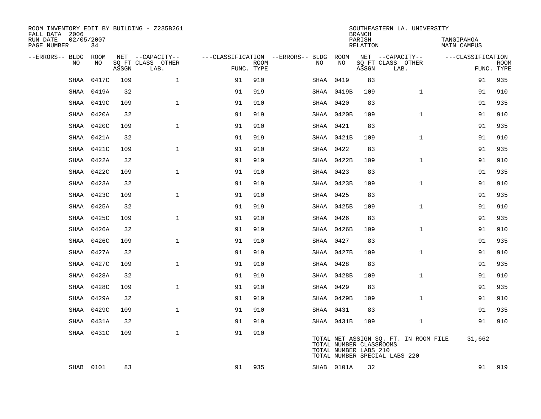| ROOM INVENTORY EDIT BY BUILDING - Z235B261<br>FALL DATA 2006 |                  |       |                           |            |             |                                        |                                                  | <b>BRANCH</b>      | SOUTHEASTERN LA. UNIVERSITY                                            |                           |                           |
|--------------------------------------------------------------|------------------|-------|---------------------------|------------|-------------|----------------------------------------|--------------------------------------------------|--------------------|------------------------------------------------------------------------|---------------------------|---------------------------|
| RUN DATE<br>PAGE NUMBER                                      | 02/05/2007<br>34 |       |                           |            |             |                                        |                                                  | PARISH<br>RELATION |                                                                        | TANGIPAHOA<br>MAIN CAMPUS |                           |
| --ERRORS-- BLDG ROOM                                         |                  |       | NET --CAPACITY--          |            |             | ---CLASSIFICATION --ERRORS-- BLDG ROOM |                                                  |                    | NET --CAPACITY--                                                       | ---CLASSIFICATION         |                           |
| NO.                                                          | NO               | ASSGN | SQ FT CLASS OTHER<br>LAB. | FUNC. TYPE | <b>ROOM</b> | NO                                     | NO                                               | ASSGN              | SQ FT CLASS OTHER<br>LAB.                                              |                           | <b>ROOM</b><br>FUNC. TYPE |
| SHAA                                                         | 0417C            | 109   | $\mathbf{1}$              | 91         | 910         | SHAA                                   | 0419                                             | 83                 |                                                                        | 91                        | 935                       |
| <b>SHAA</b>                                                  | 0419A            | 32    |                           | 91         | 919         |                                        | SHAA 0419B                                       | 109                | $\mathbf{1}$                                                           | 91                        | 910                       |
| SHAA                                                         | 0419C            | 109   | $\mathbf 1$               | 91         | 910         |                                        | SHAA 0420                                        | 83                 |                                                                        | 91                        | 935                       |
| SHAA                                                         | 0420A            | 32    |                           | 91         | 919         |                                        | SHAA 0420B                                       | 109                | $\mathbf{1}$                                                           | 91                        | 910                       |
| SHAA                                                         | 0420C            | 109   | $\mathbf{1}$              | 91         | 910         |                                        | SHAA 0421                                        | 83                 |                                                                        | 91                        | 935                       |
| SHAA                                                         | 0421A            | 32    |                           | 91         | 919         |                                        | SHAA 0421B                                       | 109                | $\mathbf{1}$                                                           | 91                        | 910                       |
| SHAA                                                         | 0421C            | 109   | $\mathbf{1}$              | 91         | 910         |                                        | SHAA 0422                                        | 83                 |                                                                        | 91                        | 935                       |
| SHAA                                                         | 0422A            | 32    |                           | 91         | 919         |                                        | SHAA 0422B                                       | 109                | $\mathbf{1}$                                                           | 91                        | 910                       |
| SHAA                                                         | 0422C            | 109   | $\mathbf{1}$              | 91         | 910         |                                        | SHAA 0423                                        | 83                 |                                                                        | 91                        | 935                       |
| SHAA                                                         | 0423A            | 32    |                           | 91         | 919         |                                        | SHAA 0423B                                       | 109                | $\mathbf{1}$                                                           | 91                        | 910                       |
| SHAA                                                         | 0423C            | 109   | $\mathbf 1$               | 91         | 910         |                                        | SHAA 0425                                        | 83                 |                                                                        | 91                        | 935                       |
| SHAA                                                         | 0425A            | 32    |                           | 91         | 919         |                                        | SHAA 0425B                                       | 109                | $\mathbf{1}$                                                           | 91                        | 910                       |
| SHAA                                                         | 0425C            | 109   | $\mathbf{1}$              | 91         | 910         |                                        | SHAA 0426                                        | 83                 |                                                                        | 91                        | 935                       |
| SHAA                                                         | 0426A            | 32    |                           | 91         | 919         |                                        | SHAA 0426B                                       | 109                | $\mathbf{1}$                                                           | 91                        | 910                       |
| SHAA                                                         | 0426C            | 109   | $\mathbf{1}$              | 91         | 910         |                                        | SHAA 0427                                        | 83                 |                                                                        | 91                        | 935                       |
| <b>SHAA</b>                                                  | 0427A            | 32    |                           | 91         | 919         |                                        | SHAA 0427B                                       | 109                | $\mathbf{1}$                                                           | 91                        | 910                       |
| SHAA                                                         | 0427C            | 109   | $\mathbf 1$               | 91         | 910         |                                        | SHAA 0428                                        | 83                 |                                                                        | 91                        | 935                       |
| SHAA                                                         | 0428A            | 32    |                           | 91         | 919         |                                        | SHAA 0428B                                       | 109                | $\mathbf{1}$                                                           | 91                        | 910                       |
| SHAA                                                         | 0428C            | 109   | $\mathbf{1}$              | 91         | 910         |                                        | SHAA 0429                                        | 83                 |                                                                        | 91                        | 935                       |
| SHAA                                                         | 0429A            | 32    |                           | 91         | 919         |                                        | SHAA 0429B                                       | 109                | $\mathbf{1}$                                                           | 91                        | 910                       |
| SHAA                                                         | 0429C            | 109   | $\mathbf{1}$              | 91         | 910         |                                        | SHAA 0431                                        | 83                 |                                                                        | 91                        | 935                       |
| SHAA                                                         | 0431A            | 32    |                           | 91         | 919         |                                        | SHAA 0431B                                       | 109                | $\mathbf{1}$                                                           | 91                        | 910                       |
|                                                              | SHAA 0431C       | 109   | $\mathbf{1}$              | 91         | 910         |                                        | TOTAL NUMBER CLASSROOMS<br>TOTAL NUMBER LABS 210 |                    | TOTAL NET ASSIGN SQ. FT. IN ROOM FILE<br>TOTAL NUMBER SPECIAL LABS 220 | 31,662                    |                           |
|                                                              | SHAB 0101        | 83    |                           | 91         | 935         |                                        | SHAB 0101A                                       | 32                 |                                                                        | 91                        | 919                       |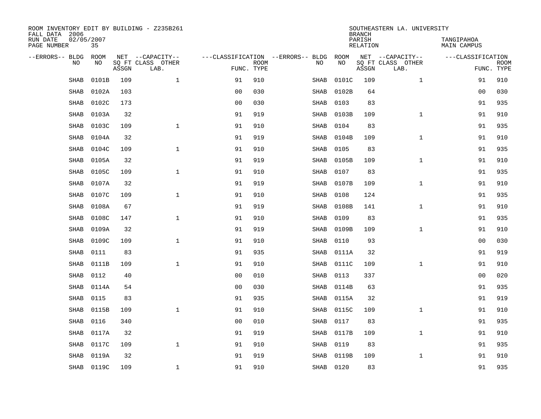| ROOM INVENTORY EDIT BY BUILDING - Z235B261<br>FALL DATA 2006 |                  |       |                           |                |             |                                   |      | <b>BRANCH</b> | SOUTHEASTERN LA. UNIVERSITY |                           |                                  |             |
|--------------------------------------------------------------|------------------|-------|---------------------------|----------------|-------------|-----------------------------------|------|---------------|-----------------------------|---------------------------|----------------------------------|-------------|
| RUN DATE<br>PAGE NUMBER                                      | 02/05/2007<br>35 |       |                           |                |             |                                   |      |               | PARISH<br><b>RELATION</b>   |                           | TANGIPAHOA<br><b>MAIN CAMPUS</b> |             |
| --ERRORS-- BLDG                                              | ROOM             |       | NET --CAPACITY--          |                |             | ---CLASSIFICATION --ERRORS-- BLDG |      | ROOM          |                             | NET --CAPACITY--          | ---CLASSIFICATION                |             |
| NO                                                           | NO               | ASSGN | SQ FT CLASS OTHER<br>LAB. | FUNC. TYPE     | <b>ROOM</b> | NO                                |      | NO            | ASSGN                       | SQ FT CLASS OTHER<br>LAB. | FUNC. TYPE                       | <b>ROOM</b> |
| SHAB                                                         | 0101B            | 109   | $\mathbf{1}$              | 91             | 910         | SHAB                              |      | 0101C         | 109                         | $\mathbf{1}$              | 91                               | 910         |
| <b>SHAB</b>                                                  | 0102A            | 103   |                           | 0 <sub>0</sub> | 030         | SHAB                              |      | 0102B         | 64                          |                           | 00                               | 030         |
| <b>SHAB</b>                                                  | 0102C            | 173   |                           | 0 <sub>0</sub> | 030         | SHAB                              |      | 0103          | 83                          |                           | 91                               | 935         |
| <b>SHAB</b>                                                  | 0103A            | 32    |                           | 91             | 919         |                                   | SHAB | 0103B         | 109                         | $\mathbf{1}$              | 91                               | 910         |
| <b>SHAB</b>                                                  | 0103C            | 109   | $\mathbf{1}$              | 91             | 910         | SHAB                              |      | 0104          | 83                          |                           | 91                               | 935         |
| <b>SHAB</b>                                                  | 0104A            | 32    |                           | 91             | 919         |                                   | SHAB | 0104B         | 109                         | $\mathbf{1}$              | 91                               | 910         |
| <b>SHAB</b>                                                  | 0104C            | 109   | $\mathbf{1}$              | 91             | 910         | SHAB                              |      | 0105          | 83                          |                           | 91                               | 935         |
| <b>SHAB</b>                                                  | 0105A            | 32    |                           | 91             | 919         |                                   | SHAB | 0105B         | 109                         | $\mathbf{1}$              | 91                               | 910         |
| <b>SHAB</b>                                                  | 0105C            | 109   | $\mathbf{1}$              | 91             | 910         | SHAB                              |      | 0107          | 83                          |                           | 91                               | 935         |
| <b>SHAB</b>                                                  | 0107A            | 32    |                           | 91             | 919         |                                   | SHAB | 0107B         | 109                         | $\mathbf{1}$              | 91                               | 910         |
| <b>SHAB</b>                                                  | 0107C            | 109   | $\mathbf{1}$              | 91             | 910         | SHAB                              |      | 0108          | 124                         |                           | 91                               | 935         |
| <b>SHAB</b>                                                  | 0108A            | 67    |                           | 91             | 919         |                                   | SHAB | 0108B         | 141                         | $\mathbf{1}$              | 91                               | 910         |
| SHAB                                                         | 0108C            | 147   | $\mathbf 1$               | 91             | 910         | SHAB                              |      | 0109          | 83                          |                           | 91                               | 935         |
| SHAB                                                         | 0109A            | 32    |                           | 91             | 919         |                                   | SHAB | 0109B         | 109                         | $\mathbf{1}$              | 91                               | 910         |
| <b>SHAB</b>                                                  | 0109C            | 109   | $\mathbf{1}$              | 91             | 910         | SHAB                              |      | 0110          | 93                          |                           | 00                               | 030         |
| <b>SHAB</b>                                                  | 0111             | 83    |                           | 91             | 935         |                                   | SHAB | 0111A         | 32                          |                           | 91                               | 919         |
| <b>SHAB</b>                                                  | 0111B            | 109   | $\mathbf{1}$              | 91             | 910         |                                   | SHAB | 0111C         | 109                         | $\mathbf{1}$              | 91                               | 910         |
| <b>SHAB</b>                                                  | 0112             | 40    |                           | 0 <sub>0</sub> | 010         | SHAB                              |      | 0113          | 337                         |                           | 0 <sub>0</sub>                   | 020         |
| <b>SHAB</b>                                                  | 0114A            | 54    |                           | 0 <sub>0</sub> | 030         | SHAB                              |      | 0114B         | 63                          |                           | 91                               | 935         |
| SHAB                                                         | 0115             | 83    |                           | 91             | 935         |                                   | SHAB | 0115A         | 32                          |                           | 91                               | 919         |
| SHAB                                                         | 0115B            | 109   | $\mathbf 1$               | 91             | 910         |                                   | SHAB | 0115C         | 109                         | $\mathbf{1}$              | 91                               | 910         |
| <b>SHAB</b>                                                  | 0116             | 340   |                           | 0 <sub>0</sub> | 010         |                                   | SHAB | 0117          | 83                          |                           | 91                               | 935         |
| <b>SHAB</b>                                                  | 0117A            | 32    |                           | 91             | 919         |                                   | SHAB | 0117B         | 109                         | $\mathbf{1}$              | 91                               | 910         |
| <b>SHAB</b>                                                  | 0117C            | 109   | $\mathbf{1}$              | 91             | 910         | SHAB                              |      | 0119          | 83                          |                           | 91                               | 935         |
| <b>SHAB</b>                                                  | 0119A            | 32    |                           | 91             | 919         |                                   | SHAB | 0119B         | 109                         | $\mathbf{1}$              | 91                               | 910         |
| SHAB                                                         | 0119C            | 109   | $\mathbf{1}$              | 91             | 910         |                                   |      | SHAB 0120     | 83                          |                           | 91                               | 935         |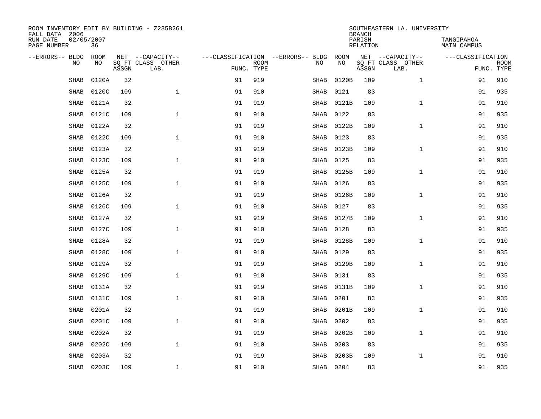| ROOM INVENTORY EDIT BY BUILDING - Z235B261<br>FALL DATA 2006 |                  |       |                           |                                   |             |             |       | <b>BRANCH</b>      | SOUTHEASTERN LA. UNIVERSITY |                           |             |
|--------------------------------------------------------------|------------------|-------|---------------------------|-----------------------------------|-------------|-------------|-------|--------------------|-----------------------------|---------------------------|-------------|
| RUN DATE<br>PAGE NUMBER                                      | 02/05/2007<br>36 |       |                           |                                   |             |             |       | PARISH<br>RELATION |                             | TANGIPAHOA<br>MAIN CAMPUS |             |
| --ERRORS-- BLDG                                              | <b>ROOM</b>      |       | NET --CAPACITY--          | ---CLASSIFICATION --ERRORS-- BLDG |             |             | ROOM  |                    | NET --CAPACITY--            | ---CLASSIFICATION         |             |
| N <sub>O</sub>                                               | NO.              | ASSGN | SO FT CLASS OTHER<br>LAB. | FUNC. TYPE                        | <b>ROOM</b> | NO.         | NO    | ASSGN              | SO FT CLASS OTHER<br>LAB.   | FUNC. TYPE                | <b>ROOM</b> |
| <b>SHAB</b>                                                  | 0120A            | 32    |                           | 91                                | 919         | SHAB        | 0120B | 109                | $\mathbf{1}$                | 91                        | 910         |
| <b>SHAB</b>                                                  | 0120C            | 109   | $\mathbf{1}$              | 91                                | 910         | SHAB        | 0121  | 83                 |                             | 91                        | 935         |
| <b>SHAB</b>                                                  | 0121A            | 32    |                           | 91                                | 919         | SHAB        | 0121B | 109                | $\mathbf{1}$                | 91                        | 910         |
| <b>SHAB</b>                                                  | 0121C            | 109   | $\mathbf{1}$              | 91                                | 910         | SHAB        | 0122  | 83                 |                             | 91                        | 935         |
| SHAB                                                         | 0122A            | 32    |                           | 91                                | 919         | SHAB        | 0122B | 109                | $\mathbf{1}$                | 91                        | 910         |
| <b>SHAB</b>                                                  | 0122C            | 109   | $\mathbf 1$               | 91                                | 910         | SHAB        | 0123  | 83                 |                             | 91                        | 935         |
| SHAB                                                         | 0123A            | 32    |                           | 91                                | 919         | SHAB        | 0123B | 109                | $\mathbf{1}$                | 91                        | 910         |
| <b>SHAB</b>                                                  | 0123C            | 109   | $\mathbf{1}$              | 91                                | 910         | <b>SHAB</b> | 0125  | 83                 |                             | 91                        | 935         |
| <b>SHAB</b>                                                  | 0125A            | 32    |                           | 91                                | 919         | <b>SHAB</b> | 0125B | 109                | $\mathbf{1}$                | 91                        | 910         |
| <b>SHAB</b>                                                  | 0125C            | 109   | $\mathbf{1}$              | 91                                | 910         | SHAB        | 0126  | 83                 |                             | 91                        | 935         |
| SHAB                                                         | 0126A            | 32    |                           | 91                                | 919         | SHAB        | 0126B | 109                | $\mathbf{1}$                | 91                        | 910         |
| <b>SHAB</b>                                                  | 0126C            | 109   | $\mathbf 1$               | 91                                | 910         | SHAB        | 0127  | 83                 |                             | 91                        | 935         |
| <b>SHAB</b>                                                  | 0127A            | 32    |                           | 91                                | 919         | SHAB        | 0127B | 109                | $\mathbf{1}$                | 91                        | 910         |
| <b>SHAB</b>                                                  | 0127C            | 109   | $\mathbf{1}$              | 91                                | 910         | SHAB        | 0128  | 83                 |                             | 91                        | 935         |
| SHAB                                                         | 0128A            | 32    |                           | 91                                | 919         | SHAB        | 0128B | 109                | $\mathbf{1}$                | 91                        | 910         |
| SHAB                                                         | 0128C            | 109   | 1                         | 91                                | 910         | SHAB        | 0129  | 83                 |                             | 91                        | 935         |
| SHAB                                                         | 0129A            | 32    |                           | 91                                | 919         | SHAB        | 0129B | 109                | $\mathbf{1}$                | 91                        | 910         |
| SHAB                                                         | 0129C            | 109   | $\mathbf 1$               | 91                                | 910         | SHAB        | 0131  | 83                 |                             | 91                        | 935         |
| <b>SHAB</b>                                                  | 0131A            | 32    |                           | 91                                | 919         | SHAB        | 0131B | 109                | $\mathbf{1}$                | 91                        | 910         |
| <b>SHAB</b>                                                  | 0131C            | 109   | $\mathbf{1}$              | 91                                | 910         | SHAB        | 0201  | 83                 |                             | 91                        | 935         |
| SHAB                                                         | 0201A            | 32    |                           | 91                                | 919         | SHAB        | 0201B | 109                | $\mathbf{1}$                | 91                        | 910         |
| <b>SHAB</b>                                                  | 0201C            | 109   | $\mathbf{1}$              | 91                                | 910         | SHAB        | 0202  | 83                 |                             | 91                        | 935         |
| SHAB                                                         | 0202A            | 32    |                           | 91                                | 919         | SHAB        | 0202B | 109                | $\mathbf{1}$                | 91                        | 910         |
| <b>SHAB</b>                                                  | 0202C            | 109   | $\mathbf{1}$              | 91                                | 910         | SHAB        | 0203  | 83                 |                             | 91                        | 935         |
| <b>SHAB</b>                                                  | 0203A            | 32    |                           | 91                                | 919         | <b>SHAB</b> | 0203B | 109                | $\mathbf{1}$                | 91                        | 910         |
| SHAB                                                         | 0203C            | 109   | $\mathbf{1}$              | 91                                | 910         | SHAB        | 0204  | 83                 |                             | 91                        | 935         |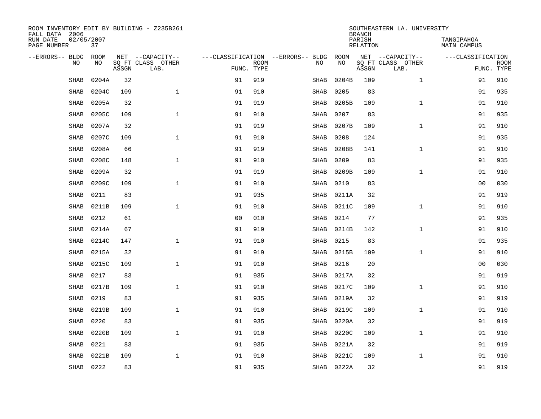| ROOM INVENTORY EDIT BY BUILDING - Z235B261<br>FALL DATA 2006 |                  |       |                           |                |             |                                   |            | <b>BRANCH</b>      | SOUTHEASTERN LA. UNIVERSITY |                                  |                           |
|--------------------------------------------------------------|------------------|-------|---------------------------|----------------|-------------|-----------------------------------|------------|--------------------|-----------------------------|----------------------------------|---------------------------|
| RUN DATE<br>PAGE NUMBER                                      | 02/05/2007<br>37 |       |                           |                |             |                                   |            | PARISH<br>RELATION |                             | TANGIPAHOA<br><b>MAIN CAMPUS</b> |                           |
| --ERRORS-- BLDG                                              | <b>ROOM</b>      |       | NET --CAPACITY--          |                |             | ---CLASSIFICATION --ERRORS-- BLDG | ROOM       |                    | NET --CAPACITY--            | ---CLASSIFICATION                |                           |
| N <sub>O</sub>                                               | NO.              | ASSGN | SO FT CLASS OTHER<br>LAB. | FUNC. TYPE     | <b>ROOM</b> | NO.                               | <b>NO</b>  | ASSGN              | SO FT CLASS OTHER<br>LAB.   |                                  | <b>ROOM</b><br>FUNC. TYPE |
| <b>SHAB</b>                                                  | 0204A            | 32    |                           | 91             | 919         | <b>SHAB</b>                       | 0204B      | 109                | $\mathbf{1}$                | 91                               | 910                       |
| <b>SHAB</b>                                                  | 0204C            | 109   | $\mathbf{1}$              | 91             | 910         | <b>SHAB</b>                       | 0205       | 83                 |                             | 91                               | 935                       |
| <b>SHAB</b>                                                  | 0205A            | 32    |                           | 91             | 919         | SHAB                              | 0205B      | 109                | $\mathbf{1}$                | 91                               | 910                       |
| <b>SHAB</b>                                                  | 0205C            | 109   | $\mathbf{1}$              | 91             | 910         | SHAB                              | 0207       | 83                 |                             | 91                               | 935                       |
| SHAB                                                         | 0207A            | 32    |                           | 91             | 919         | SHAB                              | 0207B      | 109                | $\mathbf{1}$                | 91                               | 910                       |
| <b>SHAB</b>                                                  | 0207C            | 109   | $\mathbf 1$               | 91             | 910         | SHAB                              | 0208       | 124                |                             | 91                               | 935                       |
| <b>SHAB</b>                                                  | 0208A            | 66    |                           | 91             | 919         | SHAB                              | 0208B      | 141                | $\mathbf{1}$                | 91                               | 910                       |
| <b>SHAB</b>                                                  | 0208C            | 148   | $\mathbf{1}$              | 91             | 910         | <b>SHAB</b>                       | 0209       | 83                 |                             | 91                               | 935                       |
| <b>SHAB</b>                                                  | 0209A            | 32    |                           | 91             | 919         | <b>SHAB</b>                       | 0209B      | 109                | $\mathbf{1}$                | 91                               | 910                       |
| <b>SHAB</b>                                                  | 0209C            | 109   | $\mathbf{1}$              | 91             | 910         | SHAB                              | 0210       | 83                 |                             | 00                               | 030                       |
| <b>SHAB</b>                                                  | 0211             | 83    |                           | 91             | 935         | SHAB                              | 0211A      | 32                 |                             | 91                               | 919                       |
| <b>SHAB</b>                                                  | 0211B            | 109   | $\mathbf 1$               | 91             | 910         | SHAB                              | 0211C      | 109                | $\mathbf{1}$                | 91                               | 910                       |
| <b>SHAB</b>                                                  | 0212             | 61    |                           | 0 <sub>0</sub> | 010         | SHAB                              | 0214       | 77                 |                             | 91                               | 935                       |
| <b>SHAB</b>                                                  | 0214A            | 67    |                           | 91             | 919         | SHAB                              | 0214B      | 142                | $\mathbf{1}$                | 91                               | 910                       |
| SHAB                                                         | 0214C            | 147   | $\mathbf{1}$              | 91             | 910         | SHAB                              | 0215       | 83                 |                             | 91                               | 935                       |
| <b>SHAB</b>                                                  | 0215A            | 32    |                           | 91             | 919         | SHAB                              | 0215B      | 109                | $\mathbf{1}$                | 91                               | 910                       |
| <b>SHAB</b>                                                  | 0215C            | 109   | $\mathbf{1}$              | 91             | 910         | SHAB                              | 0216       | 20                 |                             | 00                               | 030                       |
| <b>SHAB</b>                                                  | 0217             | 83    |                           | 91             | 935         | SHAB                              | 0217A      | 32                 |                             | 91                               | 919                       |
| <b>SHAB</b>                                                  | 0217B            | 109   | $\mathbf{1}$              | 91             | 910         | SHAB                              | 0217C      | 109                | $\mathbf{1}$                | 91                               | 910                       |
| <b>SHAB</b>                                                  | 0219             | 83    |                           | 91             | 935         | SHAB                              | 0219A      | 32                 |                             | 91                               | 919                       |
| <b>SHAB</b>                                                  | 0219B            | 109   | $\mathbf 1$               | 91             | 910         | SHAB                              | 0219C      | 109                | $\mathbf{1}$                | 91                               | 910                       |
| <b>SHAB</b>                                                  | 0220             | 83    |                           | 91             | 935         | SHAB                              | 0220A      | 32                 |                             | 91                               | 919                       |
| <b>SHAB</b>                                                  | 0220B            | 109   | $\mathbf{1}$              | 91             | 910         | SHAB                              | 0220C      | 109                | $\mathbf{1}$                | 91                               | 910                       |
| <b>SHAB</b>                                                  | 0221             | 83    |                           | 91             | 935         | SHAB                              | 0221A      | 32                 |                             | 91                               | 919                       |
| <b>SHAB</b>                                                  | 0221B            | 109   | $\mathbf 1$               | 91             | 910         | <b>SHAB</b>                       | 0221C      | 109                | $\mathbf{1}$                | 91                               | 910                       |
| SHAB                                                         | 0222             | 83    |                           | 91             | 935         |                                   | SHAB 0222A | 32                 |                             | 91                               | 919                       |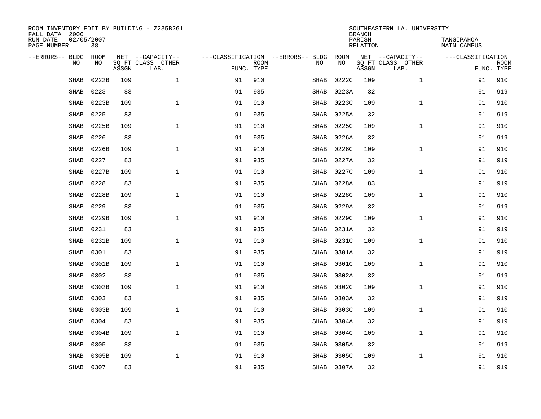| ROOM INVENTORY EDIT BY BUILDING - Z235B261<br>FALL DATA 2006 |                  |       |                           |    |                           |                                   |            | <b>BRANCH</b>      | SOUTHEASTERN LA. UNIVERSITY |                                  |                           |
|--------------------------------------------------------------|------------------|-------|---------------------------|----|---------------------------|-----------------------------------|------------|--------------------|-----------------------------|----------------------------------|---------------------------|
| RUN DATE<br>PAGE NUMBER                                      | 02/05/2007<br>38 |       |                           |    |                           |                                   |            | PARISH<br>RELATION |                             | TANGIPAHOA<br><b>MAIN CAMPUS</b> |                           |
| --ERRORS-- BLDG                                              | <b>ROOM</b>      |       | NET --CAPACITY--          |    |                           | ---CLASSIFICATION --ERRORS-- BLDG | ROOM       |                    | NET --CAPACITY--            | ---CLASSIFICATION                |                           |
| N <sub>O</sub>                                               | NO.              | ASSGN | SO FT CLASS OTHER<br>LAB. |    | <b>ROOM</b><br>FUNC. TYPE | NO.                               | <b>NO</b>  | ASSGN              | SO FT CLASS OTHER<br>LAB.   |                                  | <b>ROOM</b><br>FUNC. TYPE |
| <b>SHAB</b>                                                  | 0222B            | 109   | $\mathbf{1}$              | 91 | 910                       | <b>SHAB</b>                       | 0222C      | 109                | $\mathbf{1}$                | 91                               | 910                       |
| <b>SHAB</b>                                                  | 0223             | 83    |                           | 91 | 935                       | <b>SHAB</b>                       | 0223A      | 32                 |                             | 91                               | 919                       |
| <b>SHAB</b>                                                  | 0223B            | 109   | $\mathbf{1}$              | 91 | 910                       | SHAB                              | 0223C      | 109                | $\mathbf{1}$                | 91                               | 910                       |
| <b>SHAB</b>                                                  | 0225             | 83    |                           | 91 | 935                       | SHAB                              | 0225A      | 32                 |                             | 91                               | 919                       |
| SHAB                                                         | 0225B            | 109   | $\mathbf{1}$              | 91 | 910                       | SHAB                              | 0225C      | 109                | $\mathbf{1}$                | 91                               | 910                       |
| <b>SHAB</b>                                                  | 0226             | 83    |                           | 91 | 935                       | SHAB                              | 0226A      | 32                 |                             | 91                               | 919                       |
| <b>SHAB</b>                                                  | 0226B            | 109   | $\mathbf{1}$              | 91 | 910                       | SHAB                              | 0226C      | 109                | $\mathbf{1}$                | 91                               | 910                       |
| <b>SHAB</b>                                                  | 0227             | 83    |                           | 91 | 935                       | <b>SHAB</b>                       | 0227A      | 32                 |                             | 91                               | 919                       |
| <b>SHAB</b>                                                  | 0227B            | 109   | $\mathbf{1}$              | 91 | 910                       | <b>SHAB</b>                       | 0227C      | 109                | $\mathbf{1}$                | 91                               | 910                       |
| <b>SHAB</b>                                                  | 0228             | 83    |                           | 91 | 935                       | SHAB                              | 0228A      | 83                 |                             | 91                               | 919                       |
| SHAB                                                         | 0228B            | 109   | $\mathbf{1}$              | 91 | 910                       | SHAB                              | 0228C      | 109                | $\mathbf{1}$                | 91                               | 910                       |
| <b>SHAB</b>                                                  | 0229             | 83    |                           | 91 | 935                       | SHAB                              | 0229A      | 32                 |                             | 91                               | 919                       |
| <b>SHAB</b>                                                  | 0229B            | 109   | $\mathbf{1}$              | 91 | 910                       | SHAB                              | 0229C      | 109                | $\mathbf{1}$                | 91                               | 910                       |
| <b>SHAB</b>                                                  | 0231             | 83    |                           | 91 | 935                       | SHAB                              | 0231A      | 32                 |                             | 91                               | 919                       |
| SHAB                                                         | 0231B            | 109   | $\mathbf 1$               | 91 | 910                       | SHAB                              | 0231C      | 109                | $\mathbf{1}$                | 91                               | 910                       |
| SHAB                                                         | 0301             | 83    |                           | 91 | 935                       | SHAB                              | 0301A      | 32                 |                             | 91                               | 919                       |
| SHAB                                                         | 0301B            | 109   | $\mathbf{1}$              | 91 | 910                       | SHAB                              | 0301C      | 109                | $\mathbf{1}$                | 91                               | 910                       |
| SHAB                                                         | 0302             | 83    |                           | 91 | 935                       | SHAB                              | 0302A      | 32                 |                             | 91                               | 919                       |
| <b>SHAB</b>                                                  | 0302B            | 109   | $\mathbf{1}$              | 91 | 910                       | SHAB                              | 0302C      | 109                | $\mathbf{1}$                | 91                               | 910                       |
| <b>SHAB</b>                                                  | 0303             | 83    |                           | 91 | 935                       | SHAB                              | 0303A      | 32                 |                             | 91                               | 919                       |
| SHAB                                                         | 0303B            | 109   | $\mathbf 1$               | 91 | 910                       | SHAB                              | 0303C      | 109                | $\mathbf{1}$                | 91                               | 910                       |
| <b>SHAB</b>                                                  | 0304             | 83    |                           | 91 | 935                       | SHAB                              | 0304A      | 32                 |                             | 91                               | 919                       |
| SHAB                                                         | 0304B            | 109   | $\mathbf{1}$              | 91 | 910                       | SHAB                              | 0304C      | 109                | $\mathbf{1}$                | 91                               | 910                       |
| <b>SHAB</b>                                                  | 0305             | 83    |                           | 91 | 935                       | SHAB                              | 0305A      | 32                 |                             | 91                               | 919                       |
| <b>SHAB</b>                                                  | 0305B            | 109   | $\mathbf{1}$              | 91 | 910                       | SHAB                              | 0305C      | 109                | $\mathbf{1}$                | 91                               | 910                       |
| SHAB                                                         | 0307             | 83    |                           | 91 | 935                       |                                   | SHAB 0307A | 32                 |                             | 91                               | 919                       |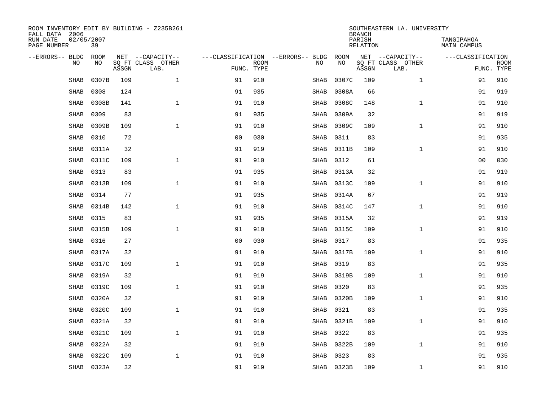| ROOM INVENTORY EDIT BY BUILDING - Z235B261<br>FALL DATA 2006 |                    |       |                                       |                |             |                                   |             |            | <b>BRANCH</b>      | SOUTHEASTERN LA. UNIVERSITY           |                                  |                           |
|--------------------------------------------------------------|--------------------|-------|---------------------------------------|----------------|-------------|-----------------------------------|-------------|------------|--------------------|---------------------------------------|----------------------------------|---------------------------|
| RUN DATE<br>PAGE NUMBER                                      | 02/05/2007<br>39   |       |                                       |                |             |                                   |             |            | PARISH<br>RELATION |                                       | TANGIPAHOA<br><b>MAIN CAMPUS</b> |                           |
| --ERRORS-- BLDG<br>N <sub>O</sub>                            | <b>ROOM</b><br>NO. |       | NET --CAPACITY--<br>SO FT CLASS OTHER |                |             | ---CLASSIFICATION --ERRORS-- BLDG | NO.         | ROOM<br>NO |                    | NET --CAPACITY--<br>SO FT CLASS OTHER | ---CLASSIFICATION                |                           |
|                                                              |                    | ASSGN | LAB.                                  | FUNC. TYPE     | <b>ROOM</b> |                                   |             |            | ASSGN              | LAB.                                  |                                  | <b>ROOM</b><br>FUNC. TYPE |
| <b>SHAB</b>                                                  | 0307B              | 109   | $\mathbf{1}$                          | 91             | 910         |                                   | <b>SHAB</b> | 0307C      | 109                | $\mathbf{1}$                          | 91                               | 910                       |
| <b>SHAB</b>                                                  | 0308               | 124   |                                       | 91             | 935         |                                   | <b>SHAB</b> | 0308A      | 66                 |                                       | 91                               | 919                       |
| <b>SHAB</b>                                                  | 0308B              | 141   | $\mathbf{1}$                          | 91             | 910         |                                   | SHAB        | 0308C      | 148                | $\mathbf{1}$                          | 91                               | 910                       |
| <b>SHAB</b>                                                  | 0309               | 83    |                                       | 91             | 935         |                                   | SHAB        | 0309A      | 32                 |                                       | 91                               | 919                       |
| SHAB                                                         | 0309B              | 109   | $\mathbf 1$                           | 91             | 910         |                                   | SHAB        | 0309C      | 109                | $\mathbf{1}$                          | 91                               | 910                       |
| <b>SHAB</b>                                                  | 0310               | 72    |                                       | 0 <sub>0</sub> | 030         |                                   | SHAB        | 0311       | 83                 |                                       | 91                               | 935                       |
| SHAB                                                         | 0311A              | 32    |                                       | 91             | 919         |                                   | SHAB        | 0311B      | 109                | $\mathbf{1}$                          | 91                               | 910                       |
| <b>SHAB</b>                                                  | 0311C              | 109   | $\mathbf{1}$                          | 91             | 910         |                                   | <b>SHAB</b> | 0312       | 61                 |                                       | 0 <sub>0</sub>                   | 030                       |
| <b>SHAB</b>                                                  | 0313               | 83    |                                       | 91             | 935         |                                   | <b>SHAB</b> | 0313A      | 32                 |                                       | 91                               | 919                       |
| <b>SHAB</b>                                                  | 0313B              | 109   | $\mathbf{1}$                          | 91             | 910         |                                   | SHAB        | 0313C      | 109                | $\mathbf{1}$                          | 91                               | 910                       |
| SHAB                                                         | 0314               | 77    |                                       | 91             | 935         |                                   | SHAB        | 0314A      | 67                 |                                       | 91                               | 919                       |
| <b>SHAB</b>                                                  | 0314B              | 142   | $\mathbf 1$                           | 91             | 910         |                                   | SHAB        | 0314C      | 147                | $\mathbf{1}$                          | 91                               | 910                       |
| <b>SHAB</b>                                                  | 0315               | 83    |                                       | 91             | 935         |                                   | SHAB        | 0315A      | 32                 |                                       | 91                               | 919                       |
| <b>SHAB</b>                                                  | 0315B              | 109   | $\mathbf{1}$                          | 91             | 910         |                                   | SHAB        | 0315C      | 109                | $\mathbf{1}$                          | 91                               | 910                       |
| SHAB                                                         | 0316               | 27    |                                       | 00             | 030         |                                   | SHAB        | 0317       | 83                 |                                       | 91                               | 935                       |
| SHAB                                                         | 0317A              | 32    |                                       | 91             | 919         |                                   | SHAB        | 0317B      | 109                | $\mathbf{1}$                          | 91                               | 910                       |
| SHAB                                                         | 0317C              | 109   | $\mathbf{1}$                          | 91             | 910         |                                   | SHAB        | 0319       | 83                 |                                       | 91                               | 935                       |
| SHAB                                                         | 0319A              | 32    |                                       | 91             | 919         |                                   | SHAB        | 0319B      | 109                | $\mathbf{1}$                          | 91                               | 910                       |
| <b>SHAB</b>                                                  | 0319C              | 109   | $\mathbf{1}$                          | 91             | 910         |                                   | SHAB        | 0320       | 83                 |                                       | 91                               | 935                       |
| <b>SHAB</b>                                                  | 0320A              | 32    |                                       | 91             | 919         |                                   | SHAB        | 0320B      | 109                | $\mathbf{1}$                          | 91                               | 910                       |
| <b>SHAB</b>                                                  | 0320C              | 109   | $\mathbf 1$                           | 91             | 910         |                                   | SHAB        | 0321       | 83                 |                                       | 91                               | 935                       |
| <b>SHAB</b>                                                  | 0321A              | 32    |                                       | 91             | 919         |                                   | SHAB        | 0321B      | 109                | $\mathbf{1}$                          | 91                               | 910                       |
| <b>SHAB</b>                                                  | 0321C              | 109   | $\mathbf{1}$                          | 91             | 910         |                                   | SHAB        | 0322       | 83                 |                                       | 91                               | 935                       |
| <b>SHAB</b>                                                  | 0322A              | 32    |                                       | 91             | 919         |                                   | SHAB        | 0322B      | 109                | $\mathbf{1}$                          | 91                               | 910                       |
| <b>SHAB</b>                                                  | 0322C              | 109   | $\mathbf 1$                           | 91             | 910         |                                   | SHAB        | 0323       | 83                 |                                       | 91                               | 935                       |
|                                                              | SHAB 0323A         | 32    |                                       | 91             | 919         |                                   |             | SHAB 0323B | 109                | $\mathbf{1}$                          | 91                               | 910                       |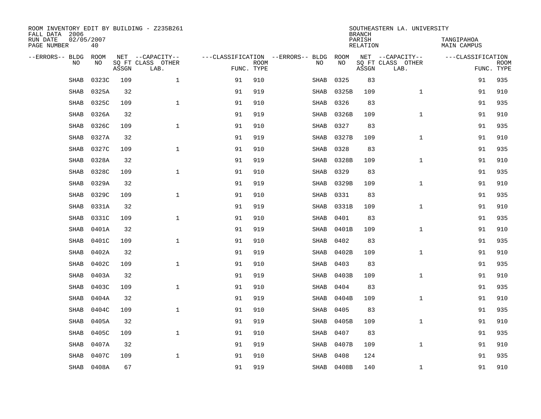| ROOM INVENTORY EDIT BY BUILDING - Z235B261<br>FALL DATA 2006 |                  |       |                           |            |             |                                   |            | <b>BRANCH</b>      | SOUTHEASTERN LA. UNIVERSITY |                                  |                           |
|--------------------------------------------------------------|------------------|-------|---------------------------|------------|-------------|-----------------------------------|------------|--------------------|-----------------------------|----------------------------------|---------------------------|
| RUN DATE<br>PAGE NUMBER                                      | 02/05/2007<br>40 |       |                           |            |             |                                   |            | PARISH<br>RELATION |                             | TANGIPAHOA<br><b>MAIN CAMPUS</b> |                           |
| --ERRORS-- BLDG                                              | <b>ROOM</b>      |       | NET --CAPACITY--          |            |             | ---CLASSIFICATION --ERRORS-- BLDG | ROOM       |                    | NET --CAPACITY--            | ---CLASSIFICATION                |                           |
| N <sub>O</sub>                                               | NO.              | ASSGN | SO FT CLASS OTHER<br>LAB. | FUNC. TYPE | <b>ROOM</b> | NO.                               | <b>NO</b>  | ASSGN              | SO FT CLASS OTHER<br>LAB.   |                                  | <b>ROOM</b><br>FUNC. TYPE |
| <b>SHAB</b>                                                  | 0323C            | 109   | $\mathbf{1}$              | 91         | 910         | SHAB                              | 0325       | 83                 |                             | 91                               | 935                       |
| <b>SHAB</b>                                                  | 0325A            | 32    |                           | 91         | 919         | SHAB                              | 0325B      | 109                | $\mathbf{1}$                | 91                               | 910                       |
| <b>SHAB</b>                                                  | 0325C            | 109   | $\mathbf{1}$              | 91         | 910         | SHAB                              | 0326       | 83                 |                             | 91                               | 935                       |
| <b>SHAB</b>                                                  | 0326A            | 32    |                           | 91         | 919         | SHAB                              | 0326B      | 109                | $\mathbf{1}$                | 91                               | 910                       |
| SHAB                                                         | 0326C            | 109   | $\mathbf{1}$              | 91         | 910         | SHAB                              | 0327       | 83                 |                             | 91                               | 935                       |
| <b>SHAB</b>                                                  | 0327A            | 32    |                           | 91         | 919         | SHAB                              | 0327B      | 109                | $\mathbf{1}$                | 91                               | 910                       |
| <b>SHAB</b>                                                  | 0327C            | 109   | $\mathbf{1}$              | 91         | 910         | SHAB                              | 0328       | 83                 |                             | 91                               | 935                       |
| <b>SHAB</b>                                                  | 0328A            | 32    |                           | 91         | 919         | SHAB                              | 0328B      | 109                | $\mathbf{1}$                | 91                               | 910                       |
| <b>SHAB</b>                                                  | 0328C            | 109   | $\mathbf{1}$              | 91         | 910         | <b>SHAB</b>                       | 0329       | 83                 |                             | 91                               | 935                       |
| <b>SHAB</b>                                                  | 0329A            | 32    |                           | 91         | 919         | SHAB                              | 0329B      | 109                | $\mathbf{1}$                | 91                               | 910                       |
| <b>SHAB</b>                                                  | 0329C            | 109   | $\mathbf{1}$              | 91         | 910         | SHAB                              | 0331       | 83                 |                             | 91                               | 935                       |
| <b>SHAB</b>                                                  | 0331A            | 32    |                           | 91         | 919         | SHAB                              | 0331B      | 109                | $\mathbf{1}$                | 91                               | 910                       |
| <b>SHAB</b>                                                  | 0331C            | 109   | $\mathbf{1}$              | 91         | 910         | SHAB                              | 0401       | 83                 |                             | 91                               | 935                       |
| <b>SHAB</b>                                                  | 0401A            | 32    |                           | 91         | 919         | SHAB                              | 0401B      | 109                | $\mathbf{1}$                | 91                               | 910                       |
| SHAB                                                         | 0401C            | 109   | $\mathbf 1$               | 91         | 910         | SHAB                              | 0402       | 83                 |                             | 91                               | 935                       |
| <b>SHAB</b>                                                  | 0402A            | 32    |                           | 91         | 919         | SHAB                              | 0402B      | 109                | $\mathbf{1}$                | 91                               | 910                       |
| <b>SHAB</b>                                                  | 0402C            | 109   | $\mathbf{1}$              | 91         | 910         | SHAB                              | 0403       | 83                 |                             | 91                               | 935                       |
| <b>SHAB</b>                                                  | 0403A            | 32    |                           | 91         | 919         | SHAB                              | 0403B      | 109                | $\mathbf{1}$                | 91                               | 910                       |
| <b>SHAB</b>                                                  | 0403C            | 109   | $\mathbf{1}$              | 91         | 910         | SHAB                              | 0404       | 83                 |                             | 91                               | 935                       |
| <b>SHAB</b>                                                  | 0404A            | 32    |                           | 91         | 919         | SHAB                              | 0404B      | 109                | $\mathbf{1}$                | 91                               | 910                       |
| <b>SHAB</b>                                                  | 0404C            | 109   | $\mathbf{1}$              | 91         | 910         | SHAB                              | 0405       | 83                 |                             | 91                               | 935                       |
| <b>SHAB</b>                                                  | 0405A            | 32    |                           | 91         | 919         | SHAB                              | 0405B      | 109                | $\mathbf{1}$                | 91                               | 910                       |
| <b>SHAB</b>                                                  | 0405C            | 109   | $\mathbf{1}$              | 91         | 910         | SHAB                              | 0407       | 83                 |                             | 91                               | 935                       |
| <b>SHAB</b>                                                  | 0407A            | 32    |                           | 91         | 919         | SHAB                              | 0407B      | 109                | $\mathbf{1}$                | 91                               | 910                       |
| <b>SHAB</b>                                                  | 0407C            | 109   | $\mathbf 1$               | 91         | 910         | SHAB                              | 0408       | 124                |                             | 91                               | 935                       |
|                                                              | SHAB 0408A       | 67    |                           | 91         | 919         |                                   | SHAB 0408B | 140                | $\mathbf{1}$                | 91                               | 910                       |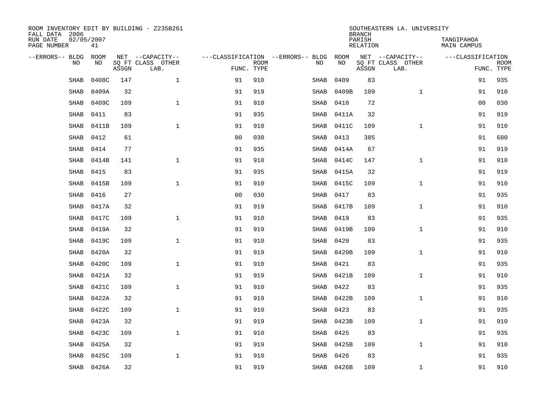| ROOM INVENTORY EDIT BY BUILDING - Z235B261<br>FALL DATA 2006 |                  |       |                           |                |             |                                        |            |           | <b>BRANCH</b>      | SOUTHEASTERN LA. UNIVERSITY |                           |             |
|--------------------------------------------------------------|------------------|-------|---------------------------|----------------|-------------|----------------------------------------|------------|-----------|--------------------|-----------------------------|---------------------------|-------------|
| RUN DATE<br>PAGE NUMBER                                      | 02/05/2007<br>41 |       |                           |                |             |                                        |            |           | PARISH<br>RELATION |                             | TANGIPAHOA<br>MAIN CAMPUS |             |
| --ERRORS-- BLDG                                              | ROOM             |       | NET --CAPACITY--          |                |             | ---CLASSIFICATION --ERRORS-- BLDG ROOM |            |           |                    | NET --CAPACITY--            | ---CLASSIFICATION         |             |
| NO.                                                          | NO.              | ASSGN | SO FT CLASS OTHER<br>LAB. | FUNC. TYPE     | <b>ROOM</b> | NO.                                    |            | <b>NO</b> | ASSGN              | SQ FT CLASS OTHER<br>LAB.   | FUNC. TYPE                | <b>ROOM</b> |
| <b>SHAB</b>                                                  | 0408C            | 147   | $\mathbf{1}$              | 91             | 910         | SHAB                                   |            | 0409      | 83                 |                             | 91                        | 935         |
| SHAB                                                         | 0409A            | 32    |                           | 91             | 919         | SHAB                                   |            | 0409B     | 109                | $\mathbf{1}$                | 91                        | 910         |
| SHAB                                                         | 0409C            | 109   | $\mathbf 1$               | 91             | 910         | SHAB                                   |            | 0410      | 72                 |                             | 00                        | 030         |
| SHAB                                                         | 0411             | 83    |                           | 91             | 935         | SHAB                                   |            | 0411A     | 32                 |                             | 91                        | 919         |
| <b>SHAB</b>                                                  | 0411B            | 109   | $\mathbf{1}$              | 91             | 910         | SHAB                                   |            | 0411C     | 109                | $\mathbf{1}$                | 91                        | 910         |
| <b>SHAB</b>                                                  | 0412             | 61    |                           | 0 <sub>0</sub> | 030         | SHAB                                   |            | 0413      | 385                |                             | 91                        | 680         |
| SHAB                                                         | 0414             | 77    |                           | 91             | 935         | SHAB                                   |            | 0414A     | 67                 |                             | 91                        | 919         |
| SHAB                                                         | 0414B            | 141   | $\mathbf 1$               | 91             | 910         | SHAB                                   |            | 0414C     | 147                | $\mathbf{1}$                | 91                        | 910         |
| <b>SHAB</b>                                                  | 0415             | 83    |                           | 91             | 935         | SHAB                                   |            | 0415A     | 32                 |                             | 91                        | 919         |
| <b>SHAB</b>                                                  | 0415B            | 109   | $\mathbf{1}$              | 91             | 910         | SHAB                                   |            | 0415C     | 109                | $\mathbf{1}$                | 91                        | 910         |
| <b>SHAB</b>                                                  | 0416             | 27    |                           | 0 <sub>0</sub> | 030         | SHAB                                   |            | 0417      | 83                 |                             | 91                        | 935         |
| SHAB                                                         | 0417A            | 32    |                           | 91             | 919         | SHAB                                   |            | 0417B     | 109                | $\mathbf{1}$                | 91                        | 910         |
| <b>SHAB</b>                                                  | 0417C            | 109   | $\mathbf{1}$              | 91             | 910         | SHAB                                   |            | 0419      | 83                 |                             | 91                        | 935         |
| SHAB                                                         | 0419A            | 32    |                           | 91             | 919         | SHAB                                   |            | 0419B     | 109                | $\mathbf{1}$                | 91                        | 910         |
| <b>SHAB</b>                                                  | 0419C            | 109   | $\mathbf{1}$              | 91             | 910         | SHAB                                   |            | 0420      | 83                 |                             | 91                        | 935         |
| <b>SHAB</b>                                                  | 0420A            | 32    |                           | 91             | 919         | SHAB                                   |            | 0420B     | 109                | $\mathbf{1}$                | 91                        | 910         |
| <b>SHAB</b>                                                  | 0420C            | 109   | $\mathbf{1}$              | 91             | 910         | SHAB                                   |            | 0421      | 83                 |                             | 91                        | 935         |
| <b>SHAB</b>                                                  | 0421A            | 32    |                           | 91             | 919         | SHAB                                   |            | 0421B     | 109                | $\mathbf{1}$                | 91                        | 910         |
| <b>SHAB</b>                                                  | 0421C            | 109   | $\mathbf{1}$              | 91             | 910         | SHAB                                   |            | 0422      | 83                 |                             | 91                        | 935         |
| <b>SHAB</b>                                                  | 0422A            | 32    |                           | 91             | 919         |                                        | SHAB       | 0422B     | 109                | $\mathbf{1}$                | 91                        | 910         |
| SHAB                                                         | 0422C            | 109   | $\mathbf{1}$              | 91             | 910         | SHAB                                   |            | 0423      | 83                 |                             | 91                        | 935         |
| <b>SHAB</b>                                                  | 0423A            | 32    |                           | 91             | 919         | SHAB                                   |            | 0423B     | 109                | $\mathbf{1}$                | 91                        | 910         |
| <b>SHAB</b>                                                  | 0423C            | 109   | $\mathbf{1}$              | 91             | 910         | SHAB                                   |            | 0425      | 83                 |                             | 91                        | 935         |
| <b>SHAB</b>                                                  | 0425A            | 32    |                           | 91             | 919         |                                        | SHAB       | 0425B     | 109                | $\mathbf{1}$                | 91                        | 910         |
| <b>SHAB</b>                                                  | 0425C            | 109   | $\mathbf 1$               | 91             | 910         | SHAB                                   |            | 0426      | 83                 |                             | 91                        | 935         |
|                                                              | SHAB 0426A       | 32    |                           | 91             | 919         |                                        | SHAB 0426B |           | 109                | $\mathbf{1}$                | 91                        | 910         |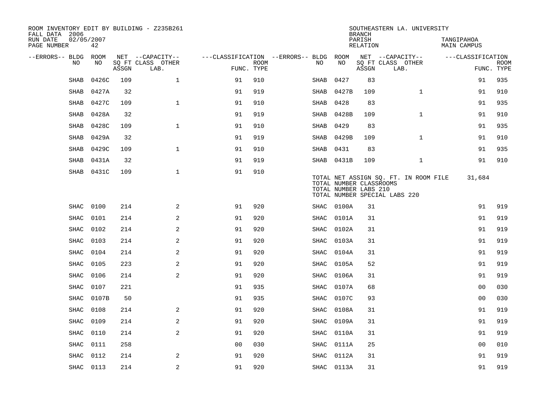| ROOM INVENTORY EDIT BY BUILDING - Z235B261<br>FALL DATA 2006 |                  |       |                           |                                        |             |      |            | <b>BRANCH</b>                                    | SOUTHEASTERN LA. UNIVERSITY                                            |                           |                           |
|--------------------------------------------------------------|------------------|-------|---------------------------|----------------------------------------|-------------|------|------------|--------------------------------------------------|------------------------------------------------------------------------|---------------------------|---------------------------|
| RUN DATE<br>PAGE NUMBER                                      | 02/05/2007<br>42 |       |                           |                                        |             |      |            | PARISH<br>RELATION                               |                                                                        | TANGIPAHOA<br>MAIN CAMPUS |                           |
| --ERRORS-- BLDG ROOM                                         |                  |       | NET --CAPACITY--          | ---CLASSIFICATION --ERRORS-- BLDG ROOM |             |      |            |                                                  | NET --CAPACITY--                                                       | ---CLASSIFICATION         |                           |
| NO                                                           | NO               | ASSGN | SQ FT CLASS OTHER<br>LAB. | FUNC. TYPE                             | <b>ROOM</b> | NO.  | NO         | ASSGN                                            | SQ FT CLASS OTHER<br>LAB.                                              |                           | <b>ROOM</b><br>FUNC. TYPE |
| <b>SHAB</b>                                                  | 0426C            | 109   | $\mathbf 1$               | 91                                     | 910         | SHAB | 0427       | 83                                               |                                                                        | 91                        | 935                       |
| SHAB                                                         | 0427A            | 32    |                           | 91                                     | 919         |      | SHAB 0427B | 109                                              | $\mathbf{1}$                                                           | 91                        | 910                       |
| <b>SHAB</b>                                                  | 0427C            | 109   | $\mathbf{1}$              | 91                                     | 910         | SHAB | 0428       | 83                                               |                                                                        | 91                        | 935                       |
| SHAB                                                         | 0428A            | 32    |                           | 91                                     | 919         | SHAB | 0428B      | 109                                              | $\mathbf{1}$                                                           | 91                        | 910                       |
| SHAB                                                         | 0428C            | 109   | $\mathbf{1}$              | 91                                     | 910         | SHAB | 0429       | 83                                               |                                                                        | 91                        | 935                       |
| <b>SHAB</b>                                                  | 0429A            | 32    |                           | 91                                     | 919         |      | SHAB 0429B | 109                                              | $\mathbf{1}$                                                           | 91                        | 910                       |
| SHAB                                                         | 0429C            | 109   | $\mathbf{1}$              | 91                                     | 910         | SHAB | 0431       | 83                                               |                                                                        | 91                        | 935                       |
| SHAB                                                         | 0431A            | 32    |                           | 91                                     | 919         |      | SHAB 0431B | 109                                              | $\mathbf{1}$                                                           | 91                        | 910                       |
| SHAB                                                         | 0431C            | 109   | $\mathbf{1}$              | 91                                     | 910         |      |            | TOTAL NUMBER CLASSROOMS<br>TOTAL NUMBER LABS 210 | TOTAL NET ASSIGN SQ. FT. IN ROOM FILE<br>TOTAL NUMBER SPECIAL LABS 220 | 31,684                    |                           |
| SHAC                                                         | 0100             | 214   | 2                         | 91                                     | 920         | SHAC | 0100A      | 31                                               |                                                                        | 91                        | 919                       |
| <b>SHAC</b>                                                  | 0101             | 214   | 2                         | 91                                     | 920         | SHAC | 0101A      | 31                                               |                                                                        | 91                        | 919                       |
| SHAC                                                         | 0102             | 214   | $\mathbf{2}$              | 91                                     | 920         | SHAC | 0102A      | 31                                               |                                                                        | 91                        | 919                       |
| SHAC                                                         | 0103             | 214   | 2                         | 91                                     | 920         | SHAC | 0103A      | 31                                               |                                                                        | 91                        | 919                       |
| SHAC                                                         | 0104             | 214   | 2                         | 91                                     | 920         | SHAC | 0104A      | 31                                               |                                                                        | 91                        | 919                       |
| SHAC                                                         | 0105             | 223   | 2                         | 91                                     | 920         | SHAC | 0105A      | 52                                               |                                                                        | 91                        | 919                       |
| SHAC                                                         | 0106             | 214   | 2                         | 91                                     | 920         | SHAC | 0106A      | 31                                               |                                                                        | 91                        | 919                       |
| SHAC                                                         | 0107             | 221   |                           | 91                                     | 935         |      | SHAC 0107A | 68                                               |                                                                        | 0 <sub>0</sub>            | 030                       |
| SHAC                                                         | 0107B            | 50    |                           | 91                                     | 935         |      | SHAC 0107C | 93                                               |                                                                        | 0 <sub>0</sub>            | 030                       |
| SHAC                                                         | 0108             | 214   | 2                         | 91                                     | 920         | SHAC | 0108A      | 31                                               |                                                                        | 91                        | 919                       |
| <b>SHAC</b>                                                  | 0109             | 214   | 2                         | 91                                     | 920         | SHAC | 0109A      | 31                                               |                                                                        | 91                        | 919                       |
| <b>SHAC</b>                                                  | 0110             | 214   | 2                         | 91                                     | 920         | SHAC | 0110A      | 31                                               |                                                                        | 91                        | 919                       |
| SHAC                                                         | 0111             | 258   |                           | 0 <sub>0</sub>                         | 030         | SHAC | 0111A      | 25                                               |                                                                        | 00                        | 010                       |
| <b>SHAC</b>                                                  | 0112             | 214   | 2                         | 91                                     | 920         | SHAC | 0112A      | 31                                               |                                                                        | 91                        | 919                       |
|                                                              | SHAC 0113        | 214   | 2                         | 91                                     | 920         |      | SHAC 0113A | 31                                               |                                                                        | 91                        | 919                       |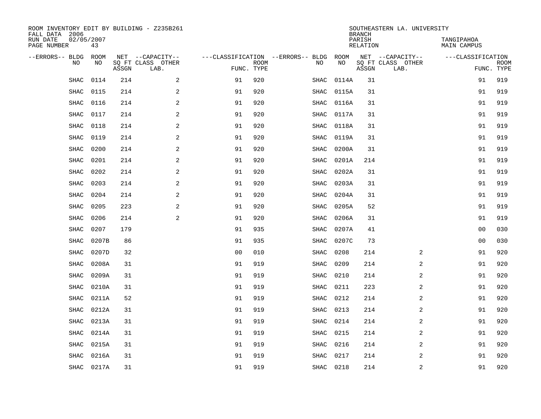| FALL DATA 2006          |             |             |       | ROOM INVENTORY EDIT BY BUILDING - Z235B261    |                                                 |             |             |            | <b>BRANCH</b>      | SOUTHEASTERN LA. UNIVERSITY                   |                           |                           |
|-------------------------|-------------|-------------|-------|-----------------------------------------------|-------------------------------------------------|-------------|-------------|------------|--------------------|-----------------------------------------------|---------------------------|---------------------------|
| RUN DATE<br>PAGE NUMBER | 02/05/2007  | 43          |       |                                               |                                                 |             |             |            | PARISH<br>RELATION |                                               | TANGIPAHOA<br>MAIN CAMPUS |                           |
| --ERRORS-- BLDG         | <b>NO</b>   | ROOM<br>NO. | ASSGN | NET --CAPACITY--<br>SQ FT CLASS OTHER<br>LAB. | ---CLASSIFICATION --ERRORS-- BLDG<br>FUNC. TYPE | <b>ROOM</b> | NO          | ROOM<br>NO | ASSGN              | NET --CAPACITY--<br>SQ FT CLASS OTHER<br>LAB. | ---CLASSIFICATION         | <b>ROOM</b><br>FUNC. TYPE |
|                         | SHAC        | 0114        | 214   | 2                                             | 91                                              | 920         | SHAC        | 0114A      | 31                 |                                               | 91                        | 919                       |
|                         | <b>SHAC</b> | 0115        | 214   | 2                                             | 91                                              | 920         | <b>SHAC</b> | 0115A      | 31                 |                                               | 91                        | 919                       |
|                         | SHAC        | 0116        | 214   | 2                                             | 91                                              | 920         | SHAC        | 0116A      | 31                 |                                               | 91                        | 919                       |
|                         | SHAC        | 0117        | 214   | $\overline{2}$                                | 91                                              | 920         | <b>SHAC</b> | 0117A      | 31                 |                                               | 91                        | 919                       |
|                         | SHAC        | 0118        | 214   | $\mathbf{2}$                                  | 91                                              | 920         | SHAC        | 0118A      | 31                 |                                               | 91                        | 919                       |
|                         | <b>SHAC</b> | 0119        | 214   | 2                                             | 91                                              | 920         | SHAC        | 0119A      | 31                 |                                               | 91                        | 919                       |
|                         | SHAC        | 0200        | 214   | 2                                             | 91                                              | 920         | <b>SHAC</b> | 0200A      | 31                 |                                               | 91                        | 919                       |
|                         | <b>SHAC</b> | 0201        | 214   | 2                                             | 91                                              | 920         | SHAC        | 0201A      | 214                |                                               | 91                        | 919                       |
|                         | SHAC        | 0202        | 214   | 2                                             | 91                                              | 920         | SHAC        | 0202A      | 31                 |                                               | 91                        | 919                       |
|                         | <b>SHAC</b> | 0203        | 214   | 2                                             | 91                                              | 920         | SHAC        | 0203A      | 31                 |                                               | 91                        | 919                       |
|                         | <b>SHAC</b> | 0204        | 214   | 2                                             | 91                                              | 920         | SHAC        | 0204A      | 31                 |                                               | 91                        | 919                       |
|                         | <b>SHAC</b> | 0205        | 223   | 2                                             | 91                                              | 920         | SHAC        | 0205A      | 52                 |                                               | 91                        | 919                       |
|                         | <b>SHAC</b> | 0206        | 214   | 2                                             | 91                                              | 920         | SHAC        | 0206A      | 31                 |                                               | 91                        | 919                       |
|                         | <b>SHAC</b> | 0207        | 179   |                                               | 91                                              | 935         | SHAC        | 0207A      | 41                 |                                               | 0 <sub>0</sub>            | 030                       |
|                         | SHAC        | 0207B       | 86    |                                               | 91                                              | 935         | SHAC        | 0207C      | 73                 |                                               | 0 <sub>0</sub>            | 030                       |
|                         | SHAC        | 0207D       | 32    |                                               | 0 <sub>0</sub>                                  | 010         | SHAC        | 0208       | 214                | 2                                             | 91                        | 920                       |
|                         | SHAC        | 0208A       | 31    |                                               | 91                                              | 919         | SHAC        | 0209       | 214                | 2                                             | 91                        | 920                       |
|                         | SHAC        | 0209A       | 31    |                                               | 91                                              | 919         | SHAC        | 0210       | 214                | 2                                             | 91                        | 920                       |
|                         | SHAC        | 0210A       | 31    |                                               | 91                                              | 919         | SHAC        | 0211       | 223                | 2                                             | 91                        | 920                       |
|                         | SHAC        | 0211A       | 52    |                                               | 91                                              | 919         | SHAC        | 0212       | 214                | 2                                             | 91                        | 920                       |
|                         | SHAC        | 0212A       | 31    |                                               | 91                                              | 919         | SHAC        | 0213       | 214                | 2                                             | 91                        | 920                       |
|                         | <b>SHAC</b> | 0213A       | 31    |                                               | 91                                              | 919         | SHAC        | 0214       | 214                | 2                                             | 91                        | 920                       |
|                         | <b>SHAC</b> | 0214A       | 31    |                                               | 91                                              | 919         | SHAC        | 0215       | 214                | 2                                             | 91                        | 920                       |
|                         | <b>SHAC</b> | 0215A       | 31    |                                               | 91                                              | 919         | SHAC        | 0216       | 214                | 2                                             | 91                        | 920                       |
|                         | SHAC        | 0216A       | 31    |                                               | 91                                              | 919         | SHAC        | 0217       | 214                | 2                                             | 91                        | 920                       |
|                         |             | SHAC 0217A  | 31    |                                               | 91                                              | 919         |             | SHAC 0218  | 214                | $\overline{2}$                                | 91                        | 920                       |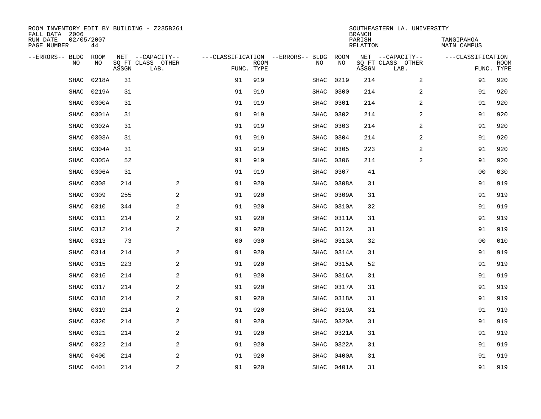| ROOM INVENTORY EDIT BY BUILDING - Z235B261<br>FALL DATA 2006 |           |       |                           |                |             |                                        |            | <b>BRANCH</b>      | SOUTHEASTERN LA. UNIVERSITY |                           |                           |
|--------------------------------------------------------------|-----------|-------|---------------------------|----------------|-------------|----------------------------------------|------------|--------------------|-----------------------------|---------------------------|---------------------------|
| 02/05/2007<br>RUN DATE<br>PAGE NUMBER                        | 44        |       |                           |                |             |                                        |            | PARISH<br>RELATION |                             | TANGIPAHOA<br>MAIN CAMPUS |                           |
| --ERRORS-- BLDG ROOM                                         |           |       | NET --CAPACITY--          |                |             | ---CLASSIFICATION --ERRORS-- BLDG ROOM |            |                    | NET --CAPACITY--            | ---CLASSIFICATION         |                           |
| NO.                                                          | NO        | ASSGN | SQ FT CLASS OTHER<br>LAB. | FUNC. TYPE     | <b>ROOM</b> | NO                                     | NO         | ASSGN              | SQ FT CLASS OTHER<br>LAB.   |                           | <b>ROOM</b><br>FUNC. TYPE |
| SHAC                                                         | 0218A     | 31    |                           | 91             | 919         | SHAC                                   | 0219       | 214                | $\overline{2}$              | 91                        | 920                       |
| SHAC                                                         | 0219A     | 31    |                           | 91             | 919         | SHAC                                   | 0300       | 214                | 2                           | 91                        | 920                       |
| SHAC                                                         | 0300A     | 31    |                           | 91             | 919         | SHAC                                   | 0301       | 214                | 2                           | 91                        | 920                       |
| <b>SHAC</b>                                                  | 0301A     | 31    |                           | 91             | 919         | SHAC                                   | 0302       | 214                | 2                           | 91                        | 920                       |
| SHAC                                                         | 0302A     | 31    |                           | 91             | 919         | SHAC                                   | 0303       | 214                | 2                           | 91                        | 920                       |
| SHAC                                                         | 0303A     | 31    |                           | 91             | 919         | SHAC                                   | 0304       | 214                | 2                           | 91                        | 920                       |
| <b>SHAC</b>                                                  | 0304A     | 31    |                           | 91             | 919         | SHAC                                   | 0305       | 223                | $\overline{a}$              | 91                        | 920                       |
| SHAC                                                         | 0305A     | 52    |                           | 91             | 919         | SHAC                                   | 0306       | 214                | 2                           | 91                        | 920                       |
| SHAC                                                         | 0306A     | 31    |                           | 91             | 919         | <b>SHAC</b>                            | 0307       | 41                 |                             | 00                        | 030                       |
| <b>SHAC</b>                                                  | 0308      | 214   | 2                         | 91             | 920         | SHAC                                   | 0308A      | 31                 |                             | 91                        | 919                       |
| <b>SHAC</b>                                                  | 0309      | 255   | 2                         | 91             | 920         | SHAC                                   | 0309A      | 31                 |                             | 91                        | 919                       |
| SHAC                                                         | 0310      | 344   | 2                         | 91             | 920         | SHAC                                   | 0310A      | 32                 |                             | 91                        | 919                       |
| SHAC                                                         | 0311      | 214   | 2                         | 91             | 920         | SHAC                                   | 0311A      | 31                 |                             | 91                        | 919                       |
| SHAC                                                         | 0312      | 214   | $\mathbf{2}$              | 91             | 920         | SHAC                                   | 0312A      | 31                 |                             | 91                        | 919                       |
| <b>SHAC</b>                                                  | 0313      | 73    |                           | 0 <sub>0</sub> | 030         | SHAC                                   | 0313A      | 32                 |                             | 0 <sub>0</sub>            | 010                       |
| SHAC                                                         | 0314      | 214   | $\mathbf{2}$              | 91             | 920         | SHAC                                   | 0314A      | 31                 |                             | 91                        | 919                       |
| SHAC                                                         | 0315      | 223   | 2                         | 91             | 920         | SHAC                                   | 0315A      | 52                 |                             | 91                        | 919                       |
| <b>SHAC</b>                                                  | 0316      | 214   | 2                         | 91             | 920         | SHAC                                   | 0316A      | 31                 |                             | 91                        | 919                       |
| <b>SHAC</b>                                                  | 0317      | 214   | 2                         | 91             | 920         | SHAC                                   | 0317A      | 31                 |                             | 91                        | 919                       |
| SHAC                                                         | 0318      | 214   | 2                         | 91             | 920         | SHAC                                   | 0318A      | 31                 |                             | 91                        | 919                       |
| <b>SHAC</b>                                                  | 0319      | 214   | 2                         | 91             | 920         | SHAC                                   | 0319A      | 31                 |                             | 91                        | 919                       |
| <b>SHAC</b>                                                  | 0320      | 214   | $\mathbf{2}$              | 91             | 920         | SHAC                                   | 0320A      | 31                 |                             | 91                        | 919                       |
| SHAC                                                         | 0321      | 214   | $\sqrt{2}$                | 91             | 920         | SHAC                                   | 0321A      | 31                 |                             | 91                        | 919                       |
| SHAC                                                         | 0322      | 214   | 2                         | 91             | 920         | SHAC                                   | 0322A      | 31                 |                             | 91                        | 919                       |
| <b>SHAC</b>                                                  | 0400      | 214   | 2                         | 91             | 920         | <b>SHAC</b>                            | 0400A      | 31                 |                             | 91                        | 919                       |
|                                                              | SHAC 0401 | 214   | $\overline{a}$            | 91             | 920         |                                        | SHAC 0401A | 31                 |                             | 91                        | 919                       |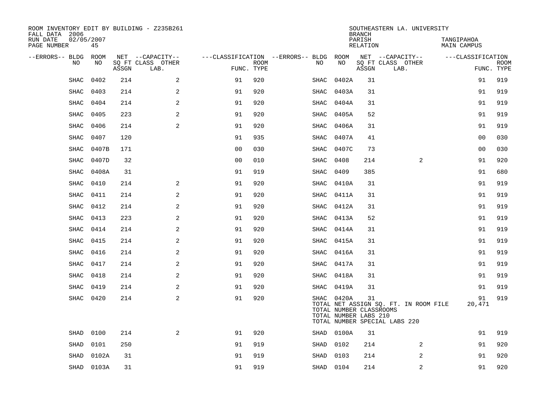| ROOM INVENTORY EDIT BY BUILDING - Z235B261<br>FALL DATA 2006 |                  |       |                           |                                        |             |             |                                                                | <b>BRANCH</b>             | SOUTHEASTERN LA. UNIVERSITY                                            |                                  |                           |
|--------------------------------------------------------------|------------------|-------|---------------------------|----------------------------------------|-------------|-------------|----------------------------------------------------------------|---------------------------|------------------------------------------------------------------------|----------------------------------|---------------------------|
| RUN DATE<br>PAGE NUMBER                                      | 02/05/2007<br>45 |       |                           |                                        |             |             |                                                                | PARISH<br><b>RELATION</b> |                                                                        | TANGIPAHOA<br><b>MAIN CAMPUS</b> |                           |
| --ERRORS-- BLDG ROOM                                         |                  |       | NET --CAPACITY--          | ---CLASSIFICATION --ERRORS-- BLDG ROOM |             |             |                                                                |                           | NET --CAPACITY--                                                       | ---CLASSIFICATION                |                           |
| NO                                                           | NO               | ASSGN | SQ FT CLASS OTHER<br>LAB. | FUNC. TYPE                             | <b>ROOM</b> | NO          | NO                                                             | ASSGN                     | SQ FT CLASS OTHER<br>LAB.                                              |                                  | <b>ROOM</b><br>FUNC. TYPE |
| SHAC                                                         | 0402             | 214   | 2                         | 91                                     | 920         | SHAC        | 0402A                                                          | 31                        |                                                                        | 91                               | 919                       |
| SHAC                                                         | 0403             | 214   | 2                         | 91                                     | 920         | SHAC        | 0403A                                                          | 31                        |                                                                        | 91                               | 919                       |
| SHAC                                                         | 0404             | 214   | 2                         | 91                                     | 920         | SHAC        | 0404A                                                          | 31                        |                                                                        | 91                               | 919                       |
| SHAC                                                         | 0405             | 223   | 2                         | 91                                     | 920         | SHAC        | 0405A                                                          | 52                        |                                                                        | 91                               | 919                       |
| SHAC                                                         | 0406             | 214   | 2                         | 91                                     | 920         | SHAC        | 0406A                                                          | 31                        |                                                                        | 91                               | 919                       |
| <b>SHAC</b>                                                  | 0407             | 120   |                           | 91                                     | 935         | SHAC        | 0407A                                                          | 41                        |                                                                        | 0 <sub>0</sub>                   | 030                       |
| SHAC                                                         | 0407B            | 171   |                           | 0 <sub>0</sub>                         | 030         | SHAC        | 0407C                                                          | 73                        |                                                                        | 0 <sub>0</sub>                   | 030                       |
| SHAC                                                         | 0407D            | 32    |                           | 0 <sub>0</sub>                         | 010         | SHAC        | 0408                                                           | 214                       | 2                                                                      | 91                               | 920                       |
| SHAC                                                         | 0408A            | 31    |                           | 91                                     | 919         | <b>SHAC</b> | 0409                                                           | 385                       |                                                                        | 91                               | 680                       |
| SHAC                                                         | 0410             | 214   | 2                         | 91                                     | 920         | SHAC        | 0410A                                                          | 31                        |                                                                        | 91                               | 919                       |
| SHAC                                                         | 0411             | 214   | 2                         | 91                                     | 920         | SHAC        | 0411A                                                          | 31                        |                                                                        | 91                               | 919                       |
| <b>SHAC</b>                                                  | 0412             | 214   | 2                         | 91                                     | 920         | SHAC        | 0412A                                                          | 31                        |                                                                        | 91                               | 919                       |
| <b>SHAC</b>                                                  | 0413             | 223   | 2                         | 91                                     | 920         | SHAC        | 0413A                                                          | 52                        |                                                                        | 91                               | 919                       |
| <b>SHAC</b>                                                  | 0414             | 214   | 2                         | 91                                     | 920         | SHAC        | 0414A                                                          | 31                        |                                                                        | 91                               | 919                       |
| SHAC                                                         | 0415             | 214   | 2                         | 91                                     | 920         | SHAC        | 0415A                                                          | 31                        |                                                                        | 91                               | 919                       |
| SHAC                                                         | 0416             | 214   | 2                         | 91                                     | 920         | SHAC        | 0416A                                                          | 31                        |                                                                        | 91                               | 919                       |
| SHAC                                                         | 0417             | 214   | $\overline{a}$            | 91                                     | 920         | SHAC        | 0417A                                                          | 31                        |                                                                        | 91                               | 919                       |
| SHAC                                                         | 0418             | 214   | 2                         | 91                                     | 920         | SHAC        | 0418A                                                          | 31                        |                                                                        | 91                               | 919                       |
| SHAC                                                         | 0419             | 214   | 2                         | 91                                     | 920         |             | SHAC 0419A                                                     | 31                        |                                                                        | 91                               | 919                       |
|                                                              | SHAC 0420        | 214   | 2                         | 91                                     | 920         |             | SHAC 0420A<br>TOTAL NUMBER CLASSROOMS<br>TOTAL NUMBER LABS 210 | 31                        | TOTAL NET ASSIGN SQ. FT. IN ROOM FILE<br>TOTAL NUMBER SPECIAL LABS 220 | 91<br>20,471                     | 919                       |
| SHAD                                                         | 0100             | 214   | 2                         | 91                                     | 920         |             | SHAD 0100A                                                     | 31                        |                                                                        | 91                               | 919                       |
| SHAD                                                         | 0101             | 250   |                           | 91                                     | 919         | SHAD        | 0102                                                           | 214                       | 2                                                                      | 91                               | 920                       |
| SHAD                                                         | 0102A            | 31    |                           | 91                                     | 919         | SHAD        | 0103                                                           | 214                       | $\overline{2}$                                                         | 91                               | 920                       |
|                                                              | SHAD 0103A       | 31    |                           | 91                                     | 919         | SHAD 0104   |                                                                | 214                       | 2                                                                      | 91                               | 920                       |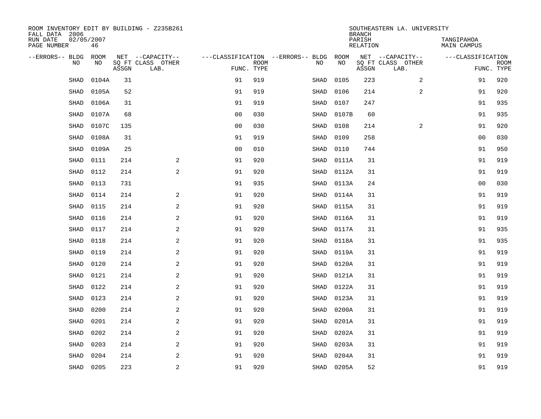| ROOM INVENTORY EDIT BY BUILDING - Z235B261<br>FALL DATA 2006 |       |       |                           |                |             |                                   |            | <b>BRANCH</b>      | SOUTHEASTERN LA. UNIVERSITY |                           |                           |
|--------------------------------------------------------------|-------|-------|---------------------------|----------------|-------------|-----------------------------------|------------|--------------------|-----------------------------|---------------------------|---------------------------|
| 02/05/2007<br>RUN DATE<br>PAGE NUMBER                        | 46    |       |                           |                |             |                                   |            | PARISH<br>RELATION |                             | TANGIPAHOA<br>MAIN CAMPUS |                           |
| --ERRORS-- BLDG ROOM                                         |       |       | NET --CAPACITY--          |                |             | ---CLASSIFICATION --ERRORS-- BLDG | ROOM       |                    | NET --CAPACITY--            | ---CLASSIFICATION         |                           |
| NO                                                           | NO    | ASSGN | SQ FT CLASS OTHER<br>LAB. | FUNC. TYPE     | <b>ROOM</b> | NO                                | NO         | ASSGN              | SQ FT CLASS OTHER<br>LAB.   |                           | <b>ROOM</b><br>FUNC. TYPE |
| <b>SHAD</b>                                                  | 0104A | 31    |                           | 91             | 919         | SHAD                              | 0105       | 223                | 2                           | 91                        | 920                       |
| SHAD                                                         | 0105A | 52    |                           | 91             | 919         | SHAD                              | 0106       | 214                | 2                           | 91                        | 920                       |
| <b>SHAD</b>                                                  | 0106A | 31    |                           | 91             | 919         | SHAD                              | 0107       | 247                |                             | 91                        | 935                       |
| <b>SHAD</b>                                                  | 0107A | 68    |                           | 0 <sub>0</sub> | 030         | SHAD                              | 0107B      | 60                 |                             | 91                        | 935                       |
| SHAD                                                         | 0107C | 135   |                           | 00             | 030         | SHAD                              | 0108       | 214                | 2                           | 91                        | 920                       |
| SHAD                                                         | 0108A | 31    |                           | 91             | 919         | SHAD                              | 0109       | 258                |                             | 00                        | 030                       |
| <b>SHAD</b>                                                  | 0109A | 25    |                           | 0 <sub>0</sub> | 010         | SHAD                              | 0110       | 744                |                             | 91                        | 950                       |
| SHAD                                                         | 0111  | 214   | 2                         | 91             | 920         | SHAD                              | 0111A      | 31                 |                             | 91                        | 919                       |
| SHAD                                                         | 0112  | 214   | 2                         | 91             | 920         | SHAD                              | 0112A      | 31                 |                             | 91                        | 919                       |
| <b>SHAD</b>                                                  | 0113  | 731   |                           | 91             | 935         | SHAD                              | 0113A      | 24                 |                             | 00                        | 030                       |
| <b>SHAD</b>                                                  | 0114  | 214   | 2                         | 91             | 920         | SHAD                              | 0114A      | 31                 |                             | 91                        | 919                       |
| SHAD                                                         | 0115  | 214   | 2                         | 91             | 920         | SHAD                              | 0115A      | 31                 |                             | 91                        | 919                       |
| SHAD                                                         | 0116  | 214   | 2                         | 91             | 920         | SHAD                              | 0116A      | 31                 |                             | 91                        | 919                       |
| SHAD                                                         | 0117  | 214   | 2                         | 91             | 920         | SHAD                              | 0117A      | 31                 |                             | 91                        | 935                       |
| <b>SHAD</b>                                                  | 0118  | 214   | 2                         | 91             | 920         | SHAD                              | 0118A      | 31                 |                             | 91                        | 935                       |
| SHAD                                                         | 0119  | 214   | $\overline{a}$            | 91             | 920         | SHAD                              | 0119A      | 31                 |                             | 91                        | 919                       |
| <b>SHAD</b>                                                  | 0120  | 214   | 2                         | 91             | 920         | SHAD                              | 0120A      | 31                 |                             | 91                        | 919                       |
| <b>SHAD</b>                                                  | 0121  | 214   | 2                         | 91             | 920         | SHAD                              | 0121A      | 31                 |                             | 91                        | 919                       |
| <b>SHAD</b>                                                  | 0122  | 214   | 2                         | 91             | 920         | SHAD                              | 0122A      | 31                 |                             | 91                        | 919                       |
| SHAD                                                         | 0123  | 214   | 2                         | 91             | 920         | SHAD                              | 0123A      | 31                 |                             | 91                        | 919                       |
| <b>SHAD</b>                                                  | 0200  | 214   | 2                         | 91             | 920         | SHAD                              | 0200A      | 31                 |                             | 91                        | 919                       |
| <b>SHAD</b>                                                  | 0201  | 214   | $\overline{a}$            | 91             | 920         | SHAD                              | 0201A      | 31                 |                             | 91                        | 919                       |
| SHAD                                                         | 0202  | 214   | $\sqrt{2}$                | 91             | 920         | SHAD                              | 0202A      | 31                 |                             | 91                        | 919                       |
| SHAD                                                         | 0203  | 214   | 2                         | 91             | 920         | SHAD                              | 0203A      | 31                 |                             | 91                        | 919                       |
| <b>SHAD</b>                                                  | 0204  | 214   | 2                         | 91             | 920         | SHAD                              | 0204A      | 31                 |                             | 91                        | 919                       |
| SHAD                                                         | 0205  | 223   | $\overline{a}$            | 91             | 920         |                                   | SHAD 0205A | 52                 |                             | 91                        | 919                       |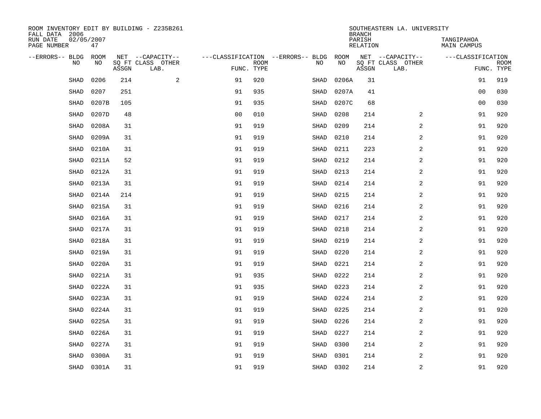| ROOM INVENTORY EDIT BY BUILDING - Z235B261<br>FALL DATA 2006 |                  |       |                           |                                   |             |             |           | <b>BRANCH</b>             | SOUTHEASTERN LA. UNIVERSITY |                                  |             |
|--------------------------------------------------------------|------------------|-------|---------------------------|-----------------------------------|-------------|-------------|-----------|---------------------------|-----------------------------|----------------------------------|-------------|
| RUN DATE<br>PAGE NUMBER                                      | 02/05/2007<br>47 |       |                           |                                   |             |             |           | PARISH<br><b>RELATION</b> |                             | TANGIPAHOA<br><b>MAIN CAMPUS</b> |             |
| --ERRORS-- BLDG                                              | ROOM             |       | NET --CAPACITY--          | ---CLASSIFICATION --ERRORS-- BLDG |             |             | ROOM      |                           | NET --CAPACITY--            | ---CLASSIFICATION                |             |
| NO                                                           | NO               | ASSGN | SQ FT CLASS OTHER<br>LAB. | FUNC. TYPE                        | <b>ROOM</b> | NO          | NO        | ASSGN                     | SQ FT CLASS OTHER<br>LAB.   | FUNC. TYPE                       | <b>ROOM</b> |
| SHAD                                                         | 0206             | 214   | 2                         | 91                                | 920         | SHAD        | 0206A     | 31                        |                             | 91                               | 919         |
| <b>SHAD</b>                                                  | 0207             | 251   |                           | 91                                | 935         | SHAD        | 0207A     | 41                        |                             | 00                               | 030         |
| SHAD                                                         | 0207B            | 105   |                           | 91                                | 935         | SHAD        | 0207C     | 68                        |                             | 00                               | 030         |
| <b>SHAD</b>                                                  | 0207D            | 48    |                           | 0 <sub>0</sub>                    | 010         | SHAD        | 0208      | 214                       | 2                           | 91                               | 920         |
| <b>SHAD</b>                                                  | 0208A            | 31    |                           | 91                                | 919         | <b>SHAD</b> | 0209      | 214                       | $\overline{a}$              | 91                               | 920         |
| SHAD                                                         | 0209A            | 31    |                           | 91                                | 919         | SHAD        | 0210      | 214                       | $\overline{a}$              | 91                               | 920         |
| SHAD                                                         | 0210A            | 31    |                           | 91                                | 919         | SHAD        | 0211      | 223                       | $\overline{a}$              | 91                               | 920         |
| <b>SHAD</b>                                                  | 0211A            | 52    |                           | 91                                | 919         | SHAD        | 0212      | 214                       | 2                           | 91                               | 920         |
| SHAD                                                         | 0212A            | 31    |                           | 91                                | 919         | SHAD        | 0213      | 214                       | 2                           | 91                               | 920         |
| <b>SHAD</b>                                                  | 0213A            | 31    |                           | 91                                | 919         | SHAD        | 0214      | 214                       | 2                           | 91                               | 920         |
| SHAD                                                         | 0214A            | 214   |                           | 91                                | 919         | SHAD        | 0215      | 214                       | 2                           | 91                               | 920         |
| <b>SHAD</b>                                                  | 0215A            | 31    |                           | 91                                | 919         | SHAD        | 0216      | 214                       | 2                           | 91                               | 920         |
| SHAD                                                         | 0216A            | 31    |                           | 91                                | 919         | SHAD        | 0217      | 214                       | 2                           | 91                               | 920         |
| SHAD                                                         | 0217A            | 31    |                           | 91                                | 919         | SHAD        | 0218      | 214                       | 2                           | 91                               | 920         |
| SHAD                                                         | 0218A            | 31    |                           | 91                                | 919         | SHAD        | 0219      | 214                       | 2                           | 91                               | 920         |
| SHAD                                                         | 0219A            | 31    |                           | 91                                | 919         | SHAD        | 0220      | 214                       | $\overline{a}$              | 91                               | 920         |
| SHAD                                                         | 0220A            | 31    |                           | 91                                | 919         | SHAD        | 0221      | 214                       | $\overline{a}$              | 91                               | 920         |
| <b>SHAD</b>                                                  | 0221A            | 31    |                           | 91                                | 935         | SHAD        | 0222      | 214                       | $\overline{a}$              | 91                               | 920         |
| <b>SHAD</b>                                                  | 0222A            | 31    |                           | 91                                | 935         | SHAD        | 0223      | 214                       | 2                           | 91                               | 920         |
| SHAD                                                         | 0223A            | 31    |                           | 91                                | 919         | SHAD        | 0224      | 214                       | 2                           | 91                               | 920         |
| SHAD                                                         | 0224A            | 31    |                           | 91                                | 919         | SHAD        | 0225      | 214                       | 2                           | 91                               | 920         |
| SHAD                                                         | 0225A            | 31    |                           | 91                                | 919         | <b>SHAD</b> | 0226      | 214                       | 2                           | 91                               | 920         |
| <b>SHAD</b>                                                  | 0226A            | 31    |                           | 91                                | 919         | SHAD        | 0227      | 214                       | 2                           | 91                               | 920         |
| <b>SHAD</b>                                                  | 0227A            | 31    |                           | 91                                | 919         | SHAD        | 0300      | 214                       | $\overline{a}$              | 91                               | 920         |
| SHAD                                                         | 0300A            | 31    |                           | 91                                | 919         | SHAD        | 0301      | 214                       | 2                           | 91                               | 920         |
|                                                              | SHAD 0301A       | 31    |                           | 91                                | 919         |             | SHAD 0302 | 214                       | $\overline{2}$              | 91                               | 920         |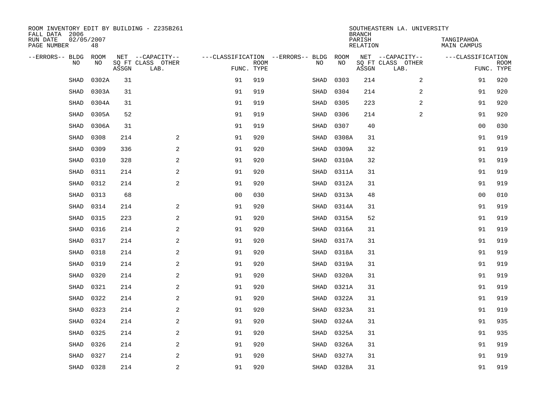| ROOM INVENTORY EDIT BY BUILDING - Z235B261<br>FALL DATA 2006 |                  |       |                           |                |             |                                   |            | <b>BRANCH</b>      | SOUTHEASTERN LA. UNIVERSITY |                           |                           |
|--------------------------------------------------------------|------------------|-------|---------------------------|----------------|-------------|-----------------------------------|------------|--------------------|-----------------------------|---------------------------|---------------------------|
| RUN DATE<br>PAGE NUMBER                                      | 02/05/2007<br>48 |       |                           |                |             |                                   |            | PARISH<br>RELATION |                             | TANGIPAHOA<br>MAIN CAMPUS |                           |
| --ERRORS-- BLDG                                              | ROOM             |       | NET --CAPACITY--          |                |             | ---CLASSIFICATION --ERRORS-- BLDG | ROOM       |                    | NET --CAPACITY--            | ---CLASSIFICATION         |                           |
| NO                                                           | NO               | ASSGN | SQ FT CLASS OTHER<br>LAB. | FUNC. TYPE     | <b>ROOM</b> | NO                                | NO         | ASSGN              | SQ FT CLASS OTHER<br>LAB.   |                           | <b>ROOM</b><br>FUNC. TYPE |
| SHAD                                                         | 0302A            | 31    |                           | 91             | 919         | SHAD                              | 0303       | 214                | $\overline{2}$              | 91                        | 920                       |
| SHAD                                                         | 0303A            | 31    |                           | 91             | 919         | SHAD                              | 0304       | 214                | 2                           | 91                        | 920                       |
| <b>SHAD</b>                                                  | 0304A            | 31    |                           | 91             | 919         | SHAD                              | 0305       | 223                | 2                           | 91                        | 920                       |
| <b>SHAD</b>                                                  | 0305A            | 52    |                           | 91             | 919         | SHAD                              | 0306       | 214                | $\overline{a}$              | 91                        | 920                       |
| SHAD                                                         | 0306A            | 31    |                           | 91             | 919         | SHAD                              | 0307       | 40                 |                             | 00                        | 030                       |
| SHAD                                                         | 0308             | 214   | 2                         | 91             | 920         | SHAD                              | 0308A      | 31                 |                             | 91                        | 919                       |
| <b>SHAD</b>                                                  | 0309             | 336   | 2                         | 91             | 920         | SHAD                              | 0309A      | 32                 |                             | 91                        | 919                       |
| SHAD                                                         | 0310             | 328   | $\overline{a}$            | 91             | 920         | SHAD                              | 0310A      | 32                 |                             | 91                        | 919                       |
| SHAD                                                         | 0311             | 214   | 2                         | 91             | 920         | SHAD                              | 0311A      | 31                 |                             | 91                        | 919                       |
| <b>SHAD</b>                                                  | 0312             | 214   | 2                         | 91             | 920         | SHAD                              | 0312A      | 31                 |                             | 91                        | 919                       |
| <b>SHAD</b>                                                  | 0313             | 68    |                           | 0 <sub>0</sub> | 030         | SHAD                              | 0313A      | 48                 |                             | 0 <sub>0</sub>            | 010                       |
| SHAD                                                         | 0314             | 214   | 2                         | 91             | 920         | SHAD                              | 0314A      | 31                 |                             | 91                        | 919                       |
| SHAD                                                         | 0315             | 223   | 2                         | 91             | 920         | SHAD                              | 0315A      | 52                 |                             | 91                        | 919                       |
| SHAD                                                         | 0316             | 214   | 2                         | 91             | 920         | SHAD                              | 0316A      | 31                 |                             | 91                        | 919                       |
| <b>SHAD</b>                                                  | 0317             | 214   | 2                         | 91             | 920         | SHAD                              | 0317A      | 31                 |                             | 91                        | 919                       |
| SHAD                                                         | 0318             | 214   | $\overline{a}$            | 91             | 920         | SHAD                              | 0318A      | 31                 |                             | 91                        | 919                       |
| <b>SHAD</b>                                                  | 0319             | 214   | 2                         | 91             | 920         | SHAD                              | 0319A      | 31                 |                             | 91                        | 919                       |
| <b>SHAD</b>                                                  | 0320             | 214   | 2                         | 91             | 920         | SHAD                              | 0320A      | 31                 |                             | 91                        | 919                       |
| <b>SHAD</b>                                                  | 0321             | 214   | 2                         | 91             | 920         | SHAD                              | 0321A      | 31                 |                             | 91                        | 919                       |
| SHAD                                                         | 0322             | 214   | 2                         | 91             | 920         | SHAD                              | 0322A      | 31                 |                             | 91                        | 919                       |
| SHAD                                                         | 0323             | 214   | 2                         | 91             | 920         | SHAD                              | 0323A      | 31                 |                             | 91                        | 919                       |
| <b>SHAD</b>                                                  | 0324             | 214   | $\overline{a}$            | 91             | 920         | SHAD                              | 0324A      | 31                 |                             | 91                        | 935                       |
| SHAD                                                         | 0325             | 214   | $\sqrt{2}$                | 91             | 920         | SHAD                              | 0325A      | 31                 |                             | 91                        | 935                       |
| SHAD                                                         | 0326             | 214   | 2                         | 91             | 920         | SHAD                              | 0326A      | 31                 |                             | 91                        | 919                       |
| <b>SHAD</b>                                                  | 0327             | 214   | 2                         | 91             | 920         | SHAD                              | 0327A      | 31                 |                             | 91                        | 919                       |
| SHAD                                                         | 0328             | 214   | $\overline{a}$            | 91             | 920         |                                   | SHAD 0328A | 31                 |                             | 91                        | 919                       |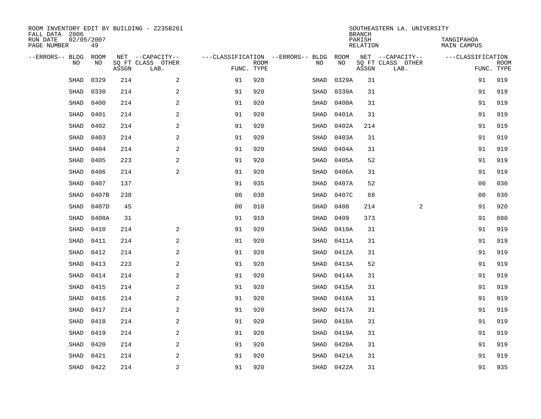| ROOM INVENTORY EDIT BY BUILDING - Z235B261<br>FALL DATA 2006 |                  |       |                           |                                   |             |             |            | <b>BRANCH</b>             | SOUTHEASTERN LA. UNIVERSITY |                                  |                           |
|--------------------------------------------------------------|------------------|-------|---------------------------|-----------------------------------|-------------|-------------|------------|---------------------------|-----------------------------|----------------------------------|---------------------------|
| RUN DATE<br>PAGE NUMBER                                      | 02/05/2007<br>49 |       |                           |                                   |             |             |            | PARISH<br><b>RELATION</b> |                             | TANGIPAHOA<br><b>MAIN CAMPUS</b> |                           |
| --ERRORS-- BLDG                                              | ROOM             |       | NET --CAPACITY--          | ---CLASSIFICATION --ERRORS-- BLDG |             |             | ROOM       |                           | NET --CAPACITY--            | ---CLASSIFICATION                |                           |
| NO                                                           | NO               | ASSGN | SQ FT CLASS OTHER<br>LAB. | FUNC. TYPE                        | <b>ROOM</b> | NO          | NO         | ASSGN                     | SQ FT CLASS OTHER<br>LAB.   |                                  | <b>ROOM</b><br>FUNC. TYPE |
| SHAD                                                         | 0329             | 214   | 2                         | 91                                | 920         | SHAD        | 0329A      | 31                        |                             | 91                               | 919                       |
| SHAD                                                         | 0330             | 214   | 2                         | 91                                | 920         | SHAD        | 0330A      | 31                        |                             | 91                               | 919                       |
| SHAD                                                         | 0400             | 214   | 2                         | 91                                | 920         | SHAD        | 0400A      | 31                        |                             | 91                               | 919                       |
| <b>SHAD</b>                                                  | 0401             | 214   | $\overline{a}$            | 91                                | 920         | SHAD        | 0401A      | 31                        |                             | 91                               | 919                       |
| <b>SHAD</b>                                                  | 0402             | 214   | 2                         | 91                                | 920         | SHAD        | 0402A      | 214                       |                             | 91                               | 919                       |
| SHAD                                                         | 0403             | 214   | 2                         | 91                                | 920         | SHAD        | 0403A      | 31                        |                             | 91                               | 919                       |
| SHAD                                                         | 0404             | 214   | $\overline{a}$            | 91                                | 920         | SHAD        | 0404A      | 31                        |                             | 91                               | 919                       |
| <b>SHAD</b>                                                  | 0405             | 223   | 2                         | 91                                | 920         | SHAD        | 0405A      | 52                        |                             | 91                               | 919                       |
| <b>SHAD</b>                                                  | 0406             | 214   | 2                         | 91                                | 920         | SHAD        | 0406A      | 31                        |                             | 91                               | 919                       |
| <b>SHAD</b>                                                  | 0407             | 137   |                           | 91                                | 935         | SHAD        | 0407A      | 52                        |                             | 0 <sub>0</sub>                   | 030                       |
| <b>SHAD</b>                                                  | 0407B            | 238   |                           | 0 <sub>0</sub>                    | 030         | SHAD        | 0407C      | 68                        |                             | 0 <sub>0</sub>                   | 030                       |
| <b>SHAD</b>                                                  | 0407D            | 45    |                           | 0 <sub>0</sub>                    | 010         | SHAD        | 0408       | 214                       | 2                           | 91                               | 920                       |
| SHAD                                                         | 0408A            | 31    |                           | 91                                | 919         | SHAD        | 0409       | 373                       |                             | 91                               | 680                       |
| SHAD                                                         | 0410             | 214   | $\mathbf{2}$              | 91                                | 920         | SHAD        | 0410A      | 31                        |                             | 91                               | 919                       |
| SHAD                                                         | 0411             | 214   | 2                         | 91                                | 920         | SHAD        | 0411A      | 31                        |                             | 91                               | 919                       |
| SHAD                                                         | 0412             | 214   | 2                         | 91                                | 920         | SHAD        | 0412A      | 31                        |                             | 91                               | 919                       |
| <b>SHAD</b>                                                  | 0413             | 223   | 2                         | 91                                | 920         | SHAD        | 0413A      | 52                        |                             | 91                               | 919                       |
| <b>SHAD</b>                                                  | 0414             | 214   | 2                         | 91                                | 920         | SHAD        | 0414A      | 31                        |                             | 91                               | 919                       |
| <b>SHAD</b>                                                  | 0415             | 214   | 2                         | 91                                | 920         | SHAD        | 0415A      | 31                        |                             | 91                               | 919                       |
| SHAD                                                         | 0416             | 214   | 2                         | 91                                | 920         | SHAD        | 0416A      | 31                        |                             | 91                               | 919                       |
| <b>SHAD</b>                                                  | 0417             | 214   | 2                         | 91                                | 920         | SHAD        | 0417A      | 31                        |                             | 91                               | 919                       |
| <b>SHAD</b>                                                  | 0418             | 214   | 2                         | 91                                | 920         | <b>SHAD</b> | 0418A      | 31                        |                             | 91                               | 919                       |
| <b>SHAD</b>                                                  | 0419             | 214   | 2                         | 91                                | 920         | SHAD        | 0419A      | 31                        |                             | 91                               | 919                       |
| <b>SHAD</b>                                                  | 0420             | 214   | 2                         | 91                                | 920         | SHAD        | 0420A      | 31                        |                             | 91                               | 919                       |
| SHAD                                                         | 0421             | 214   | 2                         | 91                                | 920         | SHAD        | 0421A      | 31                        |                             | 91                               | 919                       |
|                                                              | SHAD 0422        | 214   | $\overline{c}$            | 91                                | 920         |             | SHAD 0422A | 31                        |                             | 91                               | 935                       |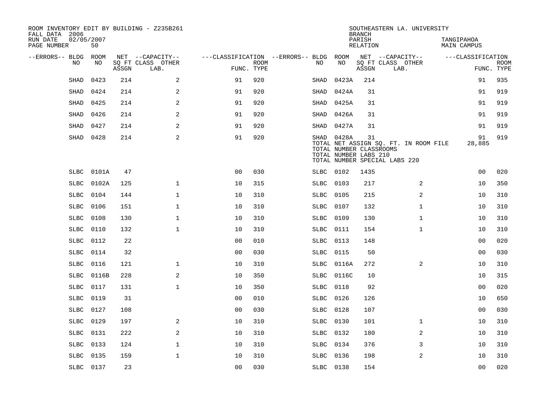| ROOM INVENTORY EDIT BY BUILDING - Z235B261<br>FALL DATA 2006 |                  |       |                           |                                   |             |             |            | <b>BRANCH</b>                                          | SOUTHEASTERN LA. UNIVERSITY                                            |                                  |                           |
|--------------------------------------------------------------|------------------|-------|---------------------------|-----------------------------------|-------------|-------------|------------|--------------------------------------------------------|------------------------------------------------------------------------|----------------------------------|---------------------------|
| RUN DATE<br>PAGE NUMBER                                      | 02/05/2007<br>50 |       |                           |                                   |             |             |            | PARISH<br><b>RELATION</b>                              |                                                                        | TANGIPAHOA<br><b>MAIN CAMPUS</b> |                           |
| --ERRORS-- BLDG                                              | ROOM             |       | NET --CAPACITY--          | ---CLASSIFICATION --ERRORS-- BLDG |             |             | ROOM       |                                                        | NET --CAPACITY--                                                       | ---CLASSIFICATION                |                           |
| N <sub>O</sub>                                               | NO.              | ASSGN | SO FT CLASS OTHER<br>LAB. | FUNC. TYPE                        | <b>ROOM</b> | NO.         | NO         | ASSGN                                                  | SQ FT CLASS OTHER<br>LAB.                                              |                                  | <b>ROOM</b><br>FUNC. TYPE |
| <b>SHAD</b>                                                  | 0423             | 214   | 2                         | 91                                | 920         | SHAD        | 0423A      | 214                                                    |                                                                        | 91                               | 935                       |
| SHAD                                                         | 0424             | 214   | 2                         | 91                                | 920         | SHAD        | 0424A      | 31                                                     |                                                                        | 91                               | 919                       |
| SHAD                                                         | 0425             | 214   | 2                         | 91                                | 920         | SHAD        | 0425A      | 31                                                     |                                                                        | 91                               | 919                       |
| SHAD                                                         | 0426             | 214   | 2                         | 91                                | 920         | SHAD        | 0426A      | 31                                                     |                                                                        | 91                               | 919                       |
| SHAD                                                         | 0427             | 214   | $\overline{a}$            | 91                                | 920         | SHAD        | 0427A      | 31                                                     |                                                                        | 91                               | 919                       |
| SHAD                                                         | 0428             | 214   | $\mathbf{2}$              | 91                                | 920         |             | SHAD 0428A | 31<br>TOTAL NUMBER CLASSROOMS<br>TOTAL NUMBER LABS 210 | TOTAL NET ASSIGN SQ. FT. IN ROOM FILE<br>TOTAL NUMBER SPECIAL LABS 220 | 91<br>28,885                     | 919                       |
| <b>SLBC</b>                                                  | 0101A            | 47    |                           | 0 <sub>0</sub>                    | 030         | SLBC        | 0102       | 1435                                                   |                                                                        | 0 <sub>0</sub>                   | 020                       |
| <b>SLBC</b>                                                  | 0102A            | 125   | $\mathbf{1}$              | 10                                | 315         | <b>SLBC</b> | 0103       | 217                                                    | 2                                                                      | 10                               | 350                       |
| <b>SLBC</b>                                                  | 0104             | 144   | $\mathbf{1}$              | 10                                | 310         | <b>SLBC</b> | 0105       | 215                                                    | 2                                                                      | 10                               | 310                       |
| SLBC                                                         | 0106             | 151   | $\mathbf{1}$              | 10                                | 310         | SLBC        | 0107       | 132                                                    | $\mathbf{1}$                                                           | 10                               | 310                       |
| <b>SLBC</b>                                                  | 0108             | 130   | $\mathbf 1$               | 10                                | 310         | <b>SLBC</b> | 0109       | 130                                                    | $\mathbf{1}$                                                           | 10                               | 310                       |
| SLBC                                                         | 0110             | 132   | $\mathbf{1}$              | 10                                | 310         | SLBC        | 0111       | 154                                                    | $\mathbf{1}$                                                           | 10                               | 310                       |
| SLBC                                                         | 0112             | 22    |                           | 0 <sub>0</sub>                    | 010         | SLBC        | 0113       | 148                                                    |                                                                        | 00                               | 020                       |
| <b>SLBC</b>                                                  | 0114             | 32    |                           | 0 <sub>0</sub>                    | 030         | <b>SLBC</b> | 0115       | 50                                                     |                                                                        | 00                               | 030                       |
| <b>SLBC</b>                                                  | 0116             | 121   | $\mathbf{1}$              | 10                                | 310         | <b>SLBC</b> | 0116A      | 272                                                    | 2                                                                      | 10                               | 310                       |
| SLBC                                                         | 0116B            | 228   | 2                         | 10                                | 350         | SLBC        | 0116C      | 10                                                     |                                                                        | 10                               | 315                       |
| SLBC                                                         | 0117             | 131   | $\mathbf{1}$              | 10                                | 350         | SLBC        | 0118       | 92                                                     |                                                                        | 0 <sub>0</sub>                   | 020                       |
| SLBC                                                         | 0119             | 31    |                           | 0 <sub>0</sub>                    | 010         | SLBC        | 0126       | 126                                                    |                                                                        | 10                               | 650                       |
| <b>SLBC</b>                                                  | 0127             | 108   |                           | 0 <sub>0</sub>                    | 030         | SLBC        | 0128       | 107                                                    |                                                                        | 0 <sub>0</sub>                   | 030                       |
| <b>SLBC</b>                                                  | 0129             | 197   | 2                         | 10                                | 310         | SLBC        | 0130       | 101                                                    | $\mathbf{1}$                                                           | 10                               | 310                       |
| SLBC                                                         | 0131             | 222   | 2                         | 10                                | 310         | SLBC 0132   |            | 180                                                    | 2                                                                      | 10                               | 310                       |
| <b>SLBC</b>                                                  | 0133             | 124   | $\mathbf 1$               | 10                                | 310         | SLBC 0134   |            | 376                                                    | 3                                                                      | 10                               | 310                       |
| SLBC                                                         | 0135             | 159   | $\mathbf{1}$              | 10                                | 310         | SLBC        | 0136       | 198                                                    | $\overline{2}$                                                         | 10                               | 310                       |
|                                                              | SLBC 0137        | 23    |                           | 00                                | 030         | SLBC 0138   |            | 154                                                    |                                                                        | 0 <sub>0</sub>                   | 020                       |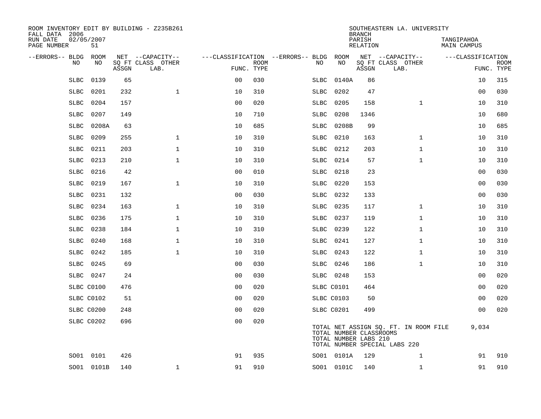| ROOM INVENTORY EDIT BY BUILDING - Z235B261<br>FALL DATA 2006 |                  |       |                           |                |             |                                   |            |            | <b>BRANCH</b>                                    | SOUTHEASTERN LA. UNIVERSITY                                            |                                  |             |
|--------------------------------------------------------------|------------------|-------|---------------------------|----------------|-------------|-----------------------------------|------------|------------|--------------------------------------------------|------------------------------------------------------------------------|----------------------------------|-------------|
| RUN DATE<br>PAGE NUMBER                                      | 02/05/2007<br>51 |       |                           |                |             |                                   |            |            | PARISH<br><b>RELATION</b>                        |                                                                        | TANGIPAHOA<br><b>MAIN CAMPUS</b> |             |
| --ERRORS-- BLDG ROOM                                         |                  |       | NET --CAPACITY--          |                |             | ---CLASSIFICATION --ERRORS-- BLDG |            | ROOM       |                                                  | NET --CAPACITY--                                                       | ---CLASSIFICATION                |             |
| NO                                                           | NO               | ASSGN | SQ FT CLASS OTHER<br>LAB. | FUNC. TYPE     | <b>ROOM</b> | NO                                |            | NO         | ASSGN                                            | SQ FT CLASS OTHER<br>LAB.                                              | FUNC. TYPE                       | <b>ROOM</b> |
| <b>SLBC</b>                                                  | 0139             | 65    |                           | 0 <sub>0</sub> | 030         | SLBC                              |            | 0140A      | 86                                               |                                                                        | 10                               | 315         |
| <b>SLBC</b>                                                  | 0201             | 232   | $\mathbf{1}$              | 10             | 310         | SLBC                              |            | 0202       | 47                                               |                                                                        | 00                               | 030         |
| SLBC                                                         | 0204             | 157   |                           | 0 <sub>0</sub> | 020         | SLBC                              |            | 0205       | 158                                              | $\mathbf{1}$                                                           | 10                               | 310         |
| <b>SLBC</b>                                                  | 0207             | 149   |                           | 10             | 710         | SLBC                              |            | 0208       | 1346                                             |                                                                        | 10                               | 680         |
| <b>SLBC</b>                                                  | 0208A            | 63    |                           | 10             | 685         | SLBC                              |            | 0208B      | 99                                               |                                                                        | 10                               | 685         |
| <b>SLBC</b>                                                  | 0209             | 255   | $\mathbf 1$               | 10             | 310         | <b>SLBC</b>                       |            | 0210       | 163                                              | $\mathbf{1}$                                                           | 10                               | 310         |
| <b>SLBC</b>                                                  | 0211             | 203   | $\mathbf{1}$              | 10             | 310         | <b>SLBC</b>                       |            | 0212       | 203                                              | $\mathbf{1}$                                                           | 10                               | 310         |
| <b>SLBC</b>                                                  | 0213             | 210   | $\mathbf{1}$              | 10             | 310         | SLBC                              |            | 0214       | 57                                               | $\mathbf{1}$                                                           | 10                               | 310         |
| <b>SLBC</b>                                                  | 0216             | 42    |                           | 0 <sub>0</sub> | 010         | SLBC                              |            | 0218       | 23                                               |                                                                        | 0 <sub>0</sub>                   | 030         |
| <b>SLBC</b>                                                  | 0219             | 167   | $\mathbf{1}$              | 10             | 310         | SLBC                              |            | 0220       | 153                                              |                                                                        | 00                               | 030         |
| <b>SLBC</b>                                                  | 0231             | 132   |                           | 0 <sub>0</sub> | 030         | <b>SLBC</b>                       |            | 0232       | 133                                              |                                                                        | 0 <sub>0</sub>                   | 030         |
| <b>SLBC</b>                                                  | 0234             | 163   | $\mathbf 1$               | 10             | 310         | SLBC                              |            | 0235       | 117                                              | $\mathbf{1}$                                                           | 10                               | 310         |
| <b>SLBC</b>                                                  | 0236             | 175   | $\mathbf{1}$              | 10             | 310         | <b>SLBC</b>                       |            | 0237       | 119                                              | $\mathbf{1}$                                                           | 10                               | 310         |
| <b>SLBC</b>                                                  | 0238             | 184   | $\mathbf 1$               | 10             | 310         | <b>SLBC</b>                       |            | 0239       | 122                                              | $\mathbf{1}$                                                           | 10                               | 310         |
| <b>SLBC</b>                                                  | 0240             | 168   | $\mathbf{1}$              | 10             | 310         | SLBC                              |            | 0241       | 127                                              | $\mathbf{1}$                                                           | 10                               | 310         |
| SLBC                                                         | 0242             | 185   | $\mathbf{1}$              | 10             | 310         |                                   | SLBC 0243  |            | 122                                              | $\mathbf{1}$                                                           | 10                               | 310         |
| SLBC                                                         | 0245             | 69    |                           | 0 <sub>0</sub> | 030         | SLBC                              |            | 0246       | 186                                              | $\mathbf{1}$                                                           | 10                               | 310         |
|                                                              | SLBC 0247        | 24    |                           | 0 <sub>0</sub> | 030         |                                   | SLBC 0248  |            | 153                                              |                                                                        | 00                               | 020         |
|                                                              | SLBC C0100       | 476   |                           | 0 <sub>0</sub> | 020         |                                   | SLBC C0101 |            | 464                                              |                                                                        | 00                               | 020         |
|                                                              | SLBC C0102       | 51    |                           | 0 <sub>0</sub> | 020         |                                   | SLBC C0103 |            | 50                                               |                                                                        | 00                               | 020         |
|                                                              | SLBC C0200       | 248   |                           | 0 <sub>0</sub> | 020         |                                   | SLBC C0201 |            | 499                                              |                                                                        | 0 <sub>0</sub>                   | 020         |
|                                                              | SLBC C0202       | 696   |                           | 0 <sub>0</sub> | 020         |                                   |            |            | TOTAL NUMBER CLASSROOMS<br>TOTAL NUMBER LABS 210 | TOTAL NET ASSIGN SQ. FT. IN ROOM FILE<br>TOTAL NUMBER SPECIAL LABS 220 | 9,034                            |             |
|                                                              | SO01 0101        | 426   |                           | 91             | 935         |                                   |            | SO01 0101A | 129                                              | $\mathbf{1}$                                                           | 91                               | 910         |
|                                                              | SO01 0101B       | 140   | $\mathbf 1$               | 91             | 910         |                                   |            | SO01 0101C | 140                                              | $\mathbf{1}$                                                           | 91                               | 910         |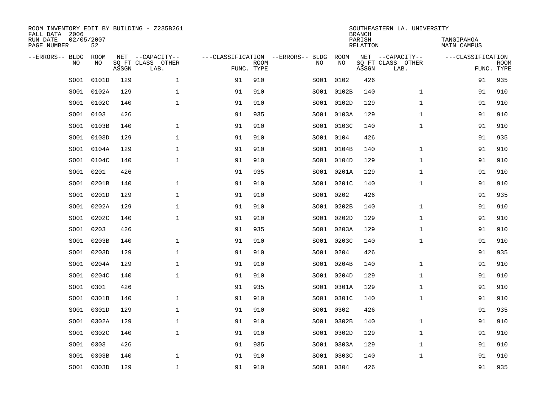| FALL DATA 2006<br>RUN DATE<br>PAGE NUMBER | 02/05/2007 | 52          |       | ROOM INVENTORY EDIT BY BUILDING - Z235B261    |                                                 |             |      |            | <b>BRANCH</b><br>PARISH<br>RELATION | SOUTHEASTERN LA. UNIVERSITY                   | TANGIPAHOA<br><b>MAIN CAMPUS</b> |                           |
|-------------------------------------------|------------|-------------|-------|-----------------------------------------------|-------------------------------------------------|-------------|------|------------|-------------------------------------|-----------------------------------------------|----------------------------------|---------------------------|
| --ERRORS-- BLDG                           | <b>NO</b>  | ROOM<br>NO. | ASSGN | NET --CAPACITY--<br>SO FT CLASS OTHER<br>LAB. | ---CLASSIFICATION --ERRORS-- BLDG<br>FUNC. TYPE | <b>ROOM</b> | NO   | ROOM<br>NO | ASSGN                               | NET --CAPACITY--<br>SQ FT CLASS OTHER<br>LAB. | ---CLASSIFICATION                | <b>ROOM</b><br>FUNC. TYPE |
|                                           | SO01       | 0101D       | 129   | $\mathbf{1}$                                  | 91                                              | 910         | SO01 | 0102       | 426                                 |                                               | 91                               | 935                       |
|                                           | SO01       | 0102A       | 129   | $\mathbf 1$                                   | 91                                              | 910         |      | SO01 0102B | 140                                 | $\mathbf{1}$                                  | 91                               | 910                       |
|                                           | SO01       | 0102C       | 140   | $\mathbf 1$                                   | 91                                              | 910         | SO01 | 0102D      | 129                                 | $\mathbf{1}$                                  | 91                               | 910                       |
|                                           | SO01       | 0103        | 426   |                                               | 91                                              | 935         |      | SO01 0103A | 129                                 | $\mathbf{1}$                                  | 91                               | 910                       |
|                                           | SO01       | 0103B       | 140   | $\mathbf{1}$                                  | 91                                              | 910         |      | SO01 0103C | 140                                 | $\mathbf{1}$                                  | 91                               | 910                       |
|                                           | SO01       | 0103D       | 129   | $\mathbf{1}$                                  | 91                                              | 910         |      | SO01 0104  | 426                                 |                                               | 91                               | 935                       |
|                                           | SO01       | 0104A       | 129   | $\mathbf{1}$                                  | 91                                              | 910         |      | SO01 0104B | 140                                 | $\mathbf{1}$                                  | 91                               | 910                       |
|                                           | SO01       | 0104C       | 140   | $\mathbf{1}$                                  | 91                                              | 910         |      | SO01 0104D | 129                                 | $\mathbf{1}$                                  | 91                               | 910                       |
|                                           | SO01       | 0201        | 426   |                                               | 91                                              | 935         | SO01 | 0201A      | 129                                 | $\mathbf{1}$                                  | 91                               | 910                       |
|                                           | SO01       | 0201B       | 140   | $\mathbf 1$                                   | 91                                              | 910         |      | SO01 0201C | 140                                 | $\mathbf{1}$                                  | 91                               | 910                       |
|                                           | SO01       | 0201D       | 129   | $\mathbf 1$                                   | 91                                              | 910         | SO01 | 0202       | 426                                 |                                               | 91                               | 935                       |
|                                           | SO01       | 0202A       | 129   | $\mathbf 1$                                   | 91                                              | 910         |      | SO01 0202B | 140                                 | $\mathbf{1}$                                  | 91                               | 910                       |
|                                           | SO01       | 0202C       | 140   | $\mathbf 1$                                   | 91                                              | 910         | SO01 | 0202D      | 129                                 | $\mathbf{1}$                                  | 91                               | 910                       |
|                                           | SO01       | 0203        | 426   |                                               | 91                                              | 935         | SO01 | 0203A      | 129                                 | $\mathbf{1}$                                  | 91                               | 910                       |
|                                           | SO01       | 0203B       | 140   | $\mathbf 1$                                   | 91                                              | 910         | SO01 | 0203C      | 140                                 | $\mathbf{1}$                                  | 91                               | 910                       |
|                                           | SO01       | 0203D       | 129   | $\mathbf 1$                                   | 91                                              | 910         |      | SO01 0204  | 426                                 |                                               | 91                               | 935                       |
|                                           | SO01       | 0204A       | 129   | $\mathbf 1$                                   | 91                                              | 910         | SO01 | 0204B      | 140                                 | $\mathbf{1}$                                  | 91                               | 910                       |
|                                           | SO01       | 0204C       | 140   | $\mathbf 1$                                   | 91                                              | 910         |      | SO01 0204D | 129                                 | $\mathbf{1}$                                  | 91                               | 910                       |
|                                           | SO01       | 0301        | 426   |                                               | 91                                              | 935         |      | SO01 0301A | 129                                 | $\mathbf{1}$                                  | 91                               | 910                       |
|                                           | SO01       | 0301B       | 140   | $\mathbf{1}$                                  | 91                                              | 910         |      | SO01 0301C | 140                                 | $\mathbf{1}$                                  | 91                               | 910                       |
|                                           | SO01       | 0301D       | 129   | $\mathbf{1}$                                  | 91                                              | 910         |      | SO01 0302  | 426                                 |                                               | 91                               | 935                       |
|                                           | SO01       | 0302A       | 129   | $\mathbf{1}$                                  | 91                                              | 910         |      | SO01 0302B | 140                                 | $\mathbf{1}$                                  | 91                               | 910                       |
|                                           | SO01       | 0302C       | 140   | $\mathbf{1}$                                  | 91                                              | 910         |      | SO01 0302D | 129                                 | $\mathbf{1}$                                  | 91                               | 910                       |
|                                           | SO01       | 0303        | 426   |                                               | 91                                              | 935         |      | SO01 0303A | 129                                 | $\mathbf{1}$                                  | 91                               | 910                       |
|                                           | SO01       | 0303B       | 140   | $\mathbf 1$                                   | 91                                              | 910         |      | SO01 0303C | 140                                 | $\mathbf{1}$                                  | 91                               | 910                       |
|                                           |            | SO01 0303D  | 129   | $\mathbf 1$                                   | 91                                              | 910         |      | SO01 0304  | 426                                 |                                               | 91                               | 935                       |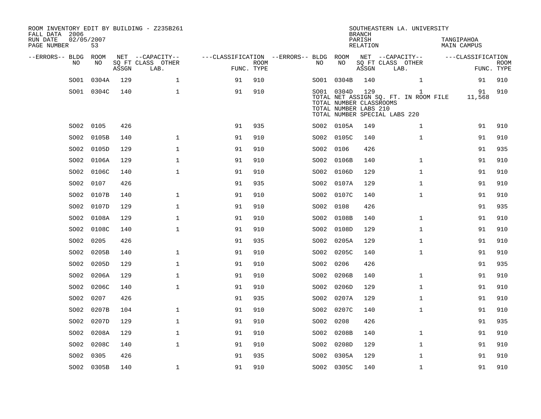| ROOM INVENTORY EDIT BY BUILDING - Z235B261<br>FALL DATA 2006<br>RUN DATE<br>PAGE NUMBER | 02/05/2007<br>53 |       |                                               |                                        |                           |      |                                                                | <b>BRANCH</b><br>PARISH<br><b>RELATION</b> | SOUTHEASTERN LA. UNIVERSITY                                                            | TANGIPAHOA<br><b>MAIN CAMPUS</b> |                           |
|-----------------------------------------------------------------------------------------|------------------|-------|-----------------------------------------------|----------------------------------------|---------------------------|------|----------------------------------------------------------------|--------------------------------------------|----------------------------------------------------------------------------------------|----------------------------------|---------------------------|
| --ERRORS-- BLDG ROOM<br>NO                                                              | NO               | ASSGN | NET --CAPACITY--<br>SQ FT CLASS OTHER<br>LAB. | ---CLASSIFICATION --ERRORS-- BLDG ROOM | <b>ROOM</b><br>FUNC. TYPE | NO   | NO                                                             | ASSGN                                      | NET --CAPACITY--<br>SQ FT CLASS OTHER<br>LAB.                                          | ---CLASSIFICATION                | <b>ROOM</b><br>FUNC. TYPE |
| SO01                                                                                    | 0304A            | 129   | $\mathbf 1$                                   | 91                                     | 910                       |      | SO01 0304B                                                     | 140                                        | $\mathbf{1}$                                                                           | 91                               | 910                       |
|                                                                                         | SO01 0304C       | 140   | $\mathbf{1}$                                  | 91                                     | 910                       |      | SO01 0304D<br>TOTAL NUMBER CLASSROOMS<br>TOTAL NUMBER LABS 210 | 129                                        | $\mathbf{1}$<br>TOTAL NET ASSIGN SQ. FT. IN ROOM FILE<br>TOTAL NUMBER SPECIAL LABS 220 | 91<br>11,568                     | 910                       |
| SO02                                                                                    | 0105             | 426   |                                               | 91                                     | 935                       |      | SO02 0105A                                                     | 149                                        | $\mathbf{1}$                                                                           | 91                               | 910                       |
| SO02                                                                                    | 0105B            | 140   | $\mathbf{1}$                                  | 91                                     | 910                       |      | SO02 0105C                                                     | 140                                        | $\mathbf{1}$                                                                           | 91                               | 910                       |
| SO02                                                                                    | 0105D            | 129   | $\mathbf{1}$                                  | 91                                     | 910                       |      | SO02 0106                                                      | 426                                        |                                                                                        | 91                               | 935                       |
| SO02                                                                                    | 0106A            | 129   | $\mathbf{1}$                                  | 91                                     | 910                       |      | SO02 0106B                                                     | 140                                        | $\mathbf{1}$                                                                           | 91                               | 910                       |
| SO02                                                                                    | 0106C            | 140   | $\mathbf 1$                                   | 91                                     | 910                       | SO02 | 0106D                                                          | 129                                        | $\mathbf{1}$                                                                           | 91                               | 910                       |
| SO02                                                                                    | 0107             | 426   |                                               | 91                                     | 935                       |      | SO02 0107A                                                     | 129                                        | $\mathbf{1}$                                                                           | 91                               | 910                       |
| SO02                                                                                    | 0107B            | 140   | $\mathbf{1}$                                  | 91                                     | 910                       | SO02 | 0107C                                                          | 140                                        | $\mathbf{1}$                                                                           | 91                               | 910                       |
| SO02                                                                                    | 0107D            | 129   | $\mathbf{1}$                                  | 91                                     | 910                       |      | SO02 0108                                                      | 426                                        |                                                                                        | 91                               | 935                       |
| SO02                                                                                    | 0108A            | 129   | $\mathbf 1$                                   | 91                                     | 910                       | SO02 | 0108B                                                          | 140                                        | $\mathbf{1}$                                                                           | 91                               | 910                       |
| SO02                                                                                    | 0108C            | 140   | $\mathbf 1$                                   | 91                                     | 910                       | SO02 | 0108D                                                          | 129                                        | $\mathbf{1}$                                                                           | 91                               | 910                       |
| SO02                                                                                    | 0205             | 426   |                                               | 91                                     | 935                       | SO02 | 0205A                                                          | 129                                        | $\mathbf{1}$                                                                           | 91                               | 910                       |
| SO02                                                                                    | 0205B            | 140   | $\mathbf{1}$                                  | 91                                     | 910                       |      | SO02 0205C                                                     | 140                                        | $\mathbf{1}$                                                                           | 91                               | 910                       |
| SO02                                                                                    | 0205D            | 129   | $\mathbf{1}$                                  | 91                                     | 910                       | SO02 | 0206                                                           | 426                                        |                                                                                        | 91                               | 935                       |
| SO02                                                                                    | 0206A            | 129   | $\mathbf{1}$                                  | 91                                     | 910                       | SO02 | 0206B                                                          | 140                                        | $\mathbf{1}$                                                                           | 91                               | 910                       |
| SO02                                                                                    | 0206C            | 140   | $\mathbf{1}$                                  | 91                                     | 910                       | SO02 | 0206D                                                          | 129                                        | $\mathbf{1}$                                                                           | 91                               | 910                       |
| SO02                                                                                    | 0207             | 426   |                                               | 91                                     | 935                       |      | SO02 0207A                                                     | 129                                        | $\mathbf{1}$                                                                           | 91                               | 910                       |
| SO02                                                                                    | 0207B            | 104   | $\mathbf 1$                                   | 91                                     | 910                       |      | SO02 0207C                                                     | 140                                        | $\mathbf{1}$                                                                           | 91                               | 910                       |
| SO02                                                                                    | 0207D            | 129   | $\mathbf 1$                                   | 91                                     | 910                       | SO02 | 0208                                                           | 426                                        |                                                                                        | 91                               | 935                       |
| SO02                                                                                    | 0208A            | 129   | $\mathbf{1}$                                  | 91                                     | 910                       | SO02 | 0208B                                                          | 140                                        | $\mathbf{1}$                                                                           | 91                               | 910                       |
| SO02                                                                                    | 0208C            | 140   | $\mathbf{1}$                                  | 91                                     | 910                       |      | SO02 0208D                                                     | 129                                        | $\mathbf{1}$                                                                           | 91                               | 910                       |
| SO02                                                                                    | 0305             | 426   |                                               | 91                                     | 935                       | SO02 | 0305A                                                          | 129                                        | $\mathbf{1}$                                                                           | 91                               | 910                       |
|                                                                                         | SO02 0305B       | 140   | $\mathbf{1}$                                  | 91                                     | 910                       |      | SO02 0305C                                                     | 140                                        | $\mathbf{1}$                                                                           | 91                               | 910                       |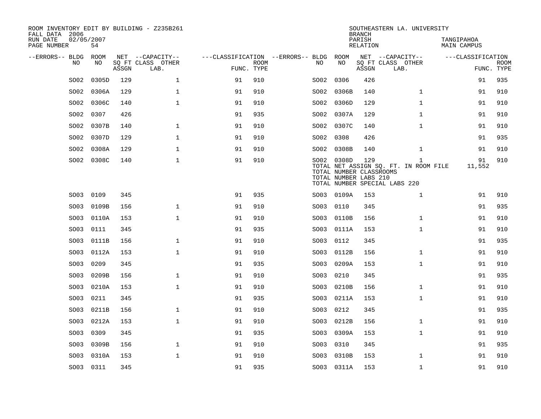| ROOM INVENTORY EDIT BY BUILDING - Z235B261<br>FALL DATA 2006 |           |       |                           |                                        |             |      |                                                                | <b>BRANCH</b>      | SOUTHEASTERN LA. UNIVERSITY                                                            |                           |             |
|--------------------------------------------------------------|-----------|-------|---------------------------|----------------------------------------|-------------|------|----------------------------------------------------------------|--------------------|----------------------------------------------------------------------------------------|---------------------------|-------------|
| RUN DATE<br>02/05/2007<br>PAGE NUMBER                        | 54        |       |                           |                                        |             |      |                                                                | PARISH<br>RELATION |                                                                                        | TANGIPAHOA<br>MAIN CAMPUS |             |
| --ERRORS-- BLDG ROOM                                         |           |       | NET --CAPACITY--          | ---CLASSIFICATION --ERRORS-- BLDG ROOM |             |      |                                                                |                    | NET --CAPACITY--                                                                       | ---CLASSIFICATION         |             |
| NO.                                                          | NO.       | ASSGN | SQ FT CLASS OTHER<br>LAB. | FUNC. TYPE                             | <b>ROOM</b> | NO.  | NO                                                             | ASSGN              | SQ FT CLASS OTHER<br>LAB.                                                              | FUNC. TYPE                | <b>ROOM</b> |
| SO02                                                         | 0305D     | 129   | $\mathbf{1}$              | 91                                     | 910         | SO02 | 0306                                                           | 426                |                                                                                        | 91                        | 935         |
| SO02                                                         | 0306A     | 129   | $\mathbf{1}$              | 91                                     | 910         | SO02 | 0306B                                                          | 140                | $\mathbf{1}$                                                                           | 91                        | 910         |
| SO02                                                         | 0306C     | 140   | 1                         | 91                                     | 910         |      | SO02 0306D                                                     | 129                | $\mathbf{1}$                                                                           | 91                        | 910         |
| SO02                                                         | 0307      | 426   |                           | 91                                     | 935         |      | SO02 0307A                                                     | 129                | $\mathbf{1}$                                                                           | 91                        | 910         |
| SO02                                                         | 0307B     | 140   | $\mathbf 1$               | 91                                     | 910         |      | SO02 0307C                                                     | 140                | $\mathbf{1}$                                                                           | 91                        | 910         |
| SO02                                                         | 0307D     | 129   | $\mathbf{1}$              | 91                                     | 910         | SO02 | 0308                                                           | 426                |                                                                                        | 91                        | 935         |
| SO02                                                         | 0308A     | 129   | $\mathbf{1}$              | 91                                     | 910         |      | SO02 0308B                                                     | 140                | $\mathbf{1}$                                                                           | 91                        | 910         |
| SO02                                                         | 0308C     | 140   | $\mathbf 1$               | 91                                     | 910         |      | SO02 0308D<br>TOTAL NUMBER CLASSROOMS<br>TOTAL NUMBER LABS 210 | 129                | $\mathbf{1}$<br>TOTAL NET ASSIGN SQ. FT. IN ROOM FILE<br>TOTAL NUMBER SPECIAL LABS 220 | 91<br>11,552              | 910         |
| SO03                                                         | 0109      | 345   |                           | 91                                     | 935         |      | SO03 0109A                                                     | 153                | $\mathbf{1}$                                                                           | 91                        | 910         |
| SO03                                                         | 0109B     | 156   | $\mathbf 1$               | 91                                     | 910         | SO03 | 0110                                                           | 345                |                                                                                        | 91                        | 935         |
| SO03                                                         | 0110A     | 153   | $\mathbf{1}$              | 91                                     | 910         | SO03 | 0110B                                                          | 156                | $\mathbf{1}$                                                                           | 91                        | 910         |
| SO03                                                         | 0111      | 345   |                           | 91                                     | 935         | SO03 | 0111A                                                          | 153                | $\mathbf{1}$                                                                           | 91                        | 910         |
| SO03                                                         | 0111B     | 156   | $\mathbf 1$               | 91                                     | 910         | SO03 | 0112                                                           | 345                |                                                                                        | 91                        | 935         |
| SO03                                                         | 0112A     | 153   | $\mathbf{1}$              | 91                                     | 910         | SO03 | 0112B                                                          | 156                | $\mathbf{1}$                                                                           | 91                        | 910         |
| SO03                                                         | 0209      | 345   |                           | 91                                     | 935         | SO03 | 0209A                                                          | 153                | $\mathbf{1}$                                                                           | 91                        | 910         |
| SO03                                                         | 0209B     | 156   | $\mathbf 1$               | 91                                     | 910         | SO03 | 0210                                                           | 345                |                                                                                        | 91                        | 935         |
| SO03                                                         | 0210A     | 153   | $\mathbf{1}$              | 91                                     | 910         | SO03 | 0210B                                                          | 156                | $\mathbf{1}$                                                                           | 91                        | 910         |
| SO03                                                         | 0211      | 345   |                           | 91                                     | 935         | SO03 | 0211A                                                          | 153                | $\mathbf{1}$                                                                           | 91                        | 910         |
| SO03                                                         | 0211B     | 156   | $\mathbf{1}$              | 91                                     | 910         | SO03 | 0212                                                           | 345                |                                                                                        | 91                        | 935         |
| SO03                                                         | 0212A     | 153   | $\mathbf{1}$              | 91                                     | 910         | SO03 | 0212B                                                          | 156                | $\mathbf{1}$                                                                           | 91                        | 910         |
| SO03                                                         | 0309      | 345   |                           | 91                                     | 935         | SO03 | 0309A                                                          | 153                | $\mathbf{1}$                                                                           | 91                        | 910         |
| SO03                                                         | 0309B     | 156   | $\mathbf 1$               | 91                                     | 910         | SO03 | 0310                                                           | 345                |                                                                                        | 91                        | 935         |
| SO03                                                         | 0310A     | 153   | $\mathbf{1}$              | 91                                     | 910         | SO03 | 0310B                                                          | 153                | $\mathbf{1}$                                                                           | 91                        | 910         |
|                                                              | SO03 0311 | 345   |                           | 91                                     | 935         |      | SO03 0311A                                                     | 153                | $\mathbf{1}$                                                                           | 91                        | 910         |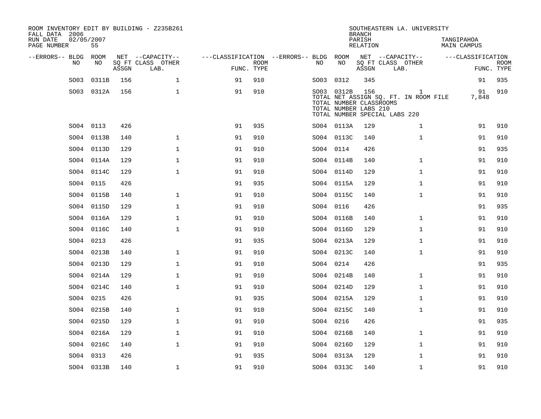| ROOM INVENTORY EDIT BY BUILDING - Z235B261<br>FALL DATA 2006<br>RUN DATE<br>PAGE NUMBER | 02/05/2007<br>55 |       |                                               |                                        |                           |      |                                                                | <b>BRANCH</b><br>PARISH<br><b>RELATION</b> | SOUTHEASTERN LA. UNIVERSITY                                                 | TANGIPAHOA<br><b>MAIN CAMPUS</b> |                           |
|-----------------------------------------------------------------------------------------|------------------|-------|-----------------------------------------------|----------------------------------------|---------------------------|------|----------------------------------------------------------------|--------------------------------------------|-----------------------------------------------------------------------------|----------------------------------|---------------------------|
| --ERRORS-- BLDG ROOM<br>NO                                                              | NO               | ASSGN | NET --CAPACITY--<br>SQ FT CLASS OTHER<br>LAB. | ---CLASSIFICATION --ERRORS-- BLDG ROOM | <b>ROOM</b><br>FUNC. TYPE | NO   | NO                                                             | ASSGN                                      | NET --CAPACITY--<br>SQ FT CLASS OTHER<br>LAB.                               | ---CLASSIFICATION                | <b>ROOM</b><br>FUNC. TYPE |
| SO03                                                                                    | 0311B            | 156   | $\mathbf{1}$                                  | 91                                     | 910                       | SO03 | 0312                                                           | 345                                        |                                                                             | 91                               | 935                       |
|                                                                                         | SO03 0312A       | 156   | $\mathbf{1}$                                  | 91                                     | 910                       |      | SO03 0312B<br>TOTAL NUMBER CLASSROOMS<br>TOTAL NUMBER LABS 210 | 156                                        | 1<br>TOTAL NET ASSIGN SQ. FT. IN ROOM FILE<br>TOTAL NUMBER SPECIAL LABS 220 | 91<br>7,848                      | 910                       |
|                                                                                         | SO04 0113        | 426   |                                               | 91                                     | 935                       |      | SO04 0113A                                                     | 129                                        | $\mathbf{1}$                                                                | 91                               | 910                       |
| SO04                                                                                    | 0113B            | 140   | $\mathbf{1}$                                  | 91                                     | 910                       |      | SO04 0113C                                                     | 140                                        | $\mathbf{1}$                                                                | 91                               | 910                       |
| SO04                                                                                    | 0113D            | 129   | $\mathbf{1}$                                  | 91                                     | 910                       |      | SO04 0114                                                      | 426                                        |                                                                             | 91                               | 935                       |
| SO04                                                                                    | 0114A            | 129   | $\mathbf{1}$                                  | 91                                     | 910                       |      | SO04 0114B                                                     | 140                                        | $\mathbf{1}$                                                                | 91                               | 910                       |
| SO04                                                                                    | 0114C            | 129   | $\mathbf{1}$                                  | 91                                     | 910                       |      | SO04 0114D                                                     | 129                                        | $\mathbf{1}$                                                                | 91                               | 910                       |
|                                                                                         | SO04 0115        | 426   |                                               | 91                                     | 935                       |      | SO04 0115A                                                     | 129                                        | $\mathbf{1}$                                                                | 91                               | 910                       |
|                                                                                         | SO04 0115B       | 140   | $\mathbf 1$                                   | 91                                     | 910                       |      | SO04 0115C                                                     | 140                                        | $\mathbf{1}$                                                                | 91                               | 910                       |
| SO04                                                                                    | 0115D            | 129   | $\mathbf 1$                                   | 91                                     | 910                       |      | SO04 0116                                                      | 426                                        |                                                                             | 91                               | 935                       |
| SO04                                                                                    | 0116A            | 129   | $\mathbf 1$                                   | 91                                     | 910                       |      | SO04 0116B                                                     | 140                                        | $\mathbf{1}$                                                                | 91                               | 910                       |
| SO04                                                                                    | 0116C            | 140   | $\mathbf 1$                                   | 91                                     | 910                       |      | SO04 0116D                                                     | 129                                        | $\mathbf{1}$                                                                | 91                               | 910                       |
| SO04                                                                                    | 0213             | 426   |                                               | 91                                     | 935                       |      | SO04 0213A                                                     | 129                                        | $\mathbf{1}$                                                                | 91                               | 910                       |
| SO04                                                                                    | 0213B            | 140   | 1                                             | 91                                     | 910                       |      | SO04 0213C                                                     | 140                                        | $\mathbf{1}$                                                                | 91                               | 910                       |
| SO04                                                                                    | 0213D            | 129   | $\mathbf{1}$                                  | 91                                     | 910                       |      | SO04 0214                                                      | 426                                        |                                                                             | 91                               | 935                       |
| SO04                                                                                    | 0214A            | 129   | $\mathbf 1$                                   | 91                                     | 910                       |      | SO04 0214B                                                     | 140                                        | $\mathbf{1}$                                                                | 91                               | 910                       |
| SO04                                                                                    | 0214C            | 140   | $\mathbf{1}$                                  | 91                                     | 910                       |      | SO04 0214D                                                     | 129                                        | $\mathbf{1}$                                                                | 91                               | 910                       |
| SO04                                                                                    | 0215             | 426   |                                               | 91                                     | 935                       |      | SO04 0215A                                                     | 129                                        | $\mathbf{1}$                                                                | 91                               | 910                       |
| SO04                                                                                    | 0215B            | 140   | $\mathbf{1}$                                  | 91                                     | 910                       |      | SO04 0215C                                                     | 140                                        | $\mathbf{1}$                                                                | 91                               | 910                       |
| SO04                                                                                    | 0215D            | 129   | $\mathbf{1}$                                  | 91                                     | 910                       |      | SO04 0216                                                      | 426                                        |                                                                             | 91                               | 935                       |
| SO04                                                                                    | 0216A            | 129   | $\mathbf{1}$                                  | 91                                     | 910                       |      | SO04 0216B                                                     | 140                                        | $\mathbf{1}$                                                                | 91                               | 910                       |
|                                                                                         | SO04 0216C       | 140   | $\mathbf{1}$                                  | 91                                     | 910                       |      | SO04 0216D                                                     | 129                                        | $\mathbf{1}$                                                                | 91                               | 910                       |
| SO04                                                                                    | 0313             | 426   |                                               | 91                                     | 935                       |      | SO04 0313A                                                     | 129                                        | $\mathbf{1}$                                                                | 91                               | 910                       |
|                                                                                         | SO04 0313B       | 140   | $\mathbf 1$                                   | 91                                     | 910                       |      | SO04 0313C                                                     | 140                                        | $\mathbf{1}$                                                                | 91                               | 910                       |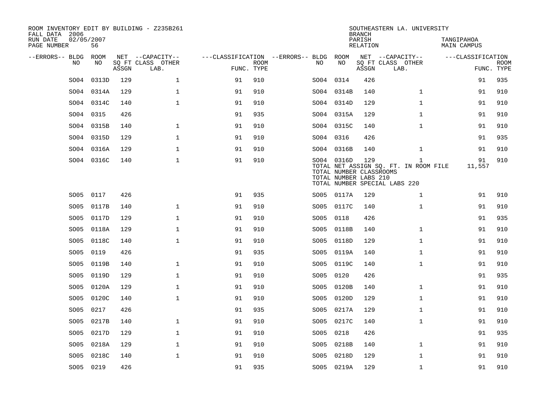| ROOM INVENTORY EDIT BY BUILDING - Z235B261<br>FALL DATA 2006<br>RUN DATE<br>02/05/2007<br>PAGE NUMBER | 56         |       |                                       |                                        |             |           |                                                                | <b>BRANCH</b><br>PARISH<br>RELATION | SOUTHEASTERN LA. UNIVERSITY                                                            | TANGIPAHOA<br>MAIN CAMPUS |             |
|-------------------------------------------------------------------------------------------------------|------------|-------|---------------------------------------|----------------------------------------|-------------|-----------|----------------------------------------------------------------|-------------------------------------|----------------------------------------------------------------------------------------|---------------------------|-------------|
|                                                                                                       |            |       |                                       |                                        |             |           |                                                                |                                     |                                                                                        |                           |             |
| --ERRORS-- BLDG ROOM<br>NO.                                                                           | NO         |       | NET --CAPACITY--<br>SQ FT CLASS OTHER | ---CLASSIFICATION --ERRORS-- BLDG ROOM | <b>ROOM</b> | NO.       | NO                                                             |                                     | NET --CAPACITY--<br>SQ FT CLASS OTHER                                                  | ---CLASSIFICATION         | <b>ROOM</b> |
|                                                                                                       |            | ASSGN | LAB.                                  | FUNC. TYPE                             |             |           |                                                                | ASSGN                               | LAB.                                                                                   |                           | FUNC. TYPE  |
| SO <sub>04</sub>                                                                                      | 0313D      | 129   | $\mathbf{1}$                          | 91                                     | 910         | SO04 0314 |                                                                | 426                                 |                                                                                        | 91                        | 935         |
| SO04                                                                                                  | 0314A      | 129   | $\mathbf 1$                           | 91                                     | 910         |           | SO04 0314B                                                     | 140                                 | $\mathbf{1}$                                                                           | 91                        | 910         |
| SO04                                                                                                  | 0314C      | 140   | $\mathbf{1}$                          | 91                                     | 910         |           | SO04 0314D                                                     | 129                                 | $\mathbf{1}$                                                                           | 91                        | 910         |
| SO04                                                                                                  | 0315       | 426   |                                       | 91                                     | 935         |           | SO04 0315A                                                     | 129                                 | $\mathbf{1}$                                                                           | 91                        | 910         |
| SO04                                                                                                  | 0315B      | 140   | $\mathbf{1}$                          | 91                                     | 910         |           | SO04 0315C                                                     | 140                                 | $\mathbf{1}$                                                                           | 91                        | 910         |
| SO04                                                                                                  | 0315D      | 129   | $\mathbf 1$                           | 91                                     | 910         | SO04 0316 |                                                                | 426                                 |                                                                                        | 91                        | 935         |
| SO04                                                                                                  | 0316A      | 129   | $\mathbf 1$                           | 91                                     | 910         |           | SO04 0316B                                                     | 140                                 | $\mathbf{1}$                                                                           | 91                        | 910         |
|                                                                                                       | SO04 0316C | 140   | $\mathbf{1}$                          | 91                                     | 910         |           | SO04 0316D<br>TOTAL NUMBER CLASSROOMS<br>TOTAL NUMBER LABS 210 | 129                                 | $\mathbf{1}$<br>TOTAL NET ASSIGN SQ. FT. IN ROOM FILE<br>TOTAL NUMBER SPECIAL LABS 220 | 91<br>11,557              | 910         |
| SO05                                                                                                  | 0117       | 426   |                                       | 91                                     | 935         |           | SO05 0117A                                                     | 129                                 | $\mathbf{1}$                                                                           | 91                        | 910         |
| SO05                                                                                                  | 0117B      | 140   | $\mathbf{1}$                          | 91                                     | 910         |           | SO05 0117C                                                     | 140                                 | $\mathbf{1}$                                                                           | 91                        | 910         |
| SO05                                                                                                  | 0117D      | 129   | $\mathbf{1}$                          | 91                                     | 910         | SO05      | 0118                                                           | 426                                 |                                                                                        | 91                        | 935         |
| SO05                                                                                                  | 0118A      | 129   | $\mathbf 1$                           | 91                                     | 910         | SO05      | 0118B                                                          | 140                                 | $\mathbf{1}$                                                                           | 91                        | 910         |
| SO05                                                                                                  | 0118C      | 140   | $\mathbf 1$                           | 91                                     | 910         | SO05      | 0118D                                                          | 129                                 | $\mathbf{1}$                                                                           | 91                        | 910         |
| SO05                                                                                                  | 0119       | 426   |                                       | 91                                     | 935         | SO05      | 0119A                                                          | 140                                 | $\mathbf{1}$                                                                           | 91                        | 910         |
| SO05                                                                                                  | 0119B      | 140   | $\mathbf 1$                           | 91                                     | 910         | SO05      | 0119C                                                          | 140                                 | $\mathbf{1}$                                                                           | 91                        | 910         |
| SO05                                                                                                  | 0119D      | 129   | $\mathbf 1$                           | 91                                     | 910         | SO05      | 0120                                                           | 426                                 |                                                                                        | 91                        | 935         |
| SO05                                                                                                  | 0120A      | 129   | $\mathbf 1$                           | 91                                     | 910         | SO05      | 0120B                                                          | 140                                 | $\mathbf{1}$                                                                           | 91                        | 910         |
| SO05                                                                                                  | 0120C      | 140   | $\mathbf{1}$                          | 91                                     | 910         |           | SO05 0120D                                                     | 129                                 | $\mathbf{1}$                                                                           | 91                        | 910         |
| SO05                                                                                                  | 0217       | 426   |                                       | 91                                     | 935         |           | SO05 0217A                                                     | 129                                 | $\mathbf{1}$                                                                           | 91                        | 910         |
| SO05                                                                                                  | 0217B      | 140   | $\mathbf 1$                           | 91                                     | 910         |           | SO05 0217C                                                     | 140                                 | $\mathbf{1}$                                                                           | 91                        | 910         |
| SO05                                                                                                  | 0217D      | 129   | $\mathbf 1$                           | 91                                     | 910         | SO05      | 0218                                                           | 426                                 |                                                                                        | 91                        | 935         |
| SO05                                                                                                  | 0218A      | 129   | $\mathbf 1$                           | 91                                     | 910         | SO05      | 0218B                                                          | 140                                 | $\mathbf{1}$                                                                           | 91                        | 910         |
| SO05                                                                                                  | 0218C      | 140   | $\mathbf{1}$                          | 91                                     | 910         |           | SO05 0218D                                                     | 129                                 | $\mathbf{1}$                                                                           | 91                        | 910         |
| SO05 0219                                                                                             |            | 426   |                                       | 91                                     | 935         |           | SO05 0219A                                                     | 129                                 | $\mathbf{1}$                                                                           | 91                        | 910         |
|                                                                                                       |            |       |                                       |                                        |             |           |                                                                |                                     |                                                                                        |                           |             |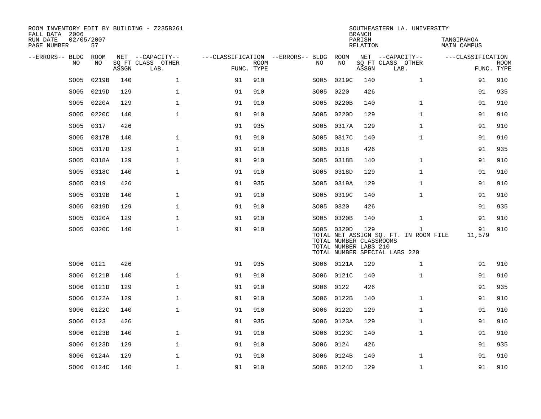| ROOM INVENTORY EDIT BY BUILDING - Z235B261<br>FALL DATA 2006 |                  |       |                           |                                   |             |      |                                                                | <b>BRANCH</b>      | SOUTHEASTERN LA. UNIVERSITY                                                            |                           |                           |
|--------------------------------------------------------------|------------------|-------|---------------------------|-----------------------------------|-------------|------|----------------------------------------------------------------|--------------------|----------------------------------------------------------------------------------------|---------------------------|---------------------------|
| RUN DATE<br>PAGE NUMBER                                      | 02/05/2007<br>57 |       |                           |                                   |             |      |                                                                | PARISH<br>RELATION |                                                                                        | TANGIPAHOA<br>MAIN CAMPUS |                           |
| --ERRORS-- BLDG                                              | ROOM             |       | NET --CAPACITY--          | ---CLASSIFICATION --ERRORS-- BLDG |             |      | ROOM                                                           |                    | NET --CAPACITY--                                                                       | ---CLASSIFICATION         |                           |
| NO                                                           | NO               | ASSGN | SQ FT CLASS OTHER<br>LAB. | FUNC. TYPE                        | <b>ROOM</b> | NO   | NO                                                             | ASSGN              | SQ FT CLASS OTHER<br>LAB.                                                              |                           | <b>ROOM</b><br>FUNC. TYPE |
| SO05                                                         | 0219B            | 140   | $\mathbf{1}$              | 91                                | 910         | SO05 | 0219C                                                          | 140                | $\mathbf{1}$                                                                           | 91                        | 910                       |
| SO05                                                         | 0219D            | 129   | $\mathbf 1$               | 91                                | 910         | SO05 | 0220                                                           | 426                |                                                                                        | 91                        | 935                       |
| SO05                                                         | 0220A            | 129   | $\mathbf 1$               | 91                                | 910         | SO05 | 0220B                                                          | 140                | $\mathbf{1}$                                                                           | 91                        | 910                       |
| SO05                                                         | 0220C            | 140   | $\mathbf{1}$              | 91                                | 910         | SO05 | 0220D                                                          | 129                | $\mathbf{1}$                                                                           | 91                        | 910                       |
| SO05                                                         | 0317             | 426   |                           | 91                                | 935         | SO05 | 0317A                                                          | 129                | $\mathbf{1}$                                                                           | 91                        | 910                       |
| SO05                                                         | 0317B            | 140   | $\mathbf 1$               | 91                                | 910         |      | SO05 0317C                                                     | 140                | $\mathbf{1}$                                                                           | 91                        | 910                       |
| SO05                                                         | 0317D            | 129   | $\mathbf{1}$              | 91                                | 910         | SO05 | 0318                                                           | 426                |                                                                                        | 91                        | 935                       |
| SO05                                                         | 0318A            | 129   | $\mathbf 1$               | 91                                | 910         | SO05 | 0318B                                                          | 140                | $\mathbf{1}$                                                                           | 91                        | 910                       |
| SO05                                                         | 0318C            | 140   | $\mathbf 1$               | 91                                | 910         | SO05 | 0318D                                                          | 129                | $\mathbf{1}$                                                                           | 91                        | 910                       |
| SO05                                                         | 0319             | 426   |                           | 91                                | 935         | SO05 | 0319A                                                          | 129                | $\mathbf{1}$                                                                           | 91                        | 910                       |
| SO <sub>05</sub>                                             | 0319B            | 140   | 1                         | 91                                | 910         | SO05 | 0319C                                                          | 140                | $\mathbf{1}$                                                                           | 91                        | 910                       |
| SO05                                                         | 0319D            | 129   | $\mathbf 1$               | 91                                | 910         | SO05 | 0320                                                           | 426                |                                                                                        | 91                        | 935                       |
| SO05                                                         | 0320A            | 129   | $\mathbf 1$               | 91                                | 910         | SO05 | 0320B                                                          | 140                | $\mathbf{1}$                                                                           | 91                        | 910                       |
| SO05                                                         | 0320C            | 140   | $\mathbf{1}$              | 91                                | 910         |      | SO05 0320D<br>TOTAL NUMBER CLASSROOMS<br>TOTAL NUMBER LABS 210 | 129                | $\mathbf{1}$<br>TOTAL NET ASSIGN SQ. FT. IN ROOM FILE<br>TOTAL NUMBER SPECIAL LABS 220 | 91<br>11,579              | 910                       |
| SO06                                                         | 0121             | 426   |                           | 91                                | 935         |      | SO06 0121A                                                     | 129                | $\mathbf{1}$                                                                           | 91                        | 910                       |
| SO06                                                         | 0121B            | 140   | $\mathbf 1$               | 91                                | 910         | SO06 | 0121C                                                          | 140                | $\mathbf{1}$                                                                           | 91                        | 910                       |
| SO06                                                         | 0121D            | 129   | $\mathbf 1$               | 91                                | 910         | SO06 | 0122                                                           | 426                |                                                                                        | 91                        | 935                       |
| SO06                                                         | 0122A            | 129   | $\mathbf{1}$              | 91                                | 910         | SO06 | 0122B                                                          | 140                | $\mathbf{1}$                                                                           | 91                        | 910                       |
| SO06                                                         | 0122C            | 140   | $\mathbf{1}$              | 91                                | 910         | SO06 | 0122D                                                          | 129                | $\mathbf{1}$                                                                           | 91                        | 910                       |
| SO06                                                         | 0123             | 426   |                           | 91                                | 935         | SO06 | 0123A                                                          | 129                | $\mathbf{1}$                                                                           | 91                        | 910                       |
| SO06                                                         | 0123B            | 140   | $\mathbf 1$               | 91                                | 910         |      | SO06 0123C                                                     | 140                | $\mathbf{1}$                                                                           | 91                        | 910                       |
| SO06                                                         | 0123D            | 129   | $\mathbf{1}$              | 91                                | 910         | SO06 | 0124                                                           | 426                |                                                                                        | 91                        | 935                       |
| SO06                                                         | 0124A            | 129   | $\mathbf 1$               | 91                                | 910         | SO06 | 0124B                                                          | 140                | $\mathbf{1}$                                                                           | 91                        | 910                       |
|                                                              | SO06 0124C       | 140   | $\mathbf 1$               | 91                                | 910         |      | SO06 0124D                                                     | 129                | $\mathbf{1}$                                                                           | 91                        | 910                       |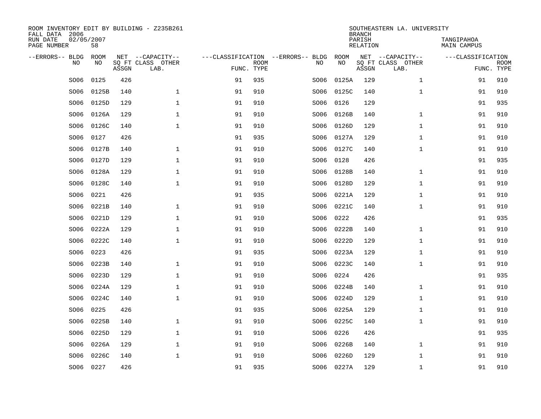| ROOM INVENTORY EDIT BY BUILDING - Z235B261<br>FALL DATA 2006 |                  |       |                           |            |             |                                   |            | <b>BRANCH</b>             | SOUTHEASTERN LA. UNIVERSITY |                                  |             |
|--------------------------------------------------------------|------------------|-------|---------------------------|------------|-------------|-----------------------------------|------------|---------------------------|-----------------------------|----------------------------------|-------------|
| RUN DATE<br>PAGE NUMBER                                      | 02/05/2007<br>58 |       |                           |            |             |                                   |            | PARISH<br><b>RELATION</b> |                             | TANGIPAHOA<br><b>MAIN CAMPUS</b> |             |
| --ERRORS-- BLDG                                              | <b>ROOM</b>      |       | NET --CAPACITY--          |            |             | ---CLASSIFICATION --ERRORS-- BLDG | ROOM       |                           | NET --CAPACITY--            | ---CLASSIFICATION                |             |
| NO                                                           | NO               | ASSGN | SQ FT CLASS OTHER<br>LAB. | FUNC. TYPE | <b>ROOM</b> | NO                                | NO         | ASSGN                     | SQ FT CLASS OTHER<br>LAB.   | FUNC. TYPE                       | <b>ROOM</b> |
| SO06                                                         | 0125             | 426   |                           | 91         | 935         | SO06                              | 0125A      | 129                       | $\mathbf{1}$                | 91                               | 910         |
| SO06                                                         | 0125B            | 140   | $\mathbf 1$               | 91         | 910         | SO06                              | 0125C      | 140                       | $\mathbf{1}$                | 91                               | 910         |
| SO06                                                         | 0125D            | 129   | $\mathbf 1$               | 91         | 910         | SO06                              | 0126       | 129                       |                             | 91                               | 935         |
| SO06                                                         | 0126A            | 129   | $\mathbf 1$               | 91         | 910         | SO06                              | 0126B      | 140                       | $\mathbf{1}$                | 91                               | 910         |
| SO06                                                         | 0126C            | 140   | $\mathbf{1}$              | 91         | 910         | SO06                              | 0126D      | 129                       | $\mathbf{1}$                | 91                               | 910         |
| SO06                                                         | 0127             | 426   |                           | 91         | 935         |                                   | SO06 0127A | 129                       | $\mathbf{1}$                | 91                               | 910         |
| SO06                                                         | 0127B            | 140   | $\mathbf{1}$              | 91         | 910         | SO06                              | 0127C      | 140                       | $\mathbf{1}$                | 91                               | 910         |
| SO06                                                         | 0127D            | 129   | $\mathbf 1$               | 91         | 910         | SO06                              | 0128       | 426                       |                             | 91                               | 935         |
| SO06                                                         | 0128A            | 129   | $\mathbf 1$               | 91         | 910         | SO06                              | 0128B      | 140                       | $\mathbf{1}$                | 91                               | 910         |
| SO06                                                         | 0128C            | 140   | $\mathbf 1$               | 91         | 910         | SO06                              | 0128D      | 129                       | $\mathbf{1}$                | 91                               | 910         |
| SO06                                                         | 0221             | 426   |                           | 91         | 935         | SO06                              | 0221A      | 129                       | $\mathbf{1}$                | 91                               | 910         |
| SO06                                                         | 0221B            | 140   | $\mathbf 1$               | 91         | 910         | SO06                              | 0221C      | 140                       | $\mathbf{1}$                | 91                               | 910         |
| SO06                                                         | 0221D            | 129   | $\mathbf{1}$              | 91         | 910         | SO06                              | 0222       | 426                       |                             | 91                               | 935         |
| SO06                                                         | 0222A            | 129   | $\mathbf{1}$              | 91         | 910         | SO06                              | 0222B      | 140                       | $\mathbf{1}$                | 91                               | 910         |
| SO06                                                         | 0222C            | 140   | $\mathbf 1$               | 91         | 910         | SO06                              | 0222D      | 129                       | $\mathbf{1}$                | 91                               | 910         |
| SO06                                                         | 0223             | 426   |                           | 91         | 935         | SO06                              | 0223A      | 129                       | $\mathbf{1}$                | 91                               | 910         |
| SO06                                                         | 0223B            | 140   | $\mathbf 1$               | 91         | 910         | SO06                              | 0223C      | 140                       | $\mathbf{1}$                | 91                               | 910         |
| SO06                                                         | 0223D            | 129   | $\mathbf 1$               | 91         | 910         | SO06                              | 0224       | 426                       |                             | 91                               | 935         |
| SO06                                                         | 0224A            | 129   | $\mathbf 1$               | 91         | 910         | SO06                              | 0224B      | 140                       | $\mathbf{1}$                | 91                               | 910         |
| SO06                                                         | 0224C            | 140   | $\mathbf 1$               | 91         | 910         | SO06                              | 0224D      | 129                       | $\mathbf{1}$                | 91                               | 910         |
| SO06                                                         | 0225             | 426   |                           | 91         | 935         | SO06                              | 0225A      | 129                       | $\mathbf{1}$                | 91                               | 910         |
| SO06                                                         | 0225B            | 140   | $\mathbf{1}$              | 91         | 910         | SO06                              | 0225C      | 140                       | $\mathbf{1}$                | 91                               | 910         |
| SO06                                                         | 0225D            | 129   | $\mathbf{1}$              | 91         | 910         | SO06                              | 0226       | 426                       |                             | 91                               | 935         |
| SO06                                                         | 0226A            | 129   | $\mathbf 1$               | 91         | 910         | SO06                              | 0226B      | 140                       | $\mathbf{1}$                | 91                               | 910         |
| SO06                                                         | 0226C            | 140   | $\mathbf 1$               | 91         | 910         | SO06                              | 0226D      | 129                       | $\mathbf{1}$                | 91                               | 910         |
|                                                              | SO06 0227        | 426   |                           | 91         | 935         |                                   | SO06 0227A | 129                       | $\mathbf{1}$                | 91                               | 910         |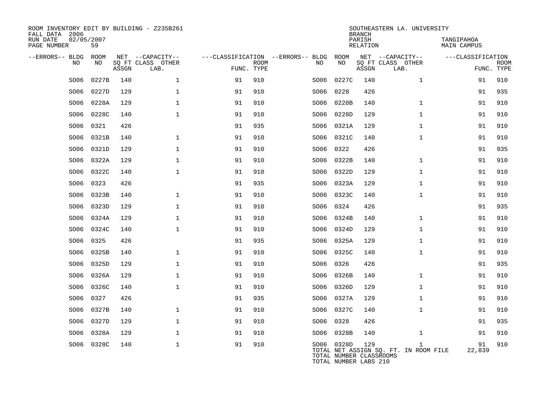| ROOM INVENTORY EDIT BY BUILDING - Z235B261<br>FALL DATA 2006 |                  |       |                           |            |             |                                   |                                                                | <b>BRANCH</b>             | SOUTHEASTERN LA. UNIVERSITY                           |                                  |                           |
|--------------------------------------------------------------|------------------|-------|---------------------------|------------|-------------|-----------------------------------|----------------------------------------------------------------|---------------------------|-------------------------------------------------------|----------------------------------|---------------------------|
| RUN DATE<br>PAGE NUMBER                                      | 02/05/2007<br>59 |       |                           |            |             |                                   |                                                                | PARISH<br><b>RELATION</b> |                                                       | TANGIPAHOA<br><b>MAIN CAMPUS</b> |                           |
| --ERRORS-- BLDG                                              | ROOM             |       | NET --CAPACITY--          |            |             | ---CLASSIFICATION --ERRORS-- BLDG | ROOM                                                           |                           | NET --CAPACITY--                                      | ---CLASSIFICATION                |                           |
| NO                                                           | NO               | ASSGN | SQ FT CLASS OTHER<br>LAB. | FUNC. TYPE | <b>ROOM</b> | NO                                | NO                                                             | ASSGN                     | SQ FT CLASS OTHER<br>LAB.                             |                                  | <b>ROOM</b><br>FUNC. TYPE |
| SO06                                                         | 0227B            | 140   | $\mathbf{1}$              | 91         | 910         | SO06                              | 0227C                                                          | 140                       | $\mathbf{1}$                                          | 91                               | 910                       |
| SO06                                                         | 0227D            | 129   | $\mathbf{1}$              | 91         | 910         | SO06                              | 0228                                                           | 426                       |                                                       | 91                               | 935                       |
| SO06                                                         | 0228A            | 129   | $\mathbf 1$               | 91         | 910         | SO06                              | 0228B                                                          | 140                       | $\mathbf{1}$                                          | 91                               | 910                       |
| SO06                                                         | 0228C            | 140   | $\mathbf{1}$              | 91         | 910         | SO06                              | 0228D                                                          | 129                       | $\mathbf{1}$                                          | 91                               | 910                       |
| SO06                                                         | 0321             | 426   |                           | 91         | 935         | SO06                              | 0321A                                                          | 129                       | $\mathbf{1}$                                          | 91                               | 910                       |
| SO06                                                         | 0321B            | 140   | $\mathbf{1}$              | 91         | 910         | SO06                              | 0321C                                                          | 140                       | $\mathbf{1}$                                          | 91                               | 910                       |
| SO06                                                         | 0321D            | 129   | $\mathbf 1$               | 91         | 910         | SO06                              | 0322                                                           | 426                       |                                                       | 91                               | 935                       |
| SO06                                                         | 0322A            | 129   | $\mathbf{1}$              | 91         | 910         | SO06                              | 0322B                                                          | 140                       | $\mathbf{1}$                                          | 91                               | 910                       |
| SO06                                                         | 0322C            | 140   | $\mathbf 1$               | 91         | 910         | SO06                              | 0322D                                                          | 129                       | $\mathbf{1}$                                          | 91                               | 910                       |
| SO06                                                         | 0323             | 426   |                           | 91         | 935         | SO06                              | 0323A                                                          | 129                       | $\mathbf{1}$                                          | 91                               | 910                       |
| SO06                                                         | 0323B            | 140   | $\mathbf 1$               | 91         | 910         | SO06                              | 0323C                                                          | 140                       | $\mathbf{1}$                                          | 91                               | 910                       |
| SO06                                                         | 0323D            | 129   | $\mathbf 1$               | 91         | 910         | SO06                              | 0324                                                           | 426                       |                                                       | 91                               | 935                       |
| SO06                                                         | 0324A            | 129   | $\mathbf 1$               | 91         | 910         | SO06                              | 0324B                                                          | 140                       | $\mathbf{1}$                                          | 91                               | 910                       |
| SO06                                                         | 0324C            | 140   | $\mathbf 1$               | 91         | 910         | SO06                              | 0324D                                                          | 129                       | $\mathbf{1}$                                          | 91                               | 910                       |
| SO06                                                         | 0325             | 426   |                           | 91         | 935         | SO06                              | 0325A                                                          | 129                       | $\mathbf{1}$                                          | 91                               | 910                       |
| SO06                                                         | 0325B            | 140   | $\mathbf{1}$              | 91         | 910         | SO06                              | 0325C                                                          | 140                       | $\mathbf{1}$                                          | 91                               | 910                       |
| SO06                                                         | 0325D            | 129   | $\mathbf 1$               | 91         | 910         | SO06                              | 0326                                                           | 426                       |                                                       | 91                               | 935                       |
| SO06                                                         | 0326A            | 129   | $\mathbf{1}$              | 91         | 910         | SO06                              | 0326B                                                          | 140                       | $\mathbf{1}$                                          | 91                               | 910                       |
| SO06                                                         | 0326C            | 140   | $\mathbf{1}$              | 91         | 910         | SO06                              | 0326D                                                          | 129                       | $\mathbf{1}$                                          | 91                               | 910                       |
| SO06                                                         | 0327             | 426   |                           | 91         | 935         | SO06                              | 0327A                                                          | 129                       | $\mathbf{1}$                                          | 91                               | 910                       |
| SO06                                                         | 0327B            | 140   | $\mathbf 1$               | 91         | 910         |                                   | SO06 0327C                                                     | 140                       | $\mathbf{1}$                                          | 91                               | 910                       |
| SO06                                                         | 0327D            | 129   | $\mathbf{1}$              | 91         | 910         | SO06                              | 0328                                                           | 426                       |                                                       | 91                               | 935                       |
| SO06                                                         | 0328A            | 129   | $\mathbf 1$               | 91         | 910         |                                   | SO06 0328B                                                     | 140                       | $\mathbf{1}$                                          | 91                               | 910                       |
| SO06                                                         | 0328C            | 140   | $\mathbf{1}$              | 91         | 910         |                                   | SO06 0328D<br>TOTAL NUMBER CLASSROOMS<br>TOTAL NUMBER LABS 210 | 129                       | $\mathbf{1}$<br>TOTAL NET ASSIGN SQ. FT. IN ROOM FILE | 91<br>22,839                     | 910                       |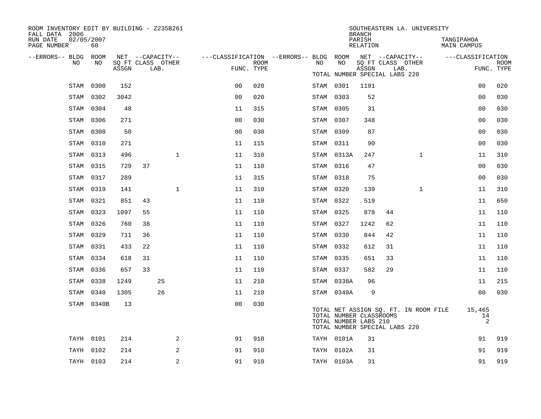| ROOM INVENTORY EDIT BY BUILDING - Z235B261<br>FALL DATA 2006 |                  |       |                   |      |                |                                                         |             |           |                                                                                   | <b>BRANCH</b>      |                           | SOUTHEASTERN LA. UNIVERSITY           |                           |                   |                           |
|--------------------------------------------------------------|------------------|-------|-------------------|------|----------------|---------------------------------------------------------|-------------|-----------|-----------------------------------------------------------------------------------|--------------------|---------------------------|---------------------------------------|---------------------------|-------------------|---------------------------|
| RUN DATE<br>PAGE NUMBER                                      | 02/05/2007<br>60 |       |                   |      |                |                                                         |             |           |                                                                                   | PARISH<br>RELATION |                           |                                       | TANGIPAHOA<br>MAIN CAMPUS |                   |                           |
| --ERRORS-- BLDG ROOM                                         |                  |       | NET --CAPACITY--  |      |                | ---CLASSIFICATION --ERRORS-- BLDG ROOM NET --CAPACITY-- |             |           |                                                                                   |                    |                           |                                       |                           | ---CLASSIFICATION |                           |
| NO.                                                          | NO.              | ASSGN | SQ FT CLASS OTHER | LAB. |                | FUNC. TYPE                                              | <b>ROOM</b> | NO        | NO                                                                                | ASSGN              | SQ FT CLASS OTHER<br>LAB. |                                       |                           |                   | <b>ROOM</b><br>FUNC. TYPE |
|                                                              |                  |       |                   |      |                |                                                         |             |           | TOTAL NUMBER SPECIAL LABS 220                                                     |                    |                           |                                       |                           |                   |                           |
|                                                              | STAM 0300        | 152   |                   |      |                | 0 <sub>0</sub>                                          | 020         | STAM 0301 |                                                                                   | 1191               |                           |                                       |                           | 00                | 020                       |
|                                                              | STAM 0302        | 3042  |                   |      |                | 0 <sub>0</sub>                                          | 020         | STAM 0303 |                                                                                   | 52                 |                           |                                       |                           | 0 <sub>0</sub>    | 030                       |
|                                                              | STAM 0304        | 48    |                   |      |                | 11                                                      | 315         | STAM 0305 |                                                                                   | 31                 |                           |                                       |                           | 0 <sub>0</sub>    | 030                       |
|                                                              | STAM 0306        | 271   |                   |      |                | 0 <sub>0</sub>                                          | 030         | STAM 0307 |                                                                                   | 348                |                           |                                       |                           | 0 <sub>0</sub>    | 030                       |
| STAM                                                         | 0308             | 50    |                   |      |                | 0 <sub>0</sub>                                          | 030         | STAM 0309 |                                                                                   | 87                 |                           |                                       |                           | 0 <sub>0</sub>    | 030                       |
|                                                              | STAM 0310        | 271   |                   |      |                | 11                                                      | 115         | STAM 0311 |                                                                                   | 90                 |                           |                                       |                           | 0 <sub>0</sub>    | 030                       |
|                                                              | STAM 0313        | 496   |                   |      | $\mathbf{1}$   | 11                                                      | 310         |           | STAM 0313A                                                                        | 247                |                           | $\mathbf{1}$                          |                           | 11                | 310                       |
|                                                              | STAM 0315        | 729   | 37                |      |                | 11                                                      | 110         | STAM 0316 |                                                                                   | 47                 |                           |                                       |                           | 0 <sub>0</sub>    | 030                       |
|                                                              | STAM 0317        | 289   |                   |      |                | 11                                                      | 315         | STAM 0318 |                                                                                   | 75                 |                           |                                       |                           | 0 <sub>0</sub>    | 030                       |
|                                                              | STAM 0319        | 141   |                   |      | $\mathbf 1$    | 11                                                      | 310         | STAM 0320 |                                                                                   | 139                |                           | $\mathbf{1}$                          |                           | 11                | 310                       |
|                                                              | STAM 0321        | 851   | 43                |      |                | 11                                                      | 110         | STAM 0322 |                                                                                   | 519                |                           |                                       |                           | 11                | 650                       |
|                                                              | STAM 0323        | 1097  | 55                |      |                | 11                                                      | 110         | STAM 0325 |                                                                                   | 878                | 44                        |                                       |                           | 11                | 110                       |
|                                                              | STAM 0326        | 760   | 38                |      |                | 11                                                      | 110         | STAM 0327 |                                                                                   | 1242               | 62                        |                                       |                           | 11                | 110                       |
|                                                              | STAM 0329        | 711   | 36                |      |                | 11                                                      | 110         | STAM 0330 |                                                                                   | 844                | 42                        |                                       |                           | 11                | 110                       |
|                                                              | STAM 0331        | 433   | 22                |      |                | 11                                                      | 110         | STAM 0332 |                                                                                   | 612                | 31                        |                                       |                           | 11                | 110                       |
|                                                              | STAM 0334        | 618   | 31                |      |                | 11                                                      | 110         | STAM 0335 |                                                                                   | 651                | 33                        |                                       |                           | 11                | 110                       |
|                                                              | STAM 0336        | 657   | 33                |      |                | 11                                                      | 110         | STAM 0337 |                                                                                   | 582                | 29                        |                                       |                           | 11                | 110                       |
|                                                              | STAM 0338        | 1249  |                   | 25   |                | 11                                                      | 210         |           | STAM 0338A                                                                        | 96                 |                           |                                       |                           | 11                | 215                       |
|                                                              | STAM 0340        | 1305  |                   | 26   |                | 11                                                      | 210         |           | STAM 0340A                                                                        | 9                  |                           |                                       |                           | 0 <sub>0</sub>    | 030                       |
|                                                              | STAM 0340B       | 13    |                   |      |                | 0 <sub>0</sub>                                          | 030         |           | TOTAL NUMBER CLASSROOMS<br>TOTAL NUMBER LABS 210<br>TOTAL NUMBER SPECIAL LABS 220 |                    |                           | TOTAL NET ASSIGN SO. FT. IN ROOM FILE |                           | 15,465<br>14<br>2 |                           |
|                                                              | TAYH 0101        | 214   |                   |      | 2              | 91                                                      | 910         |           | TAYH 0101A                                                                        | 31                 |                           |                                       |                           | 91                | 919                       |
|                                                              | TAYH 0102        | 214   |                   |      | 2              | 91                                                      | 910         |           | TAYH 0102A                                                                        | 31                 |                           |                                       |                           | 91                | 919                       |
|                                                              | TAYH 0103        | 214   |                   |      | $\overline{2}$ | 91                                                      | 910         |           | TAYH 0103A                                                                        | 31                 |                           |                                       |                           | 91                | 919                       |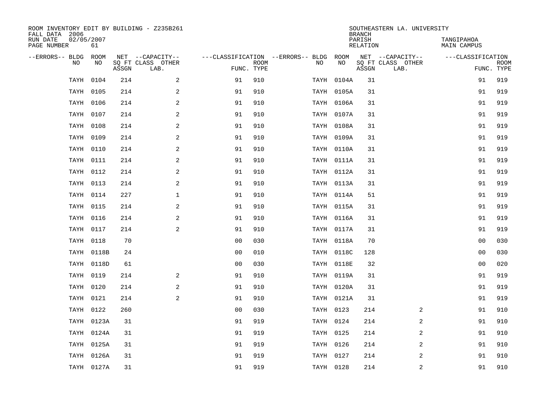| ROOM INVENTORY EDIT BY BUILDING - Z235B261<br>FALL DATA 2006 |            |             |       |                                               |                                                      |             |           |            | <b>BRANCH</b>      | SOUTHEASTERN LA. UNIVERSITY                   |                                 |             |
|--------------------------------------------------------------|------------|-------------|-------|-----------------------------------------------|------------------------------------------------------|-------------|-----------|------------|--------------------|-----------------------------------------------|---------------------------------|-------------|
| RUN DATE<br>PAGE NUMBER                                      | 02/05/2007 | 61          |       |                                               |                                                      |             |           |            | PARISH<br>RELATION |                                               | TANGIPAHOA<br>MAIN CAMPUS       |             |
| --ERRORS-- BLDG                                              | <b>NO</b>  | ROOM<br>NO. | ASSGN | NET --CAPACITY--<br>SO FT CLASS OTHER<br>LAB. | ---CLASSIFICATION --ERRORS-- BLDG ROOM<br>FUNC. TYPE | <b>ROOM</b> | NO        | NO         | ASSGN              | NET --CAPACITY--<br>SQ FT CLASS OTHER<br>LAB. | ---CLASSIFICATION<br>FUNC. TYPE | <b>ROOM</b> |
|                                                              | TAYH       | 0104        | 214   | 2                                             | 91                                                   | 910         |           | TAYH 0104A | 31                 |                                               | 91                              | 919         |
|                                                              | TAYH       | 0105        | 214   | 2                                             | 91                                                   | 910         |           | TAYH 0105A | 31                 |                                               | 91                              | 919         |
|                                                              | TAYH       | 0106        | 214   | $\mathbf{2}$                                  | 91                                                   | 910         |           | TAYH 0106A | 31                 |                                               | 91                              | 919         |
|                                                              | TAYH       | 0107        | 214   | 2                                             | 91                                                   | 910         |           | TAYH 0107A | 31                 |                                               | 91                              | 919         |
|                                                              | TAYH       | 0108        | 214   | 2                                             | 91                                                   | 910         |           | TAYH 0108A | 31                 |                                               | 91                              | 919         |
|                                                              | TAYH       | 0109        | 214   | 2                                             | 91                                                   | 910         |           | TAYH 0109A | 31                 |                                               | 91                              | 919         |
|                                                              | TAYH       | 0110        | 214   | 2                                             | 91                                                   | 910         |           | TAYH 0110A | 31                 |                                               | 91                              | 919         |
|                                                              |            | TAYH 0111   | 214   | $\overline{2}$                                | 91                                                   | 910         |           | TAYH 0111A | 31                 |                                               | 91                              | 919         |
|                                                              |            | TAYH 0112   | 214   | 2                                             | 91                                                   | 910         |           | TAYH 0112A | 31                 |                                               | 91                              | 919         |
|                                                              |            | TAYH 0113   | 214   | $\mathbf{2}$                                  | 91                                                   | 910         |           | TAYH 0113A | 31                 |                                               | 91                              | 919         |
|                                                              |            | TAYH 0114   | 227   | $\mathbf 1$                                   | 91                                                   | 910         |           | TAYH 0114A | 51                 |                                               | 91                              | 919         |
|                                                              |            | TAYH 0115   | 214   | 2                                             | 91                                                   | 910         |           | TAYH 0115A | 31                 |                                               | 91                              | 919         |
|                                                              |            | TAYH 0116   | 214   | 2                                             | 91                                                   | 910         |           | TAYH 0116A | 31                 |                                               | 91                              | 919         |
|                                                              |            | TAYH 0117   | 214   | 2                                             | 91                                                   | 910         |           | TAYH 0117A | 31                 |                                               | 91                              | 919         |
|                                                              |            | TAYH 0118   | 70    |                                               | 0 <sub>0</sub>                                       | 030         |           | TAYH 0118A | 70                 |                                               | 00                              | 030         |
|                                                              |            | TAYH 0118B  | 24    |                                               | 00                                                   | 010         |           | TAYH 0118C | 128                |                                               | 0 <sub>0</sub>                  | 030         |
|                                                              |            | TAYH 0118D  | 61    |                                               | 0 <sub>0</sub>                                       | 030         |           | TAYH 0118E | 32                 |                                               | 00                              | 020         |
|                                                              | TAYH       | 0119        | 214   | 2                                             | 91                                                   | 910         |           | TAYH 0119A | 31                 |                                               | 91                              | 919         |
|                                                              |            | TAYH 0120   | 214   | 2                                             | 91                                                   | 910         |           | TAYH 0120A | 31                 |                                               | 91                              | 919         |
|                                                              |            | TAYH 0121   | 214   | 2                                             | 91                                                   | 910         |           | TAYH 0121A | 31                 |                                               | 91                              | 919         |
|                                                              |            | TAYH 0122   | 260   |                                               | 0 <sub>0</sub>                                       | 030         |           | TAYH 0123  | 214                | 2                                             | 91                              | 910         |
|                                                              |            | TAYH 0123A  | 31    |                                               | 91                                                   | 919         | TAYH 0124 |            | 214                | 2                                             | 91                              | 910         |
|                                                              |            | TAYH 0124A  | 31    |                                               | 91                                                   | 919         | TAYH 0125 |            | 214                | 2                                             | 91                              | 910         |
|                                                              |            | TAYH 0125A  | 31    |                                               | 91                                                   | 919         | TAYH 0126 |            | 214                | 2                                             | 91                              | 910         |
|                                                              |            | TAYH 0126A  | 31    |                                               | 91                                                   | 919         | TAYH 0127 |            | 214                | 2                                             | 91                              | 910         |
|                                                              |            | TAYH 0127A  | 31    |                                               | 91                                                   | 919         |           | TAYH 0128  | 214                | 2                                             | 91                              | 910         |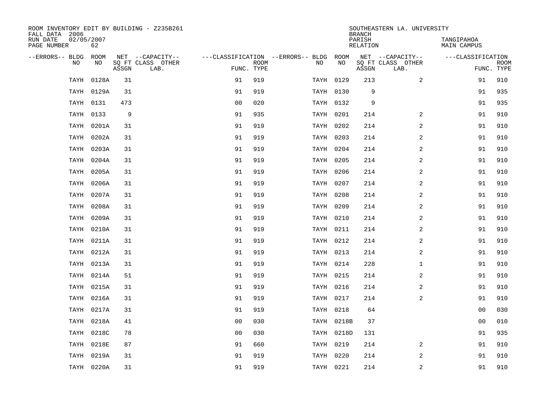| ROOM INVENTORY EDIT BY BUILDING - Z235B261<br>FALL DATA 2006 |             |       |                           |                |             |                                        |            | <b>BRANCH</b>      | SOUTHEASTERN LA. UNIVERSITY |                           |             |
|--------------------------------------------------------------|-------------|-------|---------------------------|----------------|-------------|----------------------------------------|------------|--------------------|-----------------------------|---------------------------|-------------|
| RUN DATE<br>02/05/2007<br>PAGE NUMBER                        | 62          |       |                           |                |             |                                        |            | PARISH<br>RELATION |                             | TANGIPAHOA<br>MAIN CAMPUS |             |
| --ERRORS-- BLDG                                              | ROOM<br>NO. |       | NET --CAPACITY--          |                |             | ---CLASSIFICATION --ERRORS-- BLDG ROOM | <b>NO</b>  |                    | NET --CAPACITY--            | ---CLASSIFICATION         |             |
| N <sub>O</sub>                                               |             | ASSGN | SO FT CLASS OTHER<br>LAB. | FUNC. TYPE     | <b>ROOM</b> | NO.                                    |            | ASSGN              | SQ FT CLASS OTHER<br>LAB.   | FUNC. TYPE                | <b>ROOM</b> |
| TAYH                                                         | 0128A       | 31    |                           | 91             | 919         |                                        | TAYH 0129  | 213                | $\overline{2}$              | 91                        | 910         |
| TAYH                                                         | 0129A       | 31    |                           | 91             | 919         |                                        | TAYH 0130  | 9                  |                             | 91                        | 935         |
|                                                              | TAYH 0131   | 473   |                           | 0 <sub>0</sub> | 020         |                                        | TAYH 0132  | 9                  |                             | 91                        | 935         |
| TAYH                                                         | 0133        | 9     |                           | 91             | 935         |                                        | TAYH 0201  | 214                | 2                           | 91                        | 910         |
| TAYH                                                         | 0201A       | 31    |                           | 91             | 919         |                                        | TAYH 0202  | 214                | 2                           | 91                        | 910         |
| TAYH                                                         | 0202A       | 31    |                           | 91             | 919         |                                        | TAYH 0203  | 214                | 2                           | 91                        | 910         |
| TAYH                                                         | 0203A       | 31    |                           | 91             | 919         |                                        | TAYH 0204  | 214                | 2                           | 91                        | 910         |
| TAYH                                                         | 0204A       | 31    |                           | 91             | 919         |                                        | TAYH 0205  | 214                | 2                           | 91                        | 910         |
| TAYH                                                         | 0205A       | 31    |                           | 91             | 919         |                                        | TAYH 0206  | 214                | 2                           | 91                        | 910         |
| TAYH                                                         | 0206A       | 31    |                           | 91             | 919         |                                        | TAYH 0207  | 214                | 2                           | 91                        | 910         |
|                                                              | TAYH 0207A  | 31    |                           | 91             | 919         |                                        | TAYH 0208  | 214                | $\overline{a}$              | 91                        | 910         |
|                                                              | TAYH 0208A  | 31    |                           | 91             | 919         |                                        | TAYH 0209  | 214                | 2                           | 91                        | 910         |
| TAYH                                                         | 0209A       | 31    |                           | 91             | 919         |                                        | TAYH 0210  | 214                | $\overline{a}$              | 91                        | 910         |
| TAYH                                                         | 0210A       | 31    |                           | 91             | 919         |                                        | TAYH 0211  | 214                | $\overline{a}$              | 91                        | 910         |
| TAYH                                                         | 0211A       | 31    |                           | 91             | 919         |                                        | TAYH 0212  | 214                | $\overline{a}$              | 91                        | 910         |
|                                                              | TAYH 0212A  | 31    |                           | 91             | 919         |                                        | TAYH 0213  | 214                | 2                           | 91                        | 910         |
|                                                              | TAYH 0213A  | 31    |                           | 91             | 919         |                                        | TAYH 0214  | 228                | $\mathbf{1}$                | 91                        | 910         |
| TAYH                                                         | 0214A       | 51    |                           | 91             | 919         |                                        | TAYH 0215  | 214                | 2                           | 91                        | 910         |
|                                                              | TAYH 0215A  | 31    |                           | 91             | 919         |                                        | TAYH 0216  | 214                | 2                           | 91                        | 910         |
| TAYH                                                         | 0216A       | 31    |                           | 91             | 919         |                                        | TAYH 0217  | 214                | 2                           | 91                        | 910         |
| TAYH                                                         | 0217A       | 31    |                           | 91             | 919         |                                        | TAYH 0218  | 64                 |                             | 00                        | 030         |
| TAYH                                                         | 0218A       | 41    |                           | 0 <sub>0</sub> | 030         |                                        | TAYH 0218B | 37                 |                             | 0 <sub>0</sub>            | 010         |
| TAYH                                                         | 0218C       | 78    |                           | 0 <sub>0</sub> | 030         |                                        | TAYH 0218D | 131                |                             | 91                        | 935         |
| TAYH                                                         | 0218E       | 87    |                           | 91             | 660         |                                        | TAYH 0219  | 214                | 2                           | 91                        | 910         |
| TAYH                                                         | 0219A       | 31    |                           | 91             | 919         |                                        | TAYH 0220  | 214                | 2                           | 91                        | 910         |
|                                                              | TAYH 0220A  | 31    |                           | 91             | 919         |                                        | TAYH 0221  | 214                | 2                           | 91                        | 910         |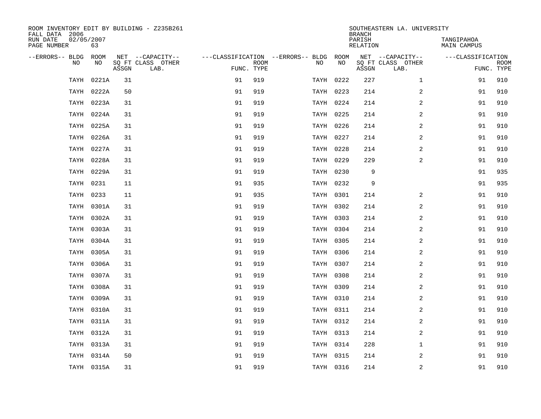| ROOM INVENTORY EDIT BY BUILDING - Z235B261<br>FALL DATA 2006 |            |       |                           |            |             |                                        |           | <b>BRANCH</b>      | SOUTHEASTERN LA. UNIVERSITY |                           |             |
|--------------------------------------------------------------|------------|-------|---------------------------|------------|-------------|----------------------------------------|-----------|--------------------|-----------------------------|---------------------------|-------------|
| 02/05/2007<br>RUN DATE<br>PAGE NUMBER                        | 63         |       |                           |            |             |                                        |           | PARISH<br>RELATION |                             | TANGIPAHOA<br>MAIN CAMPUS |             |
| --ERRORS-- BLDG ROOM                                         |            |       | NET --CAPACITY--          |            |             | ---CLASSIFICATION --ERRORS-- BLDG ROOM |           |                    | NET --CAPACITY--            | ---CLASSIFICATION         |             |
| NO.                                                          | NO.        | ASSGN | SQ FT CLASS OTHER<br>LAB. | FUNC. TYPE | <b>ROOM</b> | NO.                                    | <b>NO</b> | ASSGN              | SQ FT CLASS OTHER<br>LAB.   | FUNC. TYPE                | <b>ROOM</b> |
| TAYH                                                         | 0221A      | 31    |                           | 91         | 919         |                                        | TAYH 0222 | 227                | $\mathbf{1}$                | 91                        | 910         |
|                                                              | TAYH 0222A | 50    |                           | 91         | 919         |                                        | TAYH 0223 | 214                | $\overline{a}$              | 91                        | 910         |
|                                                              | TAYH 0223A | 31    |                           | 91         | 919         |                                        | TAYH 0224 | 214                | 2                           | 91                        | 910         |
|                                                              | TAYH 0224A | 31    |                           | 91         | 919         |                                        | TAYH 0225 | 214                | 2                           | 91                        | 910         |
|                                                              | TAYH 0225A | 31    |                           | 91         | 919         |                                        | TAYH 0226 | 214                | $\overline{a}$              | 91                        | 910         |
|                                                              | TAYH 0226A | 31    |                           | 91         | 919         |                                        | TAYH 0227 | 214                | $\boldsymbol{2}$            | 91                        | 910         |
|                                                              | TAYH 0227A | 31    |                           | 91         | 919         |                                        | TAYH 0228 | 214                | $\overline{a}$              | 91                        | 910         |
|                                                              | TAYH 0228A | 31    |                           | 91         | 919         |                                        | TAYH 0229 | 229                | $\overline{a}$              | 91                        | 910         |
|                                                              | TAYH 0229A | 31    |                           | 91         | 919         |                                        | TAYH 0230 | 9                  |                             | 91                        | 935         |
|                                                              | TAYH 0231  | 11    |                           | 91         | 935         |                                        | TAYH 0232 | 9                  |                             | 91                        | 935         |
|                                                              | TAYH 0233  | 11    |                           | 91         | 935         |                                        | TAYH 0301 | 214                | $\overline{2}$              | 91                        | 910         |
|                                                              | TAYH 0301A | 31    |                           | 91         | 919         |                                        | TAYH 0302 | 214                | 2                           | 91                        | 910         |
|                                                              | TAYH 0302A | 31    |                           | 91         | 919         |                                        | TAYH 0303 | 214                | 2                           | 91                        | 910         |
|                                                              | TAYH 0303A | 31    |                           | 91         | 919         |                                        | TAYH 0304 | 214                | 2                           | 91                        | 910         |
|                                                              | TAYH 0304A | 31    |                           | 91         | 919         |                                        | TAYH 0305 | 214                | 2                           | 91                        | 910         |
|                                                              | TAYH 0305A | 31    |                           | 91         | 919         |                                        | TAYH 0306 | 214                | 2                           | 91                        | 910         |
|                                                              | TAYH 0306A | 31    |                           | 91         | 919         |                                        | TAYH 0307 | 214                | $\overline{a}$              | 91                        | 910         |
| TAYH                                                         | 0307A      | 31    |                           | 91         | 919         |                                        | TAYH 0308 | 214                | 2                           | 91                        | 910         |
|                                                              | TAYH 0308A | 31    |                           | 91         | 919         |                                        | TAYH 0309 | 214                | 2                           | 91                        | 910         |
|                                                              | TAYH 0309A | 31    |                           | 91         | 919         |                                        | TAYH 0310 | 214                | 2                           | 91                        | 910         |
|                                                              | TAYH 0310A | 31    |                           | 91         | 919         |                                        | TAYH 0311 | 214                | 2                           | 91                        | 910         |
|                                                              | TAYH 0311A | 31    |                           | 91         | 919         |                                        | TAYH 0312 | 214                | $\overline{2}$              | 91                        | 910         |
|                                                              | TAYH 0312A | 31    |                           | 91         | 919         |                                        | TAYH 0313 | 214                | 2                           | 91                        | 910         |
|                                                              | TAYH 0313A | 31    |                           | 91         | 919         |                                        | TAYH 0314 | 228                | $\mathbf{1}$                | 91                        | 910         |
|                                                              | TAYH 0314A | 50    |                           | 91         | 919         |                                        | TAYH 0315 | 214                | 2                           | 91                        | 910         |
|                                                              | TAYH 0315A | 31    |                           | 91         | 919         |                                        | TAYH 0316 | 214                | 2                           | 91                        | 910         |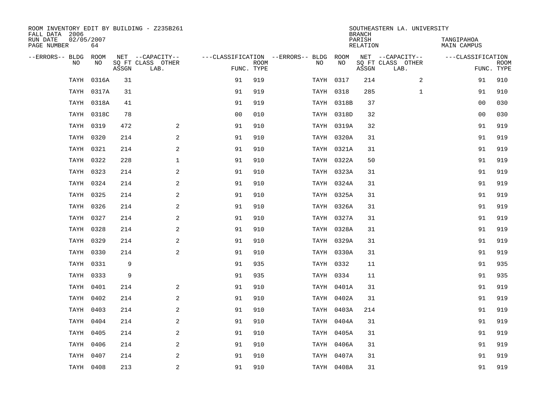| ROOM INVENTORY EDIT BY BUILDING - Z235B261<br>FALL DATA 2006 |                  |       |                           |                |             |                                        |            | <b>BRANCH</b>      | SOUTHEASTERN LA. UNIVERSITY |                                  |                           |
|--------------------------------------------------------------|------------------|-------|---------------------------|----------------|-------------|----------------------------------------|------------|--------------------|-----------------------------|----------------------------------|---------------------------|
| RUN DATE<br>PAGE NUMBER                                      | 02/05/2007<br>64 |       |                           |                |             |                                        |            | PARISH<br>RELATION |                             | TANGIPAHOA<br><b>MAIN CAMPUS</b> |                           |
| --ERRORS-- BLDG ROOM                                         |                  |       | NET --CAPACITY--          |                |             | ---CLASSIFICATION --ERRORS-- BLDG ROOM |            |                    | NET --CAPACITY--            | ---CLASSIFICATION                |                           |
| NO                                                           | NO               | ASSGN | SQ FT CLASS OTHER<br>LAB. | FUNC. TYPE     | <b>ROOM</b> | NO.                                    | NO         | ASSGN              | SQ FT CLASS OTHER<br>LAB.   |                                  | <b>ROOM</b><br>FUNC. TYPE |
| TAYH                                                         | 0316A            | 31    |                           | 91             | 919         |                                        | TAYH 0317  | 214                | 2                           | 91                               | 910                       |
|                                                              | TAYH 0317A       | 31    |                           | 91             | 919         |                                        | TAYH 0318  | 285                | $\mathbf{1}$                | 91                               | 910                       |
|                                                              | TAYH 0318A       | 41    |                           | 91             | 919         |                                        | TAYH 0318B | 37                 |                             | 0 <sub>0</sub>                   | 030                       |
|                                                              | TAYH 0318C       | 78    |                           | 0 <sub>0</sub> | 010         |                                        | TAYH 0318D | 32                 |                             | 00                               | 030                       |
|                                                              | TAYH 0319        | 472   | 2                         | 91             | 910         |                                        | TAYH 0319A | 32                 |                             | 91                               | 919                       |
| TAYH                                                         | 0320             | 214   | 2                         | 91             | 910         |                                        | TAYH 0320A | 31                 |                             | 91                               | 919                       |
|                                                              | TAYH 0321        | 214   | $\overline{a}$            | 91             | 910         |                                        | TAYH 0321A | 31                 |                             | 91                               | 919                       |
|                                                              | TAYH 0322        | 228   | $\mathbf 1$               | 91             | 910         |                                        | TAYH 0322A | 50                 |                             | 91                               | 919                       |
|                                                              | TAYH 0323        | 214   | 2                         | 91             | 910         |                                        | TAYH 0323A | 31                 |                             | 91                               | 919                       |
|                                                              | TAYH 0324        | 214   | 2                         | 91             | 910         |                                        | TAYH 0324A | 31                 |                             | 91                               | 919                       |
|                                                              | TAYH 0325        | 214   | 2                         | 91             | 910         |                                        | TAYH 0325A | 31                 |                             | 91                               | 919                       |
|                                                              | TAYH 0326        | 214   | 2                         | 91             | 910         |                                        | TAYH 0326A | 31                 |                             | 91                               | 919                       |
|                                                              | TAYH 0327        | 214   | 2                         | 91             | 910         |                                        | TAYH 0327A | 31                 |                             | 91                               | 919                       |
|                                                              | TAYH 0328        | 214   | $\overline{a}$            | 91             | 910         |                                        | TAYH 0328A | 31                 |                             | 91                               | 919                       |
|                                                              | TAYH 0329        | 214   | 2                         | 91             | 910         |                                        | TAYH 0329A | 31                 |                             | 91                               | 919                       |
|                                                              | TAYH 0330        | 214   | 2                         | 91             | 910         |                                        | TAYH 0330A | 31                 |                             | 91                               | 919                       |
| TAYH                                                         | 0331             | 9     |                           | 91             | 935         |                                        | TAYH 0332  | 11                 |                             | 91                               | 935                       |
|                                                              | TAYH 0333        | 9     |                           | 91             | 935         | TAYH 0334                              |            | 11                 |                             | 91                               | 935                       |
|                                                              | TAYH 0401        | 214   | 2                         | 91             | 910         |                                        | TAYH 0401A | 31                 |                             | 91                               | 919                       |
|                                                              | TAYH 0402        | 214   | 2                         | 91             | 910         |                                        | TAYH 0402A | 31                 |                             | 91                               | 919                       |
|                                                              | TAYH 0403        | 214   | 2                         | 91             | 910         |                                        | TAYH 0403A | 214                |                             | 91                               | 919                       |
| TAYH                                                         | 0404             | 214   | 2                         | 91             | 910         |                                        | TAYH 0404A | 31                 |                             | 91                               | 919                       |
| TAYH                                                         | 0405             | 214   | 2                         | 91             | 910         |                                        | TAYH 0405A | 31                 |                             | 91                               | 919                       |
| TAYH                                                         | 0406             | 214   | $\overline{a}$            | 91             | 910         |                                        | TAYH 0406A | 31                 |                             | 91                               | 919                       |
| TAYH                                                         | 0407             | 214   | 2                         | 91             | 910         |                                        | TAYH 0407A | 31                 |                             | 91                               | 919                       |
|                                                              | TAYH 0408        | 213   | $\overline{a}$            | 91             | 910         |                                        | TAYH 0408A | 31                 |                             | 91                               | 919                       |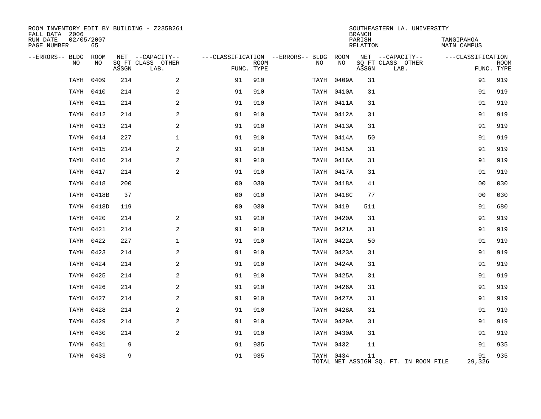| ROOM INVENTORY EDIT BY BUILDING - Z235B261<br>FALL DATA 2006 |                  |       |                           |                |      |                                        | <b>BRANCH</b> | SOUTHEASTERN LA. UNIVERSITY |                                       |                                  |                           |
|--------------------------------------------------------------|------------------|-------|---------------------------|----------------|------|----------------------------------------|---------------|-----------------------------|---------------------------------------|----------------------------------|---------------------------|
| RUN DATE<br>PAGE NUMBER                                      | 02/05/2007<br>65 |       |                           |                |      |                                        |               | PARISH<br>RELATION          |                                       | TANGIPAHOA<br><b>MAIN CAMPUS</b> |                           |
| --ERRORS-- BLDG ROOM                                         |                  |       | NET --CAPACITY--          |                |      | ---CLASSIFICATION --ERRORS-- BLDG ROOM |               |                             | NET --CAPACITY--                      | ---CLASSIFICATION                |                           |
| NO                                                           | NO               | ASSGN | SQ FT CLASS OTHER<br>LAB. | FUNC. TYPE     | ROOM | NO                                     | NO            | ASSGN                       | SQ FT CLASS OTHER<br>LAB.             |                                  | <b>ROOM</b><br>FUNC. TYPE |
| TAYH                                                         | 0409             | 214   | 2                         | 91             | 910  |                                        | TAYH 0409A    | 31                          |                                       | 91                               | 919                       |
|                                                              | TAYH 0410        | 214   | 2                         | 91             | 910  |                                        | TAYH 0410A    | 31                          |                                       | 91                               | 919                       |
|                                                              | TAYH 0411        | 214   | 2                         | 91             | 910  |                                        | TAYH 0411A    | 31                          |                                       | 91                               | 919                       |
|                                                              | TAYH 0412        | 214   | 2                         | 91             | 910  |                                        | TAYH 0412A    | 31                          |                                       | 91                               | 919                       |
|                                                              | TAYH 0413        | 214   | 2                         | 91             | 910  |                                        | TAYH 0413A    | 31                          |                                       | 91                               | 919                       |
|                                                              | TAYH 0414        | 227   | $\mathbf{1}$              | 91             | 910  |                                        | TAYH 0414A    | 50                          |                                       | 91                               | 919                       |
|                                                              | TAYH 0415        | 214   | 2                         | 91             | 910  |                                        | TAYH 0415A    | 31                          |                                       | 91                               | 919                       |
|                                                              | TAYH 0416        | 214   | $\overline{a}$            | 91             | 910  |                                        | TAYH 0416A    | 31                          |                                       | 91                               | 919                       |
|                                                              | TAYH 0417        | 214   | $\overline{a}$            | 91             | 910  |                                        | TAYH 0417A    | 31                          |                                       | 91                               | 919                       |
|                                                              | TAYH 0418        | 200   |                           | 0 <sub>0</sub> | 030  |                                        | TAYH 0418A    | 41                          |                                       | 0 <sub>0</sub>                   | 030                       |
|                                                              | TAYH 0418B       | 37    |                           | 00             | 010  |                                        | TAYH 0418C    | 77                          |                                       | 0 <sub>0</sub>                   | 030                       |
|                                                              | TAYH 0418D       | 119   |                           | 00             | 030  |                                        | TAYH 0419     | 511                         |                                       | 91                               | 680                       |
|                                                              | TAYH 0420        | 214   | 2                         | 91             | 910  |                                        | TAYH 0420A    | 31                          |                                       | 91                               | 919                       |
|                                                              | TAYH 0421        | 214   | 2                         | 91             | 910  |                                        | TAYH 0421A    | 31                          |                                       | 91                               | 919                       |
|                                                              | TAYH 0422        | 227   | $\mathbf{1}$              | 91             | 910  |                                        | TAYH 0422A    | 50                          |                                       | 91                               | 919                       |
|                                                              | TAYH 0423        | 214   | 2                         | 91             | 910  |                                        | TAYH 0423A    | 31                          |                                       | 91                               | 919                       |
|                                                              | TAYH 0424        | 214   | 2                         | 91             | 910  |                                        | TAYH 0424A    | 31                          |                                       | 91                               | 919                       |
|                                                              | TAYH 0425        | 214   | 2                         | 91             | 910  |                                        | TAYH 0425A    | 31                          |                                       | 91                               | 919                       |
|                                                              | TAYH 0426        | 214   | 2                         | 91             | 910  |                                        | TAYH 0426A    | 31                          |                                       | 91                               | 919                       |
|                                                              | TAYH 0427        | 214   | 2                         | 91             | 910  |                                        | TAYH 0427A    | 31                          |                                       | 91                               | 919                       |
|                                                              | TAYH 0428        | 214   | 2                         | 91             | 910  |                                        | TAYH 0428A    | 31                          |                                       | 91                               | 919                       |
|                                                              | TAYH 0429        | 214   | 2                         | 91             | 910  |                                        | TAYH 0429A    | 31                          |                                       | 91                               | 919                       |
|                                                              | TAYH 0430        | 214   | $\overline{a}$            | 91             | 910  |                                        | TAYH 0430A    | 31                          |                                       | 91                               | 919                       |
|                                                              | TAYH 0431        | 9     |                           | 91             | 935  |                                        | TAYH 0432     | 11                          |                                       | 91                               | 935                       |
|                                                              | TAYH 0433        | 9     |                           | 91             | 935  |                                        | TAYH 0434     | 11                          | TOTAL NET ASSIGN SQ. FT. IN ROOM FILE | 91<br>29,326                     | 935                       |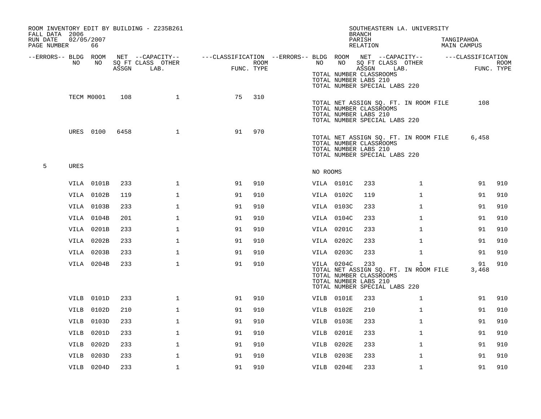| FALL DATA 2006          |             |            |       | ROOM INVENTORY EDIT BY BUILDING - Z235B261 |                                                         |                    |          |            | SOUTHEASTERN LA. UNIVERSITY<br><b>BRANCH</b>                                                                                      |              |                           |             |
|-------------------------|-------------|------------|-------|--------------------------------------------|---------------------------------------------------------|--------------------|----------|------------|-----------------------------------------------------------------------------------------------------------------------------------|--------------|---------------------------|-------------|
| RUN DATE<br>PAGE NUMBER | 02/05/2007  | 66         |       |                                            |                                                         |                    |          |            | PARISH<br>RELATION                                                                                                                |              | TANGIPAHOA<br>MAIN CAMPUS |             |
| --ERRORS-- BLDG ROOM    |             |            |       | NET --CAPACITY--                           | ---CLASSIFICATION --ERRORS-- BLDG ROOM NET --CAPACITY-- |                    |          |            |                                                                                                                                   |              | ---CLASSIFICATION         |             |
|                         | NO.         | NO.        | ASSGN | SQ FT CLASS OTHER<br>LAB.                  |                                                         | ROOM<br>FUNC. TYPE | NO       | NO         | SQ FT CLASS OTHER<br>ASSGN<br>TOTAL NUMBER CLASSROOMS<br>TOTAL NUMBER LABS 210<br>TOTAL NUMBER SPECIAL LABS 220                   | LAB.         | FUNC. TYPE                | <b>ROOM</b> |
|                         |             | TECM M0001 | 108   | $\mathbf{1}$                               | 75                                                      | 310                |          |            | TOTAL NET ASSIGN SQ. FT. IN ROOM FILE<br>TOTAL NUMBER CLASSROOMS<br>TOTAL NUMBER LABS 210<br>TOTAL NUMBER SPECIAL LABS 220        |              | 108                       |             |
|                         |             | URES 0100  | 6458  | $\mathbf 1$                                | 91                                                      | 970                |          |            | TOTAL NET ASSIGN SQ. FT. IN ROOM FILE<br>TOTAL NUMBER CLASSROOMS<br>TOTAL NUMBER LABS 210<br>TOTAL NUMBER SPECIAL LABS 220        |              | 6,458                     |             |
| 5                       | <b>URES</b> |            |       |                                            |                                                         |                    | NO ROOMS |            |                                                                                                                                   |              |                           |             |
|                         |             | VILA 0101B | 233   | $\mathbf{1}$                               | 91                                                      | 910                |          | VILA 0101C | 233                                                                                                                               | $\mathbf{1}$ | 91                        | 910         |
|                         |             | VILA 0102B | 119   | $\mathbf{1}$                               | 91                                                      | 910                |          | VILA 0102C | 119                                                                                                                               | $\mathbf{1}$ | 91                        | 910         |
|                         |             | VILA 0103B | 233   | $\mathbf 1$                                | 91                                                      | 910                |          | VILA 0103C | 233                                                                                                                               | $\mathbf{1}$ | 91                        | 910         |
|                         |             | VILA 0104B | 201   | $\mathbf{1}$                               | 91                                                      | 910                |          | VILA 0104C | 233                                                                                                                               | $\mathbf{1}$ | 91                        | 910         |
|                         |             | VILA 0201B | 233   | 1                                          | 91                                                      | 910                |          | VILA 0201C | 233                                                                                                                               | $\mathbf{1}$ | 91                        | 910         |
|                         |             | VILA 0202B | 233   | 1                                          | 91                                                      | 910                |          | VILA 0202C | 233                                                                                                                               | $\mathbf{1}$ | 91                        | 910         |
|                         |             | VILA 0203B | 233   | $\mathbf{1}$                               | 91                                                      | 910                |          | VILA 0203C | 233                                                                                                                               | $\mathbf{1}$ | 91                        | 910         |
|                         |             | VILA 0204B | 233   | $\mathbf{1}$                               | 91                                                      | 910                |          | VILA 0204C | 233<br>TOTAL NET ASSIGN SQ. FT. IN ROOM FILE<br>TOTAL NUMBER CLASSROOMS<br>TOTAL NUMBER LABS 210<br>TOTAL NUMBER SPECIAL LABS 220 | $\mathbf{1}$ | 91<br>3,468               | 910         |
|                         |             | VILB 0101D | 233   | $\mathbf{1}$                               | 91                                                      | 910                |          | VILB 0101E | 233                                                                                                                               | $\mathbf{1}$ | 91                        | 910         |
|                         |             | VILB 0102D | 210   | $\mathbf{1}$                               | 91                                                      | 910                |          | VILB 0102E | 210                                                                                                                               | $\mathbf{1}$ | 91                        | 910         |
|                         |             | VILB 0103D | 233   | $\mathbf{1}$                               | 91                                                      | 910                |          | VILB 0103E | 233                                                                                                                               | $\mathbf{1}$ | 91                        | 910         |
|                         |             | VILB 0201D | 233   | $\mathbf 1$                                | 91                                                      | 910                |          | VILB 0201E | 233                                                                                                                               | $\mathbf{1}$ | 91                        | 910         |
|                         |             | VILB 0202D | 233   | $\mathbf 1$                                | 91                                                      | 910                |          | VILB 0202E | 233                                                                                                                               | $\mathbf{1}$ | 91                        | 910         |
|                         |             | VILB 0203D | 233   | $\mathbf{1}$                               | 91                                                      | 910                |          | VILB 0203E | 233                                                                                                                               | $\mathbf{1}$ | 91                        | 910         |
|                         |             | VILB 0204D | 233   | $\mathbf{1}$                               | 91                                                      | 910                |          | VILB 0204E | 233                                                                                                                               | $\mathbf{1}$ | 91                        | 910         |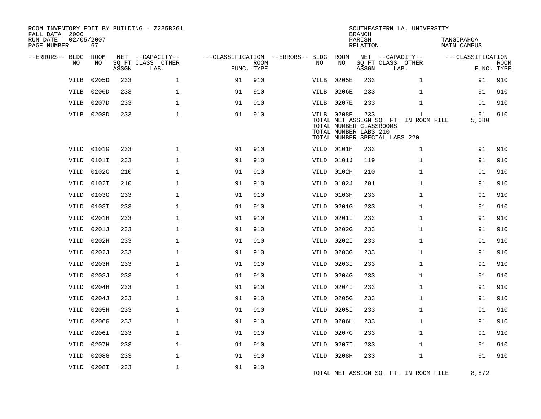| ROOM INVENTORY EDIT BY BUILDING - Z235B261<br>FALL DATA 2006<br>RUN DATE<br>PAGE NUMBER | 02/05/2007<br>67 |       |                                               |                                                 |             |             |                                                                       | <b>BRANCH</b><br>PARISH<br><b>RELATION</b> | SOUTHEASTERN LA. UNIVERSITY                                                            | TANGIPAHOA<br><b>MAIN CAMPUS</b> |                           |
|-----------------------------------------------------------------------------------------|------------------|-------|-----------------------------------------------|-------------------------------------------------|-------------|-------------|-----------------------------------------------------------------------|--------------------------------------------|----------------------------------------------------------------------------------------|----------------------------------|---------------------------|
| --ERRORS-- BLDG<br>NO.                                                                  | ROOM<br>NO       | ASSGN | NET --CAPACITY--<br>SQ FT CLASS OTHER<br>LAB. | ---CLASSIFICATION --ERRORS-- BLDG<br>FUNC. TYPE | <b>ROOM</b> | NO          | ROOM<br>NO                                                            | ASSGN                                      | NET --CAPACITY--<br>SQ FT CLASS OTHER<br>LAB.                                          | ---CLASSIFICATION                | <b>ROOM</b><br>FUNC. TYPE |
| <b>VILB</b>                                                                             | 0205D            | 233   | $\mathbf{1}$                                  | 91                                              | 910         | <b>VILB</b> | 0205E                                                                 | 233                                        | $\mathbf{1}$                                                                           | 91                               | 910                       |
| VILB                                                                                    | 0206D            | 233   | $\mathbf 1$                                   | 91                                              | 910         | VILB        | 0206E                                                                 | 233                                        | $\mathbf{1}$                                                                           | 91                               | 910                       |
| VILB                                                                                    | 0207D            | 233   | $\mathbf{1}$                                  | 91                                              | 910         | VILB        | 0207E                                                                 | 233                                        | $\mathbf{1}$                                                                           | 91                               | 910                       |
| VILB                                                                                    | 0208D            | 233   | $\mathbf{1}$                                  | 91                                              | 910         |             | <b>VILB 0208E</b><br>TOTAL NUMBER CLASSROOMS<br>TOTAL NUMBER LABS 210 | 233                                        | $\mathbf{1}$<br>TOTAL NET ASSIGN SQ. FT. IN ROOM FILE<br>TOTAL NUMBER SPECIAL LABS 220 | 91<br>5,080                      | 910                       |
| <b>VILD</b>                                                                             | 0101G            | 233   | $\mathbf{1}$                                  | 91                                              | 910         |             | VILD 0101H                                                            | 233                                        | $\mathbf{1}$                                                                           | 91                               | 910                       |
| <b>VILD</b>                                                                             | 0101I            | 233   | $\mathbf{1}$                                  | 91                                              | 910         | VILD        | 0101J                                                                 | 119                                        | $\mathbf{1}$                                                                           | 91                               | 910                       |
| <b>VILD</b>                                                                             | 0102G            | 210   | $\mathbf 1$                                   | 91                                              | 910         | VILD        | 0102H                                                                 | 210                                        | $\mathbf{1}$                                                                           | 91                               | 910                       |
| VILD                                                                                    | 0102I            | 210   | $\mathbf{1}$                                  | 91                                              | 910         | VILD        | 0102J                                                                 | 201                                        | $\mathbf{1}$                                                                           | 91                               | 910                       |
| VILD                                                                                    | 0103G            | 233   | $\mathbf{1}$                                  | 91                                              | 910         | VILD        | 0103H                                                                 | 233                                        | $\mathbf{1}$                                                                           | 91                               | 910                       |
| VILD                                                                                    | 0103I            | 233   | $\mathbf{1}$                                  | 91                                              | 910         | VILD        | 0201G                                                                 | 233                                        | $\mathbf{1}$                                                                           | 91                               | 910                       |
| VILD                                                                                    | 0201H            | 233   | $\mathbf 1$                                   | 91                                              | 910         | VILD        | 0201I                                                                 | 233                                        | $\mathbf{1}$                                                                           | 91                               | 910                       |
| <b>VILD</b>                                                                             | 0201J            | 233   | $\mathbf{1}$                                  | 91                                              | 910         | VILD        | 0202G                                                                 | 233                                        | $\mathbf{1}$                                                                           | 91                               | 910                       |
| VILD                                                                                    | 0202H            | 233   | $\mathbf{1}$                                  | 91                                              | 910         | VILD        | 0202I                                                                 | 233                                        | $\mathbf{1}$                                                                           | 91                               | 910                       |
| <b>VILD</b>                                                                             | 0202J            | 233   | $\mathbf{1}$                                  | 91                                              | 910         | VILD        | 0203G                                                                 | 233                                        | $\mathbf{1}$                                                                           | 91                               | 910                       |
| VILD                                                                                    | 0203H            | 233   | $\mathbf{1}$                                  | 91                                              | 910         | VILD        | 0203I                                                                 | 233                                        | $\mathbf{1}$                                                                           | 91                               | 910                       |
| <b>VILD</b>                                                                             | 0203J            | 233   | $\mathbf{1}$                                  | 91                                              | 910         | VILD        | 0204G                                                                 | 233                                        | $\mathbf{1}$                                                                           | 91                               | 910                       |
| VILD                                                                                    | 0204H            | 233   | $\mathbf{1}$                                  | 91                                              | 910         | VILD        | 0204I                                                                 | 233                                        | $\mathbf{1}$                                                                           | 91                               | 910                       |
| <b>VILD</b>                                                                             | 0204J            | 233   | $\mathbf{1}$                                  | 91                                              | 910         | VILD        | 0205G                                                                 | 233                                        | $\mathbf{1}$                                                                           | 91                               | 910                       |
| <b>VILD</b>                                                                             | 0205H            | 233   | $\mathbf{1}$                                  | 91                                              | 910         | VILD        | 0205I                                                                 | 233                                        | $\mathbf{1}$                                                                           | 91                               | 910                       |
| VILD                                                                                    | 0206G            | 233   | $\mathbf{1}$                                  | 91                                              | 910         | VILD        | 0206H                                                                 | 233                                        | $\mathbf{1}$                                                                           | 91                               | 910                       |
| <b>VILD</b>                                                                             | 0206I            | 233   | $\mathbf 1$                                   | 91                                              | 910         | VILD        | 0207G                                                                 | 233                                        | $\mathbf{1}$                                                                           | 91                               | 910                       |
| VILD                                                                                    | 0207H            | 233   | $\mathbf{1}$                                  | 91                                              | 910         | VILD        | 0207I                                                                 | 233                                        | $\mathbf{1}$                                                                           | 91                               | 910                       |
| VILD                                                                                    | 0208G            | 233   | $\mathbf{1}$                                  | 91                                              | 910         | VILD        | 0208H                                                                 | 233                                        | $\mathbf{1}$                                                                           | 91                               | 910                       |
| <b>VILD</b>                                                                             | 0208I            | 233   | $\mathbf 1$                                   | 91                                              | 910         |             |                                                                       |                                            | TOTAL NET ASSIGN SQ. FT. IN ROOM FILE                                                  | 8,872                            |                           |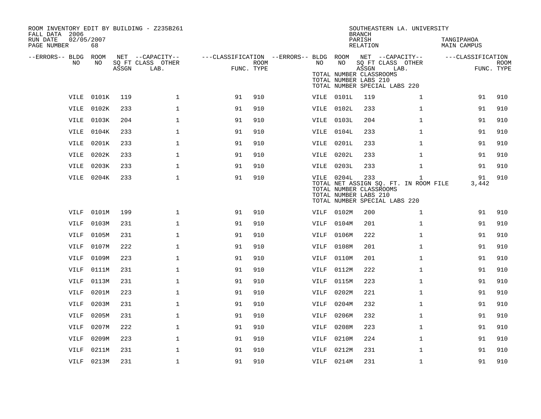| ROOM INVENTORY EDIT BY BUILDING - Z235B261<br>FALL DATA 2006 |            |       |                           |                                                         |      |             |            | <b>BRANCH</b>                                             | SOUTHEASTERN LA. UNIVERSITY                                                            |                           |                           |
|--------------------------------------------------------------|------------|-------|---------------------------|---------------------------------------------------------|------|-------------|------------|-----------------------------------------------------------|----------------------------------------------------------------------------------------|---------------------------|---------------------------|
| 02/05/2007<br>RUN DATE<br>PAGE NUMBER                        | 68         |       |                           |                                                         |      |             |            | PARISH<br>RELATION                                        |                                                                                        | TANGIPAHOA<br>MAIN CAMPUS |                           |
| --ERRORS-- BLDG ROOM                                         |            |       | NET --CAPACITY--          | ---CLASSIFICATION --ERRORS-- BLDG ROOM NET --CAPACITY-- |      |             |            |                                                           |                                                                                        | ---CLASSIFICATION         |                           |
| NO                                                           | NO         | ASSGN | SQ FT CLASS OTHER<br>LAB. | FUNC. TYPE                                              | ROOM | NO          | NO         | ASSGN<br>TOTAL NUMBER CLASSROOMS<br>TOTAL NUMBER LABS 210 | SQ FT CLASS OTHER<br>LAB.<br>TOTAL NUMBER SPECIAL LABS 220                             |                           | <b>ROOM</b><br>FUNC. TYPE |
|                                                              |            |       |                           |                                                         |      |             |            |                                                           |                                                                                        |                           |                           |
|                                                              | VILE 0101K | 119   | $\mathbf 1$               | 91                                                      | 910  |             | VILE 0101L | 119                                                       | $\mathbf{1}$                                                                           | 91                        | 910                       |
|                                                              | VILE 0102K | 233   | $\mathbf{1}$              | 91                                                      | 910  |             | VILE 0102L | 233                                                       | $\mathbf{1}$                                                                           | 91                        | 910                       |
|                                                              | VILE 0103K | 204   | $\mathbf 1$               | 91                                                      | 910  |             | VILE 0103L | 204                                                       | $\mathbf{1}$                                                                           | 91                        | 910                       |
| VILE                                                         | 0104K      | 233   | $\mathbf{1}$              | 91                                                      | 910  | VILE        | 0104L      | 233                                                       | $\mathbf{1}$                                                                           | 91                        | 910                       |
| VILE                                                         | 0201K      | 233   | $\mathbf{1}$              | 91                                                      | 910  | VILE        | 0201L      | 233                                                       | $\mathbf{1}$                                                                           | 91                        | 910                       |
| VILE                                                         | 0202K      | 233   | $\mathbf{1}$              | 91                                                      | 910  |             | VILE 0202L | 233                                                       | $\mathbf{1}$                                                                           | 91                        | 910                       |
| VILE                                                         | 0203K      | 233   | $\mathbf 1$               | 91                                                      | 910  |             | VILE 0203L | 233                                                       | $\mathbf{1}$                                                                           | 91                        | 910                       |
|                                                              | VILE 0204K | 233   | $\mathbf 1$               | 91                                                      | 910  |             | VILE 0204L | 233<br>TOTAL NUMBER CLASSROOMS<br>TOTAL NUMBER LABS 210   | $\mathbf{1}$<br>TOTAL NET ASSIGN SQ. FT. IN ROOM FILE<br>TOTAL NUMBER SPECIAL LABS 220 | 91<br>3,442               | 910                       |
| VILF                                                         | 0101M      | 199   | 1                         | 91                                                      | 910  | VILF        | 0102M      | 200                                                       | $\mathbf{1}$                                                                           | 91                        | 910                       |
| VILF                                                         | 0103M      | 231   | $\mathbf 1$               | 91                                                      | 910  | VILF        | 0104M      | 201                                                       | $\mathbf{1}$                                                                           | 91                        | 910                       |
| VILF                                                         | 0105M      | 231   | $\mathbf 1$               | 91                                                      | 910  | VILF        | 0106M      | 222                                                       | $\mathbf{1}$                                                                           | 91                        | 910                       |
| <b>VILF</b>                                                  | 0107M      | 222   | $\mathbf{1}$              | 91                                                      | 910  | <b>VILF</b> | 0108M      | 201                                                       | $\mathbf{1}$                                                                           | 91                        | 910                       |
| VILF                                                         | 0109M      | 223   | $\mathbf 1$               | 91                                                      | 910  | VILF        | 0110M      | 201                                                       | $\mathbf{1}$                                                                           | 91                        | 910                       |
| <b>VILF</b>                                                  | 0111M      | 231   | $\mathbf{1}$              | 91                                                      | 910  | <b>VILF</b> | 0112M      | 222                                                       | $\mathbf{1}$                                                                           | 91                        | 910                       |
| <b>VILF</b>                                                  | 0113M      | 231   | $\mathbf 1$               | 91                                                      | 910  | VILF        | 0115M      | 223                                                       | $\mathbf{1}$                                                                           | 91                        | 910                       |
| VILF                                                         | 0201M      | 223   | $\mathbf{1}$              | 91                                                      | 910  | VILF        | 0202M      | 221                                                       | $\mathbf{1}$                                                                           | 91                        | 910                       |
| <b>VILF</b>                                                  | 0203M      | 231   | $\mathbf 1$               | 91                                                      | 910  | <b>VILF</b> | 0204M      | 232                                                       | $\mathbf{1}$                                                                           | 91                        | 910                       |
| <b>VILF</b>                                                  | 0205M      | 231   | $\mathbf{1}$              | 91                                                      | 910  | <b>VILF</b> | 0206M      | 232                                                       | $\mathbf{1}$                                                                           | 91                        | 910                       |
| <b>VILF</b>                                                  | 0207M      | 222   | $\mathbf 1$               | 91                                                      | 910  | VILF        | 0208M      | 223                                                       | $\mathbf{1}$                                                                           | 91                        | 910                       |
| VILF                                                         | 0209M      | 223   | $\mathbf 1$               | 91                                                      | 910  | VILF        | 0210M      | 224                                                       | $\mathbf{1}$                                                                           | 91                        | 910                       |
| <b>VILF</b>                                                  | 0211M      | 231   | $\mathbf{1}$              | 91                                                      | 910  | <b>VILF</b> | 0212M      | 231                                                       | $\mathbf{1}$                                                                           | 91                        | 910                       |
|                                                              |            |       |                           |                                                         |      |             |            |                                                           |                                                                                        |                           |                           |
|                                                              | VILF 0213M | 231   | $\mathbf 1$               | 91                                                      | 910  |             | VILF 0214M | 231                                                       | $\mathbf{1}$                                                                           | 91                        | 910                       |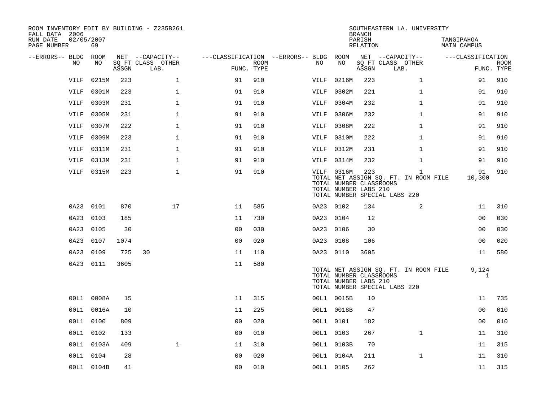| ROOM INVENTORY EDIT BY BUILDING - Z235B261<br>FALL DATA 2006 |                  |       |                           |                                        |                    |             |                                                                | <b>BRANCH</b>      | SOUTHEASTERN LA. UNIVERSITY                                                            |                           |                           |
|--------------------------------------------------------------|------------------|-------|---------------------------|----------------------------------------|--------------------|-------------|----------------------------------------------------------------|--------------------|----------------------------------------------------------------------------------------|---------------------------|---------------------------|
| RUN DATE<br>PAGE NUMBER                                      | 02/05/2007<br>69 |       |                           |                                        |                    |             |                                                                | PARISH<br>RELATION |                                                                                        | TANGIPAHOA<br>MAIN CAMPUS |                           |
| --ERRORS-- BLDG ROOM                                         |                  |       | NET --CAPACITY--          | ---CLASSIFICATION --ERRORS-- BLDG ROOM |                    |             |                                                                |                    | NET --CAPACITY--                                                                       | ---CLASSIFICATION         |                           |
| NO                                                           | NO               | ASSGN | SQ FT CLASS OTHER<br>LAB. |                                        | ROOM<br>FUNC. TYPE | NO.         | NO                                                             | ASSGN              | SQ FT CLASS OTHER<br>LAB.                                                              |                           | <b>ROOM</b><br>FUNC. TYPE |
| VILF                                                         | 0215M            | 223   | $\mathbf 1$               | 91                                     | 910                | <b>VILF</b> | 0216M                                                          | 223                | $\mathbf{1}$                                                                           | 91                        | 910                       |
| <b>VILF</b>                                                  | 0301M            | 223   | $\mathbf 1$               | 91                                     | 910                | VILF        | 0302M                                                          | 221                | $\mathbf{1}$                                                                           | 91                        | 910                       |
| VILF                                                         | 0303M            | 231   | $\mathbf{1}$              | 91                                     | 910                | VILF        | 0304M                                                          | 232                | $\mathbf{1}$                                                                           | 91                        | 910                       |
| VILF                                                         | 0305M            | 231   | $\mathbf 1$               | 91                                     | 910                | VILF        | 0306M                                                          | 232                | $\mathbf{1}$                                                                           | 91                        | 910                       |
| VILF                                                         | 0307M            | 222   | $\mathbf{1}$              | 91                                     | 910                | VILF        | 0308M                                                          | 222                | $\mathbf{1}$                                                                           | 91                        | 910                       |
| <b>VILF</b>                                                  | 0309M            | 223   | $\mathbf{1}$              | 91                                     | 910                | VILF        | 0310M                                                          | 222                | $\mathbf{1}$                                                                           | 91                        | 910                       |
| VILF                                                         | 0311M            | 231   | $\mathbf{1}$              | 91                                     | 910                |             | VILF 0312M                                                     | 231                | $\mathbf{1}$                                                                           | 91                        | 910                       |
| <b>VILF</b>                                                  | 0313M            | 231   | $\mathbf{1}$              | 91                                     | 910                | VILF        | 0314M                                                          | 232                | $\mathbf{1}$                                                                           | 91                        | 910                       |
| VILF                                                         | 0315M            | 223   | $\mathbf{1}$              | 91                                     | 910                |             | VILF 0316M<br>TOTAL NUMBER CLASSROOMS<br>TOTAL NUMBER LABS 210 | 223                | $\mathbf{1}$<br>TOTAL NET ASSIGN SQ. FT. IN ROOM FILE<br>TOTAL NUMBER SPECIAL LABS 220 | 91<br>10,300              | 910                       |
| 0A23                                                         | 0101             | 870   | 17                        | 11                                     | 585                |             | 0A23 0102                                                      | 134                | 2                                                                                      | 11                        | 310                       |
| 0A23                                                         | 0103             | 185   |                           | 11                                     | 730                |             | 0A23 0104                                                      | 12                 |                                                                                        | 0 <sub>0</sub>            | 030                       |
| 0A23                                                         | 0105             | 30    |                           | 0 <sub>0</sub>                         | 030                |             | 0A23 0106                                                      | 30                 |                                                                                        | 0 <sub>0</sub>            | 030                       |
|                                                              | 0A23 0107        | 1074  |                           | 0 <sub>0</sub>                         | 020                |             | 0A23 0108                                                      | 106                |                                                                                        | 0 <sub>0</sub>            | 020                       |
| 0A23                                                         | 0109             | 725   | 30                        | 11                                     | 110                |             | 0A23 0110                                                      | 3605               |                                                                                        | 11                        | 580                       |
|                                                              | 0A23 0111        | 3605  |                           | 11                                     | 580                |             | TOTAL NUMBER CLASSROOMS<br>TOTAL NUMBER LABS 210               |                    | TOTAL NET ASSIGN SQ. FT. IN ROOM FILE<br>TOTAL NUMBER SPECIAL LABS 220                 | 9,124<br>$\mathbf{1}$     |                           |
|                                                              | 00L1 0008A       | 15    |                           | 11                                     | 315                |             | 00L1 0015B                                                     | 10                 |                                                                                        | 11                        | 735                       |
|                                                              | 00L1 0016A       | 10    |                           | 11                                     | 225                |             | 00L1 0018B                                                     | 47                 |                                                                                        | 0 <sub>0</sub>            | 010                       |
|                                                              | 00L1 0100        | 809   |                           | 0 <sub>0</sub>                         | 020                |             | 00L1 0101                                                      | 182                |                                                                                        | 0 <sub>0</sub>            | 010                       |
|                                                              | 00L1 0102        | 133   |                           | 0 <sub>0</sub>                         | 010                |             | 00L1 0103                                                      | 267                | $\mathbf{1}$                                                                           | 11                        | 310                       |
|                                                              | 00L1 0103A       | 409   | $\mathbf{1}$              | 11                                     | 310                |             | 00L1 0103B                                                     | 70                 |                                                                                        | 11                        | 315                       |
|                                                              | 00L1 0104        | 28    |                           | 0 <sub>0</sub>                         | 020                |             | 00L1 0104A                                                     | 211                | $\mathbf{1}$                                                                           | 11                        | 310                       |
|                                                              | 00L1 0104B       | 41    |                           | 0 <sub>0</sub>                         | 010                |             | 00L1 0105                                                      | 262                |                                                                                        | 11                        | 315                       |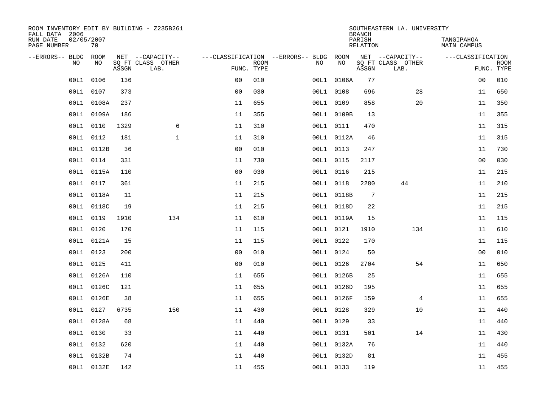| ROOM INVENTORY EDIT BY BUILDING - Z235B261<br>FALL DATA 2006 |                  |       |                           |                |             |                                   |            | <b>BRANCH</b>      | SOUTHEASTERN LA. UNIVERSITY |                                  |                           |
|--------------------------------------------------------------|------------------|-------|---------------------------|----------------|-------------|-----------------------------------|------------|--------------------|-----------------------------|----------------------------------|---------------------------|
| RUN DATE<br>PAGE NUMBER                                      | 02/05/2007<br>70 |       |                           |                |             |                                   |            | PARISH<br>RELATION |                             | TANGIPAHOA<br><b>MAIN CAMPUS</b> |                           |
| --ERRORS-- BLDG                                              | ROOM             |       | NET --CAPACITY--          |                |             | ---CLASSIFICATION --ERRORS-- BLDG | ROOM       |                    | NET --CAPACITY--            | ---CLASSIFICATION                |                           |
| N <sub>O</sub>                                               | NO.              | ASSGN | SO FT CLASS OTHER<br>LAB. | FUNC. TYPE     | <b>ROOM</b> | NO.                               | <b>NO</b>  | ASSGN              | SQ FT CLASS OTHER<br>LAB.   |                                  | <b>ROOM</b><br>FUNC. TYPE |
| 00L1                                                         | 0106             | 136   |                           | 0 <sub>0</sub> | 010         | 00L1                              | 0106A      | 77                 |                             | 00                               | 010                       |
| 00L1                                                         | 0107             | 373   |                           | 0 <sub>0</sub> | 030         |                                   | 00L1 0108  | 696                | 28                          | 11                               | 650                       |
| 00L1                                                         | 0108A            | 237   |                           | 11             | 655         |                                   | 00L1 0109  | 858                | 20                          | 11                               | 350                       |
| 00L1                                                         | 0109A            | 186   |                           | 11             | 355         |                                   | 00L1 0109B | 13                 |                             | 11                               | 355                       |
| 00L1                                                         | 0110             | 1329  | 6                         | 11             | 310         |                                   | 00L1 0111  | 470                |                             | 11                               | 315                       |
| 00L1                                                         | 0112             | 181   | $\mathbf 1$               | 11             | 310         |                                   | 00L1 0112A | 46                 |                             | 11                               | 315                       |
| 00L1                                                         | 0112B            | 36    |                           | 00             | 010         |                                   | 00L1 0113  | 247                |                             | 11                               | 730                       |
| 00L1                                                         | 0114             | 331   |                           | 11             | 730         |                                   | 00L1 0115  | 2117               |                             | 0 <sub>0</sub>                   | 030                       |
| 00L1                                                         | 0115A            | 110   |                           | 0 <sub>0</sub> | 030         |                                   | 00L1 0116  | 215                |                             | 11                               | 215                       |
|                                                              | 00L1 0117        | 361   |                           | 11             | 215         |                                   | 00L1 0118  | 2280               | 44                          | 11                               | 210                       |
| 00L1                                                         | 0118A            | 11    |                           | 11             | 215         |                                   | 00L1 0118B | -7                 |                             | 11                               | 215                       |
|                                                              | 00L1 0118C       | 19    |                           | 11             | 215         |                                   | 00L1 0118D | 22                 |                             | 11                               | 215                       |
| 00L1                                                         | 0119             | 1910  | 134                       | 11             | 610         |                                   | 00L1 0119A | 15                 |                             | 11                               | 115                       |
| 00L1                                                         | 0120             | 170   |                           | 11             | 115         |                                   | 00L1 0121  | 1910               | 134                         | 11                               | 610                       |
| 00L1                                                         | 0121A            | 15    |                           | 11             | 115         |                                   | 00L1 0122  | 170                |                             | 11                               | 115                       |
| 00L1                                                         | 0123             | 200   |                           | 0 <sub>0</sub> | 010         |                                   | 00L1 0124  | 50                 |                             | 00                               | 010                       |
| 00L1                                                         | 0125             | 411   |                           | 0 <sub>0</sub> | 010         | 00L1                              | 0126       | 2704               | 54                          | 11                               | 650                       |
| 00L1                                                         | 0126A            | 110   |                           | 11             | 655         |                                   | 00L1 0126B | 25                 |                             | 11                               | 655                       |
| 00L1                                                         | 0126C            | 121   |                           | 11             | 655         |                                   | 00L1 0126D | 195                |                             | 11                               | 655                       |
| 00L1                                                         | 0126E            | 38    |                           | 11             | 655         |                                   | 00L1 0126F | 159                | $\overline{4}$              | 11                               | 655                       |
| 00L1                                                         | 0127             | 6735  | 150                       | 11             | 430         |                                   | 00L1 0128  | 329                | 10                          | 11                               | 440                       |
| 00L1                                                         | 0128A            | 68    |                           | 11             | 440         |                                   | 00L1 0129  | 33                 |                             | 11                               | 440                       |
| 00L1                                                         | 0130             | 33    |                           | 11             | 440         |                                   | 00L1 0131  | 501                | 14                          | 11                               | 430                       |
| 00L1                                                         | 0132             | 620   |                           | 11             | 440         |                                   | 00L1 0132A | 76                 |                             | 11                               | 440                       |
| 00L1                                                         | 0132B            | 74    |                           | 11             | 440         |                                   | 00L1 0132D | 81                 |                             | 11                               | 455                       |
|                                                              | 00L1 0132E       | 142   |                           | 11             | 455         |                                   | 00L1 0133  | 119                |                             | 11                               | 455                       |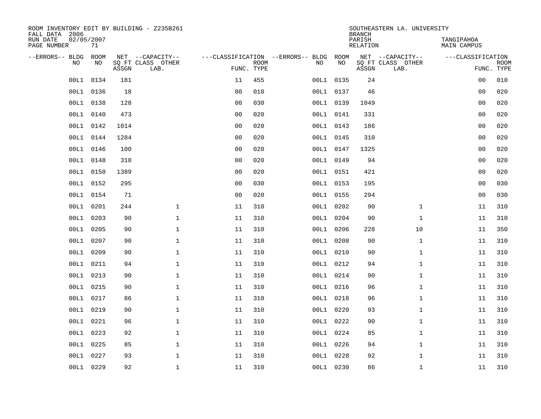| ROOM INVENTORY EDIT BY BUILDING - Z235B261<br>FALL DATA 2006 |                  |       |                           |                |                           |                                   |           | <b>BRANCH</b>             | SOUTHEASTERN LA. UNIVERSITY |                                  |                           |
|--------------------------------------------------------------|------------------|-------|---------------------------|----------------|---------------------------|-----------------------------------|-----------|---------------------------|-----------------------------|----------------------------------|---------------------------|
| RUN DATE<br>PAGE NUMBER                                      | 02/05/2007<br>71 |       |                           |                |                           |                                   |           | PARISH<br><b>RELATION</b> |                             | TANGIPAHOA<br><b>MAIN CAMPUS</b> |                           |
| --ERRORS-- BLDG                                              | ROOM             |       | NET --CAPACITY--          |                |                           | ---CLASSIFICATION --ERRORS-- BLDG | ROOM      |                           | NET --CAPACITY--            | ---CLASSIFICATION                |                           |
| NO                                                           | NO               | ASSGN | SQ FT CLASS OTHER<br>LAB. |                | <b>ROOM</b><br>FUNC. TYPE | NO                                | NO        | ASSGN                     | SQ FT CLASS OTHER<br>LAB.   |                                  | <b>ROOM</b><br>FUNC. TYPE |
| 00L1                                                         | 0134             | 181   |                           | 11             | 455                       |                                   | 00L1 0135 | 24                        |                             | 0 <sub>0</sub>                   | 010                       |
| 00L1                                                         | 0136             | 18    |                           | 0 <sub>0</sub> | 010                       |                                   | 00L1 0137 | 46                        |                             | 00                               | 020                       |
| 00L1                                                         | 0138             | 128   |                           | 0 <sub>0</sub> | 030                       |                                   | 00L1 0139 | 1049                      |                             | 0 <sub>0</sub>                   | 020                       |
|                                                              | 00L1 0140        | 473   |                           | 0 <sub>0</sub> | 020                       |                                   | 00L1 0141 | 331                       |                             | 0 <sub>0</sub>                   | 020                       |
| 00L1                                                         | 0142             | 1014  |                           | 0 <sub>0</sub> | 020                       |                                   | 00L1 0143 | 186                       |                             | 0 <sub>0</sub>                   | 020                       |
|                                                              | 00L1 0144        | 1284  |                           | 0 <sub>0</sub> | 020                       |                                   | 00L1 0145 | 310                       |                             | 0 <sub>0</sub>                   | 020                       |
| 00L1                                                         | 0146             | 100   |                           | 0 <sub>0</sub> | 020                       |                                   | 00L1 0147 | 1325                      |                             | 0 <sub>0</sub>                   | 020                       |
|                                                              | 00L1 0148        | 310   |                           | 0 <sub>0</sub> | 020                       |                                   | 00L1 0149 | 94                        |                             | 0 <sub>0</sub>                   | 020                       |
| 00L1                                                         | 0150             | 1389  |                           | 0 <sub>0</sub> | 020                       |                                   | 00L1 0151 | 421                       |                             | 0 <sub>0</sub>                   | 020                       |
| 00L1                                                         | 0152             | 295   |                           | 0 <sub>0</sub> | 030                       |                                   | 00L1 0153 | 195                       |                             | 0 <sub>0</sub>                   | 030                       |
| 00L1                                                         | 0154             | 71    |                           | 0 <sub>0</sub> | 020                       |                                   | 00L1 0155 | 294                       |                             | 00                               | 030                       |
| 00L1                                                         | 0201             | 244   | $\mathbf 1$               | 11             | 310                       |                                   | 00L1 0202 | 90                        | $\mathbf{1}$                | 11                               | 310                       |
| 00L1                                                         | 0203             | 90    | $\mathbf 1$               | 11             | 310                       |                                   | 00L1 0204 | 90                        | $\mathbf{1}$                | 11                               | 310                       |
| 00L1                                                         | 0205             | 90    | $\mathbf{1}$              | 11             | 310                       |                                   | 00L1 0206 | 228                       | 10                          | 11                               | 350                       |
| 00L1                                                         | 0207             | 90    | $\mathbf 1$               | 11             | 310                       | 00L1                              | 0208      | 90                        | $\mathbf{1}$                | 11                               | 310                       |
| 00L1                                                         | 0209             | 90    | $\mathbf{1}$              | 11             | 310                       |                                   | 00L1 0210 | 90                        | $\mathbf{1}$                | 11                               | 310                       |
| 00L1                                                         | 0211             | 94    | $\mathbf{1}$              | 11             | 310                       |                                   | 00L1 0212 | 94                        | $\mathbf{1}$                | 11                               | 310                       |
| 00L1                                                         | 0213             | 90    | $\mathbf{1}$              | 11             | 310                       |                                   | 00L1 0214 | 90                        | $\mathbf{1}$                | 11                               | 310                       |
| 00L1                                                         | 0215             | 90    | $\mathbf 1$               | 11             | 310                       |                                   | 00L1 0216 | 96                        | $\mathbf{1}$                | 11                               | 310                       |
| 00L1                                                         | 0217             | 86    | $\mathbf 1$               | 11             | 310                       |                                   | 00L1 0218 | 96                        | $\mathbf{1}$                | 11                               | 310                       |
| 00L1                                                         | 0219             | 90    | $\mathbf{1}$              | 11             | 310                       |                                   | 00L1 0220 | 93                        | $\mathbf{1}$                | 11                               | 310                       |
| 00L1                                                         | 0221             | 96    | $\mathbf{1}$              | 11             | 310                       |                                   | 00L1 0222 | 90                        | $\mathbf{1}$                | 11                               | 310                       |
| 00L1                                                         | 0223             | 92    | $\mathbf{1}$              | 11             | 310                       |                                   | 00L1 0224 | 85                        | $\mathbf{1}$                | 11                               | 310                       |
| 00L1                                                         | 0225             | 85    | $\mathbf{1}$              | 11             | 310                       |                                   | 00L1 0226 | 94                        | $\mathbf{1}$                | 11                               | 310                       |
| 00L1                                                         | 0227             | 93    | $\mathbf 1$               | 11             | 310                       |                                   | 00L1 0228 | 92                        | $\mathbf{1}$                | 11                               | 310                       |
|                                                              | 00L1 0229        | 92    | $\mathbf{1}$              | 11             | 310                       |                                   | 00L1 0230 | 86                        | $\mathbf{1}$                | 11                               | 310                       |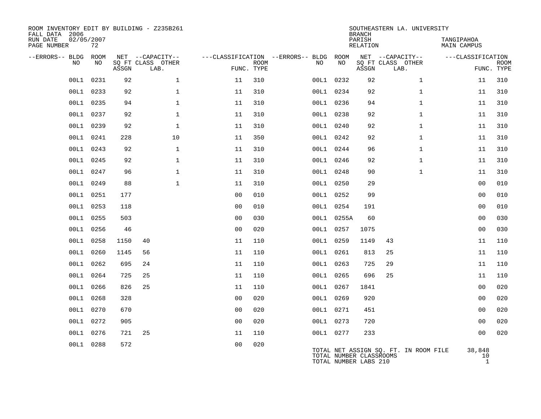| ROOM INVENTORY EDIT BY BUILDING - Z235B261<br>FALL DATA 2006<br>RUN DATE<br>PAGE NUMBER | 02/05/2007<br>72 |       |                                       |                |             |                                               |                                                  | <b>BRANCH</b><br>PARISH<br><b>RELATION</b> | SOUTHEASTERN LA. UNIVERSITY           | TANGIPAHOA<br><b>MAIN CAMPUS</b> |             |
|-----------------------------------------------------------------------------------------|------------------|-------|---------------------------------------|----------------|-------------|-----------------------------------------------|--------------------------------------------------|--------------------------------------------|---------------------------------------|----------------------------------|-------------|
| --ERRORS-- BLDG ROOM<br>NO.                                                             | NO.              |       | NET --CAPACITY--<br>SQ FT CLASS OTHER |                | <b>ROOM</b> | ---CLASSIFICATION --ERRORS-- BLDG ROOM<br>NO. | NO                                               |                                            | NET --CAPACITY--<br>SQ FT CLASS OTHER | ---CLASSIFICATION                | <b>ROOM</b> |
|                                                                                         |                  | ASSGN | LAB.                                  | FUNC. TYPE     |             |                                               |                                                  | ASSGN                                      | LAB.                                  |                                  | FUNC. TYPE  |
| 00L1                                                                                    | 0231             | 92    | $\mathbf 1$                           | 11             | 310         |                                               | 00L1 0232                                        | 92                                         | $\mathbf{1}$                          | 11                               | 310         |
| 00L1                                                                                    | 0233             | 92    | $\mathbf 1$                           | 11             | 310         |                                               | 00L1 0234                                        | 92                                         | $\mathbf{1}$                          | 11                               | 310         |
|                                                                                         | 00L1 0235        | 94    | $\mathbf{1}$                          | 11             | 310         |                                               | 00L1 0236                                        | 94                                         | $\mathbf{1}$                          | 11                               | 310         |
| 00L1                                                                                    | 0237             | 92    | $\mathbf{1}$                          | 11             | 310         |                                               | 00L1 0238                                        | 92                                         | $\mathbf{1}$                          | 11                               | 310         |
|                                                                                         | 00L1 0239        | 92    | $\mathbf{1}$                          | 11             | 310         |                                               | 00L1 0240                                        | 92                                         | $\mathbf{1}$                          | 11                               | 310         |
| 00L1                                                                                    | 0241             | 228   | 10                                    | 11             | 350         |                                               | 00L1 0242                                        | 92                                         | $\mathbf{1}$                          | 11                               | 310         |
| 00L1                                                                                    | 0243             | 92    | $\mathbf{1}$                          | 11             | 310         |                                               | 00L1 0244                                        | 96                                         | $\mathbf{1}$                          | 11                               | 310         |
| 00L1                                                                                    | 0245             | 92    | $\mathbf 1$                           | 11             | 310         |                                               | 00L1 0246                                        | 92                                         | $\mathbf{1}$                          | 11                               | 310         |
|                                                                                         | 00L1 0247        | 96    | $\mathbf{1}$                          | 11             | 310         |                                               | 00L1 0248                                        | 90                                         | $\mathbf{1}$                          | 11                               | 310         |
| 00L1                                                                                    | 0249             | 88    | $\mathbf{1}$                          | 11             | 310         |                                               | 00L1 0250                                        | 29                                         |                                       | 0 <sub>0</sub>                   | 010         |
| 00L1                                                                                    | 0251             | 177   |                                       | 0 <sub>0</sub> | 010         |                                               | 00L1 0252                                        | 99                                         |                                       | 0 <sub>0</sub>                   | 010         |
| 00L1                                                                                    | 0253             | 118   |                                       | 0 <sub>0</sub> | 010         |                                               | 00L1 0254                                        | 191                                        |                                       | 0 <sub>0</sub>                   | 010         |
| 00L1                                                                                    | 0255             | 503   |                                       | 0 <sub>0</sub> | 030         |                                               | 00L1 0255A                                       | 60                                         |                                       | 0 <sub>0</sub>                   | 030         |
| 00L1                                                                                    | 0256             | 46    |                                       | 0 <sub>0</sub> | 020         |                                               | 00L1 0257                                        | 1075                                       |                                       | 0 <sub>0</sub>                   | 030         |
| 00L1                                                                                    | 0258             | 1150  | 40                                    | 11             | 110         |                                               | 00L1 0259                                        | 1149                                       | 43                                    | 11                               | 110         |
| 00L1                                                                                    | 0260             | 1145  | 56                                    | 11             | 110         |                                               | 00L1 0261                                        | 813                                        | 25                                    | 11                               | 110         |
| 00L1                                                                                    | 0262             | 695   | 24                                    | 11             | 110         |                                               | 00L1 0263                                        | 725                                        | 29                                    | 11                               | 110         |
|                                                                                         | 00L1 0264        | 725   | 25                                    | 11             | 110         |                                               | 00L1 0265                                        | 696                                        | 25                                    | 11                               | 110         |
| 00L1                                                                                    | 0266             | 826   | 25                                    | 11             | 110         |                                               | 00L1 0267                                        | 1841                                       |                                       | 0 <sub>0</sub>                   | 020         |
| 00L1                                                                                    | 0268             | 328   |                                       | 0 <sub>0</sub> | 020         |                                               | 00L1 0269                                        | 920                                        |                                       | 0 <sub>0</sub>                   | 020         |
|                                                                                         | 00L1 0270        | 670   |                                       | 0 <sub>0</sub> | 020         |                                               | 00L1 0271                                        | 451                                        |                                       | 0 <sub>0</sub>                   | 020         |
| 00L1                                                                                    | 0272             | 905   |                                       | 0 <sub>0</sub> | 020         |                                               | 00L1 0273                                        | 720                                        |                                       | 0 <sub>0</sub>                   | 020         |
| 00L1                                                                                    | 0276             | 721   | 25                                    | 11             | 110         |                                               | 00L1 0277                                        | 233                                        |                                       | 0 <sub>0</sub>                   | 020         |
| 00L1                                                                                    | 0288             | 572   |                                       | 0 <sup>0</sup> | 020         |                                               | TOTAL NUMBER CLASSROOMS<br>TOTAL NUMBER LABS 210 |                                            | TOTAL NET ASSIGN SQ. FT. IN ROOM FILE | 38,848<br>10<br>$\overline{1}$   |             |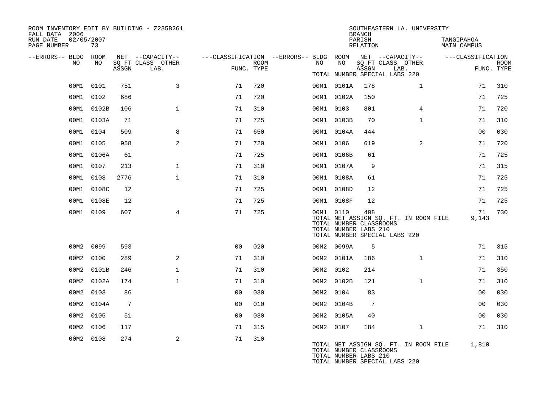| FALL DATA 2006<br>RUN DATE<br>PAGE NUMBER |      | 02/05/2007<br>73 |                 | ROOM INVENTORY EDIT BY BUILDING - Z235B261    |                                                                       |      |           |            | <b>BRANCH</b><br>PARISH<br>RELATION                     | SOUTHEASTERN LA. UNIVERSITY                                            | TANGIPAHOA<br>MAIN CAMPUS |                           |
|-------------------------------------------|------|------------------|-----------------|-----------------------------------------------|-----------------------------------------------------------------------|------|-----------|------------|---------------------------------------------------------|------------------------------------------------------------------------|---------------------------|---------------------------|
| --ERRORS-- BLDG ROOM                      | NO.  | NO               | ASSGN           | NET --CAPACITY--<br>SQ FT CLASS OTHER<br>LAB. | ---CLASSIFICATION --ERRORS-- BLDG ROOM NET --CAPACITY--<br>FUNC. TYPE | ROOM | NO .      | NO         | ASSGN                                                   | SQ FT CLASS OTHER<br>LAB.<br>TOTAL NUMBER SPECIAL LABS 220             | ---CLASSIFICATION         | <b>ROOM</b><br>FUNC. TYPE |
|                                           |      | 00M1 0101        | 751             | 3                                             | 71                                                                    | 720  |           | 00M1 0101A | 178                                                     | $\mathbf{1}$                                                           | 71                        | 310                       |
|                                           |      | 00M1 0102        | 686             |                                               | 71                                                                    | 720  |           | 00M1 0102A | 150                                                     |                                                                        | 71                        | 725                       |
|                                           |      | 00M1 0102B       | 106             | $\mathbf{1}$                                  | 71                                                                    | 310  | 00M1 0103 |            | 801                                                     | $\overline{4}$                                                         | 71                        | 720                       |
|                                           |      | 00M1 0103A       | 71              |                                               | 71                                                                    | 725  |           | 00M1 0103B | 70                                                      | $\mathbf{1}$                                                           | 71                        | 310                       |
|                                           |      | 00M1 0104        | 509             | 8                                             | 71                                                                    | 650  |           | 00M1 0104A | 444                                                     |                                                                        | 0 <sub>0</sub>            | 030                       |
|                                           |      | 00M1 0105        | 958             | 2                                             | 71                                                                    | 720  | 00M1 0106 |            | 619                                                     | $\overline{2}$                                                         | 71                        | 720                       |
|                                           |      | 00M1 0106A       | 61              |                                               | 71                                                                    | 725  |           | 00M1 0106B | 61                                                      |                                                                        | 71                        | 725                       |
|                                           |      | 00M1 0107        | 213             | $\mathbf{1}$                                  | 71                                                                    | 310  |           | 00M1 0107A | 9                                                       |                                                                        | 71                        | 315                       |
|                                           | 00M1 | 0108             | 2776            | $\mathbf{1}$                                  | 71                                                                    | 310  |           | 00M1 0108A | 61                                                      |                                                                        | 71                        | 725                       |
|                                           |      | 00M1 0108C       | 12              |                                               | 71                                                                    | 725  |           | 00M1 0108D | 12                                                      |                                                                        | 71                        | 725                       |
|                                           |      | 00M1 0108E       | 12              |                                               | 71                                                                    | 725  |           | 00M1 0108F | 12                                                      |                                                                        | 71                        | 725                       |
|                                           |      | 00M1 0109        | 607             | 4                                             | 71                                                                    | 725  | 00M1 0110 |            | 408<br>TOTAL NUMBER CLASSROOMS<br>TOTAL NUMBER LABS 210 | TOTAL NET ASSIGN SQ. FT. IN ROOM FILE<br>TOTAL NUMBER SPECIAL LABS 220 | 71<br>9,143               | 730                       |
|                                           | 00M2 | 0099             | 593             |                                               | 0 <sub>0</sub>                                                        | 020  |           | 00M2 0099A | 5                                                       |                                                                        | 71                        | 315                       |
|                                           | 00M2 | 0100             | 289             | 2                                             | 71                                                                    | 310  |           | 00M2 0101A | 186                                                     | $\mathbf{1}$                                                           | 71                        | 310                       |
|                                           | 00M2 | 0101B            | 246             | $\mathbf{1}$                                  | 71                                                                    | 310  | 00M2 0102 |            | 214                                                     |                                                                        | 71                        | 350                       |
|                                           | 00M2 | 0102A            | 174             | $\mathbf{1}$                                  | 71                                                                    | 310  |           | 00M2 0102B | 121                                                     | $\mathbf{1}$                                                           | 71                        | 310                       |
|                                           | 00M2 | 0103             | 86              |                                               | 0 <sub>0</sub>                                                        | 030  | 00M2 0104 |            | 83                                                      |                                                                        | 0 <sub>0</sub>            | 030                       |
|                                           | 00M2 | 0104A            | $7\phantom{.0}$ |                                               | 0 <sub>0</sub>                                                        | 010  |           | 00M2 0104B | $7\phantom{.0}$                                         |                                                                        | 0 <sub>0</sub>            | 030                       |
|                                           |      | 00M2 0105        | 51              |                                               | 0 <sub>0</sub>                                                        | 030  |           | 00M2 0105A | 40                                                      |                                                                        | 0 <sub>0</sub>            | 030                       |
|                                           | 00M2 | 0106             | 117             |                                               | 71                                                                    | 315  | 00M2 0107 |            | 184                                                     | $\mathbf{1}$                                                           | 71                        | 310                       |
|                                           |      | 00M2 0108        | 274             | 2                                             | 71                                                                    | 310  |           |            | TOTAL NUMBER CLASSROOMS<br>TOTAL NUMBER LABS 210        | TOTAL NET ASSIGN SQ. FT. IN ROOM FILE<br>TOTAL NUMBER SPECIAL LABS 220 | 1,810                     |                           |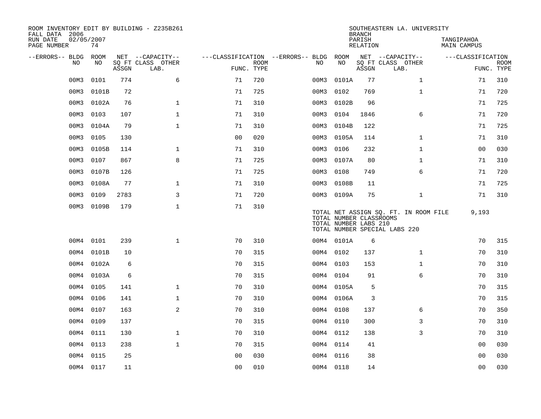| ROOM INVENTORY EDIT BY BUILDING - Z235B261<br>FALL DATA 2006 |                  |       |                           |                |             |                                   |           |            | <b>BRANCH</b>                                    | SOUTHEASTERN LA. UNIVERSITY                                            |                           |                           |
|--------------------------------------------------------------|------------------|-------|---------------------------|----------------|-------------|-----------------------------------|-----------|------------|--------------------------------------------------|------------------------------------------------------------------------|---------------------------|---------------------------|
| RUN DATE<br>PAGE NUMBER                                      | 02/05/2007<br>74 |       |                           |                |             |                                   |           |            | PARISH<br>RELATION                               |                                                                        | TANGIPAHOA<br>MAIN CAMPUS |                           |
| --ERRORS-- BLDG ROOM                                         |                  |       | NET --CAPACITY--          |                |             | ---CLASSIFICATION --ERRORS-- BLDG |           | ROOM       |                                                  | NET --CAPACITY--                                                       | ---CLASSIFICATION         |                           |
| NO                                                           | NO               | ASSGN | SQ FT CLASS OTHER<br>LAB. | FUNC. TYPE     | <b>ROOM</b> | NO.                               |           | NO         | ASSGN                                            | SQ FT CLASS OTHER<br>LAB.                                              |                           | <b>ROOM</b><br>FUNC. TYPE |
| 00M3                                                         | 0101             | 774   | 6                         | 71             | 720         |                                   | 00M3      | 0101A      | 77                                               | $\mathbf{1}$                                                           | 71                        | 310                       |
| 00M3                                                         | 0101B            | 72    |                           | 71             | 725         |                                   | 00M3      | 0102       | 769                                              | $\mathbf{1}$                                                           | 71                        | 720                       |
| 00M3                                                         | 0102A            | 76    | $\mathbf{1}$              | 71             | 310         |                                   | 00M3      | 0102B      | 96                                               |                                                                        | 71                        | 725                       |
| 00M3                                                         | 0103             | 107   | $\mathbf{1}$              | 71             | 310         | 00M3                              |           | 0104       | 1846                                             | 6                                                                      | 71                        | 720                       |
| 00M3                                                         | 0104A            | 79    | $\mathbf{1}$              | 71             | 310         | 00M3                              |           | 0104B      | 122                                              |                                                                        | 71                        | 725                       |
| 00M3                                                         | 0105             | 130   |                           | 0 <sub>0</sub> | 020         | 00M3                              |           | 0105A      | 114                                              | $\mathbf{1}$                                                           | 71                        | 310                       |
| 00M3                                                         | 0105B            | 114   | $\mathbf 1$               | 71             | 310         | 00M3                              |           | 0106       | 232                                              | $\mathbf{1}$                                                           | 00                        | 030                       |
| 00M3                                                         | 0107             | 867   | 8                         | 71             | 725         |                                   | 00M3      | 0107A      | 80                                               | $\mathbf{1}$                                                           | 71                        | 310                       |
| 00M3                                                         | 0107B            | 126   |                           | 71             | 725         |                                   | 00M3      | 0108       | 749                                              | 6                                                                      | 71                        | 720                       |
| 00M3                                                         | 0108A            | 77    | $\mathbf 1$               | 71             | 310         |                                   | 00M3      | 0108B      | 11                                               |                                                                        | 71                        | 725                       |
| 00M3                                                         | 0109             | 2783  | 3                         | 71             | 720         |                                   |           | 00M3 0109A | 75                                               | $\mathbf{1}$                                                           | 71                        | 310                       |
| 00M3                                                         | 0109B            | 179   | $\mathbf{1}$              | 71             | 310         |                                   |           |            | TOTAL NUMBER CLASSROOMS<br>TOTAL NUMBER LABS 210 | TOTAL NET ASSIGN SQ. FT. IN ROOM FILE<br>TOTAL NUMBER SPECIAL LABS 220 | 9,193                     |                           |
| 00M4                                                         | 0101             | 239   | $\mathbf{1}$              | 70             | 310         |                                   |           | 00M4 0101A | 6                                                |                                                                        | 70                        | 315                       |
| 00M4                                                         | 0101B            | 10    |                           | 70             | 315         |                                   | 00M4 0102 |            | 137                                              | $\mathbf{1}$                                                           | 70                        | 310                       |
| 00M4                                                         | 0102A            | 6     |                           | 70             | 315         |                                   | 00M4      | 0103       | 153                                              | $\mathbf{1}$                                                           | 70                        | 310                       |
| 00M4                                                         | 0103A            | 6     |                           | 70             | 315         |                                   | 00M4 0104 |            | 91                                               | 6                                                                      | 70                        | 310                       |
| 00M4                                                         | 0105             | 141   | $\mathbf{1}$              | 70             | 310         |                                   |           | 00M4 0105A | 5                                                |                                                                        | 70                        | 315                       |
| 00M4                                                         | 0106             | 141   | $\mathbf{1}$              | 70             | 310         |                                   |           | 00M4 0106A | 3                                                |                                                                        | 70                        | 315                       |
| 00M4                                                         | 0107             | 163   | 2                         | 70             | 310         |                                   | 00M4 0108 |            | 137                                              | 6                                                                      | 70                        | 350                       |
| 00M4                                                         | 0109             | 137   |                           | 70             | 315         |                                   | 00M4 0110 |            | 300                                              | 3                                                                      | 70                        | 310                       |
| 00M4                                                         | 0111             | 130   | $\mathbf 1$               | 70             | 310         |                                   | 00M4 0112 |            | 138                                              | 3                                                                      | 70                        | 310                       |
| 00M4                                                         | 0113             | 238   | $\mathbf{1}$              | 70             | 315         |                                   | 00M4 0114 |            | 41                                               |                                                                        | 00                        | 030                       |
| 00M4                                                         | 0115             | 25    |                           | 0 <sub>0</sub> | 030         |                                   | 00M4 0116 |            | 38                                               |                                                                        | 00                        | 030                       |
|                                                              | 00M4 0117        | 11    |                           | 0 <sub>0</sub> | 010         |                                   | 00M4 0118 |            | 14                                               |                                                                        | 0 <sub>0</sub>            | 030                       |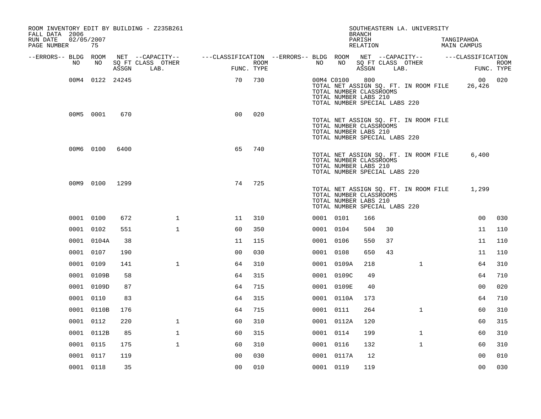| ROOM INVENTORY EDIT BY BUILDING - Z235B261<br>FALL DATA 2006 |                  |       |                           |                                        |                    |            |                                                                                   | <b>BRANCH</b>      |      | SOUTHEASTERN LA. UNIVERSITY           |                                  |                           |
|--------------------------------------------------------------|------------------|-------|---------------------------|----------------------------------------|--------------------|------------|-----------------------------------------------------------------------------------|--------------------|------|---------------------------------------|----------------------------------|---------------------------|
| RUN DATE<br>PAGE NUMBER                                      | 02/05/2007<br>75 |       |                           |                                        |                    |            |                                                                                   | PARISH<br>RELATION |      |                                       | TANGIPAHOA<br><b>MAIN CAMPUS</b> |                           |
| --ERRORS-- BLDG ROOM                                         |                  |       | NET --CAPACITY--          | ---CLASSIFICATION --ERRORS-- BLDG ROOM |                    |            |                                                                                   |                    |      | NET --CAPACITY--                      | ---CLASSIFICATION                |                           |
| NO.                                                          | NO               | ASSGN | SQ FT CLASS OTHER<br>LAB. |                                        | ROOM<br>FUNC. TYPE | NO         | NO                                                                                | ASSGN              | LAB. | SQ FT CLASS OTHER                     |                                  | <b>ROOM</b><br>FUNC. TYPE |
|                                                              | 00M4 0122 24245  |       |                           | 70                                     | 730                | 00M4 C0100 | TOTAL NUMBER CLASSROOMS<br>TOTAL NUMBER LABS 210<br>TOTAL NUMBER SPECIAL LABS 220 | 800                |      | TOTAL NET ASSIGN SQ. FT. IN ROOM FILE | 00<br>26,426                     | 020                       |
|                                                              | 00M5 0001        | 670   |                           | 0 <sub>0</sub>                         | 020                |            | TOTAL NUMBER CLASSROOMS<br>TOTAL NUMBER LABS 210<br>TOTAL NUMBER SPECIAL LABS 220 |                    |      | TOTAL NET ASSIGN SQ. FT. IN ROOM FILE |                                  |                           |
|                                                              | 00M6 0100        | 6400  |                           | 65                                     | 740                |            | TOTAL NUMBER CLASSROOMS<br>TOTAL NUMBER LABS 210<br>TOTAL NUMBER SPECIAL LABS 220 |                    |      | TOTAL NET ASSIGN SQ. FT. IN ROOM FILE | 6,400                            |                           |
|                                                              | 00M9 0100        | 1299  |                           | 74                                     | 725                |            | TOTAL NUMBER CLASSROOMS<br>TOTAL NUMBER LABS 210<br>TOTAL NUMBER SPECIAL LABS 220 |                    |      | TOTAL NET ASSIGN SQ. FT. IN ROOM FILE | 1,299                            |                           |
|                                                              | 0001 0100        | 672   | $\mathbf{1}$              | 11                                     | 310                | 0001 0101  |                                                                                   | 166                |      |                                       | 0 <sub>0</sub>                   | 030                       |
|                                                              | 0001 0102        | 551   | $\mathbf 1$               | 60                                     | 350                | 0001 0104  |                                                                                   | 504                | 30   |                                       | 11                               | 110                       |
|                                                              | 0001 0104A       | 38    |                           | 11                                     | 115                | 0001 0106  |                                                                                   | 550                | 37   |                                       | 11                               | 110                       |
|                                                              | 0001 0107        | 190   |                           | 0 <sub>0</sub>                         | 030                | 0001 0108  |                                                                                   | 650                | 43   |                                       | 11                               | 110                       |
|                                                              | 0001 0109        | 141   | $\mathbf{1}$              | 64                                     | 310                |            | 0001 0109A                                                                        | 218                |      | $\mathbf{1}$                          | 64                               | 310                       |
|                                                              | 0001 0109B       | 58    |                           | 64                                     | 315                |            | 0001 0109C                                                                        | 49                 |      |                                       | 64                               | 710                       |
|                                                              | 0001 0109D       | 87    |                           | 64                                     | 715                |            | 0001 0109E                                                                        | 40                 |      |                                       | 00                               | 020                       |
|                                                              | 0001 0110        | 83    |                           | 64                                     | 315                |            | 0001 0110A                                                                        | 173                |      |                                       | 64                               | 710                       |
|                                                              | 0001 0110B       | 176   |                           | 64                                     | 715                | 0001 0111  |                                                                                   | 264                |      | $\mathbf{1}$                          | 60                               | 310                       |
|                                                              | 0001 0112        | 220   | $\mathbf{1}$              | 60                                     | 310                |            | 0001 0112A                                                                        | 120                |      |                                       | 60                               | 315                       |
|                                                              | 0001 0112B       | 85    | $\mathbf{1}$              | 60                                     | 315                | 0001 0114  |                                                                                   | 199                |      | $\mathbf{1}$                          | 60                               | 310                       |
|                                                              | 0001 0115        | 175   | $\mathbf{1}$              | 60                                     | 310                | 0001 0116  |                                                                                   | 132                |      | $\mathbf{1}$                          | 60                               | 310                       |
|                                                              | 0001 0117        | 119   |                           | 0 <sub>0</sub>                         | 030                |            | 0001 0117A                                                                        | 12                 |      |                                       | 0 <sub>0</sub>                   | 010                       |
|                                                              | 0001 0118        | 35    |                           | 0 <sub>0</sub>                         | 010                | 0001 0119  |                                                                                   | 119                |      |                                       | 0 <sub>0</sub>                   | 030                       |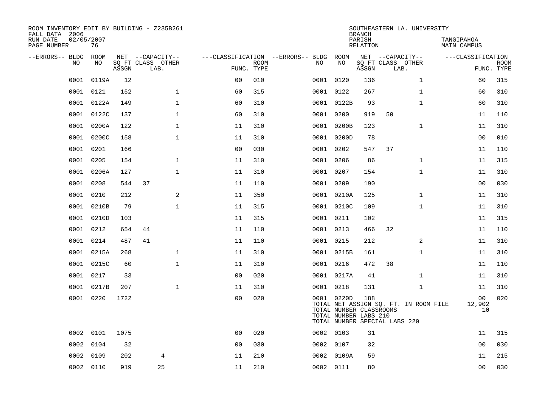| ROOM INVENTORY EDIT BY BUILDING - Z235B261<br>FALL DATA 2006 |                  |       |                           |                    |                           |                                        |                                                                | <b>BRANCH</b>             | SOUTHEASTERN LA. UNIVERSITY                                            |                                  |                           |
|--------------------------------------------------------------|------------------|-------|---------------------------|--------------------|---------------------------|----------------------------------------|----------------------------------------------------------------|---------------------------|------------------------------------------------------------------------|----------------------------------|---------------------------|
| RUN DATE<br>PAGE NUMBER                                      | 02/05/2007<br>76 |       |                           |                    |                           |                                        |                                                                | PARISH<br><b>RELATION</b> |                                                                        | TANGIPAHOA<br><b>MAIN CAMPUS</b> |                           |
| --ERRORS-- BLDG                                              | ROOM             |       | NET --CAPACITY--          |                    |                           | ---CLASSIFICATION --ERRORS-- BLDG ROOM |                                                                |                           | NET --CAPACITY--                                                       | ---CLASSIFICATION                |                           |
| NO                                                           | NO               | ASSGN | SQ FT CLASS OTHER<br>LAB. |                    | <b>ROOM</b><br>FUNC. TYPE | NO                                     | NO                                                             | ASSGN                     | SQ FT CLASS OTHER<br>LAB.                                              |                                  | <b>ROOM</b><br>FUNC. TYPE |
| 0001                                                         | 0119A            | 12    |                           | 0 <sub>0</sub>     | 010                       |                                        | 0001 0120                                                      | 136                       | $\mathbf{1}$                                                           | 60                               | 315                       |
| 0001                                                         | 0121             | 152   |                           | $\mathbf 1$<br>60  | 315                       |                                        | 0001 0122                                                      | 267                       | $\mathbf{1}$                                                           | 60                               | 310                       |
| 0001                                                         | 0122A            | 149   |                           | $\mathbf 1$<br>60  | 310                       |                                        | 0001 0122B                                                     | 93                        | $\mathbf{1}$                                                           | 60                               | 310                       |
| 0001                                                         | 0122C            | 137   |                           | $\mathbf 1$<br>60  | 310                       |                                        | 0001 0200                                                      | 919                       | 50                                                                     | 11                               | 110                       |
| 0001                                                         | 0200A            | 122   |                           | $\mathbf{1}$<br>11 | 310                       |                                        | 0001 0200B                                                     | 123                       | $\mathbf{1}$                                                           | 11                               | 310                       |
| 0001                                                         | 0200C            | 158   |                           | $\mathbf{1}$<br>11 | 310                       |                                        | 0001 0200D                                                     | 78                        |                                                                        | 0 <sub>0</sub>                   | 010                       |
| 0001                                                         | 0201             | 166   |                           | 0 <sub>0</sub>     | 030                       |                                        | 0001 0202                                                      | 547                       | 37                                                                     | 11                               | 110                       |
| 0001                                                         | 0205             | 154   |                           | $\mathbf 1$<br>11  | 310                       |                                        | 0001 0206                                                      | 86                        | $\mathbf{1}$                                                           | 11                               | 315                       |
| 0001                                                         | 0206A            | 127   |                           | $\mathbf{1}$<br>11 | 310                       |                                        | 0001 0207                                                      | 154                       | $\mathbf{1}$                                                           | 11                               | 310                       |
| 0001                                                         | 0208             | 544   | 37                        | 11                 | 110                       |                                        | 0001 0209                                                      | 190                       |                                                                        | 0 <sub>0</sub>                   | 030                       |
| 0001                                                         | 0210             | 212   |                           | 2<br>11            | 350                       |                                        | 0001 0210A                                                     | 125                       | $\mathbf{1}$                                                           | 11                               | 310                       |
| 0001                                                         | 0210B            | 79    |                           | $\mathbf{1}$<br>11 | 315                       |                                        | 0001 0210C                                                     | 109                       | $\mathbf{1}$                                                           | 11                               | 310                       |
| 0001                                                         | 0210D            | 103   |                           | 11                 | 315                       |                                        | 0001 0211                                                      | 102                       |                                                                        | 11                               | 315                       |
| 0001                                                         | 0212             | 654   | 44                        | 11                 | 110                       |                                        | 0001 0213                                                      | 466                       | 32                                                                     | 11                               | 110                       |
| 0001                                                         | 0214             | 487   | 41                        | 11                 | 110                       | 0001                                   | 0215                                                           | 212                       | 2                                                                      | 11                               | 310                       |
| 0001                                                         | 0215A            | 268   |                           | $\mathbf{1}$<br>11 | 310                       |                                        | 0001 0215B                                                     | 161                       | $\mathbf{1}$                                                           | 11                               | 310                       |
| 0001                                                         | 0215C            | 60    |                           | $\mathbf{1}$<br>11 | 310                       | 0001                                   | 0216                                                           | 472                       | 38                                                                     | 11                               | 110                       |
| 0001                                                         | 0217             | 33    |                           | 0 <sub>0</sub>     | 020                       |                                        | 0001 0217A                                                     | 41                        | $\mathbf{1}$                                                           | 11                               | 310                       |
| 0001                                                         | 0217B            | 207   |                           | $\mathbf{1}$<br>11 | 310                       |                                        | 0001 0218                                                      | 131                       | $\mathbf{1}$                                                           | 11                               | 310                       |
|                                                              | 0001 0220        | 1722  |                           | 0 <sub>0</sub>     | 020                       |                                        | 0001 0220D<br>TOTAL NUMBER CLASSROOMS<br>TOTAL NUMBER LABS 210 | 188                       | TOTAL NET ASSIGN SQ. FT. IN ROOM FILE<br>TOTAL NUMBER SPECIAL LABS 220 | 00<br>12,902<br>10               | 020                       |
|                                                              | 0002 0101        | 1075  |                           | 0 <sub>0</sub>     | 020                       |                                        | 0002 0103                                                      | 31                        |                                                                        | 11                               | 315                       |
| 0002                                                         | 0104             | 32    |                           | 0 <sub>0</sub>     | 030                       |                                        | 0002 0107                                                      | 32                        |                                                                        | 0 <sub>0</sub>                   | 030                       |
| 0002                                                         | 0109             | 202   | 4                         | 11                 | 210                       |                                        | 0002 0109A                                                     | 59                        |                                                                        | 11                               | 215                       |
|                                                              | 0002 0110        | 919   | 25                        | 11                 | 210                       |                                        | 0002 0111                                                      | 80                        |                                                                        | 0 <sub>0</sub>                   | 030                       |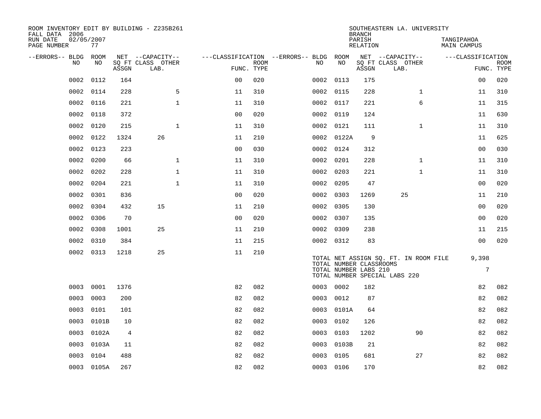| ROOM INVENTORY EDIT BY BUILDING - Z235B261<br>FALL DATA 2006 |                  |       |                           |                                   |             |           |            | <b>BRANCH</b>                                    | SOUTHEASTERN LA. UNIVERSITY                                            |                           |             |
|--------------------------------------------------------------|------------------|-------|---------------------------|-----------------------------------|-------------|-----------|------------|--------------------------------------------------|------------------------------------------------------------------------|---------------------------|-------------|
| RUN DATE<br>PAGE NUMBER                                      | 02/05/2007<br>77 |       |                           |                                   |             |           |            | PARISH<br>RELATION                               |                                                                        | TANGIPAHOA<br>MAIN CAMPUS |             |
| --ERRORS-- BLDG                                              | ROOM             |       | NET --CAPACITY--          | ---CLASSIFICATION --ERRORS-- BLDG |             |           | ROOM       |                                                  | NET --CAPACITY--                                                       | ---CLASSIFICATION         |             |
| N <sub>O</sub>                                               | NO.              | ASSGN | SO FT CLASS OTHER<br>LAB. | FUNC. TYPE                        | <b>ROOM</b> | NO.       | NO         | ASSGN                                            | SQ FT CLASS OTHER<br>LAB.                                              | FUNC. TYPE                | <b>ROOM</b> |
| 0002                                                         | 0112             | 164   |                           | 0 <sub>0</sub>                    | 020         | 0002 0113 |            | 175                                              |                                                                        | 00                        | 020         |
| 0002                                                         | 0114             | 228   | 5                         | 11                                | 310         | 0002 0115 |            | 228                                              | $\mathbf{1}$                                                           | 11                        | 310         |
| 0002                                                         | 0116             | 221   | $\mathbf 1$               | 11                                | 310         | 0002 0117 |            | 221                                              | 6                                                                      | 11                        | 315         |
| 0002                                                         | 0118             | 372   |                           | 0 <sub>0</sub>                    | 020         | 0002 0119 |            | 124                                              |                                                                        | 11                        | 630         |
| 0002                                                         | 0120             | 215   | $\mathbf 1$               | 11                                | 310         | 0002 0121 |            | 111                                              | $\mathbf{1}$                                                           | 11                        | 310         |
| 0002                                                         | 0122             | 1324  | 26                        | 11                                | 210         |           | 0002 0122A | 9                                                |                                                                        | 11                        | 625         |
| 0002                                                         | 0123             | 223   |                           | 0 <sub>0</sub>                    | 030         | 0002 0124 |            | 312                                              |                                                                        | 00                        | 030         |
| 0002                                                         | 0200             | 66    | $\mathbf 1$               | 11                                | 310         | 0002      | 0201       | 228                                              | $\mathbf{1}$                                                           | 11                        | 310         |
| 0002                                                         | 0202             | 228   | $\mathbf{1}$              | 11                                | 310         | 0002      | 0203       | 221                                              | $\mathbf{1}$                                                           | 11                        | 310         |
| 0002                                                         | 0204             | 221   | $\mathbf{1}$              | 11                                | 310         | 0002 0205 |            | 47                                               |                                                                        | 0 <sub>0</sub>            | 020         |
| 0002                                                         | 0301             | 836   |                           | 0 <sub>0</sub>                    | 020         | 0002 0303 |            | 1269                                             | 25                                                                     | 11                        | 210         |
| 0002                                                         | 0304             | 432   | 15                        | 11                                | 210         | 0002 0305 |            | 130                                              |                                                                        | 0 <sub>0</sub>            | 020         |
| 0002                                                         | 0306             | 70    |                           | 0 <sub>0</sub>                    | 020         | 0002      | 0307       | 135                                              |                                                                        | 00                        | 020         |
| 0002                                                         | 0308             | 1001  | 25                        | 11                                | 210         | 0002 0309 |            | 238                                              |                                                                        | 11                        | 215         |
| 0002                                                         | 0310             | 384   |                           | 11                                | 215         | 0002 0312 |            | 83                                               |                                                                        | 00                        | 020         |
|                                                              | 0002 0313        | 1218  | 25                        | 11                                | 210         |           |            | TOTAL NUMBER CLASSROOMS<br>TOTAL NUMBER LABS 210 | TOTAL NET ASSIGN SQ. FT. IN ROOM FILE<br>TOTAL NUMBER SPECIAL LABS 220 | 9,398<br>$7\phantom{.}$   |             |
| 0003                                                         | 0001             | 1376  |                           | 82                                | 082         | 0003 0002 |            | 182                                              |                                                                        | 82                        | 082         |
| 0003                                                         | 0003             | 200   |                           | 82                                | 082         | 0003      | 0012       | 87                                               |                                                                        | 82                        | 082         |
| 0003                                                         | 0101             | 101   |                           | 82                                | 082         | 0003      | 0101A      | 64                                               |                                                                        | 82                        | 082         |
| 0003                                                         | 0101B            | 10    |                           | 82                                | 082         | 0003      | 0102       | 126                                              |                                                                        | 82                        | 082         |
| 0003                                                         | 0102A            | 4     |                           | 82                                | 082         | 0003      | 0103       | 1202                                             | 90                                                                     | 82                        | 082         |
| 0003                                                         | 0103A            | 11    |                           | 82                                | 082         | 0003      | 0103B      | 21                                               |                                                                        | 82                        | 082         |
| 0003                                                         | 0104             | 488   |                           | 82                                | 082         | 0003      | 0105       | 681                                              | 27                                                                     | 82                        | 082         |
|                                                              | 0003 0105A       | 267   |                           | 82                                | 082         | 0003 0106 |            | 170                                              |                                                                        | 82                        | 082         |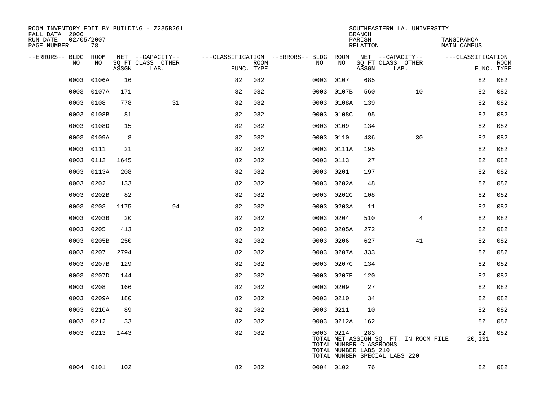| ROOM INVENTORY EDIT BY BUILDING - Z235B261<br>FALL DATA 2006 |                  |       |                                       |            |             |                                               |                                                               | <b>BRANCH</b>      | SOUTHEASTERN LA. UNIVERSITY                                            |                           |             |
|--------------------------------------------------------------|------------------|-------|---------------------------------------|------------|-------------|-----------------------------------------------|---------------------------------------------------------------|--------------------|------------------------------------------------------------------------|---------------------------|-------------|
| RUN DATE<br>PAGE NUMBER                                      | 02/05/2007<br>78 |       |                                       |            |             |                                               |                                                               | PARISH<br>RELATION |                                                                        | TANGIPAHOA<br>MAIN CAMPUS |             |
| --ERRORS-- BLDG ROOM<br>NO                                   | NO               |       | NET --CAPACITY--<br>SQ FT CLASS OTHER |            | <b>ROOM</b> | ---CLASSIFICATION --ERRORS-- BLDG ROOM<br>NO. | NO                                                            |                    | NET --CAPACITY--<br>SQ FT CLASS OTHER                                  | ---CLASSIFICATION         | <b>ROOM</b> |
|                                                              |                  | ASSGN | LAB.                                  | FUNC. TYPE |             |                                               |                                                               | ASSGN              | LAB.                                                                   |                           | FUNC. TYPE  |
| 0003                                                         | 0106A            | 16    |                                       | 82         | 082         | 0003                                          | 0107                                                          | 685                |                                                                        | 82                        | 082         |
| 0003                                                         | 0107A            | 171   |                                       | 82         | 082         | 0003                                          | 0107B                                                         | 560                | 10                                                                     | 82                        | 082         |
| 0003                                                         | 0108             | 778   | 31                                    | 82         | 082         | 0003                                          | 0108A                                                         | 139                |                                                                        | 82                        | 082         |
| 0003                                                         | 0108B            | 81    |                                       | 82         | 082         |                                               | 0003 0108C                                                    | 95                 |                                                                        | 82                        | 082         |
| 0003                                                         | 0108D            | 15    |                                       | 82         | 082         | 0003                                          | 0109                                                          | 134                |                                                                        | 82                        | 082         |
| 0003                                                         | 0109A            | 8     |                                       | 82         | 082         | 0003                                          | 0110                                                          | 436                | 30                                                                     | 82                        | 082         |
| 0003                                                         | 0111             | 21    |                                       | 82         | 082         | 0003                                          | 0111A                                                         | 195                |                                                                        | 82                        | 082         |
| 0003                                                         | 0112             | 1645  |                                       | 82         | 082         | 0003                                          | 0113                                                          | 27                 |                                                                        | 82                        | 082         |
| 0003                                                         | 0113A            | 208   |                                       | 82         | 082         | 0003                                          | 0201                                                          | 197                |                                                                        | 82                        | 082         |
| 0003                                                         | 0202             | 133   |                                       | 82         | 082         | 0003                                          | 0202A                                                         | 48                 |                                                                        | 82                        | 082         |
| 0003                                                         | 0202B            | 82    |                                       | 82         | 082         | 0003                                          | 0202C                                                         | 108                |                                                                        | 82                        | 082         |
| 0003                                                         | 0203             | 1175  | 94                                    | 82         | 082         | 0003                                          | 0203A                                                         | 11                 |                                                                        | 82                        | 082         |
| 0003                                                         | 0203B            | 20    |                                       | 82         | 082         | 0003                                          | 0204                                                          | 510                | $\overline{4}$                                                         | 82                        | 082         |
| 0003                                                         | 0205             | 413   |                                       | 82         | 082         | 0003                                          | 0205A                                                         | 272                |                                                                        | 82                        | 082         |
| 0003                                                         | 0205B            | 250   |                                       | 82         | 082         | 0003                                          | 0206                                                          | 627                | 41                                                                     | 82                        | 082         |
| 0003                                                         | 0207             | 2794  |                                       | 82         | 082         | 0003                                          | 0207A                                                         | 333                |                                                                        | 82                        | 082         |
| 0003                                                         | 0207B            | 129   |                                       | 82         | 082         | 0003                                          | 0207C                                                         | 134                |                                                                        | 82                        | 082         |
| 0003                                                         | 0207D            | 144   |                                       | 82         | 082         | 0003                                          | 0207E                                                         | 120                |                                                                        | 82                        | 082         |
| 0003                                                         | 0208             | 166   |                                       | 82         | 082         | 0003                                          | 0209                                                          | 27                 |                                                                        | 82                        | 082         |
| 0003                                                         | 0209A            | 180   |                                       | 82         | 082         | 0003                                          | 0210                                                          | 34                 |                                                                        | 82                        | 082         |
| 0003                                                         | 0210A            | 89    |                                       | 82         | 082         |                                               | 0003 0211                                                     | 10                 |                                                                        | 82                        | 082         |
| 0003                                                         | 0212             | 33    |                                       | 82         | 082         | 0003                                          | 0212A                                                         | 162                |                                                                        | 82                        | 082         |
|                                                              | 0003 0213        | 1443  |                                       | 82         | 082         |                                               | 0003 0214<br>TOTAL NUMBER CLASSROOMS<br>TOTAL NUMBER LABS 210 | 283                | TOTAL NET ASSIGN SQ. FT. IN ROOM FILE<br>TOTAL NUMBER SPECIAL LABS 220 | 82<br>20,131              | 082         |
|                                                              | 0004 0101        | 102   |                                       | 82         | 082         |                                               | 0004 0102                                                     | 76                 |                                                                        | 82                        | 082         |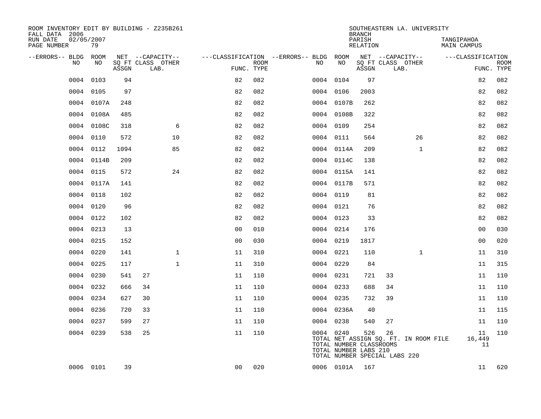| ROOM INVENTORY EDIT BY BUILDING - Z235B261<br>FALL DATA 2006 |                  |       |                           |                |             |                                        |            | SOUTHEASTERN LA. UNIVERSITY<br><b>BRANCH</b>                                                                                      |                           |              |                           |                    |
|--------------------------------------------------------------|------------------|-------|---------------------------|----------------|-------------|----------------------------------------|------------|-----------------------------------------------------------------------------------------------------------------------------------|---------------------------|--------------|---------------------------|--------------------|
| RUN DATE<br>PAGE NUMBER                                      | 02/05/2007<br>79 |       |                           |                |             |                                        |            | PARISH<br>RELATION                                                                                                                |                           |              | TANGIPAHOA<br>MAIN CAMPUS |                    |
| --ERRORS-- BLDG ROOM                                         |                  |       | NET --CAPACITY--          |                |             | ---CLASSIFICATION --ERRORS-- BLDG ROOM |            |                                                                                                                                   | NET --CAPACITY--          |              | ---CLASSIFICATION         |                    |
| NO.                                                          | NO.              | ASSGN | SQ FT CLASS OTHER<br>LAB. | FUNC. TYPE     | <b>ROOM</b> | NO.                                    | NO         | ASSGN                                                                                                                             | SQ FT CLASS OTHER<br>LAB. |              |                           | ROOM<br>FUNC. TYPE |
| 0004                                                         | 0103             | 94    |                           | 82             | 082         |                                        | 0004 0104  | 97                                                                                                                                |                           |              | 82                        | 082                |
| 0004                                                         | 0105             | 97    |                           | 82             | 082         |                                        | 0004 0106  | 2003                                                                                                                              |                           |              | 82                        | 082                |
|                                                              | 0004 0107A       | 248   |                           | 82             | 082         |                                        | 0004 0107B | 262                                                                                                                               |                           |              | 82                        | 082                |
| 0004                                                         | 0108A            | 485   |                           | 82             | 082         |                                        | 0004 0108B | 322                                                                                                                               |                           |              | 82                        | 082                |
| 0004                                                         | 0108C            | 318   | 6                         | 82             | 082         |                                        | 0004 0109  | 254                                                                                                                               |                           |              | 82                        | 082                |
| 0004                                                         | 0110             | 572   | 10                        | 82             | 082         |                                        | 0004 0111  | 564                                                                                                                               |                           | 26           | 82                        | 082                |
| 0004                                                         | 0112             | 1094  | 85                        | 82             | 082         |                                        | 0004 0114A | 209                                                                                                                               |                           | $\mathbf{1}$ | 82                        | 082                |
| 0004                                                         | 0114B            | 209   |                           | 82             | 082         |                                        | 0004 0114C | 138                                                                                                                               |                           |              | 82                        | 082                |
| 0004                                                         | 0115             | 572   | 24                        | 82             | 082         |                                        | 0004 0115A | 141                                                                                                                               |                           |              | 82                        | 082                |
|                                                              | 0004 0117A       | 141   |                           | 82             | 082         |                                        | 0004 0117B | 571                                                                                                                               |                           |              | 82                        | 082                |
| 0004                                                         | 0118             | 102   |                           | 82             | 082         |                                        | 0004 0119  | 81                                                                                                                                |                           |              | 82                        | 082                |
|                                                              | 0004 0120        | 96    |                           | 82             | 082         |                                        | 0004 0121  | 76                                                                                                                                |                           |              | 82                        | 082                |
| 0004                                                         | 0122             | 102   |                           | 82             | 082         |                                        | 0004 0123  | 33                                                                                                                                |                           |              | 82                        | 082                |
| 0004                                                         | 0213             | 13    |                           | 00             | 010         |                                        | 0004 0214  | 176                                                                                                                               |                           |              | 00                        | 030                |
| 0004                                                         | 0215             | 152   |                           | 0 <sub>0</sub> | 030         |                                        | 0004 0219  | 1817                                                                                                                              |                           |              | 0 <sub>0</sub>            | 020                |
| 0004                                                         | 0220             | 141   | $\mathbf 1$               | 11             | 310         |                                        | 0004 0221  | 110                                                                                                                               |                           | $\mathbf{1}$ | 11                        | 310                |
| 0004                                                         | 0225             | 117   | $\mathbf{1}$              | 11             | 310         |                                        | 0004 0229  | 84                                                                                                                                |                           |              | 11                        | 315                |
| 0004                                                         | 0230             | 541   | 27                        | 11             | 110         |                                        | 0004 0231  | 721                                                                                                                               | 33                        |              | 11                        | 110                |
|                                                              | 0004 0232        | 666   | 34                        | 11             | 110         |                                        | 0004 0233  | 688                                                                                                                               | 34                        |              | 11                        | 110                |
|                                                              | 0004 0234        | 627   | 30                        | 11             | 110         |                                        | 0004 0235  | 732                                                                                                                               | 39                        |              | 11                        | 110                |
|                                                              | 0004 0236        | 720   | 33                        | 11             | 110         |                                        | 0004 0236A | 40                                                                                                                                |                           |              | 11                        | 115                |
| 0004                                                         | 0237             | 599   | 27                        | 11             | 110         |                                        | 0004 0238  | 540                                                                                                                               | 27                        |              | 11                        | 110                |
|                                                              | 0004 0239        | 538   | 25                        | 11             | 110         |                                        | 0004 0240  | 526<br>TOTAL NET ASSIGN SQ. FT. IN ROOM FILE<br>TOTAL NUMBER CLASSROOMS<br>TOTAL NUMBER LABS 210<br>TOTAL NUMBER SPECIAL LABS 220 | 26                        |              | 11<br>16,449<br>11        | 110                |
|                                                              | 0006 0101        | 39    |                           | 0 <sub>0</sub> | 020         |                                        | 0006 0101A | 167                                                                                                                               |                           |              | 11                        | 620                |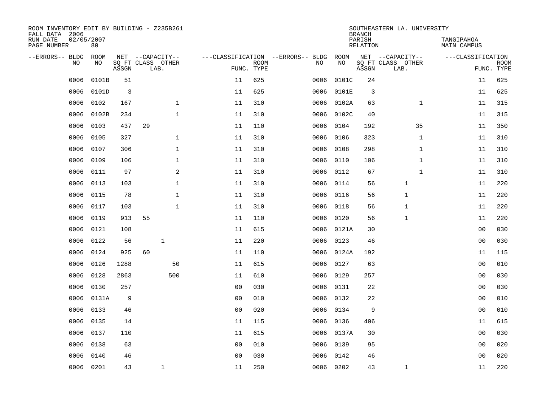| ROOM INVENTORY EDIT BY BUILDING - Z235B261<br>FALL DATA 2006 |                  |       |                           |              |                                   |             |           |            | <b>BRANCH</b>             | SOUTHEASTERN LA. UNIVERSITY |                                  |             |
|--------------------------------------------------------------|------------------|-------|---------------------------|--------------|-----------------------------------|-------------|-----------|------------|---------------------------|-----------------------------|----------------------------------|-------------|
| RUN DATE<br>PAGE NUMBER                                      | 02/05/2007<br>80 |       |                           |              |                                   |             |           |            | PARISH<br><b>RELATION</b> |                             | TANGIPAHOA<br><b>MAIN CAMPUS</b> |             |
| --ERRORS-- BLDG<br>NO                                        | ROOM<br>NO       |       | NET --CAPACITY--          |              | ---CLASSIFICATION --ERRORS-- BLDG | <b>ROOM</b> | NO        | ROOM<br>NO |                           | NET --CAPACITY--            | ---CLASSIFICATION                | <b>ROOM</b> |
|                                                              |                  | ASSGN | SQ FT CLASS OTHER<br>LAB. |              |                                   | FUNC. TYPE  |           |            | ASSGN                     | SQ FT CLASS OTHER<br>LAB.   |                                  | FUNC. TYPE  |
| 0006                                                         | 0101B            | 51    |                           |              | 11                                | 625         | 0006      | 0101C      | 24                        |                             | 11                               | 625         |
| 0006                                                         | 0101D            | 3     |                           |              | 11                                | 625         | 0006      | 0101E      | 3                         |                             | 11                               | 625         |
| 0006                                                         | 0102             | 167   |                           | $\mathbf{1}$ | 11                                | 310         | 0006      | 0102A      | 63                        | $\mathbf{1}$                | 11                               | 315         |
| 0006                                                         | 0102B            | 234   |                           | $\mathbf 1$  | 11                                | 310         | 0006      | 0102C      | 40                        |                             | 11                               | 315         |
| 0006                                                         | 0103             | 437   | 29                        |              | 11                                | 110         | 0006      | 0104       | 192                       | 35                          | 11                               | 350         |
| 0006                                                         | 0105             | 327   |                           | $\mathbf{1}$ | 11                                | 310         | 0006      | 0106       | 323                       | $\mathbf{1}$                | 11                               | 310         |
| 0006                                                         | 0107             | 306   |                           | $\mathbf{1}$ | 11                                | 310         | 0006      | 0108       | 298                       | $\mathbf{1}$                | 11                               | 310         |
| 0006                                                         | 0109             | 106   |                           | $\mathbf 1$  | 11                                | 310         | 0006      | 0110       | 106                       | $\mathbf{1}$                | 11                               | 310         |
| 0006                                                         | 0111             | 97    |                           | 2            | 11                                | 310         | 0006      | 0112       | 67                        | $\mathbf{1}$                | 11                               | 310         |
| 0006                                                         | 0113             | 103   |                           | $\mathbf 1$  | 11                                | 310         | 0006      | 0114       | 56                        | 1                           | 11                               | 220         |
| 0006                                                         | 0115             | 78    |                           | $\mathbf{1}$ | 11                                | 310         | 0006      | 0116       | 56                        | $\mathbf{1}$                | 11                               | 220         |
| 0006                                                         | 0117             | 103   |                           | $\mathbf{1}$ | 11                                | 310         | 0006      | 0118       | 56                        | $\mathbf{1}$                | 11                               | 220         |
| 0006                                                         | 0119             | 913   | 55                        |              | 11                                | 110         | 0006      | 0120       | 56                        | $\mathbf{1}$                | 11                               | 220         |
| 0006                                                         | 0121             | 108   |                           |              | 11                                | 615         | 0006      | 0121A      | 30                        |                             | 00                               | 030         |
| 0006                                                         | 0122             | 56    |                           | $\mathbf 1$  | 11                                | 220         | 0006      | 0123       | 46                        |                             | 0 <sub>0</sub>                   | 030         |
| 0006                                                         | 0124             | 925   | 60                        |              | 11                                | 110         | 0006      | 0124A      | 192                       |                             | 11                               | 115         |
| 0006                                                         | 0126             | 1288  |                           | 50           | 11                                | 615         | 0006      | 0127       | 63                        |                             | 0 <sub>0</sub>                   | 010         |
| 0006                                                         | 0128             | 2863  |                           | 500          | 11                                | 610         | 0006      | 0129       | 257                       |                             | 0 <sub>0</sub>                   | 030         |
| 0006                                                         | 0130             | 257   |                           |              | 0 <sub>0</sub>                    | 030         | 0006      | 0131       | 22                        |                             | 0 <sub>0</sub>                   | 030         |
| 0006                                                         | 0131A            | 9     |                           |              | 0 <sub>0</sub>                    | 010         | 0006      | 0132       | 22                        |                             | 00                               | 010         |
| 0006                                                         | 0133             | 46    |                           |              | 0 <sub>0</sub>                    | 020         | 0006      | 0134       | 9                         |                             | 00                               | 010         |
| 0006                                                         | 0135             | 14    |                           |              | 11                                | 115         | 0006      | 0136       | 406                       |                             | 11                               | 615         |
| 0006                                                         | 0137             | 110   |                           |              | 11                                | 615         |           | 0006 0137A | 30                        |                             | 0 <sub>0</sub>                   | 030         |
| 0006                                                         | 0138             | 63    |                           |              | 0 <sub>0</sub>                    | 010         | 0006      | 0139       | 95                        |                             | 0 <sub>0</sub>                   | 020         |
| 0006                                                         | 0140             | 46    |                           |              | 0 <sub>0</sub>                    | 030         | 0006      | 0142       | 46                        |                             | 0 <sub>0</sub>                   | 020         |
|                                                              | 0006 0201        | 43    |                           | $\mathbf{1}$ | 11                                | 250         | 0006 0202 |            | 43                        | $\mathbf{1}$                | 11                               | 220         |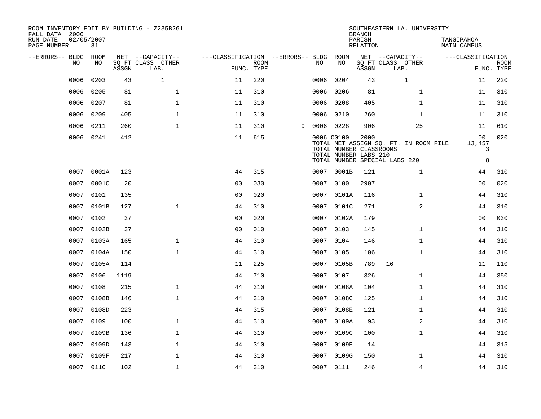| ROOM INVENTORY EDIT BY BUILDING - Z235B261<br>FALL DATA 2006 |                  |       |                           |                                        |             |   |      |            | <b>BRANCH</b>                                            | SOUTHEASTERN LA. UNIVERSITY           |                           |                           |
|--------------------------------------------------------------|------------------|-------|---------------------------|----------------------------------------|-------------|---|------|------------|----------------------------------------------------------|---------------------------------------|---------------------------|---------------------------|
| RUN DATE<br>PAGE NUMBER                                      | 02/05/2007<br>81 |       |                           |                                        |             |   |      |            | PARISH<br>RELATION                                       |                                       | TANGIPAHOA<br>MAIN CAMPUS |                           |
| --ERRORS-- BLDG ROOM                                         |                  |       | NET --CAPACITY--          | ---CLASSIFICATION --ERRORS-- BLDG ROOM |             |   |      |            |                                                          | NET --CAPACITY--                      | ---CLASSIFICATION         |                           |
| NO.                                                          | NO.              | ASSGN | SQ FT CLASS OTHER<br>LAB. | FUNC. TYPE                             | <b>ROOM</b> |   | NO.  | NO         | ASSGN                                                    | SQ FT CLASS OTHER<br>LAB.             |                           | <b>ROOM</b><br>FUNC. TYPE |
| 0006                                                         | 0203             | 43    | $\mathbf{1}$              | 11                                     | 220         |   | 0006 | 0204       | 43                                                       | $\mathbf{1}$                          | 11                        | 220                       |
| 0006                                                         | 0205             | 81    | $\mathbf{1}$              | 11                                     | 310         |   | 0006 | 0206       | 81                                                       | $\mathbf{1}$                          | 11                        | 310                       |
| 0006                                                         | 0207             | 81    | $\mathbf 1$               | 11                                     | 310         |   | 0006 | 0208       | 405                                                      | $\mathbf{1}$                          | 11                        | 310                       |
| 0006                                                         | 0209             | 405   | $\mathbf 1$               | 11                                     | 310         |   |      | 0006 0210  | 260                                                      | $\mathbf{1}$                          | 11                        | 310                       |
| 0006                                                         | 0211             | 260   | $\mathbf{1}$              | 11                                     | 310         | 9 |      | 0006 0228  | 906                                                      | 25                                    | 11                        | 610                       |
| 0006                                                         | 0241             | 412   |                           | 11                                     | 615         |   |      | 0006 C0100 | 2000<br>TOTAL NUMBER CLASSROOMS<br>TOTAL NUMBER LABS 210 | TOTAL NET ASSIGN SQ. FT. IN ROOM FILE | 00<br>13,457<br>3         | 020                       |
|                                                              |                  |       |                           |                                        |             |   |      |            |                                                          | TOTAL NUMBER SPECIAL LABS 220         | 8                         |                           |
| 0007                                                         | 0001A            | 123   |                           | 44                                     | 315         |   |      | 0007 0001B | 121                                                      | $\mathbf{1}$                          | 44                        | 310                       |
| 0007                                                         | 0001C            | 20    |                           | 0 <sub>0</sub>                         | 030         |   | 0007 | 0100       | 2907                                                     |                                       | 0 <sub>0</sub>            | 020                       |
| 0007                                                         | 0101             | 135   |                           | 0 <sub>0</sub>                         | 020         |   | 0007 | 0101A      | 116                                                      | $\mathbf{1}$                          | 44                        | 310                       |
| 0007                                                         | 0101B            | 127   | $\mathbf{1}$              | 44                                     | 310         |   |      | 0007 0101C | 271                                                      | $\overline{a}$                        | 44                        | 310                       |
| 0007                                                         | 0102             | 37    |                           | 0 <sub>0</sub>                         | 020         |   | 0007 | 0102A      | 179                                                      |                                       | 00                        | 030                       |
| 0007                                                         | 0102B            | 37    |                           | 0 <sub>0</sub>                         | 010         |   | 0007 | 0103       | 145                                                      | $\mathbf{1}$                          | 44                        | 310                       |
| 0007                                                         | 0103A            | 165   | $\mathbf{1}$              | 44                                     | 310         |   | 0007 | 0104       | 146                                                      | $\mathbf{1}$                          | 44                        | 310                       |
| 0007                                                         | 0104A            | 150   | $\mathbf{1}$              | 44                                     | 310         |   | 0007 | 0105       | 106                                                      | $\mathbf{1}$                          | 44                        | 310                       |
| 0007                                                         | 0105A            | 114   |                           | 11                                     | 225         |   | 0007 | 0105B      | 789                                                      | 16                                    | 11                        | 110                       |
| 0007                                                         | 0106             | 1119  |                           | 44                                     | 710         |   | 0007 | 0107       | 326                                                      | $\mathbf{1}$                          | 44                        | 350                       |
| 0007                                                         | 0108             | 215   | $\mathbf{1}$              | 44                                     | 310         |   | 0007 | 0108A      | 104                                                      | $\mathbf{1}$                          | 44                        | 310                       |
| 0007                                                         | 0108B            | 146   | $\mathbf{1}$              | 44                                     | 310         |   | 0007 | 0108C      | 125                                                      | $\mathbf{1}$                          | 44                        | 310                       |
| 0007                                                         | 0108D            | 223   |                           | 44                                     | 315         |   | 0007 | 0108E      | 121                                                      | $\mathbf{1}$                          | 44                        | 310                       |
| 0007                                                         | 0109             | 100   | $\mathbf 1$               | 44                                     | 310         |   | 0007 | 0109A      | 93                                                       | 2                                     | 44                        | 310                       |
| 0007                                                         | 0109B            | 136   | $\mathbf 1$               | 44                                     | 310         |   | 0007 | 0109C      | 100                                                      | $\mathbf{1}$                          | 44                        | 310                       |
| 0007                                                         | 0109D            | 143   | $\mathbf 1$               | 44                                     | 310         |   | 0007 | 0109E      | 14                                                       |                                       | 44                        | 315                       |
| 0007                                                         | 0109F            | 217   | $\mathbf{1}$              | 44                                     | 310         |   | 0007 | 0109G      | 150                                                      | $\mathbf{1}$                          | 44                        | 310                       |
|                                                              | 0007 0110        | 102   | $\mathbf{1}$              | 44                                     | 310         |   |      | 0007 0111  | 246                                                      | $\overline{4}$                        | 44                        | 310                       |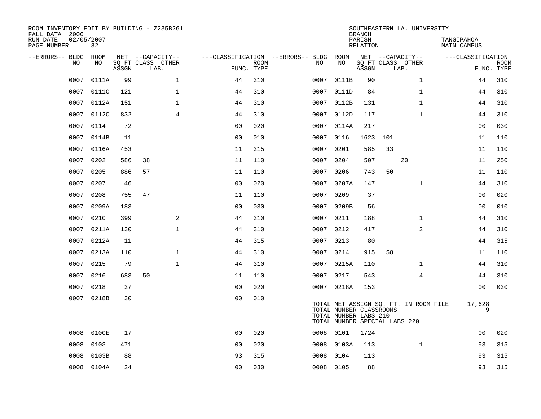| ROOM INVENTORY EDIT BY BUILDING - Z235B261<br>FALL DATA 2006<br>RUN DATE<br>PAGE NUMBER | 02/05/2007<br>82 |       |                                               |                |                           |                                         |                                                  | <b>BRANCH</b><br>PARISH<br><b>RELATION</b> |                                               | SOUTHEASTERN LA. UNIVERSITY           | TANGIPAHOA<br><b>MAIN CAMPUS</b> |                |             |
|-----------------------------------------------------------------------------------------|------------------|-------|-----------------------------------------------|----------------|---------------------------|-----------------------------------------|--------------------------------------------------|--------------------------------------------|-----------------------------------------------|---------------------------------------|----------------------------------|----------------|-------------|
| --ERRORS-- BLDG<br>NO                                                                   | ROOM<br>NO       | ASSGN | NET --CAPACITY--<br>SQ FT CLASS OTHER<br>LAB. |                | <b>ROOM</b><br>FUNC. TYPE | ---CLASSIFICATION --ERRORS-- BLDG<br>NO | ROOM<br>NO                                       | ASSGN                                      | NET --CAPACITY--<br>SQ FT CLASS OTHER<br>LAB. |                                       | ---CLASSIFICATION                | FUNC. TYPE     | <b>ROOM</b> |
| 0007                                                                                    | 0111A            | 99    | $\mathbf 1$                                   | 44             | 310                       | 0007                                    | 0111B                                            | 90                                         |                                               | $\mathbf{1}$                          |                                  | 44             | 310         |
| 0007                                                                                    | 0111C            | 121   | $\mathbf 1$                                   | 44             | 310                       | 0007                                    | 0111D                                            | 84                                         |                                               | $\mathbf{1}$                          |                                  | 44             | 310         |
| 0007                                                                                    | 0112A            | 151   | $\mathbf 1$                                   | 44             | 310                       | 0007                                    | 0112B                                            | 131                                        |                                               | $\mathbf{1}$                          |                                  | 44             | 310         |
| 0007                                                                                    | 0112C            | 832   | $\overline{4}$                                | 44             | 310                       | 0007                                    | 0112D                                            | 117                                        |                                               | $\mathbf{1}$                          |                                  | 44             | 310         |
| 0007                                                                                    | 0114             | 72    |                                               | 0 <sub>0</sub> | 020                       | 0007                                    | 0114A                                            | 217                                        |                                               |                                       |                                  | 0 <sub>0</sub> | 030         |
| 0007                                                                                    | 0114B            | 11    |                                               | 0 <sub>0</sub> | 010                       | 0007                                    | 0116                                             | 1623                                       | 101                                           |                                       |                                  | 11             | 110         |
| 0007                                                                                    | 0116A            | 453   |                                               | 11             | 315                       | 0007                                    | 0201                                             | 585                                        | 33                                            |                                       |                                  | 11             | 110         |
| 0007                                                                                    | 0202             | 586   | 38                                            | 11             | 110                       | 0007                                    | 0204                                             | 507                                        |                                               | 20                                    |                                  | 11             | 250         |
| 0007                                                                                    | 0205             | 886   | 57                                            | 11             | 110                       | 0007                                    | 0206                                             | 743                                        | 50                                            |                                       |                                  | 11             | 110         |
| 0007                                                                                    | 0207             | 46    |                                               | 0 <sub>0</sub> | 020                       | 0007                                    | 0207A                                            | 147                                        |                                               | $\mathbf{1}$                          |                                  | 44             | 310         |
| 0007                                                                                    | 0208             | 755   | 47                                            | 11             | 110                       | 0007                                    | 0209                                             | 37                                         |                                               |                                       |                                  | 00             | 020         |
| 0007                                                                                    | 0209A            | 183   |                                               | 0 <sub>0</sub> | 030                       | 0007                                    | 0209B                                            | 56                                         |                                               |                                       |                                  | 0 <sub>0</sub> | 010         |
| 0007                                                                                    | 0210             | 399   | 2                                             | 44             | 310                       | 0007                                    | 0211                                             | 188                                        |                                               | $\mathbf{1}$                          |                                  | 44             | 310         |
| 0007                                                                                    | 0211A            | 130   | $\mathbf 1$                                   | 44             | 310                       | 0007                                    | 0212                                             | 417                                        |                                               | $\overline{a}$                        |                                  | 44             | 310         |
| 0007                                                                                    | 0212A            | 11    |                                               | 44             | 315                       | 0007                                    | 0213                                             | 80                                         |                                               |                                       |                                  | 44             | 315         |
| 0007                                                                                    | 0213A            | 110   | $\mathbf{1}$                                  | 44             | 310                       | 0007                                    | 0214                                             | 915                                        | 58                                            |                                       |                                  | 11             | 110         |
| 0007                                                                                    | 0215             | 79    | $\mathbf{1}$                                  | 44             | 310                       | 0007                                    | 0215A                                            | 110                                        |                                               | $\mathbf{1}$                          |                                  | 44             | 310         |
| 0007                                                                                    | 0216             | 683   | 50                                            | 11             | 110                       | 0007                                    | 0217                                             | 543                                        |                                               | $\overline{4}$                        |                                  | 44             | 310         |
| 0007                                                                                    | 0218             | 37    |                                               | 0 <sub>0</sub> | 020                       |                                         | 0007 0218A                                       | 153                                        |                                               |                                       |                                  | 0 <sub>0</sub> | 030         |
|                                                                                         | 0007 0218B       | 30    |                                               | 0 <sub>0</sub> | 010                       |                                         | TOTAL NUMBER CLASSROOMS<br>TOTAL NUMBER LABS 210 |                                            | TOTAL NUMBER SPECIAL LABS 220                 | TOTAL NET ASSIGN SQ. FT. IN ROOM FILE |                                  | 17,628<br>9    |             |
| 0008                                                                                    | 0100E            | 17    |                                               | 0 <sub>0</sub> | 020                       |                                         | 0008 0101                                        | 1724                                       |                                               |                                       |                                  | 0 <sub>0</sub> | 020         |
| 0008                                                                                    | 0103             | 471   |                                               | 00             | 020                       | 0008                                    | 0103A                                            | 113                                        |                                               | $\mathbf{1}$                          |                                  | 93             | 315         |
| 0008                                                                                    | 0103B            | 88    |                                               | 93             | 315                       | 0008                                    | 0104                                             | 113                                        |                                               |                                       |                                  | 93             | 315         |
|                                                                                         | 0008 0104A       | 24    |                                               | 0 <sub>0</sub> | 030                       |                                         | 0008 0105                                        | 88                                         |                                               |                                       |                                  | 93             | 315         |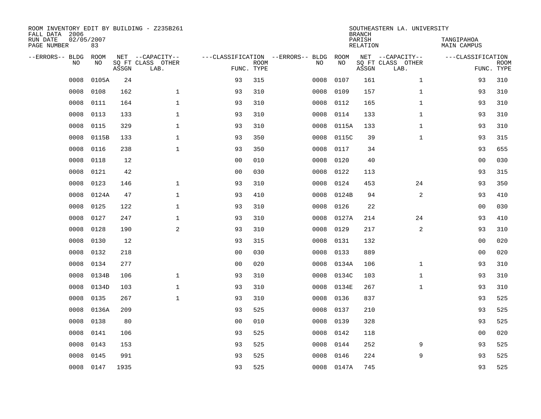| ROOM INVENTORY EDIT BY BUILDING - Z235B261<br>FALL DATA 2006 |                  |       |                           |                |             |                                   |            | <b>BRANCH</b>             | SOUTHEASTERN LA. UNIVERSITY |                                  |                           |
|--------------------------------------------------------------|------------------|-------|---------------------------|----------------|-------------|-----------------------------------|------------|---------------------------|-----------------------------|----------------------------------|---------------------------|
| RUN DATE<br>PAGE NUMBER                                      | 02/05/2007<br>83 |       |                           |                |             |                                   |            | PARISH<br><b>RELATION</b> |                             | TANGIPAHOA<br><b>MAIN CAMPUS</b> |                           |
| --ERRORS-- BLDG                                              | ROOM             |       | NET --CAPACITY--          |                |             | ---CLASSIFICATION --ERRORS-- BLDG | ROOM       |                           | NET --CAPACITY--            | ---CLASSIFICATION                |                           |
| NO                                                           | NO               | ASSGN | SQ FT CLASS OTHER<br>LAB. | FUNC. TYPE     | <b>ROOM</b> | NO                                | NO         | ASSGN                     | SQ FT CLASS OTHER<br>LAB.   |                                  | <b>ROOM</b><br>FUNC. TYPE |
| 0008                                                         | 0105A            | 24    |                           | 93             | 315         | 0008                              | 0107       | 161                       | $\mathbf{1}$                | 93                               | 310                       |
| 0008                                                         | 0108             | 162   | $\mathbf{1}$              | 93             | 310         | 0008                              | 0109       | 157                       | $\mathbf{1}$                | 93                               | 310                       |
| 0008                                                         | 0111             | 164   | $\mathbf{1}$              | 93             | 310         | 0008                              | 0112       | 165                       | $\mathbf{1}$                | 93                               | 310                       |
| 0008                                                         | 0113             | 133   | $\mathbf{1}$              | 93             | 310         | 0008                              | 0114       | 133                       | $\mathbf{1}$                | 93                               | 310                       |
| 0008                                                         | 0115             | 329   | $\mathbf{1}$              | 93             | 310         | 0008                              | 0115A      | 133                       | $\mathbf{1}$                | 93                               | 310                       |
| 0008                                                         | 0115B            | 133   | $\mathbf{1}$              | 93             | 350         | 0008                              | 0115C      | 39                        | $\mathbf{1}$                | 93                               | 315                       |
| 0008                                                         | 0116             | 238   | $\mathbf{1}$              | 93             | 350         | 0008                              | 0117       | 34                        |                             | 93                               | 655                       |
| 0008                                                         | 0118             | 12    |                           | 0 <sub>0</sub> | 010         | 0008                              | 0120       | 40                        |                             | 0 <sub>0</sub>                   | 030                       |
| 0008                                                         | 0121             | 42    |                           | 0 <sub>0</sub> | 030         | 0008                              | 0122       | 113                       |                             | 93                               | 315                       |
| 0008                                                         | 0123             | 146   | $\mathbf{1}$              | 93             | 310         | 0008                              | 0124       | 453                       | 24                          | 93                               | 350                       |
| 0008                                                         | 0124A            | 47    | $\mathbf{1}$              | 93             | 410         | 0008                              | 0124B      | 94                        | 2                           | 93                               | 410                       |
| 0008                                                         | 0125             | 122   | $\mathbf{1}$              | 93             | 310         | 0008                              | 0126       | 22                        |                             | 0 <sub>0</sub>                   | 030                       |
| 0008                                                         | 0127             | 247   | $\mathbf{1}$              | 93             | 310         | 0008                              | 0127A      | 214                       | 24                          | 93                               | 410                       |
| 0008                                                         | 0128             | 190   | $\mathbf{2}$              | 93             | 310         | 0008                              | 0129       | 217                       | 2                           | 93                               | 310                       |
| 0008                                                         | 0130             | 12    |                           | 93             | 315         | 0008                              | 0131       | 132                       |                             | 0 <sub>0</sub>                   | 020                       |
| 0008                                                         | 0132             | 218   |                           | 0 <sub>0</sub> | 030         | 0008                              | 0133       | 889                       |                             | 00                               | 020                       |
| 0008                                                         | 0134             | 277   |                           | 0 <sub>0</sub> | 020         | 0008                              | 0134A      | 106                       | $\mathbf{1}$                | 93                               | 310                       |
| 0008                                                         | 0134B            | 106   | $\mathbf 1$               | 93             | 310         | 0008                              | 0134C      | 103                       | $\mathbf{1}$                | 93                               | 310                       |
| 0008                                                         | 0134D            | 103   | $\mathbf{1}$              | 93             | 310         | 0008                              | 0134E      | 267                       | $\mathbf{1}$                | 93                               | 310                       |
| 0008                                                         | 0135             | 267   | $\mathbf{1}$              | 93             | 310         | 0008                              | 0136       | 837                       |                             | 93                               | 525                       |
| 0008                                                         | 0136A            | 209   |                           | 93             | 525         | 0008                              | 0137       | 210                       |                             | 93                               | 525                       |
| 0008                                                         | 0138             | 80    |                           | 0 <sub>0</sub> | 010         | 0008                              | 0139       | 328                       |                             | 93                               | 525                       |
| 0008                                                         | 0141             | 106   |                           | 93             | 525         | 0008                              | 0142       | 118                       |                             | 0 <sub>0</sub>                   | 020                       |
| 0008                                                         | 0143             | 153   |                           | 93             | 525         | 0008                              | 0144       | 252                       | 9                           | 93                               | 525                       |
| 0008                                                         | 0145             | 991   |                           | 93             | 525         | 0008                              | 0146       | 224                       | 9                           | 93                               | 525                       |
|                                                              | 0008 0147        | 1935  |                           | 93             | 525         |                                   | 0008 0147A | 745                       |                             | 93                               | 525                       |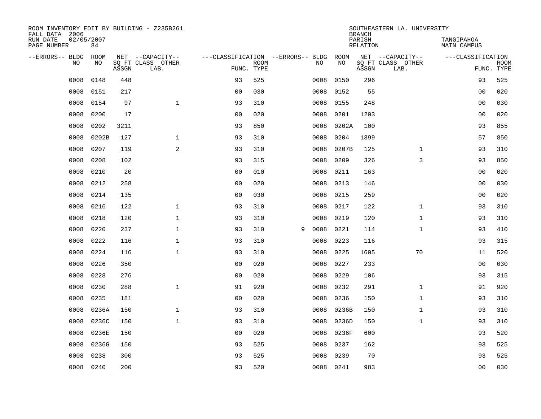| ROOM INVENTORY EDIT BY BUILDING - Z235B261<br>FALL DATA 2006 |                  |       |                           |                                   |             |   |           |       | <b>BRANCH</b>             | SOUTHEASTERN LA. UNIVERSITY |                                  |             |
|--------------------------------------------------------------|------------------|-------|---------------------------|-----------------------------------|-------------|---|-----------|-------|---------------------------|-----------------------------|----------------------------------|-------------|
| RUN DATE<br>PAGE NUMBER                                      | 02/05/2007<br>84 |       |                           |                                   |             |   |           |       | PARISH<br><b>RELATION</b> |                             | TANGIPAHOA<br><b>MAIN CAMPUS</b> |             |
| --ERRORS-- BLDG                                              | ROOM             |       | NET --CAPACITY--          | ---CLASSIFICATION --ERRORS-- BLDG |             |   |           | ROOM  |                           | NET --CAPACITY--            | ---CLASSIFICATION                |             |
| NO                                                           | NO               | ASSGN | SQ FT CLASS OTHER<br>LAB. | FUNC. TYPE                        | <b>ROOM</b> |   | NO        | NO    | ASSGN                     | SQ FT CLASS OTHER<br>LAB.   | FUNC. TYPE                       | <b>ROOM</b> |
| 0008                                                         | 0148             | 448   |                           | 93                                | 525         |   | 0008      | 0150  | 296                       |                             | 93                               | 525         |
| 0008                                                         | 0151             | 217   |                           | 0 <sub>0</sub>                    | 030         |   | 0008      | 0152  | 55                        |                             | 00                               | 020         |
| 0008                                                         | 0154             | 97    | $\mathbf{1}$              | 93                                | 310         |   | 0008      | 0155  | 248                       |                             | 00                               | 030         |
| 0008                                                         | 0200             | 17    |                           | 0 <sub>0</sub>                    | 020         |   | 0008      | 0201  | 1203                      |                             | 0 <sub>0</sub>                   | 020         |
| 0008                                                         | 0202             | 3211  |                           | 93                                | 850         |   | 0008      | 0202A | 100                       |                             | 93                               | 855         |
| 0008                                                         | 0202B            | 127   | $\mathbf 1$               | 93                                | 310         |   | 0008      | 0204  | 1399                      |                             | 57                               | 850         |
| 0008                                                         | 0207             | 119   | 2                         | 93                                | 310         |   | 0008      | 0207B | 125                       | $\mathbf{1}$                | 93                               | 310         |
| 0008                                                         | 0208             | 102   |                           | 93                                | 315         |   | 0008      | 0209  | 326                       | 3                           | 93                               | 850         |
| 0008                                                         | 0210             | 20    |                           | 0 <sub>0</sub>                    | 010         |   | 0008      | 0211  | 163                       |                             | 0 <sub>0</sub>                   | 020         |
| 0008                                                         | 0212             | 258   |                           | 0 <sub>0</sub>                    | 020         |   | 0008      | 0213  | 146                       |                             | 00                               | 030         |
| 0008                                                         | 0214             | 135   |                           | 0 <sub>0</sub>                    | 030         |   | 0008      | 0215  | 259                       |                             | 00                               | 020         |
| 0008                                                         | 0216             | 122   | $\mathbf{1}$              | 93                                | 310         |   | 0008      | 0217  | 122                       | $\mathbf{1}$                | 93                               | 310         |
| 0008                                                         | 0218             | 120   | $\mathbf{1}$              | 93                                | 310         |   | 0008      | 0219  | 120                       | $\mathbf{1}$                | 93                               | 310         |
| 0008                                                         | 0220             | 237   | $\mathbf{1}$              | 93                                | 310         | 9 | 0008      | 0221  | 114                       | $\mathbf{1}$                | 93                               | 410         |
| 0008                                                         | 0222             | 116   | $\mathbf{1}$              | 93                                | 310         |   | 0008      | 0223  | 116                       |                             | 93                               | 315         |
| 0008                                                         | 0224             | 116   | $\mathbf{1}$              | 93                                | 310         |   | 0008      | 0225  | 1605                      | 70                          | 11                               | 520         |
| 0008                                                         | 0226             | 350   |                           | 0 <sub>0</sub>                    | 020         |   | 0008      | 0227  | 233                       |                             | 0 <sub>0</sub>                   | 030         |
| 0008                                                         | 0228             | 276   |                           | 0 <sub>0</sub>                    | 020         |   | 0008      | 0229  | 106                       |                             | 93                               | 315         |
| 0008                                                         | 0230             | 288   | $\mathbf{1}$              | 91                                | 920         |   | 0008      | 0232  | 291                       | $\mathbf{1}$                | 91                               | 920         |
| 0008                                                         | 0235             | 181   |                           | 0 <sub>0</sub>                    | 020         |   | 0008      | 0236  | 150                       | $\mathbf{1}$                | 93                               | 310         |
| 0008                                                         | 0236A            | 150   | $\mathbf{1}$              | 93                                | 310         |   | 0008      | 0236B | 150                       | $\mathbf{1}$                | 93                               | 310         |
| 0008                                                         | 0236C            | 150   | $\mathbf{1}$              | 93                                | 310         |   | 0008      | 0236D | 150                       | $\mathbf{1}$                | 93                               | 310         |
| 0008                                                         | 0236E            | 150   |                           | 0 <sub>0</sub>                    | 020         |   | 0008      | 0236F | 600                       |                             | 93                               | 520         |
| 0008                                                         | 0236G            | 150   |                           | 93                                | 525         |   | 0008      | 0237  | 162                       |                             | 93                               | 525         |
| 0008                                                         | 0238             | 300   |                           | 93                                | 525         |   | 0008      | 0239  | 70                        |                             | 93                               | 525         |
| 0008                                                         | 0240             | 200   |                           | 93                                | 520         |   | 0008 0241 |       | 983                       |                             | 0 <sub>0</sub>                   | 030         |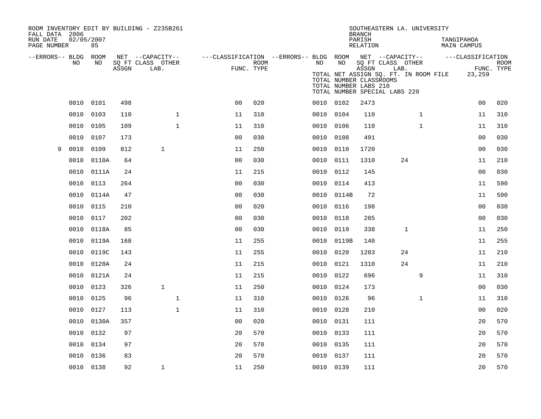| ROOM INVENTORY EDIT BY BUILDING - Z235B261<br>FALL DATA 2006 |            |       |       |                           |              |                                                                              |      |           |                                                  | <b>BRANCH</b>      | SOUTHEASTERN LA. UNIVERSITY                                |              |                                       |                           |                           |
|--------------------------------------------------------------|------------|-------|-------|---------------------------|--------------|------------------------------------------------------------------------------|------|-----------|--------------------------------------------------|--------------------|------------------------------------------------------------|--------------|---------------------------------------|---------------------------|---------------------------|
| RUN DATE<br>PAGE NUMBER                                      | 02/05/2007 | 85    |       |                           |              |                                                                              |      |           |                                                  | PARISH<br>RELATION |                                                            |              |                                       | TANGIPAHOA<br>MAIN CAMPUS |                           |
| --ERRORS-- BLDG ROOM                                         | NO         | NO    |       | NET --CAPACITY--          |              | ---CLASSIFICATION --ERRORS-- BLDG ROOM NET --CAPACITY--    ---CLASSIFICATION |      | NO        | NO                                               |                    |                                                            |              |                                       |                           |                           |
|                                                              |            |       | ASSGN | SQ FT CLASS OTHER<br>LAB. |              | FUNC. TYPE                                                                   | ROOM |           | TOTAL NUMBER CLASSROOMS<br>TOTAL NUMBER LABS 210 | ASSGN              | SQ FT CLASS OTHER<br>LAB.<br>TOTAL NUMBER SPECIAL LABS 220 |              | TOTAL NET ASSIGN SQ. FT. IN ROOM FILE | 23,259                    | <b>ROOM</b><br>FUNC. TYPE |
|                                                              | 0010       | 0101  | 498   |                           |              | 0 <sub>0</sub>                                                               | 020  | 0010 0102 |                                                  | 2473               |                                                            |              |                                       | 0 <sub>0</sub>            | 020                       |
|                                                              | 0010       | 0103  | 110   |                           | $\mathbf{1}$ | 11                                                                           | 310  | 0010 0104 |                                                  | 110                |                                                            | $\mathbf{1}$ |                                       | 11                        | 310                       |
|                                                              | 0010       | 0105  | 109   |                           | $\mathbf{1}$ | 11                                                                           | 310  | 0010      | 0106                                             | 110                |                                                            | $\mathbf{1}$ |                                       | 11                        | 310                       |
|                                                              | 0010       | 0107  | 173   |                           |              | 0 <sub>0</sub>                                                               | 030  | 0010 0108 |                                                  | 491                |                                                            |              |                                       | 00                        | 030                       |
| 9                                                            | 0010       | 0109  | 812   | $\mathbf{1}$              |              | 11                                                                           | 250  | 0010      | 0110                                             | 1720               |                                                            |              |                                       | 0 <sub>0</sub>            | 030                       |
|                                                              | 0010       | 0110A | 64    |                           |              | 0 <sub>0</sub>                                                               | 030  | 0010 0111 |                                                  | 1310               | 24                                                         |              |                                       | 11                        | 210                       |
|                                                              | 0010       | 0111A | 24    |                           |              | 11                                                                           | 215  | 0010      | 0112                                             | 145                |                                                            |              |                                       | 0 <sub>0</sub>            | 030                       |
|                                                              | 0010       | 0113  | 264   |                           |              | 0 <sub>0</sub>                                                               | 030  | 0010 0114 |                                                  | 413                |                                                            |              |                                       | 11                        | 590                       |
|                                                              | 0010       | 0114A | 47    |                           |              | 0 <sub>0</sub>                                                               | 030  |           | 0010 0114B                                       | 72                 |                                                            |              |                                       | 11                        | 590                       |
|                                                              | 0010       | 0115  | 210   |                           |              | 0 <sub>0</sub>                                                               | 020  | 0010 0116 |                                                  | 198                |                                                            |              |                                       | 0 <sub>0</sub>            | 030                       |
|                                                              | 0010       | 0117  | 202   |                           |              | 0 <sub>0</sub>                                                               | 030  | 0010      | 0118                                             | 285                |                                                            |              |                                       | 0 <sub>0</sub>            | 030                       |
|                                                              | 0010       | 0118A | 85    |                           |              | 0 <sub>0</sub>                                                               | 030  | 0010      | 0119                                             | 338                |                                                            | $\mathbf 1$  |                                       | 11                        | 250                       |
|                                                              | 0010       | 0119A | 168   |                           |              | 11                                                                           | 255  | 0010      | 0119B                                            | 140                |                                                            |              |                                       | 11                        | 255                       |
|                                                              | 0010       | 0119C | 143   |                           |              | 11                                                                           | 255  | 0010      | 0120                                             | 1283               | 24                                                         |              |                                       | 11                        | 210                       |
|                                                              | 0010       | 0120A | 24    |                           |              | 11                                                                           | 215  | 0010 0121 |                                                  | 1310               | 24                                                         |              |                                       | 11                        | 210                       |
|                                                              | 0010       | 0121A | 24    |                           |              | 11                                                                           | 215  | 0010      | 0122                                             | 696                |                                                            | 9            |                                       | 11                        | 310                       |
|                                                              | 0010       | 0123  | 326   | $\mathbf{1}$              |              | 11                                                                           | 250  | 0010 0124 |                                                  | 173                |                                                            |              |                                       | 0 <sub>0</sub>            | 030                       |
|                                                              | 0010       | 0125  | 96    |                           | $\mathbf 1$  | 11                                                                           | 310  | 0010 0126 |                                                  | 96                 |                                                            | $\mathbf{1}$ |                                       | 11                        | 310                       |
|                                                              | 0010       | 0127  | 113   |                           | $\mathbf{1}$ | 11                                                                           | 310  | 0010 0128 |                                                  | 210                |                                                            |              |                                       | 00                        | 020                       |
|                                                              | 0010       | 0130A | 357   |                           |              | 0 <sub>0</sub>                                                               | 020  | 0010      | 0131                                             | 111                |                                                            |              |                                       | 20                        | 570                       |
|                                                              | 0010       | 0132  | 97    |                           |              | 20                                                                           | 570  | 0010 0133 |                                                  | 111                |                                                            |              |                                       | 20                        | 570                       |
|                                                              | 0010       | 0134  | 97    |                           |              | 20                                                                           | 570  | 0010 0135 |                                                  | 111                |                                                            |              |                                       | 20                        | 570                       |
|                                                              | 0010       | 0136  | 83    |                           |              | 20                                                                           | 570  | 0010 0137 |                                                  | 111                |                                                            |              |                                       | 20                        | 570                       |
|                                                              | 0010 0138  |       | 92    | $\mathbf{1}$              |              | 11                                                                           | 250  | 0010 0139 |                                                  | 111                |                                                            |              |                                       | 20                        | 570                       |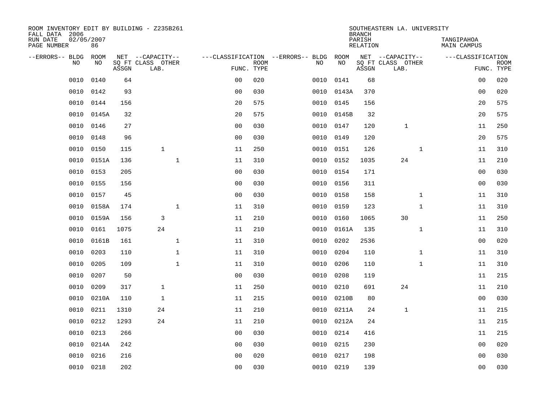| ROOM INVENTORY EDIT BY BUILDING - Z235B261<br>FALL DATA 2006 |                  |       |                           |                |             |                                   |            | <b>BRANCH</b>             | SOUTHEASTERN LA. UNIVERSITY |                                  |                           |
|--------------------------------------------------------------|------------------|-------|---------------------------|----------------|-------------|-----------------------------------|------------|---------------------------|-----------------------------|----------------------------------|---------------------------|
| RUN DATE<br>PAGE NUMBER                                      | 02/05/2007<br>86 |       |                           |                |             |                                   |            | PARISH<br><b>RELATION</b> |                             | TANGIPAHOA<br><b>MAIN CAMPUS</b> |                           |
| --ERRORS-- BLDG                                              | ROOM             |       | NET --CAPACITY--          |                |             | ---CLASSIFICATION --ERRORS-- BLDG | ROOM       |                           | NET --CAPACITY--            | ---CLASSIFICATION                |                           |
| NO                                                           | NO               | ASSGN | SQ FT CLASS OTHER<br>LAB. | FUNC. TYPE     | <b>ROOM</b> | NO                                | NO         | ASSGN                     | SQ FT CLASS OTHER<br>LAB.   |                                  | <b>ROOM</b><br>FUNC. TYPE |
| 0010                                                         | 0140             | 64    |                           | 0 <sub>0</sub> | 020         | 0010                              | 0141       | 68                        |                             | 0 <sub>0</sub>                   | 020                       |
| 0010                                                         | 0142             | 93    |                           | 0 <sub>0</sub> | 030         |                                   | 0010 0143A | 370                       |                             | 00                               | 020                       |
| 0010                                                         | 0144             | 156   |                           | 20             | 575         | 0010                              | 0145       | 156                       |                             | 20                               | 575                       |
| 0010                                                         | 0145A            | 32    |                           | 20             | 575         |                                   | 0010 0145B | 32                        |                             | 20                               | 575                       |
| 0010                                                         | 0146             | 27    |                           | 0 <sub>0</sub> | 030         | 0010                              | 0147       | 120                       | $\mathbf{1}$                | 11                               | 250                       |
| 0010                                                         | 0148             | 96    |                           | 0 <sub>0</sub> | 030         |                                   | 0010 0149  | 120                       |                             | 20                               | 575                       |
| 0010                                                         | 0150             | 115   | $\mathbf{1}$              | 11             | 250         | 0010                              | 0151       | 126                       | $\mathbf{1}$                | 11                               | 310                       |
| 0010                                                         | 0151A            | 136   | $\mathbf 1$               | 11             | 310         |                                   | 0010 0152  | 1035                      | 24                          | 11                               | 210                       |
| 0010                                                         | 0153             | 205   |                           | 0 <sub>0</sub> | 030         | 0010                              | 0154       | 171                       |                             | 0 <sub>0</sub>                   | 030                       |
| 0010                                                         | 0155             | 156   |                           | 0 <sub>0</sub> | 030         |                                   | 0010 0156  | 311                       |                             | 0 <sub>0</sub>                   | 030                       |
| 0010                                                         | 0157             | 45    |                           | 0 <sub>0</sub> | 030         | 0010                              | 0158       | 158                       | $\mathbf{1}$                | 11                               | 310                       |
| 0010                                                         | 0158A            | 174   | $\mathbf{1}$              | 11             | 310         | 0010                              | 0159       | 123                       | $\mathbf{1}$                | 11                               | 310                       |
| 0010                                                         | 0159A            | 156   | 3                         | 11             | 210         | 0010                              | 0160       | 1065                      | 30                          | 11                               | 250                       |
| 0010                                                         | 0161             | 1075  | 24                        | 11             | 210         | 0010                              | 0161A      | 135                       | $\mathbf{1}$                | 11                               | 310                       |
| 0010                                                         | 0161B            | 161   | $\mathbf{1}$              | 11             | 310         | 0010                              | 0202       | 2536                      |                             | 0 <sub>0</sub>                   | 020                       |
| 0010                                                         | 0203             | 110   | $\mathbf{1}$              | 11             | 310         | 0010                              | 0204       | 110                       | $\mathbf{1}$                | 11                               | 310                       |
| 0010                                                         | 0205             | 109   | $\mathbf{1}$              | 11             | 310         | 0010                              | 0206       | 110                       | $\mathbf{1}$                | 11                               | 310                       |
| 0010                                                         | 0207             | 50    |                           | 0 <sub>0</sub> | 030         | 0010                              | 0208       | 119                       |                             | 11                               | 215                       |
| 0010                                                         | 0209             | 317   | $\mathbf{1}$              | 11             | 250         | 0010                              | 0210       | 691                       | 24                          | 11                               | 210                       |
| 0010                                                         | 0210A            | 110   | $\mathbf{1}$              | 11             | 215         | 0010                              | 0210B      | 80                        |                             | 0 <sub>0</sub>                   | 030                       |
| 0010                                                         | 0211             | 1310  | 24                        | 11             | 210         | 0010                              | 0211A      | 24                        | $\mathbf{1}$                | 11                               | 215                       |
| 0010                                                         | 0212             | 1293  | 24                        | 11             | 210         | 0010                              | 0212A      | 24                        |                             | 11                               | 215                       |
| 0010                                                         | 0213             | 266   |                           | 0 <sub>0</sub> | 030         | 0010                              | 0214       | 416                       |                             | 11                               | 215                       |
| 0010                                                         | 0214A            | 242   |                           | 0 <sub>0</sub> | 030         | 0010                              | 0215       | 230                       |                             | 0 <sub>0</sub>                   | 020                       |
| 0010                                                         | 0216             | 216   |                           | 0 <sub>0</sub> | 020         | 0010                              | 0217       | 198                       |                             | 0 <sub>0</sub>                   | 030                       |
|                                                              | 0010 0218        | 202   |                           | 00             | 030         |                                   | 0010 0219  | 139                       |                             | 0 <sub>0</sub>                   | 030                       |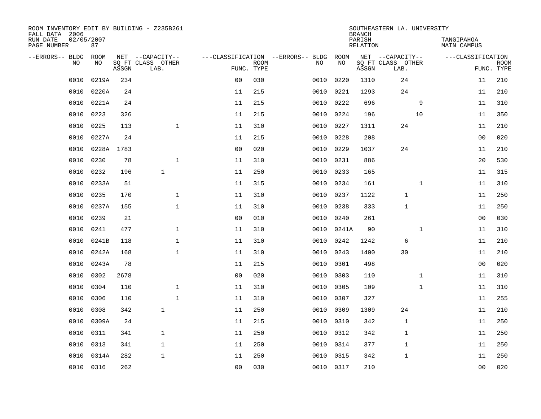| ROOM INVENTORY EDIT BY BUILDING - Z235B261<br>FALL DATA 2006 |                  |       |                           |                |             |                                   |           | <b>BRANCH</b>      | SOUTHEASTERN LA. UNIVERSITY |                           |                           |
|--------------------------------------------------------------|------------------|-------|---------------------------|----------------|-------------|-----------------------------------|-----------|--------------------|-----------------------------|---------------------------|---------------------------|
| RUN DATE<br>PAGE NUMBER                                      | 02/05/2007<br>87 |       |                           |                |             |                                   |           | PARISH<br>RELATION |                             | TANGIPAHOA<br>MAIN CAMPUS |                           |
| --ERRORS-- BLDG                                              | ROOM             |       | NET --CAPACITY--          |                |             | ---CLASSIFICATION --ERRORS-- BLDG | ROOM      |                    | NET --CAPACITY--            | ---CLASSIFICATION         |                           |
| NO.                                                          | NO.              | ASSGN | SQ FT CLASS OTHER<br>LAB. | FUNC. TYPE     | <b>ROOM</b> | NO.                               | NO        | ASSGN              | SQ FT CLASS OTHER<br>LAB.   |                           | <b>ROOM</b><br>FUNC. TYPE |
| 0010                                                         | 0219A            | 234   |                           | 0 <sub>0</sub> | 030         | 0010                              | 0220      | 1310               | 24                          | 11                        | 210                       |
| 0010                                                         | 0220A            | 24    |                           | 11             | 215         | 0010                              | 0221      | 1293               | 24                          | 11                        | 210                       |
| 0010                                                         | 0221A            | 24    |                           | 11             | 215         | 0010                              | 0222      | 696                | 9                           | 11                        | 310                       |
| 0010                                                         | 0223             | 326   |                           | 11             | 215         | 0010                              | 0224      | 196                | 10                          | 11                        | 350                       |
| 0010                                                         | 0225             | 113   | $\mathbf{1}$              | 11             | 310         | 0010                              | 0227      | 1311               | 24                          | 11                        | 210                       |
| 0010                                                         | 0227A            | 24    |                           | 11             | 215         | 0010                              | 0228      | 208                |                             | 00                        | 020                       |
| 0010                                                         | 0228A            | 1783  |                           | 0 <sub>0</sub> | 020         | 0010                              | 0229      | 1037               | 24                          | 11                        | 210                       |
| 0010                                                         | 0230             | 78    | $\mathbf 1$               | 11             | 310         | 0010                              | 0231      | 886                |                             | 20                        | 530                       |
| 0010                                                         | 0232             | 196   | $\mathbf{1}$              | 11             | 250         | 0010                              | 0233      | 165                |                             | 11                        | 315                       |
| 0010                                                         | 0233A            | 51    |                           | 11             | 315         | 0010                              | 0234      | 161                | $\mathbf{1}$                | 11                        | 310                       |
| 0010                                                         | 0235             | 170   | $\mathbf{1}$              | 11             | 310         | 0010                              | 0237      | 1122               | $\mathbf{1}$                | 11                        | 250                       |
| 0010                                                         | 0237A            | 155   | $\mathbf{1}$              | 11             | 310         | 0010                              | 0238      | 333                | 1                           | 11                        | 250                       |
| 0010                                                         | 0239             | 21    |                           | 0 <sub>0</sub> | 010         | 0010                              | 0240      | 261                |                             | 0 <sub>0</sub>            | 030                       |
| 0010                                                         | 0241             | 477   | $\mathbf 1$               | 11             | 310         | 0010                              | 0241A     | 90                 | $\mathbf{1}$                | 11                        | 310                       |
| 0010                                                         | 0241B            | 118   | $\mathbf 1$               | 11             | 310         | 0010                              | 0242      | 1242               | 6                           | 11                        | 210                       |
| 0010                                                         | 0242A            | 168   | $\mathbf{1}$              | 11             | 310         | 0010                              | 0243      | 1400               | 30                          | 11                        | 210                       |
| 0010                                                         | 0243A            | 78    |                           | 11             | 215         | 0010                              | 0301      | 498                |                             | 00                        | 020                       |
| 0010                                                         | 0302             | 2678  |                           | 0 <sub>0</sub> | 020         | 0010                              | 0303      | 110                | $\mathbf{1}$                | 11                        | 310                       |
| 0010                                                         | 0304             | 110   | $\mathbf{1}$              | 11             | 310         | 0010                              | 0305      | 109                | $\mathbf{1}$                | 11                        | 310                       |
| 0010                                                         | 0306             | 110   | $\mathbf{1}$              | 11             | 310         | 0010                              | 0307      | 327                |                             | 11                        | 255                       |
| 0010                                                         | 0308             | 342   | $\mathbf{1}$              | 11             | 250         | 0010                              | 0309      | 1309               | 24                          | 11                        | 210                       |
| 0010                                                         | 0309A            | 24    |                           | 11             | 215         | 0010                              | 0310      | 342                | $\mathbf 1$                 | 11                        | 250                       |
| 0010                                                         | 0311             | 341   | $\mathbf{1}$              | 11             | 250         | 0010                              | 0312      | 342                | $\mathbf 1$                 | 11                        | 250                       |
| 0010                                                         | 0313             | 341   | $\mathbf{1}$              | 11             | 250         | 0010                              | 0314      | 377                | $\mathbf 1$                 | 11                        | 250                       |
| 0010                                                         | 0314A            | 282   | $\mathbf{1}$              | 11             | 250         | 0010                              | 0315      | 342                | $\mathbf 1$                 | 11                        | 250                       |
|                                                              | 0010 0316        | 262   |                           | 0 <sub>0</sub> | 030         |                                   | 0010 0317 | 210                |                             | 0 <sub>0</sub>            | 020                       |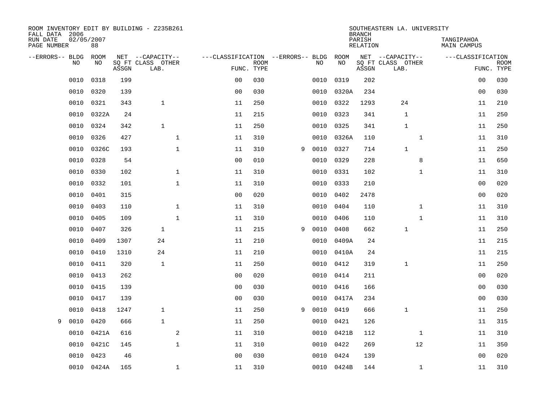| ROOM INVENTORY EDIT BY BUILDING - Z235B261<br>FALL DATA 2006 |                  |       |                           |                                   |                           |   |      |            | <b>BRANCH</b>      | SOUTHEASTERN LA. UNIVERSITY |                           |             |
|--------------------------------------------------------------|------------------|-------|---------------------------|-----------------------------------|---------------------------|---|------|------------|--------------------|-----------------------------|---------------------------|-------------|
| RUN DATE<br>PAGE NUMBER                                      | 02/05/2007<br>88 |       |                           |                                   |                           |   |      |            | PARISH<br>RELATION |                             | TANGIPAHOA<br>MAIN CAMPUS |             |
| --ERRORS-- BLDG ROOM                                         |                  |       | NET --CAPACITY--          | ---CLASSIFICATION --ERRORS-- BLDG |                           |   |      | ROOM       |                    | NET --CAPACITY--            | ---CLASSIFICATION         |             |
| NO.                                                          | NO.              | ASSGN | SQ FT CLASS OTHER<br>LAB. |                                   | <b>ROOM</b><br>FUNC. TYPE |   | NO.  | NO         | ASSGN              | SQ FT CLASS OTHER<br>LAB.   | FUNC. TYPE                | <b>ROOM</b> |
| 0010                                                         | 0318             | 199   |                           | 0 <sub>0</sub>                    | 030                       |   | 0010 | 0319       | 202                |                             | 0 <sub>0</sub>            | 030         |
| 0010                                                         | 0320             | 139   |                           | 0 <sub>0</sub>                    | 030                       |   | 0010 | 0320A      | 234                |                             | 0 <sub>0</sub>            | 030         |
| 0010                                                         | 0321             | 343   | $\mathbf{1}$              | 11                                | 250                       |   | 0010 | 0322       | 1293               | 24                          | 11                        | 210         |
| 0010                                                         | 0322A            | 24    |                           | 11                                | 215                       |   | 0010 | 0323       | 341                | $\mathbf{1}$                | 11                        | 250         |
| 0010                                                         | 0324             | 342   | $\mathbf{1}$              | 11                                | 250                       |   | 0010 | 0325       | 341                | $\mathbf 1$                 | 11                        | 250         |
| 0010                                                         | 0326             | 427   | $\mathbf 1$               | 11                                | 310                       |   |      | 0010 0326A | 110                | $\mathbf{1}$                | 11                        | 310         |
| 0010                                                         | 0326C            | 193   | $\mathbf{1}$              | 11                                | 310                       | 9 | 0010 | 0327       | 714                | $\mathbf{1}$                | 11                        | 250         |
| 0010                                                         | 0328             | 54    |                           | 0 <sub>0</sub>                    | 010                       |   | 0010 | 0329       | 228                | 8                           | 11                        | 650         |
| 0010                                                         | 0330             | 102   | $\mathbf{1}$              | 11                                | 310                       |   | 0010 | 0331       | 102                | $\mathbf{1}$                | 11                        | 310         |
| 0010                                                         | 0332             | 101   | $\mathbf{1}$              | 11                                | 310                       |   | 0010 | 0333       | 210                |                             | 00                        | 020         |
| 0010                                                         | 0401             | 315   |                           | 0 <sub>0</sub>                    | 020                       |   | 0010 | 0402       | 2478               |                             | 0 <sub>0</sub>            | 020         |
| 0010                                                         | 0403             | 110   | $\mathbf{1}$              | 11                                | 310                       |   |      | 0010 0404  | 110                | $\mathbf{1}$                | 11                        | 310         |
| 0010                                                         | 0405             | 109   | $\mathbf{1}$              | 11                                | 310                       |   | 0010 | 0406       | 110                | $\mathbf{1}$                | 11                        | 310         |
| 0010                                                         | 0407             | 326   | $\mathbf{1}$              | 11                                | 215                       | 9 | 0010 | 0408       | 662                | $\mathbf{1}$                | 11                        | 250         |
| 0010                                                         | 0409             | 1307  | 24                        | 11                                | 210                       |   | 0010 | 0409A      | 24                 |                             | 11                        | 215         |
| 0010                                                         | 0410             | 1310  | 24                        | 11                                | 210                       |   | 0010 | 0410A      | 24                 |                             | 11                        | 215         |
| 0010                                                         | 0411             | 320   | $\mathbf{1}$              | 11                                | 250                       |   | 0010 | 0412       | 319                | 1                           | 11                        | 250         |
| 0010                                                         | 0413             | 262   |                           | 0 <sub>0</sub>                    | 020                       |   | 0010 | 0414       | 211                |                             | 00                        | 020         |
| 0010                                                         | 0415             | 139   |                           | 0 <sub>0</sub>                    | 030                       |   | 0010 | 0416       | 166                |                             | 0 <sub>0</sub>            | 030         |
| 0010                                                         | 0417             | 139   |                           | 0 <sub>0</sub>                    | 030                       |   | 0010 | 0417A      | 234                |                             | 0 <sub>0</sub>            | 030         |
| 0010                                                         | 0418             | 1247  | $\mathbf{1}$              | 11                                | 250                       | 9 | 0010 | 0419       | 666                | $\mathbf{1}$                | 11                        | 250         |
| 0010<br>9                                                    | 0420             | 666   | $\mathbf{1}$              | 11                                | 250                       |   | 0010 | 0421       | 126                |                             | 11                        | 315         |
| 0010                                                         | 0421A            | 616   |                           | 2<br>11                           | 310                       |   |      | 0010 0421B | 112                | $\mathbf{1}$                | 11                        | 310         |
| 0010                                                         | 0421C            | 145   | $\mathbf 1$               | 11                                | 310                       |   | 0010 | 0422       | 269                | 12                          | 11                        | 350         |
| 0010                                                         | 0423             | 46    |                           | 0 <sub>0</sub>                    | 030                       |   | 0010 | 0424       | 139                |                             | 0 <sub>0</sub>            | 020         |
|                                                              | 0010 0424A       | 165   | 1                         | 11                                | 310                       |   |      | 0010 0424B | 144                | $\mathbf{1}$                | 11                        | 310         |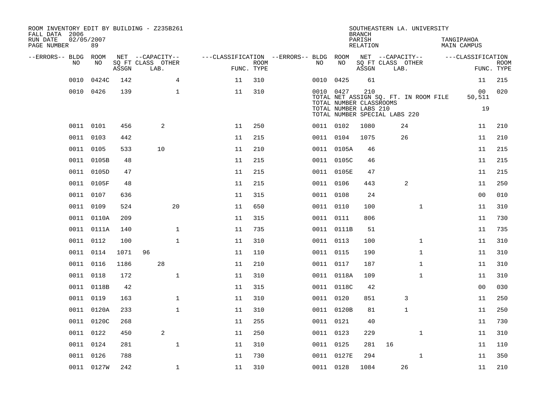| ROOM INVENTORY EDIT BY BUILDING - Z235B261<br>FALL DATA 2006<br>RUN DATE<br>PAGE NUMBER | 02/05/2007<br>89 |       |                           |              |                                        |                    |           |                                                                  | <b>BRANCH</b><br>PARISH<br><b>RELATION</b> | SOUTHEASTERN LA. UNIVERSITY |              | TANGIPAHOA | <b>MAIN CAMPUS</b> |                           |
|-----------------------------------------------------------------------------------------|------------------|-------|---------------------------|--------------|----------------------------------------|--------------------|-----------|------------------------------------------------------------------|--------------------------------------------|-----------------------------|--------------|------------|--------------------|---------------------------|
| --ERRORS-- BLDG                                                                         | ROOM             |       | NET --CAPACITY--          |              | ---CLASSIFICATION --ERRORS-- BLDG ROOM |                    |           |                                                                  |                                            | NET --CAPACITY--            |              |            | ---CLASSIFICATION  |                           |
| N <sub>O</sub>                                                                          | NO.              | ASSGN | SO FT CLASS OTHER<br>LAB. |              |                                        | ROOM<br>FUNC. TYPE | NO.       | NO                                                               | ASSGN                                      | SQ FT CLASS OTHER           | LAB.         |            |                    | <b>ROOM</b><br>FUNC. TYPE |
| 0010                                                                                    | 0424C            | 142   |                           | 4            | 11                                     | 310                | 0010      | 0425                                                             | 61                                         |                             |              |            | 11                 | 215                       |
|                                                                                         | 0010 0426        | 139   |                           | $\mathbf{1}$ | 11                                     | 310                | 0010 0427 |                                                                  | 210                                        |                             |              |            | 00                 | 020                       |
|                                                                                         |                  |       |                           |              |                                        |                    |           | TOTAL NET ASSIGN SQ. FT. IN ROOM FILE<br>TOTAL NUMBER CLASSROOMS |                                            |                             |              |            | 50,511             |                           |
|                                                                                         |                  |       |                           |              |                                        |                    |           | TOTAL NUMBER LABS 210<br>TOTAL NUMBER SPECIAL LABS 220           |                                            |                             |              |            | 19                 |                           |
|                                                                                         | 0011 0101        | 456   | 2                         |              | 11                                     | 250                | 0011 0102 |                                                                  | 1080                                       |                             | 24           |            | 11                 | 210                       |
|                                                                                         | 0011 0103        | 442   |                           |              | 11                                     | 215                | 0011 0104 |                                                                  | 1075                                       |                             | 26           |            | 11                 | 210                       |
|                                                                                         | 0011 0105        | 533   | 10                        |              | 11                                     | 210                |           | 0011 0105A                                                       | 46                                         |                             |              |            | 11                 | 215                       |
|                                                                                         | 0011 0105B       | 48    |                           |              | 11                                     | 215                |           | 0011 0105C                                                       | 46                                         |                             |              |            | 11                 | 215                       |
|                                                                                         | 0011 0105D       | 47    |                           |              | 11                                     | 215                |           | 0011 0105E                                                       | 47                                         |                             |              |            | 11                 | 215                       |
|                                                                                         | 0011 0105F       | 48    |                           |              | 11                                     | 215                | 0011 0106 |                                                                  | 443                                        |                             | 2            |            | 11                 | 250                       |
|                                                                                         | 0011 0107        | 636   |                           |              | 11                                     | 315                | 0011 0108 |                                                                  | 24                                         |                             |              |            | 0 <sub>0</sub>     | 010                       |
|                                                                                         | 0011 0109        | 524   |                           | 20           | 11                                     | 650                | 0011 0110 |                                                                  | 100                                        |                             | $\mathbf{1}$ |            | 11                 | 310                       |
|                                                                                         | 0011 0110A       | 209   |                           |              | 11                                     | 315                | 0011 0111 |                                                                  | 806                                        |                             |              |            | 11                 | 730                       |
|                                                                                         | 0011 0111A       | 140   |                           | $\mathbf 1$  | 11                                     | 735                |           | 0011 0111B                                                       | 51                                         |                             |              |            | 11                 | 735                       |
|                                                                                         | 0011 0112        | 100   |                           | $\mathbf{1}$ | 11                                     | 310                | 0011 0113 |                                                                  | 100                                        |                             | $\mathbf{1}$ |            | 11                 | 310                       |
|                                                                                         | 0011 0114        | 1071  | 96                        |              | 11                                     | 110                | 0011 0115 |                                                                  | 190                                        |                             | $\mathbf{1}$ |            | 11                 | 310                       |
|                                                                                         | 0011 0116        | 1186  | 28                        |              | 11                                     | 210                | 0011 0117 |                                                                  | 187                                        |                             | $\mathbf{1}$ |            | 11                 | 310                       |
|                                                                                         | 0011 0118        | 172   |                           | $\mathbf 1$  | 11                                     | 310                |           | 0011 0118A                                                       | 109                                        |                             | $\mathbf{1}$ |            | 11                 | 310                       |
|                                                                                         | 0011 0118B       | 42    |                           |              | 11                                     | 315                |           | 0011 0118C                                                       | 42                                         |                             |              |            | 0 <sub>0</sub>     | 030                       |
|                                                                                         | 0011 0119        | 163   |                           | $\mathbf 1$  | 11                                     | 310                | 0011 0120 |                                                                  | 851                                        |                             | 3            |            | 11                 | 250                       |
|                                                                                         | 0011 0120A       | 233   |                           | $\mathbf{1}$ | 11                                     | 310                |           | 0011 0120B                                                       | 81                                         |                             | $\mathbf 1$  |            | 11                 | 250                       |
|                                                                                         | 0011 0120C       | 268   |                           |              | 11                                     | 255                | 0011 0121 |                                                                  | 40                                         |                             |              |            | 11                 | 730                       |
|                                                                                         | 0011 0122        | 450   | 2                         |              | 11                                     | 250                | 0011 0123 |                                                                  | 229                                        |                             | $\mathbf{1}$ |            | 11                 | 310                       |
|                                                                                         | 0011 0124        | 281   |                           | $\mathbf 1$  | 11                                     | 310                | 0011 0125 |                                                                  | 281                                        | 16                          |              |            | 11                 | 110                       |
|                                                                                         | 0011 0126        | 788   |                           |              | 11                                     | 730                |           | 0011 0127E                                                       | 294                                        |                             | $\mathbf{1}$ |            | 11                 | 350                       |
|                                                                                         | 0011 0127W       | 242   |                           | 1            | 11                                     | 310                | 0011 0128 |                                                                  | 1084                                       |                             | 26           |            | 11                 | 210                       |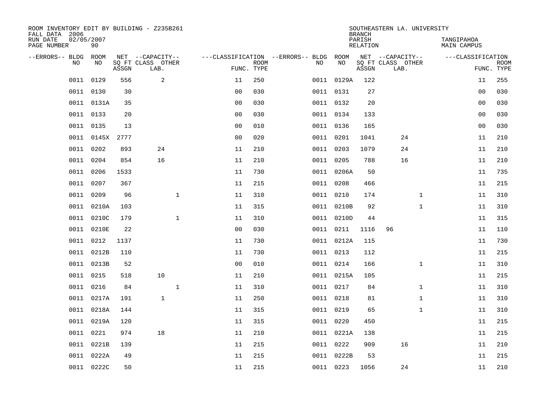| ROOM INVENTORY EDIT BY BUILDING - Z235B261<br>FALL DATA 2006 |                  |       |                           |                |                           |                                   |            | <b>BRANCH</b>             | SOUTHEASTERN LA. UNIVERSITY |                                  |                           |
|--------------------------------------------------------------|------------------|-------|---------------------------|----------------|---------------------------|-----------------------------------|------------|---------------------------|-----------------------------|----------------------------------|---------------------------|
| RUN DATE<br>PAGE NUMBER                                      | 02/05/2007<br>90 |       |                           |                |                           |                                   |            | PARISH<br><b>RELATION</b> |                             | TANGIPAHOA<br><b>MAIN CAMPUS</b> |                           |
| --ERRORS-- BLDG                                              | ROOM             |       | NET --CAPACITY--          |                |                           | ---CLASSIFICATION --ERRORS-- BLDG | ROOM       |                           | NET --CAPACITY--            | ---CLASSIFICATION                |                           |
| NO                                                           | NO               | ASSGN | SQ FT CLASS OTHER<br>LAB. |                | <b>ROOM</b><br>FUNC. TYPE | NO                                | NO         | ASSGN                     | SQ FT CLASS OTHER<br>LAB.   |                                  | <b>ROOM</b><br>FUNC. TYPE |
| 0011                                                         | 0129             | 556   | 2                         | 11             | 250                       |                                   | 0011 0129A | 122                       |                             | 11                               | 255                       |
| 0011                                                         | 0130             | 30    |                           | 0 <sub>0</sub> | 030                       |                                   | 0011 0131  | 27                        |                             | 00                               | 030                       |
| 0011                                                         | 0131A            | 35    |                           | 0 <sub>0</sub> | 030                       |                                   | 0011 0132  | 20                        |                             | 00                               | 030                       |
|                                                              | 0011 0133        | 20    |                           | 0 <sub>0</sub> | 030                       |                                   | 0011 0134  | 133                       |                             | 0 <sub>0</sub>                   | 030                       |
| 0011                                                         | 0135             | 13    |                           | 0 <sub>0</sub> | 010                       |                                   | 0011 0136  | 165                       |                             | 0 <sub>0</sub>                   | 030                       |
|                                                              | 0011 0145X 2777  |       |                           | 0 <sub>0</sub> | 020                       |                                   | 0011 0201  | 1041                      | 24                          | 11                               | 210                       |
| 0011                                                         | 0202             | 893   | 24                        | 11             | 210                       |                                   | 0011 0203  | 1079                      | 24                          | 11                               | 210                       |
|                                                              | 0011 0204        | 854   | 16                        | 11             | 210                       |                                   | 0011 0205  | 788                       | 16                          | 11                               | 210                       |
| 0011                                                         | 0206             | 1533  |                           | 11             | 730                       |                                   | 0011 0206A | 50                        |                             | 11                               | 735                       |
| 0011                                                         | 0207             | 367   |                           | 11             | 215                       |                                   | 0011 0208  | 466                       |                             | 11                               | 215                       |
| 0011                                                         | 0209             | 96    | $\mathbf 1$               | 11             | 310                       |                                   | 0011 0210  | 174                       | $\mathbf{1}$                | 11                               | 310                       |
|                                                              | 0011 0210A       | 103   |                           | 11             | 315                       |                                   | 0011 0210B | 92                        | $\mathbf{1}$                | 11                               | 310                       |
| 0011                                                         | 0210C            | 179   | $\mathbf{1}$              | 11             | 310                       |                                   | 0011 0210D | 44                        |                             | 11                               | 315                       |
| 0011                                                         | 0210E            | 22    |                           | 0 <sub>0</sub> | 030                       |                                   | 0011 0211  | 1116                      | 96                          | 11                               | 110                       |
| 0011                                                         | 0212             | 1137  |                           | 11             | 730                       |                                   | 0011 0212A | 115                       |                             | 11                               | 730                       |
| 0011                                                         | 0212B            | 110   |                           | 11             | 730                       |                                   | 0011 0213  | 112                       |                             | 11                               | 215                       |
| 0011                                                         | 0213B            | 52    |                           | 0 <sub>0</sub> | 010                       |                                   | 0011 0214  | 166                       | $\mathbf{1}$                | 11                               | 310                       |
| 0011                                                         | 0215             | 518   | 10                        | 11             | 210                       |                                   | 0011 0215A | 105                       |                             | 11                               | 215                       |
| 0011                                                         | 0216             | 84    | $\mathbf{1}$              | 11             | 310                       |                                   | 0011 0217  | 84                        | $\mathbf{1}$                | 11                               | 310                       |
| 0011                                                         | 0217A            | 191   | $\mathbf{1}$              | 11             | 250                       |                                   | 0011 0218  | 81                        | $\mathbf{1}$                | 11                               | 310                       |
| 0011                                                         | 0218A            | 144   |                           | 11             | 315                       |                                   | 0011 0219  | 65                        | $\mathbf{1}$                | 11                               | 310                       |
| 0011                                                         | 0219A            | 120   |                           | 11             | 315                       |                                   | 0011 0220  | 450                       |                             | 11                               | 215                       |
| 0011                                                         | 0221             | 974   | 18                        | 11             | 210                       |                                   | 0011 0221A | 138                       |                             | 11                               | 215                       |
| 0011                                                         | 0221B            | 139   |                           | 11             | 215                       |                                   | 0011 0222  | 909                       | 16                          | 11                               | 210                       |
| 0011                                                         | 0222A            | 49    |                           | 11             | 215                       |                                   | 0011 0222B | 53                        |                             | 11                               | 215                       |
|                                                              | 0011 0222C       | 50    |                           | 11             | 215                       |                                   | 0011 0223  | 1056                      | 24                          | 11                               | 210                       |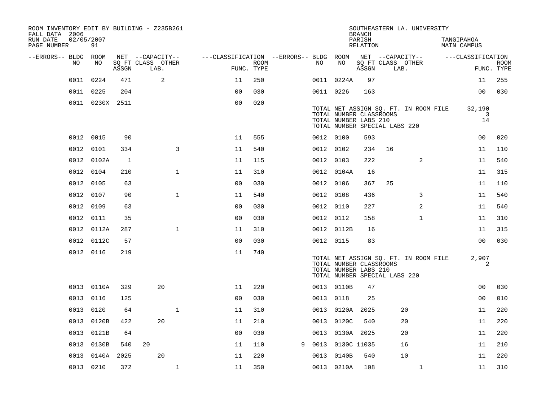| ROOM INVENTORY EDIT BY BUILDING - Z235B261<br>FALL DATA 2006 |      |                  |       |                                       |                |                                        |             |   |           |            | <b>BRANCH</b>                                    |                                       | SOUTHEASTERN LA. UNIVERSITY           |                                  |             |
|--------------------------------------------------------------|------|------------------|-------|---------------------------------------|----------------|----------------------------------------|-------------|---|-----------|------------|--------------------------------------------------|---------------------------------------|---------------------------------------|----------------------------------|-------------|
| RUN DATE<br>PAGE NUMBER                                      |      | 02/05/2007<br>91 |       |                                       |                |                                        |             |   |           |            | PARISH<br>RELATION                               |                                       |                                       | TANGIPAHOA<br><b>MAIN CAMPUS</b> |             |
| --ERRORS-- BLDG ROOM                                         | NO.  | NO               |       | NET --CAPACITY--<br>SQ FT CLASS OTHER |                | ---CLASSIFICATION --ERRORS-- BLDG ROOM | <b>ROOM</b> |   | NO.       | NO         |                                                  | NET --CAPACITY--<br>SQ FT CLASS OTHER |                                       | ---CLASSIFICATION                | <b>ROOM</b> |
|                                                              |      |                  | ASSGN | LAB.                                  |                | FUNC. TYPE                             |             |   |           |            | ASSGN                                            | LAB.                                  |                                       |                                  | FUNC. TYPE  |
|                                                              | 0011 | 0224             | 471   | 2                                     |                | 11                                     | 250         |   |           | 0011 0224A | 97                                               |                                       |                                       | 11                               | 255         |
|                                                              | 0011 | 0225             | 204   |                                       |                | 0 <sub>0</sub>                         | 030         |   | 0011 0226 |            | 163                                              |                                       |                                       | 0 <sub>0</sub>                   | 030         |
|                                                              |      | 0011 0230X 2511  |       |                                       |                | 0 <sub>0</sub>                         | 020         |   |           |            | TOTAL NUMBER CLASSROOMS<br>TOTAL NUMBER LABS 210 | TOTAL NUMBER SPECIAL LABS 220         | TOTAL NET ASSIGN SQ. FT. IN ROOM FILE | 32,190<br>3<br>14                |             |
|                                                              |      | 0012 0015        | 90    |                                       |                | 11                                     | 555         |   | 0012 0100 |            | 593                                              |                                       |                                       | 0 <sub>0</sub>                   | 020         |
|                                                              | 0012 | 0101             | 334   |                                       | $\overline{3}$ | 11                                     | 540         |   | 0012 0102 |            | 234                                              | 16                                    |                                       | 11                               | 110         |
|                                                              |      | 0012 0102A       | 1     |                                       |                | 11                                     | 115         |   | 0012 0103 |            | 222                                              |                                       | 2                                     | 11                               | 540         |
|                                                              |      | 0012 0104        | 210   |                                       | $\mathbf{1}$   | 11                                     | 310         |   |           | 0012 0104A | 16                                               |                                       |                                       | 11                               | 315         |
|                                                              |      | 0012 0105        | 63    |                                       |                | 0 <sub>0</sub>                         | 030         |   | 0012 0106 |            | 367                                              | 25                                    |                                       | 11                               | 110         |
|                                                              | 0012 | 0107             | 90    |                                       | $\mathbf{1}$   | 11                                     | 540         |   | 0012 0108 |            | 436                                              |                                       | 3                                     | 11                               | 540         |
|                                                              |      | 0012 0109        | 63    |                                       |                | 0 <sub>0</sub>                         | 030         |   | 0012 0110 |            | 227                                              |                                       | 2                                     | 11                               | 540         |
|                                                              | 0012 | 0111             | 35    |                                       |                | 0 <sub>0</sub>                         | 030         |   | 0012 0112 |            | 158                                              |                                       | $\mathbf{1}$                          | 11                               | 310         |
|                                                              |      | 0012 0112A       | 287   |                                       | $\mathbf 1$    | 11                                     | 310         |   |           | 0012 0112B | 16                                               |                                       |                                       | 11                               | 315         |
|                                                              |      | 0012 0112C       | 57    |                                       |                | 0 <sub>0</sub>                         | 030         |   | 0012 0115 |            | 83                                               |                                       |                                       | 0 <sub>0</sub>                   | 030         |
|                                                              |      | 0012 0116        | 219   |                                       |                | 11                                     | 740         |   |           |            | TOTAL NUMBER CLASSROOMS<br>TOTAL NUMBER LABS 210 | TOTAL NUMBER SPECIAL LABS 220         | TOTAL NET ASSIGN SQ. FT. IN ROOM FILE | 2,907<br>2                       |             |
|                                                              |      | 0013 0110A       | 329   | 20                                    |                | 11                                     | 220         |   |           | 0013 0110B | 47                                               |                                       |                                       | 0 <sub>0</sub>                   | 030         |
|                                                              | 0013 | 0116             | 125   |                                       |                | 0 <sub>0</sub>                         | 030         |   | 0013      | 0118       | 25                                               |                                       |                                       | 0 <sub>0</sub>                   | 010         |
|                                                              | 0013 | 0120             | 64    |                                       | $\mathbf{1}$   | 11                                     | 310         |   | 0013      | 0120A      | 2025                                             |                                       | 20                                    | 11                               | 220         |
|                                                              | 0013 | 0120B            | 422   | 20                                    |                | 11                                     | 210         |   | 0013      | 0120C      | 540                                              |                                       | 20                                    | 11                               | 220         |
|                                                              | 0013 | 0121B            | 64    |                                       |                | 0 <sub>0</sub>                         | 030         |   | 0013      | 0130A 2025 |                                                  |                                       | 20                                    | 11                               | 220         |
|                                                              | 0013 | 0130B            | 540   | 20                                    |                | 11                                     | 110         | 9 | 0013      |            | 0130C 11035                                      |                                       | 16                                    | 11                               | 210         |
|                                                              | 0013 | 0140A            | 2025  | 20                                    |                | 11                                     | 220         |   | 0013      | 0140B      | 540                                              |                                       | 10                                    | 11                               | 220         |
|                                                              |      | 0013 0210        | 372   |                                       | $\mathbf{1}$   | 11                                     | 350         |   |           | 0013 0210A | 108                                              |                                       | $\mathbf{1}$                          | 11                               | 310         |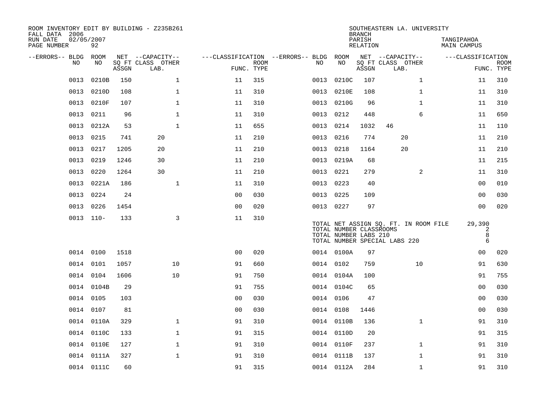| ROOM INVENTORY EDIT BY BUILDING - Z235B261<br>FALL DATA 2006 |                  |       |                           |                                        |                           |           |                                                  | <b>BRANCH</b>      | SOUTHEASTERN LA. UNIVERSITY                                            |                           |                           |
|--------------------------------------------------------------|------------------|-------|---------------------------|----------------------------------------|---------------------------|-----------|--------------------------------------------------|--------------------|------------------------------------------------------------------------|---------------------------|---------------------------|
| RUN DATE<br>PAGE NUMBER                                      | 02/05/2007<br>92 |       |                           |                                        |                           |           |                                                  | PARISH<br>RELATION |                                                                        | TANGIPAHOA<br>MAIN CAMPUS |                           |
| --ERRORS-- BLDG ROOM                                         |                  |       | NET --CAPACITY--          | ---CLASSIFICATION --ERRORS-- BLDG ROOM |                           |           |                                                  |                    | NET --CAPACITY--                                                       | ---CLASSIFICATION         |                           |
| NO                                                           | NO               | ASSGN | SQ FT CLASS OTHER<br>LAB. |                                        | <b>ROOM</b><br>FUNC. TYPE | NO        | NO                                               | ASSGN              | SQ FT CLASS OTHER<br>LAB.                                              |                           | <b>ROOM</b><br>FUNC. TYPE |
| 0013                                                         | 0210B            | 150   | $\mathbf 1$               | 11                                     | 315                       | 0013      | 0210C                                            | 107                | $\mathbf{1}$                                                           | 11                        | 310                       |
| 0013                                                         | 0210D            | 108   | $\mathbf 1$               | 11                                     | 310                       | 0013      | 0210E                                            | 108                | $\mathbf{1}$                                                           | 11                        | 310                       |
| 0013                                                         | 0210F            | 107   | $\mathbf{1}$              | 11                                     | 310                       | 0013      | 0210G                                            | 96                 | $\mathbf{1}$                                                           | 11                        | 310                       |
| 0013                                                         | 0211             | 96    | 1                         | 11                                     | 310                       | 0013      | 0212                                             | 448                | 6                                                                      | 11                        | 650                       |
| 0013                                                         | 0212A            | 53    | $\mathbf{1}$              | 11                                     | 655                       | 0013      | 0214                                             | 1032               | 46                                                                     | 11                        | 110                       |
| 0013                                                         | 0215             | 741   | 20                        | 11                                     | 210                       | 0013 0216 |                                                  | 774                | 20                                                                     | 11                        | 210                       |
| 0013                                                         | 0217             | 1205  | 20                        | 11                                     | 210                       | 0013      | 0218                                             | 1164               | 20                                                                     | 11                        | 210                       |
| 0013                                                         | 0219             | 1246  | 30                        | 11                                     | 210                       |           | 0013 0219A                                       | 68                 |                                                                        | 11                        | 215                       |
| 0013                                                         | 0220             | 1264  | 30                        | 11                                     | 210                       | 0013      | 0221                                             | 279                | $\overline{2}$                                                         | 11                        | 310                       |
| 0013                                                         | 0221A            | 186   | $\mathbf 1$               | 11                                     | 310                       | 0013 0223 |                                                  | 40                 |                                                                        | 00                        | 010                       |
| 0013                                                         | 0224             | 24    |                           | 0 <sub>0</sub>                         | 030                       | 0013 0225 |                                                  | 109                |                                                                        | 0 <sub>0</sub>            | 030                       |
| 0013                                                         | 0226             | 1454  |                           | 0 <sub>0</sub>                         | 020                       | 0013 0227 |                                                  | 97                 |                                                                        | 0 <sub>0</sub>            | 020                       |
|                                                              | $0013$ $110-$    | 133   | 3                         | 11                                     | 310                       |           | TOTAL NUMBER CLASSROOMS<br>TOTAL NUMBER LABS 210 |                    | TOTAL NET ASSIGN SQ. FT. IN ROOM FILE<br>TOTAL NUMBER SPECIAL LABS 220 | 29,390<br>2<br>8<br>6     |                           |
|                                                              | 0014 0100        | 1518  |                           | 0 <sub>0</sub>                         | 020                       |           | 0014 0100A                                       | 97                 |                                                                        | 00                        | 020                       |
|                                                              | 0014 0101        | 1057  | 10                        | 91                                     | 660                       | 0014 0102 |                                                  | 759                | 10                                                                     | 91                        | 630                       |
|                                                              | 0014 0104        | 1606  | 10                        | 91                                     | 750                       |           | 0014 0104A                                       | 100                |                                                                        | 91                        | 755                       |
|                                                              | 0014 0104B       | 29    |                           | 91                                     | 755                       |           | 0014 0104C                                       | 65                 |                                                                        | 00                        | 030                       |
| 0014                                                         | 0105             | 103   |                           | 00                                     | 030                       | 0014 0106 |                                                  | 47                 |                                                                        | 0 <sub>0</sub>            | 030                       |
|                                                              | 0014 0107        | 81    |                           | 0 <sub>0</sub>                         | 030                       | 0014 0108 |                                                  | 1446               |                                                                        | 0 <sub>0</sub>            | 030                       |
|                                                              | 0014 0110A       | 329   | $\mathbf{1}$              | 91                                     | 310                       |           | 0014 0110B                                       | 136                | $\mathbf{1}$                                                           | 91                        | 310                       |
|                                                              | 0014 0110C       | 133   | $\mathbf 1$               | 91                                     | 315                       |           | 0014 0110D                                       | 20                 |                                                                        | 91                        | 315                       |
|                                                              | 0014 0110E       | 127   | $\mathbf{1}$              | 91                                     | 310                       |           | 0014 0110F                                       | 237                | $\mathbf{1}$                                                           | 91                        | 310                       |
|                                                              | 0014 0111A       | 327   | $\mathbf 1$               | 91                                     | 310                       |           | 0014 0111B                                       | 137                | $\mathbf{1}$                                                           | 91                        | 310                       |
|                                                              | 0014 0111C       | 60    |                           | 91                                     | 315                       |           | 0014 0112A                                       | 284                | $\mathbf{1}$                                                           | 91                        | 310                       |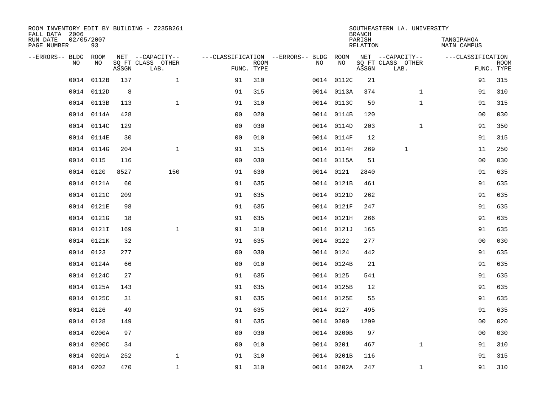| ROOM INVENTORY EDIT BY BUILDING - Z235B261<br>FALL DATA 2006 |                  |       |                           |                |             |                                        |            | <b>BRANCH</b>      | SOUTHEASTERN LA. UNIVERSITY |                           |                           |
|--------------------------------------------------------------|------------------|-------|---------------------------|----------------|-------------|----------------------------------------|------------|--------------------|-----------------------------|---------------------------|---------------------------|
| RUN DATE<br>PAGE NUMBER                                      | 02/05/2007<br>93 |       |                           |                |             |                                        |            | PARISH<br>RELATION |                             | TANGIPAHOA<br>MAIN CAMPUS |                           |
| --ERRORS-- BLDG                                              | ROOM             |       | NET --CAPACITY--          |                |             | ---CLASSIFICATION --ERRORS-- BLDG ROOM |            |                    | NET --CAPACITY--            | ---CLASSIFICATION         |                           |
| N <sub>O</sub>                                               | NO.              | ASSGN | SO FT CLASS OTHER<br>LAB. | FUNC. TYPE     | <b>ROOM</b> | NO.                                    | NO         | ASSGN              | SQ FT CLASS OTHER<br>LAB.   |                           | <b>ROOM</b><br>FUNC. TYPE |
| 0014                                                         | 0112B            | 137   | $\mathbf{1}$              | 91             | 310         |                                        | 0014 0112C | 21                 |                             | 91                        | 315                       |
|                                                              | 0014 0112D       | 8     |                           | 91             | 315         |                                        | 0014 0113A | 374                | $\mathbf{1}$                | 91                        | 310                       |
|                                                              | 0014 0113B       | 113   | $\mathbf{1}$              | 91             | 310         |                                        | 0014 0113C | 59                 | $\mathbf{1}$                | 91                        | 315                       |
| 0014                                                         | 0114A            | 428   |                           | 0 <sub>0</sub> | 020         |                                        | 0014 0114B | 120                |                             | 00                        | 030                       |
| 0014                                                         | 0114C            | 129   |                           | 00             | 030         |                                        | 0014 0114D | 203                | $\mathbf{1}$                | 91                        | 350                       |
|                                                              | 0014 0114E       | 30    |                           | 0 <sub>0</sub> | 010         |                                        | 0014 0114F | 12                 |                             | 91                        | 315                       |
|                                                              | 0014 0114G       | 204   | $\mathbf{1}$              | 91             | 315         |                                        | 0014 0114H | 269                | $\mathbf{1}$                | 11                        | 250                       |
|                                                              | 0014 0115        | 116   |                           | 0 <sub>0</sub> | 030         |                                        | 0014 0115A | 51                 |                             | 0 <sub>0</sub>            | 030                       |
|                                                              | 0014 0120        | 8527  | 150                       | 91             | 630         |                                        | 0014 0121  | 2840               |                             | 91                        | 635                       |
|                                                              | 0014 0121A       | 60    |                           | 91             | 635         |                                        | 0014 0121B | 461                |                             | 91                        | 635                       |
|                                                              | 0014 0121C       | 209   |                           | 91             | 635         |                                        | 0014 0121D | 262                |                             | 91                        | 635                       |
|                                                              | 0014 0121E       | 98    |                           | 91             | 635         |                                        | 0014 0121F | 247                |                             | 91                        | 635                       |
|                                                              | 0014 0121G       | 18    |                           | 91             | 635         |                                        | 0014 0121H | 266                |                             | 91                        | 635                       |
| 0014                                                         | 0121I            | 169   | $\mathbf 1$               | 91             | 310         |                                        | 0014 0121J | 165                |                             | 91                        | 635                       |
| 0014                                                         | 0121K            | 32    |                           | 91             | 635         |                                        | 0014 0122  | 277                |                             | 0 <sub>0</sub>            | 030                       |
|                                                              | 0014 0123        | 277   |                           | 0 <sub>0</sub> | 030         |                                        | 0014 0124  | 442                |                             | 91                        | 635                       |
|                                                              | 0014 0124A       | 66    |                           | 0 <sub>0</sub> | 010         |                                        | 0014 0124B | 21                 |                             | 91                        | 635                       |
|                                                              | 0014 0124C       | 27    |                           | 91             | 635         |                                        | 0014 0125  | 541                |                             | 91                        | 635                       |
|                                                              | 0014 0125A       | 143   |                           | 91             | 635         |                                        | 0014 0125B | 12                 |                             | 91                        | 635                       |
|                                                              | 0014 0125C       | 31    |                           | 91             | 635         |                                        | 0014 0125E | 55                 |                             | 91                        | 635                       |
|                                                              | 0014 0126        | 49    |                           | 91             | 635         |                                        | 0014 0127  | 495                |                             | 91                        | 635                       |
| 0014                                                         | 0128             | 149   |                           | 91             | 635         |                                        | 0014 0200  | 1299               |                             | 00                        | 020                       |
| 0014                                                         | 0200A            | 97    |                           | 0 <sub>0</sub> | 030         |                                        | 0014 0200B | 97                 |                             | 00                        | 030                       |
| 0014                                                         | 0200C            | 34    |                           | 0 <sub>0</sub> | 010         |                                        | 0014 0201  | 467                | $\mathbf{1}$                | 91                        | 310                       |
| 0014                                                         | 0201A            | 252   | $\mathbf 1$               | 91             | 310         |                                        | 0014 0201B | 116                |                             | 91                        | 315                       |
|                                                              | 0014 0202        | 470   | $\mathbf{1}$              | 91             | 310         |                                        | 0014 0202A | 247                | $\mathbf{1}$                | 91                        | 310                       |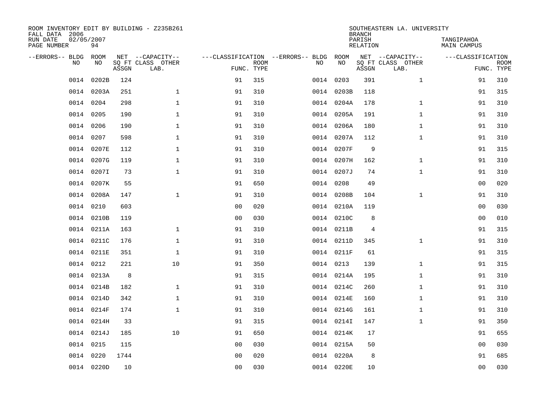| ROOM INVENTORY EDIT BY BUILDING - Z235B261<br>FALL DATA 2006 |                  |       |                           |                |                           |                                   |            | <b>BRANCH</b>      | SOUTHEASTERN LA. UNIVERSITY |                                  |                           |
|--------------------------------------------------------------|------------------|-------|---------------------------|----------------|---------------------------|-----------------------------------|------------|--------------------|-----------------------------|----------------------------------|---------------------------|
| RUN DATE<br>PAGE NUMBER                                      | 02/05/2007<br>94 |       |                           |                |                           |                                   |            | PARISH<br>RELATION |                             | TANGIPAHOA<br><b>MAIN CAMPUS</b> |                           |
| --ERRORS-- BLDG                                              | ROOM             |       | NET --CAPACITY--          |                |                           | ---CLASSIFICATION --ERRORS-- BLDG | ROOM       |                    | NET --CAPACITY--            | ---CLASSIFICATION                |                           |
| NO                                                           | NO               | ASSGN | SQ FT CLASS OTHER<br>LAB. |                | <b>ROOM</b><br>FUNC. TYPE | NO                                | NO         | ASSGN              | SQ FT CLASS OTHER<br>LAB.   |                                  | <b>ROOM</b><br>FUNC. TYPE |
| 0014                                                         | 0202B            | 124   |                           | 91             | 315                       |                                   | 0014 0203  | 391                | $\mathbf{1}$                | 91                               | 310                       |
| 0014                                                         | 0203A            | 251   | $\mathbf{1}$              | 91             | 310                       |                                   | 0014 0203B | 118                |                             | 91                               | 315                       |
| 0014                                                         | 0204             | 298   | $\mathbf{1}$              | 91             | 310                       |                                   | 0014 0204A | 178                | $\mathbf{1}$                | 91                               | 310                       |
| 0014                                                         | 0205             | 190   | $\mathbf{1}$              | 91             | 310                       |                                   | 0014 0205A | 191                | $\mathbf{1}$                | 91                               | 310                       |
| 0014                                                         | 0206             | 190   | $\mathbf 1$               | 91             | 310                       |                                   | 0014 0206A | 180                | $\mathbf{1}$                | 91                               | 310                       |
| 0014                                                         | 0207             | 598   | $\mathbf 1$               | 91             | 310                       |                                   | 0014 0207A | 112                | $\mathbf{1}$                | 91                               | 310                       |
| 0014                                                         | 0207E            | 112   | $\mathbf{1}$              | 91             | 310                       |                                   | 0014 0207F | 9                  |                             | 91                               | 315                       |
|                                                              | 0014 0207G       | 119   | $\mathbf 1$               | 91             | 310                       |                                   | 0014 0207H | 162                | $\mathbf{1}$                | 91                               | 310                       |
| 0014                                                         | 0207I            | 73    | $\mathbf{1}$              | 91             | 310                       |                                   | 0014 0207J | 74                 | $\mathbf{1}$                | 91                               | 310                       |
|                                                              | 0014 0207K       | 55    |                           | 91             | 650                       |                                   | 0014 0208  | 49                 |                             | 00                               | 020                       |
|                                                              | 0014 0208A       | 147   | $\mathbf{1}$              | 91             | 310                       |                                   | 0014 0208B | 104                | $\mathbf{1}$                | 91                               | 310                       |
|                                                              | 0014 0210        | 603   |                           | 0 <sub>0</sub> | 020                       |                                   | 0014 0210A | 119                |                             | 0 <sub>0</sub>                   | 030                       |
| 0014                                                         | 0210B            | 119   |                           | 0 <sub>0</sub> | 030                       |                                   | 0014 0210C | 8                  |                             | 0 <sub>0</sub>                   | 010                       |
| 0014                                                         | 0211A            | 163   | $\mathbf{1}$              | 91             | 310                       |                                   | 0014 0211B | 4                  |                             | 91                               | 315                       |
| 0014                                                         | 0211C            | 176   | $\mathbf 1$               | 91             | 310                       |                                   | 0014 0211D | 345                | $\mathbf{1}$                | 91                               | 310                       |
| 0014                                                         | 0211E            | 351   | $\mathbf 1$               | 91             | 310                       |                                   | 0014 0211F | 61                 |                             | 91                               | 315                       |
| 0014                                                         | 0212             | 221   | 10                        | 91             | 350                       |                                   | 0014 0213  | 139                | $\mathbf{1}$                | 91                               | 315                       |
| 0014                                                         | 0213A            | 8     |                           | 91             | 315                       |                                   | 0014 0214A | 195                | $\mathbf{1}$                | 91                               | 310                       |
|                                                              | 0014 0214B       | 182   | $\mathbf 1$               | 91             | 310                       |                                   | 0014 0214C | 260                | $\mathbf{1}$                | 91                               | 310                       |
|                                                              | 0014 0214D       | 342   | $\mathbf 1$               | 91             | 310                       |                                   | 0014 0214E | 160                | $\mathbf{1}$                | 91                               | 310                       |
|                                                              | 0014 0214F       | 174   | $\mathbf{1}$              | 91             | 310                       |                                   | 0014 0214G | 161                | $\mathbf{1}$                | 91                               | 310                       |
|                                                              | 0014 0214H       | 33    |                           | 91             | 315                       |                                   | 0014 0214I | 147                | $\mathbf{1}$                | 91                               | 350                       |
|                                                              | 0014 0214J       | 185   | 10                        | 91             | 650                       |                                   | 0014 0214K | 17                 |                             | 91                               | 655                       |
|                                                              | 0014 0215        | 115   |                           | 00             | 030                       |                                   | 0014 0215A | 50                 |                             | 0 <sub>0</sub>                   | 030                       |
| 0014                                                         | 0220             | 1744  |                           | 0 <sub>0</sub> | 020                       |                                   | 0014 0220A | 8                  |                             | 91                               | 685                       |
|                                                              | 0014 0220D       | 10    |                           | 00             | 030                       |                                   | 0014 0220E | 10                 |                             | 0 <sub>0</sub>                   | 030                       |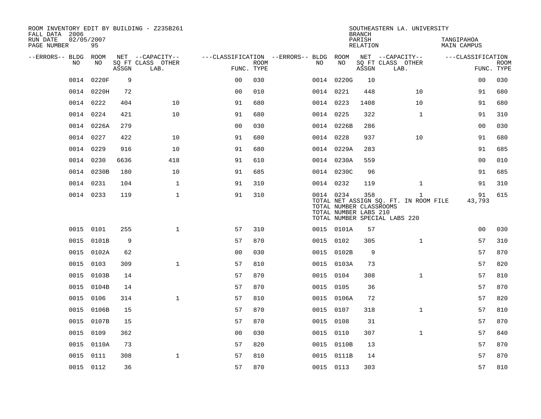| ROOM INVENTORY EDIT BY BUILDING - Z235B261<br>FALL DATA 2006 |                  |       |                           |                                        |             |           |            | <b>BRANCH</b>                                           | SOUTHEASTERN LA. UNIVERSITY                                                            |                           |                           |
|--------------------------------------------------------------|------------------|-------|---------------------------|----------------------------------------|-------------|-----------|------------|---------------------------------------------------------|----------------------------------------------------------------------------------------|---------------------------|---------------------------|
| RUN DATE<br>PAGE NUMBER                                      | 02/05/2007<br>95 |       |                           |                                        |             |           |            | PARISH<br>RELATION                                      |                                                                                        | TANGIPAHOA<br>MAIN CAMPUS |                           |
| --ERRORS-- BLDG ROOM                                         |                  |       | NET --CAPACITY--          | ---CLASSIFICATION --ERRORS-- BLDG ROOM |             |           |            |                                                         | NET --CAPACITY--                                                                       | ---CLASSIFICATION         |                           |
| NO                                                           | NO               | ASSGN | SQ FT CLASS OTHER<br>LAB. | FUNC. TYPE                             | <b>ROOM</b> | NO.       | NO         | ASSGN                                                   | SQ FT CLASS OTHER<br>LAB.                                                              |                           | <b>ROOM</b><br>FUNC. TYPE |
| 0014                                                         | 0220F            | 9     |                           | 0 <sup>0</sup>                         | 030         |           | 0014 0220G | 10                                                      |                                                                                        | 0 <sub>0</sub>            | 030                       |
|                                                              | 0014 0220H       | 72    |                           | 0 <sub>0</sub>                         | 010         | 0014 0221 |            | 448                                                     | 10                                                                                     | 91                        | 680                       |
|                                                              | 0014 0222        | 404   | 10                        | 91                                     | 680         | 0014 0223 |            | 1408                                                    | 10                                                                                     | 91                        | 680                       |
|                                                              | 0014 0224        | 421   | 10                        | 91                                     | 680         | 0014 0225 |            | 322                                                     | $\mathbf{1}$                                                                           | 91                        | 310                       |
|                                                              | 0014 0226A       | 279   |                           | 00                                     | 030         |           | 0014 0226B | 286                                                     |                                                                                        | 0 <sub>0</sub>            | 030                       |
|                                                              | 0014 0227        | 422   | 10                        | 91                                     | 680         | 0014 0228 |            | 937                                                     | 10                                                                                     | 91                        | 680                       |
|                                                              | 0014 0229        | 916   | 10                        | 91                                     | 680         |           | 0014 0229A | 283                                                     |                                                                                        | 91                        | 685                       |
|                                                              | 0014 0230        | 6636  | 418                       | 91                                     | 610         |           | 0014 0230A | 559                                                     |                                                                                        | 0 <sub>0</sub>            | 010                       |
|                                                              | 0014 0230B       | 180   | 10                        | 91                                     | 685         |           | 0014 0230C | 96                                                      |                                                                                        | 91                        | 685                       |
|                                                              | 0014 0231        | 104   | $\mathbf{1}$              | 91                                     | 310         | 0014 0232 |            | 119                                                     | $\mathbf{1}$                                                                           | 91                        | 310                       |
|                                                              | 0014 0233        | 119   | $\mathbf{1}$              | 91                                     | 310         | 0014 0234 |            | 358<br>TOTAL NUMBER CLASSROOMS<br>TOTAL NUMBER LABS 210 | $\mathbf{1}$<br>TOTAL NET ASSIGN SQ. FT. IN ROOM FILE<br>TOTAL NUMBER SPECIAL LABS 220 | 91<br>43,793              | 615                       |
|                                                              | 0015 0101        | 255   | $\mathbf 1$               | 57                                     | 310         |           | 0015 0101A | 57                                                      |                                                                                        | 0 <sub>0</sub>            | 030                       |
| 0015                                                         | 0101B            | 9     |                           | 57                                     | 870         | 0015 0102 |            | 305                                                     | $\mathbf{1}$                                                                           | 57                        | 310                       |
|                                                              | 0015 0102A       | 62    |                           | 0 <sub>0</sub>                         | 030         |           | 0015 0102B | 9                                                       |                                                                                        | 57                        | 870                       |
|                                                              | 0015 0103        | 309   | $\mathbf{1}$              | 57                                     | 810         |           | 0015 0103A | 73                                                      |                                                                                        | 57                        | 820                       |
|                                                              | 0015 0103B       | 14    |                           | 57                                     | 870         | 0015 0104 |            | 308                                                     | $\mathbf{1}$                                                                           | 57                        | 810                       |
|                                                              | 0015 0104B       | 14    |                           | 57                                     | 870         | 0015 0105 |            | 36                                                      |                                                                                        | 57                        | 870                       |
|                                                              | 0015 0106        | 314   | $\mathbf{1}$              | 57                                     | 810         |           | 0015 0106A | 72                                                      |                                                                                        | 57                        | 820                       |
|                                                              | 0015 0106B       | 15    |                           | 57                                     | 870         | 0015 0107 |            | 318                                                     | $\mathbf{1}$                                                                           | 57                        | 810                       |
| 0015                                                         | 0107B            | 15    |                           | 57                                     | 870         | 0015 0108 |            | 31                                                      |                                                                                        | 57                        | 870                       |
| 0015                                                         | 0109             | 362   |                           | 0 <sub>0</sub>                         | 030         | 0015 0110 |            | 307                                                     | $\mathbf{1}$                                                                           | 57                        | 840                       |
| 0015                                                         | 0110A            | 73    |                           | 57                                     | 820         |           | 0015 0110B | 13                                                      |                                                                                        | 57                        | 870                       |
| 0015                                                         | 0111             | 308   | $\mathbf{1}$              | 57                                     | 810         |           | 0015 0111B | 14                                                      |                                                                                        | 57                        | 870                       |
|                                                              | 0015 0112        | 36    |                           | 57                                     | 870         | 0015 0113 |            | 303                                                     |                                                                                        | 57                        | 810                       |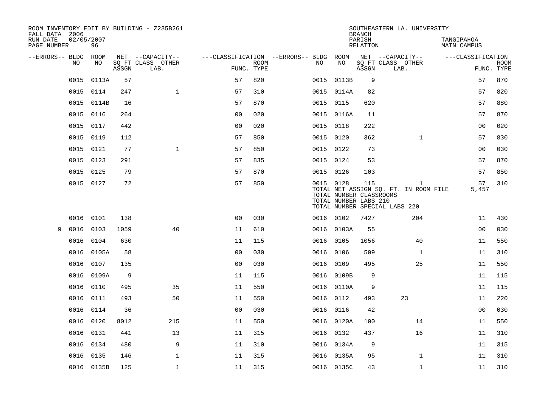| FALL DATA 2006          |                  |       | ROOM INVENTORY EDIT BY BUILDING - Z235B261 |                |                           |                                   |                                                               | <b>BRANCH</b>      | SOUTHEASTERN LA. UNIVERSITY                                                            |                           |                           |
|-------------------------|------------------|-------|--------------------------------------------|----------------|---------------------------|-----------------------------------|---------------------------------------------------------------|--------------------|----------------------------------------------------------------------------------------|---------------------------|---------------------------|
| RUN DATE<br>PAGE NUMBER | 02/05/2007<br>96 |       |                                            |                |                           |                                   |                                                               | PARISH<br>RELATION |                                                                                        | TANGIPAHOA<br>MAIN CAMPUS |                           |
| --ERRORS-- BLDG ROOM    |                  |       | NET --CAPACITY--                           |                |                           | ---CLASSIFICATION --ERRORS-- BLDG | ROOM                                                          |                    | NET --CAPACITY--                                                                       | ---CLASSIFICATION         |                           |
| NO.                     | NO.              | ASSGN | SQ FT CLASS OTHER<br>LAB.                  |                | <b>ROOM</b><br>FUNC. TYPE | NO.                               | NO                                                            | ASSGN              | SQ FT CLASS OTHER<br>LAB.                                                              |                           | <b>ROOM</b><br>FUNC. TYPE |
| 0015                    | 0113A            | 57    |                                            | 57             | 820                       | 0015                              | 0113B                                                         | 9                  |                                                                                        | 57                        | 870                       |
| 0015                    | 0114             | 247   | $\mathbf{1}$                               | 57             | 310                       |                                   | 0015 0114A                                                    | 82                 |                                                                                        | 57                        | 820                       |
|                         | 0015 0114B       | 16    |                                            | 57             | 870                       |                                   | 0015 0115                                                     | 620                |                                                                                        | 57                        | 880                       |
| 0015                    | 0116             | 264   |                                            | 0 <sub>0</sub> | 020                       |                                   | 0015 0116A                                                    | 11                 |                                                                                        | 57                        | 870                       |
| 0015                    | 0117             | 442   |                                            | 0 <sub>0</sub> | 020                       |                                   | 0015 0118                                                     | 222                |                                                                                        | 0 <sub>0</sub>            | 020                       |
| 0015                    | 0119             | 112   |                                            | 57             | 850                       |                                   | 0015 0120                                                     | 362                | $\mathbf{1}$                                                                           | 57                        | 830                       |
| 0015                    | 0121             | 77    | $\mathbf{1}$                               | 57             | 850                       |                                   | 0015 0122                                                     | 73                 |                                                                                        | 00                        | 030                       |
| 0015                    | 0123             | 291   |                                            | 57             | 835                       |                                   | 0015 0124                                                     | 53                 |                                                                                        | 57                        | 870                       |
| 0015                    | 0125             | 79    |                                            | 57             | 870                       |                                   | 0015 0126                                                     | 103                |                                                                                        | 57                        | 850                       |
|                         | 0015 0127        | 72    |                                            | 57             | 850                       |                                   | 0015 0128<br>TOTAL NUMBER CLASSROOMS<br>TOTAL NUMBER LABS 210 | 115                | $\mathbf{1}$<br>TOTAL NET ASSIGN SQ. FT. IN ROOM FILE<br>TOTAL NUMBER SPECIAL LABS 220 | 57<br>5,457               | 310                       |
| 0016                    | 0101             | 138   |                                            | 0 <sub>0</sub> | 030                       |                                   | 0016 0102                                                     | 7427               | 204                                                                                    | 11                        | 430                       |
| 0016<br>9               | 0103             | 1059  | 40                                         | 11             | 610                       |                                   | 0016 0103A                                                    | 55                 |                                                                                        | 00                        | 030                       |
| 0016                    | 0104             | 630   |                                            | 11             | 115                       | 0016                              | 0105                                                          | 1056               | 40                                                                                     | 11                        | 550                       |
| 0016                    | 0105A            | 58    |                                            | 0 <sub>0</sub> | 030                       | 0016                              | 0106                                                          | 509                | $\mathbf{1}$                                                                           | 11                        | 310                       |
| 0016                    | 0107             | 135   |                                            | 0 <sub>0</sub> | 030                       | 0016                              | 0109                                                          | 495                | 25                                                                                     | 11                        | 550                       |
| 0016                    | 0109A            | 9     |                                            | 11             | 115                       |                                   | 0016 0109B                                                    | 9                  |                                                                                        | 11                        | 115                       |
| 0016                    | 0110             | 495   | 35                                         | 11             | 550                       |                                   | 0016 0110A                                                    | 9                  |                                                                                        | 11                        | 115                       |
| 0016                    | 0111             | 493   | 50                                         | 11             | 550                       |                                   | 0016 0112                                                     | 493                | 23                                                                                     | 11                        | 220                       |
| 0016                    | 0114             | 36    |                                            | 0 <sub>0</sub> | 030                       |                                   | 0016 0116                                                     | 42                 |                                                                                        | 00                        | 030                       |
| 0016                    | 0120             | 8012  | 215                                        | 11             | 550                       |                                   | 0016 0120A                                                    | 100                | 14                                                                                     | 11                        | 550                       |
|                         | 0016 0131        | 441   | 13                                         | 11             | 315                       |                                   | 0016 0132                                                     | 437                | 16                                                                                     | 11                        | 310                       |
| 0016                    | 0134             | 480   | 9                                          | 11             | 310                       |                                   | 0016 0134A                                                    | 9                  |                                                                                        | 11                        | 315                       |
| 0016                    | 0135             | 146   | $\mathbf{1}$                               | 11             | 315                       |                                   | 0016 0135A                                                    | 95                 | $\mathbf{1}$                                                                           | 11                        | 310                       |
|                         | 0016 0135B       | 125   | 1                                          | 11             | 315                       |                                   | 0016 0135C                                                    | 43                 | $\mathbf{1}$                                                                           | 11                        | 310                       |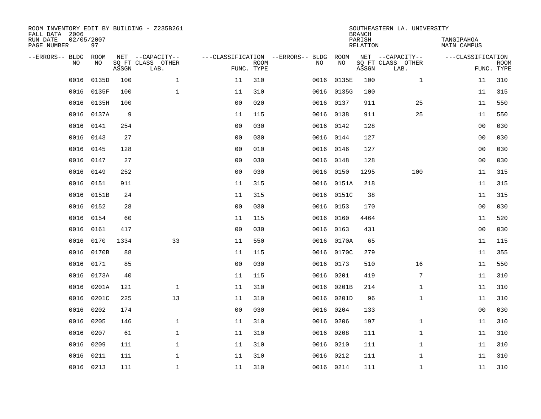| ROOM INVENTORY EDIT BY BUILDING - Z235B261<br>FALL DATA 2006<br>RUN DATE | 02/05/2007 |       |                           |                |                           |                                   |      |            | <b>BRANCH</b><br>PARISH | SOUTHEASTERN LA. UNIVERSITY | TANGIPAHOA        |                           |
|--------------------------------------------------------------------------|------------|-------|---------------------------|----------------|---------------------------|-----------------------------------|------|------------|-------------------------|-----------------------------|-------------------|---------------------------|
| PAGE NUMBER                                                              | 97         |       |                           |                |                           |                                   |      |            | <b>RELATION</b>         |                             | MAIN CAMPUS       |                           |
| --ERRORS-- BLDG                                                          | ROOM       |       | NET --CAPACITY--          |                |                           | ---CLASSIFICATION --ERRORS-- BLDG |      | ROOM       |                         | NET --CAPACITY--            | ---CLASSIFICATION |                           |
| NO.                                                                      | NO         | ASSGN | SQ FT CLASS OTHER<br>LAB. |                | <b>ROOM</b><br>FUNC. TYPE |                                   | NO   | NO         | ASSGN                   | SQ FT CLASS OTHER<br>LAB.   |                   | <b>ROOM</b><br>FUNC. TYPE |
| 0016                                                                     | 0135D      | 100   | $\mathbf{1}$              | 11             | 310                       |                                   | 0016 | 0135E      | 100                     | $\mathbf{1}$                | 11                | 310                       |
| 0016                                                                     | 0135F      | 100   | $\mathbf{1}$              | 11             | 310                       |                                   |      | 0016 0135G | 100                     |                             | 11                | 315                       |
| 0016                                                                     | 0135H      | 100   |                           | 0 <sub>0</sub> | 020                       |                                   | 0016 | 0137       | 911                     | 25                          | 11                | 550                       |
| 0016                                                                     | 0137A      | 9     |                           | 11             | 115                       |                                   |      | 0016 0138  | 911                     | 25                          | 11                | 550                       |
| 0016                                                                     | 0141       | 254   |                           | 0 <sub>0</sub> | 030                       |                                   |      | 0016 0142  | 128                     |                             | 0 <sub>0</sub>    | 030                       |
| 0016                                                                     | 0143       | 27    |                           | 0 <sub>0</sub> | 030                       |                                   |      | 0016 0144  | 127                     |                             | 0 <sub>0</sub>    | 030                       |
| 0016                                                                     | 0145       | 128   |                           | 0 <sub>0</sub> | 010                       |                                   |      | 0016 0146  | 127                     |                             | 0 <sub>0</sub>    | 030                       |
| 0016                                                                     | 0147       | 27    |                           | 0 <sub>0</sub> | 030                       |                                   |      | 0016 0148  | 128                     |                             | 0 <sub>0</sub>    | 030                       |
| 0016                                                                     | 0149       | 252   |                           | 0 <sub>0</sub> | 030                       |                                   | 0016 | 0150       | 1295                    | 100                         | 11                | 315                       |
| 0016                                                                     | 0151       | 911   |                           | 11             | 315                       |                                   |      | 0016 0151A | 218                     |                             | 11                | 315                       |
| 0016                                                                     | 0151B      | 24    |                           | 11             | 315                       |                                   | 0016 | 0151C      | 38                      |                             | 11                | 315                       |
| 0016                                                                     | 0152       | 28    |                           | 0 <sub>0</sub> | 030                       |                                   |      | 0016 0153  | 170                     |                             | 0 <sub>0</sub>    | 030                       |
| 0016                                                                     | 0154       | 60    |                           | 11             | 115                       |                                   | 0016 | 0160       | 4464                    |                             | 11                | 520                       |
| 0016                                                                     | 0161       | 417   |                           | 0 <sub>0</sub> | 030                       |                                   |      | 0016 0163  | 431                     |                             | 0 <sub>0</sub>    | 030                       |
| 0016                                                                     | 0170       | 1334  | 33                        | 11             | 550                       |                                   | 0016 | 0170A      | 65                      |                             | 11                | 115                       |
| 0016                                                                     | 0170B      | 88    |                           | 11             | 115                       |                                   |      | 0016 0170C | 279                     |                             | 11                | 355                       |
| 0016                                                                     | 0171       | 85    |                           | 0 <sub>0</sub> | 030                       |                                   | 0016 | 0173       | 510                     | 16                          | 11                | 550                       |
| 0016                                                                     | 0173A      | 40    |                           | 11             | 115                       |                                   | 0016 | 0201       | 419                     | 7                           | 11                | 310                       |
| 0016                                                                     | 0201A      | 121   | $\mathbf 1$               | 11             | 310                       |                                   |      | 0016 0201B | 214                     | $\mathbf{1}$                | 11                | 310                       |
| 0016                                                                     | 0201C      | 225   | 13                        | 11             | 310                       |                                   | 0016 | 0201D      | 96                      | $\mathbf{1}$                | 11                | 310                       |
| 0016                                                                     | 0202       | 174   |                           | 0 <sub>0</sub> | 030                       |                                   | 0016 | 0204       | 133                     |                             | 00                | 030                       |
| 0016                                                                     | 0205       | 146   | $\mathbf 1$               | 11             | 310                       |                                   | 0016 | 0206       | 197                     | $\mathbf{1}$                | 11                | 310                       |
| 0016                                                                     | 0207       | 61    | $\mathbf{1}$              | 11             | 310                       |                                   | 0016 | 0208       | 111                     | $\mathbf{1}$                | 11                | 310                       |
| 0016                                                                     | 0209       | 111   | $\mathbf 1$               | 11             | 310                       |                                   | 0016 | 0210       | 111                     | $\mathbf{1}$                | 11                | 310                       |
| 0016                                                                     | 0211       | 111   | $\mathbf 1$               | 11             | 310                       |                                   | 0016 | 0212       | 111                     | $\mathbf{1}$                | 11                | 310                       |
|                                                                          | 0016 0213  | 111   | $\mathbf{1}$              | 11             | 310                       |                                   |      | 0016 0214  | 111                     | $\mathbf{1}$                | 11                | 310                       |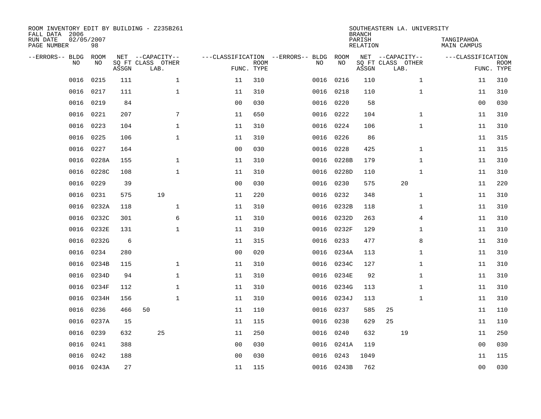| FALL DATA 2006<br>RUN DATE<br>PAGE NUMBER | 02/05/2007 | 98         |       | ROOM INVENTORY EDIT BY BUILDING - Z235B261    |                                   |                           |      |            | <b>BRANCH</b><br>PARISH<br>RELATION | SOUTHEASTERN LA. UNIVERSITY                   | TANGIPAHOA<br>MAIN CAMPUS |                           |
|-------------------------------------------|------------|------------|-------|-----------------------------------------------|-----------------------------------|---------------------------|------|------------|-------------------------------------|-----------------------------------------------|---------------------------|---------------------------|
| --ERRORS-- BLDG                           | <b>NO</b>  | ROOM<br>NO | ASSGN | NET --CAPACITY--<br>SO FT CLASS OTHER<br>LAB. | ---CLASSIFICATION --ERRORS-- BLDG | <b>ROOM</b><br>FUNC. TYPE | NO   | ROOM<br>NO | ASSGN                               | NET --CAPACITY--<br>SQ FT CLASS OTHER<br>LAB. | ---CLASSIFICATION         | <b>ROOM</b><br>FUNC. TYPE |
|                                           | 0016       | 0215       | 111   | $\mathbf{1}$                                  | 11                                | 310                       | 0016 | 0216       | 110                                 | $\mathbf{1}$                                  | 11                        | 310                       |
|                                           | 0016       | 0217       | 111   | $\mathbf 1$                                   | 11                                | 310                       | 0016 | 0218       | 110                                 | $\mathbf{1}$                                  | 11                        | 310                       |
|                                           | 0016       | 0219       | 84    |                                               | 0 <sub>0</sub>                    | 030                       | 0016 | 0220       | 58                                  |                                               | 0 <sub>0</sub>            | 030                       |
|                                           | 0016       | 0221       | 207   | 7                                             | 11                                | 650                       |      | 0016 0222  | 104                                 | $\mathbf{1}$                                  | 11                        | 310                       |
|                                           | 0016       | 0223       | 104   | $\mathbf{1}$                                  | 11                                | 310                       | 0016 | 0224       | 106                                 | $\mathbf{1}$                                  | 11                        | 310                       |
|                                           | 0016       | 0225       | 106   | $\mathbf{1}$                                  | 11                                | 310                       |      | 0016 0226  | 86                                  |                                               | 11                        | 315                       |
|                                           | 0016       | 0227       | 164   |                                               | 0 <sub>0</sub>                    | 030                       | 0016 | 0228       | 425                                 | $\mathbf{1}$                                  | 11                        | 315                       |
|                                           | 0016       | 0228A      | 155   | $\mathbf{1}$                                  | 11                                | 310                       |      | 0016 0228B | 179                                 | $\mathbf{1}$                                  | 11                        | 310                       |
|                                           | 0016       | 0228C      | 108   | $\mathbf{1}$                                  | 11                                | 310                       | 0016 | 0228D      | 110                                 | $\mathbf{1}$                                  | 11                        | 310                       |
|                                           | 0016       | 0229       | 39    |                                               | 0 <sub>0</sub>                    | 030                       | 0016 | 0230       | 575                                 | 20                                            | 11                        | 220                       |
|                                           | 0016       | 0231       | 575   | 19                                            | 11                                | 220                       | 0016 | 0232       | 348                                 | $\mathbf{1}$                                  | 11                        | 310                       |
|                                           | 0016       | 0232A      | 118   | $\mathbf 1$                                   | 11                                | 310                       | 0016 | 0232B      | 118                                 | $\mathbf{1}$                                  | 11                        | 310                       |
|                                           | 0016       | 0232C      | 301   | 6                                             | 11                                | 310                       | 0016 | 0232D      | 263                                 | 4                                             | 11                        | 310                       |
|                                           | 0016       | 0232E      | 131   | $\mathbf 1$                                   | 11                                | 310                       | 0016 | 0232F      | 129                                 | $\mathbf{1}$                                  | 11                        | 310                       |
|                                           | 0016       | 0232G      | 6     |                                               | 11                                | 315                       | 0016 | 0233       | 477                                 | 8                                             | 11                        | 310                       |
|                                           | 0016       | 0234       | 280   |                                               | 0 <sub>0</sub>                    | 020                       | 0016 | 0234A      | 113                                 | $\mathbf{1}$                                  | 11                        | 310                       |
|                                           | 0016       | 0234B      | 115   | $\mathbf{1}$                                  | 11                                | 310                       | 0016 | 0234C      | 127                                 | $\mathbf{1}$                                  | 11                        | 310                       |
|                                           | 0016       | 0234D      | 94    | $\mathbf{1}$                                  | 11                                | 310                       | 0016 | 0234E      | 92                                  | $\mathbf{1}$                                  | 11                        | 310                       |
|                                           | 0016       | 0234F      | 112   | $\mathbf{1}$                                  | 11                                | 310                       |      | 0016 0234G | 113                                 | $\mathbf{1}$                                  | 11                        | 310                       |
|                                           | 0016       | 0234H      | 156   | $\mathbf{1}$                                  | 11                                | 310                       | 0016 | 0234J      | 113                                 | $\mathbf{1}$                                  | 11                        | 310                       |
|                                           | 0016       | 0236       | 466   | 50                                            | 11                                | 110                       |      | 0016 0237  | 585                                 | 25                                            | 11                        | 110                       |
|                                           | 0016       | 0237A      | 15    |                                               | 11                                | 115                       | 0016 | 0238       | 629                                 | 25                                            | 11                        | 110                       |
|                                           | 0016       | 0239       | 632   | 25                                            | 11                                | 250                       | 0016 | 0240       | 632                                 | 19                                            | 11                        | 250                       |
|                                           | 0016       | 0241       | 388   |                                               | 00                                | 030                       | 0016 | 0241A      | 119                                 |                                               | 0 <sub>0</sub>            | 030                       |
|                                           | 0016       | 0242       | 188   |                                               | 0 <sub>0</sub>                    | 030                       | 0016 | 0243       | 1049                                |                                               | 11                        | 115                       |
|                                           |            | 0016 0243A | 27    |                                               | 11                                | 115                       |      | 0016 0243B | 762                                 |                                               | 0 <sub>0</sub>            | 030                       |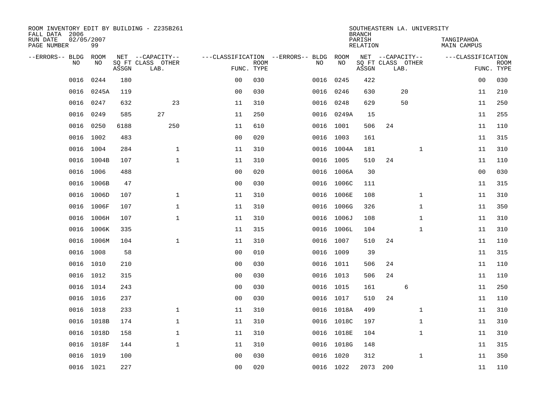| ROOM INVENTORY EDIT BY BUILDING - Z235B261<br>FALL DATA 2006 |                  |       |                           |                |             |                                   |            | <b>BRANCH</b>      |     | SOUTHEASTERN LA. UNIVERSITY |                           |                           |
|--------------------------------------------------------------|------------------|-------|---------------------------|----------------|-------------|-----------------------------------|------------|--------------------|-----|-----------------------------|---------------------------|---------------------------|
| RUN DATE<br>PAGE NUMBER                                      | 02/05/2007<br>99 |       |                           |                |             |                                   |            | PARISH<br>RELATION |     |                             | TANGIPAHOA<br>MAIN CAMPUS |                           |
| --ERRORS-- BLDG                                              | ROOM             |       | NET --CAPACITY--          |                |             | ---CLASSIFICATION --ERRORS-- BLDG | ROOM       |                    |     | NET --CAPACITY--            | ---CLASSIFICATION         |                           |
| N <sub>O</sub>                                               | NO.              | ASSGN | SO FT CLASS OTHER<br>LAB. | FUNC. TYPE     | <b>ROOM</b> | NO.                               | NO         | ASSGN              |     | SQ FT CLASS OTHER<br>LAB.   |                           | <b>ROOM</b><br>FUNC. TYPE |
| 0016                                                         | 0244             | 180   |                           | 0 <sub>0</sub> | 030         | 0016                              | 0245       | 422                |     |                             | 00                        | 030                       |
| 0016                                                         | 0245A            | 119   |                           | 0 <sub>0</sub> | 030         | 0016                              | 0246       | 630                |     | 20                          | 11                        | 210                       |
| 0016                                                         | 0247             | 632   | 23                        | 11             | 310         | 0016                              | 0248       | 629                |     | 50                          | 11                        | 250                       |
| 0016                                                         | 0249             | 585   | 27                        | 11             | 250         |                                   | 0016 0249A | 15                 |     |                             | 11                        | 255                       |
| 0016                                                         | 0250             | 6188  | 250                       | 11             | 610         | 0016                              | 1001       | 506                | 24  |                             | 11                        | 110                       |
| 0016                                                         | 1002             | 483   |                           | 0 <sub>0</sub> | 020         |                                   | 0016 1003  | 161                |     |                             | 11                        | 315                       |
| 0016                                                         | 1004             | 284   | $\mathbf 1$               | 11             | 310         |                                   | 0016 1004A | 181                |     | $\mathbf{1}$                | 11                        | 310                       |
|                                                              | 0016 1004B       | 107   | $\mathbf 1$               | 11             | 310         |                                   | 0016 1005  | 510                | 24  |                             | 11                        | 110                       |
| 0016                                                         | 1006             | 488   |                           | 0 <sub>0</sub> | 020         | 0016                              | 1006A      | 30                 |     |                             | 0 <sub>0</sub>            | 030                       |
| 0016                                                         | 1006B            | 47    |                           | 0 <sub>0</sub> | 030         |                                   | 0016 1006C | 111                |     |                             | 11                        | 315                       |
| 0016                                                         | 1006D            | 107   | $\mathbf 1$               | 11             | 310         |                                   | 0016 1006E | 108                |     | $\mathbf{1}$                | 11                        | 310                       |
| 0016                                                         | 1006F            | 107   | $\mathbf 1$               | 11             | 310         |                                   | 0016 1006G | 326                |     | $\mathbf{1}$                | 11                        | 350                       |
| 0016                                                         | 1006H            | 107   | $\mathbf{1}$              | 11             | 310         | 0016                              | 1006J      | 108                |     | $\mathbf{1}$                | 11                        | 310                       |
| 0016                                                         | 1006K            | 335   |                           | 11             | 315         |                                   | 0016 1006L | 104                |     | $\mathbf{1}$                | 11                        | 310                       |
|                                                              | 0016 1006M       | 104   | $\mathbf 1$               | 11             | 310         |                                   | 0016 1007  | 510                | 24  |                             | 11                        | 110                       |
|                                                              | 0016 1008        | 58    |                           | 0 <sub>0</sub> | 010         |                                   | 0016 1009  | 39                 |     |                             | 11                        | 315                       |
|                                                              | 0016 1010        | 210   |                           | 0 <sub>0</sub> | 030         |                                   | 0016 1011  | 506                | 24  |                             | 11                        | 110                       |
|                                                              | 0016 1012        | 315   |                           | 0 <sub>0</sub> | 030         |                                   | 0016 1013  | 506                | 24  |                             | 11                        | 110                       |
|                                                              | 0016 1014        | 243   |                           | 0 <sub>0</sub> | 030         |                                   | 0016 1015  | 161                |     | 6                           | 11                        | 250                       |
|                                                              | 0016 1016        | 237   |                           | 0 <sub>0</sub> | 030         |                                   | 0016 1017  | 510                | 24  |                             | 11                        | 110                       |
|                                                              | 0016 1018        | 233   | $\mathbf 1$               | 11             | 310         |                                   | 0016 1018A | 499                |     | $\mathbf{1}$                | 11                        | 310                       |
| 0016                                                         | 1018B            | 174   | $\mathbf 1$               | 11             | 310         |                                   | 0016 1018C | 197                |     | $\mathbf{1}$                | 11                        | 310                       |
|                                                              | 0016 1018D       | 158   | 1                         | 11             | 310         |                                   | 0016 1018E | 104                |     | $\mathbf{1}$                | 11                        | 310                       |
| 0016                                                         | 1018F            | 144   | $\mathbf{1}$              | 11             | 310         |                                   | 0016 1018G | 148                |     |                             | 11                        | 315                       |
| 0016                                                         | 1019             | 100   |                           | 0 <sub>0</sub> | 030         | 0016                              | 1020       | 312                |     | $\mathbf{1}$                | 11                        | 350                       |
|                                                              | 0016 1021        | 227   |                           | 0 <sub>0</sub> | 020         |                                   | 0016 1022  | 2073               | 200 |                             | 11                        | 110                       |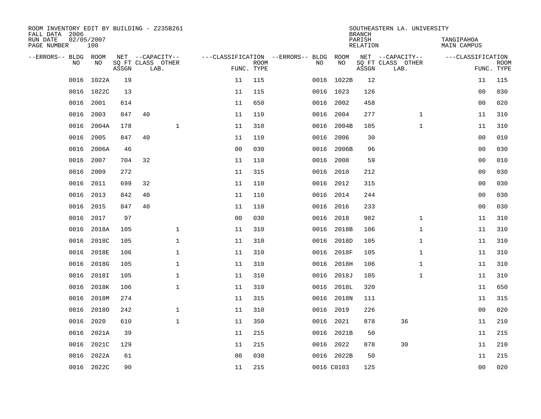| ROOM INVENTORY EDIT BY BUILDING - Z235B261<br>FALL DATA 2006 |                   |       |    |                           |                |             |                                               |            | <b>BRANCH</b>      | SOUTHEASTERN LA. UNIVERSITY |                           |                           |
|--------------------------------------------------------------|-------------------|-------|----|---------------------------|----------------|-------------|-----------------------------------------------|------------|--------------------|-----------------------------|---------------------------|---------------------------|
| RUN DATE<br>PAGE NUMBER                                      | 02/05/2007<br>100 |       |    |                           |                |             |                                               |            | PARISH<br>RELATION |                             | TANGIPAHOA<br>MAIN CAMPUS |                           |
| --ERRORS-- BLDG ROOM<br>NO.                                  | NO.               |       |    | NET --CAPACITY--          |                |             | ---CLASSIFICATION --ERRORS-- BLDG ROOM<br>NO. | NO         |                    | NET --CAPACITY--            | ---CLASSIFICATION         |                           |
|                                                              |                   | ASSGN |    | SQ FT CLASS OTHER<br>LAB. | FUNC. TYPE     | <b>ROOM</b> |                                               |            | ASSGN              | SQ FT CLASS OTHER<br>LAB.   |                           | <b>ROOM</b><br>FUNC. TYPE |
| 0016                                                         | 1022A             | 19    |    |                           | 11             | 115         |                                               | 0016 1022B | 12                 |                             | 11                        | 115                       |
|                                                              | 0016 1022C        | 13    |    |                           | 11             | 115         |                                               | 0016 1023  | 126                |                             | 0 <sub>0</sub>            | 030                       |
| 0016                                                         | 2001              | 614   |    |                           | 11             | 650         | 0016                                          | 2002       | 458                |                             | 00                        | 020                       |
| 0016                                                         | 2003              | 847   | 40 |                           | 11             | 110         | 0016                                          | 2004       | 277                | $\mathbf{1}$                | 11                        | 310                       |
| 0016                                                         | 2004A             | 178   |    | $\mathbf{1}$              | 11             | 310         | 0016                                          | 2004B      | 105                | $\mathbf{1}$                | 11                        | 310                       |
| 0016                                                         | 2005              | 847   | 40 |                           | 11             | 110         | 0016                                          | 2006       | 30                 |                             | 00                        | 010                       |
| 0016                                                         | 2006A             | 46    |    |                           | 0 <sub>0</sub> | 030         | 0016                                          | 2006B      | 96                 |                             | 0 <sub>0</sub>            | 030                       |
| 0016                                                         | 2007              | 704   | 32 |                           | 11             | 110         | 0016                                          | 2008       | 59                 |                             | 00                        | 010                       |
| 0016                                                         | 2009              | 272   |    |                           | 11             | 315         | 0016                                          | 2010       | 212                |                             | 0 <sub>0</sub>            | 030                       |
| 0016                                                         | 2011              | 699   | 32 |                           | 11             | 110         |                                               | 0016 2012  | 315                |                             | 0 <sub>0</sub>            | 030                       |
| 0016                                                         | 2013              | 842   | 40 |                           | 11             | 110         | 0016                                          | 2014       | 244                |                             | 0 <sub>0</sub>            | 030                       |
| 0016                                                         | 2015              | 847   | 40 |                           | 11             | 110         | 0016                                          | 2016       | 233                |                             | 00                        | 030                       |
| 0016                                                         | 2017              | 97    |    |                           | 0 <sub>0</sub> | 030         | 0016                                          | 2018       | 982                | $\mathbf{1}$                | 11                        | 310                       |
| 0016                                                         | 2018A             | 105   |    | $\mathbf 1$               | 11             | 310         |                                               | 0016 2018B | 106                | $\mathbf{1}$                | 11                        | 310                       |
| 0016                                                         | 2018C             | 105   |    | $\mathbf 1$               | 11             | 310         | 0016                                          | 2018D      | 105                | $\mathbf{1}$                | 11                        | 310                       |
| 0016                                                         | 2018E             | 106   |    | $\mathbf{1}$              | 11             | 310         | 0016                                          | 2018F      | 105                | $\mathbf{1}$                | 11                        | 310                       |
| 0016                                                         | 2018G             | 105   |    | $\mathbf 1$               | 11             | 310         | 0016                                          | 2018H      | 106                | $\mathbf{1}$                | 11                        | 310                       |
| 0016                                                         | 2018I             | 105   |    | $\mathbf 1$               | 11             | 310         | 0016                                          | 2018J      | 105                | $\mathbf{1}$                | 11                        | 310                       |
| 0016                                                         | 2018K             | 106   |    | $\mathbf{1}$              | 11             | 310         | 0016                                          | 2018L      | 320                |                             | 11                        | 650                       |
| 0016                                                         | 2018M             | 274   |    |                           | 11             | 315         | 0016                                          | 2018N      | 111                |                             | 11                        | 315                       |
| 0016                                                         | 20180             | 242   |    | $\mathbf{1}$              | 11             | 310         | 0016                                          | 2019       | 226                |                             | 0 <sub>0</sub>            | 020                       |
| 0016                                                         | 2020              | 610   |    | $\mathbf{1}$              | 11             | 350         | 0016                                          | 2021       | 878                | 36                          | 11                        | 210                       |
| 0016                                                         | 2021A             | 39    |    |                           | 11             | 215         |                                               | 0016 2021B | 50                 |                             | 11                        | 215                       |
| 0016                                                         | 2021C             | 129   |    |                           | 11             | 215         |                                               | 0016 2022  | 878                | 30                          | 11                        | 210                       |
| 0016                                                         | 2022A             | 61    |    |                           | 0 <sub>0</sub> | 030         |                                               | 0016 2022B | 50                 |                             | 11                        | 215                       |
|                                                              | 0016 2022C        | 90    |    |                           | 11             | 215         |                                               | 0016 C0103 | 125                |                             | 0 <sub>0</sub>            | 020                       |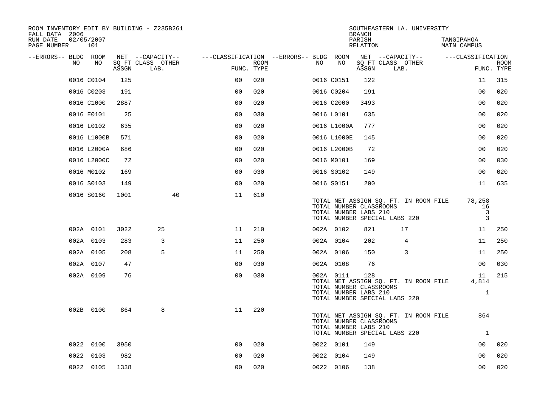| ROOM INVENTORY EDIT BY BUILDING - Z235B261<br>FALL DATA 2006 |                   |       |                           |                                        |      |    |                                                                                                | <b>BRANCH</b>      |      | SOUTHEASTERN LA. UNIVERSITY           |                           |                             |             |
|--------------------------------------------------------------|-------------------|-------|---------------------------|----------------------------------------|------|----|------------------------------------------------------------------------------------------------|--------------------|------|---------------------------------------|---------------------------|-----------------------------|-------------|
| RUN DATE<br>PAGE NUMBER                                      | 02/05/2007<br>101 |       |                           |                                        |      |    |                                                                                                | PARISH<br>RELATION |      |                                       | TANGIPAHOA<br>MAIN CAMPUS |                             |             |
| --ERRORS-- BLDG ROOM                                         |                   |       | NET --CAPACITY--          | ---CLASSIFICATION --ERRORS-- BLDG ROOM |      |    |                                                                                                | NET --CAPACITY--   |      |                                       | ---CLASSIFICATION         |                             |             |
| NO                                                           | NO                | ASSGN | SQ FT CLASS OTHER<br>LAB. | FUNC. TYPE                             | ROOM | NO | NO                                                                                             | ASSGN              | LAB. | SQ FT CLASS OTHER                     |                           | FUNC. TYPE                  | <b>ROOM</b> |
|                                                              | 0016 C0104        | 125   |                           | 0 <sup>0</sup>                         | 020  |    | 0016 C0151                                                                                     | 122                |      |                                       |                           | 11                          | 315         |
|                                                              | 0016 C0203        | 191   |                           | 0 <sup>0</sup>                         | 020  |    | 0016 C0204                                                                                     | 191                |      |                                       |                           | 0 <sub>0</sub>              | 020         |
|                                                              | 0016 C1000        | 2887  |                           | 0 <sub>0</sub>                         | 020  |    | 0016 C2000                                                                                     | 3493               |      |                                       |                           | 0 <sub>0</sub>              | 020         |
|                                                              | 0016 E0101        | 25    |                           | 0 <sub>0</sub>                         | 030  |    | 0016 L0101                                                                                     | 635                |      |                                       |                           | 00                          | 020         |
|                                                              | 0016 L0102        | 635   |                           | 0 <sub>0</sub>                         | 020  |    | 0016 L1000A                                                                                    | 777                |      |                                       |                           | 00                          | 020         |
|                                                              | 0016 L1000B       | 571   |                           | 0 <sub>0</sub>                         | 020  |    | 0016 L1000E                                                                                    | 145                |      |                                       |                           | 0 <sub>0</sub>              | 020         |
|                                                              | 0016 L2000A       | 686   |                           | 0 <sub>0</sub>                         | 020  |    | 0016 L2000B                                                                                    | 72                 |      |                                       |                           | 0 <sub>0</sub>              | 020         |
|                                                              | 0016 L2000C       | 72    |                           | 0 <sub>0</sub>                         | 020  |    | 0016 M0101                                                                                     | 169                |      |                                       |                           | 0 <sub>0</sub>              | 030         |
|                                                              | 0016 M0102        | 169   |                           | 0 <sub>0</sub>                         | 030  |    | 0016 S0102                                                                                     | 149                |      |                                       |                           | 0 <sub>0</sub>              | 020         |
|                                                              | 0016 S0103        | 149   |                           | 0 <sub>0</sub>                         | 020  |    | 0016 S0151                                                                                     | 200                |      |                                       |                           | 11                          | 635         |
|                                                              | 0016 S0160        | 1001  | 40                        | 11                                     | 610  |    | TOTAL NUMBER CLASSROOMS<br>TOTAL NUMBER LABS 210<br>TOTAL NUMBER SPECIAL LABS 220              |                    |      | TOTAL NET ASSIGN SQ. FT. IN ROOM FILE |                           | 78,258<br>16<br>3<br>3      |             |
|                                                              | 002A 0101         | 3022  | 25                        | 11                                     | 210  |    | 002A 0102                                                                                      | 821                |      | 17                                    |                           | 11                          | 250         |
|                                                              | 002A 0103         | 283   | 3                         | 11                                     | 250  |    | 002A 0104                                                                                      | 202                |      | 4                                     |                           | 11                          | 250         |
|                                                              | 002A 0105         | 208   | 5                         | 11                                     | 250  |    | 002A 0106                                                                                      | 150                |      | 3                                     |                           | 11                          | 250         |
|                                                              | 002A 0107         | 47    |                           | 0 <sub>0</sub>                         | 030  |    | 002A 0108                                                                                      | 76                 |      |                                       |                           | 0 <sub>0</sub>              | 030         |
|                                                              | 002A 0109         | 76    |                           | 0 <sub>0</sub>                         | 030  |    | 002A 0111<br>TOTAL NUMBER CLASSROOMS<br>TOTAL NUMBER LABS 210<br>TOTAL NUMBER SPECIAL LABS 220 | 128                |      | TOTAL NET ASSIGN SQ. FT. IN ROOM FILE |                           | 11<br>4,814<br>$\mathbf{1}$ | 215         |
|                                                              | 002B 0100         | 864   | 8                         | 11                                     | 220  |    | TOTAL NUMBER CLASSROOMS<br>TOTAL NUMBER LABS 210<br>TOTAL NUMBER SPECIAL LABS 220              |                    |      | TOTAL NET ASSIGN SQ. FT. IN ROOM FILE |                           | 864<br>$\mathbf{1}$         |             |
|                                                              | 0022 0100         | 3950  |                           | 0 <sub>0</sub>                         | 020  |    | 0022 0101                                                                                      | 149                |      |                                       |                           | 00                          | 020         |
|                                                              | 0022 0103         | 982   |                           | 0 <sub>0</sub>                         | 020  |    | 0022 0104                                                                                      | 149                |      |                                       |                           | 0 <sub>0</sub>              | 020         |
|                                                              | 0022 0105         | 1338  |                           | 0 <sub>0</sub>                         | 020  |    | 0022 0106                                                                                      | 138                |      |                                       |                           | 0 <sub>0</sub>              | 020         |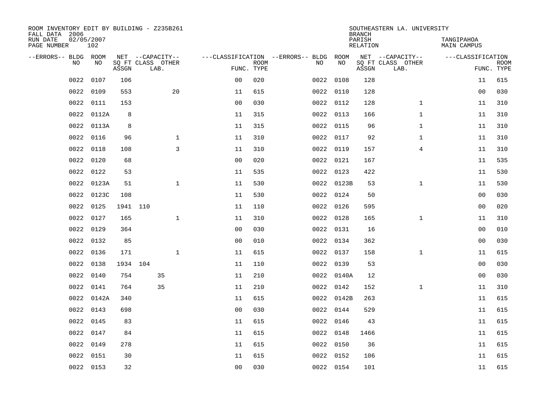| ROOM INVENTORY EDIT BY BUILDING - Z235B261<br>FALL DATA 2006 |                   |          |                           |              |                |             |                                        |            | <b>BRANCH</b>             | SOUTHEASTERN LA. UNIVERSITY |                                  |                           |
|--------------------------------------------------------------|-------------------|----------|---------------------------|--------------|----------------|-------------|----------------------------------------|------------|---------------------------|-----------------------------|----------------------------------|---------------------------|
| RUN DATE<br>PAGE NUMBER                                      | 02/05/2007<br>102 |          |                           |              |                |             |                                        |            | PARISH<br><b>RELATION</b> |                             | TANGIPAHOA<br><b>MAIN CAMPUS</b> |                           |
| --ERRORS-- BLDG ROOM                                         |                   |          | NET --CAPACITY--          |              |                |             | ---CLASSIFICATION --ERRORS-- BLDG ROOM |            |                           | NET --CAPACITY--            | ---CLASSIFICATION                |                           |
| NO                                                           | NO                | ASSGN    | SQ FT CLASS OTHER<br>LAB. |              | FUNC. TYPE     | <b>ROOM</b> | NO                                     | NO         | ASSGN                     | SQ FT CLASS OTHER<br>LAB.   |                                  | <b>ROOM</b><br>FUNC. TYPE |
| 0022                                                         | 0107              | 106      |                           |              | 0 <sub>0</sub> | 020         |                                        | 0022 0108  | 128                       |                             | 11                               | 615                       |
| 0022                                                         | 0109              | 553      |                           | 20           | 11             | 615         |                                        | 0022 0110  | 128                       |                             | 00                               | 030                       |
| 0022                                                         | 0111              | 153      |                           |              | 0 <sub>0</sub> | 030         |                                        | 0022 0112  | 128                       | $\mathbf{1}$                | 11                               | 310                       |
| 0022                                                         | 0112A             | 8        |                           |              | 11             | 315         |                                        | 0022 0113  | 166                       | $\mathbf{1}$                | 11                               | 310                       |
| 0022                                                         | 0113A             | 8        |                           |              | 11             | 315         |                                        | 0022 0115  | 96                        | $\mathbf{1}$                | 11                               | 310                       |
| 0022                                                         | 0116              | 96       |                           | $\mathbf{1}$ | 11             | 310         |                                        | 0022 0117  | 92                        | $\mathbf{1}$                | 11                               | 310                       |
| 0022                                                         | 0118              | 108      |                           | 3            | 11             | 310         |                                        | 0022 0119  | 157                       | $\overline{4}$              | 11                               | 310                       |
| 0022                                                         | 0120              | 68       |                           |              | 0 <sub>0</sub> | 020         |                                        | 0022 0121  | 167                       |                             | 11                               | 535                       |
| 0022                                                         | 0122              | 53       |                           |              | 11             | 535         |                                        | 0022 0123  | 422                       |                             | 11                               | 530                       |
| 0022                                                         | 0123A             | 51       |                           | $\mathbf{1}$ | 11             | 530         |                                        | 0022 0123B | 53                        | $\mathbf{1}$                | 11                               | 530                       |
| 0022                                                         | 0123C             | 108      |                           |              | 11             | 530         |                                        | 0022 0124  | 50                        |                             | 0 <sub>0</sub>                   | 030                       |
| 0022                                                         | 0125              | 1941 110 |                           |              | 11             | 110         |                                        | 0022 0126  | 595                       |                             | 0 <sub>0</sub>                   | 020                       |
| 0022                                                         | 0127              | 165      |                           | $\mathbf{1}$ | 11             | 310         |                                        | 0022 0128  | 165                       | $\mathbf{1}$                | 11                               | 310                       |
| 0022                                                         | 0129              | 364      |                           |              | 0 <sub>0</sub> | 030         |                                        | 0022 0131  | 16                        |                             | 00                               | 010                       |
| 0022                                                         | 0132              | 85       |                           |              | 0 <sub>0</sub> | 010         |                                        | 0022 0134  | 362                       |                             | 00                               | 030                       |
| 0022                                                         | 0136              | 171      |                           | $\mathbf{1}$ | 11             | 615         |                                        | 0022 0137  | 158                       | $\mathbf{1}$                | 11                               | 615                       |
| 0022                                                         | 0138              | 1934 104 |                           |              | 11             | 110         |                                        | 0022 0139  | 53                        |                             | 0 <sub>0</sub>                   | 030                       |
| 0022                                                         | 0140              | 754      | 35                        |              | 11             | 210         |                                        | 0022 0140A | 12                        |                             | 0 <sub>0</sub>                   | 030                       |
| 0022                                                         | 0141              | 764      | 35                        |              | 11             | 210         |                                        | 0022 0142  | 152                       | $\mathbf{1}$                | 11                               | 310                       |
| 0022                                                         | 0142A             | 340      |                           |              | 11             | 615         |                                        | 0022 0142B | 263                       |                             | 11                               | 615                       |
| 0022                                                         | 0143              | 698      |                           |              | 0 <sub>0</sub> | 030         |                                        | 0022 0144  | 529                       |                             | 11                               | 615                       |
| 0022                                                         | 0145              | 83       |                           |              | 11             | 615         |                                        | 0022 0146  | 43                        |                             | 11                               | 615                       |
| 0022                                                         | 0147              | 84       |                           |              | 11             | 615         |                                        | 0022 0148  | 1466                      |                             | 11                               | 615                       |
| 0022                                                         | 0149              | 278      |                           |              | 11             | 615         |                                        | 0022 0150  | 36                        |                             | 11                               | 615                       |
| 0022                                                         | 0151              | 30       |                           |              | 11             | 615         |                                        | 0022 0152  | 106                       |                             | 11                               | 615                       |
|                                                              | 0022 0153         | 32       |                           |              | 0 <sub>0</sub> | 030         |                                        | 0022 0154  | 101                       |                             | 11                               | 615                       |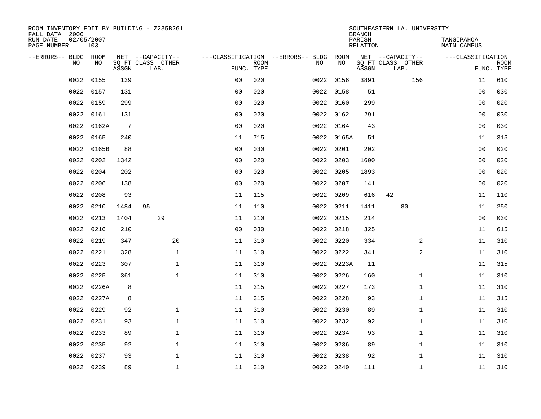| ROOM INVENTORY EDIT BY BUILDING - Z235B261<br>FALL DATA 2006 |                   |                 |                                       |                |             |                                          |            | <b>BRANCH</b>      | SOUTHEASTERN LA. UNIVERSITY |                           |                           |
|--------------------------------------------------------------|-------------------|-----------------|---------------------------------------|----------------|-------------|------------------------------------------|------------|--------------------|-----------------------------|---------------------------|---------------------------|
| RUN DATE<br>PAGE NUMBER                                      | 02/05/2007<br>103 |                 |                                       |                |             |                                          |            | PARISH<br>RELATION |                             | TANGIPAHOA<br>MAIN CAMPUS |                           |
| --ERRORS-- BLDG ROOM<br>N <sub>O</sub>                       | NO.               |                 | NET --CAPACITY--<br>SO FT CLASS OTHER |                |             | ---CLASSIFICATION --ERRORS-- BLDG<br>NO. | ROOM<br>NO |                    | NET --CAPACITY--            | ---CLASSIFICATION         |                           |
|                                                              |                   | ASSGN           | LAB.                                  | FUNC. TYPE     | <b>ROOM</b> |                                          |            | ASSGN              | SQ FT CLASS OTHER<br>LAB.   |                           | <b>ROOM</b><br>FUNC. TYPE |
| 0022                                                         | 0155              | 139             |                                       | 0 <sub>0</sub> | 020         | 0022                                     | 0156       | 3891               | 156                         | 11                        | 610                       |
| 0022                                                         | 0157              | 131             |                                       | 0 <sub>0</sub> | 020         |                                          | 0022 0158  | 51                 |                             | 0 <sub>0</sub>            | 030                       |
| 0022                                                         | 0159              | 299             |                                       | 0 <sub>0</sub> | 020         |                                          | 0022 0160  | 299                |                             | 00                        | 020                       |
| 0022                                                         | 0161              | 131             |                                       | 0 <sub>0</sub> | 020         |                                          | 0022 0162  | 291                |                             | 0 <sub>0</sub>            | 030                       |
| 0022                                                         | 0162A             | $7\phantom{.0}$ |                                       | 0 <sub>0</sub> | 020         |                                          | 0022 0164  | 43                 |                             | 0 <sub>0</sub>            | 030                       |
| 0022                                                         | 0165              | 240             |                                       | 11             | 715         |                                          | 0022 0165A | 51                 |                             | 11                        | 315                       |
| 0022                                                         | 0165B             | 88              |                                       | 0 <sub>0</sub> | 030         |                                          | 0022 0201  | 202                |                             | 00                        | 020                       |
| 0022                                                         | 0202              | 1342            |                                       | 0 <sub>0</sub> | 020         | 0022                                     | 0203       | 1600               |                             | 0 <sub>0</sub>            | 020                       |
| 0022                                                         | 0204              | 202             |                                       | 0 <sub>0</sub> | 020         | 0022                                     | 0205       | 1893               |                             | 0 <sub>0</sub>            | 020                       |
| 0022                                                         | 0206              | 138             |                                       | 0 <sub>0</sub> | 020         |                                          | 0022 0207  | 141                |                             | 0 <sub>0</sub>            | 020                       |
| 0022                                                         | 0208              | 93              |                                       | 11             | 115         | 0022                                     | 0209       | 616                | 42                          | 11                        | 110                       |
| 0022                                                         | 0210              | 1484            | 95                                    | 11             | 110         |                                          | 0022 0211  | 1411               | 80                          | 11                        | 250                       |
| 0022                                                         | 0213              | 1404            | 29                                    | 11             | 210         |                                          | 0022 0215  | 214                |                             | 0 <sub>0</sub>            | 030                       |
| 0022                                                         | 0216              | 210             |                                       | 0 <sub>0</sub> | 030         |                                          | 0022 0218  | 325                |                             | 11                        | 615                       |
| 0022                                                         | 0219              | 347             | 20                                    | 11             | 310         |                                          | 0022 0220  | 334                | 2                           | 11                        | 310                       |
| 0022                                                         | 0221              | 328             | $\mathbf{1}$                          | 11             | 310         |                                          | 0022 0222  | 341                | 2                           | 11                        | 310                       |
| 0022                                                         | 0223              | 307             | $\mathbf{1}$                          | 11             | 310         |                                          | 0022 0223A | 11                 |                             | 11                        | 315                       |
| 0022                                                         | 0225              | 361             | $\mathbf{1}$                          | 11             | 310         |                                          | 0022 0226  | 160                | $\mathbf{1}$                | 11                        | 310                       |
| 0022                                                         | 0226A             | 8               |                                       | 11             | 315         |                                          | 0022 0227  | 173                | $\mathbf{1}$                | 11                        | 310                       |
| 0022                                                         | 0227A             | 8               |                                       | 11             | 315         |                                          | 0022 0228  | 93                 | $\mathbf{1}$                | 11                        | 315                       |
| 0022                                                         | 0229              | 92              | $\mathbf{1}$                          | 11             | 310         |                                          | 0022 0230  | 89                 | $\mathbf{1}$                | 11                        | 310                       |
| 0022                                                         | 0231              | 93              | $\mathbf{1}$                          | 11             | 310         | 0022                                     | 0232       | 92                 | $\mathbf{1}$                | 11                        | 310                       |
| 0022                                                         | 0233              | 89              | $\mathbf 1$                           | 11             | 310         |                                          | 0022 0234  | 93                 | $\mathbf{1}$                | 11                        | 310                       |
| 0022                                                         | 0235              | 92              | $\mathbf{1}$                          | 11             | 310         |                                          | 0022 0236  | 89                 | $\mathbf{1}$                | 11                        | 310                       |
| 0022                                                         | 0237              | 93              | $\mathbf{1}$                          | 11             | 310         | 0022                                     | 0238       | 92                 | $\mathbf{1}$                | 11                        | 310                       |
|                                                              | 0022 0239         | 89              | $\mathbf{1}$                          | 11             | 310         |                                          | 0022 0240  | 111                | $\mathbf{1}$                | 11                        | 310                       |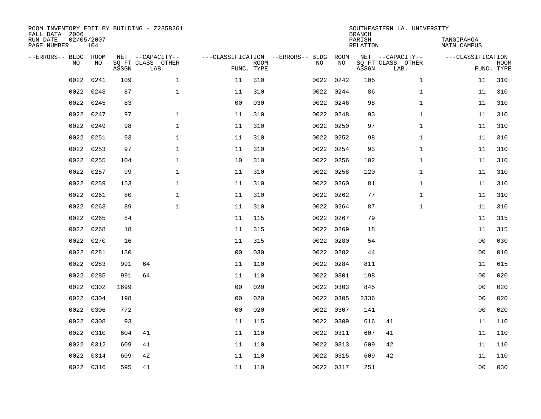| FALL DATA 2006<br>RUN DATE<br>PAGE NUMBER | 02/05/2007 | 104       |       | ROOM INVENTORY EDIT BY BUILDING - Z235B261    |                                                 |             |      |            | <b>BRANCH</b><br>PARISH<br>RELATION | SOUTHEASTERN LA. UNIVERSITY                   | TANGIPAHOA<br>MAIN CAMPUS |                           |
|-------------------------------------------|------------|-----------|-------|-----------------------------------------------|-------------------------------------------------|-------------|------|------------|-------------------------------------|-----------------------------------------------|---------------------------|---------------------------|
| --ERRORS-- BLDG ROOM                      | <b>NO</b>  | NO.       | ASSGN | NET --CAPACITY--<br>SQ FT CLASS OTHER<br>LAB. | ---CLASSIFICATION --ERRORS-- BLDG<br>FUNC. TYPE | <b>ROOM</b> | NO   | ROOM<br>NO | ASSGN                               | NET --CAPACITY--<br>SQ FT CLASS OTHER<br>LAB. | ---CLASSIFICATION         | <b>ROOM</b><br>FUNC. TYPE |
|                                           | 0022       | 0241      | 109   | $\mathbf{1}$                                  | 11                                              | 310         | 0022 | 0242       | 105                                 | $\mathbf{1}$                                  | 11                        | 310                       |
|                                           | 0022       | 0243      | 87    | $\mathbf{1}$                                  | 11                                              | 310         |      | 0022 0244  | 86                                  | $\mathbf{1}$                                  | 11                        | 310                       |
|                                           | 0022       | 0245      | 83    |                                               | 0 <sub>0</sub>                                  | 030         | 0022 | 0246       | 98                                  | $\mathbf{1}$                                  | 11                        | 310                       |
|                                           | 0022       | 0247      | 97    | $\mathbf{1}$                                  | 11                                              | 310         |      | 0022 0248  | 93                                  | $\mathbf{1}$                                  | 11                        | 310                       |
|                                           | 0022       | 0249      | 98    | $\mathbf{1}$                                  | 11                                              | 310         | 0022 | 0250       | 97                                  | $\mathbf{1}$                                  | 11                        | 310                       |
|                                           | 0022       | 0251      | 93    | $\mathbf 1$                                   | 11                                              | 310         |      | 0022 0252  | 98                                  | $\mathbf{1}$                                  | 11                        | 310                       |
|                                           | 0022       | 0253      | 97    | $\mathbf 1$                                   | 11                                              | 310         | 0022 | 0254       | 93                                  | $\mathbf{1}$                                  | 11                        | 310                       |
|                                           | 0022       | 0255      | 104   | $\mathbf{1}$                                  | 10                                              | 310         |      | 0022 0256  | 102                                 | $\mathbf{1}$                                  | 11                        | 310                       |
|                                           | 0022       | 0257      | 99    | $\mathbf 1$                                   | 11                                              | 310         | 0022 | 0258       | 120                                 | $\mathbf{1}$                                  | 11                        | 310                       |
|                                           | 0022       | 0259      | 153   | $\mathbf{1}$                                  | 11                                              | 310         |      | 0022 0260  | 81                                  | $\mathbf{1}$                                  | 11                        | 310                       |
|                                           | 0022       | 0261      | 80    | $\mathbf 1$                                   | 11                                              | 310         | 0022 | 0262       | 77                                  | $\mathbf{1}$                                  | 11                        | 310                       |
|                                           | 0022       | 0263      | 89    | $\mathbf{1}$                                  | 11                                              | 310         |      | 0022 0264  | 87                                  | $\mathbf{1}$                                  | 11                        | 310                       |
|                                           | 0022       | 0265      | 84    |                                               | 11                                              | 115         | 0022 | 0267       | 79                                  |                                               | 11                        | 315                       |
|                                           | 0022       | 0268      | 18    |                                               | 11                                              | 315         |      | 0022 0269  | 18                                  |                                               | 11                        | 315                       |
|                                           | 0022       | 0270      | 16    |                                               | 11                                              | 315         |      | 0022 0280  | 54                                  |                                               | 0 <sub>0</sub>            | 030                       |
|                                           | 0022       | 0281      | 130   |                                               | 0 <sub>0</sub>                                  | 030         |      | 0022 0282  | 44                                  |                                               | 00                        | 010                       |
|                                           | 0022       | 0283      | 991   | 64                                            | 11                                              | 110         |      | 0022 0284  | 811                                 |                                               | 11                        | 615                       |
|                                           | 0022       | 0285      | 991   | 64                                            | 11                                              | 110         |      | 0022 0301  | 198                                 |                                               | 0 <sub>0</sub>            | 020                       |
|                                           | 0022       | 0302      | 1699  |                                               | 0 <sub>0</sub>                                  | 020         |      | 0022 0303  | 845                                 |                                               | 00                        | 020                       |
|                                           | 0022       | 0304      | 198   |                                               | 0 <sub>0</sub>                                  | 020         |      | 0022 0305  | 2336                                |                                               | 00                        | 020                       |
|                                           | 0022       | 0306      | 772   |                                               | 0 <sub>0</sub>                                  | 020         |      | 0022 0307  | 141                                 |                                               | 0 <sub>0</sub>            | 020                       |
|                                           | 0022       | 0308      | 93    |                                               | 11                                              | 115         |      | 0022 0309  | 616                                 | 41                                            | 11                        | 110                       |
|                                           | 0022       | 0310      | 604   | 41                                            | 11                                              | 110         |      | 0022 0311  | 607                                 | 41                                            | 11                        | 110                       |
|                                           | 0022       | 0312      | 609   | 41                                            | 11                                              | 110         |      | 0022 0313  | 609                                 | 42                                            | 11                        | 110                       |
|                                           | 0022       | 0314      | 609   | 42                                            | 11                                              | 110         |      | 0022 0315  | 609                                 | 42                                            | 11                        | 110                       |
|                                           |            | 0022 0316 | 595   | 41                                            | 11                                              | 110         |      | 0022 0317  | 251                                 |                                               | 0 <sub>0</sub>            | 030                       |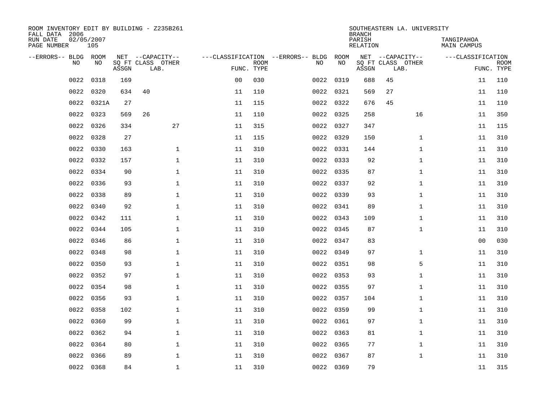| ROOM INVENTORY EDIT BY BUILDING - Z235B261<br>FALL DATA 2006 |                   |       |                           |                |                           |                                   |           | <b>BRANCH</b>             | SOUTHEASTERN LA. UNIVERSITY |                                  |                           |
|--------------------------------------------------------------|-------------------|-------|---------------------------|----------------|---------------------------|-----------------------------------|-----------|---------------------------|-----------------------------|----------------------------------|---------------------------|
| RUN DATE<br>PAGE NUMBER                                      | 02/05/2007<br>105 |       |                           |                |                           |                                   |           | PARISH<br><b>RELATION</b> |                             | TANGIPAHOA<br><b>MAIN CAMPUS</b> |                           |
| --ERRORS-- BLDG ROOM                                         |                   |       | NET --CAPACITY--          |                |                           | ---CLASSIFICATION --ERRORS-- BLDG | ROOM      |                           | NET --CAPACITY--            | ---CLASSIFICATION                |                           |
| NO                                                           | NO                | ASSGN | SQ FT CLASS OTHER<br>LAB. |                | <b>ROOM</b><br>FUNC. TYPE | NO                                | NO        | ASSGN                     | SQ FT CLASS OTHER<br>LAB.   |                                  | <b>ROOM</b><br>FUNC. TYPE |
| 0022                                                         | 0318              | 169   |                           | 0 <sub>0</sub> | 030                       | 0022                              | 0319      | 688                       | 45                          | 11                               | 110                       |
| 0022                                                         | 0320              | 634   | 40                        | 11             | 110                       |                                   | 0022 0321 | 569                       | 27                          | 11                               | 110                       |
| 0022                                                         | 0321A             | 27    |                           | 11             | 115                       | 0022                              | 0322      | 676                       | 45                          | 11                               | 110                       |
| 0022                                                         | 0323              | 569   | 26                        | 11             | 110                       |                                   | 0022 0325 | 258                       | 16                          | 11                               | 350                       |
| 0022                                                         | 0326              | 334   | 27                        | 11             | 315                       |                                   | 0022 0327 | 347                       |                             | 11                               | 115                       |
| 0022                                                         | 0328              | 27    |                           | 11             | 115                       |                                   | 0022 0329 | 150                       | $\mathbf{1}$                | 11                               | 310                       |
| 0022                                                         | 0330              | 163   | $\mathbf{1}$              | 11             | 310                       |                                   | 0022 0331 | 144                       | $\mathbf{1}$                | 11                               | 310                       |
| 0022                                                         | 0332              | 157   | $\mathbf{1}$              | 11             | 310                       |                                   | 0022 0333 | 92                        | $\mathbf{1}$                | 11                               | 310                       |
| 0022                                                         | 0334              | 90    | $\mathbf{1}$              | 11             | 310                       | 0022                              | 0335      | 87                        | $\mathbf{1}$                | 11                               | 310                       |
| 0022                                                         | 0336              | 93    | $\mathbf{1}$              | 11             | 310                       |                                   | 0022 0337 | 92                        | $\mathbf{1}$                | 11                               | 310                       |
| 0022                                                         | 0338              | 89    | $\mathbf 1$               | 11             | 310                       | 0022                              | 0339      | 93                        | $\mathbf{1}$                | 11                               | 310                       |
| 0022                                                         | 0340              | 92    | $\mathbf{1}$              | 11             | 310                       |                                   | 0022 0341 | 89                        | $\mathbf{1}$                | 11                               | 310                       |
| 0022                                                         | 0342              | 111   | $\mathbf 1$               | 11             | 310                       | 0022                              | 0343      | 109                       | $\mathbf{1}$                | 11                               | 310                       |
| 0022                                                         | 0344              | 105   | $\mathbf 1$               | 11             | 310                       |                                   | 0022 0345 | 87                        | $\mathbf{1}$                | 11                               | 310                       |
| 0022                                                         | 0346              | 86    | $\mathbf 1$               | 11             | 310                       | 0022                              | 0347      | 83                        |                             | 0 <sub>0</sub>                   | 030                       |
| 0022                                                         | 0348              | 98    | $\mathbf{1}$              | 11             | 310                       |                                   | 0022 0349 | 97                        | $\mathbf{1}$                | 11                               | 310                       |
| 0022                                                         | 0350              | 93    | $\mathbf 1$               | 11             | 310                       |                                   | 0022 0351 | 98                        | 5                           | 11                               | 310                       |
| 0022                                                         | 0352              | 97    | $\mathbf{1}$              | 11             | 310                       |                                   | 0022 0353 | 93                        | $\mathbf{1}$                | 11                               | 310                       |
| 0022                                                         | 0354              | 98    | $\mathbf{1}$              | 11             | 310                       |                                   | 0022 0355 | 97                        | $\mathbf{1}$                | 11                               | 310                       |
| 0022                                                         | 0356              | 93    | $\mathbf 1$               | 11             | 310                       |                                   | 0022 0357 | 104                       | $\mathbf{1}$                | 11                               | 310                       |
| 0022                                                         | 0358              | 102   | $\mathbf 1$               | 11             | 310                       |                                   | 0022 0359 | 99                        | $\mathbf{1}$                | 11                               | 310                       |
| 0022                                                         | 0360              | 99    | $\mathbf{1}$              | 11             | 310                       |                                   | 0022 0361 | 97                        | $\mathbf{1}$                | 11                               | 310                       |
| 0022                                                         | 0362              | 94    | $\mathbf{1}$              | 11             | 310                       |                                   | 0022 0363 | 81                        | $\mathbf{1}$                | 11                               | 310                       |
| 0022                                                         | 0364              | 80    | $\mathbf{1}$              | 11             | 310                       |                                   | 0022 0365 | 77                        | $\mathbf{1}$                | 11                               | 310                       |
| 0022                                                         | 0366              | 89    | $\mathbf 1$               | 11             | 310                       | 0022                              | 0367      | 87                        | $\mathbf{1}$                | 11                               | 310                       |
|                                                              | 0022 0368         | 84    | $\mathbf{1}$              | 11             | 310                       |                                   | 0022 0369 | 79                        |                             | 11                               | 315                       |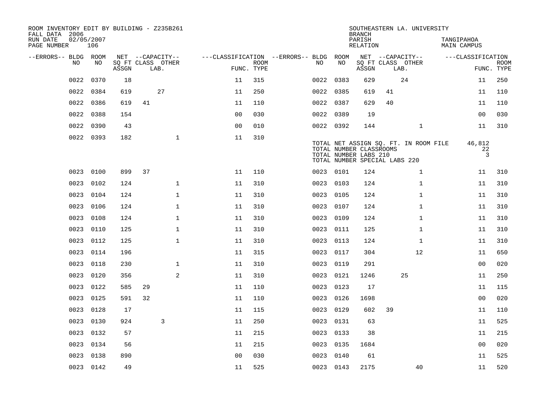| ROOM INVENTORY EDIT BY BUILDING - Z235B261<br>FALL DATA 2006 |                   |       |    |                           |                                        |                           |           |           | <b>BRANCH</b>                                                                     |      | SOUTHEASTERN LA. UNIVERSITY           |                           |                              |             |
|--------------------------------------------------------------|-------------------|-------|----|---------------------------|----------------------------------------|---------------------------|-----------|-----------|-----------------------------------------------------------------------------------|------|---------------------------------------|---------------------------|------------------------------|-------------|
| RUN DATE<br>PAGE NUMBER                                      | 02/05/2007<br>106 |       |    |                           |                                        |                           |           |           | PARISH<br>RELATION                                                                |      |                                       | TANGIPAHOA<br>MAIN CAMPUS |                              |             |
| --ERRORS-- BLDG ROOM                                         |                   |       |    | NET --CAPACITY--          | ---CLASSIFICATION --ERRORS-- BLDG ROOM |                           |           |           |                                                                                   |      | NET --CAPACITY--                      |                           | ---CLASSIFICATION            |             |
| NO                                                           | NO.               | ASSGN |    | SQ FT CLASS OTHER<br>LAB. |                                        | <b>ROOM</b><br>FUNC. TYPE | NO.       | NO        | ASSGN                                                                             | LAB. | SQ FT CLASS OTHER                     |                           | FUNC. TYPE                   | <b>ROOM</b> |
| 0022                                                         | 0370              | 18    |    |                           | 11                                     | 315                       | 0022 0383 |           | 629                                                                               |      | 24                                    |                           | 11                           | 250         |
| 0022                                                         | 0384              | 619   |    | 27                        | 11                                     | 250                       | 0022 0385 |           | 619                                                                               | 41   |                                       |                           | 11                           | 110         |
| 0022                                                         | 0386              | 619   | 41 |                           | 11                                     | 110                       | 0022 0387 |           | 629                                                                               | 40   |                                       |                           | 11                           | 110         |
| 0022                                                         | 0388              | 154   |    |                           | 0 <sub>0</sub>                         | 030                       |           | 0022 0389 | 19                                                                                |      |                                       |                           | 0 <sub>0</sub>               | 030         |
| 0022                                                         | 0390              | 43    |    |                           | 0 <sub>0</sub>                         | 010                       | 0022 0392 |           | 144                                                                               |      | $\mathbf{1}$                          |                           | 11                           | 310         |
|                                                              | 0022 0393         | 182   |    | $\mathbf{1}$              | 11                                     | 310                       |           |           | TOTAL NUMBER CLASSROOMS<br>TOTAL NUMBER LABS 210<br>TOTAL NUMBER SPECIAL LABS 220 |      | TOTAL NET ASSIGN SQ. FT. IN ROOM FILE |                           | 46,812<br>22<br>$\mathbf{3}$ |             |
| 0023                                                         | 0100              | 899   | 37 |                           | 11                                     | 110                       |           | 0023 0101 | 124                                                                               |      | $\mathbf{1}$                          |                           | 11                           | 310         |
| 0023                                                         | 0102              | 124   |    | $\mathbf{1}$              | 11                                     | 310                       | 0023 0103 |           | 124                                                                               |      | $\mathbf{1}$                          |                           | 11                           | 310         |
| 0023                                                         | 0104              | 124   |    | $\mathbf{1}$              | 11                                     | 310                       | 0023 0105 |           | 124                                                                               |      | $\mathbf{1}$                          |                           | 11                           | 310         |
| 0023                                                         | 0106              | 124   |    | $\mathbf{1}$              | 11                                     | 310                       | 0023 0107 |           | 124                                                                               |      | $\mathbf{1}$                          |                           | 11                           | 310         |
| 0023                                                         | 0108              | 124   |    | $\mathbf{1}$              | 11                                     | 310                       | 0023      | 0109      | 124                                                                               |      | $\mathbf{1}$                          |                           | 11                           | 310         |
| 0023                                                         | 0110              | 125   |    | $\mathbf{1}$              | 11                                     | 310                       |           | 0023 0111 | 125                                                                               |      | $\mathbf{1}$                          |                           | 11                           | 310         |
| 0023                                                         | 0112              | 125   |    | $\mathbf 1$               | 11                                     | 310                       | 0023      | 0113      | 124                                                                               |      | $\mathbf{1}$                          |                           | 11                           | 310         |
| 0023                                                         | 0114              | 196   |    |                           | 11                                     | 315                       |           | 0023 0117 | 304                                                                               |      | 12                                    |                           | 11                           | 650         |
| 0023                                                         | 0118              | 230   |    | $\mathbf 1$               | 11                                     | 310                       | 0023      | 0119      | 291                                                                               |      |                                       |                           | 00                           | 020         |
| 0023                                                         | 0120              | 356   |    | 2                         | 11                                     | 310                       | 0023      | 0121      | 1246                                                                              |      | 25                                    |                           | 11                           | 250         |
| 0023                                                         | 0122              | 585   | 29 |                           | 11                                     | 110                       | 0023      | 0123      | 17                                                                                |      |                                       |                           | 11                           | 115         |
| 0023                                                         | 0125              | 591   | 32 |                           | 11                                     | 110                       | 0023      | 0126      | 1698                                                                              |      |                                       |                           | 0 <sub>0</sub>               | 020         |
| 0023                                                         | 0128              | 17    |    |                           | 11                                     | 115                       | 0023 0129 |           | 602                                                                               | 39   |                                       |                           | 11                           | 110         |
| 0023                                                         | 0130              | 924   |    | 3                         | 11                                     | 250                       |           | 0023 0131 | 63                                                                                |      |                                       |                           | 11                           | 525         |
|                                                              | 0023 0132         | 57    |    |                           | 11                                     | 215                       | 0023 0133 |           | 38                                                                                |      |                                       |                           | 11                           | 215         |
| 0023                                                         | 0134              | 56    |    |                           | 11                                     | 215                       | 0023 0135 |           | 1684                                                                              |      |                                       |                           | 0 <sub>0</sub>               | 020         |
| 0023                                                         | 0138              | 890   |    |                           | 0 <sub>0</sub>                         | 030                       |           | 0023 0140 | 61                                                                                |      |                                       |                           | 11                           | 525         |
|                                                              | 0023 0142         | 49    |    |                           | 11                                     | 525                       | 0023 0143 |           | 2175                                                                              |      | 40                                    |                           | 11                           | 520         |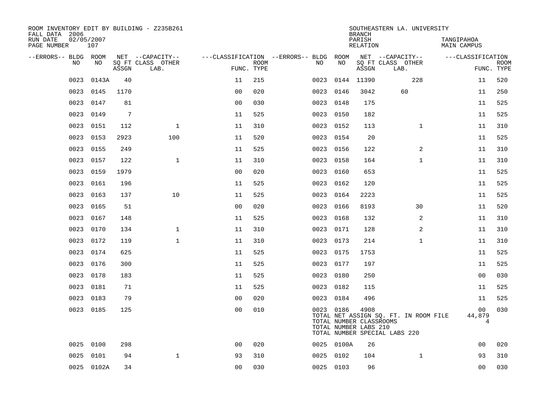| ROOM INVENTORY EDIT BY BUILDING - Z235B261<br>FALL DATA 2006 |                   |       |                           |                |      |                                        |            | <b>BRANCH</b>                                            | SOUTHEASTERN LA. UNIVERSITY                                            |                                  |                           |
|--------------------------------------------------------------|-------------------|-------|---------------------------|----------------|------|----------------------------------------|------------|----------------------------------------------------------|------------------------------------------------------------------------|----------------------------------|---------------------------|
| RUN DATE<br>PAGE NUMBER                                      | 02/05/2007<br>107 |       |                           |                |      |                                        |            | PARISH<br>RELATION                                       |                                                                        | TANGIPAHOA<br><b>MAIN CAMPUS</b> |                           |
| --ERRORS-- BLDG ROOM                                         |                   |       | NET --CAPACITY--          |                |      | ---CLASSIFICATION --ERRORS-- BLDG ROOM |            |                                                          | NET --CAPACITY--                                                       | ---CLASSIFICATION                |                           |
| NO.                                                          | NO.               | ASSGN | SQ FT CLASS OTHER<br>LAB. | FUNC. TYPE     | ROOM | NO.                                    | NO         | ASSGN                                                    | SQ FT CLASS OTHER<br>LAB.                                              |                                  | <b>ROOM</b><br>FUNC. TYPE |
| 0023                                                         | 0143A             | 40    |                           | 11             | 215  | 0023                                   | 0144       | 11390                                                    | 228                                                                    | 11                               | 520                       |
| 0023                                                         | 0145              | 1170  |                           | 0 <sub>0</sub> | 020  |                                        | 0023 0146  | 3042                                                     | 60                                                                     | 11                               | 250                       |
| 0023                                                         | 0147              | 81    |                           | 0 <sub>0</sub> | 030  | 0023                                   | 0148       | 175                                                      |                                                                        | 11                               | 525                       |
| 0023                                                         | 0149              | 7     |                           | 11             | 525  |                                        | 0023 0150  | 182                                                      |                                                                        | 11                               | 525                       |
| 0023                                                         | 0151              | 112   | $\mathbf 1$               | 11             | 310  | 0023                                   | 0152       | 113                                                      | $\mathbf{1}$                                                           | 11                               | 310                       |
| 0023                                                         | 0153              | 2923  | 100                       | 11             | 520  |                                        | 0023 0154  | 20                                                       |                                                                        | 11                               | 525                       |
| 0023                                                         | 0155              | 249   |                           | 11             | 525  | 0023                                   | 0156       | 122                                                      | 2                                                                      | 11                               | 310                       |
| 0023                                                         | 0157              | 122   | $\mathbf{1}$              | 11             | 310  |                                        | 0023 0158  | 164                                                      | $\mathbf{1}$                                                           | 11                               | 310                       |
| 0023                                                         | 0159              | 1979  |                           | 0 <sub>0</sub> | 020  | 0023                                   | 0160       | 653                                                      |                                                                        | 11                               | 525                       |
| 0023                                                         | 0161              | 196   |                           | 11             | 525  |                                        | 0023 0162  | 120                                                      |                                                                        | 11                               | 525                       |
| 0023                                                         | 0163              | 137   | 10                        | 11             | 525  | 0023                                   | 0164       | 2223                                                     |                                                                        | 11                               | 525                       |
| 0023                                                         | 0165              | 51    |                           | 0 <sub>0</sub> | 020  |                                        | 0023 0166  | 8193                                                     | 30                                                                     | 11                               | 520                       |
| 0023                                                         | 0167              | 148   |                           | 11             | 525  | 0023                                   | 0168       | 132                                                      | 2                                                                      | 11                               | 310                       |
| 0023                                                         | 0170              | 134   | $\mathbf 1$               | 11             | 310  |                                        | 0023 0171  | 128                                                      | 2                                                                      | 11                               | 310                       |
| 0023                                                         | 0172              | 119   | $\mathbf{1}$              | 11             | 310  | 0023                                   | 0173       | 214                                                      | $\mathbf{1}$                                                           | 11                               | 310                       |
| 0023                                                         | 0174              | 625   |                           | 11             | 525  |                                        | 0023 0175  | 1753                                                     |                                                                        | 11                               | 525                       |
| 0023                                                         | 0176              | 300   |                           | 11             | 525  | 0023                                   | 0177       | 197                                                      |                                                                        | 11                               | 525                       |
| 0023                                                         | 0178              | 183   |                           | 11             | 525  |                                        | 0023 0180  | 250                                                      |                                                                        | 0 <sub>0</sub>                   | 030                       |
| 0023                                                         | 0181              | 71    |                           | 11             | 525  |                                        | 0023 0182  | 115                                                      |                                                                        | 11                               | 525                       |
| 0023                                                         | 0183              | 79    |                           | 0 <sub>0</sub> | 020  |                                        | 0023 0184  | 496                                                      |                                                                        | 11                               | 525                       |
|                                                              | 0023 0185         | 125   |                           | 0 <sub>0</sub> | 010  |                                        | 0023 0186  | 4908<br>TOTAL NUMBER CLASSROOMS<br>TOTAL NUMBER LABS 210 | TOTAL NET ASSIGN SQ. FT. IN ROOM FILE<br>TOTAL NUMBER SPECIAL LABS 220 | 0 <sub>0</sub><br>44,879<br>4    | 030                       |
|                                                              | 0025 0100         | 298   |                           | 0 <sub>0</sub> | 020  |                                        | 0025 0100A | 26                                                       |                                                                        | 0 <sub>0</sub>                   | 020                       |
| 0025                                                         | 0101              | 94    | $\mathbf{1}$              | 93             | 310  |                                        | 0025 0102  | 104                                                      | $\mathbf{1}$                                                           | 93                               | 310                       |
|                                                              | 0025 0102A        | 34    |                           | 0 <sub>0</sub> | 030  |                                        | 0025 0103  | 96                                                       |                                                                        | 0 <sub>0</sub>                   | 030                       |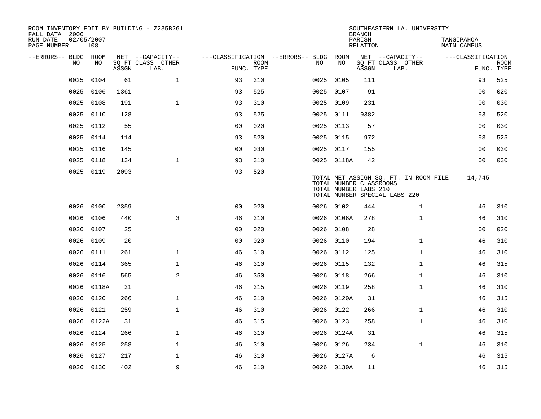| ROOM INVENTORY EDIT BY BUILDING - Z235B261<br>FALL DATA 2006 |                   |       |                           |                                        |             |           |                                                  | <b>BRANCH</b>      | SOUTHEASTERN LA. UNIVERSITY                                            |                           |                           |
|--------------------------------------------------------------|-------------------|-------|---------------------------|----------------------------------------|-------------|-----------|--------------------------------------------------|--------------------|------------------------------------------------------------------------|---------------------------|---------------------------|
| RUN DATE<br>PAGE NUMBER                                      | 02/05/2007<br>108 |       |                           |                                        |             |           |                                                  | PARISH<br>RELATION |                                                                        | TANGIPAHOA<br>MAIN CAMPUS |                           |
| --ERRORS-- BLDG ROOM                                         |                   |       | NET --CAPACITY--          | ---CLASSIFICATION --ERRORS-- BLDG ROOM |             |           |                                                  |                    | NET --CAPACITY--                                                       | ---CLASSIFICATION         |                           |
| NO.                                                          | NO.               | ASSGN | SQ FT CLASS OTHER<br>LAB. | FUNC. TYPE                             | <b>ROOM</b> | NO.       | NO                                               | ASSGN              | SQ FT CLASS OTHER<br>LAB.                                              |                           | <b>ROOM</b><br>FUNC. TYPE |
| 0025                                                         | 0104              | 61    | $\mathbf{1}$              | 93                                     | 310         | 0025      | 0105                                             | 111                |                                                                        | 93                        | 525                       |
| 0025                                                         | 0106              | 1361  |                           | 93                                     | 525         | 0025 0107 |                                                  | 91                 |                                                                        | 00                        | 020                       |
| 0025                                                         | 0108              | 191   | $\mathbf 1$               | 93                                     | 310         | 0025 0109 |                                                  | 231                |                                                                        | 0 <sub>0</sub>            | 030                       |
| 0025                                                         | 0110              | 128   |                           | 93                                     | 525         | 0025 0111 |                                                  | 9382               |                                                                        | 93                        | 520                       |
| 0025                                                         | 0112              | 55    |                           | 00                                     | 020         | 0025 0113 |                                                  | 57                 |                                                                        | 0 <sub>0</sub>            | 030                       |
| 0025                                                         | 0114              | 114   |                           | 93                                     | 520         | 0025 0115 |                                                  | 972                |                                                                        | 93                        | 525                       |
| 0025                                                         | 0116              | 145   |                           | 0 <sub>0</sub>                         | 030         | 0025 0117 |                                                  | 155                |                                                                        | 0 <sub>0</sub>            | 030                       |
| 0025                                                         | 0118              | 134   | $\mathbf{1}$              | 93                                     | 310         |           | 0025 0118A                                       | 42                 |                                                                        | 0 <sub>0</sub>            | 030                       |
| 0025                                                         | 0119              | 2093  |                           | 93                                     | 520         |           | TOTAL NUMBER CLASSROOMS<br>TOTAL NUMBER LABS 210 |                    | TOTAL NET ASSIGN SQ. FT. IN ROOM FILE<br>TOTAL NUMBER SPECIAL LABS 220 | 14,745                    |                           |
|                                                              | 0026 0100         | 2359  |                           | 0 <sub>0</sub>                         | 020         | 0026 0102 |                                                  | 444                | $\mathbf{1}$                                                           | 46                        | 310                       |
| 0026                                                         | 0106              | 440   | 3                         | 46                                     | 310         | 0026      | 0106A                                            | 278                | $\mathbf{1}$                                                           | 46                        | 310                       |
| 0026                                                         | 0107              | 25    |                           | 00                                     | 020         |           | 0026 0108                                        | 28                 |                                                                        | 00                        | 020                       |
| 0026                                                         | 0109              | 20    |                           | 0 <sub>0</sub>                         | 020         | 0026      | 0110                                             | 194                | $\mathbf{1}$                                                           | 46                        | 310                       |
| 0026                                                         | 0111              | 261   | $\mathbf{1}$              | 46                                     | 310         | 0026 0112 |                                                  | 125                | $\mathbf{1}$                                                           | 46                        | 310                       |
| 0026                                                         | 0114              | 365   | $\mathbf{1}$              | 46                                     | 310         | 0026 0115 |                                                  | 132                | $\mathbf{1}$                                                           | 46                        | 315                       |
| 0026                                                         | 0116              | 565   | 2                         | 46                                     | 350         | 0026 0118 |                                                  | 266                | $\mathbf{1}$                                                           | 46                        | 310                       |
|                                                              | 0026 0118A        | 31    |                           | 46                                     | 315         | 0026 0119 |                                                  | 258                | $\mathbf{1}$                                                           | 46                        | 310                       |
| 0026                                                         | 0120              | 266   | $\mathbf 1$               | 46                                     | 310         |           | 0026 0120A                                       | 31                 |                                                                        | 46                        | 315                       |
| 0026                                                         | 0121              | 259   | $\mathbf{1}$              | 46                                     | 310         | 0026 0122 |                                                  | 266                | $\mathbf{1}$                                                           | 46                        | 310                       |
| 0026                                                         | 0122A             | 31    |                           | 46                                     | 315         | 0026      | 0123                                             | 258                | $\mathbf{1}$                                                           | 46                        | 310                       |
| 0026                                                         | 0124              | 266   | $\mathbf 1$               | 46                                     | 310         |           | 0026 0124A                                       | 31                 |                                                                        | 46                        | 315                       |
| 0026                                                         | 0125              | 258   | $\mathbf{1}$              | 46                                     | 310         | 0026 0126 |                                                  | 234                | $\mathbf{1}$                                                           | 46                        | 310                       |
| 0026                                                         | 0127              | 217   | $\mathbf 1$               | 46                                     | 310         |           | 0026 0127A                                       | 6                  |                                                                        | 46                        | 315                       |
|                                                              | 0026 0130         | 402   | 9                         | 46                                     | 310         |           | 0026 0130A                                       | 11                 |                                                                        | 46                        | 315                       |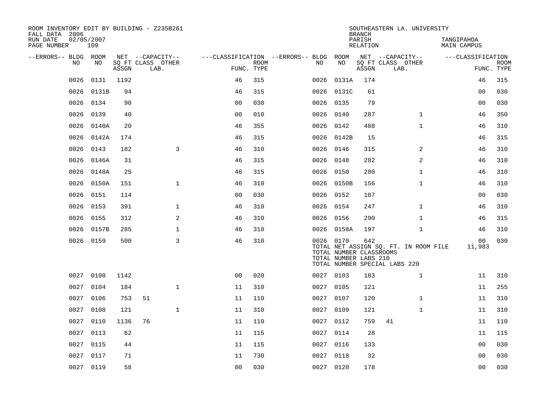| ROOM INVENTORY EDIT BY BUILDING - Z235B261<br>FALL DATA 2006 |                   |       |                           |                |             |                                        |                                                               | <b>BRANCH</b>      | SOUTHEASTERN LA. UNIVERSITY                                            |                           |                           |
|--------------------------------------------------------------|-------------------|-------|---------------------------|----------------|-------------|----------------------------------------|---------------------------------------------------------------|--------------------|------------------------------------------------------------------------|---------------------------|---------------------------|
| RUN DATE<br>PAGE NUMBER                                      | 02/05/2007<br>109 |       |                           |                |             |                                        |                                                               | PARISH<br>RELATION |                                                                        | TANGIPAHOA<br>MAIN CAMPUS |                           |
| --ERRORS-- BLDG ROOM                                         |                   |       | NET --CAPACITY--          |                |             | ---CLASSIFICATION --ERRORS-- BLDG ROOM |                                                               |                    | NET --CAPACITY--                                                       | ---CLASSIFICATION         |                           |
| NO.                                                          | NO                | ASSGN | SQ FT CLASS OTHER<br>LAB. | FUNC. TYPE     | <b>ROOM</b> | NO                                     | NO                                                            | ASSGN              | SQ FT CLASS OTHER<br>LAB.                                              |                           | <b>ROOM</b><br>FUNC. TYPE |
| 0026                                                         | 0131              | 1192  |                           | 46             | 315         | 0026                                   | 0131A                                                         | 174                |                                                                        | 46                        | 315                       |
| 0026                                                         | 0131B             | 94    |                           | 46             | 315         |                                        | 0026 0131C                                                    | 61                 |                                                                        | 00                        | 030                       |
| 0026                                                         | 0134              | 90    |                           | 0 <sub>0</sub> | 030         | 0026                                   | 0135                                                          | 79                 |                                                                        | 0 <sub>0</sub>            | 030                       |
| 0026                                                         | 0139              | 40    |                           | 0 <sub>0</sub> | 010         |                                        | 0026 0140                                                     | 287                | $\mathbf{1}$                                                           | 46                        | 350                       |
| 0026                                                         | 0140A             | 20    |                           | 46             | 355         | 0026                                   | 0142                                                          | 488                | $\mathbf{1}$                                                           | 46                        | 310                       |
| 0026                                                         | 0142A             | 174   |                           | 46             | 315         |                                        | 0026 0142B                                                    | 15                 |                                                                        | 46                        | 315                       |
| 0026                                                         | 0143              | 182   | $\overline{3}$            | 46             | 310         |                                        | 0026 0146                                                     | 315                | 2                                                                      | 46                        | 310                       |
| 0026                                                         | 0146A             | 31    |                           | 46             | 315         |                                        | 0026 0148                                                     | 282                | 2                                                                      | 46                        | 310                       |
| 0026                                                         | 0148A             | 25    |                           | 46             | 315         | 0026                                   | 0150                                                          | 280                | $\mathbf{1}$                                                           | 46                        | 310                       |
| 0026                                                         | 0150A             | 151   | $\mathbf{1}$              | 46             | 310         |                                        | 0026 0150B                                                    | 156                | $\mathbf{1}$                                                           | 46                        | 310                       |
| 0026                                                         | 0151              | 114   |                           | 0 <sub>0</sub> | 030         |                                        | 0026 0152                                                     | 107                |                                                                        | 00                        | 030                       |
| 0026                                                         | 0153              | 391   | $\mathbf 1$               | 46             | 310         |                                        | 0026 0154                                                     | 247                | $\mathbf{1}$                                                           | 46                        | 310                       |
| 0026                                                         | 0155              | 312   | 2                         | 46             | 310         | 0026                                   | 0156                                                          | 290                | $\mathbf{1}$                                                           | 46                        | 315                       |
| 0026                                                         | 0157B             | 285   | $\mathbf{1}$              | 46             | 310         |                                        | 0026 0158A                                                    | 197                | $\mathbf{1}$                                                           | 46                        | 310                       |
|                                                              | 0026 0159         | 500   | 3                         | 46             | 310         |                                        | 0026 0170<br>TOTAL NUMBER CLASSROOMS<br>TOTAL NUMBER LABS 210 | 642                | TOTAL NET ASSIGN SQ. FT. IN ROOM FILE<br>TOTAL NUMBER SPECIAL LABS 220 | 00<br>11,983              | 030                       |
| 0027                                                         | 0100              | 1142  |                           | 0 <sub>0</sub> | 020         |                                        | 0027 0103                                                     | 183                | $\mathbf{1}$                                                           | 11                        | 310                       |
| 0027                                                         | 0104              | 184   | $\mathbf{1}$              | 11             | 310         |                                        | 0027 0105                                                     | 121                |                                                                        | 11                        | 255                       |
| 0027                                                         | 0106              | 753   | 51                        | 11             | 110         | 0027                                   | 0107                                                          | 120                | $\mathbf{1}$                                                           | 11                        | 310                       |
| 0027                                                         | 0108              | 121   | $\mathbf 1$               | 11             | 310         |                                        | 0027 0109                                                     | 121                | $\mathbf{1}$                                                           | 11                        | 310                       |
| 0027                                                         | 0110              | 1136  | 76                        | 11             | 110         | 0027                                   | 0112                                                          | 759                | 41                                                                     | 11                        | 110                       |
| 0027                                                         | 0113              | 62    |                           | 11             | 115         |                                        | 0027 0114                                                     | 28                 |                                                                        | 11                        | 115                       |
| 0027                                                         | 0115              | 44    |                           | 11             | 115         | 0027                                   | 0116                                                          | 133                |                                                                        | 0 <sub>0</sub>            | 030                       |
| 0027                                                         | 0117              | 71    |                           | 11             | 730         |                                        | 0027 0118                                                     | 32                 |                                                                        | 00                        | 030                       |
|                                                              | 0027 0119         | 58    |                           | 0 <sub>0</sub> | 030         |                                        | 0027 0120                                                     | 178                |                                                                        | 0 <sub>0</sub>            | 030                       |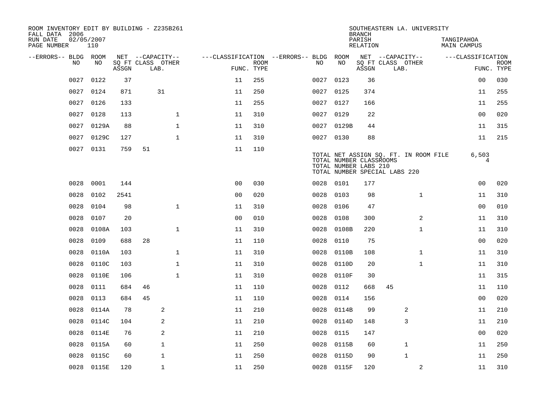| ROOM INVENTORY EDIT BY BUILDING - Z235B261<br>FALL DATA 2006 |                   |       |                           |              |                                        |             |           |            | <b>BRANCH</b>                                    |                               | SOUTHEASTERN LA. UNIVERSITY           |                           |                           |
|--------------------------------------------------------------|-------------------|-------|---------------------------|--------------|----------------------------------------|-------------|-----------|------------|--------------------------------------------------|-------------------------------|---------------------------------------|---------------------------|---------------------------|
| RUN DATE<br>PAGE NUMBER                                      | 02/05/2007<br>110 |       |                           |              |                                        |             |           |            | PARISH<br>RELATION                               |                               |                                       | TANGIPAHOA<br>MAIN CAMPUS |                           |
| --ERRORS-- BLDG ROOM                                         |                   |       | NET --CAPACITY--          |              | ---CLASSIFICATION --ERRORS-- BLDG ROOM |             |           |            |                                                  | NET --CAPACITY--              |                                       | ---CLASSIFICATION         |                           |
| NO.                                                          | NO.               | ASSGN | SQ FT CLASS OTHER<br>LAB. |              | FUNC. TYPE                             | <b>ROOM</b> | NO.       | NO         | ASSGN                                            | SQ FT CLASS OTHER<br>LAB.     |                                       |                           | <b>ROOM</b><br>FUNC. TYPE |
| 0027                                                         | 0122              | 37    |                           |              | 11                                     | 255         | 0027      | 0123       | 36                                               |                               |                                       | 0 <sub>0</sub>            | 030                       |
| 0027                                                         | 0124              | 871   | 31                        |              | 11                                     | 250         | 0027 0125 |            | 374                                              |                               |                                       | 11                        | 255                       |
| 0027                                                         | 0126              | 133   |                           |              | 11                                     | 255         | 0027 0127 |            | 166                                              |                               |                                       | 11                        | 255                       |
| 0027                                                         | 0128              | 113   |                           | $\mathbf 1$  | 11                                     | 310         | 0027 0129 |            | 22                                               |                               |                                       | 00                        | 020                       |
| 0027                                                         | 0129A             | 88    |                           | $\mathbf{1}$ | 11                                     | 310         |           | 0027 0129B | 44                                               |                               |                                       | 11                        | 315                       |
| 0027                                                         | 0129C             | 127   |                           | $\mathbf{1}$ | 11                                     | 310         | 0027 0130 |            | 88                                               |                               |                                       | 11                        | 215                       |
|                                                              | 0027 0131         | 759   | 51                        |              | 11                                     | 110         |           |            | TOTAL NUMBER CLASSROOMS<br>TOTAL NUMBER LABS 210 | TOTAL NUMBER SPECIAL LABS 220 | TOTAL NET ASSIGN SQ. FT. IN ROOM FILE | 6,503<br>4                |                           |
| 0028                                                         | 0001              | 144   |                           |              | 0 <sub>0</sub>                         | 030         | 0028      | 0101       | 177                                              |                               |                                       | 0 <sub>0</sub>            | 020                       |
| 0028                                                         | 0102              | 2541  |                           |              | 0 <sub>0</sub>                         | 020         | 0028      | 0103       | 98                                               |                               | $\mathbf{1}$                          | 11                        | 310                       |
| 0028                                                         | 0104              | 98    |                           | $\mathbf{1}$ | 11                                     | 310         | 0028      | 0106       | 47                                               |                               |                                       | 0 <sub>0</sub>            | 010                       |
| 0028                                                         | 0107              | 20    |                           |              | 0 <sub>0</sub>                         | 010         | 0028      | 0108       | 300                                              |                               | 2                                     | 11                        | 310                       |
| 0028                                                         | 0108A             | 103   |                           | $\mathbf 1$  | 11                                     | 310         | 0028      | 0108B      | 220                                              |                               | $\mathbf{1}$                          | 11                        | 310                       |
| 0028                                                         | 0109              | 688   | 28                        |              | 11                                     | 110         | 0028      | 0110       | 75                                               |                               |                                       | 0 <sub>0</sub>            | 020                       |
| 0028                                                         | 0110A             | 103   |                           | $\mathbf{1}$ | 11                                     | 310         | 0028      | 0110B      | 108                                              |                               | $\mathbf{1}$                          | 11                        | 310                       |
| 0028                                                         | 0110C             | 103   |                           | $\mathbf 1$  | 11                                     | 310         | 0028      | 0110D      | 20                                               |                               | $\mathbf{1}$                          | 11                        | 310                       |
| 0028                                                         | 0110E             | 106   |                           | 1            | 11                                     | 310         | 0028      | 0110F      | 30                                               |                               |                                       | 11                        | 315                       |
| 0028                                                         | 0111              | 684   | 46                        |              | 11                                     | 110         | 0028      | 0112       | 668                                              | 45                            |                                       | 11                        | 110                       |
| 0028                                                         | 0113              | 684   | 45                        |              | 11                                     | 110         | 0028      | 0114       | 156                                              |                               |                                       | 0 <sub>0</sub>            | 020                       |
| 0028                                                         | 0114A             | 78    | 2                         |              | 11                                     | 210         | 0028      | 0114B      | 99                                               |                               | 2                                     | 11                        | 210                       |
| 0028                                                         | 0114C             | 104   | 2                         |              | 11                                     | 210         | 0028      | 0114D      | 148                                              |                               | 3                                     | 11                        | 210                       |
| 0028                                                         | 0114E             | 76    | 2                         |              | 11                                     | 210         | 0028      | 0115       | 147                                              |                               |                                       | 00                        | 020                       |
| 0028                                                         | 0115A             | 60    | $\mathbf{1}$              |              | 11                                     | 250         | 0028      | 0115B      | 60                                               |                               | $\mathbf 1$                           | 11                        | 250                       |
| 0028                                                         | 0115C             | 60    | $\mathbf 1$               |              | 11                                     | 250         | 0028      | 0115D      | 90                                               |                               | $\mathbf{1}$                          | 11                        | 250                       |
|                                                              | 0028 0115E        | 120   | $\mathbf{1}$              |              | 11                                     | 250         |           | 0028 0115F | 120                                              |                               | 2                                     | 11                        | 310                       |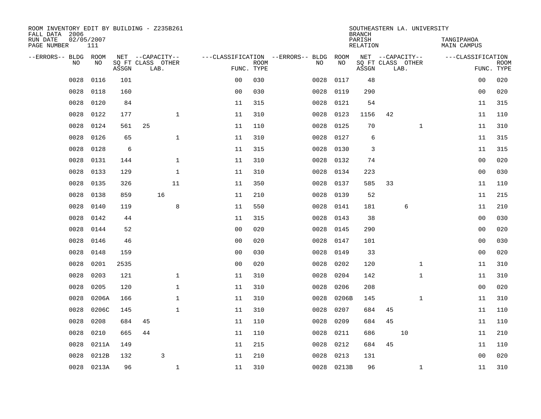| ROOM INVENTORY EDIT BY BUILDING - Z235B261<br>FALL DATA 2006 |                   |       |                           |                |                           |                                   |            | <b>BRANCH</b>      |    | SOUTHEASTERN LA. UNIVERSITY |                           |                |                           |
|--------------------------------------------------------------|-------------------|-------|---------------------------|----------------|---------------------------|-----------------------------------|------------|--------------------|----|-----------------------------|---------------------------|----------------|---------------------------|
| RUN DATE<br>PAGE NUMBER                                      | 02/05/2007<br>111 |       |                           |                |                           |                                   |            | PARISH<br>RELATION |    |                             | TANGIPAHOA<br>MAIN CAMPUS |                |                           |
| --ERRORS-- BLDG ROOM                                         |                   |       | NET --CAPACITY--          |                |                           | ---CLASSIFICATION --ERRORS-- BLDG | ROOM       |                    |    | NET --CAPACITY--            | ---CLASSIFICATION         |                |                           |
| N <sub>O</sub>                                               | NO.               | ASSGN | SO FT CLASS OTHER<br>LAB. |                | <b>ROOM</b><br>FUNC. TYPE | NO.                               | NO         | ASSGN              |    | SQ FT CLASS OTHER<br>LAB.   |                           |                | <b>ROOM</b><br>FUNC. TYPE |
| 0028                                                         | 0116              | 101   |                           | 0 <sub>0</sub> | 030                       | 0028                              | 0117       | 48                 |    |                             |                           | 00             | 020                       |
| 0028                                                         | 0118              | 160   |                           | 0 <sub>0</sub> | 030                       | 0028                              | 0119       | 290                |    |                             |                           | 0 <sub>0</sub> | 020                       |
| 0028                                                         | 0120              | 84    |                           | 11             | 315                       | 0028                              | 0121       | 54                 |    |                             |                           | 11             | 315                       |
| 0028                                                         | 0122              | 177   | $\mathbf{1}$              | 11             | 310                       | 0028                              | 0123       | 1156               | 42 |                             |                           | 11             | 110                       |
| 0028                                                         | 0124              | 561   | 25                        | 11             | 110                       | 0028                              | 0125       | 70                 |    | $\mathbf{1}$                |                           | 11             | 310                       |
| 0028                                                         | 0126              | 65    | $\mathbf{1}$              | 11             | 310                       | 0028                              | 0127       | 6                  |    |                             |                           | 11             | 315                       |
| 0028                                                         | 0128              | 6     |                           | 11             | 315                       | 0028                              | 0130       | 3                  |    |                             |                           | 11             | 315                       |
| 0028                                                         | 0131              | 144   | $\mathbf{1}$              | 11             | 310                       | 0028                              | 0132       | 74                 |    |                             |                           | 0 <sub>0</sub> | 020                       |
| 0028                                                         | 0133              | 129   | $\mathbf{1}$              | 11             | 310                       | 0028                              | 0134       | 223                |    |                             |                           | 0 <sub>0</sub> | 030                       |
| 0028                                                         | 0135              | 326   | 11                        | 11             | 350                       | 0028                              | 0137       | 585                | 33 |                             |                           | 11             | 110                       |
| 0028                                                         | 0138              | 859   | 16                        | 11             | 210                       | 0028                              | 0139       | 52                 |    |                             |                           | 11             | 215                       |
| 0028                                                         | 0140              | 119   | 8                         | 11             | 550                       | 0028                              | 0141       | 181                |    | 6                           |                           | 11             | 210                       |
| 0028                                                         | 0142              | 44    |                           | 11             | 315                       | 0028                              | 0143       | 38                 |    |                             |                           | 0 <sub>0</sub> | 030                       |
| 0028                                                         | 0144              | 52    |                           | 0 <sub>0</sub> | 020                       | 0028                              | 0145       | 290                |    |                             |                           | 0 <sub>0</sub> | 020                       |
| 0028                                                         | 0146              | 46    |                           | 00             | 020                       | 0028                              | 0147       | 101                |    |                             |                           | 00             | 030                       |
| 0028                                                         | 0148              | 159   |                           | 0 <sub>0</sub> | 030                       | 0028                              | 0149       | 33                 |    |                             |                           | 00             | 020                       |
| 0028                                                         | 0201              | 2535  |                           | 0 <sub>0</sub> | 020                       | 0028                              | 0202       | 120                |    | $\mathbf{1}$                |                           | 11             | 310                       |
| 0028                                                         | 0203              | 121   | $\mathbf 1$               | 11             | 310                       | 0028                              | 0204       | 142                |    | $\mathbf{1}$                |                           | 11             | 310                       |
| 0028                                                         | 0205              | 120   | $\mathbf{1}$              | 11             | 310                       | 0028                              | 0206       | 208                |    |                             |                           | 0 <sub>0</sub> | 020                       |
| 0028                                                         | 0206A             | 166   | $\mathbf{1}$              | 11             | 310                       | 0028                              | 0206B      | 145                |    | $\mathbf{1}$                |                           | 11             | 310                       |
| 0028                                                         | 0206C             | 145   | $\mathbf 1$               | 11             | 310                       | 0028                              | 0207       | 684                | 45 |                             |                           | 11             | 110                       |
| 0028                                                         | 0208              | 684   | 45                        | 11             | 110                       | 0028                              | 0209       | 684                | 45 |                             |                           | 11             | 110                       |
| 0028                                                         | 0210              | 665   | 44                        | 11             | 110                       | 0028                              | 0211       | 686                |    | 10                          |                           | 11             | 210                       |
| 0028                                                         | 0211A             | 149   |                           | 11             | 215                       | 0028                              | 0212       | 684                | 45 |                             |                           | 11             | 110                       |
| 0028                                                         | 0212B             | 132   | 3                         | 11             | 210                       | 0028                              | 0213       | 131                |    |                             |                           | 0 <sub>0</sub> | 020                       |
| 0028                                                         | 0213A             | 96    | $\mathbf{1}$              | 11             | 310                       |                                   | 0028 0213B | 96                 |    | $\mathbf{1}$                |                           | 11             | 310                       |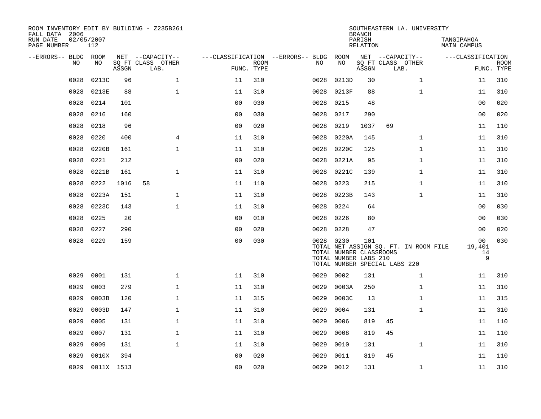| ROOM INVENTORY EDIT BY BUILDING - Z235B261<br>FALL DATA 2006 |                   |       |                           |                |             |                                   |           | <b>BRANCH</b>                                           | SOUTHEASTERN LA. UNIVERSITY                                            |                           |                           |
|--------------------------------------------------------------|-------------------|-------|---------------------------|----------------|-------------|-----------------------------------|-----------|---------------------------------------------------------|------------------------------------------------------------------------|---------------------------|---------------------------|
| RUN DATE<br>PAGE NUMBER                                      | 02/05/2007<br>112 |       |                           |                |             |                                   |           | PARISH<br>RELATION                                      |                                                                        | TANGIPAHOA<br>MAIN CAMPUS |                           |
| --ERRORS-- BLDG ROOM                                         |                   |       | NET --CAPACITY--          |                |             | ---CLASSIFICATION --ERRORS-- BLDG | ROOM      |                                                         | NET --CAPACITY--                                                       | ---CLASSIFICATION         |                           |
| N <sub>O</sub>                                               | NO.               | ASSGN | SO FT CLASS OTHER<br>LAB. | FUNC. TYPE     | <b>ROOM</b> | NO.                               | NO        | ASSGN                                                   | SQ FT CLASS OTHER<br>LAB.                                              |                           | <b>ROOM</b><br>FUNC. TYPE |
| 0028                                                         | 0213C             | 96    | $\mathbf{1}$              | 11             | 310         | 0028                              | 0213D     | 30                                                      | $\mathbf{1}$                                                           | 11                        | 310                       |
| 0028                                                         | 0213E             | 88    | $\mathbf{1}$              | 11             | 310         | 0028                              | 0213F     | 88                                                      | $\mathbf{1}$                                                           | 11                        | 310                       |
| 0028                                                         | 0214              | 101   |                           | 0 <sub>0</sub> | 030         | 0028                              | 0215      | 48                                                      |                                                                        | 00                        | 020                       |
| 0028                                                         | 0216              | 160   |                           | 0 <sub>0</sub> | 030         | 0028                              | 0217      | 290                                                     |                                                                        | 0 <sub>0</sub>            | 020                       |
| 0028                                                         | 0218              | 96    |                           | 0 <sub>0</sub> | 020         | 0028                              | 0219      | 1037                                                    | 69                                                                     | 11                        | 110                       |
| 0028                                                         | 0220              | 400   | $\overline{4}$            | 11             | 310         | 0028                              | 0220A     | 145                                                     | $\mathbf{1}$                                                           | 11                        | 310                       |
| 0028                                                         | 0220B             | 161   | $\mathbf{1}$              | 11             | 310         | 0028                              | 0220C     | 125                                                     | $\mathbf{1}$                                                           | 11                        | 310                       |
| 0028                                                         | 0221              | 212   |                           | 0 <sub>0</sub> | 020         | 0028                              | 0221A     | 95                                                      | $\mathbf{1}$                                                           | 11                        | 310                       |
| 0028                                                         | 0221B             | 161   | $\mathbf 1$               | 11             | 310         | 0028                              | 0221C     | 139                                                     | $\mathbf{1}$                                                           | 11                        | 310                       |
| 0028                                                         | 0222              | 1016  | 58                        | 11             | 110         | 0028                              | 0223      | 215                                                     | $\mathbf{1}$                                                           | 11                        | 310                       |
| 0028                                                         | 0223A             | 151   | $\mathbf 1$               | 11             | 310         | 0028                              | 0223B     | 143                                                     | $\mathbf{1}$                                                           | 11                        | 310                       |
| 0028                                                         | 0223C             | 143   | $\mathbf 1$               | 11             | 310         | 0028                              | 0224      | 64                                                      |                                                                        | 00                        | 030                       |
| 0028                                                         | 0225              | 20    |                           | 0 <sub>0</sub> | 010         | 0028                              | 0226      | 80                                                      |                                                                        | 00                        | 030                       |
| 0028                                                         | 0227              | 290   |                           | 0 <sub>0</sub> | 020         | 0028                              | 0228      | 47                                                      |                                                                        | 0 <sub>0</sub>            | 020                       |
| 0028                                                         | 0229              | 159   |                           | 0 <sub>0</sub> | 030         |                                   | 0028 0230 | 101<br>TOTAL NUMBER CLASSROOMS<br>TOTAL NUMBER LABS 210 | TOTAL NET ASSIGN SQ. FT. IN ROOM FILE<br>TOTAL NUMBER SPECIAL LABS 220 | 00<br>19,401<br>14<br>9   | 030                       |
| 0029                                                         | 0001              | 131   | $\mathbf{1}$              | 11             | 310         | 0029                              | 0002      | 131                                                     | $\mathbf{1}$                                                           | 11                        | 310                       |
| 0029                                                         | 0003              | 279   | $\mathbf{1}$              | 11             | 310         | 0029                              | 0003A     | 250                                                     | $\mathbf{1}$                                                           | 11                        | 310                       |
| 0029                                                         | 0003B             | 120   | 1                         | 11             | 315         | 0029                              | 0003C     | 13                                                      | $\mathbf{1}$                                                           | 11                        | 315                       |
| 0029                                                         | 0003D             | 147   | $\mathbf 1$               | 11             | 310         | 0029                              | 0004      | 131                                                     | $\mathbf{1}$                                                           | 11                        | 310                       |
| 0029                                                         | 0005              | 131   | $\mathbf{1}$              | 11             | 310         | 0029                              | 0006      | 819                                                     | 45                                                                     | 11                        | 110                       |
| 0029                                                         | 0007              | 131   | 1                         | 11             | 310         | 0029                              | 0008      | 819                                                     | 45                                                                     | 11                        | 110                       |
| 0029                                                         | 0009              | 131   | $\mathbf{1}$              | 11             | 310         | 0029                              | 0010      | 131                                                     | $\mathbf{1}$                                                           | 11                        | 310                       |
| 0029                                                         | 0010X             | 394   |                           | 0 <sub>0</sub> | 020         | 0029                              | 0011      | 819                                                     | 45                                                                     | 11                        | 110                       |
| 0029                                                         | 0011X 1513        |       |                           | 0 <sub>0</sub> | 020         | 0029                              | 0012      | 131                                                     | $\mathbf{1}$                                                           | 11                        | 310                       |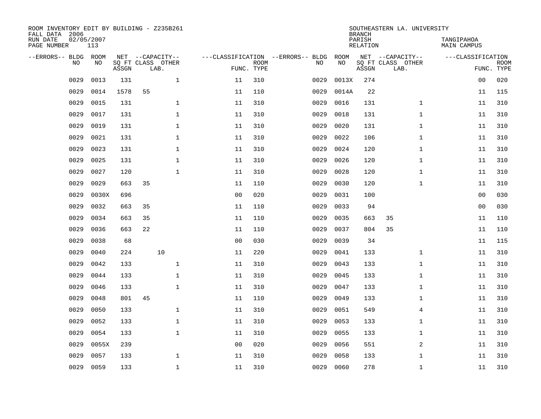| ROOM INVENTORY EDIT BY BUILDING - Z235B261<br>FALL DATA 2006<br>RUN DATE<br>PAGE NUMBER |           | 02/05/2007<br>113 |       |    |                                               |                                   |                           |      |            | <b>BRANCH</b><br>PARISH<br>RELATION | SOUTHEASTERN LA. UNIVERSITY                   | TANGIPAHOA<br>MAIN CAMPUS |                           |
|-----------------------------------------------------------------------------------------|-----------|-------------------|-------|----|-----------------------------------------------|-----------------------------------|---------------------------|------|------------|-------------------------------------|-----------------------------------------------|---------------------------|---------------------------|
| --ERRORS-- BLDG                                                                         | <b>NO</b> | ROOM<br>NO.       | ASSGN |    | NET --CAPACITY--<br>SQ FT CLASS OTHER<br>LAB. | ---CLASSIFICATION --ERRORS-- BLDG | <b>ROOM</b><br>FUNC. TYPE | NO   | ROOM<br>NO | ASSGN                               | NET --CAPACITY--<br>SQ FT CLASS OTHER<br>LAB. | ---CLASSIFICATION         | <b>ROOM</b><br>FUNC. TYPE |
|                                                                                         | 0029      | 0013              | 131   |    | $\mathbf{1}$                                  | 11                                | 310                       | 0029 | 0013X      | 274                                 |                                               | 0 <sub>0</sub>            | 020                       |
|                                                                                         | 0029      | 0014              | 1578  | 55 |                                               | 11                                | 110                       | 0029 | 0014A      | 22                                  |                                               | 11                        | 115                       |
|                                                                                         | 0029      | 0015              | 131   |    | $\mathbf{1}$                                  | 11                                | 310                       | 0029 | 0016       | 131                                 | $\mathbf{1}$                                  | 11                        | 310                       |
|                                                                                         | 0029      | 0017              | 131   |    | $\mathbf{1}$                                  | 11                                | 310                       | 0029 | 0018       | 131                                 | $\mathbf{1}$                                  | 11                        | 310                       |
|                                                                                         | 0029      | 0019              | 131   |    | $\mathbf{1}$                                  | 11                                | 310                       | 0029 | 0020       | 131                                 | $\mathbf{1}$                                  | 11                        | 310                       |
|                                                                                         | 0029      | 0021              | 131   |    | $\mathbf 1$                                   | 11                                | 310                       | 0029 | 0022       | 106                                 | $\mathbf{1}$                                  | 11                        | 310                       |
|                                                                                         | 0029      | 0023              | 131   |    | $\mathbf 1$                                   | 11                                | 310                       | 0029 | 0024       | 120                                 | $\mathbf{1}$                                  | 11                        | 310                       |
|                                                                                         | 0029      | 0025              | 131   |    | $\mathbf 1$                                   | 11                                | 310                       | 0029 | 0026       | 120                                 | $\mathbf{1}$                                  | 11                        | 310                       |
|                                                                                         | 0029      | 0027              | 120   |    | $\mathbf{1}$                                  | 11                                | 310                       | 0029 | 0028       | 120                                 | $\mathbf{1}$                                  | 11                        | 310                       |
|                                                                                         | 0029      | 0029              | 663   | 35 |                                               | 11                                | 110                       | 0029 | 0030       | 120                                 | $\mathbf{1}$                                  | 11                        | 310                       |
|                                                                                         | 0029      | 0030X             | 696   |    |                                               | 0 <sub>0</sub>                    | 020                       | 0029 | 0031       | 100                                 |                                               | 00                        | 030                       |
|                                                                                         | 0029      | 0032              | 663   | 35 |                                               | 11                                | 110                       | 0029 | 0033       | 94                                  |                                               | 00                        | 030                       |
|                                                                                         | 0029      | 0034              | 663   | 35 |                                               | 11                                | 110                       | 0029 | 0035       | 663                                 | 35                                            | 11                        | 110                       |
|                                                                                         | 0029      | 0036              | 663   | 22 |                                               | 11                                | 110                       | 0029 | 0037       | 804                                 | 35                                            | 11                        | 110                       |
|                                                                                         | 0029      | 0038              | 68    |    |                                               | 0 <sub>0</sub>                    | 030                       | 0029 | 0039       | 34                                  |                                               | 11                        | 115                       |
|                                                                                         | 0029      | 0040              | 224   |    | 10                                            | 11                                | 220                       | 0029 | 0041       | 133                                 | $\mathbf{1}$                                  | 11                        | 310                       |
|                                                                                         | 0029      | 0042              | 133   |    | $\mathbf{1}$                                  | 11                                | 310                       | 0029 | 0043       | 133                                 | $\mathbf{1}$                                  | 11                        | 310                       |
|                                                                                         | 0029      | 0044              | 133   |    | $\mathbf 1$                                   | 11                                | 310                       | 0029 | 0045       | 133                                 | $\mathbf{1}$                                  | 11                        | 310                       |
|                                                                                         | 0029      | 0046              | 133   |    | 1                                             | 11                                | 310                       | 0029 | 0047       | 133                                 | $\mathbf{1}$                                  | 11                        | 310                       |
|                                                                                         | 0029      | 0048              | 801   | 45 |                                               | 11                                | 110                       | 0029 | 0049       | 133                                 | $\mathbf{1}$                                  | 11                        | 310                       |
|                                                                                         | 0029      | 0050              | 133   |    | $\mathbf 1$                                   | 11                                | 310                       | 0029 | 0051       | 549                                 | 4                                             | 11                        | 310                       |
|                                                                                         | 0029      | 0052              | 133   |    | $\mathbf 1$                                   | 11                                | 310                       | 0029 | 0053       | 133                                 | $\mathbf{1}$                                  | 11                        | 310                       |
|                                                                                         | 0029      | 0054              | 133   |    | $\mathbf{1}$                                  | 11                                | 310                       | 0029 | 0055       | 133                                 | $\mathbf{1}$                                  | 11                        | 310                       |
|                                                                                         | 0029      | 0055X             | 239   |    |                                               | 0 <sub>0</sub>                    | 020                       | 0029 | 0056       | 551                                 | $\overline{a}$                                | 11                        | 310                       |
|                                                                                         | 0029      | 0057              | 133   |    | $\mathbf 1$                                   | 11                                | 310                       | 0029 | 0058       | 133                                 | $\mathbf{1}$                                  | 11                        | 310                       |
|                                                                                         | 0029      | 0059              | 133   |    | $\mathbf{1}$                                  | 11                                | 310                       | 0029 | 0060       | 278                                 | $\mathbf{1}$                                  | 11                        | 310                       |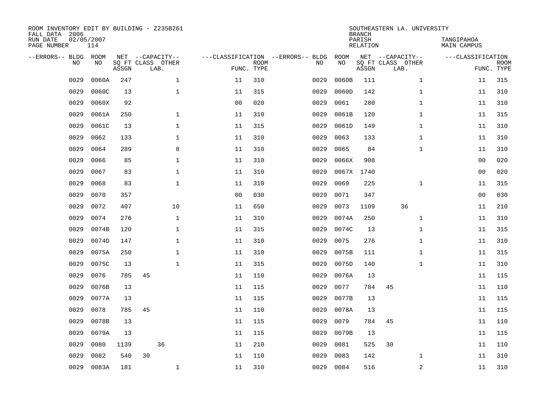| ROOM INVENTORY EDIT BY BUILDING - Z235B261<br>FALL DATA 2006<br>RUN DATE<br>PAGE NUMBER |           | 02/05/2007<br>114 |       |                                               |              |                                   |                           |      |            | <b>BRANCH</b><br>PARISH<br>RELATION | SOUTHEASTERN LA. UNIVERSITY                   | TANGIPAHOA<br>MAIN CAMPUS |                           |
|-----------------------------------------------------------------------------------------|-----------|-------------------|-------|-----------------------------------------------|--------------|-----------------------------------|---------------------------|------|------------|-------------------------------------|-----------------------------------------------|---------------------------|---------------------------|
| --ERRORS-- BLDG                                                                         | <b>NO</b> | ROOM<br>NO.       | ASSGN | NET --CAPACITY--<br>SO FT CLASS OTHER<br>LAB. |              | ---CLASSIFICATION --ERRORS-- BLDG | <b>ROOM</b><br>FUNC. TYPE | NO   | ROOM<br>NO | ASSGN                               | NET --CAPACITY--<br>SQ FT CLASS OTHER<br>LAB. | ---CLASSIFICATION         | <b>ROOM</b><br>FUNC. TYPE |
|                                                                                         | 0029      | 0060A             | 247   |                                               | $\mathbf{1}$ | 11                                | 310                       | 0029 | 0060B      | 111                                 | $\mathbf{1}$                                  | 11                        | 315                       |
|                                                                                         | 0029      | 0060C             | 13    |                                               | $\mathbf 1$  | 11                                | 315                       | 0029 | 0060D      | 142                                 | $\mathbf{1}$                                  | 11                        | 310                       |
|                                                                                         | 0029      | 0060X             | 92    |                                               |              | 0 <sub>0</sub>                    | 020                       | 0029 | 0061       | 280                                 | $\mathbf{1}$                                  | 11                        | 310                       |
|                                                                                         | 0029      | 0061A             | 250   |                                               | $\mathbf 1$  | 11                                | 310                       | 0029 | 0061B      | 120                                 | $\mathbf{1}$                                  | 11                        | 315                       |
|                                                                                         | 0029      | 0061C             | 13    |                                               | $\mathbf{1}$ | 11                                | 315                       | 0029 | 0061D      | 149                                 | $\mathbf{1}$                                  | 11                        | 310                       |
|                                                                                         | 0029      | 0062              | 133   |                                               | $\mathbf{1}$ | 11                                | 310                       | 0029 | 0063       | 133                                 | $\mathbf{1}$                                  | 11                        | 310                       |
|                                                                                         | 0029      | 0064              | 289   |                                               | 8            | 11                                | 310                       | 0029 | 0065       | 84                                  | $\mathbf{1}$                                  | 11                        | 310                       |
|                                                                                         | 0029      | 0066              | 85    |                                               | $\mathbf{1}$ | 11                                | 310                       | 0029 | 0066X      | 908                                 |                                               | 0 <sub>0</sub>            | 020                       |
|                                                                                         | 0029      | 0067              | 83    |                                               | $\mathbf{1}$ | 11                                | 310                       | 0029 | 0067X      | 1740                                |                                               | 0 <sub>0</sub>            | 020                       |
|                                                                                         | 0029      | 0068              | 83    |                                               | $\mathbf{1}$ | 11                                | 310                       | 0029 | 0069       | 225                                 | $\mathbf{1}$                                  | 11                        | 315                       |
|                                                                                         | 0029      | 0070              | 357   |                                               |              | 0 <sub>0</sub>                    | 030                       | 0029 | 0071       | 347                                 |                                               | 00                        | 030                       |
|                                                                                         | 0029      | 0072              | 407   |                                               | 10           | 11                                | 650                       | 0029 | 0073       | 1109                                | 36                                            | 11                        | 210                       |
|                                                                                         | 0029      | 0074              | 276   |                                               | $\mathbf 1$  | 11                                | 310                       | 0029 | 0074A      | 250                                 | $\mathbf{1}$                                  | 11                        | 310                       |
|                                                                                         | 0029      | 0074B             | 120   |                                               | 1            | 11                                | 315                       | 0029 | 0074C      | 13                                  | $\mathbf{1}$                                  | 11                        | 315                       |
|                                                                                         | 0029      | 0074D             | 147   |                                               | $\mathbf 1$  | 11                                | 310                       | 0029 | 0075       | 276                                 | $\mathbf{1}$                                  | 11                        | 310                       |
|                                                                                         | 0029      | 0075A             | 250   |                                               | 1            | 11                                | 310                       | 0029 | 0075B      | 111                                 | $\mathbf{1}$                                  | 11                        | 315                       |
|                                                                                         | 0029      | 0075C             | 13    |                                               | $\mathbf{1}$ | 11                                | 315                       | 0029 | 0075D      | 140                                 | $\mathbf{1}$                                  | 11                        | 310                       |
|                                                                                         | 0029      | 0076              | 785   | 45                                            |              | 11                                | 110                       | 0029 | 0076A      | 13                                  |                                               | 11                        | 115                       |
|                                                                                         | 0029      | 0076B             | 13    |                                               |              | 11                                | 115                       | 0029 | 0077       | 784                                 | 45                                            | 11                        | 110                       |
|                                                                                         | 0029      | 0077A             | 13    |                                               |              | 11                                | 115                       | 0029 | 0077B      | 13                                  |                                               | 11                        | 115                       |
|                                                                                         | 0029      | 0078              | 785   | 45                                            |              | 11                                | 110                       | 0029 | 0078A      | 13                                  |                                               | 11                        | 115                       |
|                                                                                         | 0029      | 0078B             | 13    |                                               |              | 11                                | 115                       | 0029 | 0079       | 784                                 | 45                                            | 11                        | 110                       |
|                                                                                         | 0029      | 0079A             | 13    |                                               |              | 11                                | 115                       | 0029 | 0079B      | 13                                  |                                               | 11                        | 115                       |
|                                                                                         | 0029      | 0080              | 1139  | 36                                            |              | 11                                | 210                       | 0029 | 0081       | 525                                 | 30                                            | 11                        | 110                       |
|                                                                                         | 0029      | 0082              | 540   | 30                                            |              | 11                                | 110                       | 0029 | 0083       | 142                                 | $\mathbf{1}$                                  | 11                        | 310                       |
|                                                                                         | 0029      | 0083A             | 181   |                                               | $\mathbf 1$  | 11                                | 310                       | 0029 | 0084       | 516                                 | 2                                             | 11                        | 310                       |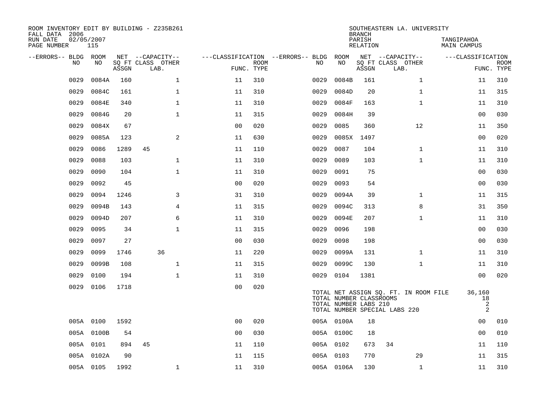| ROOM INVENTORY EDIT BY BUILDING - Z235B261<br>FALL DATA 2006<br>RUN DATE<br>PAGE NUMBER | 02/05/2007<br>115 |       |                                               |                |             |                                         |                                                  | <b>BRANCH</b><br>PARISH<br><b>RELATION</b> | SOUTHEASTERN LA. UNIVERSITY                                            | TANGIPAHOA<br><b>MAIN CAMPUS</b>                 |                           |
|-----------------------------------------------------------------------------------------|-------------------|-------|-----------------------------------------------|----------------|-------------|-----------------------------------------|--------------------------------------------------|--------------------------------------------|------------------------------------------------------------------------|--------------------------------------------------|---------------------------|
| --ERRORS-- BLDG ROOM<br>NO                                                              | NO                | ASSGN | NET --CAPACITY--<br>SQ FT CLASS OTHER<br>LAB. | FUNC. TYPE     | <b>ROOM</b> | ---CLASSIFICATION --ERRORS-- BLDG<br>NO | ROOM<br>NO                                       | ASSGN                                      | NET --CAPACITY--<br>SQ FT CLASS OTHER<br>LAB.                          | ---CLASSIFICATION                                | <b>ROOM</b><br>FUNC. TYPE |
| 0029                                                                                    | 0084A             | 160   | $\mathbf 1$                                   | 11             | 310         | 0029                                    | 0084B                                            | 161                                        | $\mathbf{1}$                                                           | 11                                               | 310                       |
| 0029                                                                                    | 0084C             | 161   | $\mathbf 1$                                   | 11             | 310         | 0029                                    | 0084D                                            | 20                                         | $\mathbf{1}$                                                           | 11                                               | 315                       |
| 0029                                                                                    | 0084E             | 340   | $\mathbf{1}$                                  | 11             | 310         | 0029                                    | 0084F                                            | 163                                        | $\mathbf{1}$                                                           | 11                                               | 310                       |
| 0029                                                                                    | 0084G             | 20    | $\mathbf{1}$                                  | 11             | 315         | 0029                                    | 0084H                                            | 39                                         |                                                                        | 0 <sub>0</sub>                                   | 030                       |
| 0029                                                                                    | 0084X             | 67    |                                               | 0 <sub>0</sub> | 020         | 0029                                    | 0085                                             | 360                                        | 12                                                                     | 11                                               | 350                       |
| 0029                                                                                    | 0085A             | 123   | $\overline{a}$                                | 11             | 630         | 0029                                    | 0085X                                            | 1497                                       |                                                                        | 00                                               | 020                       |
| 0029                                                                                    | 0086              | 1289  | 45                                            | 11             | 110         | 0029                                    | 0087                                             | 104                                        | $\mathbf{1}$                                                           | 11                                               | 310                       |
| 0029                                                                                    | 0088              | 103   | $\mathbf 1$                                   | 11             | 310         | 0029                                    | 0089                                             | 103                                        | $\mathbf{1}$                                                           | 11                                               | 310                       |
| 0029                                                                                    | 0090              | 104   | $\mathbf 1$                                   | 11             | 310         | 0029                                    | 0091                                             | 75                                         |                                                                        | 00                                               | 030                       |
| 0029                                                                                    | 0092              | 45    |                                               | 0 <sub>0</sub> | 020         | 0029                                    | 0093                                             | 54                                         |                                                                        | 00                                               | 030                       |
| 0029                                                                                    | 0094              | 1246  | 3                                             | 31             | 310         | 0029                                    | 0094A                                            | 39                                         | $\mathbf{1}$                                                           | 11                                               | 315                       |
| 0029                                                                                    | 0094B             | 143   | 4                                             | 11             | 315         | 0029                                    | 0094C                                            | 313                                        | 8                                                                      | 31                                               | 350                       |
| 0029                                                                                    | 0094D             | 207   | 6                                             | 11             | 310         | 0029                                    | 0094E                                            | 207                                        | $\mathbf{1}$                                                           | 11                                               | 310                       |
| 0029                                                                                    | 0095              | 34    | $\mathbf 1$                                   | 11             | 315         | 0029                                    | 0096                                             | 198                                        |                                                                        | 00                                               | 030                       |
| 0029                                                                                    | 0097              | 27    |                                               | 0 <sub>0</sub> | 030         | 0029                                    | 0098                                             | 198                                        |                                                                        | 0 <sub>0</sub>                                   | 030                       |
| 0029                                                                                    | 0099              | 1746  | 36                                            | 11             | 220         | 0029                                    | 0099A                                            | 131                                        | $\mathbf{1}$                                                           | 11                                               | 310                       |
| 0029                                                                                    | 0099B             | 108   | $\mathbf 1$                                   | 11             | 315         | 0029                                    | 0099C                                            | 130                                        | $\mathbf{1}$                                                           | 11                                               | 310                       |
| 0029                                                                                    | 0100              | 194   | $\mathbf 1$                                   | 11             | 310         | 0029                                    | 0104                                             | 1381                                       |                                                                        | 00                                               | 020                       |
| 0029                                                                                    | 0106              | 1718  |                                               | 0 <sub>0</sub> | 020         |                                         | TOTAL NUMBER CLASSROOMS<br>TOTAL NUMBER LABS 210 |                                            | TOTAL NET ASSIGN SQ. FT. IN ROOM FILE<br>TOTAL NUMBER SPECIAL LABS 220 | 36,160<br>18<br>$\overline{2}$<br>$\overline{a}$ |                           |
|                                                                                         | 005A 0100         | 1592  |                                               | 00             | 020         |                                         | 005A 0100A                                       | 18                                         |                                                                        | 00                                               | 010                       |
|                                                                                         | 005A 0100B        | 54    |                                               | 0 <sub>0</sub> | 030         |                                         | 005A 0100C                                       | 18                                         |                                                                        | 00                                               | 010                       |
|                                                                                         | 005A 0101         | 894   | 45                                            | 11             | 110         |                                         | 005A 0102                                        | 673                                        | 34                                                                     | 11                                               | 110                       |
|                                                                                         | 005A 0102A        | 90    |                                               | 11             | 115         |                                         | 005A 0103                                        | 770                                        | 29                                                                     | 11                                               | 315                       |
|                                                                                         | 005A 0105         | 1992  | $\mathbf{1}$                                  | 11             | 310         |                                         | 005A 0106A                                       | 130                                        | $\mathbf{1}$                                                           | 11                                               | 310                       |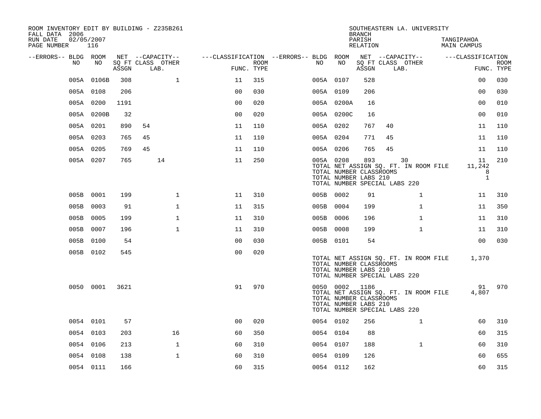| ROOM INVENTORY EDIT BY BUILDING - Z235B261<br>FALL DATA 2006 |            |       |                           |                |      |                                        |                                                                    | <b>BRANCH</b>      | SOUTHEASTERN LA. UNIVERSITY                                                  |                                   |                           |
|--------------------------------------------------------------|------------|-------|---------------------------|----------------|------|----------------------------------------|--------------------------------------------------------------------|--------------------|------------------------------------------------------------------------------|-----------------------------------|---------------------------|
| RUN DATE<br>02/05/2007<br>PAGE NUMBER                        | 116        |       |                           |                |      |                                        |                                                                    | PARISH<br>RELATION |                                                                              | TANGIPAHOA<br>MAIN CAMPUS         |                           |
| --ERRORS-- BLDG ROOM                                         |            |       | NET --CAPACITY--          |                |      | ---CLASSIFICATION --ERRORS-- BLDG ROOM | NO                                                                 |                    | NET --CAPACITY--                                                             | ---CLASSIFICATION                 |                           |
| NO.                                                          | NO         | ASSGN | SQ FT CLASS OTHER<br>LAB. | FUNC. TYPE     | ROOM | NO.                                    |                                                                    | ASSGN              | SQ FT CLASS OTHER<br>LAB.                                                    |                                   | <b>ROOM</b><br>FUNC. TYPE |
|                                                              | 005A 0106B | 308   | $\mathbf{1}$              | 11             | 315  |                                        | 005A 0107                                                          | 528                |                                                                              | 0 <sub>0</sub>                    | 030                       |
|                                                              | 005A 0108  | 206   |                           | 0 <sub>0</sub> | 030  |                                        | 005A 0109                                                          | 206                |                                                                              | 0 <sub>0</sub>                    | 030                       |
|                                                              | 005A 0200  | 1191  |                           | 0 <sub>0</sub> | 020  |                                        | 005A 0200A                                                         | 16                 |                                                                              | 0 <sub>0</sub>                    | 010                       |
|                                                              | 005A 0200B | 32    |                           | 0 <sub>0</sub> | 020  |                                        | 005A 0200C                                                         | 16                 |                                                                              | 00                                | 010                       |
|                                                              | 005A 0201  | 890   | 54                        | 11             | 110  |                                        | 005A 0202                                                          | 767                | 40                                                                           | 11                                | 110                       |
|                                                              | 005A 0203  | 765   | 45                        | 11             | 110  |                                        | 005A 0204                                                          | 771                | 45                                                                           | 11                                | 110                       |
|                                                              | 005A 0205  | 769   | 45                        | 11             | 110  |                                        | 005A 0206                                                          | 765                | 45                                                                           | 11                                | 110                       |
|                                                              | 005A 0207  | 765   | 14                        | 11             | 250  |                                        | 005A 0208<br>TOTAL NUMBER CLASSROOMS<br>TOTAL NUMBER LABS 210      | 893                | 30<br>TOTAL NET ASSIGN SQ. FT. IN ROOM FILE<br>TOTAL NUMBER SPECIAL LABS 220 | 11<br>11,242<br>8<br>$\mathbf{1}$ | 210                       |
|                                                              | 005B 0001  | 199   | $\mathbf 1$               | 11             | 310  |                                        | 005B 0002                                                          | 91                 | $\mathbf{1}$                                                                 | 11                                | 310                       |
|                                                              | 005B 0003  | 91    | $\mathbf 1$               | 11             | 315  |                                        | 005B 0004                                                          | 199                | $\mathbf{1}$                                                                 | 11                                | 350                       |
| 005B                                                         | 0005       | 199   | $\mathbf 1$               | 11             | 310  |                                        | 005B 0006                                                          | 196                | $\mathbf{1}$                                                                 | 11                                | 310                       |
|                                                              | 005B 0007  | 196   | $\mathbf{1}$              | 11             | 310  |                                        | 005B 0008                                                          | 199                | $\mathbf{1}$                                                                 | 11                                | 310                       |
|                                                              | 005B 0100  | 54    |                           | 0 <sub>0</sub> | 030  |                                        | 005B 0101                                                          | 54                 |                                                                              | 0 <sub>0</sub>                    | 030                       |
|                                                              | 005B 0102  | 545   |                           | 0 <sub>0</sub> | 020  |                                        | TOTAL NUMBER CLASSROOMS<br>TOTAL NUMBER LABS 210                   |                    | TOTAL NET ASSIGN SQ. FT. IN ROOM FILE<br>TOTAL NUMBER SPECIAL LABS 220       | 1,370                             |                           |
|                                                              | 0050 0001  | 3621  |                           | 91             | 970  |                                        | 0050 0002 1186<br>TOTAL NUMBER CLASSROOMS<br>TOTAL NUMBER LABS 210 |                    | TOTAL NET ASSIGN SQ. FT. IN ROOM FILE<br>TOTAL NUMBER SPECIAL LABS 220       | 91<br>4,807                       | 970                       |
|                                                              | 0054 0101  | 57    |                           | 0 <sub>0</sub> | 020  |                                        | 0054 0102                                                          | 256                | $\mathbf{1}$                                                                 | 60                                | 310                       |
|                                                              | 0054 0103  | 203   | 16                        | 60             | 350  |                                        | 0054 0104                                                          | 88                 |                                                                              | 60                                | 315                       |
|                                                              | 0054 0106  | 213   | $\mathbf{1}$              | 60             | 310  |                                        | 0054 0107                                                          | 188                | $\mathbf{1}$                                                                 | 60                                | 310                       |
|                                                              | 0054 0108  | 138   | $\mathbf 1$               | 60             | 310  |                                        | 0054 0109                                                          | 126                |                                                                              | 60                                | 655                       |
|                                                              | 0054 0111  | 166   |                           | 60             | 315  |                                        | 0054 0112                                                          | 162                |                                                                              | 60                                | 315                       |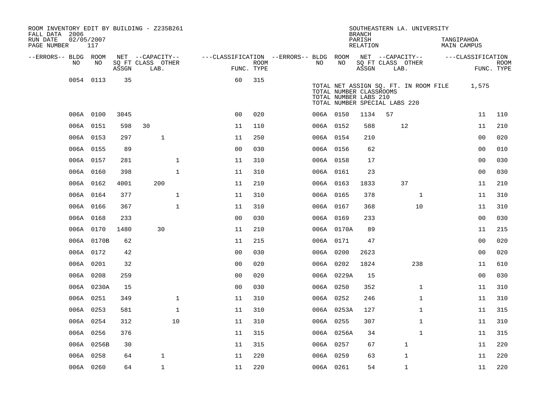| ROOM INVENTORY EDIT BY BUILDING - Z235B261<br>FALL DATA 2006 |                   |       |                           |              |                                        |             |           |            | <b>BRANCH</b>                                                                     |      | SOUTHEASTERN LA. UNIVERSITY           |                           |             |
|--------------------------------------------------------------|-------------------|-------|---------------------------|--------------|----------------------------------------|-------------|-----------|------------|-----------------------------------------------------------------------------------|------|---------------------------------------|---------------------------|-------------|
| RUN DATE<br>PAGE NUMBER                                      | 02/05/2007<br>117 |       |                           |              |                                        |             |           |            | PARISH<br>RELATION                                                                |      |                                       | TANGIPAHOA<br>MAIN CAMPUS |             |
| --ERRORS-- BLDG ROOM                                         |                   |       | NET --CAPACITY--          |              | ---CLASSIFICATION --ERRORS-- BLDG ROOM |             |           |            |                                                                                   |      | NET --CAPACITY--                      | ---CLASSIFICATION         |             |
| NO                                                           | NO                | ASSGN | SQ FT CLASS OTHER<br>LAB. |              | FUNC. TYPE                             | <b>ROOM</b> | NO        | NO         | ASSGN                                                                             | LAB. | SQ FT CLASS OTHER                     | FUNC. TYPE                | <b>ROOM</b> |
|                                                              | 0054 0113         | 35    |                           |              | 60                                     | 315         |           |            | TOTAL NUMBER CLASSROOMS<br>TOTAL NUMBER LABS 210<br>TOTAL NUMBER SPECIAL LABS 220 |      | TOTAL NET ASSIGN SQ. FT. IN ROOM FILE | 1,575                     |             |
|                                                              | 006A 0100         | 3045  |                           |              | 0 <sub>0</sub>                         | 020         | 006A 0150 |            | 1134                                                                              | 57   |                                       | 11                        | 110         |
|                                                              | 006A 0151         | 598   | 30                        |              | 11                                     | 110         |           | 006A 0152  | 588                                                                               |      | 12                                    | 11                        | 210         |
|                                                              | 006A 0153         | 297   | $\mathbf{1}$              |              | 11                                     | 250         | 006A 0154 |            | 210                                                                               |      |                                       | 00                        | 020         |
|                                                              | 006A 0155         | 89    |                           |              | 0 <sub>0</sub>                         | 030         | 006A 0156 |            | 62                                                                                |      |                                       | 0 <sub>0</sub>            | 010         |
|                                                              | 006A 0157         | 281   |                           | $\mathbf{1}$ | 11                                     | 310         | 006A 0158 |            | 17                                                                                |      |                                       | 0 <sub>0</sub>            | 030         |
|                                                              | 006A 0160         | 398   |                           | $\mathbf{1}$ | 11                                     | 310         | 006A 0161 |            | 23                                                                                |      |                                       | 00                        | 030         |
|                                                              | 006A 0162         | 4001  | 200                       |              | 11                                     | 210         |           | 006A 0163  | 1833                                                                              |      | 37                                    | 11                        | 210         |
|                                                              | 006A 0164         | 377   |                           | $\mathbf{1}$ | 11                                     | 310         | 006A 0165 |            | 378                                                                               |      | $\mathbf{1}$                          | 11                        | 310         |
|                                                              | 006A 0166         | 367   |                           | $\mathbf{1}$ | 11                                     | 310         |           | 006A 0167  | 368                                                                               |      | 10                                    | 11                        | 310         |
|                                                              | 006A 0168         | 233   |                           |              | 0 <sub>0</sub>                         | 030         |           | 006A 0169  | 233                                                                               |      |                                       | 00                        | 030         |
|                                                              | 006A 0170         | 1480  | 30                        |              | 11                                     | 210         |           | 006A 0170A | 89                                                                                |      |                                       | 11                        | 215         |
|                                                              | 006A 0170B        | 62    |                           |              | 11                                     | 215         | 006A 0171 |            | 47                                                                                |      |                                       | 0 <sub>0</sub>            | 020         |
|                                                              | 006A 0172         | 42    |                           |              | 0 <sub>0</sub>                         | 030         | 006A 0200 |            | 2623                                                                              |      |                                       | 0 <sub>0</sub>            | 020         |
|                                                              | 006A 0201         | 32    |                           |              | 0 <sub>0</sub>                         | 020         |           | 006A 0202  | 1824                                                                              |      | 238                                   | 11                        | 610         |
|                                                              | 006A 0208         | 259   |                           |              | 0 <sub>0</sub>                         | 020         |           | 006A 0229A | 15                                                                                |      |                                       | 0 <sub>0</sub>            | 030         |
|                                                              | 006A 0230A        | 15    |                           |              | 0 <sub>0</sub>                         | 030         |           | 006A 0250  | 352                                                                               |      | $\mathbf{1}$                          | 11                        | 310         |
|                                                              | 006A 0251         | 349   |                           | $\mathbf 1$  | 11                                     | 310         | 006A 0252 |            | 246                                                                               |      | $\mathbf{1}$                          | 11                        | 310         |
|                                                              | 006A 0253         | 581   |                           | $\mathbf 1$  | 11                                     | 310         |           | 006A 0253A | 127                                                                               |      | $\mathbf{1}$                          | 11                        | 315         |
|                                                              | 006A 0254         | 312   |                           | 10           | 11                                     | 310         | 006A 0255 |            | 307                                                                               |      | $\mathbf{1}$                          | 11                        | 310         |
|                                                              | 006A 0256         | 376   |                           |              | 11                                     | 315         |           | 006A 0256A | 34                                                                                |      | $\mathbf{1}$                          | 11                        | 315         |
|                                                              | 006A 0256B        | 30    |                           |              | 11                                     | 315         | 006A 0257 |            | 67                                                                                |      | $\mathbf 1$                           | 11                        | 220         |
|                                                              | 006A 0258         | 64    | $\mathbf{1}$              |              | 11                                     | 220         | 006A 0259 |            | 63                                                                                |      | $\mathbf{1}$                          | 11                        | 220         |
|                                                              | 006A 0260         | 64    | $\mathbf{1}$              |              | 11                                     | 220         | 006A 0261 |            | 54                                                                                |      | $\mathbf{1}$                          | 11                        | 220         |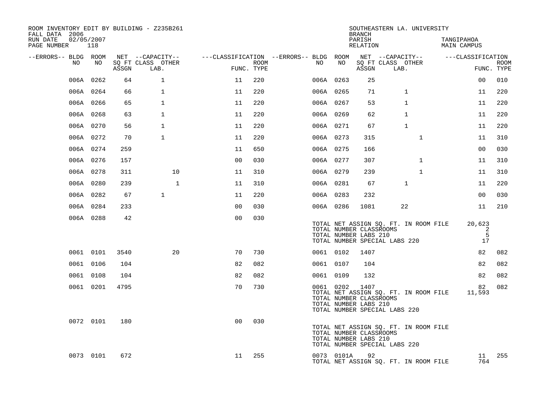| FALL DATA 2006              |            |       | ROOM INVENTORY EDIT BY BUILDING - Z235B261 |                |                    |                                                                              |                                                               | <b>BRANCH</b>      | SOUTHEASTERN LA. UNIVERSITY                                            |              |                                  |                        |             |
|-----------------------------|------------|-------|--------------------------------------------|----------------|--------------------|------------------------------------------------------------------------------|---------------------------------------------------------------|--------------------|------------------------------------------------------------------------|--------------|----------------------------------|------------------------|-------------|
| RUN DATE<br>PAGE NUMBER 118 | 02/05/2007 |       |                                            |                |                    |                                                                              |                                                               | PARISH<br>RELATION |                                                                        |              | TANGIPAHOA<br><b>MAIN CAMPUS</b> |                        |             |
| --ERRORS-- BLDG ROOM        |            |       | NET --CAPACITY--                           |                |                    | ---CLASSIFICATION --ERRORS-- BLDG ROOM NET --CAPACITY--    ---CLASSIFICATION |                                                               |                    |                                                                        |              |                                  |                        |             |
| NO                          | NO         | ASSGN | SO FT CLASS OTHER<br>LAB.                  |                | ROOM<br>FUNC. TYPE | NO .                                                                         | NO                                                            | ASSGN              | SQ FT CLASS OTHER<br>LAB.                                              |              |                                  | FUNC. TYPE             | <b>ROOM</b> |
|                             | 006A 0262  | 64    | $\mathbf{1}$                               | 11             | 220                |                                                                              | 006A 0263                                                     | 25                 |                                                                        |              |                                  | 0 <sub>0</sub>         | 010         |
|                             | 006A 0264  | 66    | $\mathbf{1}$                               | 11             | 220                |                                                                              | 006A 0265                                                     | 71                 |                                                                        | $\mathbf{1}$ |                                  | 11                     | 220         |
|                             | 006A 0266  | 65    | $\mathbf{1}$                               | 11             | 220                |                                                                              | 006A 0267                                                     | 53                 |                                                                        | $\mathbf{1}$ |                                  | 11                     | 220         |
|                             | 006A 0268  | 63    | $\mathbf{1}$                               | 11             | 220                |                                                                              | 006A 0269                                                     | 62                 |                                                                        | $\mathbf{1}$ |                                  | 11                     | 220         |
|                             | 006A 0270  | 56    | $\mathbf{1}$                               | 11             | 220                |                                                                              | 006A 0271                                                     | 67                 |                                                                        | $\mathbf{1}$ |                                  | 11                     | 220         |
|                             | 006A 0272  | 70    | $\mathbf{1}$                               | 11             | 220                |                                                                              | 006A 0273                                                     | 315                |                                                                        | $\mathbf{1}$ |                                  | 11                     | 310         |
|                             | 006A 0274  | 259   |                                            | 11             | 650                |                                                                              | 006A 0275                                                     | 166                |                                                                        |              |                                  | 0 <sub>0</sub>         | 030         |
|                             | 006A 0276  | 157   |                                            | 0 <sub>0</sub> | 030                |                                                                              | 006A 0277                                                     | 307                |                                                                        | $\mathbf{1}$ |                                  | 11                     | 310         |
|                             | 006A 0278  | 311   | 10                                         | 11             | 310                |                                                                              | 006A 0279                                                     | 239                |                                                                        | $\mathbf{1}$ |                                  | 11                     | 310         |
|                             | 006A 0280  | 239   | $\mathbf{1}$                               | 11             | 310                |                                                                              | 006A 0281                                                     | 67                 |                                                                        | $\mathbf{1}$ |                                  | 11                     | 220         |
|                             | 006A 0282  | 67    | $\mathbf{1}$                               | 11             | 220                |                                                                              | 006A 0283                                                     | 232                |                                                                        |              |                                  | 0 <sub>0</sub>         | 030         |
|                             | 006A 0284  | 233   |                                            | 00             | 030                |                                                                              | 006A 0286                                                     | 1081               | 22                                                                     |              |                                  | 11                     | 210         |
|                             | 006A 0288  | 42    |                                            | 0 <sup>0</sup> | 030                |                                                                              | TOTAL NUMBER CLASSROOMS<br>TOTAL NUMBER LABS 210              |                    | TOTAL NET ASSIGN SQ. FT. IN ROOM FILE<br>TOTAL NUMBER SPECIAL LABS 220 |              |                                  | 20,623<br>2<br>5<br>17 |             |
|                             | 0061 0101  | 3540  | 20                                         | 70             | 730                |                                                                              | 0061 0102                                                     | 1407               |                                                                        |              |                                  | 82                     | 082         |
|                             | 0061 0106  | 104   |                                            | 82             | 082                |                                                                              | 0061 0107                                                     | 104                |                                                                        |              |                                  | 82                     | 082         |
|                             | 0061 0108  | 104   |                                            | 82             | 082                |                                                                              | 0061 0109                                                     | 132                |                                                                        |              |                                  | 82                     | 082         |
|                             | 0061 0201  | 4795  |                                            | 70             | 730                |                                                                              | 0061 0202<br>TOTAL NUMBER CLASSROOMS<br>TOTAL NUMBER LABS 210 | 1407               | TOTAL NET ASSIGN SQ. FT. IN ROOM FILE<br>TOTAL NUMBER SPECIAL LABS 220 |              |                                  | 82<br>11,593           | 082         |
|                             | 0072 0101  | 180   |                                            | 0 <sub>0</sub> | 030                |                                                                              | TOTAL NUMBER CLASSROOMS<br>TOTAL NUMBER LABS 210              |                    | TOTAL NET ASSIGN SQ. FT. IN ROOM FILE<br>TOTAL NUMBER SPECIAL LABS 220 |              |                                  |                        |             |
|                             | 0073 0101  | 672   |                                            | 11             | 255                |                                                                              | 0073 0101A                                                    | 92                 | TOTAL NET ASSIGN SQ. FT. IN ROOM FILE                                  |              |                                  | 11<br>764              | 255         |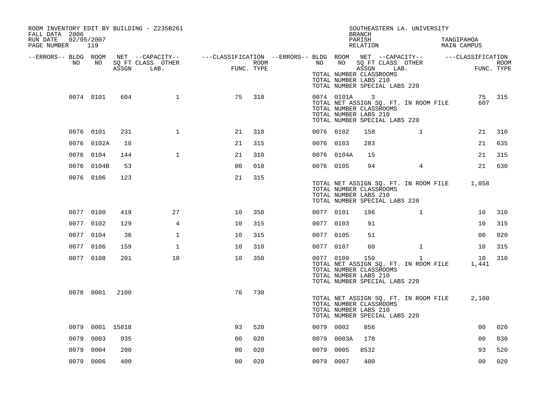| ROOM INVENTORY EDIT BY BUILDING - Z235B261<br>FALL DATA 2006<br>RUN DATE<br>02/05/2007<br>PAGE NUMBER 119 |                 |       |                   |                                                                                                |      |           |            | SOUTHEASTERN LA. UNIVERSITY<br><b>BRANCH</b><br>PARISH<br>RELATION                                                                                     |                | TANGIPAHOA<br>MAIN CAMPUS |                |      |
|-----------------------------------------------------------------------------------------------------------|-----------------|-------|-------------------|------------------------------------------------------------------------------------------------|------|-----------|------------|--------------------------------------------------------------------------------------------------------------------------------------------------------|----------------|---------------------------|----------------|------|
| --ERRORS-- BLDG ROOM<br>NO                                                                                | NO              |       | SQ FT CLASS OTHER | NET --CAPACITY-- - ---CLASSIFICATION --ERRORS-- BLDG ROOM NET --CAPACITY-- - ---CLASSIFICATION | ROOM | NO        | NO         | SQ FT CLASS OTHER                                                                                                                                      |                |                           |                | ROOM |
|                                                                                                           |                 | ASSGN | LAB.              | FUNC. TYPE                                                                                     |      |           |            | ASSGN<br>LAB.<br>TOTAL NUMBER CLASSROOMS<br>TOTAL NUMBER LABS 210<br>TOTAL NUMBER SPECIAL LABS 220                                                     |                |                           | FUNC. TYPE     |      |
|                                                                                                           | 0074 0101       | 604   | $\mathbf{1}$      | 75                                                                                             | 310  |           | 0074 0101A | $\overline{\phantom{a}}$<br>TOTAL NET ASSIGN SQ. FT. IN ROOM FILE<br>TOTAL NUMBER CLASSROOMS<br>TOTAL NUMBER LABS 210<br>TOTAL NUMBER SPECIAL LABS 220 |                |                           | 75<br>607      | 315  |
|                                                                                                           | 0076 0101       | 231   | $\mathbf{1}$      | 21                                                                                             | 310  | 0076 0102 |            | 158                                                                                                                                                    | $\mathbf{1}$   |                           | 21             | 310  |
|                                                                                                           | 0076 0102A      | 10    |                   | 21                                                                                             | 315  | 0076 0103 |            | 283                                                                                                                                                    |                |                           | 21             | 635  |
|                                                                                                           | 0076 0104       | 144   | $\mathbf{1}$      | 21                                                                                             | 310  |           | 0076 0104A | 15                                                                                                                                                     |                |                           | 21             | 315  |
|                                                                                                           | 0076 0104B      | 53    |                   | 00                                                                                             | 010  | 0076 0105 |            | 94                                                                                                                                                     | $\overline{4}$ |                           | 21             | 630  |
|                                                                                                           | 0076 0106       | 123   |                   | 21                                                                                             | 315  |           |            | TOTAL NET ASSIGN SQ. FT. IN ROOM FILE<br>TOTAL NUMBER CLASSROOMS<br>TOTAL NUMBER LABS 210<br>TOTAL NUMBER SPECIAL LABS 220                             |                |                           | 1,058          |      |
|                                                                                                           | 0077 0100       | 419   | 27                | 10                                                                                             | 350  | 0077 0101 |            | 196                                                                                                                                                    | $\mathbf{1}$   |                           | 10             | 310  |
|                                                                                                           | 0077 0102       | 129   | $\overline{4}$    | 10                                                                                             | 315  | 0077 0103 |            | 91                                                                                                                                                     |                |                           | 10             | 315  |
|                                                                                                           | 0077 0104       | 36    | $\mathbf 1$       | 10                                                                                             | 315  | 0077 0105 |            | 51                                                                                                                                                     |                |                           | 0 <sub>0</sub> | 020  |
|                                                                                                           | 0077 0106       | 159   | $\mathbf{1}$      | 10                                                                                             | 310  | 0077 0107 |            | 60                                                                                                                                                     | $\mathbf{1}$   |                           | 10             | 315  |
|                                                                                                           | 0077 0108       | 201   | 10                | 10                                                                                             | 350  | 0077 0109 |            | 150<br>TOTAL NET ASSIGN SQ. FT. IN ROOM FILE<br>TOTAL NUMBER CLASSROOMS<br>TOTAL NUMBER LABS 210<br>TOTAL NUMBER SPECIAL LABS 220                      | $\mathbf{1}$   |                           | 10<br>1,441    | 310  |
|                                                                                                           | 0078 0001       | 2100  |                   | 76                                                                                             | 730  |           |            | TOTAL NET ASSIGN SQ. FT. IN ROOM FILE<br>TOTAL NUMBER CLASSROOMS<br>TOTAL NUMBER LABS 210<br>TOTAL NUMBER SPECIAL LABS 220                             |                |                           | 2,100          |      |
|                                                                                                           | 0079 0001 15818 |       |                   | 93                                                                                             | 520  | 0079 0002 |            | 856                                                                                                                                                    |                |                           | 0 <sub>0</sub> | 020  |
| 0079                                                                                                      | 0003            | 935   |                   | 0 <sub>0</sub>                                                                                 | 020  |           | 0079 0003A | 178                                                                                                                                                    |                |                           | 0 <sub>0</sub> | 030  |
| 0079                                                                                                      | 0004            | 200   |                   | 0 <sub>0</sub>                                                                                 | 020  | 0079      | 0005       | 8532                                                                                                                                                   |                |                           | 93             | 520  |
|                                                                                                           | 0079 0006       | 400   |                   | 00                                                                                             | 020  | 0079 0007 |            | 400                                                                                                                                                    |                |                           | 0 <sub>0</sub> | 020  |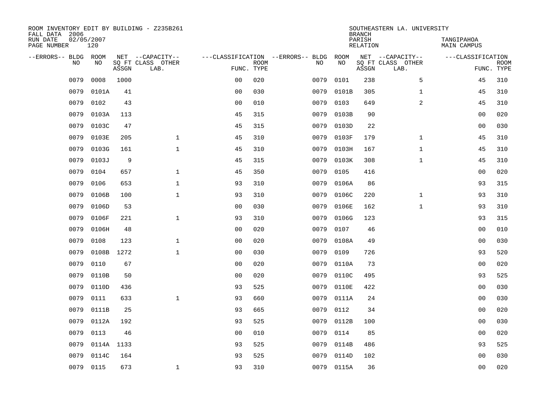| ROOM INVENTORY EDIT BY BUILDING - Z235B261<br>FALL DATA 2006 |                   |       |                           |                |             |                                   |      |            | <b>BRANCH</b>             | SOUTHEASTERN LA. UNIVERSITY |                                  |                           |
|--------------------------------------------------------------|-------------------|-------|---------------------------|----------------|-------------|-----------------------------------|------|------------|---------------------------|-----------------------------|----------------------------------|---------------------------|
| RUN DATE<br>PAGE NUMBER                                      | 02/05/2007<br>120 |       |                           |                |             |                                   |      |            | PARISH<br><b>RELATION</b> |                             | TANGIPAHOA<br><b>MAIN CAMPUS</b> |                           |
| --ERRORS-- BLDG ROOM                                         |                   |       | NET --CAPACITY--          |                |             | ---CLASSIFICATION --ERRORS-- BLDG |      | ROOM       |                           | NET --CAPACITY--            | ---CLASSIFICATION                |                           |
| NO                                                           | NO                | ASSGN | SQ FT CLASS OTHER<br>LAB. | FUNC. TYPE     | <b>ROOM</b> |                                   | NO   | NO         | ASSGN                     | SQ FT CLASS OTHER<br>LAB.   |                                  | <b>ROOM</b><br>FUNC. TYPE |
| 0079                                                         | 0008              | 1000  |                           | 0 <sub>0</sub> | 020         |                                   | 0079 | 0101       | 238                       | 5                           | 45                               | 310                       |
| 0079                                                         | 0101A             | 41    |                           | 0 <sub>0</sub> | 030         |                                   | 0079 | 0101B      | 305                       | $\mathbf{1}$                | 45                               | 310                       |
| 0079                                                         | 0102              | 43    |                           | 0 <sub>0</sub> | 010         |                                   | 0079 | 0103       | 649                       | $\overline{a}$              | 45                               | 310                       |
| 0079                                                         | 0103A             | 113   |                           | 45             | 315         |                                   | 0079 | 0103B      | 90                        |                             | 0 <sub>0</sub>                   | 020                       |
| 0079                                                         | 0103C             | 47    |                           | 45             | 315         |                                   | 0079 | 0103D      | 22                        |                             | 0 <sub>0</sub>                   | 030                       |
| 0079                                                         | 0103E             | 205   | $\mathbf{1}$              | 45             | 310         |                                   | 0079 | 0103F      | 179                       | $\mathbf{1}$                | 45                               | 310                       |
| 0079                                                         | 0103G             | 161   | $\mathbf{1}$              | 45             | 310         |                                   | 0079 | 0103H      | 167                       | $\mathbf{1}$                | 45                               | 310                       |
| 0079                                                         | 0103J             | 9     |                           | 45             | 315         |                                   | 0079 | 0103K      | 308                       | $\mathbf{1}$                | 45                               | 310                       |
| 0079                                                         | 0104              | 657   | $\mathbf{1}$              | 45             | 350         |                                   | 0079 | 0105       | 416                       |                             | 0 <sub>0</sub>                   | 020                       |
| 0079                                                         | 0106              | 653   | $\mathbf{1}$              | 93             | 310         |                                   | 0079 | 0106A      | 86                        |                             | 93                               | 315                       |
| 0079                                                         | 0106B             | 100   | $\mathbf{1}$              | 93             | 310         |                                   | 0079 | 0106C      | 220                       | $\mathbf{1}$                | 93                               | 310                       |
| 0079                                                         | 0106D             | 53    |                           | 0 <sub>0</sub> | 030         |                                   | 0079 | 0106E      | 162                       | $\mathbf{1}$                | 93                               | 310                       |
| 0079                                                         | 0106F             | 221   | $\mathbf 1$               | 93             | 310         |                                   | 0079 | 0106G      | 123                       |                             | 93                               | 315                       |
| 0079                                                         | 0106H             | 48    |                           | 0 <sub>0</sub> | 020         |                                   | 0079 | 0107       | 46                        |                             | 00                               | 010                       |
| 0079                                                         | 0108              | 123   | $\mathbf 1$               | 0 <sub>0</sub> | 020         |                                   | 0079 | 0108A      | 49                        |                             | 00                               | 030                       |
| 0079                                                         | 0108B             | 1272  | $\mathbf{1}$              | 0 <sub>0</sub> | 030         |                                   | 0079 | 0109       | 726                       |                             | 93                               | 520                       |
| 0079                                                         | 0110              | 67    |                           | 0 <sub>0</sub> | 020         |                                   | 0079 | 0110A      | 73                        |                             | 0 <sub>0</sub>                   | 020                       |
| 0079                                                         | 0110B             | 50    |                           | 0 <sub>0</sub> | 020         |                                   | 0079 | 0110C      | 495                       |                             | 93                               | 525                       |
| 0079                                                         | 0110D             | 436   |                           | 93             | 525         |                                   | 0079 | 0110E      | 422                       |                             | 0 <sub>0</sub>                   | 030                       |
| 0079                                                         | 0111              | 633   | $\mathbf 1$               | 93             | 660         |                                   | 0079 | 0111A      | 24                        |                             | 00                               | 030                       |
| 0079                                                         | 0111B             | 25    |                           | 93             | 665         |                                   | 0079 | 0112       | 34                        |                             | 00                               | 020                       |
| 0079                                                         | 0112A             | 192   |                           | 93             | 525         |                                   | 0079 | 0112B      | 100                       |                             | 00                               | 030                       |
| 0079                                                         | 0113              | 46    |                           | 0 <sub>0</sub> | 010         |                                   | 0079 | 0114       | 85                        |                             | 0 <sub>0</sub>                   | 020                       |
| 0079                                                         | 0114A 1133        |       |                           | 93             | 525         |                                   | 0079 | 0114B      | 486                       |                             | 93                               | 525                       |
| 0079                                                         | 0114C             | 164   |                           | 93             | 525         |                                   | 0079 | 0114D      | 102                       |                             | 0 <sub>0</sub>                   | 030                       |
| 0079                                                         | 0115              | 673   | $\mathbf{1}$              | 93             | 310         |                                   |      | 0079 0115A | 36                        |                             | 0 <sub>0</sub>                   | 020                       |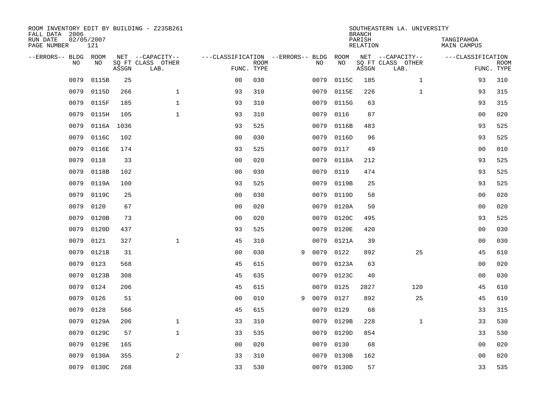| ROOM INVENTORY EDIT BY BUILDING - Z235B261<br>FALL DATA 2006 |                   |       |                           |                                   |             |   |      |            | <b>BRANCH</b>             | SOUTHEASTERN LA. UNIVERSITY |                                  |                           |
|--------------------------------------------------------------|-------------------|-------|---------------------------|-----------------------------------|-------------|---|------|------------|---------------------------|-----------------------------|----------------------------------|---------------------------|
| RUN DATE<br>PAGE NUMBER                                      | 02/05/2007<br>121 |       |                           |                                   |             |   |      |            | PARISH<br><b>RELATION</b> |                             | TANGIPAHOA<br><b>MAIN CAMPUS</b> |                           |
| --ERRORS-- BLDG ROOM                                         |                   |       | NET --CAPACITY--          | ---CLASSIFICATION --ERRORS-- BLDG |             |   |      | ROOM       |                           | NET --CAPACITY--            | ---CLASSIFICATION                |                           |
| NO                                                           | NO                | ASSGN | SQ FT CLASS OTHER<br>LAB. | FUNC. TYPE                        | <b>ROOM</b> |   | NO   | NO         | ASSGN                     | SQ FT CLASS OTHER<br>LAB.   |                                  | <b>ROOM</b><br>FUNC. TYPE |
| 0079                                                         | 0115B             | 25    |                           | 0 <sub>0</sub>                    | 030         |   | 0079 | 0115C      | 185                       | $\mathbf{1}$                | 93                               | 310                       |
| 0079                                                         | 0115D             | 266   | $\mathbf 1$               | 93                                | 310         |   | 0079 | 0115E      | 226                       | $\mathbf{1}$                | 93                               | 315                       |
| 0079                                                         | 0115F             | 185   | $\mathbf{1}$              | 93                                | 310         |   | 0079 | 0115G      | 63                        |                             | 93                               | 315                       |
| 0079                                                         | 0115H             | 105   | $\mathbf{1}$              | 93                                | 310         |   | 0079 | 0116       | 87                        |                             | 0 <sub>0</sub>                   | 020                       |
| 0079                                                         | 0116A             | 1036  |                           | 93                                | 525         |   | 0079 | 0116B      | 483                       |                             | 93                               | 525                       |
| 0079                                                         | 0116C             | 102   |                           | 0 <sub>0</sub>                    | 030         |   | 0079 | 0116D      | 96                        |                             | 93                               | 525                       |
| 0079                                                         | 0116E             | 174   |                           | 93                                | 525         |   | 0079 | 0117       | 49                        |                             | 0 <sub>0</sub>                   | 010                       |
| 0079                                                         | 0118              | 33    |                           | 0 <sub>0</sub>                    | 020         |   | 0079 | 0118A      | 212                       |                             | 93                               | 525                       |
| 0079                                                         | 0118B             | 102   |                           | 0 <sub>0</sub>                    | 030         |   | 0079 | 0119       | 474                       |                             | 93                               | 525                       |
| 0079                                                         | 0119A             | 100   |                           | 93                                | 525         |   | 0079 | 0119B      | 25                        |                             | 93                               | 525                       |
| 0079                                                         | 0119C             | 25    |                           | 0 <sub>0</sub>                    | 030         |   | 0079 | 0119D      | 58                        |                             | 00                               | 020                       |
| 0079                                                         | 0120              | 67    |                           | 0 <sub>0</sub>                    | 020         |   | 0079 | 0120A      | 50                        |                             | 00                               | 020                       |
| 0079                                                         | 0120B             | 73    |                           | 0 <sub>0</sub>                    | 020         |   | 0079 | 0120C      | 495                       |                             | 93                               | 525                       |
| 0079                                                         | 0120D             | 437   |                           | 93                                | 525         |   | 0079 | 0120E      | 420                       |                             | 00                               | 030                       |
| 0079                                                         | 0121              | 327   | $\mathbf{1}$              | 45                                | 310         |   | 0079 | 0121A      | 39                        |                             | 00                               | 030                       |
| 0079                                                         | 0121B             | 31    |                           | 0 <sub>0</sub>                    | 030         | 9 | 0079 | 0122       | 892                       | 25                          | 45                               | 610                       |
| 0079                                                         | 0123              | 568   |                           | 45                                | 615         |   | 0079 | 0123A      | 63                        |                             | 0 <sub>0</sub>                   | 020                       |
| 0079                                                         | 0123B             | 308   |                           | 45                                | 635         |   | 0079 | 0123C      | 40                        |                             | 00                               | 030                       |
| 0079                                                         | 0124              | 206   |                           | 45                                | 615         |   | 0079 | 0125       | 2827                      | 120                         | 45                               | 610                       |
| 0079                                                         | 0126              | 51    |                           | 0 <sub>0</sub>                    | 010         | 9 | 0079 | 0127       | 892                       | 25                          | 45                               | 610                       |
| 0079                                                         | 0128              | 566   |                           | 45                                | 615         |   | 0079 | 0129       | 68                        |                             | 33                               | 315                       |
| 0079                                                         | 0129A             | 206   | $\mathbf{1}$              | 33                                | 310         |   | 0079 | 0129B      | 228                       | $\mathbf{1}$                | 33                               | 530                       |
| 0079                                                         | 0129C             | 57    | $\mathbf{1}$              | 33                                | 535         |   | 0079 | 0129D      | 854                       |                             | 33                               | 530                       |
| 0079                                                         | 0129E             | 165   |                           | 0 <sub>0</sub>                    | 020         |   | 0079 | 0130       | 68                        |                             | 0 <sub>0</sub>                   | 020                       |
| 0079                                                         | 0130A             | 355   | 2                         | 33                                | 310         |   | 0079 | 0130B      | 162                       |                             | 0 <sub>0</sub>                   | 020                       |
| 0079                                                         | 0130C             | 268   |                           | 33                                | 530         |   |      | 0079 0130D | 57                        |                             | 33                               | 535                       |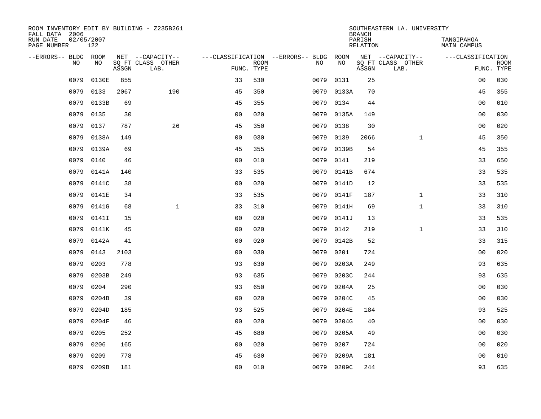| ROOM INVENTORY EDIT BY BUILDING - Z235B261<br>FALL DATA 2006 |                   |       |                           |                |             |                                        |            | <b>BRANCH</b>             | SOUTHEASTERN LA. UNIVERSITY |                                  |                           |
|--------------------------------------------------------------|-------------------|-------|---------------------------|----------------|-------------|----------------------------------------|------------|---------------------------|-----------------------------|----------------------------------|---------------------------|
| RUN DATE<br>PAGE NUMBER                                      | 02/05/2007<br>122 |       |                           |                |             |                                        |            | PARISH<br><b>RELATION</b> |                             | TANGIPAHOA<br><b>MAIN CAMPUS</b> |                           |
| --ERRORS-- BLDG ROOM                                         |                   |       | NET --CAPACITY--          |                |             | ---CLASSIFICATION --ERRORS-- BLDG ROOM |            |                           | NET --CAPACITY--            | ---CLASSIFICATION                |                           |
| NO                                                           | NO                | ASSGN | SQ FT CLASS OTHER<br>LAB. | FUNC. TYPE     | <b>ROOM</b> | NO                                     | NO         | ASSGN                     | SQ FT CLASS OTHER<br>LAB.   |                                  | <b>ROOM</b><br>FUNC. TYPE |
| 0079                                                         | 0130E             | 855   |                           | 33             | 530         | 0079                                   | 0131       | 25                        |                             | 0 <sub>0</sub>                   | 030                       |
| 0079                                                         | 0133              | 2067  | 190                       | 45             | 350         |                                        | 0079 0133A | 70                        |                             | 45                               | 355                       |
| 0079                                                         | 0133B             | 69    |                           | 45             | 355         | 0079                                   | 0134       | 44                        |                             | 00                               | 010                       |
| 0079                                                         | 0135              | 30    |                           | 0 <sub>0</sub> | 020         | 0079                                   | 0135A      | 149                       |                             | 0 <sub>0</sub>                   | 030                       |
| 0079                                                         | 0137              | 787   | 26                        | 45             | 350         | 0079                                   | 0138       | 30                        |                             | 0 <sub>0</sub>                   | 020                       |
| 0079                                                         | 0138A             | 149   |                           | 0 <sub>0</sub> | 030         | 0079                                   | 0139       | 2066                      | $\mathbf{1}$                | 45                               | 350                       |
| 0079                                                         | 0139A             | 69    |                           | 45             | 355         | 0079                                   | 0139B      | 54                        |                             | 45                               | 355                       |
| 0079                                                         | 0140              | 46    |                           | 0 <sub>0</sub> | 010         | 0079                                   | 0141       | 219                       |                             | 33                               | 650                       |
| 0079                                                         | 0141A             | 140   |                           | 33             | 535         | 0079                                   | 0141B      | 674                       |                             | 33                               | 535                       |
| 0079                                                         | 0141C             | 38    |                           | 0 <sub>0</sub> | 020         | 0079                                   | 0141D      | 12                        |                             | 33                               | 535                       |
| 0079                                                         | 0141E             | 34    |                           | 33             | 535         | 0079                                   | 0141F      | 187                       | $\mathbf{1}$                | 33                               | 310                       |
| 0079                                                         | 0141G             | 68    | $\mathbf{1}$              | 33             | 310         | 0079                                   | 0141H      | 69                        | $\mathbf{1}$                | 33                               | 310                       |
| 0079                                                         | 0141I             | 15    |                           | 0 <sub>0</sub> | 020         | 0079                                   | 0141J      | 13                        |                             | 33                               | 535                       |
| 0079                                                         | 0141K             | 45    |                           | 0 <sub>0</sub> | 020         | 0079                                   | 0142       | 219                       | $\mathbf{1}$                | 33                               | 310                       |
| 0079                                                         | 0142A             | 41    |                           | 0 <sup>0</sup> | 020         | 0079                                   | 0142B      | 52                        |                             | 33                               | 315                       |
| 0079                                                         | 0143              | 2103  |                           | 00             | 030         | 0079                                   | 0201       | 724                       |                             | 0 <sub>0</sub>                   | 020                       |
| 0079                                                         | 0203              | 778   |                           | 93             | 630         | 0079                                   | 0203A      | 249                       |                             | 93                               | 635                       |
| 0079                                                         | 0203B             | 249   |                           | 93             | 635         | 0079                                   | 0203C      | 244                       |                             | 93                               | 635                       |
| 0079                                                         | 0204              | 290   |                           | 93             | 650         | 0079                                   | 0204A      | 25                        |                             | 00                               | 030                       |
| 0079                                                         | 0204B             | 39    |                           | 0 <sub>0</sub> | 020         | 0079                                   | 0204C      | 45                        |                             | 0 <sub>0</sub>                   | 030                       |
| 0079                                                         | 0204D             | 185   |                           | 93             | 525         | 0079                                   | 0204E      | 184                       |                             | 93                               | 525                       |
| 0079                                                         | 0204F             | 46    |                           | 0 <sub>0</sub> | 020         | 0079                                   | 0204G      | 40                        |                             | 0 <sub>0</sub>                   | 030                       |
| 0079                                                         | 0205              | 252   |                           | 45             | 680         | 0079                                   | 0205A      | 49                        |                             | 0 <sub>0</sub>                   | 030                       |
| 0079                                                         | 0206              | 165   |                           | 0 <sub>0</sub> | 020         | 0079                                   | 0207       | 724                       |                             | 0 <sub>0</sub>                   | 020                       |
| 0079                                                         | 0209              | 778   |                           | 45             | 630         | 0079                                   | 0209A      | 181                       |                             | 0 <sub>0</sub>                   | 010                       |
|                                                              | 0079 0209B        | 181   |                           | 00             | 010         |                                        | 0079 0209C | 244                       |                             | 93                               | 635                       |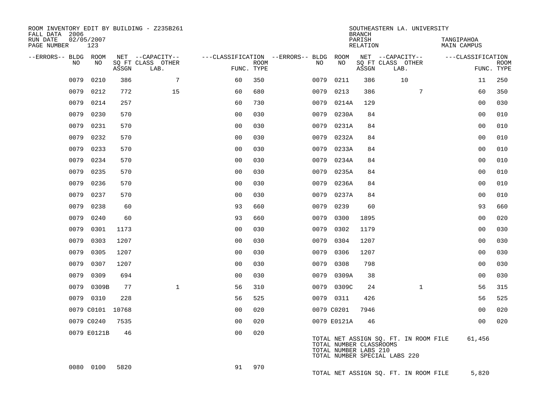| ROOM INVENTORY EDIT BY BUILDING - Z235B261<br>FALL DATA 2006<br>RUN DATE | 02/05/2007       |       |                                               |                |             |                                          |                                                  | <b>BRANCH</b><br>PARISH | SOUTHEASTERN LA. UNIVERSITY                                            | TANGIPAHOA         |                           |
|--------------------------------------------------------------------------|------------------|-------|-----------------------------------------------|----------------|-------------|------------------------------------------|--------------------------------------------------|-------------------------|------------------------------------------------------------------------|--------------------|---------------------------|
| PAGE NUMBER                                                              | 123              |       |                                               |                |             |                                          |                                                  | RELATION                |                                                                        | <b>MAIN CAMPUS</b> |                           |
| --ERRORS-- BLDG ROOM<br>NO.                                              | NO.              | ASSGN | NET --CAPACITY--<br>SO FT CLASS OTHER<br>LAB. | FUNC. TYPE     | <b>ROOM</b> | ---CLASSIFICATION --ERRORS-- BLDG<br>NO. | ROOM<br>NO                                       | ASSGN                   | NET --CAPACITY--<br>SO FT CLASS OTHER<br>LAB.                          | ---CLASSIFICATION  | <b>ROOM</b><br>FUNC. TYPE |
| 0079                                                                     | 0210             | 386   | $7\phantom{.0}$                               | 60             | 350         | 0079                                     | 0211                                             | 386                     | 10                                                                     | 11                 | 250                       |
| 0079                                                                     | 0212             | 772   | 15                                            | 60             | 680         | 0079                                     | 0213                                             | 386                     | $7\phantom{.}$                                                         | 60                 | 350                       |
| 0079                                                                     | 0214             | 257   |                                               | 60             | 730         | 0079                                     | 0214A                                            | 129                     |                                                                        | 0 <sub>0</sub>     | 030                       |
| 0079                                                                     | 0230             | 570   |                                               | 0 <sub>0</sub> | 030         | 0079                                     | 0230A                                            | 84                      |                                                                        | 00                 | 010                       |
| 0079                                                                     | 0231             | 570   |                                               | 0 <sub>0</sub> | 030         |                                          | 0079 0231A                                       | 84                      |                                                                        | 0 <sub>0</sub>     | 010                       |
| 0079                                                                     | 0232             | 570   |                                               | 00             | 030         | 0079                                     | 0232A                                            | 84                      |                                                                        | 0 <sub>0</sub>     | 010                       |
| 0079                                                                     | 0233             | 570   |                                               | 0 <sub>0</sub> | 030         |                                          | 0079 0233A                                       | 84                      |                                                                        | 0 <sub>0</sub>     | 010                       |
| 0079                                                                     | 0234             | 570   |                                               | 0 <sub>0</sub> | 030         | 0079                                     | 0234A                                            | 84                      |                                                                        | 0 <sub>0</sub>     | 010                       |
| 0079                                                                     | 0235             | 570   |                                               | 0 <sub>0</sub> | 030         | 0079                                     | 0235A                                            | 84                      |                                                                        | 0 <sub>0</sub>     | 010                       |
| 0079                                                                     | 0236             | 570   |                                               | 0 <sub>0</sub> | 030         | 0079                                     | 0236A                                            | 84                      |                                                                        | 0 <sub>0</sub>     | 010                       |
| 0079                                                                     | 0237             | 570   |                                               | 0 <sub>0</sub> | 030         | 0079                                     | 0237A                                            | 84                      |                                                                        | 00                 | 010                       |
| 0079                                                                     | 0238             | 60    |                                               | 93             | 660         | 0079                                     | 0239                                             | 60                      |                                                                        | 93                 | 660                       |
| 0079                                                                     | 0240             | 60    |                                               | 93             | 660         | 0079                                     | 0300                                             | 1895                    |                                                                        | 0 <sub>0</sub>     | 020                       |
| 0079                                                                     | 0301             | 1173  |                                               | 0 <sub>0</sub> | 030         | 0079                                     | 0302                                             | 1179                    |                                                                        | 0 <sub>0</sub>     | 030                       |
| 0079                                                                     | 0303             | 1207  |                                               | 0 <sub>0</sub> | 030         | 0079                                     | 0304                                             | 1207                    |                                                                        | 0 <sub>0</sub>     | 030                       |
| 0079                                                                     | 0305             | 1207  |                                               | 0 <sub>0</sub> | 030         | 0079                                     | 0306                                             | 1207                    |                                                                        | 00                 | 030                       |
| 0079                                                                     | 0307             | 1207  |                                               | 0 <sub>0</sub> | 030         | 0079                                     | 0308                                             | 798                     |                                                                        | 0 <sub>0</sub>     | 030                       |
| 0079                                                                     | 0309             | 694   |                                               | 0 <sub>0</sub> | 030         |                                          | 0079 0309A                                       | 38                      |                                                                        | 0 <sub>0</sub>     | 030                       |
| 0079                                                                     | 0309B            | 77    | $\mathbf{1}$                                  | 56             | 310         | 0079                                     | 0309C                                            | 24                      | $\mathbf{1}$                                                           | 56                 | 315                       |
|                                                                          | 0079 0310        | 228   |                                               | 56             | 525         |                                          | 0079 0311                                        | 426                     |                                                                        | 56                 | 525                       |
|                                                                          | 0079 C0101 10768 |       |                                               | 0 <sub>0</sub> | 020         |                                          | 0079 C0201                                       | 7946                    |                                                                        | 0 <sub>0</sub>     | 020                       |
|                                                                          | 0079 C0240       | 7535  |                                               | 0 <sub>0</sub> | 020         |                                          | 0079 E0121A                                      | 46                      |                                                                        | 0 <sub>0</sub>     | 020                       |
|                                                                          | 0079 E0121B      | 46    |                                               | 0 <sub>0</sub> | 020         |                                          | TOTAL NUMBER CLASSROOMS<br>TOTAL NUMBER LABS 210 |                         | TOTAL NET ASSIGN SQ. FT. IN ROOM FILE<br>TOTAL NUMBER SPECIAL LABS 220 | 61,456             |                           |
|                                                                          | 0080 0100        | 5820  |                                               | 91             | 970         |                                          |                                                  |                         | TOTAL NET ASSIGN SQ. FT. IN ROOM FILE                                  | 5,820              |                           |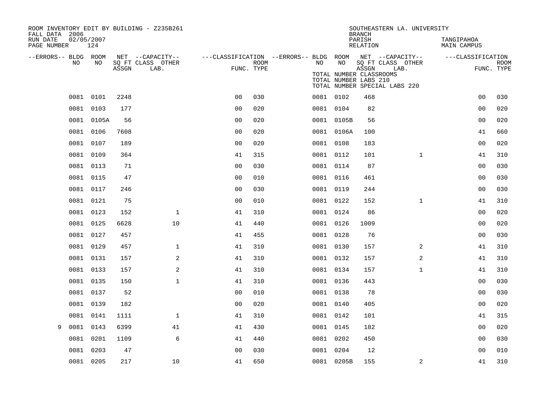| ROOM INVENTORY EDIT BY BUILDING - Z235B261<br>FALL DATA 2006 |                   |       |                           |                |             |                                                         |                                                  | <b>BRANCH</b>      | SOUTHEASTERN LA. UNIVERSITY                                |                                  |                           |
|--------------------------------------------------------------|-------------------|-------|---------------------------|----------------|-------------|---------------------------------------------------------|--------------------------------------------------|--------------------|------------------------------------------------------------|----------------------------------|---------------------------|
| RUN DATE<br>PAGE NUMBER                                      | 02/05/2007<br>124 |       |                           |                |             |                                                         |                                                  | PARISH<br>RELATION |                                                            | TANGIPAHOA<br><b>MAIN CAMPUS</b> |                           |
| --ERRORS-- BLDG ROOM<br>NO                                   | NO                |       | NET --CAPACITY--          |                | <b>ROOM</b> | ---CLASSIFICATION --ERRORS-- BLDG ROOM NET --CAPACITY-- | NO                                               |                    |                                                            | ---CLASSIFICATION                |                           |
|                                                              |                   | ASSGN | SQ FT CLASS OTHER<br>LAB. | FUNC. TYPE     |             | NO                                                      | TOTAL NUMBER CLASSROOMS<br>TOTAL NUMBER LABS 210 | ASSGN              | SQ FT CLASS OTHER<br>LAB.<br>TOTAL NUMBER SPECIAL LABS 220 |                                  | <b>ROOM</b><br>FUNC. TYPE |
|                                                              | 0081 0101         | 2248  |                           | 0 <sub>0</sub> | 030         |                                                         | 0081 0102                                        | 468                |                                                            | 0 <sub>0</sub>                   | 030                       |
|                                                              | 0081 0103         | 177   |                           | 0 <sub>0</sub> | 020         |                                                         | 0081 0104                                        | 82                 |                                                            | 0 <sub>0</sub>                   | 020                       |
|                                                              | 0081 0105A        | 56    |                           | 0 <sub>0</sub> | 020         |                                                         | 0081 0105B                                       | 56                 |                                                            | 00                               | 020                       |
|                                                              | 0081 0106         | 7608  |                           | 0 <sub>0</sub> | 020         |                                                         | 0081 0106A                                       | 100                |                                                            | 41                               | 660                       |
|                                                              | 0081 0107         | 189   |                           | 0 <sub>0</sub> | 020         |                                                         | 0081 0108                                        | 183                |                                                            | 00                               | 020                       |
|                                                              | 0081 0109         | 364   |                           | 41             | 315         |                                                         | 0081 0112                                        | 101                | $\mathbf{1}$                                               | 41                               | 310                       |
|                                                              | 0081 0113         | 71    |                           | 0 <sub>0</sub> | 030         |                                                         | 0081 0114                                        | 87                 |                                                            | 00                               | 030                       |
|                                                              | 0081 0115         | 47    |                           | 0 <sub>0</sub> | 010         |                                                         | 0081 0116                                        | 461                |                                                            | 0 <sub>0</sub>                   | 030                       |
|                                                              | 0081 0117         | 246   |                           | 0 <sub>0</sub> | 030         |                                                         | 0081 0119                                        | 244                |                                                            | 00                               | 030                       |
|                                                              | 0081 0121         | 75    |                           | 0 <sub>0</sub> | 010         |                                                         | 0081 0122                                        | 152                | $\mathbf{1}$                                               | 41                               | 310                       |
|                                                              | 0081 0123         | 152   | $\mathbf 1$               | 41             | 310         |                                                         | 0081 0124                                        | 86                 |                                                            | 0 <sub>0</sub>                   | 020                       |
|                                                              | 0081 0125         | 6628  | 10                        | 41             | 440         |                                                         | 0081 0126                                        | 1009               |                                                            | 00                               | 020                       |
|                                                              | 0081 0127         | 457   |                           | 41             | 455         |                                                         | 0081 0128                                        | 76                 |                                                            | 0 <sub>0</sub>                   | 030                       |
|                                                              | 0081 0129         | 457   | $\mathbf 1$               | 41             | 310         |                                                         | 0081 0130                                        | 157                | $\overline{2}$                                             | 41                               | 310                       |
|                                                              | 0081 0131         | 157   | 2                         | 41             | 310         |                                                         | 0081 0132                                        | 157                | 2                                                          | 41                               | 310                       |
|                                                              | 0081 0133         | 157   | 2                         | 41             | 310         |                                                         | 0081 0134                                        | 157                | $\mathbf{1}$                                               | 41                               | 310                       |
|                                                              | 0081 0135         | 150   | $\mathbf{1}$              | 41             | 310         |                                                         | 0081 0136                                        | 443                |                                                            | 0 <sub>0</sub>                   | 030                       |
|                                                              | 0081 0137         | 52    |                           | 0 <sub>0</sub> | 010         |                                                         | 0081 0138                                        | 78                 |                                                            | 0 <sub>0</sub>                   | 030                       |
|                                                              | 0081 0139         | 182   |                           | 0 <sub>0</sub> | 020         |                                                         | 0081 0140                                        | 405                |                                                            | 0 <sub>0</sub>                   | 020                       |
| 0081                                                         | 0141              | 1111  | $\mathbf{1}$              | 41             | 310         |                                                         | 0081 0142                                        | 101                |                                                            | 41                               | 315                       |
| 9                                                            | 0081 0143         | 6399  | 41                        | 41             | 430         |                                                         | 0081 0145                                        | 182                |                                                            | 0 <sub>0</sub>                   | 020                       |
| 0081                                                         | 0201              | 1109  | 6                         | 41             | 440         |                                                         | 0081 0202                                        | 450                |                                                            | 00                               | 030                       |
| 0081                                                         | 0203              | 47    |                           | 0 <sub>0</sub> | 030         |                                                         | 0081 0204                                        | 12                 |                                                            | 0 <sub>0</sub>                   | 010                       |
|                                                              | 0081 0205         | 217   | 10                        | 41             | 650         |                                                         | 0081 0205B                                       | 155                | 2                                                          | 41                               | 310                       |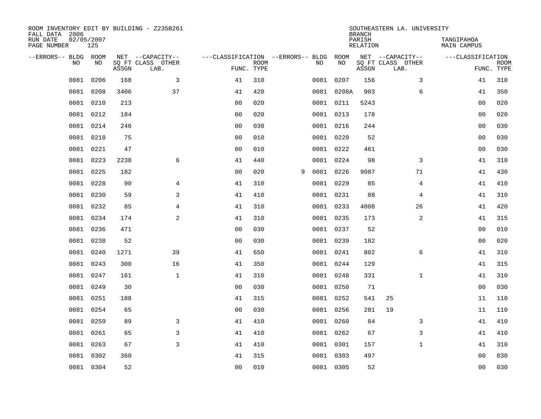| ROOM INVENTORY EDIT BY BUILDING - Z235B261<br>FALL DATA 2006 |                   |       |                           |                                   |                           |   |      |            | <b>BRANCH</b>             | SOUTHEASTERN LA. UNIVERSITY |                                  |                           |
|--------------------------------------------------------------|-------------------|-------|---------------------------|-----------------------------------|---------------------------|---|------|------------|---------------------------|-----------------------------|----------------------------------|---------------------------|
| RUN DATE<br>PAGE NUMBER                                      | 02/05/2007<br>125 |       |                           |                                   |                           |   |      |            | PARISH<br><b>RELATION</b> |                             | TANGIPAHOA<br><b>MAIN CAMPUS</b> |                           |
| --ERRORS-- BLDG ROOM                                         |                   |       | NET --CAPACITY--          | ---CLASSIFICATION --ERRORS-- BLDG |                           |   |      | ROOM       |                           | NET --CAPACITY--            | ---CLASSIFICATION                |                           |
| NO                                                           | NO                | ASSGN | SQ FT CLASS OTHER<br>LAB. |                                   | <b>ROOM</b><br>FUNC. TYPE |   | NO   | NO         | ASSGN                     | SQ FT CLASS OTHER<br>LAB.   |                                  | <b>ROOM</b><br>FUNC. TYPE |
| 0081                                                         | 0206              | 168   | 3                         | 41                                | 310                       |   |      | 0081 0207  | 156                       | 3                           | 41                               | 310                       |
| 0081                                                         | 0208              | 3406  | 37                        | 41                                | 420                       |   |      | 0081 0208A | 903                       | 6                           | 41                               | 350                       |
| 0081                                                         | 0210              | 213   |                           | 0 <sub>0</sub>                    | 020                       |   |      | 0081 0211  | 5243                      |                             | 0 <sub>0</sub>                   | 020                       |
| 0081                                                         | 0212              | 184   |                           | 0 <sub>0</sub>                    | 020                       |   |      | 0081 0213  | 178                       |                             | 0 <sub>0</sub>                   | 020                       |
| 0081                                                         | 0214              | 246   |                           | 0 <sub>0</sub>                    | 030                       |   |      | 0081 0216  | 244                       |                             | 0 <sub>0</sub>                   | 030                       |
|                                                              | 0081 0218         | 75    |                           | 0 <sub>0</sub>                    | 010                       |   |      | 0081 0220  | 52                        |                             | 0 <sub>0</sub>                   | 030                       |
| 0081                                                         | 0221              | 47    |                           | 0 <sub>0</sub>                    | 010                       |   |      | 0081 0222  | 461                       |                             | 0 <sub>0</sub>                   | 030                       |
|                                                              | 0081 0223         | 2238  | 6                         | 41                                | 440                       |   |      | 0081 0224  | 98                        | 3                           | 41                               | 310                       |
| 0081                                                         | 0225              | 182   |                           | 0 <sub>0</sub>                    | 020                       | 9 | 0081 | 0226       | 9087                      | 71                          | 41                               | 430                       |
|                                                              | 0081 0228         | 90    | 4                         | 41                                | 310                       |   |      | 0081 0229  | 85                        | 4                           | 41                               | 410                       |
| 0081                                                         | 0230              | 59    | 3                         | 41                                | 410                       |   |      | 0081 0231  | 88                        | $\overline{4}$              | 41                               | 310                       |
|                                                              | 0081 0232         | 85    | $\overline{4}$            | 41                                | 310                       |   |      | 0081 0233  | 4008                      | 26                          | 41                               | 420                       |
| 0081                                                         | 0234              | 174   | 2                         | 41                                | 310                       |   |      | 0081 0235  | 173                       | 2                           | 41                               | 315                       |
| 0081                                                         | 0236              | 471   |                           | 00                                | 030                       |   |      | 0081 0237  | 52                        |                             | 0 <sub>0</sub>                   | 010                       |
| 0081                                                         | 0238              | 52    |                           | 0 <sub>0</sub>                    | 030                       |   |      | 0081 0239  | 182                       |                             | 00                               | 020                       |
| 0081                                                         | 0240              | 1271  | 39                        | 41                                | 650                       |   |      | 0081 0241  | 802                       | 6                           | 41                               | 310                       |
| 0081                                                         | 0243              | 300   | 16                        | 41                                | 350                       |   |      | 0081 0244  | 129                       |                             | 41                               | 315                       |
| 0081                                                         | 0247              | 161   | $\mathbf{1}$              | 41                                | 310                       |   |      | 0081 0248  | 331                       | $\mathbf{1}$                | 41                               | 310                       |
| 0081                                                         | 0249              | 30    |                           | 0 <sub>0</sub>                    | 030                       |   |      | 0081 0250  | 71                        |                             | 00                               | 030                       |
| 0081                                                         | 0251              | 188   |                           | 41                                | 315                       |   |      | 0081 0252  | 541                       | 25                          | 11                               | 110                       |
| 0081                                                         | 0254              | 65    |                           | 0 <sub>0</sub>                    | 030                       |   |      | 0081 0256  | 281                       | 19                          | 11                               | 110                       |
| 0081                                                         | 0259              | 89    | 3                         | 41                                | 410                       |   |      | 0081 0260  | 84                        | 3                           | 41                               | 410                       |
| 0081                                                         | 0261              | 65    | 3                         | 41                                | 410                       |   |      | 0081 0262  | 67                        | 3                           | 41                               | 410                       |
| 0081                                                         | 0263              | 67    | 3                         | 41                                | 410                       |   |      | 0081 0301  | 157                       | $\mathbf{1}$                | 41                               | 310                       |
| 0081                                                         | 0302              | 360   |                           | 41                                | 315                       |   |      | 0081 0303  | 497                       |                             | 0 <sub>0</sub>                   | 030                       |
|                                                              | 0081 0304         | 52    |                           | 00                                | 010                       |   |      | 0081 0305  | 52                        |                             | 00                               | 030                       |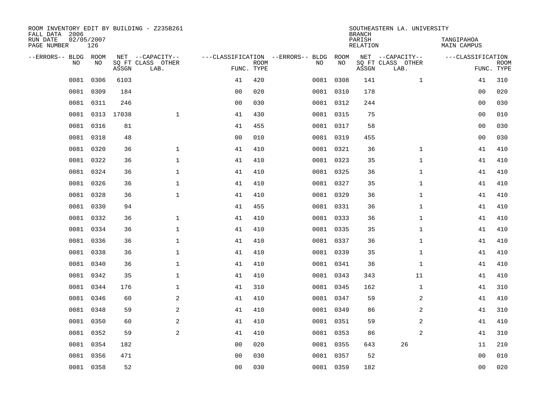| ROOM INVENTORY EDIT BY BUILDING - Z235B261<br>FALL DATA 2006 |                   |            |                           |                |             |                                   |           | <b>BRANCH</b>             | SOUTHEASTERN LA. UNIVERSITY |                           |                           |
|--------------------------------------------------------------|-------------------|------------|---------------------------|----------------|-------------|-----------------------------------|-----------|---------------------------|-----------------------------|---------------------------|---------------------------|
| RUN DATE<br>PAGE NUMBER                                      | 02/05/2007<br>126 |            |                           |                |             |                                   |           | PARISH<br><b>RELATION</b> |                             | TANGIPAHOA<br>MAIN CAMPUS |                           |
| --ERRORS-- BLDG ROOM                                         |                   |            | NET --CAPACITY--          |                |             | ---CLASSIFICATION --ERRORS-- BLDG | ROOM      |                           | NET --CAPACITY--            | ---CLASSIFICATION         |                           |
| <b>NO</b>                                                    | NO                | ASSGN      | SQ FT CLASS OTHER<br>LAB. | FUNC. TYPE     | <b>ROOM</b> | NO                                | NO        | ASSGN                     | SQ FT CLASS OTHER<br>LAB.   |                           | <b>ROOM</b><br>FUNC. TYPE |
| 0081                                                         | 0306              | 6103       |                           | 41             | 420         |                                   | 0081 0308 | 141                       | $\mathbf{1}$                | 41                        | 310                       |
| 0081                                                         | 0309              | 184        |                           | 0 <sub>0</sub> | 020         |                                   | 0081 0310 | 178                       |                             | 00                        | 020                       |
| 0081                                                         | 0311              | 246        |                           | 0 <sub>0</sub> | 030         |                                   | 0081 0312 | 244                       |                             | 0 <sub>0</sub>            | 030                       |
| 0081                                                         |                   | 0313 17038 | $\mathbf{1}$              | 41             | 430         |                                   | 0081 0315 | 75                        |                             | 0 <sub>0</sub>            | 010                       |
| 0081                                                         | 0316              | 81         |                           | 41             | 455         |                                   | 0081 0317 | 58                        |                             | 0 <sub>0</sub>            | 030                       |
| 0081                                                         | 0318              | 48         |                           | 0 <sub>0</sub> | 010         |                                   | 0081 0319 | 455                       |                             | 0 <sub>0</sub>            | 030                       |
| 0081                                                         | 0320              | 36         | $\mathbf{1}$              | 41             | 410         |                                   | 0081 0321 | 36                        | $\mathbf{1}$                | 41                        | 410                       |
| 0081                                                         | 0322              | 36         | $\mathbf 1$               | 41             | 410         |                                   | 0081 0323 | 35                        | $\mathbf{1}$                | 41                        | 410                       |
| 0081                                                         | 0324              | 36         | $\mathbf 1$               | 41             | 410         |                                   | 0081 0325 | 36                        | $\mathbf{1}$                | 41                        | 410                       |
|                                                              | 0081 0326         | 36         | $\mathbf{1}$              | 41             | 410         |                                   | 0081 0327 | 35                        | $\mathbf{1}$                | 41                        | 410                       |
| 0081                                                         | 0328              | 36         | $\mathbf{1}$              | 41             | 410         |                                   | 0081 0329 | 36                        | $\mathbf{1}$                | 41                        | 410                       |
|                                                              | 0081 0330         | 94         |                           | 41             | 455         |                                   | 0081 0331 | 36                        | $\mathbf{1}$                | 41                        | 410                       |
| 0081                                                         | 0332              | 36         | $\mathbf{1}$              | 41             | 410         |                                   | 0081 0333 | 36                        | $\mathbf{1}$                | 41                        | 410                       |
|                                                              | 0081 0334         | 36         | $\mathbf{1}$              | 41             | 410         |                                   | 0081 0335 | 35                        | $\mathbf{1}$                | 41                        | 410                       |
| 0081                                                         | 0336              | 36         | $\mathbf 1$               | 41             | 410         |                                   | 0081 0337 | 36                        | $\mathbf{1}$                | 41                        | 410                       |
|                                                              | 0081 0338         | 36         | $\mathbf{1}$              | 41             | 410         |                                   | 0081 0339 | 35                        | $\mathbf{1}$                | 41                        | 410                       |
| 0081                                                         | 0340              | 36         | $\mathbf 1$               | 41             | 410         |                                   | 0081 0341 | 36                        | $\mathbf{1}$                | 41                        | 410                       |
|                                                              | 0081 0342         | 35         | $\mathbf{1}$              | 41             | 410         |                                   | 0081 0343 | 343                       | 11                          | 41                        | 410                       |
| 0081                                                         | 0344              | 176        | $\mathbf 1$               | 41             | 310         |                                   | 0081 0345 | 162                       | $\mathbf{1}$                | 41                        | 310                       |
| 0081                                                         | 0346              | 60         | 2                         | 41             | 410         |                                   | 0081 0347 | 59                        | 2                           | 41                        | 410                       |
| 0081                                                         | 0348              | 59         | 2                         | 41             | 410         |                                   | 0081 0349 | 86                        | $\overline{a}$              | 41                        | 310                       |
| 0081                                                         | 0350              | 60         | $\mathbf{2}$              | 41             | 410         |                                   | 0081 0351 | 59                        | 2                           | 41                        | 410                       |
| 0081                                                         | 0352              | 59         | 2                         | 41             | 410         |                                   | 0081 0353 | 86                        | $\overline{2}$              | 41                        | 310                       |
| 0081                                                         | 0354              | 182        |                           | 0 <sub>0</sub> | 020         |                                   | 0081 0355 | 643                       | 26                          | 11                        | 210                       |
| 0081                                                         | 0356              | 471        |                           | 0 <sub>0</sub> | 030         |                                   | 0081 0357 | 52                        |                             | 00                        | 010                       |
|                                                              | 0081 0358         | 52         |                           | 0 <sub>0</sub> | 030         |                                   | 0081 0359 | 182                       |                             | 0 <sub>0</sub>            | 020                       |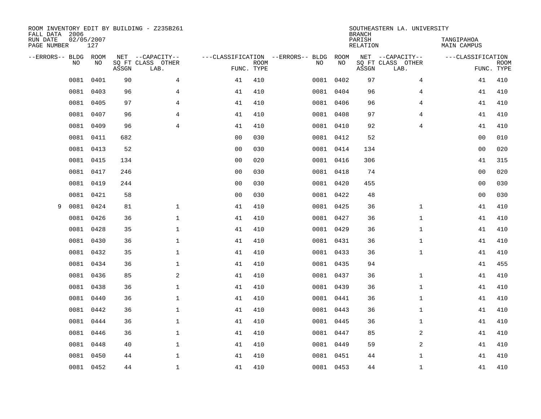| FALL DATA 2006<br>RUN DATE<br>PAGE NUMBER |      | 02/05/2007<br>127 |       | ROOM INVENTORY EDIT BY BUILDING - Z235B261    |                                                 |             |           |            | <b>BRANCH</b><br>PARISH<br>RELATION | SOUTHEASTERN LA. UNIVERSITY                   | TANGIPAHOA<br>MAIN CAMPUS       |             |
|-------------------------------------------|------|-------------------|-------|-----------------------------------------------|-------------------------------------------------|-------------|-----------|------------|-------------------------------------|-----------------------------------------------|---------------------------------|-------------|
| --ERRORS-- BLDG ROOM                      | NO   | NO                | ASSGN | NET --CAPACITY--<br>SQ FT CLASS OTHER<br>LAB. | ---CLASSIFICATION --ERRORS-- BLDG<br>FUNC. TYPE | <b>ROOM</b> | NO        | ROOM<br>NO | ASSGN                               | NET --CAPACITY--<br>SQ FT CLASS OTHER<br>LAB. | ---CLASSIFICATION<br>FUNC. TYPE | <b>ROOM</b> |
|                                           | 0081 | 0401              | 90    | 4                                             | 41                                              | 410         | 0081      | 0402       | 97                                  | 4                                             | 41                              | 410         |
|                                           | 0081 | 0403              | 96    | 4                                             | 41                                              | 410         |           | 0081 0404  | 96                                  | 4                                             | 41                              | 410         |
|                                           | 0081 | 0405              | 97    | 4                                             | 41                                              | 410         | 0081 0406 |            | 96                                  | 4                                             | 41                              | 410         |
|                                           |      | 0081 0407         | 96    | $\overline{4}$                                | 41                                              | 410         |           | 0081 0408  | 97                                  | 4                                             | 41                              | 410         |
|                                           | 0081 | 0409              | 96    | $\overline{4}$                                | 41                                              | 410         | 0081 0410 |            | 92                                  | $\overline{4}$                                | 41                              | 410         |
|                                           |      | 0081 0411         | 682   |                                               | 0 <sub>0</sub>                                  | 030         |           | 0081 0412  | 52                                  |                                               | 0 <sub>0</sub>                  | 010         |
|                                           | 0081 | 0413              | 52    |                                               | 0 <sub>0</sub>                                  | 030         | 0081 0414 |            | 134                                 |                                               | 0 <sub>0</sub>                  | 020         |
|                                           |      | 0081 0415         | 134   |                                               | 0 <sub>0</sub>                                  | 020         |           | 0081 0416  | 306                                 |                                               | 41                              | 315         |
|                                           | 0081 | 0417              | 246   |                                               | 0 <sub>0</sub>                                  | 030         |           | 0081 0418  | 74                                  |                                               | 0 <sub>0</sub>                  | 020         |
|                                           |      | 0081 0419         | 244   |                                               | 0 <sub>0</sub>                                  | 030         |           | 0081 0420  | 455                                 |                                               | 0 <sub>0</sub>                  | 030         |
|                                           | 0081 | 0421              | 58    |                                               | 0 <sub>0</sub>                                  | 030         | 0081 0422 |            | 48                                  |                                               | 0 <sub>0</sub>                  | 030         |
| 9                                         | 0081 | 0424              | 81    | $\mathbf{1}$                                  | 41                                              | 410         |           | 0081 0425  | 36                                  | $\mathbf{1}$                                  | 41                              | 410         |
|                                           | 0081 | 0426              | 36    | $\mathbf{1}$                                  | 41                                              | 410         |           | 0081 0427  | 36                                  | $\mathbf{1}$                                  | 41                              | 410         |
|                                           |      | 0081 0428         | 35    | $\mathbf{1}$                                  | 41                                              | 410         |           | 0081 0429  | 36                                  | $\mathbf{1}$                                  | 41                              | 410         |
|                                           | 0081 | 0430              | 36    | $\mathbf 1$                                   | 41                                              | 410         | 0081 0431 |            | 36                                  | $\mathbf{1}$                                  | 41                              | 410         |
|                                           |      | 0081 0432         | 35    | $\mathbf{1}$                                  | 41                                              | 410         |           | 0081 0433  | 36                                  | $\mathbf{1}$                                  | 41                              | 410         |
|                                           | 0081 | 0434              | 36    | $\mathbf 1$                                   | 41                                              | 410         | 0081 0435 |            | 94                                  |                                               | 41                              | 455         |
|                                           |      | 0081 0436         | 85    | 2                                             | 41                                              | 410         |           | 0081 0437  | 36                                  | $\mathbf{1}$                                  | 41                              | 410         |
|                                           | 0081 | 0438              | 36    | $\mathbf 1$                                   | 41                                              | 410         | 0081      | 0439       | 36                                  | $\mathbf{1}$                                  | 41                              | 410         |
|                                           | 0081 | 0440              | 36    | $\mathbf{1}$                                  | 41                                              | 410         |           | 0081 0441  | 36                                  | $\mathbf{1}$                                  | 41                              | 410         |
|                                           | 0081 | 0442              | 36    | $\mathbf 1$                                   | 41                                              | 410         | 0081      | 0443       | 36                                  | $\mathbf{1}$                                  | 41                              | 410         |
|                                           | 0081 | 0444              | 36    | $\mathbf{1}$                                  | 41                                              | 410         | 0081 0445 |            | 36                                  | $\mathbf{1}$                                  | 41                              | 410         |
|                                           | 0081 | 0446              | 36    | $\mathbf 1$                                   | 41                                              | 410         | 0081 0447 |            | 85                                  | 2                                             | 41                              | 410         |
|                                           | 0081 | 0448              | 40    | $\mathbf{1}$                                  | 41                                              | 410         | 0081 0449 |            | 59                                  | 2                                             | 41                              | 410         |
|                                           | 0081 | 0450              | 44    | $\mathbf{1}$                                  | 41                                              | 410         | 0081 0451 |            | 44                                  | $\mathbf{1}$                                  | 41                              | 410         |
|                                           |      | 0081 0452         | 44    | $\mathbf{1}$                                  | 41                                              | 410         | 0081 0453 |            | 44                                  | $\mathbf{1}$                                  | 41                              | 410         |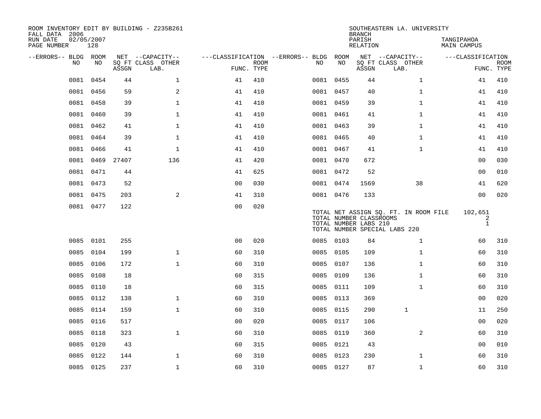| ROOM INVENTORY EDIT BY BUILDING - Z235B261<br>FALL DATA 2006 |                   |            |                           |                                        |             |           |      | <b>BRANCH</b>                                    | SOUTHEASTERN LA. UNIVERSITY                                            |                              |                           |
|--------------------------------------------------------------|-------------------|------------|---------------------------|----------------------------------------|-------------|-----------|------|--------------------------------------------------|------------------------------------------------------------------------|------------------------------|---------------------------|
| RUN DATE<br>PAGE NUMBER                                      | 02/05/2007<br>128 |            |                           |                                        |             |           |      | PARISH<br>RELATION                               |                                                                        | TANGIPAHOA<br>MAIN CAMPUS    |                           |
| --ERRORS-- BLDG ROOM                                         |                   |            | NET --CAPACITY--          | ---CLASSIFICATION --ERRORS-- BLDG ROOM |             |           |      |                                                  | NET --CAPACITY--                                                       | ---CLASSIFICATION            |                           |
| NO.                                                          | NO.               | ASSGN      | SQ FT CLASS OTHER<br>LAB. | FUNC. TYPE                             | <b>ROOM</b> | NO.       | NO   | ASSGN                                            | SQ FT CLASS OTHER<br>LAB.                                              |                              | <b>ROOM</b><br>FUNC. TYPE |
| 0081                                                         | 0454              | 44         | $\mathbf{1}$              | 41                                     | 410         | 0081 0455 |      | 44                                               | $\mathbf{1}$                                                           | 41                           | 410                       |
| 0081                                                         | 0456              | 59         | 2                         | 41                                     | 410         | 0081 0457 |      | 40                                               | $\mathbf{1}$                                                           | 41                           | 410                       |
|                                                              | 0081 0458         | 39         | $\mathbf 1$               | 41                                     | 410         | 0081 0459 |      | 39                                               | $\mathbf{1}$                                                           | 41                           | 410                       |
|                                                              | 0081 0460         | 39         | $\mathbf 1$               | 41                                     | 410         | 0081 0461 |      | 41                                               | $\mathbf{1}$                                                           | 41                           | 410                       |
| 0081                                                         | 0462              | 41         | $\mathbf{1}$              | 41                                     | 410         | 0081 0463 |      | 39                                               | $\mathbf{1}$                                                           | 41                           | 410                       |
| 0081                                                         | 0464              | 39         | $\mathbf{1}$              | 41                                     | 410         | 0081 0465 |      | 40                                               | $\mathbf{1}$                                                           | 41                           | 410                       |
| 0081                                                         | 0466              | 41         | $\mathbf{1}$              | 41                                     | 410         | 0081 0467 |      | 41                                               | $\mathbf{1}$                                                           | 41                           | 410                       |
| 0081                                                         |                   | 0469 27407 | 136                       | 41                                     | 420         | 0081 0470 |      | 672                                              |                                                                        | 00                           | 030                       |
| 0081                                                         | 0471              | 44         |                           | 41                                     | 625         | 0081 0472 |      | 52                                               |                                                                        | 0 <sub>0</sub>               | 010                       |
|                                                              | 0081 0473         | 52         |                           | 0 <sub>0</sub>                         | 030         | 0081 0474 |      | 1569                                             | 38                                                                     | 41                           | 620                       |
|                                                              | 0081 0475         | 203        | 2                         | 41                                     | 310         | 0081 0476 |      | 133                                              |                                                                        | 0 <sub>0</sub>               | 020                       |
|                                                              | 0081 0477         | 122        |                           | 0 <sub>0</sub>                         | 020         |           |      | TOTAL NUMBER CLASSROOMS<br>TOTAL NUMBER LABS 210 | TOTAL NET ASSIGN SQ. FT. IN ROOM FILE<br>TOTAL NUMBER SPECIAL LABS 220 | 102,651<br>2<br>$\mathbf{1}$ |                           |
|                                                              | 0085 0101         | 255        |                           | 0 <sub>0</sub>                         | 020         | 0085 0103 |      | 84                                               | $\mathbf{1}$                                                           | 60                           | 310                       |
| 0085                                                         | 0104              | 199        | $\mathbf{1}$              | 60                                     | 310         | 0085 0105 |      | 109                                              | $\mathbf{1}$                                                           | 60                           | 310                       |
| 0085                                                         | 0106              | 172        | $\mathbf{1}$              | 60                                     | 310         | 0085      | 0107 | 136                                              | $\mathbf{1}$                                                           | 60                           | 310                       |
| 0085                                                         | 0108              | 18         |                           | 60                                     | 315         | 0085 0109 |      | 136                                              | $\mathbf{1}$                                                           | 60                           | 310                       |
| 0085                                                         | 0110              | 18         |                           | 60                                     | 315         | 0085 0111 |      | 109                                              | $\mathbf{1}$                                                           | 60                           | 310                       |
| 0085                                                         | 0112              | 138        | $\mathbf{1}$              | 60                                     | 310         | 0085 0113 |      | 369                                              |                                                                        | 0 <sub>0</sub>               | 020                       |
| 0085                                                         | 0114              | 159        | $\mathbf{1}$              | 60                                     | 310         | 0085 0115 |      | 290                                              | $\mathbf{1}$                                                           | 11                           | 250                       |
| 0085                                                         | 0116              | 517        |                           | 0 <sub>0</sub>                         | 020         | 0085 0117 |      | 106                                              |                                                                        | 00                           | 020                       |
| 0085                                                         | 0118              | 323        | $\mathbf{1}$              | 60                                     | 310         | 0085 0119 |      | 360                                              | 2                                                                      | 60                           | 310                       |
| 0085                                                         | 0120              | 43         |                           | 60                                     | 315         | 0085 0121 |      | 43                                               |                                                                        | 00                           | 010                       |
| 0085                                                         | 0122              | 144        | $\mathbf{1}$              | 60                                     | 310         | 0085 0123 |      | 230                                              | $\mathbf{1}$                                                           | 60                           | 310                       |
|                                                              | 0085 0125         | 237        | $\mathbf{1}$              | 60                                     | 310         | 0085 0127 |      | 87                                               | $\mathbf{1}$                                                           | 60                           | 310                       |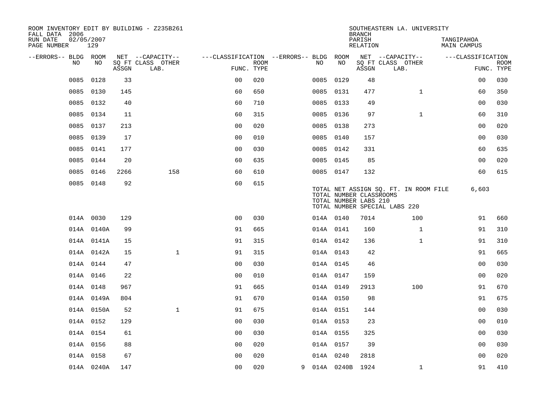| ROOM INVENTORY EDIT BY BUILDING - Z235B261<br>FALL DATA 2006 |                   |       |                           |                                        |             |           |              | <b>BRANCH</b>                                    | SOUTHEASTERN LA. UNIVERSITY                                            |                           |                           |
|--------------------------------------------------------------|-------------------|-------|---------------------------|----------------------------------------|-------------|-----------|--------------|--------------------------------------------------|------------------------------------------------------------------------|---------------------------|---------------------------|
| RUN DATE<br>PAGE NUMBER                                      | 02/05/2007<br>129 |       |                           |                                        |             |           |              | PARISH<br>RELATION                               |                                                                        | TANGIPAHOA<br>MAIN CAMPUS |                           |
| --ERRORS-- BLDG ROOM                                         |                   |       | NET --CAPACITY--          | ---CLASSIFICATION --ERRORS-- BLDG ROOM |             |           |              |                                                  | NET --CAPACITY--                                                       | ---CLASSIFICATION         |                           |
| NO                                                           | NO                | ASSGN | SQ FT CLASS OTHER<br>LAB. | FUNC. TYPE                             | <b>ROOM</b> | NO        | NO           | ASSGN                                            | SQ FT CLASS OTHER<br>LAB.                                              |                           | <b>ROOM</b><br>FUNC. TYPE |
| 0085                                                         | 0128              | 33    |                           | 0 <sub>0</sub>                         | 020         | 0085      | 0129         | 48                                               |                                                                        | 0 <sub>0</sub>            | 030                       |
| 0085                                                         | 0130              | 145   |                           | 60                                     | 650         | 0085 0131 |              | 477                                              | $\mathbf{1}$                                                           | 60                        | 350                       |
| 0085                                                         | 0132              | 40    |                           | 60                                     | 710         | 0085 0133 |              | 49                                               |                                                                        | 0 <sub>0</sub>            | 030                       |
| 0085                                                         | 0134              | 11    |                           | 60                                     | 315         | 0085 0136 |              | 97                                               | $\mathbf{1}$                                                           | 60                        | 310                       |
| 0085                                                         | 0137              | 213   |                           | 0 <sub>0</sub>                         | 020         | 0085 0138 |              | 273                                              |                                                                        | 0 <sub>0</sub>            | 020                       |
| 0085                                                         | 0139              | 17    |                           | 0 <sub>0</sub>                         | 010         | 0085 0140 |              | 157                                              |                                                                        | 00                        | 030                       |
| 0085                                                         | 0141              | 177   |                           | 0 <sub>0</sub>                         | 030         | 0085 0142 |              | 331                                              |                                                                        | 60                        | 635                       |
| 0085                                                         | 0144              | 20    |                           | 60                                     | 635         | 0085 0145 |              | 85                                               |                                                                        | 0 <sub>0</sub>            | 020                       |
| 0085                                                         | 0146              | 2266  | 158                       | 60                                     | 610         | 0085 0147 |              | 132                                              |                                                                        | 60                        | 615                       |
|                                                              | 0085 0148         | 92    |                           | 60                                     | 615         |           |              | TOTAL NUMBER CLASSROOMS<br>TOTAL NUMBER LABS 210 | TOTAL NET ASSIGN SQ. FT. IN ROOM FILE<br>TOTAL NUMBER SPECIAL LABS 220 | 6,603                     |                           |
|                                                              | 014A 0030         | 129   |                           | 0 <sub>0</sub>                         | 030         | 014A 0140 |              | 7014                                             | 100                                                                    | 91                        | 660                       |
|                                                              | 014A 0140A        | 99    |                           | 91                                     | 665         | 014A 0141 |              | 160                                              | $\mathbf{1}$                                                           | 91                        | 310                       |
|                                                              | 014A 0141A        | 15    |                           | 91                                     | 315         | 014A 0142 |              | 136                                              | $\mathbf{1}$                                                           | 91                        | 310                       |
|                                                              | 014A 0142A        | 15    | $\mathbf 1$               | 91                                     | 315         | 014A 0143 |              | 42                                               |                                                                        | 91                        | 665                       |
|                                                              | 014A 0144         | 47    |                           | 0 <sub>0</sub>                         | 030         | 014A 0145 |              | 46                                               |                                                                        | 0 <sub>0</sub>            | 030                       |
|                                                              | 014A 0146         | 22    |                           | 0 <sub>0</sub>                         | 010         | 014A 0147 |              | 159                                              |                                                                        | 0 <sub>0</sub>            | 020                       |
|                                                              | 014A 0148         | 967   |                           | 91                                     | 665         | 014A 0149 |              | 2913                                             | 100                                                                    | 91                        | 670                       |
|                                                              | 014A 0149A        | 804   |                           | 91                                     | 670         | 014A 0150 |              | 98                                               |                                                                        | 91                        | 675                       |
|                                                              | 014A 0150A        | 52    | $\mathbf{1}$              | 91                                     | 675         | 014A 0151 |              | 144                                              |                                                                        | 00                        | 030                       |
|                                                              | 014A 0152         | 129   |                           | 0 <sub>0</sub>                         | 030         | 014A 0153 |              | 23                                               |                                                                        | 0 <sub>0</sub>            | 010                       |
|                                                              | 014A 0154         | 61    |                           | 0 <sub>0</sub>                         | 030         | 014A 0155 |              | 325                                              |                                                                        | 0 <sub>0</sub>            | 030                       |
|                                                              | 014A 0156         | 88    |                           | 0 <sub>0</sub>                         | 020         | 014A 0157 |              | 39                                               |                                                                        | 0 <sub>0</sub>            | 030                       |
|                                                              | 014A 0158         | 67    |                           | 0 <sub>0</sub>                         | 020         | 014A 0240 |              | 2818                                             |                                                                        | 0 <sub>0</sub>            | 020                       |
|                                                              | 014A 0240A        | 147   |                           | 0 <sub>0</sub>                         | 020         |           | 9 014A 0240B | 1924                                             | $\mathbf{1}$                                                           | 91                        | 410                       |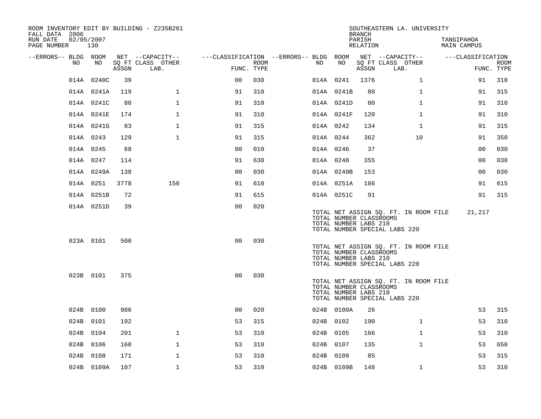| ROOM INVENTORY EDIT BY BUILDING - Z235B261<br>FALL DATA 2006 |                   |       |                           |                                        |      |     |            |    | <b>BRANCH</b>                                    | SOUTHEASTERN LA. UNIVERSITY                                            |                           |                |             |
|--------------------------------------------------------------|-------------------|-------|---------------------------|----------------------------------------|------|-----|------------|----|--------------------------------------------------|------------------------------------------------------------------------|---------------------------|----------------|-------------|
| RUN DATE<br>PAGE NUMBER                                      | 02/05/2007<br>130 |       |                           |                                        |      |     |            |    | PARISH<br>RELATION                               |                                                                        | TANGIPAHOA<br>MAIN CAMPUS |                |             |
| --ERRORS-- BLDG ROOM                                         |                   |       | NET --CAPACITY--          | ---CLASSIFICATION --ERRORS-- BLDG ROOM |      |     |            |    |                                                  | NET --CAPACITY--                                                       | ---CLASSIFICATION         |                |             |
| NO.                                                          | NO                | ASSGN | SQ FT CLASS OTHER<br>LAB. | FUNC. TYPE                             | ROOM | NO. |            | NO | ASSGN                                            | SQ FT CLASS OTHER<br>LAB.                                              |                           | FUNC. TYPE     | <b>ROOM</b> |
|                                                              | 014A 0240C        | 39    |                           | 0 <sub>0</sub>                         | 030  |     | 014A 0241  |    | 1376                                             | $\mathbf{1}$                                                           |                           | 91             | 310         |
|                                                              | 014A 0241A        | 119   | $\mathbf 1$               | 91                                     | 310  |     | 014A 0241B |    | 80                                               | $\mathbf{1}$                                                           |                           | 91             | 315         |
|                                                              | 014A 0241C        | 80    | $\mathbf{1}$              | 91                                     | 310  |     | 014A 0241D |    | 80                                               | $\mathbf{1}$                                                           |                           | 91             | 310         |
|                                                              | 014A 0241E        | 174   | $\mathbf 1$               | 91                                     | 310  |     | 014A 0241F |    | 120                                              | $\mathbf{1}$                                                           |                           | 91             | 310         |
|                                                              | 014A 0241G        | 83    | $\mathbf{1}$              | 91                                     | 315  |     | 014A 0242  |    | 134                                              | $\mathbf{1}$                                                           |                           | 91             | 315         |
|                                                              | 014A 0243         | 129   | $\mathbf{1}$              | 91                                     | 315  |     | 014A 0244  |    | 362                                              | 10                                                                     |                           | 91             | 350         |
|                                                              | 014A 0245         | 68    |                           | 0 <sub>0</sub>                         | 010  |     | 014A 0246  |    | 37                                               |                                                                        |                           | 0 <sub>0</sub> | 030         |
|                                                              | 014A 0247         | 114   |                           | 91                                     | 630  |     | 014A 0248  |    | 355                                              |                                                                        |                           | 0 <sub>0</sub> | 030         |
|                                                              | 014A 0249A        | 138   |                           | 0 <sub>0</sub>                         | 030  |     | 014A 0249B |    | 153                                              |                                                                        |                           | 0 <sub>0</sub> | 030         |
|                                                              | 014A 0251         | 3778  | 150                       | 91                                     | 610  |     | 014A 0251A |    | 186                                              |                                                                        |                           | 91             | 615         |
|                                                              | 014A 0251B        | 72    |                           | 91                                     | 615  |     | 014A 0251C |    | 91                                               |                                                                        |                           | 91             | 315         |
|                                                              | 014A 0251D        | 39    |                           | 0 <sub>0</sub>                         | 020  |     |            |    | TOTAL NUMBER CLASSROOMS<br>TOTAL NUMBER LABS 210 | TOTAL NET ASSIGN SQ. FT. IN ROOM FILE<br>TOTAL NUMBER SPECIAL LABS 220 |                           | 21,217         |             |
|                                                              | 023A 0101         | 500   |                           | 0 <sub>0</sub>                         | 030  |     |            |    | TOTAL NUMBER CLASSROOMS<br>TOTAL NUMBER LABS 210 | TOTAL NET ASSIGN SQ. FT. IN ROOM FILE<br>TOTAL NUMBER SPECIAL LABS 220 |                           |                |             |
|                                                              | 023B 0101         | 375   |                           | 0 <sub>0</sub>                         | 030  |     |            |    | TOTAL NUMBER CLASSROOMS<br>TOTAL NUMBER LABS 210 | TOTAL NET ASSIGN SQ. FT. IN ROOM FILE<br>TOTAL NUMBER SPECIAL LABS 220 |                           |                |             |
|                                                              | 024B 0100         | 986   |                           | 0 <sub>0</sub>                         | 020  |     | 024B 0100A |    | 26                                               |                                                                        |                           | 53             | 315         |
|                                                              | 024B 0101         | 192   |                           | 53                                     | 315  |     | 024B 0102  |    | 190                                              | $\mathbf{1}$                                                           |                           | 53             | 310         |
|                                                              | 024B 0104         | 201   | $\mathbf{1}$              | 53                                     | 310  |     | 024B 0105  |    | 166                                              | $\mathbf{1}$                                                           |                           | 53             | 310         |
|                                                              | 024B 0106         | 160   | $\mathbf{1}$              | 53                                     | 310  |     | 024B 0107  |    | 135                                              | $\mathbf{1}$                                                           |                           | 53             | 650         |
|                                                              | 024B 0108         | 171   | $\mathbf 1$               | 53                                     | 310  |     | 024B 0109  |    | 85                                               |                                                                        |                           | 53             | 315         |
|                                                              | 024B 0109A        | 107   | $\mathbf{1}$              | 53                                     | 310  |     | 024B 0109B |    | 148                                              | $\mathbf{1}$                                                           |                           | 53             | 310         |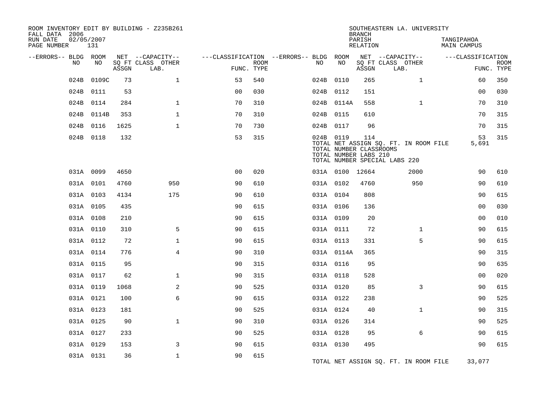| FALL DATA 2006          |      |                   |       | ROOM INVENTORY EDIT BY BUILDING - Z235B261 |                                        |             |           |                                                  | <b>BRANCH</b>      |                               | SOUTHEASTERN LA. UNIVERSITY           |                                  |             |
|-------------------------|------|-------------------|-------|--------------------------------------------|----------------------------------------|-------------|-----------|--------------------------------------------------|--------------------|-------------------------------|---------------------------------------|----------------------------------|-------------|
| RUN DATE<br>PAGE NUMBER |      | 02/05/2007<br>131 |       |                                            |                                        |             |           |                                                  | PARISH<br>RELATION |                               |                                       | TANGIPAHOA<br><b>MAIN CAMPUS</b> |             |
| --ERRORS-- BLDG ROOM    |      |                   |       | NET --CAPACITY--                           | ---CLASSIFICATION --ERRORS-- BLDG ROOM |             |           |                                                  |                    | NET --CAPACITY--              |                                       | ---CLASSIFICATION                |             |
|                         | NO   | NO                | ASSGN | SQ FT CLASS OTHER<br>LAB.                  | FUNC. TYPE                             | <b>ROOM</b> | NO        | NO                                               | ASSGN              | SQ FT CLASS OTHER<br>LAB.     |                                       | FUNC. TYPE                       | <b>ROOM</b> |
|                         | 024B | 0109C             | 73    | $\mathbf 1$                                | 53                                     | 540         | 024B 0110 |                                                  | 265                |                               | $\mathbf{1}$                          | 60                               | 350         |
|                         | 024B | 0111              | 53    |                                            | 0 <sub>0</sub>                         | 030         | 024B 0112 |                                                  | 151                |                               |                                       | 0 <sub>0</sub>                   | 030         |
|                         |      | 024B 0114         | 284   | $\mathbf{1}$                               | 70                                     | 310         |           | 024B 0114A                                       | 558                |                               | $\mathbf{1}$                          | 70                               | 310         |
|                         | 024B | 0114B             | 353   | $\mathbf{1}$                               | 70                                     | 310         | 024B 0115 |                                                  | 610                |                               |                                       | 70                               | 315         |
|                         |      | 024B 0116         | 1625  | $\mathbf{1}$                               | 70                                     | 730         | 024B 0117 |                                                  | 96                 |                               |                                       | 70                               | 315         |
|                         |      | 024B 0118         | 132   |                                            | 53                                     | 315         | 024B 0119 | TOTAL NUMBER CLASSROOMS<br>TOTAL NUMBER LABS 210 | 114                | TOTAL NUMBER SPECIAL LABS 220 | TOTAL NET ASSIGN SQ. FT. IN ROOM FILE | 53<br>5,691                      | 315         |
|                         |      | 031A 0099         | 4650  |                                            | 0 <sub>0</sub>                         | 020         |           | 031A 0100 12664                                  |                    |                               | 2000                                  | 90                               | 610         |
|                         |      | 031A 0101         | 4760  | 950                                        | 90                                     | 610         | 031A 0102 |                                                  | 4760               |                               | 950                                   | 90                               | 610         |
|                         |      | 031A 0103         | 4134  | 175                                        | 90                                     | 610         | 031A 0104 |                                                  | 808                |                               |                                       | 90                               | 615         |
|                         |      | 031A 0105         | 435   |                                            | 90                                     | 615         | 031A 0106 |                                                  | 136                |                               |                                       | 0 <sub>0</sub>                   | 030         |
|                         |      | 031A 0108         | 210   |                                            | 90                                     | 615         | 031A 0109 |                                                  | 20                 |                               |                                       | 0 <sub>0</sub>                   | 010         |
|                         |      | 031A 0110         | 310   | 5                                          | 90                                     | 615         | 031A 0111 |                                                  | 72                 |                               | $\mathbf{1}$                          | 90                               | 615         |
|                         |      | 031A 0112         | 72    | $\mathbf{1}$                               | 90                                     | 615         | 031A 0113 |                                                  | 331                |                               | 5                                     | 90                               | 615         |
|                         |      | 031A 0114         | 776   | $\overline{4}$                             | 90                                     | 310         |           | 031A 0114A                                       | 365                |                               |                                       | 90                               | 315         |
|                         |      | 031A 0115         | 95    |                                            | 90                                     | 315         | 031A 0116 |                                                  | 95                 |                               |                                       | 90                               | 635         |
|                         |      | 031A 0117         | 62    | $\mathbf 1$                                | 90                                     | 315         | 031A 0118 |                                                  | 528                |                               |                                       | 00                               | 020         |
|                         |      | 031A 0119         | 1068  | 2                                          | 90                                     | 525         | 031A 0120 |                                                  | 85                 |                               | 3                                     | 90                               | 615         |
|                         |      | 031A 0121         | 100   | 6                                          | 90                                     | 615         | 031A 0122 |                                                  | 238                |                               |                                       | 90                               | 525         |
|                         |      | 031A 0123         | 181   |                                            | 90                                     | 525         | 031A 0124 |                                                  | 40                 |                               | $\mathbf{1}$                          | 90                               | 315         |
|                         |      | 031A 0125         | 90    | $\mathbf{1}$                               | 90                                     | 310         | 031A 0126 |                                                  | 314                |                               |                                       | 90                               | 525         |
|                         |      | 031A 0127         | 233   |                                            | 90                                     | 525         | 031A 0128 |                                                  | 95                 |                               | 6                                     | 90                               | 615         |
|                         |      | 031A 0129         | 153   | 3                                          | 90                                     | 615         | 031A 0130 |                                                  | 495                |                               |                                       | 90                               | 615         |
|                         |      | 031A 0131         | 36    | $\mathbf 1$                                | 90                                     | 615         |           |                                                  |                    |                               | TOTAL NET ASSIGN SQ. FT. IN ROOM FILE | 33,077                           |             |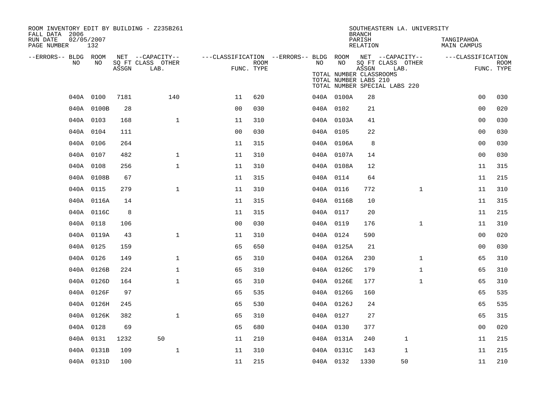| ROOM INVENTORY EDIT BY BUILDING - Z235B261<br>FALL DATA 2006 |                   |       |                           |                |             |                                                         |                                                  | <b>BRANCH</b>      | SOUTHEASTERN LA. UNIVERSITY                                |                           |                           |
|--------------------------------------------------------------|-------------------|-------|---------------------------|----------------|-------------|---------------------------------------------------------|--------------------------------------------------|--------------------|------------------------------------------------------------|---------------------------|---------------------------|
| RUN DATE<br>PAGE NUMBER                                      | 02/05/2007<br>132 |       |                           |                |             |                                                         |                                                  | PARISH<br>RELATION |                                                            | TANGIPAHOA<br>MAIN CAMPUS |                           |
| --ERRORS-- BLDG ROOM<br>NO                                   | NO                |       | NET --CAPACITY--          |                | <b>ROOM</b> | ---CLASSIFICATION --ERRORS-- BLDG ROOM NET --CAPACITY-- | NO                                               |                    |                                                            | ---CLASSIFICATION         |                           |
|                                                              |                   | ASSGN | SQ FT CLASS OTHER<br>LAB. |                | FUNC. TYPE  | NO                                                      | TOTAL NUMBER CLASSROOMS<br>TOTAL NUMBER LABS 210 | ASSGN              | SQ FT CLASS OTHER<br>LAB.<br>TOTAL NUMBER SPECIAL LABS 220 |                           | <b>ROOM</b><br>FUNC. TYPE |
|                                                              | 040A 0100         | 7181  | 140                       | 11             | 620         |                                                         | 040A 0100A                                       | 28                 |                                                            | 0 <sub>0</sub>            | 030                       |
|                                                              | 040A 0100B        | 28    |                           | 0 <sub>0</sub> | 030         |                                                         | 040A 0102                                        | 21                 |                                                            | 0 <sub>0</sub>            | 020                       |
|                                                              | 040A 0103         | 168   | $\mathbf{1}$              | 11             | 310         |                                                         | 040A 0103A                                       | 41                 |                                                            | 0 <sub>0</sub>            | 030                       |
|                                                              | 040A 0104         | 111   |                           | 0 <sub>0</sub> | 030         |                                                         | 040A 0105                                        | 22                 |                                                            | 0 <sub>0</sub>            | 030                       |
|                                                              | 040A 0106         | 264   |                           | 11             | 315         |                                                         | 040A 0106A                                       | 8                  |                                                            | 00                        | 030                       |
|                                                              | 040A 0107         | 482   | $\mathbf{1}$              | 11             | 310         |                                                         | 040A 0107A                                       | 14                 |                                                            | 0 <sub>0</sub>            | 030                       |
|                                                              | 040A 0108         | 256   | $\mathbf{1}$              | 11             | 310         |                                                         | 040A 0108A                                       | 12                 |                                                            | 11                        | 315                       |
|                                                              | 040A 0108B        | 67    |                           | 11             | 315         |                                                         | 040A 0114                                        | 64                 |                                                            | 11                        | 215                       |
|                                                              | 040A 0115         | 279   | $\mathbf{1}$              | 11             | 310         |                                                         | 040A 0116                                        | 772                | $\mathbf{1}$                                               | 11                        | 310                       |
|                                                              | 040A 0116A        | 14    |                           | 11             | 315         |                                                         | 040A 0116B                                       | 10                 |                                                            | 11                        | 315                       |
|                                                              | 040A 0116C        | 8     |                           | 11             | 315         |                                                         | 040A 0117                                        | 20                 |                                                            | 11                        | 215                       |
|                                                              | 040A 0118         | 106   |                           | 0 <sub>0</sub> | 030         |                                                         | 040A 0119                                        | 176                | $\mathbf{1}$                                               | 11                        | 310                       |
|                                                              | 040A 0119A        | 43    | $\mathbf 1$               | 11             | 310         |                                                         | 040A 0124                                        | 590                |                                                            | 0 <sub>0</sub>            | 020                       |
|                                                              | 040A 0125         | 159   |                           | 65             | 650         |                                                         | 040A 0125A                                       | 21                 |                                                            | 0 <sub>0</sub>            | 030                       |
|                                                              | 040A 0126         | 149   | $\mathbf{1}$              | 65             | 310         |                                                         | 040A 0126A                                       | 230                | $\mathbf{1}$                                               | 65                        | 310                       |
|                                                              | 040A 0126B        | 224   | $\mathbf{1}$              | 65             | 310         |                                                         | 040A 0126C                                       | 179                | $\mathbf{1}$                                               | 65                        | 310                       |
|                                                              | 040A 0126D        | 164   | $\mathbf 1$               | 65             | 310         |                                                         | 040A 0126E                                       | 177                | $\mathbf{1}$                                               | 65                        | 310                       |
|                                                              | 040A 0126F        | 97    |                           | 65             | 535         |                                                         | 040A 0126G                                       | 160                |                                                            | 65                        | 535                       |
|                                                              | 040A 0126H        | 245   |                           | 65             | 530         |                                                         | 040A 0126J                                       | 24                 |                                                            | 65                        | 535                       |
|                                                              | 040A 0126K        | 382   | $\mathbf{1}$              | 65             | 310         |                                                         | 040A 0127                                        | 27                 |                                                            | 65                        | 315                       |
|                                                              | 040A 0128         | 69    |                           | 65             | 680         |                                                         | 040A 0130                                        | 377                |                                                            | 0 <sub>0</sub>            | 020                       |
|                                                              | 040A 0131         | 1232  | 50                        | 11             | 210         |                                                         | 040A 0131A                                       | 240                | $\mathbf{1}$                                               | 11                        | 215                       |
|                                                              | 040A 0131B        | 109   | $\mathbf{1}$              | 11             | 310         |                                                         | 040A 0131C                                       | 143                | 1                                                          | 11                        | 215                       |
|                                                              | 040A 0131D        | 100   |                           | 11             | 215         |                                                         | 040A 0132                                        | 1330               | 50                                                         | 11                        | 210                       |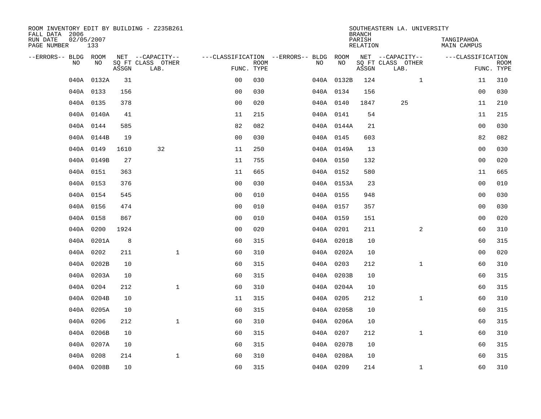| ROOM INVENTORY EDIT BY BUILDING - Z235B261<br>FALL DATA 2006 |                   |       |                           |                |             |                                        |            | <b>BRANCH</b>      | SOUTHEASTERN LA. UNIVERSITY |                           |             |
|--------------------------------------------------------------|-------------------|-------|---------------------------|----------------|-------------|----------------------------------------|------------|--------------------|-----------------------------|---------------------------|-------------|
| RUN DATE<br>PAGE NUMBER                                      | 02/05/2007<br>133 |       |                           |                |             |                                        |            | PARISH<br>RELATION |                             | TANGIPAHOA<br>MAIN CAMPUS |             |
| --ERRORS-- BLDG ROOM                                         |                   |       | NET --CAPACITY--          |                |             | ---CLASSIFICATION --ERRORS-- BLDG ROOM |            |                    | NET --CAPACITY--            | ---CLASSIFICATION         |             |
| NO                                                           | NO                | ASSGN | SQ FT CLASS OTHER<br>LAB. | FUNC. TYPE     | <b>ROOM</b> | NO                                     | NO         | ASSGN              | SQ FT CLASS OTHER<br>LAB.   | FUNC. TYPE                | <b>ROOM</b> |
|                                                              | 040A 0132A        | 31    |                           | 0 <sub>0</sub> | 030         |                                        | 040A 0132B | 124                | $\mathbf{1}$                | 11                        | 310         |
|                                                              | 040A 0133         | 156   |                           | 0 <sub>0</sub> | 030         |                                        | 040A 0134  | 156                |                             | 00                        | 030         |
|                                                              | 040A 0135         | 378   |                           | 0 <sub>0</sub> | 020         |                                        | 040A 0140  | 1847               | 25                          | 11                        | 210         |
|                                                              | 040A 0140A        | 41    |                           | 11             | 215         |                                        | 040A 0141  | 54                 |                             | 11                        | 215         |
|                                                              | 040A 0144         | 585   |                           | 82             | 082         |                                        | 040A 0144A | 21                 |                             | 0 <sub>0</sub>            | 030         |
|                                                              | 040A 0144B        | 19    |                           | 00             | 030         |                                        | 040A 0145  | 603                |                             | 82                        | 082         |
|                                                              | 040A 0149         | 1610  | 32                        | 11             | 250         |                                        | 040A 0149A | 13                 |                             | 0 <sub>0</sub>            | 030         |
|                                                              | 040A 0149B        | 27    |                           | 11             | 755         |                                        | 040A 0150  | 132                |                             | 0 <sub>0</sub>            | 020         |
|                                                              | 040A 0151         | 363   |                           | 11             | 665         |                                        | 040A 0152  | 580                |                             | 11                        | 665         |
|                                                              | 040A 0153         | 376   |                           | 0 <sub>0</sub> | 030         |                                        | 040A 0153A | 23                 |                             | 0 <sub>0</sub>            | 010         |
|                                                              | 040A 0154         | 545   |                           | 0 <sub>0</sub> | 010         |                                        | 040A 0155  | 948                |                             | 0 <sub>0</sub>            | 030         |
|                                                              | 040A 0156         | 474   |                           | 0 <sub>0</sub> | 010         |                                        | 040A 0157  | 357                |                             | 0 <sub>0</sub>            | 030         |
|                                                              | 040A 0158         | 867   |                           | 0 <sub>0</sub> | 010         |                                        | 040A 0159  | 151                |                             | 00                        | 020         |
|                                                              | 040A 0200         | 1924  |                           | 0 <sub>0</sub> | 020         |                                        | 040A 0201  | 211                | 2                           | 60                        | 310         |
|                                                              | 040A 0201A        | 8     |                           | 60             | 315         |                                        | 040A 0201B | 10                 |                             | 60                        | 315         |
|                                                              | 040A 0202         | 211   | $\mathbf{1}$              | 60             | 310         |                                        | 040A 0202A | 10                 |                             | 00                        | 020         |
|                                                              | 040A 0202B        | 10    |                           | 60             | 315         |                                        | 040A 0203  | 212                | $\mathbf{1}$                | 60                        | 310         |
|                                                              | 040A 0203A        | 10    |                           | 60             | 315         |                                        | 040A 0203B | 10                 |                             | 60                        | 315         |
|                                                              | 040A 0204         | 212   | $\mathbf{1}$              | 60             | 310         |                                        | 040A 0204A | 10                 |                             | 60                        | 315         |
|                                                              | 040A 0204B        | 10    |                           | 11             | 315         |                                        | 040A 0205  | 212                | $\mathbf{1}$                | 60                        | 310         |
|                                                              | 040A 0205A        | 10    |                           | 60             | 315         |                                        | 040A 0205B | 10                 |                             | 60                        | 315         |
|                                                              | 040A 0206         | 212   | $\mathbf{1}$              | 60             | 310         |                                        | 040A 0206A | 10                 |                             | 60                        | 315         |
|                                                              | 040A 0206B        | 10    |                           | 60             | 315         |                                        | 040A 0207  | 212                | $\mathbf{1}$                | 60                        | 310         |
|                                                              | 040A 0207A        | 10    |                           | 60             | 315         |                                        | 040A 0207B | 10                 |                             | 60                        | 315         |
|                                                              | 040A 0208         | 214   | $\mathbf{1}$              | 60             | 310         |                                        | 040A 0208A | 10                 |                             | 60                        | 315         |
|                                                              | 040A 0208B        | 10    |                           | 60             | 315         |                                        | 040A 0209  | 214                | $\mathbf{1}$                | 60                        | 310         |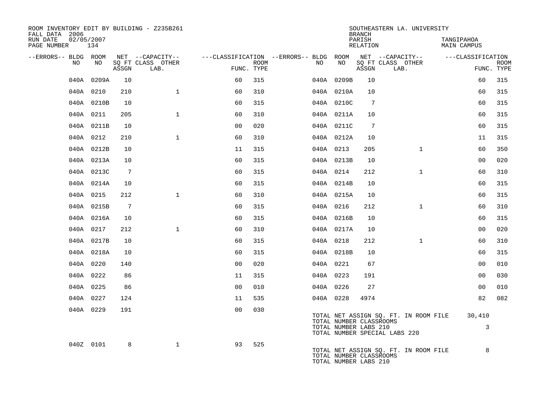| ROOM INVENTORY EDIT BY BUILDING - Z235B261<br>FALL DATA 2006 |            |                 |                           |                |      |                                                         |                                                  | <b>BRANCH</b>      | SOUTHEASTERN LA. UNIVERSITY                                            |                                  |                           |
|--------------------------------------------------------------|------------|-----------------|---------------------------|----------------|------|---------------------------------------------------------|--------------------------------------------------|--------------------|------------------------------------------------------------------------|----------------------------------|---------------------------|
| 02/05/2007<br>RUN DATE<br>PAGE NUMBER                        | 134        |                 |                           |                |      |                                                         |                                                  | PARISH<br>RELATION |                                                                        | TANGIPAHOA<br><b>MAIN CAMPUS</b> |                           |
| --ERRORS-- BLDG ROOM                                         |            |                 | NET --CAPACITY--          |                |      | ---CLASSIFICATION --ERRORS-- BLDG ROOM NET --CAPACITY-- |                                                  |                    |                                                                        | ---CLASSIFICATION                |                           |
| NO                                                           | NO         | ASSGN           | SQ FT CLASS OTHER<br>LAB. | FUNC. TYPE     | ROOM | NO                                                      | NO                                               | ASSGN              | SQ FT CLASS OTHER<br>LAB.                                              |                                  | <b>ROOM</b><br>FUNC. TYPE |
|                                                              | 040A 0209A | 10              |                           | 60             | 315  |                                                         | 040A 0209B                                       | 10                 |                                                                        | 60                               | 315                       |
|                                                              | 040A 0210  | 210             | $\mathbf{1}$              | 60             | 310  |                                                         | 040A 0210A                                       | 10                 |                                                                        | 60                               | 315                       |
|                                                              | 040A 0210B | 10              |                           | 60             | 315  |                                                         | 040A 0210C                                       | $7\phantom{.0}$    |                                                                        | 60                               | 315                       |
|                                                              | 040A 0211  | 205             | $\mathbf{1}$              | 60             | 310  |                                                         | 040A 0211A                                       | 10                 |                                                                        | 60                               | 315                       |
|                                                              | 040A 0211B | 10              |                           | 0 <sub>0</sub> | 020  |                                                         | 040A 0211C                                       | 7                  |                                                                        | 60                               | 315                       |
|                                                              | 040A 0212  | 210             | $\mathbf{1}$              | 60             | 310  |                                                         | 040A 0212A                                       | 10                 |                                                                        | 11                               | 315                       |
|                                                              | 040A 0212B | 10              |                           | 11             | 315  |                                                         | 040A 0213                                        | 205                | $\mathbf{1}$                                                           | 60                               | 350                       |
|                                                              | 040A 0213A | 10              |                           | 60             | 315  |                                                         | 040A 0213B                                       | 10                 |                                                                        | 0 <sub>0</sub>                   | 020                       |
|                                                              | 040A 0213C | $7\phantom{.0}$ |                           | 60             | 315  |                                                         | 040A 0214                                        | 212                | $\mathbf{1}$                                                           | 60                               | 310                       |
|                                                              | 040A 0214A | 10              |                           | 60             | 315  |                                                         | 040A 0214B                                       | 10                 |                                                                        | 60                               | 315                       |
|                                                              | 040A 0215  | 212             | $\mathbf{1}$              | 60             | 310  |                                                         | 040A 0215A                                       | 10                 |                                                                        | 60                               | 315                       |
|                                                              | 040A 0215B | $7\phantom{.0}$ |                           | 60             | 315  |                                                         | 040A 0216                                        | 212                | $\mathbf{1}$                                                           | 60                               | 310                       |
|                                                              | 040A 0216A | 10              |                           | 60             | 315  |                                                         | 040A 0216B                                       | 10                 |                                                                        | 60                               | 315                       |
|                                                              | 040A 0217  | 212             | $\mathbf{1}$              | 60             | 310  |                                                         | 040A 0217A                                       | 10                 |                                                                        | 0 <sub>0</sub>                   | 020                       |
|                                                              | 040A 0217B | 10              |                           | 60             | 315  |                                                         | 040A 0218                                        | 212                | $\mathbf{1}$                                                           | 60                               | 310                       |
|                                                              | 040A 0218A | 10              |                           | 60             | 315  |                                                         | 040A 0218B                                       | 10                 |                                                                        | 60                               | 315                       |
|                                                              | 040A 0220  | 140             |                           | 0 <sup>0</sup> | 020  |                                                         | 040A 0221                                        | 67                 |                                                                        | 00                               | 010                       |
|                                                              | 040A 0222  | 86              |                           | 11             | 315  |                                                         | 040A 0223                                        | 191                |                                                                        | 0 <sub>0</sub>                   | 030                       |
|                                                              | 040A 0225  | 86              |                           | 0 <sub>0</sub> | 010  |                                                         | 040A 0226                                        | 27                 |                                                                        | 0 <sub>0</sub>                   | 010                       |
|                                                              | 040A 0227  | 124             |                           | 11             | 535  |                                                         | 040A 0228                                        | 4974               |                                                                        | 82                               | 082                       |
|                                                              | 040A 0229  | 191             |                           | 0 <sub>0</sub> | 030  |                                                         | TOTAL NUMBER CLASSROOMS<br>TOTAL NUMBER LABS 210 |                    | TOTAL NET ASSIGN SQ. FT. IN ROOM FILE<br>TOTAL NUMBER SPECIAL LABS 220 | 30,410<br>3                      |                           |
|                                                              | 040Z 0101  | 8               | $\mathbf{1}$              | 93             | 525  |                                                         | TOTAL NUMBER CLASSROOMS<br>TOTAL NUMBER LABS 210 |                    | TOTAL NET ASSIGN SQ. FT. IN ROOM FILE                                  | 8                                |                           |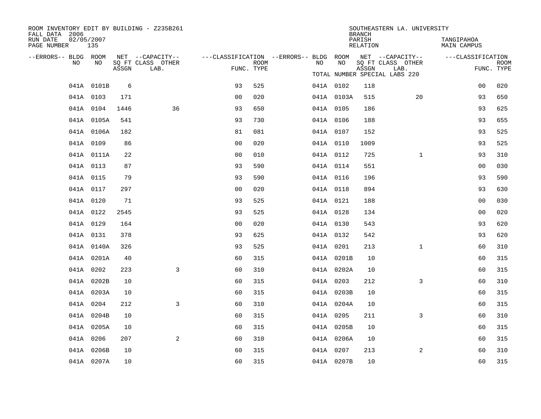| ROOM INVENTORY EDIT BY BUILDING - Z235B261<br>FALL DATA 2006 |                   |       |                                       |                |             |                                                               |            | <b>BRANCH</b>      | SOUTHEASTERN LA. UNIVERSITY           |                                  |             |
|--------------------------------------------------------------|-------------------|-------|---------------------------------------|----------------|-------------|---------------------------------------------------------------|------------|--------------------|---------------------------------------|----------------------------------|-------------|
| RUN DATE<br>PAGE NUMBER                                      | 02/05/2007<br>135 |       |                                       |                |             |                                                               |            | PARISH<br>RELATION |                                       | TANGIPAHOA<br><b>MAIN CAMPUS</b> |             |
| --ERRORS-- BLDG ROOM<br>NO.                                  | NO.               |       | NET --CAPACITY--<br>SQ FT CLASS OTHER |                | <b>ROOM</b> | ---CLASSIFICATION --ERRORS-- BLDG ROOM NET --CAPACITY--<br>NO | NO         |                    | SQ FT CLASS OTHER                     | ---CLASSIFICATION                | <b>ROOM</b> |
|                                                              |                   | ASSGN | LAB.                                  | FUNC. TYPE     |             |                                                               |            | ASSGN              | LAB.<br>TOTAL NUMBER SPECIAL LABS 220 |                                  | FUNC. TYPE  |
|                                                              | 041A 0101B        | 6     |                                       | 93             | 525         |                                                               | 041A 0102  | 118                |                                       | 0 <sub>0</sub>                   | 020         |
|                                                              | 041A 0103         | 171   |                                       | 0 <sub>0</sub> | 020         |                                                               | 041A 0103A | 515                | 20                                    | 93                               | 650         |
|                                                              | 041A 0104         | 1446  | 36                                    | 93             | 650         |                                                               | 041A 0105  | 186                |                                       | 93                               | 625         |
|                                                              | 041A 0105A        | 541   |                                       | 93             | 730         |                                                               | 041A 0106  | 188                |                                       | 93                               | 655         |
|                                                              | 041A 0106A        | 182   |                                       | 81             | 081         |                                                               | 041A 0107  | 152                |                                       | 93                               | 525         |
|                                                              | 041A 0109         | 86    |                                       | 0 <sub>0</sub> | 020         |                                                               | 041A 0110  | 1009               |                                       | 93                               | 525         |
|                                                              | 041A 0111A        | 22    |                                       | 0 <sub>0</sub> | 010         |                                                               | 041A 0112  | 725                | $\mathbf{1}$                          | 93                               | 310         |
|                                                              | 041A 0113         | 87    |                                       | 93             | 590         |                                                               | 041A 0114  | 551                |                                       | 0 <sub>0</sub>                   | 030         |
|                                                              | 041A 0115         | 79    |                                       | 93             | 590         |                                                               | 041A 0116  | 196                |                                       | 93                               | 590         |
|                                                              | 041A 0117         | 297   |                                       | 0 <sub>0</sub> | 020         |                                                               | 041A 0118  | 894                |                                       | 93                               | 630         |
|                                                              | 041A 0120         | 71    |                                       | 93             | 525         |                                                               | 041A 0121  | 188                |                                       | 0 <sub>0</sub>                   | 030         |
|                                                              | 041A 0122         | 2545  |                                       | 93             | 525         |                                                               | 041A 0128  | 134                |                                       | 0 <sub>0</sub>                   | 020         |
|                                                              | 041A 0129         | 164   |                                       | 0 <sub>0</sub> | 020         |                                                               | 041A 0130  | 543                |                                       | 93                               | 620         |
|                                                              | 041A 0131         | 378   |                                       | 93             | 625         |                                                               | 041A 0132  | 542                |                                       | 93                               | 620         |
|                                                              | 041A 0140A        | 326   |                                       | 93             | 525         |                                                               | 041A 0201  | 213                | $\mathbf{1}$                          | 60                               | 310         |
|                                                              | 041A 0201A        | 40    |                                       | 60             | 315         |                                                               | 041A 0201B | 10                 |                                       | 60                               | 315         |
|                                                              | 041A 0202         | 223   | 3                                     | 60             | 310         |                                                               | 041A 0202A | 10                 |                                       | 60                               | 315         |
|                                                              | 041A 0202B        | 10    |                                       | 60             | 315         |                                                               | 041A 0203  | 212                | 3                                     | 60                               | 310         |
|                                                              | 041A 0203A        | 10    |                                       | 60             | 315         |                                                               | 041A 0203B | 10                 |                                       | 60                               | 315         |
|                                                              | 041A 0204         | 212   | 3                                     | 60             | 310         |                                                               | 041A 0204A | 10                 |                                       | 60                               | 315         |
|                                                              | 041A 0204B        | 10    |                                       | 60             | 315         |                                                               | 041A 0205  | 211                | $\overline{3}$                        | 60                               | 310         |
|                                                              | 041A 0205A        | 10    |                                       | 60             | 315         |                                                               | 041A 0205B | 10                 |                                       | 60                               | 315         |
|                                                              | 041A 0206         | 207   | 2                                     | 60             | 310         |                                                               | 041A 0206A | 10                 |                                       | 60                               | 315         |
|                                                              | 041A 0206B        | 10    |                                       | 60             | 315         |                                                               | 041A 0207  | 213                | 2                                     | 60                               | 310         |
|                                                              | 041A 0207A        | 10    |                                       | 60             | 315         |                                                               | 041A 0207B | 10                 |                                       | 60                               | 315         |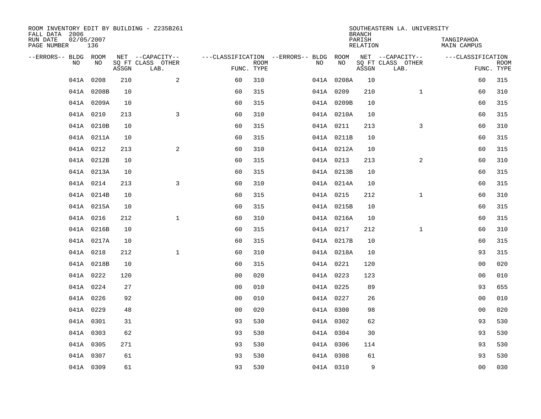| ROOM INVENTORY EDIT BY BUILDING - Z235B261<br>FALL DATA 2006 |            |       |                           |                |             |                                        |            | <b>BRANCH</b>      | SOUTHEASTERN LA. UNIVERSITY |                           |             |
|--------------------------------------------------------------|------------|-------|---------------------------|----------------|-------------|----------------------------------------|------------|--------------------|-----------------------------|---------------------------|-------------|
| RUN DATE<br>02/05/2007<br>PAGE NUMBER                        | 136        |       |                           |                |             |                                        |            | PARISH<br>RELATION |                             | TANGIPAHOA<br>MAIN CAMPUS |             |
| --ERRORS-- BLDG ROOM                                         |            |       | NET --CAPACITY--          |                |             | ---CLASSIFICATION --ERRORS-- BLDG ROOM |            |                    | NET --CAPACITY--            | ---CLASSIFICATION         |             |
| NO.                                                          | NO.        | ASSGN | SQ FT CLASS OTHER<br>LAB. | FUNC. TYPE     | <b>ROOM</b> | NO.                                    | NO         | ASSGN              | SQ FT CLASS OTHER<br>LAB.   | FUNC. TYPE                | <b>ROOM</b> |
|                                                              | 041A 0208  | 210   | 2                         | 60             | 310         |                                        | 041A 0208A | 10                 |                             | 60                        | 315         |
|                                                              | 041A 0208B | 10    |                           | 60             | 315         |                                        | 041A 0209  | 210                | $\mathbf{1}$                | 60                        | 310         |
|                                                              | 041A 0209A | 10    |                           | 60             | 315         |                                        | 041A 0209B | 10                 |                             | 60                        | 315         |
|                                                              | 041A 0210  | 213   | 3                         | 60             | 310         |                                        | 041A 0210A | 10                 |                             | 60                        | 315         |
|                                                              | 041A 0210B | 10    |                           | 60             | 315         |                                        | 041A 0211  | 213                | 3                           | 60                        | 310         |
|                                                              | 041A 0211A | 10    |                           | 60             | 315         |                                        | 041A 0211B | 10                 |                             | 60                        | 315         |
|                                                              | 041A 0212  | 213   | 2                         | 60             | 310         |                                        | 041A 0212A | 10                 |                             | 60                        | 315         |
|                                                              | 041A 0212B | 10    |                           | 60             | 315         |                                        | 041A 0213  | 213                | 2                           | 60                        | 310         |
|                                                              | 041A 0213A | 10    |                           | 60             | 315         |                                        | 041A 0213B | 10                 |                             | 60                        | 315         |
|                                                              | 041A 0214  | 213   | $\overline{3}$            | 60             | 310         |                                        | 041A 0214A | 10                 |                             | 60                        | 315         |
|                                                              | 041A 0214B | 10    |                           | 60             | 315         |                                        | 041A 0215  | 212                | $\mathbf{1}$                | 60                        | 310         |
|                                                              | 041A 0215A | 10    |                           | 60             | 315         |                                        | 041A 0215B | 10                 |                             | 60                        | 315         |
|                                                              | 041A 0216  | 212   | $\mathbf{1}$              | 60             | 310         |                                        | 041A 0216A | 10                 |                             | 60                        | 315         |
|                                                              | 041A 0216B | 10    |                           | 60             | 315         |                                        | 041A 0217  | 212                | $\mathbf{1}$                | 60                        | 310         |
|                                                              | 041A 0217A | 10    |                           | 60             | 315         |                                        | 041A 0217B | 10                 |                             | 60                        | 315         |
|                                                              | 041A 0218  | 212   | $\mathbf{1}$              | 60             | 310         |                                        | 041A 0218A | 10                 |                             | 93                        | 315         |
|                                                              | 041A 0218B | 10    |                           | 60             | 315         |                                        | 041A 0221  | 120                |                             | 0 <sub>0</sub>            | 020         |
|                                                              | 041A 0222  | 120   |                           | 0 <sub>0</sub> | 020         |                                        | 041A 0223  | 123                |                             | 0 <sub>0</sub>            | 010         |
|                                                              | 041A 0224  | 27    |                           | 0 <sub>0</sub> | 010         |                                        | 041A 0225  | 89                 |                             | 93                        | 655         |
|                                                              | 041A 0226  | 92    |                           | 0 <sub>0</sub> | 010         |                                        | 041A 0227  | 26                 |                             | 0 <sub>0</sub>            | 010         |
|                                                              | 041A 0229  | 48    |                           | 0 <sub>0</sub> | 020         |                                        | 041A 0300  | 98                 |                             | 0 <sub>0</sub>            | 020         |
|                                                              | 041A 0301  | 31    |                           | 93             | 530         |                                        | 041A 0302  | 62                 |                             | 93                        | 530         |
|                                                              | 041A 0303  | 62    |                           | 93             | 530         |                                        | 041A 0304  | 30                 |                             | 93                        | 530         |
|                                                              | 041A 0305  | 271   |                           | 93             | 530         |                                        | 041A 0306  | 114                |                             | 93                        | 530         |
|                                                              | 041A 0307  | 61    |                           | 93             | 530         |                                        | 041A 0308  | 61                 |                             | 93                        | 530         |
|                                                              | 041A 0309  | 61    |                           | 93             | 530         |                                        | 041A 0310  | 9                  |                             | 0 <sub>0</sub>            | 030         |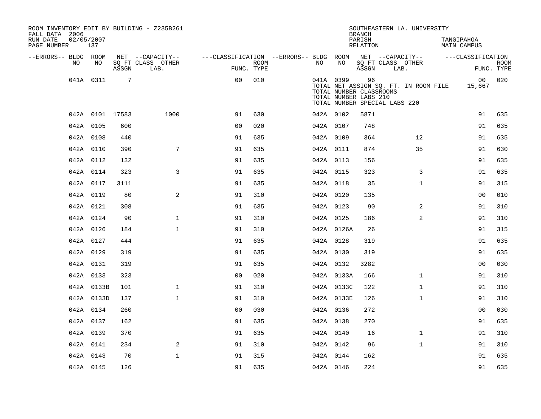| ROOM INVENTORY EDIT BY BUILDING - Z235B261<br>FALL DATA 2006 |                   |                 |                                       |                                        |             |           |            | <b>BRANCH</b>                                          | SOUTHEASTERN LA. UNIVERSITY                                            |                           |             |
|--------------------------------------------------------------|-------------------|-----------------|---------------------------------------|----------------------------------------|-------------|-----------|------------|--------------------------------------------------------|------------------------------------------------------------------------|---------------------------|-------------|
| RUN DATE<br>PAGE NUMBER                                      | 02/05/2007<br>137 |                 |                                       |                                        |             |           |            | PARISH<br><b>RELATION</b>                              |                                                                        | TANGIPAHOA<br>MAIN CAMPUS |             |
| --ERRORS-- BLDG ROOM<br>NO                                   | NO                |                 | NET --CAPACITY--<br>SQ FT CLASS OTHER | ---CLASSIFICATION --ERRORS-- BLDG ROOM | <b>ROOM</b> | NO        | NO         |                                                        | NET --CAPACITY--<br>SQ FT CLASS OTHER                                  | ---CLASSIFICATION         | <b>ROOM</b> |
|                                                              |                   | ASSGN           | LAB.                                  | FUNC. TYPE                             |             |           |            | ASSGN                                                  | LAB.                                                                   |                           | FUNC. TYPE  |
|                                                              | 041A 0311         | $7\phantom{.0}$ |                                       | 0 <sub>0</sub>                         | 010         |           | 041A 0399  | 96<br>TOTAL NUMBER CLASSROOMS<br>TOTAL NUMBER LABS 210 | TOTAL NET ASSIGN SQ. FT. IN ROOM FILE<br>TOTAL NUMBER SPECIAL LABS 220 | 00 <sup>1</sup><br>15,667 | 020         |
|                                                              | 042A 0101 17583   |                 | 1000                                  | 91                                     | 630         |           | 042A 0102  | 5871                                                   |                                                                        | 91                        | 635         |
|                                                              | 042A 0105         | 600             |                                       | 0 <sub>0</sub>                         | 020         | 042A 0107 |            | 748                                                    |                                                                        | 91                        | 635         |
|                                                              | 042A 0108         | 440             |                                       | 91                                     | 635         |           | 042A 0109  | 364                                                    | 12                                                                     | 91                        | 635         |
|                                                              | 042A 0110         | 390             | $7\overline{ }$                       | 91                                     | 635         | 042A 0111 |            | 874                                                    | 35                                                                     | 91                        | 630         |
|                                                              | 042A 0112         | 132             |                                       | 91                                     | 635         | 042A 0113 |            | 156                                                    |                                                                        | 91                        | 635         |
|                                                              | 042A 0114         | 323             | 3                                     | 91                                     | 635         | 042A 0115 |            | 323                                                    | 3                                                                      | 91                        | 635         |
|                                                              | 042A 0117         | 3111            |                                       | 91                                     | 635         |           | 042A 0118  | 35                                                     | $\mathbf{1}$                                                           | 91                        | 315         |
|                                                              | 042A 0119         | 80              | 2                                     | 91                                     | 310         | 042A 0120 |            | 135                                                    |                                                                        | 0 <sub>0</sub>            | 010         |
|                                                              | 042A 0121         | 308             |                                       | 91                                     | 635         |           | 042A 0123  | 90                                                     | 2                                                                      | 91                        | 310         |
|                                                              | 042A 0124         | 90              | $\mathbf 1$                           | 91                                     | 310         | 042A 0125 |            | 186                                                    | $\overline{a}$                                                         | 91                        | 310         |
|                                                              | 042A 0126         | 184             | $\mathbf{1}$                          | 91                                     | 310         |           | 042A 0126A | 26                                                     |                                                                        | 91                        | 315         |
|                                                              | 042A 0127         | 444             |                                       | 91                                     | 635         | 042A 0128 |            | 319                                                    |                                                                        | 91                        | 635         |
|                                                              | 042A 0129         | 319             |                                       | 91                                     | 635         | 042A 0130 |            | 319                                                    |                                                                        | 91                        | 635         |
|                                                              | 042A 0131         | 319             |                                       | 91                                     | 635         | 042A 0132 |            | 3282                                                   |                                                                        | 0 <sub>0</sub>            | 030         |
|                                                              | 042A 0133         | 323             |                                       | 0 <sub>0</sub>                         | 020         |           | 042A 0133A | 166                                                    | $\mathbf{1}$                                                           | 91                        | 310         |
|                                                              | 042A 0133B        | 101             | $\mathbf 1$                           | 91                                     | 310         |           | 042A 0133C | 122                                                    | $\mathbf{1}$                                                           | 91                        | 310         |
|                                                              | 042A 0133D        | 137             | $\mathbf{1}$                          | 91                                     | 310         |           | 042A 0133E | 126                                                    | $\mathbf{1}$                                                           | 91                        | 310         |
|                                                              | 042A 0134         | 260             |                                       | 0 <sub>0</sub>                         | 030         |           | 042A 0136  | 272                                                    |                                                                        | 0 <sub>0</sub>            | 030         |
|                                                              | 042A 0137         | 162             |                                       | 91                                     | 635         | 042A 0138 |            | 270                                                    |                                                                        | 91                        | 635         |
|                                                              | 042A 0139         | 370             |                                       | 91                                     | 635         | 042A 0140 |            | 16                                                     | $\mathbf{1}$                                                           | 91                        | 310         |
|                                                              | 042A 0141         | 234             | 2                                     | 91                                     | 310         | 042A 0142 |            | 96                                                     | $\mathbf{1}$                                                           | 91                        | 310         |
|                                                              | 042A 0143         | 70              | $\mathbf{1}$                          | 91                                     | 315         |           | 042A 0144  | 162                                                    |                                                                        | 91                        | 635         |
|                                                              | 042A 0145         | 126             |                                       | 91                                     | 635         | 042A 0146 |            | 224                                                    |                                                                        | 91                        | 635         |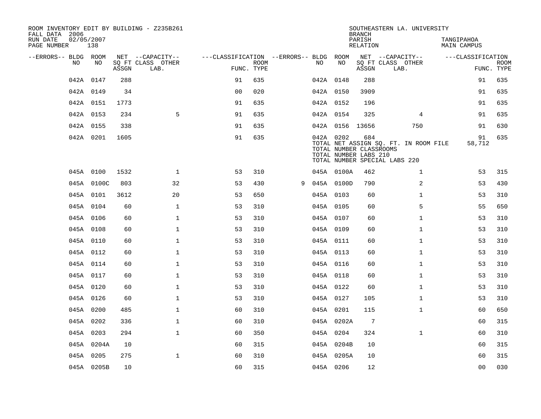| ROOM INVENTORY EDIT BY BUILDING - Z235B261<br>FALL DATA 2006 |                   |       |                           |                                        |      |   |     |                 | <b>BRANCH</b>                                           | SOUTHEASTERN LA. UNIVERSITY                                            |                                  |                           |
|--------------------------------------------------------------|-------------------|-------|---------------------------|----------------------------------------|------|---|-----|-----------------|---------------------------------------------------------|------------------------------------------------------------------------|----------------------------------|---------------------------|
| RUN DATE<br>PAGE NUMBER                                      | 02/05/2007<br>138 |       |                           |                                        |      |   |     |                 | PARISH<br>RELATION                                      |                                                                        | TANGIPAHOA<br><b>MAIN CAMPUS</b> |                           |
| --ERRORS-- BLDG ROOM                                         |                   |       | NET --CAPACITY--          | ---CLASSIFICATION --ERRORS-- BLDG ROOM |      |   |     |                 |                                                         | NET --CAPACITY--                                                       | ---CLASSIFICATION                |                           |
| NO.                                                          | NO.               | ASSGN | SQ FT CLASS OTHER<br>LAB. | FUNC. TYPE                             | ROOM |   | NO. | NO              | ASSGN                                                   | SQ FT CLASS OTHER<br>LAB.                                              |                                  | <b>ROOM</b><br>FUNC. TYPE |
|                                                              | 042A 0147         | 288   |                           | 91                                     | 635  |   |     | 042A 0148       | 288                                                     |                                                                        | 91                               | 635                       |
|                                                              | 042A 0149         | 34    |                           | 0 <sub>0</sub>                         | 020  |   |     | 042A 0150       | 3909                                                    |                                                                        | 91                               | 635                       |
|                                                              | 042A 0151         | 1773  |                           | 91                                     | 635  |   |     | 042A 0152       | 196                                                     |                                                                        | 91                               | 635                       |
|                                                              | 042A 0153         | 234   | 5                         | 91                                     | 635  |   |     | 042A 0154       | 325                                                     | $\overline{4}$                                                         | 91                               | 635                       |
|                                                              | 042A 0155         | 338   |                           | 91                                     | 635  |   |     | 042A 0156 13656 |                                                         | 750                                                                    | 91                               | 630                       |
|                                                              | 042A 0201         | 1605  |                           | 91                                     | 635  |   |     | 042A 0202       | 684<br>TOTAL NUMBER CLASSROOMS<br>TOTAL NUMBER LABS 210 | TOTAL NET ASSIGN SQ. FT. IN ROOM FILE<br>TOTAL NUMBER SPECIAL LABS 220 | 91<br>58,712                     | 635                       |
|                                                              | 045A 0100         | 1532  | $\mathbf{1}$              | 53                                     | 310  |   |     | 045A 0100A      | 462                                                     | $\mathbf{1}$                                                           | 53                               | 315                       |
|                                                              | 045A 0100C        | 803   | 32                        | 53                                     | 430  | 9 |     | 045A 0100D      | 790                                                     | $\overline{a}$                                                         | 53                               | 430                       |
|                                                              | 045A 0101         | 3612  | 20                        | 53                                     | 650  |   |     | 045A 0103       | 60                                                      | $\mathbf{1}$                                                           | 53                               | 310                       |
|                                                              | 045A 0104         | 60    | $\mathbf{1}$              | 53                                     | 310  |   |     | 045A 0105       | 60                                                      | 5                                                                      | 55                               | 650                       |
|                                                              | 045A 0106         | 60    | $\mathbf{1}$              | 53                                     | 310  |   |     | 045A 0107       | 60                                                      | $\mathbf{1}$                                                           | 53                               | 310                       |
|                                                              | 045A 0108         | 60    | $\mathbf{1}$              | 53                                     | 310  |   |     | 045A 0109       | 60                                                      | $\mathbf{1}$                                                           | 53                               | 310                       |
|                                                              | 045A 0110         | 60    | $\mathbf{1}$              | 53                                     | 310  |   |     | 045A 0111       | 60                                                      | $\mathbf{1}$                                                           | 53                               | 310                       |
|                                                              | 045A 0112         | 60    | $\mathbf 1$               | 53                                     | 310  |   |     | 045A 0113       | 60                                                      | $\mathbf{1}$                                                           | 53                               | 310                       |
|                                                              | 045A 0114         | 60    | $\mathbf{1}$              | 53                                     | 310  |   |     | 045A 0116       | 60                                                      | $\mathbf{1}$                                                           | 53                               | 310                       |
|                                                              | 045A 0117         | 60    | $\mathbf{1}$              | 53                                     | 310  |   |     | 045A 0118       | 60                                                      | $\mathbf{1}$                                                           | 53                               | 310                       |
|                                                              | 045A 0120         | 60    | $\mathbf{1}$              | 53                                     | 310  |   |     | 045A 0122       | 60                                                      | $\mathbf{1}$                                                           | 53                               | 310                       |
|                                                              | 045A 0126         | 60    | $\mathbf{1}$              | 53                                     | 310  |   |     | 045A 0127       | 105                                                     | $\mathbf{1}$                                                           | 53                               | 310                       |
|                                                              | 045A 0200         | 485   | $\mathbf 1$               | 60                                     | 310  |   |     | 045A 0201       | 115                                                     | $\mathbf{1}$                                                           | 60                               | 650                       |
|                                                              | 045A 0202         | 336   | $\mathbf{1}$              | 60                                     | 310  |   |     | 045A 0202A      | $7\phantom{.0}$                                         |                                                                        | 60                               | 315                       |
|                                                              | 045A 0203         | 294   | $\mathbf{1}$              | 60                                     | 350  |   |     | 045A 0204       | 324                                                     | $\mathbf{1}$                                                           | 60                               | 310                       |
|                                                              | 045A 0204A        | 10    |                           | 60                                     | 315  |   |     | 045A 0204B      | 10                                                      |                                                                        | 60                               | 315                       |
|                                                              | 045A 0205         | 275   | $\mathbf{1}$              | 60                                     | 310  |   |     | 045A 0205A      | 10                                                      |                                                                        | 60                               | 315                       |
|                                                              | 045A 0205B        | 10    |                           | 60                                     | 315  |   |     | 045A 0206       | 12                                                      |                                                                        | 0 <sub>0</sub>                   | 030                       |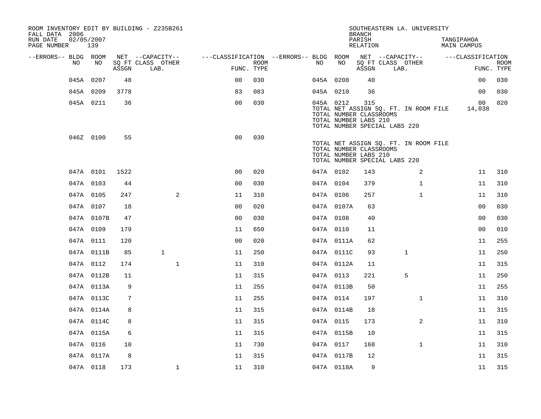| ROOM INVENTORY EDIT BY BUILDING - Z235B261<br>FALL DATA 2006 |                   |       |                           |                                        |                    |           |            | <b>BRANCH</b>                                           | SOUTHEASTERN LA. UNIVERSITY                                            |                           |                           |
|--------------------------------------------------------------|-------------------|-------|---------------------------|----------------------------------------|--------------------|-----------|------------|---------------------------------------------------------|------------------------------------------------------------------------|---------------------------|---------------------------|
| RUN DATE<br>PAGE NUMBER                                      | 02/05/2007<br>139 |       |                           |                                        |                    |           |            | PARISH<br>RELATION                                      |                                                                        | TANGIPAHOA<br>MAIN CAMPUS |                           |
| --ERRORS-- BLDG ROOM                                         |                   |       | NET --CAPACITY--          | ---CLASSIFICATION --ERRORS-- BLDG ROOM |                    |           |            |                                                         | NET --CAPACITY--                                                       | ---CLASSIFICATION         |                           |
| NO                                                           | NO.               | ASSGN | SQ FT CLASS OTHER<br>LAB. |                                        | ROOM<br>FUNC. TYPE | NO        | NO         | ASSGN                                                   | SQ FT CLASS OTHER<br>LAB.                                              |                           | <b>ROOM</b><br>FUNC. TYPE |
|                                                              | 045A 0207         | 48    |                           | 0 <sub>0</sub>                         | 030                |           | 045A 0208  | 40                                                      |                                                                        | 0 <sub>0</sub>            | 030                       |
|                                                              | 045A 0209         | 3778  |                           | 83                                     | 083                | 045A 0210 |            | 36                                                      |                                                                        | 0 <sub>0</sub>            | 030                       |
|                                                              | 045A 0211         | 36    |                           | 0 <sub>0</sub>                         | 030                |           | 045A 0212  | 315<br>TOTAL NUMBER CLASSROOMS<br>TOTAL NUMBER LABS 210 | TOTAL NET ASSIGN SQ. FT. IN ROOM FILE<br>TOTAL NUMBER SPECIAL LABS 220 | 00<br>14,038              | 020                       |
|                                                              | 046Z 0100         | 55    |                           | 0 <sub>0</sub>                         | 030                |           |            | TOTAL NUMBER CLASSROOMS<br>TOTAL NUMBER LABS 210        | TOTAL NET ASSIGN SQ. FT. IN ROOM FILE<br>TOTAL NUMBER SPECIAL LABS 220 |                           |                           |
|                                                              | 047A 0101         | 1522  |                           | 0 <sub>0</sub>                         | 020                | 047A 0102 |            | 143                                                     | 2                                                                      | 11                        | 310                       |
|                                                              | 047A 0103         | 44    |                           | 0 <sub>0</sub>                         | 030                |           | 047A 0104  | 379                                                     | $\mathbf{1}$                                                           | 11                        | 310                       |
|                                                              | 047A 0105         | 247   |                           | $\overline{2}$<br>11                   | 310                | 047A 0106 |            | 257                                                     | $\mathbf{1}$                                                           | 11                        | 310                       |
|                                                              | 047A 0107         | 18    |                           | 0 <sub>0</sub>                         | 020                |           | 047A 0107A | 63                                                      |                                                                        | 0 <sub>0</sub>            | 030                       |
|                                                              | 047A 0107B        | 47    |                           | 0 <sub>0</sub>                         | 030                | 047A 0108 |            | 40                                                      |                                                                        | 0 <sub>0</sub>            | 030                       |
|                                                              | 047A 0109         | 179   |                           | 11                                     | 650                |           | 047A 0110  | 11                                                      |                                                                        | 0 <sub>0</sub>            | 010                       |
|                                                              | 047A 0111         | 120   |                           | 0 <sub>0</sub>                         | 020                |           | 047A 0111A | 62                                                      |                                                                        | 11                        | 255                       |
|                                                              | 047A 0111B        | 85    | $\mathbf{1}$              | 11                                     | 250                |           | 047A 0111C | 93                                                      | $\mathbf{1}$                                                           | 11                        | 250                       |
|                                                              | 047A 0112         | 174   |                           | $\mathbf{1}$<br>11                     | 310                |           | 047A 0112A | 11                                                      |                                                                        | 11                        | 315                       |
|                                                              | 047A 0112B        | 11    |                           | 11                                     | 315                |           | 047A 0113  | 221                                                     | 5                                                                      | 11                        | 250                       |
|                                                              | 047A 0113A        | 9     |                           | 11                                     | 255                |           | 047A 0113B | 50                                                      |                                                                        | 11                        | 255                       |
|                                                              | 047A 0113C        | 7     |                           | 11                                     | 255                | 047A 0114 |            | 197                                                     | $\mathbf{1}$                                                           | 11                        | 310                       |
|                                                              | 047A 0114A        | 8     |                           | 11                                     | 315                |           | 047A 0114B | 18                                                      |                                                                        | 11                        | 315                       |
|                                                              | 047A 0114C        | 8     |                           | 11                                     | 315                |           | 047A 0115  | 173                                                     | $\overline{2}$                                                         | 11                        | 310                       |
|                                                              | 047A 0115A        | 6     |                           | 11                                     | 315                |           | 047A 0115B | 10                                                      |                                                                        | 11                        | 315                       |
|                                                              | 047A 0116         | 10    |                           | 11                                     | 730                | 047A 0117 |            | 168                                                     | $\mathbf{1}$                                                           | 11                        | 310                       |
|                                                              | 047A 0117A        | 8     |                           | 11                                     | 315                |           | 047A 0117B | 12                                                      |                                                                        | 11                        | 315                       |
|                                                              | 047A 0118         | 173   |                           | $\mathbf{1}$<br>11                     | 310                |           | 047A 0118A | 9                                                       |                                                                        | 11                        | 315                       |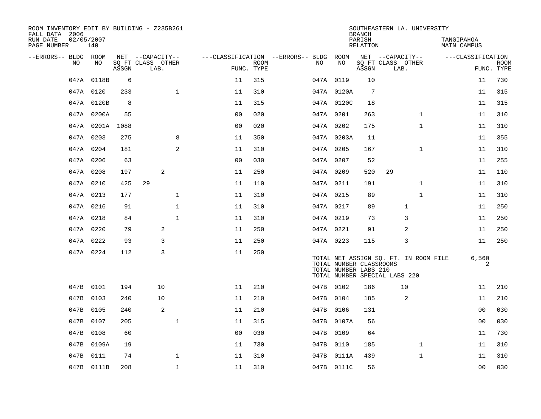| ROOM INVENTORY EDIT BY BUILDING - Z235B261<br>FALL DATA 2006 |                   |       |                           |              |                |                           |                                        |    |                                                  | <b>BRANCH</b>      | SOUTHEASTERN LA. UNIVERSITY                                            |                           |                           |
|--------------------------------------------------------------|-------------------|-------|---------------------------|--------------|----------------|---------------------------|----------------------------------------|----|--------------------------------------------------|--------------------|------------------------------------------------------------------------|---------------------------|---------------------------|
| RUN DATE<br>PAGE NUMBER                                      | 02/05/2007<br>140 |       |                           |              |                |                           |                                        |    |                                                  | PARISH<br>RELATION |                                                                        | TANGIPAHOA<br>MAIN CAMPUS |                           |
| --ERRORS-- BLDG ROOM                                         |                   |       | NET --CAPACITY--          |              |                |                           | ---CLASSIFICATION --ERRORS-- BLDG ROOM |    |                                                  |                    | NET --CAPACITY--                                                       | ---CLASSIFICATION         |                           |
| NO                                                           | NO                | ASSGN | SQ FT CLASS OTHER<br>LAB. |              |                | <b>ROOM</b><br>FUNC. TYPE |                                        | NO | NO                                               | ASSGN              | SQ FT CLASS OTHER<br>LAB.                                              |                           | <b>ROOM</b><br>FUNC. TYPE |
|                                                              | 047A 0118B        | 6     |                           |              | 11             | 315                       |                                        |    | 047A 0119                                        | 10                 |                                                                        | 11                        | 730                       |
|                                                              | 047A 0120         | 233   |                           | $\mathbf{1}$ | 11             | 310                       |                                        |    | 047A 0120A                                       | 7                  |                                                                        | 11                        | 315                       |
|                                                              | 047A 0120B        | 8     |                           |              | 11             | 315                       |                                        |    | 047A 0120C                                       | 18                 |                                                                        | 11                        | 315                       |
|                                                              | 047A 0200A        | 55    |                           |              | 0 <sub>0</sub> | 020                       |                                        |    | 047A 0201                                        | 263                | $\mathbf{1}$                                                           | 11                        | 310                       |
|                                                              | 047A 0201A 1088   |       |                           |              | 0 <sub>0</sub> | 020                       |                                        |    | 047A 0202                                        | 175                | $\mathbf{1}$                                                           | 11                        | 310                       |
|                                                              | 047A 0203         | 275   |                           | 8            | 11             | 350                       |                                        |    | 047A 0203A                                       | 11                 |                                                                        | 11                        | 355                       |
|                                                              | 047A 0204         | 181   |                           | 2            | 11             | 310                       |                                        |    | 047A 0205                                        | 167                | $\mathbf{1}$                                                           | 11                        | 310                       |
|                                                              | 047A 0206         | 63    |                           |              | 0 <sub>0</sub> | 030                       |                                        |    | 047A 0207                                        | 52                 |                                                                        | 11                        | 255                       |
|                                                              | 047A 0208         | 197   | 2                         |              | 11             | 250                       |                                        |    | 047A 0209                                        | 520                | 29                                                                     | 11                        | 110                       |
|                                                              | 047A 0210         | 425   | 29                        |              | 11             | 110                       |                                        |    | 047A 0211                                        | 191                | $\mathbf{1}$                                                           | 11                        | 310                       |
|                                                              | 047A 0213         | 177   |                           | $\mathbf 1$  | 11             | 310                       |                                        |    | 047A 0215                                        | 89                 | $\mathbf{1}$                                                           | 11                        | 310                       |
|                                                              | 047A 0216         | 91    |                           | $\mathbf{1}$ | 11             | 310                       |                                        |    | 047A 0217                                        | 89                 | 1                                                                      | 11                        | 250                       |
|                                                              | 047A 0218         | 84    |                           | $\mathbf{1}$ | 11             | 310                       |                                        |    | 047A 0219                                        | 73                 | 3                                                                      | 11                        | 250                       |
|                                                              | 047A 0220         | 79    | 2                         |              | 11             | 250                       |                                        |    | 047A 0221                                        | 91                 | 2                                                                      | 11                        | 250                       |
|                                                              | 047A 0222         | 93    | 3                         |              | 11             | 250                       |                                        |    | 047A 0223                                        | 115                | 3                                                                      | 11                        | 250                       |
|                                                              | 047A 0224         | 112   | 3                         |              | 11             | 250                       |                                        |    | TOTAL NUMBER CLASSROOMS<br>TOTAL NUMBER LABS 210 |                    | TOTAL NET ASSIGN SQ. FT. IN ROOM FILE<br>TOTAL NUMBER SPECIAL LABS 220 | 6,560                     | 2                         |
|                                                              | 047B 0101         | 194   | 10                        |              | 11             | 210                       |                                        |    | 047B 0102                                        | 186                | 10                                                                     | 11                        | 210                       |
| 047B                                                         | 0103              | 240   | 10                        |              | 11             | 210                       |                                        |    | 047B 0104                                        | 185                | 2                                                                      | 11                        | 210                       |
|                                                              | 047B 0105         | 240   | 2                         |              | 11             | 210                       |                                        |    | 047B 0106                                        | 131                |                                                                        | 0 <sub>0</sub>            | 030                       |
| 047B                                                         | 0107              | 205   |                           | $\mathbf{1}$ | 11             | 315                       |                                        |    | 047B 0107A                                       | 56                 |                                                                        | 0 <sub>0</sub>            | 030                       |
|                                                              | 047B 0108         | 60    |                           |              | 0 <sub>0</sub> | 030                       |                                        |    | 047B 0109                                        | 64                 |                                                                        | 11                        | 730                       |
| 047B                                                         | 0109A             | 19    |                           |              | 11             | 730                       |                                        |    | 047B 0110                                        | 185                | $\mathbf{1}$                                                           | 11                        | 310                       |
|                                                              | 047B 0111         | 74    |                           | $\mathbf 1$  | 11             | 310                       |                                        |    | 047B 0111A                                       | 439                | $\mathbf{1}$                                                           | 11                        | 310                       |
|                                                              | 047B 0111B        | 208   |                           | $\mathbf 1$  | 11             | 310                       |                                        |    | 047B 0111C                                       | 56                 |                                                                        | 00                        | 030                       |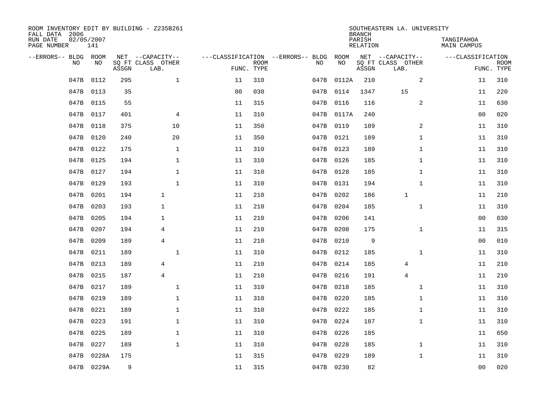| ROOM INVENTORY EDIT BY BUILDING - Z235B261<br>FALL DATA 2006 |                   |       |                           |                |             |                                   |            | <b>BRANCH</b>             | SOUTHEASTERN LA. UNIVERSITY |                                  |                           |
|--------------------------------------------------------------|-------------------|-------|---------------------------|----------------|-------------|-----------------------------------|------------|---------------------------|-----------------------------|----------------------------------|---------------------------|
| RUN DATE<br>PAGE NUMBER                                      | 02/05/2007<br>141 |       |                           |                |             |                                   |            | PARISH<br><b>RELATION</b> |                             | TANGIPAHOA<br><b>MAIN CAMPUS</b> |                           |
| --ERRORS-- BLDG ROOM                                         |                   |       | NET --CAPACITY--          |                |             | ---CLASSIFICATION --ERRORS-- BLDG | ROOM       |                           | NET --CAPACITY--            | ---CLASSIFICATION                |                           |
| NO                                                           | NO                | ASSGN | SQ FT CLASS OTHER<br>LAB. | FUNC. TYPE     | <b>ROOM</b> | NO                                | NO         | ASSGN                     | SQ FT CLASS OTHER<br>LAB.   |                                  | <b>ROOM</b><br>FUNC. TYPE |
| 047B                                                         | 0112              | 295   | $\mathbf{1}$              | 11             | 310         |                                   | 047B 0112A | 210                       | 2                           | 11                               | 310                       |
| 047B                                                         | 0113              | 35    |                           | 0 <sub>0</sub> | 030         |                                   | 047B 0114  | 1347                      | 15                          | 11                               | 220                       |
| 047B                                                         | 0115              | 55    |                           | 11             | 315         |                                   | 047B 0116  | 116                       | 2                           | 11                               | 630                       |
| 047B                                                         | 0117              | 401   | 4                         | 11             | 310         |                                   | 047B 0117A | 240                       |                             | 0 <sub>0</sub>                   | 020                       |
| 047B                                                         | 0118              | 375   | 10                        | 11             | 350         |                                   | 047B 0119  | 189                       | $\overline{a}$              | 11                               | 310                       |
| 047B                                                         | 0120              | 240   | 20                        | 11             | 350         |                                   | 047B 0121  | 189                       | $\mathbf{1}$                | 11                               | 310                       |
| 047B                                                         | 0122              | 175   | $\mathbf{1}$              | 11             | 310         |                                   | 047B 0123  | 189                       | $\mathbf{1}$                | 11                               | 310                       |
| 047B                                                         | 0125              | 194   | $\mathbf{1}$              | 11             | 310         |                                   | 047B 0126  | 185                       | $\mathbf{1}$                | 11                               | 310                       |
| 047B                                                         | 0127              | 194   | $\mathbf{1}$              | 11             | 310         |                                   | 047B 0128  | 185                       | $\mathbf{1}$                | 11                               | 310                       |
| 047B                                                         | 0129              | 193   | $\mathbf{1}$              | 11             | 310         |                                   | 047B 0131  | 194                       | $\mathbf{1}$                | 11                               | 310                       |
| 047B                                                         | 0201              | 194   | $\mathbf{1}$              | 11             | 210         |                                   | 047B 0202  | 186                       | $\mathbf{1}$                | 11                               | 210                       |
| 047B                                                         | 0203              | 193   | $\mathbf{1}$              | 11             | 210         |                                   | 047B 0204  | 185                       | $\mathbf{1}$                | 11                               | 310                       |
| 047B                                                         | 0205              | 194   | $\mathbf{1}$              | 11             | 210         | 047B                              | 0206       | 141                       |                             | 00                               | 030                       |
| 047B                                                         | 0207              | 194   | 4                         | 11             | 210         |                                   | 047B 0208  | 175                       | $\mathbf{1}$                | 11                               | 315                       |
| 047B                                                         | 0209              | 189   | $\overline{4}$            | 11             | 210         | 047B                              | 0210       | 9                         |                             | 0 <sub>0</sub>                   | 010                       |
| 047B                                                         | 0211              | 189   | $\mathbf{1}$              | 11             | 310         |                                   | 047B 0212  | 185                       | $\mathbf{1}$                | 11                               | 310                       |
| 047B                                                         | 0213              | 189   | 4                         | 11             | 210         |                                   | 047B 0214  | 185                       | 4                           | 11                               | 210                       |
| 047B                                                         | 0215              | 187   | $\overline{4}$            | 11             | 210         |                                   | 047B 0216  | 191                       | $\overline{4}$              | 11                               | 210                       |
| 047B                                                         | 0217              | 189   | $\mathbf{1}$              | 11             | 310         |                                   | 047B 0218  | 185                       | $\mathbf{1}$                | 11                               | 310                       |
| 047B                                                         | 0219              | 189   | $\mathbf 1$               | 11             | 310         |                                   | 047B 0220  | 185                       | $\mathbf{1}$                | 11                               | 310                       |
| 047B                                                         | 0221              | 189   | $\mathbf 1$               | 11             | 310         |                                   | 047B 0222  | 185                       | $\mathbf{1}$                | 11                               | 310                       |
| 047B                                                         | 0223              | 191   | $\mathbf 1$               | 11             | 310         |                                   | 047B 0224  | 187                       | $\mathbf{1}$                | 11                               | 310                       |
| 047B                                                         | 0225              | 189   | $\mathbf 1$               | 11             | 310         |                                   | 047B 0226  | 185                       |                             | 11                               | 650                       |
| 047B                                                         | 0227              | 189   | $\mathbf{1}$              | 11             | 310         |                                   | 047B 0228  | 185                       | $\mathbf{1}$                | 11                               | 310                       |
| 047B                                                         | 0228A             | 175   |                           | 11             | 315         |                                   | 047B 0229  | 189                       | $\mathbf{1}$                | 11                               | 310                       |
|                                                              | 047B 0229A        | 9     |                           | 11             | 315         |                                   | 047B 0230  | 82                        |                             | 0 <sub>0</sub>                   | 020                       |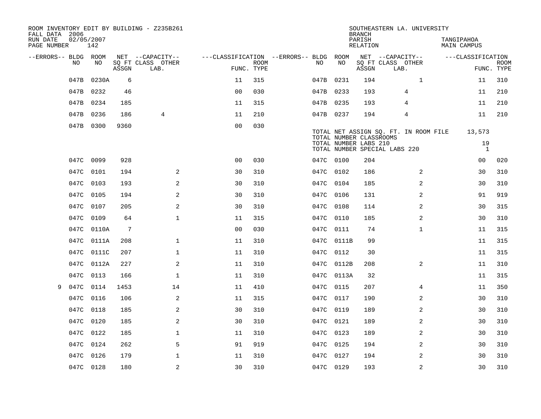| FALL DATA 2006          |            |            |       | ROOM INVENTORY EDIT BY BUILDING - Z235B261 |                                        |             |           |            | <b>BRANCH</b>                                    | SOUTHEASTERN LA. UNIVERSITY                                            |                              |                           |
|-------------------------|------------|------------|-------|--------------------------------------------|----------------------------------------|-------------|-----------|------------|--------------------------------------------------|------------------------------------------------------------------------|------------------------------|---------------------------|
| RUN DATE<br>PAGE NUMBER | 02/05/2007 | 142        |       |                                            |                                        |             |           |            | PARISH<br>RELATION                               |                                                                        | TANGIPAHOA<br>MAIN CAMPUS    |                           |
| --ERRORS-- BLDG ROOM    |            |            |       | NET --CAPACITY--                           | ---CLASSIFICATION --ERRORS-- BLDG ROOM |             |           |            |                                                  | NET --CAPACITY--                                                       | ---CLASSIFICATION            |                           |
|                         | NO.        | NO.        | ASSGN | SQ FT CLASS OTHER<br>LAB.                  | FUNC. TYPE                             | <b>ROOM</b> | NO.       | NO         | ASSGN                                            | SQ FT CLASS OTHER<br>LAB.                                              |                              | <b>ROOM</b><br>FUNC. TYPE |
|                         | 047B       | 0230A      | 6     |                                            | 11                                     | 315         | 047B 0231 |            | 194                                              | $\mathbf{1}$                                                           | 11                           | 310                       |
|                         | 047B 0232  |            | 46    |                                            | 0 <sub>0</sub>                         | 030         | 047B 0233 |            | 193                                              | $\overline{4}$                                                         | 11                           | 210                       |
|                         | 047B 0234  |            | 185   |                                            | 11                                     | 315         | 047B 0235 |            | 193                                              | 4                                                                      | 11                           | 210                       |
|                         | 047B 0236  |            | 186   | 4                                          | 11                                     | 210         | 047B 0237 |            | 194                                              | 4                                                                      | 11                           | 210                       |
|                         | 047B 0300  |            | 9360  |                                            | 0 <sub>0</sub>                         | 030         |           |            | TOTAL NUMBER CLASSROOMS<br>TOTAL NUMBER LABS 210 | TOTAL NET ASSIGN SQ. FT. IN ROOM FILE<br>TOTAL NUMBER SPECIAL LABS 220 | 13,573<br>19<br><sup>1</sup> |                           |
|                         | 047C 0099  |            | 928   |                                            | 0 <sub>0</sub>                         | 030         | 047C 0100 |            | 204                                              |                                                                        | 00                           | 020                       |
|                         | 047C       | 0101       | 194   | 2                                          | 30                                     | 310         | 047C 0102 |            | 186                                              | 2                                                                      | 30                           | 310                       |
|                         | 047C 0103  |            | 193   | 2                                          | 30                                     | 310         | 047C 0104 |            | 185                                              | 2                                                                      | 30                           | 310                       |
|                         | 047C       | 0105       | 194   | 2                                          | 30                                     | 310         | 047C      | 0106       | 131                                              | 2                                                                      | 91                           | 919                       |
|                         | 047C 0107  |            | 205   | $\overline{a}$                             | 30                                     | 310         | 047C 0108 |            | 114                                              | 2                                                                      | 30                           | 315                       |
|                         | 047C       | 0109       | 64    | $\mathbf{1}$                               | 11                                     | 315         | 047C      | 0110       | 185                                              | 2                                                                      | 30                           | 310                       |
|                         |            | 047C 0110A | 7     |                                            | 0 <sub>0</sub>                         | 030         | 047C      | 0111       | 74                                               | $\mathbf{1}$                                                           | 11                           | 315                       |
|                         | 047C       | 0111A      | 208   | $\mathbf 1$                                | 11                                     | 310         | 047C      | 0111B      | 99                                               |                                                                        | 11                           | 315                       |
|                         |            | 047C 0111C | 207   | $\mathbf{1}$                               | 11                                     | 310         | 047C 0112 |            | 30                                               |                                                                        | 11                           | 315                       |
|                         | 047C       | 0112A      | 227   | $\mathbf{2}$                               | 11                                     | 310         | 047C      | 0112B      | 208                                              | 2                                                                      | 11                           | 310                       |
|                         | 047C       | 0113       | 166   | $\mathbf 1$                                | 11                                     | 310         |           | 047C 0113A | 32                                               |                                                                        | 11                           | 315                       |
| 9                       | 047C 0114  |            | 1453  | 14                                         | 11                                     | 410         | 047C 0115 |            | 207                                              | 4                                                                      | 11                           | 350                       |
|                         | 047C 0116  |            | 106   | 2                                          | 11                                     | 315         | 047C 0117 |            | 190                                              | 2                                                                      | 30                           | 310                       |
|                         | 047C 0118  |            | 185   | 2                                          | 30                                     | 310         | 047C 0119 |            | 189                                              | $\overline{2}$                                                         | 30                           | 310                       |
|                         | 047C 0120  |            | 185   | 2                                          | 30                                     | 310         | 047C 0121 |            | 189                                              | 2                                                                      | 30                           | 310                       |
|                         | 047C 0122  |            | 185   | $\mathbf 1$                                | 11                                     | 310         | 047C 0123 |            | 189                                              | 2                                                                      | 30                           | 310                       |
|                         | 047C 0124  |            | 262   | 5                                          | 91                                     | 919         | 047C 0125 |            | 194                                              | 2                                                                      | 30                           | 310                       |
|                         | 047C 0126  |            | 179   | $\mathbf 1$                                | 11                                     | 310         | 047C 0127 |            | 194                                              | 2                                                                      | 30                           | 310                       |
|                         | 047C 0128  |            | 180   | $\sqrt{2}$                                 | 30                                     | 310         | 047C 0129 |            | 193                                              | $\overline{2}$                                                         | 30                           | 310                       |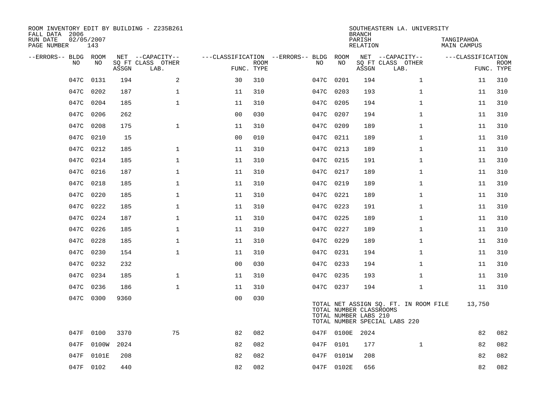| ROOM INVENTORY EDIT BY BUILDING - Z235B261<br>FALL DATA 2006 |                   |       |                           |                |                           |                                   |      |            | <b>BRANCH</b>                                    | SOUTHEASTERN LA. UNIVERSITY                                            |                           |                           |
|--------------------------------------------------------------|-------------------|-------|---------------------------|----------------|---------------------------|-----------------------------------|------|------------|--------------------------------------------------|------------------------------------------------------------------------|---------------------------|---------------------------|
| RUN DATE<br>PAGE NUMBER                                      | 02/05/2007<br>143 |       |                           |                |                           |                                   |      |            | PARISH<br><b>RELATION</b>                        |                                                                        | TANGIPAHOA<br>MAIN CAMPUS |                           |
| --ERRORS-- BLDG ROOM                                         |                   |       | NET --CAPACITY--          |                |                           | ---CLASSIFICATION --ERRORS-- BLDG |      | ROOM       |                                                  | NET --CAPACITY--                                                       | ---CLASSIFICATION         |                           |
| NO.                                                          | NO                | ASSGN | SQ FT CLASS OTHER<br>LAB. |                | <b>ROOM</b><br>FUNC. TYPE | NO                                |      | NO         | ASSGN                                            | SQ FT CLASS OTHER<br>LAB.                                              |                           | <b>ROOM</b><br>FUNC. TYPE |
| 047C                                                         | 0131              | 194   | 2                         | 30             | 310                       |                                   | 047C | 0201       | 194                                              | $\mathbf{1}$                                                           | 11                        | 310                       |
| 047C                                                         | 0202              | 187   | 1                         | 11             | 310                       |                                   | 047C | 0203       | 193                                              | $\mathbf{1}$                                                           | 11                        | 310                       |
| 047C                                                         | 0204              | 185   | $\mathbf 1$               | 11             | 310                       |                                   | 047C | 0205       | 194                                              | $\mathbf{1}$                                                           | 11                        | 310                       |
|                                                              | 047C 0206         | 262   |                           | 0 <sub>0</sub> | 030                       |                                   | 047C | 0207       | 194                                              | $\mathbf{1}$                                                           | 11                        | 310                       |
| 047C                                                         | 0208              | 175   | $\mathbf{1}$              | 11             | 310                       |                                   | 047C | 0209       | 189                                              | $\mathbf{1}$                                                           | 11                        | 310                       |
|                                                              | 047C 0210         | 15    |                           | 0 <sub>0</sub> | 010                       |                                   | 047C | 0211       | 189                                              | $\mathbf{1}$                                                           | 11                        | 310                       |
| 047C                                                         | 0212              | 185   | $\mathbf{1}$              | 11             | 310                       |                                   | 047C | 0213       | 189                                              | $\mathbf{1}$                                                           | 11                        | 310                       |
|                                                              | 047C 0214         | 185   | $\mathbf{1}$              | 11             | 310                       |                                   | 047C | 0215       | 191                                              | $\mathbf{1}$                                                           | 11                        | 310                       |
| 047C                                                         | 0216              | 187   | $\mathbf{1}$              | 11             | 310                       |                                   | 047C | 0217       | 189                                              | $\mathbf{1}$                                                           | 11                        | 310                       |
|                                                              | 047C 0218         | 185   | $\mathbf 1$               | 11             | 310                       |                                   | 047C | 0219       | 189                                              | $\mathbf{1}$                                                           | 11                        | 310                       |
| 047C                                                         | 0220              | 185   | $\mathbf 1$               | 11             | 310                       |                                   | 047C | 0221       | 189                                              | $\mathbf{1}$                                                           | 11                        | 310                       |
|                                                              | 047C 0222         | 185   | $\mathbf 1$               | 11             | 310                       |                                   | 047C | 0223       | 191                                              | $\mathbf{1}$                                                           | 11                        | 310                       |
| 047C                                                         | 0224              | 187   | $\mathbf 1$               | 11             | 310                       |                                   | 047C | 0225       | 189                                              | $\mathbf{1}$                                                           | 11                        | 310                       |
|                                                              | 047C 0226         | 185   | $\mathbf 1$               | 11             | 310                       |                                   | 047C | 0227       | 189                                              | $\mathbf{1}$                                                           | 11                        | 310                       |
| 047C                                                         | 0228              | 185   | $\mathbf 1$               | 11             | 310                       |                                   | 047C | 0229       | 189                                              | $\mathbf{1}$                                                           | 11                        | 310                       |
|                                                              | 047C 0230         | 154   | $\mathbf{1}$              | 11             | 310                       |                                   |      | 047C 0231  | 194                                              | $\mathbf{1}$                                                           | 11                        | 310                       |
|                                                              | 047C 0232         | 232   |                           | 0 <sub>0</sub> | 030                       |                                   |      | 047C 0233  | 194                                              | $\mathbf{1}$                                                           | 11                        | 310                       |
|                                                              | 047C 0234         | 185   | $\mathbf 1$               | 11             | 310                       |                                   | 047C | 0235       | 193                                              | $\mathbf{1}$                                                           | 11                        | 310                       |
|                                                              | 047C 0236         | 186   | $\mathbf 1$               | 11             | 310                       |                                   |      | 047C 0237  | 194                                              | $\mathbf{1}$                                                           | 11                        | 310                       |
|                                                              | 047C 0300         | 9360  |                           | 0 <sub>0</sub> | 030                       |                                   |      |            | TOTAL NUMBER CLASSROOMS<br>TOTAL NUMBER LABS 210 | TOTAL NET ASSIGN SQ. FT. IN ROOM FILE<br>TOTAL NUMBER SPECIAL LABS 220 | 13,750                    |                           |
| 047F                                                         | 0100              | 3370  | 75                        | 82             | 082                       |                                   |      | 047F 0100E | 2024                                             |                                                                        | 82                        | 082                       |
| 047F                                                         | 0100W             | 2024  |                           | 82             | 082                       |                                   | 047F | 0101       | 177                                              | $\mathbf{1}$                                                           | 82                        | 082                       |
| 047F                                                         | 0101E             | 208   |                           | 82             | 082                       |                                   | 047F | 0101W      | 208                                              |                                                                        | 82                        | 082                       |
|                                                              | 047F 0102         | 440   |                           | 82             | 082                       |                                   |      | 047F 0102E | 656                                              |                                                                        | 82                        | 082                       |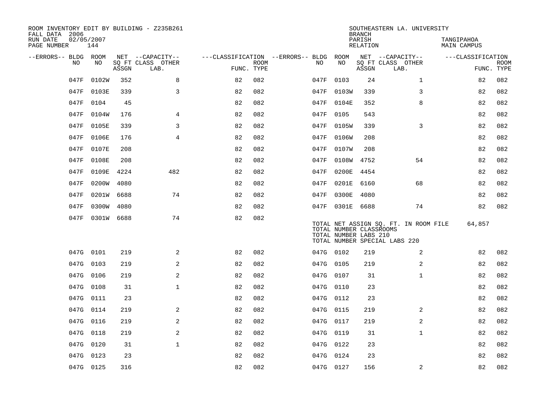| ROOM INVENTORY EDIT BY BUILDING - Z235B261<br>FALL DATA 2006 |            |       |                           |                                        |             |           |                                                  | <b>BRANCH</b>      | SOUTHEASTERN LA. UNIVERSITY                                            |                           |                           |
|--------------------------------------------------------------|------------|-------|---------------------------|----------------------------------------|-------------|-----------|--------------------------------------------------|--------------------|------------------------------------------------------------------------|---------------------------|---------------------------|
| RUN DATE<br>02/05/2007<br>PAGE NUMBER                        | 144        |       |                           |                                        |             |           |                                                  | PARISH<br>RELATION |                                                                        | TANGIPAHOA<br>MAIN CAMPUS |                           |
| --ERRORS-- BLDG ROOM                                         |            |       | NET --CAPACITY--          | ---CLASSIFICATION --ERRORS-- BLDG ROOM |             |           |                                                  |                    | NET --CAPACITY--                                                       | ---CLASSIFICATION         |                           |
| NO.                                                          | NO         | ASSGN | SQ FT CLASS OTHER<br>LAB. | FUNC. TYPE                             | <b>ROOM</b> | NO        | NO                                               | ASSGN              | SQ FT CLASS OTHER<br>LAB.                                              |                           | <b>ROOM</b><br>FUNC. TYPE |
| 047F                                                         | 0102W      | 352   | 8                         | 82                                     | 082         | 047F      | 0103                                             | 24                 | $\mathbf{1}$                                                           | 82                        | 082                       |
| 047F                                                         | 0103E      | 339   | 3                         | 82                                     | 082         |           | 047F 0103W                                       | 339                | 3                                                                      | 82                        | 082                       |
| 047F                                                         | 0104       | 45    |                           | 82                                     | 082         |           | 047F 0104E                                       | 352                | 8                                                                      | 82                        | 082                       |
| 047F                                                         | 0104W      | 176   | 4                         | 82                                     | 082         | 047F      | 0105                                             | 543                |                                                                        | 82                        | 082                       |
| 047F                                                         | 0105E      | 339   | 3                         | 82                                     | 082         | 047F      | 0105W                                            | 339                | 3                                                                      | 82                        | 082                       |
| 047F                                                         | 0106E      | 176   | $\overline{4}$            | 82                                     | 082         | 047F      | 0106W                                            | 208                |                                                                        | 82                        | 082                       |
| 047F                                                         | 0107E      | 208   |                           | 82                                     | 082         | 047F      | 0107W                                            | 208                |                                                                        | 82                        | 082                       |
| 047F                                                         | 0108E      | 208   |                           | 82                                     | 082         | 047F      | 0108W 4752                                       |                    | 54                                                                     | 82                        | 082                       |
| 047F                                                         | 0109E      | 4224  | 482                       | 82                                     | 082         | 047F      | 0200E                                            | 4454               |                                                                        | 82                        | 082                       |
| 047F                                                         | 0200W      | 4080  |                           | 82                                     | 082         | 047F      | 0201E                                            | 6160               | 68                                                                     | 82                        | 082                       |
| 047F                                                         | 0201W 6688 |       | 74                        | 82                                     | 082         | 047F      | 0300E                                            | 4080               |                                                                        | 82                        | 082                       |
| 047F                                                         | 0300W 4080 |       |                           | 82                                     | 082         |           | 047F 0301E 6688                                  |                    | 74                                                                     | 82                        | 082                       |
| 047F                                                         | 0301W 6688 |       | 74                        | 82                                     | 082         |           | TOTAL NUMBER CLASSROOMS<br>TOTAL NUMBER LABS 210 |                    | TOTAL NET ASSIGN SQ. FT. IN ROOM FILE<br>TOTAL NUMBER SPECIAL LABS 220 | 64,857                    |                           |
|                                                              | 047G 0101  | 219   | 2                         | 82                                     | 082         | 047G 0102 |                                                  | 219                | 2                                                                      | 82                        | 082                       |
|                                                              | 047G 0103  | 219   | 2                         | 82                                     | 082         | 047G 0105 |                                                  | 219                | 2                                                                      | 82                        | 082                       |
| 047G                                                         | 0106       | 219   | 2                         | 82                                     | 082         | 047G 0107 |                                                  | 31                 | $\mathbf{1}$                                                           | 82                        | 082                       |
|                                                              | 047G 0108  | 31    | $\mathbf{1}$              | 82                                     | 082         | 047G 0110 |                                                  | 23                 |                                                                        | 82                        | 082                       |
|                                                              | 047G 0111  | 23    |                           | 82                                     | 082         | 047G 0112 |                                                  | 23                 |                                                                        | 82                        | 082                       |
|                                                              | 047G 0114  | 219   | 2                         | 82                                     | 082         | 047G 0115 |                                                  | 219                | 2                                                                      | 82                        | 082                       |
| 047G                                                         | 0116       | 219   | 2                         | 82                                     | 082         | 047G 0117 |                                                  | 219                | 2                                                                      | 82                        | 082                       |
|                                                              | 047G 0118  | 219   | 2                         | 82                                     | 082         | 047G 0119 |                                                  | 31                 | $\mathbf{1}$                                                           | 82                        | 082                       |
| 047G                                                         | 0120       | 31    | $\mathbf{1}$              | 82                                     | 082         | 047G 0122 |                                                  | 23                 |                                                                        | 82                        | 082                       |
|                                                              | 047G 0123  | 23    |                           | 82                                     | 082         | 047G 0124 |                                                  | 23                 |                                                                        | 82                        | 082                       |
|                                                              | 047G 0125  | 316   |                           | 82                                     | 082         | 047G 0127 |                                                  | 156                | 2                                                                      | 82                        | 082                       |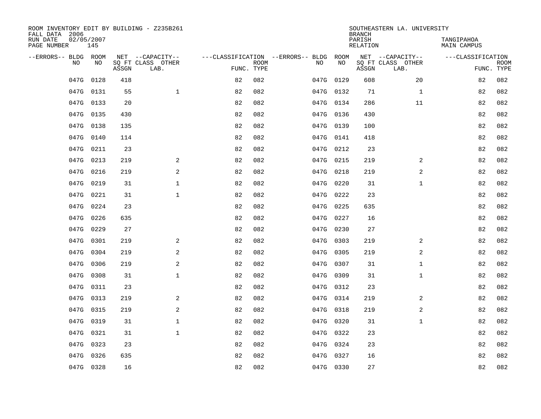| ROOM INVENTORY EDIT BY BUILDING - Z235B261<br>FALL DATA 2006 |                   |       |                           | SOUTHEASTERN LA. UNIVERSITY<br><b>BRANCH</b> |                 |                                   |           |       |                           |                   |                           |
|--------------------------------------------------------------|-------------------|-------|---------------------------|----------------------------------------------|-----------------|-----------------------------------|-----------|-------|---------------------------|-------------------|---------------------------|
| RUN DATE<br>PAGE NUMBER                                      | 02/05/2007<br>145 |       |                           |                                              | <b>RELATION</b> | TANGIPAHOA<br><b>MAIN CAMPUS</b>  |           |       |                           |                   |                           |
| --ERRORS-- BLDG ROOM                                         |                   |       | NET --CAPACITY--          |                                              |                 | ---CLASSIFICATION --ERRORS-- BLDG | ROOM      |       | NET --CAPACITY--          | ---CLASSIFICATION |                           |
| NO                                                           | NO                | ASSGN | SQ FT CLASS OTHER<br>LAB. | FUNC. TYPE                                   | <b>ROOM</b>     | NO                                | NO        | ASSGN | SQ FT CLASS OTHER<br>LAB. |                   | <b>ROOM</b><br>FUNC. TYPE |
| 047G                                                         | 0128              | 418   |                           | 82                                           | 082             | 047G                              | 0129      | 608   | 20                        | 82                | 082                       |
|                                                              | 047G 0131         | 55    | $\mathbf{1}$              | 82                                           | 082             | 047G                              | 0132      | 71    | $\mathbf{1}$              | 82                | 082                       |
|                                                              | 047G 0133         | 20    |                           | 82                                           | 082             | 047G                              | 0134      | 286   | 11                        | 82                | 082                       |
|                                                              | 047G 0135         | 430   |                           | 82                                           | 082             |                                   | 047G 0136 | 430   |                           | 82                | 082                       |
| 047G                                                         | 0138              | 135   |                           | 82                                           | 082             | 047G                              | 0139      | 100   |                           | 82                | 082                       |
|                                                              | 047G 0140         | 114   |                           | 82                                           | 082             |                                   | 047G 0141 | 418   |                           | 82                | 082                       |
| 047G                                                         | 0211              | 23    |                           | 82                                           | 082             | 047G                              | 0212      | 23    |                           | 82                | 082                       |
|                                                              | 047G 0213         | 219   | 2                         | 82                                           | 082             | 047G                              | 0215      | 219   | 2                         | 82                | 082                       |
| 047G                                                         | 0216              | 219   | 2                         | 82                                           | 082             | 047G                              | 0218      | 219   | 2                         | 82                | 082                       |
|                                                              | 047G 0219         | 31    | $\mathbf 1$               | 82                                           | 082             |                                   | 047G 0220 | 31    | $\mathbf{1}$              | 82                | 082                       |
| 047G                                                         | 0221              | 31    | $\mathbf 1$               | 82                                           | 082             |                                   | 047G 0222 | 23    |                           | 82                | 082                       |
|                                                              | 047G 0224         | 23    |                           | 82                                           | 082             |                                   | 047G 0225 | 635   |                           | 82                | 082                       |
| 047G                                                         | 0226              | 635   |                           | 82                                           | 082             | 047G                              | 0227      | 16    |                           | 82                | 082                       |
| 047G                                                         | 0229              | 27    |                           | 82                                           | 082             |                                   | 047G 0230 | 27    |                           | 82                | 082                       |
| 047G                                                         | 0301              | 219   | 2                         | 82                                           | 082             | 047G                              | 0303      | 219   | 2                         | 82                | 082                       |
| 047G                                                         | 0304              | 219   | 2                         | 82                                           | 082             |                                   | 047G 0305 | 219   | 2                         | 82                | 082                       |
| 047G                                                         | 0306              | 219   | 2                         | 82                                           | 082             | 047G                              | 0307      | 31    | $\mathbf{1}$              | 82                | 082                       |
| 047G                                                         | 0308              | 31    | $\mathbf{1}$              | 82                                           | 082             |                                   | 047G 0309 | 31    | $\mathbf{1}$              | 82                | 082                       |
|                                                              | 047G 0311         | 23    |                           | 82                                           | 082             |                                   | 047G 0312 | 23    |                           | 82                | 082                       |
|                                                              | 047G 0313         | 219   | 2                         | 82                                           | 082             |                                   | 047G 0314 | 219   | 2                         | 82                | 082                       |
|                                                              | 047G 0315         | 219   | 2                         | 82                                           | 082             |                                   | 047G 0318 | 219   | 2                         | 82                | 082                       |
|                                                              | 047G 0319         | 31    | $\mathbf{1}$              | 82                                           | 082             |                                   | 047G 0320 | 31    | $\mathbf{1}$              | 82                | 082                       |
|                                                              | 047G 0321         | 31    | $\mathbf{1}$              | 82                                           | 082             |                                   | 047G 0322 | 23    |                           | 82                | 082                       |
| 047G                                                         | 0323              | 23    |                           | 82                                           | 082             | 047G                              | 0324      | 23    |                           | 82                | 082                       |
| 047G                                                         | 0326              | 635   |                           | 82                                           | 082             | 047G                              | 0327      | 16    |                           | 82                | 082                       |
|                                                              | 047G 0328         | 16    |                           | 82                                           | 082             |                                   | 047G 0330 | 27    |                           | 82                | 082                       |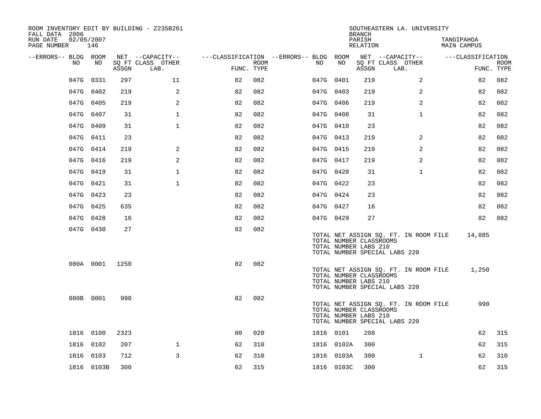| ROOM INVENTORY EDIT BY BUILDING - Z235B261<br>FALL DATA 2006 |            |       |                           |                                        |      |     |            | <b>BRANCH</b>                                    | SOUTHEASTERN LA. UNIVERSITY                                            |                           |                           |
|--------------------------------------------------------------|------------|-------|---------------------------|----------------------------------------|------|-----|------------|--------------------------------------------------|------------------------------------------------------------------------|---------------------------|---------------------------|
| RUN DATE<br>02/05/2007<br>PAGE NUMBER                        | 146        |       |                           |                                        |      |     |            | PARISH<br>RELATION                               |                                                                        | TANGIPAHOA<br>MAIN CAMPUS |                           |
| --ERRORS-- BLDG ROOM                                         |            |       | NET --CAPACITY--          | ---CLASSIFICATION --ERRORS-- BLDG ROOM |      |     |            |                                                  | NET --CAPACITY--                                                       | ---CLASSIFICATION         |                           |
| NO                                                           | NO         | ASSGN | SQ FT CLASS OTHER<br>LAB. | FUNC. TYPE                             | ROOM | NO. | NO         | ASSGN                                            | SQ FT CLASS OTHER<br>LAB.                                              |                           | <b>ROOM</b><br>FUNC. TYPE |
|                                                              | 047G 0331  | 297   | 11                        | 82                                     | 082  |     | 047G 0401  | 219                                              | 2                                                                      | 82                        | 082                       |
|                                                              | 047G 0402  | 219   | 2                         | 82                                     | 082  |     | 047G 0403  | 219                                              | 2                                                                      | 82                        | 082                       |
|                                                              | 047G 0405  | 219   | 2                         | 82                                     | 082  |     | 047G 0406  | 219                                              | $\overline{2}$                                                         | 82                        | 082                       |
|                                                              | 047G 0407  | 31    | $\mathbf{1}$              | 82                                     | 082  |     | 047G 0408  | 31                                               | $\mathbf{1}$                                                           | 82                        | 082                       |
|                                                              | 047G 0409  | 31    | 1                         | 82                                     | 082  |     | 047G 0410  | 23                                               |                                                                        | 82                        | 082                       |
|                                                              | 047G 0411  | 23    |                           | 82                                     | 082  |     | 047G 0413  | 219                                              | 2                                                                      | 82                        | 082                       |
|                                                              | 047G 0414  | 219   | 2                         | 82                                     | 082  |     | 047G 0415  | 219                                              | $\overline{a}$                                                         | 82                        | 082                       |
|                                                              | 047G 0416  | 219   | $\mathbf{2}$              | 82                                     | 082  |     | 047G 0417  | 219                                              | 2                                                                      | 82                        | 082                       |
|                                                              | 047G 0419  | 31    | $\mathbf 1$               | 82                                     | 082  |     | 047G 0420  | 31                                               | $\mathbf{1}$                                                           | 82                        | 082                       |
|                                                              | 047G 0421  | 31    | $\mathbf{1}$              | 82                                     | 082  |     | 047G 0422  | 23                                               |                                                                        | 82                        | 082                       |
|                                                              | 047G 0423  | 23    |                           | 82                                     | 082  |     | 047G 0424  | 23                                               |                                                                        | 82                        | 082                       |
|                                                              | 047G 0425  | 635   |                           | 82                                     | 082  |     | 047G 0427  | 16                                               |                                                                        | 82                        | 082                       |
|                                                              | 047G 0428  | 16    |                           | 82                                     | 082  |     | 047G 0429  | 27                                               |                                                                        | 82                        | 082                       |
|                                                              | 047G 0430  | 27    |                           | 82                                     | 082  |     |            | TOTAL NUMBER CLASSROOMS<br>TOTAL NUMBER LABS 210 | TOTAL NET ASSIGN SQ. FT. IN ROOM FILE<br>TOTAL NUMBER SPECIAL LABS 220 | 14,885                    |                           |
|                                                              | 080A 0001  | 1250  |                           | 82                                     | 082  |     |            | TOTAL NUMBER CLASSROOMS<br>TOTAL NUMBER LABS 210 | TOTAL NET ASSIGN SQ. FT. IN ROOM FILE<br>TOTAL NUMBER SPECIAL LABS 220 | 1,250                     |                           |
|                                                              | 080B 0001  | 990   |                           | 82                                     | 082  |     |            | TOTAL NUMBER CLASSROOMS<br>TOTAL NUMBER LABS 210 | TOTAL NET ASSIGN SO. FT. IN ROOM FILE<br>TOTAL NUMBER SPECIAL LABS 220 | 990                       |                           |
|                                                              | 1816 0100  | 2323  |                           | 00                                     | 020  |     | 1816 0101  | 208                                              |                                                                        | 62                        | 315                       |
|                                                              | 1816 0102  | 207   | $\mathbf{1}$              | 62                                     | 310  |     | 1816 0102A | 300                                              |                                                                        | 62                        | 315                       |
|                                                              | 1816 0103  | 712   | 3                         | 62                                     | 310  |     | 1816 0103A | 300                                              | $\mathbf{1}$                                                           | 62                        | 310                       |
|                                                              | 1816 0103B | 300   |                           | 62                                     | 315  |     | 1816 0103C | 300                                              |                                                                        | 62                        | 315                       |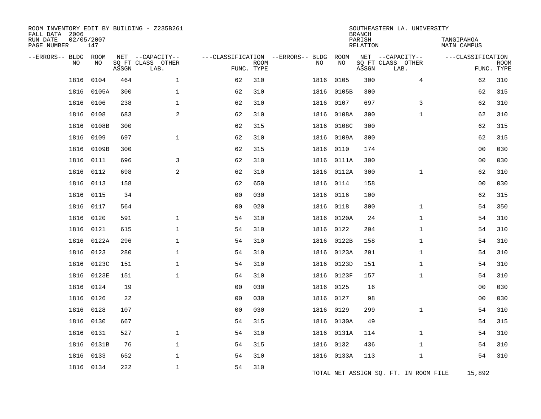| ROOM INVENTORY EDIT BY BUILDING - Z235B261<br>FALL DATA 2006<br>RUN DATE<br>PAGE NUMBER | 02/05/2007<br>147 |       |                                               |                | SOUTHEASTERN LA. UNIVERSITY<br>TANGIPAHOA<br><b>MAIN CAMPUS</b> |                                         |            |       |                                               |                   |                           |
|-----------------------------------------------------------------------------------------|-------------------|-------|-----------------------------------------------|----------------|-----------------------------------------------------------------|-----------------------------------------|------------|-------|-----------------------------------------------|-------------------|---------------------------|
| --ERRORS-- BLDG<br>NO                                                                   | ROOM<br>NO        | ASSGN | NET --CAPACITY--<br>SO FT CLASS OTHER<br>LAB. | FUNC. TYPE     | <b>ROOM</b>                                                     | ---CLASSIFICATION --ERRORS-- BLDG<br>NO | ROOM<br>NO | ASSGN | NET --CAPACITY--<br>SQ FT CLASS OTHER<br>LAB. | ---CLASSIFICATION | <b>ROOM</b><br>FUNC. TYPE |
| 1816                                                                                    | 0104              | 464   | $\mathbf 1$                                   | 62             | 310                                                             | 1816                                    | 0105       | 300   | 4                                             | 62                | 310                       |
| 1816                                                                                    | 0105A             | 300   | $\mathbf{1}$                                  | 62             | 310                                                             | 1816                                    | 0105B      | 300   |                                               | 62                | 315                       |
| 1816                                                                                    | 0106              | 238   | $\mathbf 1$                                   | 62             | 310                                                             | 1816                                    | 0107       | 697   | 3                                             | 62                | 310                       |
| 1816                                                                                    | 0108              | 683   | 2                                             | 62             | 310                                                             | 1816                                    | 0108A      | 300   | $\mathbf{1}$                                  | 62                | 310                       |
| 1816                                                                                    | 0108B             | 300   |                                               | 62             | 315                                                             |                                         | 1816 0108C | 300   |                                               | 62                | 315                       |
| 1816                                                                                    | 0109              | 697   | $\mathbf{1}$                                  | 62             | 310                                                             | 1816                                    | 0109A      | 300   |                                               | 62                | 315                       |
| 1816                                                                                    | 0109B             | 300   |                                               | 62             | 315                                                             |                                         | 1816 0110  | 174   |                                               | 0 <sub>0</sub>    | 030                       |
| 1816                                                                                    | 0111              | 696   | 3                                             | 62             | 310                                                             |                                         | 1816 0111A | 300   |                                               | 0 <sub>0</sub>    | 030                       |
| 1816                                                                                    | 0112              | 698   | 2                                             | 62             | 310                                                             |                                         | 1816 0112A | 300   | $\mathbf{1}$                                  | 62                | 310                       |
| 1816                                                                                    | 0113              | 158   |                                               | 62             | 650                                                             | 1816                                    | 0114       | 158   |                                               | 0 <sub>0</sub>    | 030                       |
| 1816                                                                                    | 0115              | 34    |                                               | 0 <sub>0</sub> | 030                                                             |                                         | 1816 0116  | 100   |                                               | 62                | 315                       |
| 1816                                                                                    | 0117              | 564   |                                               | 0 <sub>0</sub> | 020                                                             |                                         | 1816 0118  | 300   | $\mathbf{1}$                                  | 54                | 350                       |
| 1816                                                                                    | 0120              | 591   | $\mathbf{1}$                                  | 54             | 310                                                             |                                         | 1816 0120A | 24    | $\mathbf{1}$                                  | 54                | 310                       |
| 1816                                                                                    | 0121              | 615   | 1                                             | 54             | 310                                                             |                                         | 1816 0122  | 204   | $\mathbf{1}$                                  | 54                | 310                       |
| 1816                                                                                    | 0122A             | 296   | $\mathbf 1$                                   | 54             | 310                                                             |                                         | 1816 0122B | 158   | $\mathbf{1}$                                  | 54                | 310                       |
| 1816                                                                                    | 0123              | 280   | $\mathbf{1}$                                  | 54             | 310                                                             |                                         | 1816 0123A | 201   | $\mathbf{1}$                                  | 54                | 310                       |
| 1816                                                                                    | 0123C             | 151   | $\mathbf{1}$                                  | 54             | 310                                                             |                                         | 1816 0123D | 151   | $\mathbf{1}$                                  | 54                | 310                       |
| 1816                                                                                    | 0123E             | 151   | $\mathbf 1$                                   | 54             | 310                                                             |                                         | 1816 0123F | 157   | $\mathbf{1}$                                  | 54                | 310                       |
| 1816                                                                                    | 0124              | 19    |                                               | 0 <sub>0</sub> | 030                                                             | 1816                                    | 0125       | 16    |                                               | 00                | 030                       |
| 1816                                                                                    | 0126              | 22    |                                               | 0 <sub>0</sub> | 030                                                             |                                         | 1816 0127  | 98    |                                               | 00                | 030                       |
| 1816                                                                                    | 0128              | 107   |                                               | 0 <sub>0</sub> | 030                                                             | 1816                                    | 0129       | 299   | $\mathbf{1}$                                  | 54                | 310                       |
| 1816                                                                                    | 0130              | 667   |                                               | 54             | 315                                                             |                                         | 1816 0130A | 49    |                                               | 54                | 315                       |
| 1816                                                                                    | 0131              | 527   | 1                                             | 54             | 310                                                             |                                         | 1816 0131A | 114   | $\mathbf{1}$                                  | 54                | 310                       |
| 1816                                                                                    | 0131B             | 76    | $\mathbf{1}$                                  | 54             | 315                                                             | 1816                                    | 0132       | 436   | $\mathbf{1}$                                  | 54                | 310                       |
| 1816                                                                                    | 0133              | 652   | $\mathbf 1$                                   | 54             | 310                                                             |                                         | 1816 0133A | 113   | $\mathbf{1}$                                  | 54                | 310                       |
|                                                                                         | 1816 0134         | 222   | $\mathbf{1}$                                  | 54             | 310                                                             |                                         |            |       | TOTAL NET ASSIGN SQ. FT. IN ROOM FILE         | 15,892            |                           |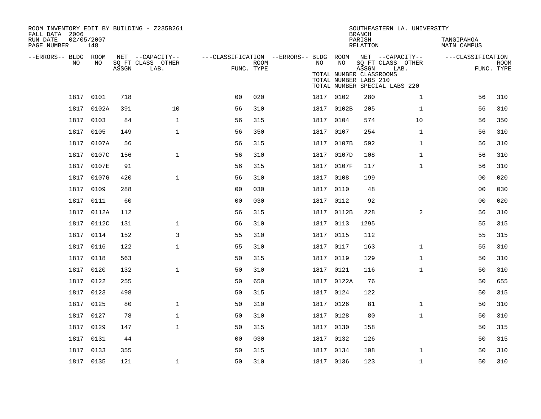| ROOM INVENTORY EDIT BY BUILDING - Z235B261<br>FALL DATA 2006 |                   |       |                           |                                        |      |      |                                                  | <b>BRANCH</b>      | SOUTHEASTERN LA. UNIVERSITY                                |                                  |                           |
|--------------------------------------------------------------|-------------------|-------|---------------------------|----------------------------------------|------|------|--------------------------------------------------|--------------------|------------------------------------------------------------|----------------------------------|---------------------------|
| RUN DATE<br>PAGE NUMBER                                      | 02/05/2007<br>148 |       |                           |                                        |      |      |                                                  | PARISH<br>RELATION |                                                            | TANGIPAHOA<br><b>MAIN CAMPUS</b> |                           |
| --ERRORS-- BLDG ROOM                                         |                   |       | NET --CAPACITY--          | ---CLASSIFICATION --ERRORS-- BLDG ROOM |      |      | NO                                               |                    | NET --CAPACITY--                                           | ---CLASSIFICATION                |                           |
| NO                                                           | NO                | ASSGN | SQ FT CLASS OTHER<br>LAB. | FUNC. TYPE                             | ROOM | NO   | TOTAL NUMBER CLASSROOMS<br>TOTAL NUMBER LABS 210 | ASSGN              | SQ FT CLASS OTHER<br>LAB.<br>TOTAL NUMBER SPECIAL LABS 220 |                                  | <b>ROOM</b><br>FUNC. TYPE |
|                                                              | 1817 0101         | 718   |                           | 0 <sub>0</sub>                         | 020  |      | 1817 0102                                        | 280                | $\mathbf{1}$                                               | 56                               | 310                       |
|                                                              | 1817 0102A        | 391   | 10                        | 56                                     | 310  |      | 1817 0102B                                       | 205                | $\mathbf{1}$                                               | 56                               | 310                       |
| 1817                                                         | 0103              | 84    | $\mathbf{1}$              | 56                                     | 315  |      | 1817 0104                                        | 574                | 10                                                         | 56                               | 350                       |
| 1817                                                         | 0105              | 149   | $\mathbf{1}$              | 56                                     | 350  |      | 1817 0107                                        | 254                | $\mathbf{1}$                                               | 56                               | 310                       |
| 1817                                                         | 0107A             | 56    |                           | 56                                     | 315  |      | 1817 0107B                                       | 592                | $\mathbf{1}$                                               | 56                               | 310                       |
|                                                              | 1817 0107C        | 156   | $\mathbf{1}$              | 56                                     | 310  |      | 1817 0107D                                       | 108                | $\mathbf{1}$                                               | 56                               | 310                       |
| 1817                                                         | 0107E             | 91    |                           | 56                                     | 315  |      | 1817 0107F                                       | 117                | $\mathbf{1}$                                               | 56                               | 310                       |
| 1817                                                         | 0107G             | 420   | $\mathbf{1}$              | 56                                     | 310  | 1817 | 0108                                             | 199                |                                                            | 0 <sub>0</sub>                   | 020                       |
| 1817                                                         | 0109              | 288   |                           | 0 <sub>0</sub>                         | 030  |      | 1817 0110                                        | 48                 |                                                            | 00                               | 030                       |
| 1817                                                         | 0111              | 60    |                           | 0 <sub>0</sub>                         | 030  |      | 1817 0112                                        | 92                 |                                                            | 0 <sub>0</sub>                   | 020                       |
|                                                              | 1817 0112A        | 112   |                           | 56                                     | 315  |      | 1817 0112B                                       | 228                | 2                                                          | 56                               | 310                       |
|                                                              | 1817 0112C        | 131   | $\mathbf{1}$              | 56                                     | 310  |      | 1817 0113                                        | 1295               |                                                            | 55                               | 315                       |
|                                                              | 1817 0114         | 152   | 3                         | 55                                     | 310  |      | 1817 0115                                        | 112                |                                                            | 55                               | 315                       |
|                                                              | 1817 0116         | 122   | $\mathbf{1}$              | 55                                     | 310  |      | 1817 0117                                        | 163                | $\mathbf{1}$                                               | 55                               | 310                       |
|                                                              | 1817 0118         | 563   |                           | 50                                     | 315  |      | 1817 0119                                        | 129                | $\mathbf{1}$                                               | 50                               | 310                       |
|                                                              | 1817 0120         | 132   | $\mathbf{1}$              | 50                                     | 310  |      | 1817 0121                                        | 116                | $\mathbf{1}$                                               | 50                               | 310                       |
|                                                              | 1817 0122         | 255   |                           | 50                                     | 650  |      | 1817 0122A                                       | 76                 |                                                            | 50                               | 655                       |
|                                                              | 1817 0123         | 498   |                           | 50                                     | 315  |      | 1817 0124                                        | 122                |                                                            | 50                               | 315                       |
|                                                              | 1817 0125         | 80    | $\mathbf{1}$              | 50                                     | 310  |      | 1817 0126                                        | 81                 | $\mathbf{1}$                                               | 50                               | 310                       |
|                                                              | 1817 0127         | 78    | $\mathbf{1}$              | 50                                     | 310  |      | 1817 0128                                        | 80                 | $\mathbf{1}$                                               | 50                               | 310                       |
|                                                              | 1817 0129         | 147   | $\mathbf{1}$              | 50                                     | 315  |      | 1817 0130                                        | 158                |                                                            | 50                               | 315                       |
| 1817                                                         | 0131              | 44    |                           | 0 <sub>0</sub>                         | 030  |      | 1817 0132                                        | 126                |                                                            | 50                               | 315                       |
|                                                              | 1817 0133         | 355   |                           | 50                                     | 315  |      | 1817 0134                                        | 108                | $\mathbf{1}$                                               | 50                               | 310                       |
|                                                              | 1817 0135         | 121   | $\mathbf{1}$              | 50                                     | 310  |      | 1817 0136                                        | 123                | $\mathbf{1}$                                               | 50                               | 310                       |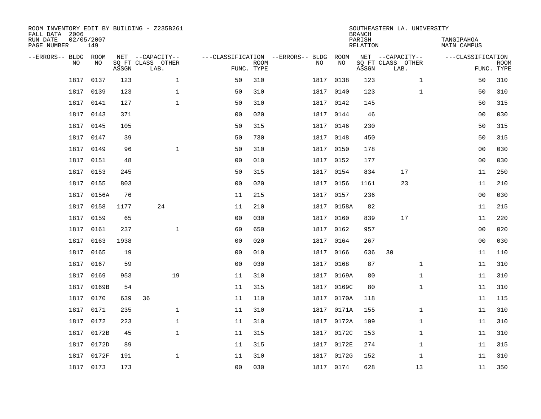| ROOM INVENTORY EDIT BY BUILDING - Z235B261<br>FALL DATA 2006 |                   |       |                           | SOUTHEASTERN LA. UNIVERSITY<br><b>BRANCH</b> |                 |                                   |            |       |                           |                   |                           |  |
|--------------------------------------------------------------|-------------------|-------|---------------------------|----------------------------------------------|-----------------|-----------------------------------|------------|-------|---------------------------|-------------------|---------------------------|--|
| RUN DATE<br>PAGE NUMBER                                      | 02/05/2007<br>149 |       |                           |                                              | <b>RELATION</b> | TANGIPAHOA<br><b>MAIN CAMPUS</b>  |            |       |                           |                   |                           |  |
| --ERRORS-- BLDG ROOM                                         |                   |       | NET --CAPACITY--          |                                              |                 | ---CLASSIFICATION --ERRORS-- BLDG | ROOM       |       | NET --CAPACITY--          | ---CLASSIFICATION |                           |  |
| NO                                                           | NO                | ASSGN | SQ FT CLASS OTHER<br>LAB. | FUNC. TYPE                                   | <b>ROOM</b>     | NO                                | NO         | ASSGN | SQ FT CLASS OTHER<br>LAB. |                   | <b>ROOM</b><br>FUNC. TYPE |  |
| 1817                                                         | 0137              | 123   | $\mathbf{1}$              | 50                                           | 310             | 1817                              | 0138       | 123   | $\mathbf{1}$              | 50                | 310                       |  |
| 1817                                                         | 0139              | 123   | $\mathbf 1$               | 50                                           | 310             |                                   | 1817 0140  | 123   | $\mathbf{1}$              | 50                | 310                       |  |
| 1817                                                         | 0141              | 127   | $\mathbf{1}$              | 50                                           | 310             | 1817                              | 0142       | 145   |                           | 50                | 315                       |  |
| 1817                                                         | 0143              | 371   |                           | 0 <sub>0</sub>                               | 020             |                                   | 1817 0144  | 46    |                           | 0 <sub>0</sub>    | 030                       |  |
| 1817                                                         | 0145              | 105   |                           | 50                                           | 315             | 1817                              | 0146       | 230   |                           | 50                | 315                       |  |
| 1817                                                         | 0147              | 39    |                           | 50                                           | 730             |                                   | 1817 0148  | 450   |                           | 50                | 315                       |  |
| 1817                                                         | 0149              | 96    | $\mathbf{1}$              | 50                                           | 310             | 1817                              | 0150       | 178   |                           | 0 <sub>0</sub>    | 030                       |  |
| 1817                                                         | 0151              | 48    |                           | 0 <sub>0</sub>                               | 010             |                                   | 1817 0152  | 177   |                           | 0 <sub>0</sub>    | 030                       |  |
| 1817                                                         | 0153              | 245   |                           | 50                                           | 315             | 1817                              | 0154       | 834   | 17                        | 11                | 250                       |  |
|                                                              | 1817 0155         | 803   |                           | 0 <sub>0</sub>                               | 020             |                                   | 1817 0156  | 1161  | 23                        | 11                | 210                       |  |
| 1817                                                         | 0156A             | 76    |                           | 11                                           | 215             |                                   | 1817 0157  | 236   |                           | 0 <sub>0</sub>    | 030                       |  |
| 1817                                                         | 0158              | 1177  | 24                        | 11                                           | 210             |                                   | 1817 0158A | 82    |                           | 11                | 215                       |  |
| 1817                                                         | 0159              | 65    |                           | 0 <sub>0</sub>                               | 030             | 1817                              | 0160       | 839   | 17                        | 11                | 220                       |  |
| 1817                                                         | 0161              | 237   | $\mathbf 1$               | 60                                           | 650             | 1817                              | 0162       | 957   |                           | 00                | 020                       |  |
| 1817                                                         | 0163              | 1938  |                           | 0 <sub>0</sub>                               | 020             | 1817                              | 0164       | 267   |                           | 0 <sub>0</sub>    | 030                       |  |
| 1817                                                         | 0165              | 19    |                           | 0 <sub>0</sub>                               | 010             | 1817                              | 0166       | 636   | 30                        | 11                | 110                       |  |
| 1817                                                         | 0167              | 59    |                           | 0 <sub>0</sub>                               | 030             | 1817                              | 0168       | 87    | $\mathbf{1}$              | 11                | 310                       |  |
| 1817                                                         | 0169              | 953   | 19                        | 11                                           | 310             | 1817                              | 0169A      | 80    | $\mathbf{1}$              | 11                | 310                       |  |
| 1817                                                         | 0169B             | 54    |                           | 11                                           | 315             |                                   | 1817 0169C | 80    | $\mathbf{1}$              | 11                | 310                       |  |
| 1817                                                         | 0170              | 639   | 36                        | 11                                           | 110             | 1817                              | 0170A      | 118   |                           | 11                | 115                       |  |
| 1817                                                         | 0171              | 235   | $\mathbf{1}$              | 11                                           | 310             |                                   | 1817 0171A | 155   | $\mathbf{1}$              | 11                | 310                       |  |
| 1817                                                         | 0172              | 223   | $\mathbf{1}$              | 11                                           | 310             | 1817                              | 0172A      | 109   | $\mathbf{1}$              | 11                | 310                       |  |
| 1817                                                         | 0172B             | 45    | $\mathbf{1}$              | 11                                           | 315             |                                   | 1817 0172C | 153   | $\mathbf{1}$              | 11                | 310                       |  |
| 1817                                                         | 0172D             | 89    |                           | 11                                           | 315             | 1817                              | 0172E      | 274   | $\mathbf{1}$              | 11                | 315                       |  |
| 1817                                                         | 0172F             | 191   | $\mathbf{1}$              | 11                                           | 310             |                                   | 1817 0172G | 152   | $\mathbf{1}$              | 11                | 310                       |  |
|                                                              | 1817 0173         | 173   |                           | 0 <sub>0</sub>                               | 030             |                                   | 1817 0174  | 628   | 13                        | 11                | 350                       |  |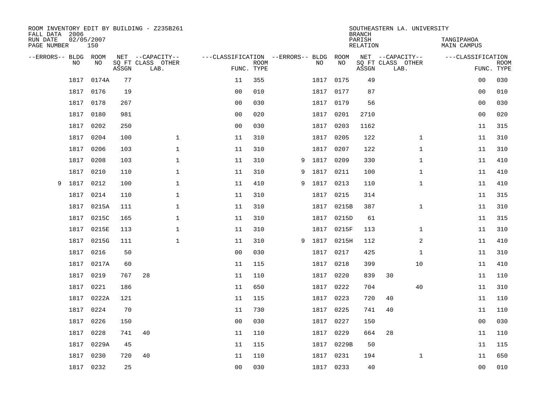| ROOM INVENTORY EDIT BY BUILDING - Z235B261<br>FALL DATA 2006 |                   |       |                           | SOUTHEASTERN LA. UNIVERSITY<br><b>BRANCH</b> |                           |                                  |           |            |       |                           |                   |                           |
|--------------------------------------------------------------|-------------------|-------|---------------------------|----------------------------------------------|---------------------------|----------------------------------|-----------|------------|-------|---------------------------|-------------------|---------------------------|
| RUN DATE<br>PAGE NUMBER                                      | 02/05/2007<br>150 |       |                           |                                              | <b>RELATION</b>           | TANGIPAHOA<br><b>MAIN CAMPUS</b> |           |            |       |                           |                   |                           |
| --ERRORS-- BLDG ROOM                                         |                   |       | NET --CAPACITY--          | ---CLASSIFICATION --ERRORS-- BLDG            |                           |                                  |           | ROOM       |       | NET --CAPACITY--          | ---CLASSIFICATION |                           |
| NO                                                           | NO                | ASSGN | SQ FT CLASS OTHER<br>LAB. |                                              | <b>ROOM</b><br>FUNC. TYPE |                                  | NO        | NO         | ASSGN | SQ FT CLASS OTHER<br>LAB. |                   | <b>ROOM</b><br>FUNC. TYPE |
| 1817                                                         | 0174A             | 77    |                           | 11                                           | 355                       |                                  | 1817      | 0175       | 49    |                           | 0 <sub>0</sub>    | 030                       |
| 1817                                                         | 0176              | 19    |                           | 0 <sub>0</sub>                               | 010                       |                                  |           | 1817 0177  | 87    |                           | 00                | 010                       |
| 1817                                                         | 0178              | 267   |                           | 0 <sub>0</sub>                               | 030                       |                                  | 1817      | 0179       | 56    |                           | 00                | 030                       |
| 1817                                                         | 0180              | 981   |                           | 00                                           | 020                       |                                  | 1817      | 0201       | 2710  |                           | 0 <sub>0</sub>    | 020                       |
| 1817                                                         | 0202              | 250   |                           | 0 <sub>0</sub>                               | 030                       |                                  | 1817      | 0203       | 1162  |                           | 11                | 315                       |
| 1817                                                         | 0204              | 100   | $\mathbf 1$               | 11                                           | 310                       |                                  |           | 1817 0205  | 122   | $\mathbf{1}$              | 11                | 310                       |
| 1817                                                         | 0206              | 103   | $\mathbf{1}$              | 11                                           | 310                       |                                  | 1817      | 0207       | 122   | $\mathbf{1}$              | 11                | 310                       |
| 1817                                                         | 0208              | 103   | $\mathbf{1}$              | 11                                           | 310                       | 9                                | 1817      | 0209       | 330   | $\mathbf{1}$              | 11                | 410                       |
| 1817                                                         | 0210              | 110   | $\mathbf{1}$              | 11                                           | 310                       | 9                                | 1817      | 0211       | 100   | $\mathbf{1}$              | 11                | 410                       |
| 1817<br>9                                                    | 0212              | 100   | 1                         | 11                                           | 410                       | 9                                | 1817 0213 |            | 110   | $\mathbf{1}$              | 11                | 410                       |
| 1817                                                         | 0214              | 110   | $\mathbf 1$               | 11                                           | 310                       |                                  | 1817      | 0215       | 314   |                           | 11                | 315                       |
| 1817                                                         | 0215A             | 111   | $\mathbf 1$               | 11                                           | 310                       |                                  |           | 1817 0215B | 387   | $\mathbf{1}$              | 11                | 310                       |
| 1817                                                         | 0215C             | 165   | $\mathbf{1}$              | 11                                           | 310                       |                                  | 1817      | 0215D      | 61    |                           | 11                | 315                       |
| 1817                                                         | 0215E             | 113   | $\mathbf 1$               | 11                                           | 310                       |                                  |           | 1817 0215F | 113   | $\mathbf{1}$              | 11                | 310                       |
| 1817                                                         | 0215G             | 111   | $\mathbf{1}$              | 11                                           | 310                       | 9                                | 1817      | 0215H      | 112   | 2                         | 11                | 410                       |
| 1817                                                         | 0216              | 50    |                           | 00                                           | 030                       |                                  |           | 1817 0217  | 425   | $\mathbf{1}$              | 11                | 310                       |
| 1817                                                         | 0217A             | 60    |                           | 11                                           | 115                       |                                  | 1817      | 0218       | 399   | 10                        | 11                | 410                       |
| 1817                                                         | 0219              | 767   | 28                        | 11                                           | 110                       |                                  |           | 1817 0220  | 839   | 30                        | 11                | 110                       |
| 1817                                                         | 0221              | 186   |                           | 11                                           | 650                       |                                  | 1817      | 0222       | 704   | 40                        | 11                | 310                       |
| 1817                                                         | 0222A             | 121   |                           | 11                                           | 115                       |                                  | 1817      | 0223       | 720   | 40                        | 11                | 110                       |
| 1817                                                         | 0224              | 70    |                           | 11                                           | 730                       |                                  |           | 1817 0225  | 741   | 40                        | 11                | 110                       |
| 1817                                                         | 0226              | 150   |                           | 0 <sub>0</sub>                               | 030                       |                                  | 1817      | 0227       | 150   |                           | 0 <sub>0</sub>    | 030                       |
| 1817                                                         | 0228              | 741   | 40                        | 11                                           | 110                       |                                  | 1817      | 0229       | 664   | 28                        | 11                | 110                       |
| 1817                                                         | 0229A             | 45    |                           | 11                                           | 115                       |                                  |           | 1817 0229B | 50    |                           | 11                | 115                       |
| 1817                                                         | 0230              | 720   | 40                        | 11                                           | 110                       |                                  | 1817      | 0231       | 194   | $\mathbf{1}$              | 11                | 650                       |
|                                                              | 1817 0232         | 25    |                           | 00                                           | 030                       |                                  |           | 1817 0233  | 40    |                           | 00                | 010                       |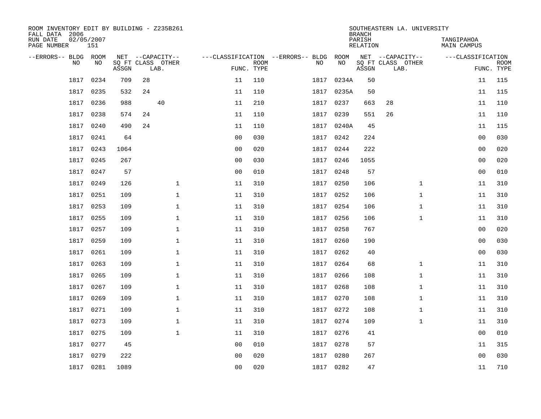| ROOM INVENTORY EDIT BY BUILDING - Z235B261<br>FALL DATA 2006 |                   |       |    |                           |                |                           |                                   |           | <b>BRANCH</b> | SOUTHEASTERN LA. UNIVERSITY |                   |                           |  |  |
|--------------------------------------------------------------|-------------------|-------|----|---------------------------|----------------|---------------------------|-----------------------------------|-----------|---------------|-----------------------------|-------------------|---------------------------|--|--|
| RUN DATE<br>PAGE NUMBER                                      | 02/05/2007<br>151 |       |    |                           |                | PARISH<br>RELATION        |                                   |           |               |                             |                   |                           |  |  |
| --ERRORS-- BLDG ROOM                                         |                   |       |    | NET --CAPACITY--          |                |                           | ---CLASSIFICATION --ERRORS-- BLDG | ROOM      |               | NET --CAPACITY--            | ---CLASSIFICATION |                           |  |  |
| <b>NO</b>                                                    | NO.               | ASSGN |    | SO FT CLASS OTHER<br>LAB. |                | <b>ROOM</b><br>FUNC. TYPE | NO.                               | <b>NO</b> | ASSGN         | SQ FT CLASS OTHER<br>LAB.   |                   | <b>ROOM</b><br>FUNC. TYPE |  |  |
| 1817                                                         | 0234              | 709   | 28 |                           | 11             | 110                       | 1817                              | 0234A     | 50            |                             | 11                | 115                       |  |  |
| 1817                                                         | 0235              | 532   | 24 |                           | 11             | 110                       | 1817                              | 0235A     | 50            |                             | 11                | 115                       |  |  |
| 1817                                                         | 0236              | 988   |    | 40                        | 11             | 210                       | 1817                              | 0237      | 663           | 28                          | 11                | 110                       |  |  |
| 1817                                                         | 0238              | 574   | 24 |                           | 11             | 110                       | 1817                              | 0239      | 551           | 26                          | 11                | 110                       |  |  |
| 1817                                                         | 0240              | 490   | 24 |                           | 11             | 110                       | 1817                              | 0240A     | 45            |                             | 11                | 115                       |  |  |
| 1817                                                         | 0241              | 64    |    |                           | 0 <sub>0</sub> | 030                       |                                   | 1817 0242 | 224           |                             | 0 <sub>0</sub>    | 030                       |  |  |
| 1817                                                         | 0243              | 1064  |    |                           | 0 <sub>0</sub> | 020                       | 1817                              | 0244      | 222           |                             | 0 <sub>0</sub>    | 020                       |  |  |
| 1817                                                         | 0245              | 267   |    |                           | 0 <sub>0</sub> | 030                       | 1817                              | 0246      | 1055          |                             | 0 <sub>0</sub>    | 020                       |  |  |
| 1817                                                         | 0247              | 57    |    |                           | 0 <sub>0</sub> | 010                       | 1817                              | 0248      | 57            |                             | 0 <sub>0</sub>    | 010                       |  |  |
| 1817                                                         | 0249              | 126   |    | $\mathbf 1$               | 11             | 310                       |                                   | 1817 0250 | 106           | $\mathbf{1}$                | 11                | 310                       |  |  |
| 1817                                                         | 0251              | 109   |    | $\mathbf 1$               | 11             | 310                       | 1817                              | 0252      | 106           | $\mathbf{1}$                | 11                | 310                       |  |  |
| 1817                                                         | 0253              | 109   |    | $\mathbf 1$               | 11             | 310                       |                                   | 1817 0254 | 106           | $\mathbf{1}$                | 11                | 310                       |  |  |
| 1817                                                         | 0255              | 109   |    | $\mathbf{1}$              | 11             | 310                       | 1817                              | 0256      | 106           | $\mathbf{1}$                | 11                | 310                       |  |  |
| 1817                                                         | 0257              | 109   |    | $\mathbf{1}$              | 11             | 310                       |                                   | 1817 0258 | 767           |                             | 00                | 020                       |  |  |
| 1817                                                         | 0259              | 109   |    | $\mathbf 1$               | 11             | 310                       | 1817                              | 0260      | 190           |                             | 00                | 030                       |  |  |
| 1817                                                         | 0261              | 109   |    | $\mathbf 1$               | 11             | 310                       |                                   | 1817 0262 | 40            |                             | 00                | 030                       |  |  |
| 1817                                                         | 0263              | 109   |    | $\mathbf 1$               | 11             | 310                       | 1817                              | 0264      | 68            | $\mathbf{1}$                | 11                | 310                       |  |  |
| 1817                                                         | 0265              | 109   |    | $\mathbf{1}$              | 11             | 310                       | 1817                              | 0266      | 108           | $\mathbf{1}$                | 11                | 310                       |  |  |
| 1817                                                         | 0267              | 109   |    | $\mathbf{1}$              | 11             | 310                       | 1817                              | 0268      | 108           | $\mathbf{1}$                | 11                | 310                       |  |  |
| 1817                                                         | 0269              | 109   |    | $\mathbf{1}$              | 11             | 310                       | 1817                              | 0270      | 108           | $\mathbf{1}$                | 11                | 310                       |  |  |
| 1817                                                         | 0271              | 109   |    | $\mathbf 1$               | 11             | 310                       |                                   | 1817 0272 | 108           | $\mathbf{1}$                | 11                | 310                       |  |  |
| 1817                                                         | 0273              | 109   |    | $\mathbf{1}$              | 11             | 310                       | 1817                              | 0274      | 109           | $\mathbf{1}$                | 11                | 310                       |  |  |
| 1817                                                         | 0275              | 109   |    | $\mathbf{1}$              | 11             | 310                       |                                   | 1817 0276 | 41            |                             | 00                | 010                       |  |  |
| 1817                                                         | 0277              | 45    |    |                           | 0 <sub>0</sub> | 010                       | 1817                              | 0278      | 57            |                             | 11                | 315                       |  |  |
| 1817                                                         | 0279              | 222   |    |                           | 0 <sub>0</sub> | 020                       | 1817                              | 0280      | 267           |                             | 0 <sub>0</sub>    | 030                       |  |  |
|                                                              | 1817 0281         | 1089  |    |                           | 0 <sub>0</sub> | 020                       |                                   | 1817 0282 | 47            |                             | 11                | 710                       |  |  |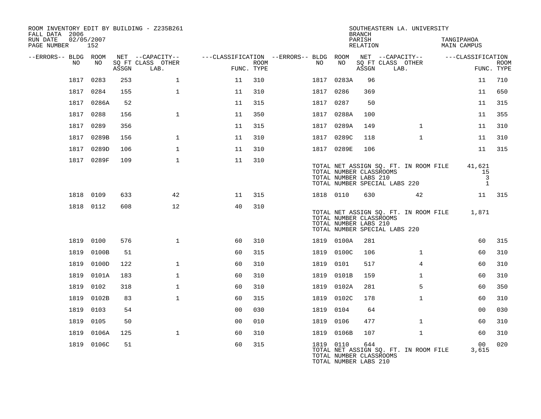| ROOM INVENTORY EDIT BY BUILDING - Z235B261<br>FALL DATA 2006 |            |       |                           |                                                         |      |      |           |            | <b>BRANCH</b>                                                                     |      | SOUTHEASTERN LA. UNIVERSITY           |            |                                                |             |
|--------------------------------------------------------------|------------|-------|---------------------------|---------------------------------------------------------|------|------|-----------|------------|-----------------------------------------------------------------------------------|------|---------------------------------------|------------|------------------------------------------------|-------------|
| RUN DATE<br>PAGE NUMBER 152                                  | 02/05/2007 |       |                           |                                                         |      |      |           |            | PARISH<br>RELATION                                                                |      |                                       | TANGIPAHOA | <b>MAIN CAMPUS</b>                             |             |
| --ERRORS-- BLDG ROOM                                         |            |       | NET --CAPACITY--          | ---CLASSIFICATION --ERRORS-- BLDG ROOM NET --CAPACITY-- |      |      |           |            |                                                                                   |      |                                       |            | ---CLASSIFICATION                              |             |
| NO.                                                          | NO.        | ASSGN | SO FT CLASS OTHER<br>LAB. | FUNC. TYPE                                              | ROOM | NO   |           | NO         | SQ FT CLASS OTHER<br>ASSGN                                                        | LAB. |                                       |            | FUNC. TYPE                                     | <b>ROOM</b> |
| 1817                                                         | 0283       | 253   | $\mathbf{1}$              | 11                                                      | 310  |      |           | 1817 0283A | 96                                                                                |      |                                       |            | 11                                             | 710         |
|                                                              | 1817 0284  | 155   | $\mathbf{1}$              | 11                                                      | 310  |      | 1817 0286 |            | 369                                                                               |      |                                       |            | 11                                             | 650         |
|                                                              | 1817 0286A | 52    |                           | 11                                                      | 315  |      | 1817 0287 |            | 50                                                                                |      |                                       |            | 11                                             | 315         |
| 1817                                                         | 0288       | 156   | $\mathbf{1}$              | 11                                                      | 350  |      |           | 1817 0288A | 100                                                                               |      |                                       |            | 11                                             | 355         |
|                                                              | 1817 0289  | 356   |                           | 11                                                      | 315  |      |           | 1817 0289A | 149                                                                               |      | $\mathbf{1}$                          |            | 11                                             | 310         |
|                                                              | 1817 0289B | 156   | $\mathbf{1}$              | 11                                                      | 310  |      |           | 1817 0289C | 118                                                                               |      | $\mathbf{1}$                          |            | 11                                             | 310         |
|                                                              | 1817 0289D | 106   | $\mathbf 1$               | 11                                                      | 310  |      |           | 1817 0289E | 106                                                                               |      |                                       |            | 11                                             | 315         |
|                                                              | 1817 0289F | 109   | $\mathbf{1}$              | 11                                                      | 310  |      |           |            | TOTAL NUMBER CLASSROOMS<br>TOTAL NUMBER LABS 210<br>TOTAL NUMBER SPECIAL LABS 220 |      | TOTAL NET ASSIGN SQ. FT. IN ROOM FILE |            | 41,621<br>15<br>$\overline{3}$<br>$\mathbf{1}$ |             |
|                                                              | 1818 0109  | 633   | 42                        | 11                                                      | 315  |      | 1818 0110 |            | 630                                                                               |      | 42                                    |            | 11                                             | 315         |
|                                                              | 1818 0112  | 608   | 12                        | 40                                                      | 310  |      |           |            | TOTAL NUMBER CLASSROOMS<br>TOTAL NUMBER LABS 210<br>TOTAL NUMBER SPECIAL LABS 220 |      | TOTAL NET ASSIGN SQ. FT. IN ROOM FILE |            | 1,871                                          |             |
|                                                              | 1819 0100  | 576   | $\mathbf{1}$              | 60                                                      | 310  |      |           | 1819 0100A | 281                                                                               |      |                                       |            | 60                                             | 315         |
| 1819                                                         | 0100B      | 51    |                           | 60                                                      | 315  |      |           | 1819 0100C | 106                                                                               |      | $\mathbf{1}$                          |            | 60                                             | 310         |
| 1819                                                         | 0100D      | 122   | $\mathbf{1}$              | 60                                                      | 310  |      | 1819 0101 |            | 517                                                                               |      | $\overline{4}$                        |            | 60                                             | 310         |
| 1819                                                         | 0101A      | 183   | $\mathbf{1}$              | 60                                                      | 310  |      |           | 1819 0101B | 159                                                                               |      | $\mathbf{1}$                          |            | 60                                             | 310         |
| 1819                                                         | 0102       | 318   | $\mathbf{1}$              | 60                                                      | 310  |      |           | 1819 0102A | 281                                                                               |      | 5                                     |            | 60                                             | 350         |
| 1819                                                         | 0102B      | 83    | $\mathbf{1}$              | 60                                                      | 315  |      |           | 1819 0102C | 178                                                                               |      | $\mathbf{1}$                          |            | 60                                             | 310         |
| 1819                                                         | 0103       | 54    |                           | 0 <sub>0</sub>                                          | 030  | 1819 |           | 0104       | 64                                                                                |      |                                       |            | 0 <sub>0</sub>                                 | 030         |
| 1819                                                         | 0105       | 50    |                           | 0 <sub>0</sub>                                          | 010  |      | 1819 0106 |            | 477                                                                               |      | $\mathbf{1}$                          |            | 60                                             | 310         |
| 1819                                                         | 0106A      | 125   | $\mathbf{1}$              | 60                                                      | 310  | 1819 |           | 0106B      | 107                                                                               |      | $\mathbf{1}$                          |            | 60                                             | 310         |
|                                                              | 1819 0106C | 51    |                           | 60                                                      | 315  |      | 1819 0110 |            | 644<br>TOTAL NUMBER CLASSROOMS<br>TOTAL NUMBER LABS 210                           |      | TOTAL NET ASSIGN SQ. FT. IN ROOM FILE |            | 00<br>3,615                                    | 020         |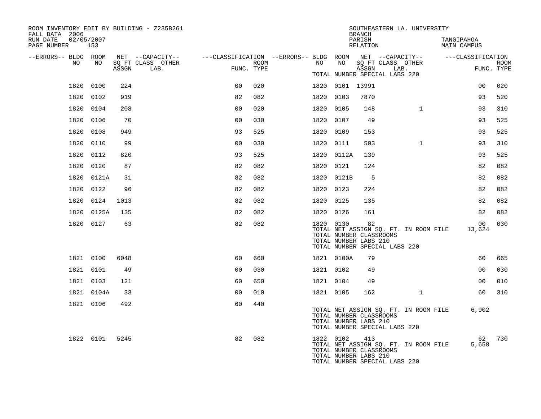| ROOM INVENTORY EDIT BY BUILDING - Z235B261<br>FALL DATA 2006 | SOUTHEASTERN LA. UNIVERSITY<br><b>BRANCH</b> |       |                                                                                                                     |                |      |  |           |                                                  |                    |                               |                                       |  |                                  |             |
|--------------------------------------------------------------|----------------------------------------------|-------|---------------------------------------------------------------------------------------------------------------------|----------------|------|--|-----------|--------------------------------------------------|--------------------|-------------------------------|---------------------------------------|--|----------------------------------|-------------|
| RUN DATE<br>02/05/2007<br>PAGE NUMBER 153                    |                                              |       |                                                                                                                     |                |      |  |           |                                                  | PARISH<br>RELATION |                               |                                       |  | TANGIPAHOA<br><b>MAIN CAMPUS</b> |             |
| --ERRORS-- BLDG ROOM<br>NO                                   | NO                                           |       | NET --CAPACITY-- - ---CLASSIFICATION --ERRORS-- BLDG ROOM NET --CAPACITY-- - ---CLASSIFICATION<br>SQ FT CLASS OTHER |                | ROOM |  | NO        | NO                                               |                    |                               | SQ FT CLASS OTHER                     |  |                                  |             |
|                                                              |                                              | ASSGN | LAB.                                                                                                                | FUNC. TYPE     |      |  |           |                                                  | ASSGN              | TOTAL NUMBER SPECIAL LABS 220 | LAB.                                  |  | FUNC. TYPE                       | <b>ROOM</b> |
|                                                              | 1820 0100                                    | 224   |                                                                                                                     | 0 <sub>0</sub> | 020  |  |           | 1820 0101 13991                                  |                    |                               |                                       |  | 00                               | 020         |
| 1820                                                         | 0102                                         | 919   |                                                                                                                     | 82             | 082  |  | 1820 0103 |                                                  | 7870               |                               |                                       |  | 93                               | 520         |
|                                                              | 1820 0104                                    | 208   |                                                                                                                     | 0 <sub>0</sub> | 020  |  | 1820 0105 |                                                  | 148                |                               | $\mathbf{1}$                          |  | 93                               | 310         |
|                                                              | 1820 0106                                    | 70    |                                                                                                                     | 0 <sub>0</sub> | 030  |  | 1820 0107 |                                                  | 49                 |                               |                                       |  | 93                               | 525         |
|                                                              | 1820 0108                                    | 949   |                                                                                                                     | 93             | 525  |  | 1820 0109 |                                                  | 153                |                               |                                       |  | 93                               | 525         |
| 1820                                                         | 0110                                         | 99    |                                                                                                                     | 0 <sub>0</sub> | 030  |  | 1820 0111 |                                                  | 503                |                               | $\mathbf{1}$                          |  | 93                               | 310         |
|                                                              | 1820 0112                                    | 820   |                                                                                                                     | 93             | 525  |  |           | 1820 0112A                                       | 139                |                               |                                       |  | 93                               | 525         |
|                                                              | 1820 0120                                    | 87    |                                                                                                                     | 82             | 082  |  | 1820 0121 |                                                  | 124                |                               |                                       |  | 82                               | 082         |
|                                                              | 1820 0121A                                   | 31    |                                                                                                                     | 82             | 082  |  |           | 1820 0121B                                       | - 5                |                               |                                       |  | 82                               | 082         |
| 1820                                                         | 0122                                         | 96    |                                                                                                                     | 82             | 082  |  | 1820 0123 |                                                  | 224                |                               |                                       |  | 82                               | 082         |
|                                                              | 1820 0124                                    | 1013  |                                                                                                                     | 82             | 082  |  | 1820 0125 |                                                  | 135                |                               |                                       |  | 82                               | 082         |
|                                                              | 1820 0125A                                   | 135   |                                                                                                                     | 82             | 082  |  | 1820 0126 |                                                  | 161                |                               |                                       |  | 82                               | 082         |
|                                                              | 1820 0127                                    | 63    |                                                                                                                     | 82             | 082  |  | 1820 0130 | TOTAL NUMBER CLASSROOMS<br>TOTAL NUMBER LABS 210 | 82                 | TOTAL NUMBER SPECIAL LABS 220 | TOTAL NET ASSIGN SQ. FT. IN ROOM FILE |  | 0 <sub>0</sub><br>13,624         | 030         |
|                                                              | 1821 0100                                    | 6048  |                                                                                                                     | 60             | 660  |  |           | 1821 0100A                                       | 79                 |                               |                                       |  | 60                               | 665         |
|                                                              | 1821 0101                                    | 49    |                                                                                                                     | 0 <sub>0</sub> | 030  |  | 1821 0102 |                                                  | 49                 |                               |                                       |  | 0 <sub>0</sub>                   | 030         |
|                                                              | 1821 0103                                    | 121   |                                                                                                                     | 60             | 650  |  | 1821 0104 |                                                  | 49                 |                               |                                       |  | 00                               | 010         |
|                                                              | 1821 0104A                                   | 33    |                                                                                                                     | 0 <sup>0</sup> | 010  |  | 1821 0105 |                                                  | 162                |                               | $\mathbf{1}$                          |  | 60                               | 310         |
|                                                              | 1821 0106                                    | 492   |                                                                                                                     | 60             | 440  |  |           | TOTAL NUMBER CLASSROOMS<br>TOTAL NUMBER LABS 210 |                    | TOTAL NUMBER SPECIAL LABS 220 | TOTAL NET ASSIGN SQ. FT. IN ROOM FILE |  | 6,902                            |             |
|                                                              | 1822 0101                                    | 5245  |                                                                                                                     | 82             | 082  |  | 1822 0102 | TOTAL NUMBER CLASSROOMS<br>TOTAL NUMBER LABS 210 | 413                | TOTAL NUMBER SPECIAL LABS 220 | TOTAL NET ASSIGN SQ. FT. IN ROOM FILE |  | 62<br>5,658                      | 730         |